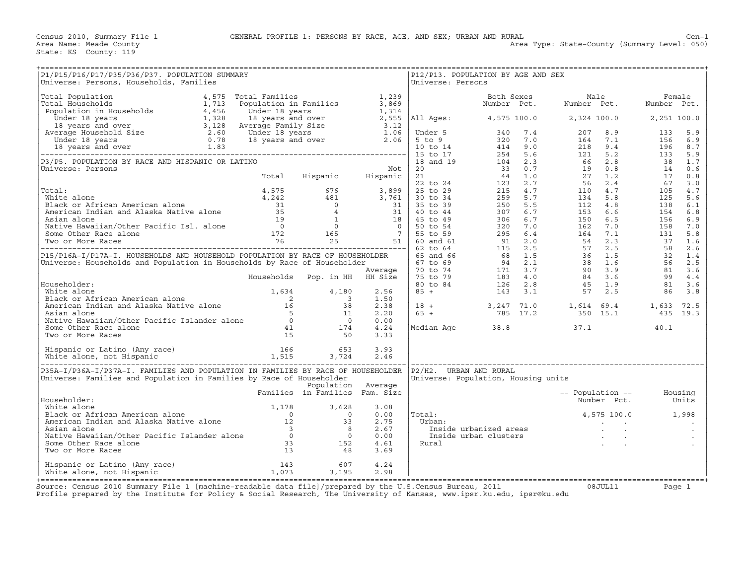| P1/P15/P16/P17/P35/P36/P37. POPULATION SUMMARY<br>Universe: Persons, Households, Families                                                                                                                                                      |                                |                    |                      | Universe: Persons | P12/P13. POPULATION BY AGE AND SEX  |                                                                                                                                                                 |      |
|------------------------------------------------------------------------------------------------------------------------------------------------------------------------------------------------------------------------------------------------|--------------------------------|--------------------|----------------------|-------------------|-------------------------------------|-----------------------------------------------------------------------------------------------------------------------------------------------------------------|------|
|                                                                                                                                                                                                                                                |                                |                    |                      |                   |                                     |                                                                                                                                                                 |      |
|                                                                                                                                                                                                                                                |                                |                    |                      |                   |                                     |                                                                                                                                                                 |      |
|                                                                                                                                                                                                                                                |                                |                    |                      |                   |                                     |                                                                                                                                                                 |      |
|                                                                                                                                                                                                                                                |                                |                    |                      |                   |                                     |                                                                                                                                                                 |      |
|                                                                                                                                                                                                                                                |                                |                    |                      |                   |                                     |                                                                                                                                                                 |      |
|                                                                                                                                                                                                                                                |                                |                    |                      |                   |                                     |                                                                                                                                                                 |      |
|                                                                                                                                                                                                                                                |                                |                    |                      |                   |                                     |                                                                                                                                                                 |      |
|                                                                                                                                                                                                                                                |                                |                    |                      |                   |                                     |                                                                                                                                                                 |      |
|                                                                                                                                                                                                                                                |                                |                    |                      |                   |                                     |                                                                                                                                                                 |      |
|                                                                                                                                                                                                                                                |                                |                    |                      |                   |                                     |                                                                                                                                                                 |      |
|                                                                                                                                                                                                                                                |                                |                    |                      |                   |                                     |                                                                                                                                                                 |      |
|                                                                                                                                                                                                                                                |                                |                    |                      |                   |                                     |                                                                                                                                                                 |      |
|                                                                                                                                                                                                                                                |                                |                    | 2.38<br>2.20<br>0.00 |                   |                                     | $\begin{array}{cccccccc} 18 & + & & & 3\,247 & 71.0 & & 1\,,614 & 69.4 & & 1\,,633 & 72.5 \\ 65 & + & & & 785 & 17.2 & & 350 & 15.1 & & 435 & 19.3 \end{array}$ |      |
| Householder:<br>White alone<br>Black or African American alone<br>American Indian and Alaska Native alone<br>American Indian and Alaska Native alone<br>Asian alone<br>Asian Asian (Other Pacific Islander alone<br>Some Other Race alone<br>T |                                |                    | 4.24<br>3.33         |                   | Median Age $38.8$ $37.1$            |                                                                                                                                                                 | 40.1 |
|                                                                                                                                                                                                                                                |                                |                    | 3.93<br>2.46         |                   |                                     |                                                                                                                                                                 |      |
| P35A-I/P36A-I/P37A-I. FAMILIES AND POPULATION IN FAMILIES BY RACE OF HOUSEHOLDER  P2/H2. URBAN AND RURAL                                                                                                                                       |                                |                    |                      |                   |                                     |                                                                                                                                                                 |      |
| Universe: Families and Population in Families by Race of Householder                                                                                                                                                                           | Families in Families Fam. Size | Population Average |                      |                   | Universe: Population, Housing units |                                                                                                                                                                 |      |
| Householder:                                                                                                                                                                                                                                   |                                |                    | 3.08                 |                   |                                     | -- Population --         Housing<br>Number Pct.         Units<br>$4,575$ 100.0 1,998                                                                            |      |
|                                                                                                                                                                                                                                                |                                |                    | 0.00<br>2.75<br>2.67 | Total:<br>Urban:  |                                     |                                                                                                                                                                 |      |
|                                                                                                                                                                                                                                                |                                |                    | 0.00<br>4.61<br>3.69 | Rural             |                                     |                                                                                                                                                                 |      |
| Hispanic or Latino (Any race) 143 607<br>White alone, not Hispanic 1,073 3,195                                                                                                                                                                 |                                |                    | 4.24<br>2.98         |                   |                                     |                                                                                                                                                                 |      |

+===================================================================================================================================================+Source: Census 2010 Summary File 1 [machine−readable data file]/prepared by the U.S.Census Bureau, 2011 08JUL11 Page 1 Profile prepared by the Institute for Policy & Social Research, The University of Kansas, www.ipsr.ku.edu, ipsr@ku.edu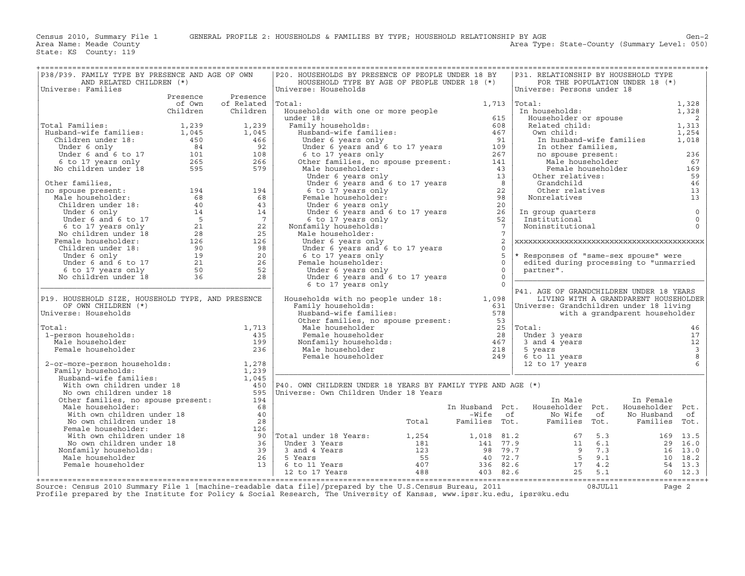Area Type: State-County (Summary Level: 050)

| ==================================<br>P38/P39. FAMILY TYPE BY PRESENCE AND AGE OF OWN                                                                                                                                                                    |          |                     | P20. HOUSEHOLDS BY PRESENCE OF PEOPLE UNDER 18 BY                                                                                                                                                                                                                                                                                                  |                                              | P31. RELATIONSHIP BY HOUSEHOLD TYPE           |                                        |                               |                                            |
|----------------------------------------------------------------------------------------------------------------------------------------------------------------------------------------------------------------------------------------------------------|----------|---------------------|----------------------------------------------------------------------------------------------------------------------------------------------------------------------------------------------------------------------------------------------------------------------------------------------------------------------------------------------------|----------------------------------------------|-----------------------------------------------|----------------------------------------|-------------------------------|--------------------------------------------|
| AND RELATED CHILDREN (*)                                                                                                                                                                                                                                 |          |                     | HOUSEHOLD TYPE BY AGE OF PEOPLE UNDER 18 (*)                                                                                                                                                                                                                                                                                                       |                                              | FOR THE POPULATION UNDER 18 (*)               |                                        |                               |                                            |
| Universe: Families                                                                                                                                                                                                                                       | Presence | Presence            | Universe: Households                                                                                                                                                                                                                                                                                                                               |                                              | Universe: Persons under 18                    |                                        |                               |                                            |
|                                                                                                                                                                                                                                                          | of Own   | of Related          | Total:                                                                                                                                                                                                                                                                                                                                             |                                              | $1,713$ Total:                                |                                        |                               | 1,328                                      |
|                                                                                                                                                                                                                                                          | Children | Children            | Households with one or more people                                                                                                                                                                                                                                                                                                                 |                                              | In households:                                |                                        |                               | 1,328                                      |
|                                                                                                                                                                                                                                                          |          |                     | under 18:                                                                                                                                                                                                                                                                                                                                          | 615                                          | Householder or spouse                         |                                        |                               | $\overline{\phantom{0}}^2$                 |
| Total Families:                                                                                                                                                                                                                                          |          |                     | Family households:                                                                                                                                                                                                                                                                                                                                 | 608                                          | Related child:                                |                                        |                               | 1,313                                      |
|                                                                                                                                                                                                                                                          |          |                     | ier<br>amily households:<br>Husband-wife families:                                                                                                                                                                                                                                                                                                 | 467                                          | Own child:                                    |                                        |                               | 1,254                                      |
|                                                                                                                                                                                                                                                          |          |                     |                                                                                                                                                                                                                                                                                                                                                    |                                              | In husband-wife families                      |                                        |                               | 1,018                                      |
|                                                                                                                                                                                                                                                          |          |                     |                                                                                                                                                                                                                                                                                                                                                    |                                              | In other families,                            |                                        |                               |                                            |
|                                                                                                                                                                                                                                                          |          |                     |                                                                                                                                                                                                                                                                                                                                                    |                                              | no spouse present:                            |                                        |                               | 236                                        |
| Total Families: $1,239$<br>Husband-wife families: $1,045$<br>Children under 18: $450$<br>Under 6 anly 6 to 17<br>6 to 17 years only $265$<br>No children under 18<br>595<br>Sambar 18<br>595<br>Sambar 18<br>Sambar 18<br>Sambar 18<br>Sambar 18<br>Samb |          |                     | Musique 6 years only<br>Under 6 years and 6 to 17 years<br>6 to 17 years only<br>0ther families, no spouse present:<br>141<br>141<br>143<br>143                                                                                                                                                                                                    |                                              |                                               | no spouse present:<br>Male householder |                               | 67                                         |
|                                                                                                                                                                                                                                                          |          |                     |                                                                                                                                                                                                                                                                                                                                                    |                                              |                                               | Female householder                     |                               | 169                                        |
|                                                                                                                                                                                                                                                          |          |                     |                                                                                                                                                                                                                                                                                                                                                    |                                              | Other relatives:                              |                                        |                               | 59                                         |
| Other families,                                                                                                                                                                                                                                          |          |                     | Male householder:<br>Under 6 years only<br>Under 6 years and 6 to 17 years<br>6 to 17 years only<br>Female householder:<br>Under 6 years only<br>Under 6 years only<br>20                                                                                                                                                                          |                                              | Grandchild                                    |                                        |                               | 46                                         |
| no spouse present:                                                                                                                                                                                                                                       |          | 194<br>68           | Female householder:                                                                                                                                                                                                                                                                                                                                |                                              | Other relatives<br>Nonrelatives               |                                        |                               | 13<br>13                                   |
|                                                                                                                                                                                                                                                          |          | 43                  | Under 6 years only                                                                                                                                                                                                                                                                                                                                 |                                              |                                               |                                        |                               |                                            |
|                                                                                                                                                                                                                                                          |          | 14                  | Under 6 years and 6 to 17 years                                                                                                                                                                                                                                                                                                                    | $\frac{26}{10}$                              | In group quarters                             |                                        |                               | $\mathbb O$                                |
|                                                                                                                                                                                                                                                          |          | $7\phantom{0}7$     | 6 to 17 years only                                                                                                                                                                                                                                                                                                                                 | 52                                           | Institutional                                 |                                        |                               | $\mathbf 0$                                |
|                                                                                                                                                                                                                                                          |          | 22                  | Nonfamily households:                                                                                                                                                                                                                                                                                                                              | $\overline{7}$                               | Noninstitutional                              |                                        |                               | $\Omega$                                   |
|                                                                                                                                                                                                                                                          |          | 25                  | Male householder:                                                                                                                                                                                                                                                                                                                                  | $7\phantom{.0}$                              |                                               |                                        |                               |                                            |
|                                                                                                                                                                                                                                                          |          | 126                 | Under 6 years only                                                                                                                                                                                                                                                                                                                                 | 2                                            |                                               |                                        |                               |                                            |
|                                                                                                                                                                                                                                                          |          | 98                  | Under 6 years and 6 to 17 years                                                                                                                                                                                                                                                                                                                    | $\Omega$                                     |                                               |                                        |                               |                                            |
|                                                                                                                                                                                                                                                          |          | 20                  | 6 to 17 years only                                                                                                                                                                                                                                                                                                                                 | 5                                            | * Responses of "same-sex spouse" were         |                                        |                               |                                            |
|                                                                                                                                                                                                                                                          |          | 26                  | Female householder:                                                                                                                                                                                                                                                                                                                                | $\Omega$                                     | edited during processing to "unmarried        |                                        |                               |                                            |
|                                                                                                                                                                                                                                                          |          | 52<br>28            | Under 6 years only                                                                                                                                                                                                                                                                                                                                 | $\Omega$<br>$\Omega$                         | partner".                                     |                                        |                               |                                            |
| ther families,<br>o spouse present:<br>Male householder:<br>Children under 18:<br>Under 6 only<br>Under 6 and 6 to 17<br>6 to 17 years only<br>No children under 18<br>Pemale householder:<br>Children under 18:<br>28<br>Children under 18:<br>29<br>Un |          |                     | Under 6 years and 6 to 17 years<br>6 to 17 years only                                                                                                                                                                                                                                                                                              | $\cap$                                       |                                               |                                        |                               |                                            |
|                                                                                                                                                                                                                                                          |          |                     |                                                                                                                                                                                                                                                                                                                                                    |                                              | P41. AGE OF GRANDCHILDREN UNDER 18 YEARS      |                                        |                               |                                            |
| P19. HOUSEHOLD SIZE, HOUSEHOLD TYPE, AND PRESENCE                                                                                                                                                                                                        |          |                     | Households with no people under 18: 1,098                                                                                                                                                                                                                                                                                                          |                                              | LIVING WITH A GRANDPARENT HOUSEHOLDER         |                                        |                               |                                            |
| OF OWN CHILDREN (*)                                                                                                                                                                                                                                      |          |                     | Family households:                                                                                                                                                                                                                                                                                                                                 |                                              | 631   Universe: Grandchildren under 18 living |                                        |                               |                                            |
| Universe: Households                                                                                                                                                                                                                                     |          |                     | Husband-wife families:                                                                                                                                                                                                                                                                                                                             | 578                                          |                                               | with a grandparent householder         |                               |                                            |
|                                                                                                                                                                                                                                                          |          |                     | Other families, no spouse present: 53                                                                                                                                                                                                                                                                                                              |                                              |                                               |                                        |                               |                                            |
| Total:<br>1-person households:                                                                                                                                                                                                                           |          | 1,713<br>435        | Male householder<br>Female householder                                                                                                                                                                                                                                                                                                             | 28                                           | 25   Total:<br>Under 3 years                  |                                        |                               | 46<br>17                                   |
| Male householder                                                                                                                                                                                                                                         |          | 199                 |                                                                                                                                                                                                                                                                                                                                                    | 467                                          | 3 and 4 years                                 |                                        |                               | 12                                         |
| Female householder                                                                                                                                                                                                                                       |          | 236                 | Nonfamily households:<br>Male householder<br>Male householder                                                                                                                                                                                                                                                                                      | 218                                          | 5 years                                       |                                        |                               |                                            |
|                                                                                                                                                                                                                                                          |          |                     | Female householder                                                                                                                                                                                                                                                                                                                                 | 249                                          | 6 to 11 years                                 |                                        |                               | $\begin{array}{c} 3 \\ 8 \\ 6 \end{array}$ |
| 2-or-more-person households:                                                                                                                                                                                                                             |          | 1,278               |                                                                                                                                                                                                                                                                                                                                                    |                                              | 12 to 17 years                                |                                        |                               |                                            |
| Family households:                                                                                                                                                                                                                                       |          | 1,239               |                                                                                                                                                                                                                                                                                                                                                    |                                              |                                               |                                        |                               |                                            |
| Husband-wife families:                                                                                                                                                                                                                                   |          | $\frac{1}{1}$ , 045 |                                                                                                                                                                                                                                                                                                                                                    |                                              |                                               |                                        |                               |                                            |
| With own children under 18                                                                                                                                                                                                                               |          | 450                 | P40. OWN CHILDREN UNDER 18 YEARS BY FAMILY TYPE AND AGE (*)                                                                                                                                                                                                                                                                                        |                                              |                                               |                                        |                               |                                            |
| No own children under 18                                                                                                                                                                                                                                 |          |                     | Universe: Own Children Under 18 Years                                                                                                                                                                                                                                                                                                              |                                              |                                               |                                        |                               |                                            |
| Other families, no spouse present:<br>Male householder:                                                                                                                                                                                                  |          | 194<br>68           |                                                                                                                                                                                                                                                                                                                                                    |                                              | In Male<br>In Husband Pct. Householder Pct.   |                                        | In Female<br>Householder Pct. |                                            |
| With own children under 18                                                                                                                                                                                                                               |          | 40                  |                                                                                                                                                                                                                                                                                                                                                    |                                              | No Wife of                                    |                                        | No Husband                    | of                                         |
| With own children under 18<br>No own children under 18                                                                                                                                                                                                   |          | 28                  |                                                                                                                                                                                                                                                                                                                                                    | Wife of -Wife -Wife<br>.Total - Families Tot | Families Tot.                                 |                                        | Families Tot.                 |                                            |
| Female householder:                                                                                                                                                                                                                                      |          |                     |                                                                                                                                                                                                                                                                                                                                                    |                                              |                                               |                                        |                               |                                            |
| With own children under 18                                                                                                                                                                                                                               |          |                     |                                                                                                                                                                                                                                                                                                                                                    |                                              |                                               |                                        |                               |                                            |
| No own children under 18                                                                                                                                                                                                                                 |          |                     |                                                                                                                                                                                                                                                                                                                                                    |                                              |                                               |                                        |                               |                                            |
| Nonfamily households:                                                                                                                                                                                                                                    |          |                     |                                                                                                                                                                                                                                                                                                                                                    |                                              |                                               |                                        |                               |                                            |
| Male householder                                                                                                                                                                                                                                         |          |                     |                                                                                                                                                                                                                                                                                                                                                    |                                              |                                               |                                        |                               |                                            |
| Female householder                                                                                                                                                                                                                                       |          |                     |                                                                                                                                                                                                                                                                                                                                                    |                                              |                                               |                                        |                               |                                            |
|                                                                                                                                                                                                                                                          |          |                     | ar 18<br>ander 18<br>ander 18<br>ander 18<br>ander 18<br>ander 18<br>ander 18<br>3<br>3<br>3<br>3<br>2<br>5<br>2<br>10<br>2<br>3<br>3<br>3<br>4<br>2<br>2<br>2<br>3<br>3<br>4<br>2<br>2<br>3<br>3<br>4<br>2<br>2<br>2<br>3<br>3<br>4<br>2<br>2<br>2<br>3<br>3<br>4<br>2<br>2<br>3<br>3<br>4<br>2<br>2<br>3<br>3<br>4<br>2<br>2<br>2<br>3<br>2<br>3 |                                              |                                               |                                        |                               |                                            |
|                                                                                                                                                                                                                                                          |          |                     |                                                                                                                                                                                                                                                                                                                                                    |                                              |                                               |                                        |                               |                                            |

+===================================================================================================================================================+Source: Census 2010 Summary File 1 [machine−readable data file]/prepared by the U.S.Census Bureau, 2011 08JUL11 Page 2 Profile prepared by the Institute for Policy & Social Research, The University of Kansas, www.ipsr.ku.edu, ipsr@ku.edu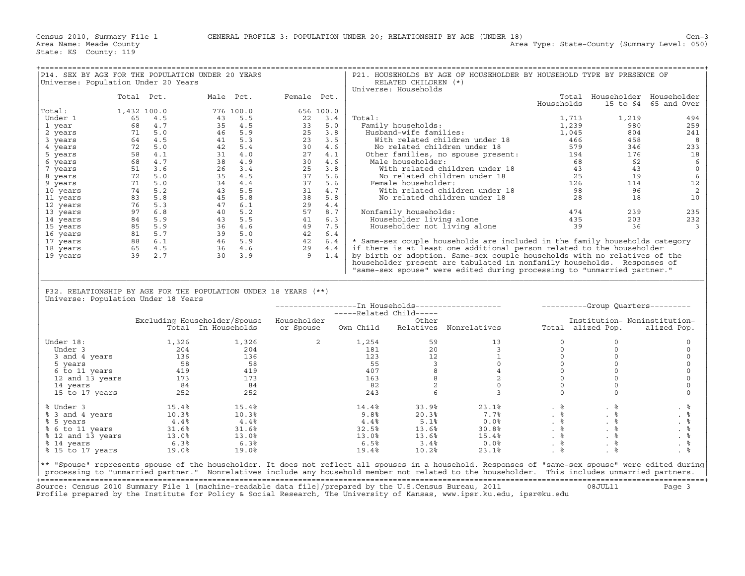| Universe: Population Under 20 Years |            |       | P14. SEX BY AGE FOR THE POPULATION UNDER 20 YEARS                                                                                                                                                                                                                                                     |       |        | RELATED CHILDREN (*)             | P21. HOUSEHOLDS BY AGE OF HOUSEHOLDER BY HOUSEHOLD TYPE BY PRESENCE OF                                                                                                                                                                                                                                                         |                                                       |                               |                      |
|-------------------------------------|------------|-------|-------------------------------------------------------------------------------------------------------------------------------------------------------------------------------------------------------------------------------------------------------------------------------------------------------|-------|--------|----------------------------------|--------------------------------------------------------------------------------------------------------------------------------------------------------------------------------------------------------------------------------------------------------------------------------------------------------------------------------|-------------------------------------------------------|-------------------------------|----------------------|
|                                     |            |       |                                                                                                                                                                                                                                                                                                       |       |        | Universe: Households             |                                                                                                                                                                                                                                                                                                                                |                                                       |                               |                      |
|                                     | Total Pct. |       | Male Pct. Female Pct.                                                                                                                                                                                                                                                                                 |       |        |                                  |                                                                                                                                                                                                                                                                                                                                |                                                       | Total Householder Householder |                      |
|                                     |            |       | 1,432 100.0<br>1,432 100.0<br>68 4.7<br>68 4.7<br>73 5 43 5.5<br>71 5.0<br>64 4.5<br>72 5.0<br>74 5 44 5.9<br>72 5.0<br>42 5.4<br>42 5.4<br>73 4.0<br>72 5.0<br>42 5.4<br>4.9<br>27 4.1<br>73 4.9<br>27 4.1<br>73 4.9<br>20 4.6<br>74 5.2<br>74 4.6<br>51 3.6<br>74 5.2<br>74 4.                      |       |        |                                  |                                                                                                                                                                                                                                                                                                                                | Households                                            |                               | 15 to 64 65 and Over |
| Total:                              |            |       |                                                                                                                                                                                                                                                                                                       |       |        |                                  |                                                                                                                                                                                                                                                                                                                                |                                                       |                               |                      |
| Under 1                             |            |       |                                                                                                                                                                                                                                                                                                       |       | Total: |                                  |                                                                                                                                                                                                                                                                                                                                | 1,713                                                 | 1,219                         | 494                  |
| 1 year                              |            |       |                                                                                                                                                                                                                                                                                                       |       |        |                                  |                                                                                                                                                                                                                                                                                                                                |                                                       |                               | 259                  |
| 2 years                             |            |       |                                                                                                                                                                                                                                                                                                       |       |        |                                  |                                                                                                                                                                                                                                                                                                                                |                                                       |                               | 241                  |
| 3 years                             |            |       |                                                                                                                                                                                                                                                                                                       |       |        |                                  |                                                                                                                                                                                                                                                                                                                                |                                                       |                               | $_{\rm 8}$           |
| 4 years                             |            |       |                                                                                                                                                                                                                                                                                                       |       |        |                                  |                                                                                                                                                                                                                                                                                                                                |                                                       |                               | 233                  |
| 5 years                             |            |       |                                                                                                                                                                                                                                                                                                       |       |        |                                  |                                                                                                                                                                                                                                                                                                                                |                                                       |                               | 18                   |
| 6 years                             |            |       |                                                                                                                                                                                                                                                                                                       |       |        |                                  |                                                                                                                                                                                                                                                                                                                                |                                                       |                               | 6                    |
| 7 years                             |            |       |                                                                                                                                                                                                                                                                                                       |       |        |                                  |                                                                                                                                                                                                                                                                                                                                |                                                       |                               | $\mathbb O$          |
| 8 years                             |            |       |                                                                                                                                                                                                                                                                                                       |       |        |                                  |                                                                                                                                                                                                                                                                                                                                |                                                       |                               | $6\phantom{1}6$      |
| 9 years                             |            |       |                                                                                                                                                                                                                                                                                                       |       |        |                                  |                                                                                                                                                                                                                                                                                                                                |                                                       |                               | 12                   |
| 10 years                            |            |       |                                                                                                                                                                                                                                                                                                       |       |        |                                  |                                                                                                                                                                                                                                                                                                                                |                                                       |                               | 2                    |
| 11 years                            |            |       |                                                                                                                                                                                                                                                                                                       |       |        |                                  |                                                                                                                                                                                                                                                                                                                                |                                                       |                               | 10                   |
| 12 years                            |            |       |                                                                                                                                                                                                                                                                                                       |       |        |                                  |                                                                                                                                                                                                                                                                                                                                |                                                       |                               |                      |
| 13 years                            |            |       |                                                                                                                                                                                                                                                                                                       |       |        | Nonfamily households:            |                                                                                                                                                                                                                                                                                                                                |                                                       | 239                           | 235                  |
| 14 years                            |            |       |                                                                                                                                                                                                                                                                                                       |       |        |                                  |                                                                                                                                                                                                                                                                                                                                |                                                       |                               | 232                  |
| 15 years                            |            |       |                                                                                                                                                                                                                                                                                                       |       |        |                                  |                                                                                                                                                                                                                                                                                                                                |                                                       |                               | $\overline{3}$       |
| 16 years                            |            |       |                                                                                                                                                                                                                                                                                                       |       |        |                                  |                                                                                                                                                                                                                                                                                                                                |                                                       |                               |                      |
| 17 years                            |            |       |                                                                                                                                                                                                                                                                                                       |       |        |                                  | * Same-sex couple households are included in the family households category                                                                                                                                                                                                                                                    |                                                       |                               |                      |
| 18 years                            |            |       |                                                                                                                                                                                                                                                                                                       |       |        |                                  | if there is at least one additional person related to the householder                                                                                                                                                                                                                                                          |                                                       |                               |                      |
| 19 years                            |            |       |                                                                                                                                                                                                                                                                                                       |       |        |                                  | by birth or adoption. Same-sex couple households with no relatives of the                                                                                                                                                                                                                                                      |                                                       |                               |                      |
|                                     |            |       |                                                                                                                                                                                                                                                                                                       |       |        |                                  | householder present are tabulated in nonfamily households. Responses of                                                                                                                                                                                                                                                        |                                                       |                               |                      |
|                                     |            |       |                                                                                                                                                                                                                                                                                                       |       |        |                                  | "same-sex spouse" were edited during processing to "unmarried partner."                                                                                                                                                                                                                                                        |                                                       |                               |                      |
|                                     |            |       |                                                                                                                                                                                                                                                                                                       |       |        |                                  |                                                                                                                                                                                                                                                                                                                                |                                                       |                               |                      |
|                                     |            |       |                                                                                                                                                                                                                                                                                                       |       |        |                                  |                                                                                                                                                                                                                                                                                                                                |                                                       |                               |                      |
|                                     |            |       | P32. RELATIONSHIP BY AGE FOR THE POPULATION UNDER 18 YEARS (**)                                                                                                                                                                                                                                       |       |        |                                  |                                                                                                                                                                                                                                                                                                                                |                                                       |                               |                      |
| Universe: Population Under 18 Years |            |       |                                                                                                                                                                                                                                                                                                       |       |        |                                  |                                                                                                                                                                                                                                                                                                                                |                                                       |                               |                      |
|                                     |            |       |                                                                                                                                                                                                                                                                                                       |       |        |                                  |                                                                                                                                                                                                                                                                                                                                |                                                       |                               |                      |
|                                     |            |       |                                                                                                                                                                                                                                                                                                       |       |        |                                  |                                                                                                                                                                                                                                                                                                                                |                                                       |                               |                      |
|                                     |            |       | Excluding Householder/Spouse Householder                                                                                                                                                                                                                                                              |       |        | -----Related Child-----<br>Other |                                                                                                                                                                                                                                                                                                                                |                                                       | Institution- Noninstitution-  |                      |
|                                     |            |       | -ing Housenolder/Spouse Housenolder (Uner Uther University of the Moninstitution<br>Total In-Households or-Spouse Own-Child Relatives Nonrelatives (Uner Total alized-Pop. alized-Pop.                                                                                                                |       |        |                                  |                                                                                                                                                                                                                                                                                                                                |                                                       |                               |                      |
|                                     |            |       |                                                                                                                                                                                                                                                                                                       |       |        |                                  |                                                                                                                                                                                                                                                                                                                                |                                                       |                               |                      |
| Under 18:                           |            | 1,326 |                                                                                                                                                                                                                                                                                                       | 1,326 |        |                                  |                                                                                                                                                                                                                                                                                                                                |                                                       | $\Omega$                      | $\mathbf 0$          |
|                                     |            |       |                                                                                                                                                                                                                                                                                                       |       |        |                                  |                                                                                                                                                                                                                                                                                                                                |                                                       | $\circ$                       | $\circ$              |
|                                     |            |       |                                                                                                                                                                                                                                                                                                       |       |        |                                  |                                                                                                                                                                                                                                                                                                                                |                                                       | $\circ$                       | $\mathsf O$          |
|                                     |            |       |                                                                                                                                                                                                                                                                                                       |       |        |                                  |                                                                                                                                                                                                                                                                                                                                |                                                       | $\circ$                       | $\circ$              |
|                                     |            |       |                                                                                                                                                                                                                                                                                                       |       |        |                                  |                                                                                                                                                                                                                                                                                                                                |                                                       | $\circ$                       | $\circ$              |
|                                     |            |       |                                                                                                                                                                                                                                                                                                       |       |        |                                  |                                                                                                                                                                                                                                                                                                                                |                                                       | $\mathsf{O}\xspace$           | $\mathsf O$          |
|                                     |            |       |                                                                                                                                                                                                                                                                                                       |       |        |                                  |                                                                                                                                                                                                                                                                                                                                | $\begin{bmatrix} 0 \\ 0 \\ 0 \\ 0 \\ 0 \end{bmatrix}$ | $\mathbf 0$                   | $\mathbf 0$          |
|                                     |            |       |                                                                                                                                                                                                                                                                                                       |       |        |                                  |                                                                                                                                                                                                                                                                                                                                |                                                       | $\Omega$                      | $\circ$              |
|                                     |            |       | nder 18:<br>Under 3<br>3 and 4 years<br>5 years<br>6 to 11 years<br>12 and 13 years<br>12 and 13 years<br>14 years<br>15 to 17 years<br>252<br>252<br>252<br>252<br>252<br>252<br>252                                                                                                                 |       |        |                                  | $\begin{array}{cccccc} 2 && 1,254 && 59 && 13 && 0 \\ && 181 && 20 && 3 && 0 \\ && 123 && 12 && 1 && 0 \\ && 55 && 3 && 0 && 0 \\ && 407 && 8 && 4 && 0 \\ && 63 && 8 && 2 && 0 \\ && 82 && 2 && 0 && 0 \\ && 243 && 6 && 3 && 0 \end{array}$                                                                                  |                                                       |                               |                      |
|                                     |            |       |                                                                                                                                                                                                                                                                                                       |       |        |                                  |                                                                                                                                                                                                                                                                                                                                |                                                       |                               |                      |
|                                     |            |       |                                                                                                                                                                                                                                                                                                       |       | 14.4%  | $33.9%$<br>20.3%                 |                                                                                                                                                                                                                                                                                                                                |                                                       |                               | . 응                  |
|                                     |            |       |                                                                                                                                                                                                                                                                                                       |       | 9.8%   |                                  |                                                                                                                                                                                                                                                                                                                                |                                                       |                               | . 응                  |
|                                     |            |       |                                                                                                                                                                                                                                                                                                       |       | 4.4%   |                                  |                                                                                                                                                                                                                                                                                                                                |                                                       |                               | $. \circ$            |
|                                     |            |       |                                                                                                                                                                                                                                                                                                       |       | 32.5%  |                                  | $\begin{array}{ccc} 5.1\frac{9}{6} & .0.0\frac{9}{6} \ 13.6\frac{9}{6} & 30.8\frac{9}{6} \ 13.6\frac{9}{6} & 15.4\frac{9}{6} \ 3.4\frac{9}{6} & 0.0\frac{9}{6} \end{array}$                                                                                                                                                    |                                                       |                               | $\frac{9}{6}$        |
|                                     |            |       |                                                                                                                                                                                                                                                                                                       |       | 13.0%  |                                  |                                                                                                                                                                                                                                                                                                                                |                                                       |                               |                      |
|                                     |            |       |                                                                                                                                                                                                                                                                                                       |       | 6.5%   |                                  | $\begin{array}{ccccccc}\n 23.1\frac{9}{18} & & & & \frac{9}{18} & & \frac{9}{18} \\  7.7\frac{9}{8} & & & \frac{9}{18} & & \frac{9}{18} \\  0.0\frac{9}{8} & & & \frac{9}{18} & & \frac{9}{18} \\  15.4\frac{9}{8} & & & \frac{9}{18} & & \frac{9}{18} \\  0.0\frac{9}{8} & & & \frac{9}{18} & & \frac{9}{18} \\  \end{array}$ |                                                       |                               | $. \circ$            |
|                                     |            |       | % Under 3<br>% 3 and 4 years<br>% 5 years<br>% 5 years<br>% 6 to 11 years<br>% 12 and 13 years<br>% 13.0%<br>% 14 years<br>% 14 years<br>% 15 to 17 years<br>% 15 to 17 years<br>% 19.0%<br>19.0%<br>19.0%<br>19.0%<br>19.0%<br>19.0%<br>19.0%<br>19.0%<br>19.0%                                      |       | 19.4%  | 10.2%                            | 23.1%                                                                                                                                                                                                                                                                                                                          | $\frac{6}{6}$                                         | $. \circ$                     |                      |
|                                     |            |       |                                                                                                                                                                                                                                                                                                       |       |        |                                  |                                                                                                                                                                                                                                                                                                                                |                                                       |                               |                      |
|                                     |            |       | ** "Spouse" represents spouse of the householder. It does not reflect all spouses in a household. Responses of "same-sex spouse" were edited during<br>processing to "unmarried partner." Nonrelatives include any household member not related to the householder. This includes unmarried partners. |       |        |                                  |                                                                                                                                                                                                                                                                                                                                |                                                       |                               |                      |

+===================================================================================================================================================+ Source: Census 2010 Summary File 1 [machine−readable data file]/prepared by the U.S.Census Bureau, 2011 08JUL11 Page 3 Profile prepared by the Institute for Policy & Social Research, The University of Kansas, www.ipsr.ku.edu, ipsr@ku.edu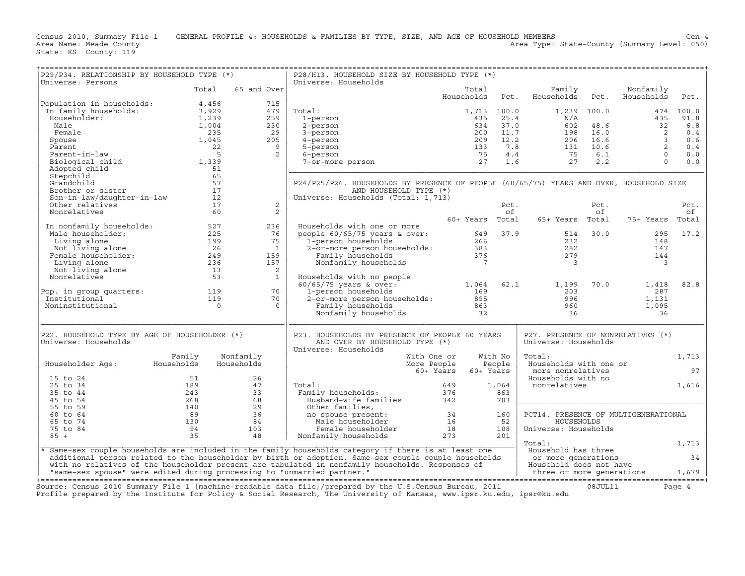| Universe: Households<br>Universe: Persons<br>Total<br>65 and Over<br>Family<br>Nonfamily<br>Total<br>Households Pct.<br>Households Pct.<br>Households<br>Pct.<br>$\begin{tabular}{ c c c c } \hline \texttt{Population in households:} & \begin{tabular}{ c c c } \hline \texttt{Population in households:} & \begin{tabular}{ c c c } \hline \texttt{In family households:} & \begin{tabular}{ c c } \hline \texttt{In family households:} & \begin{tabular}{ c c } \hline \texttt{3,929} & \begin{tabular}{ c c } \hline \texttt{1,239} & \begin{tabular}{ c c } \hline \texttt{1,239} & \begin{tabular}{ c c } \hline \texttt{1,004} & \begin{tabular}{ c$<br>$\begin{tabular}{lllllllllllllllllllll} \hline \text{total:} & & & & & 1,713 & 100.0 & & & 1,239 & 100.0 & & & 474 & 100.0 \\ \text{1-person} & & & & & 435 & 25.4 & & N/A & & 435 & 91.8 \\ \text{2-person} & & & 434 & 37.0 & 602 & 48.6 & 32 & 6.8 \\ \text{3-person} & & & 200 & 11.7 & 198 & 16.0 & 2 & 0.4 \\ \text{4-person} & & & 209 & 12.2 & 206 & $<br>Total:<br>Adopted child<br>Stepchild<br>Stepchild<br>Grandchild<br>Brother or sister<br>Son-in-law/daughter-in-law<br>Other relatives<br>17<br>Nonrelatives<br>60<br>P24/P25/P26. HOUSEHOLDS BY PRESENCE OF PEOPLE (60/65/75) YEARS AND OVER, HOUSEHOLD SIZE<br>AND HOUSEHOLD TYPE (*)<br>Universe: Households (Total: 1,713)<br>2<br>Pct.<br>of<br>Pct.<br>Pct.<br>2<br>of<br>of<br>ان<br>150+ Years Total 65+ Years Total 75+ Years Total<br>10 nonfamily households:<br>127 Male householder:<br>1225 Living alone<br>199 Mot living alone<br>26 Female householder:<br>249 Living alone<br>236 Mot living alone<br>236 Mot living alone<br>236 Mot living alone<br>236 13<br>236 13<br>Households with one or more<br>236<br>model 60/65/75 years & over:<br>1-person households<br>2-or-more person households:<br>232<br>Family households<br>233<br>282<br>Family households<br>376<br>279<br>30.0<br>282<br>282<br>282<br>279<br>30.0<br>279<br>295 17.2<br>$\begin{array}{ccc} & \gamma & & \gamma_5 \\ \frac{16}{49} & & 159 \\ 159 & & \end{array}$<br>148<br>147<br>144<br>$\overline{\phantom{a}}$<br>$\overline{\phantom{0}}^2$<br>$\frac{2}{1}$<br>82.8<br>Pop. in group quarters:<br>Institutional<br>Noninstitutional<br>0 0 0<br>P22. HOUSEHOLD TYPE BY AGE OF HOUSEHOLDER (*)<br>P23. HOUSEHOLDS BY PRESENCE OF PEOPLE 60 YEARS<br>P27. PRESENCE OF NONRELATIVES (*)<br>Universe: Households<br>AND OVER BY HOUSEHOLD TYPE (*)<br>Universe: Households<br>Universe: Households<br>Family<br>With No<br>Nonfamily<br>Total:<br>1,713<br>With One or<br>With One or<br>More People<br>Householder Age: Households<br>People<br>Households<br>Households with one or<br>more nonrelatives<br>60+ Years<br>97<br>60+ Years<br>Households with no<br>15 to 24<br>$\begin{array}{ccc} 51 & 26 \\ 189 & 47 \\ 243 & 33 \\ 268 & 68 \\ 140 & 29 \\ 89 & 36 \\ 130 & 84 \\ 94 & 103 \\ 35 & 48 \\ \end{array}$<br>1,616<br>25 to 34<br>Total:<br>1,064<br>nonrelatives<br>35 to 44<br>863<br>45 to 54<br>703<br>55 to 59<br>Other families,<br>0ther families,<br>no spouse present:<br>Male householder<br>Female householder<br>Nonfamily households<br>273 201<br>PCT14. PRESENCE OF MULTIGENERATIONAL<br>60 to 64<br>HOUSEHOLDS<br>65 to 74<br>75 to 84<br>Universe: Households<br>$85 +$<br>Total:<br>1,713<br>* Same-sex couple households are included in the family households category if there is at least one<br>Household has three<br>  Household has three<br>  or more generations<br>  Household does not have<br>34<br>additional person related to the householder by birth or adoption. Same-sex couple couple households | P29/P34. RELATIONSHIP BY HOUSEHOLD TYPE (*) |  | P28/H13. HOUSEHOLD SIZE BY HOUSEHOLD TYPE (*) |  |  |  |
|-------------------------------------------------------------------------------------------------------------------------------------------------------------------------------------------------------------------------------------------------------------------------------------------------------------------------------------------------------------------------------------------------------------------------------------------------------------------------------------------------------------------------------------------------------------------------------------------------------------------------------------------------------------------------------------------------------------------------------------------------------------------------------------------------------------------------------------------------------------------------------------------------------------------------------------------------------------------------------------------------------------------------------------------------------------------------------------------------------------------------------------------------------------------------------------------------------------------------------------------------------------------------------------------------------------------------------------------------------------------------------------------------------------------------------------------------------------------------------------------------------------------------------------------------------------------------------------------------------------------------------------------------------------------------------------------------------------------------------------------------------------------------------------------------------------------------------------------------------------------------------------------------------------------------------------------------------------------------------------------------------------------------------------------------------------------------------------------------------------------------------------------------------------------------------------------------------------------------------------------------------------------------------------------------------------------------------------------------------------------------------------------------------------------------------------------------------------------------------------------------------------------------------------------------------------------------------------------------------------------------------------------------------------------------------------------------------------------------------------------------------------------------------------------------------------------------------------------------------------------------------------------------------------------------------------------------------------------------------------------------------------------------------------------------------------------------------------------------------------------------------------------------------------------------------------------------------------------------------------------------------------------------------------------------------------------------------------------------------------------------------------------------------------------------------------------------------------------------------------------------------------------------------------------------------------------------------------------------------------------------------------------------------------------------------------------|---------------------------------------------|--|-----------------------------------------------|--|--|--|
|                                                                                                                                                                                                                                                                                                                                                                                                                                                                                                                                                                                                                                                                                                                                                                                                                                                                                                                                                                                                                                                                                                                                                                                                                                                                                                                                                                                                                                                                                                                                                                                                                                                                                                                                                                                                                                                                                                                                                                                                                                                                                                                                                                                                                                                                                                                                                                                                                                                                                                                                                                                                                                                                                                                                                                                                                                                                                                                                                                                                                                                                                                                                                                                                                                                                                                                                                                                                                                                                                                                                                                                                                                                                                           |                                             |  |                                               |  |  |  |
|                                                                                                                                                                                                                                                                                                                                                                                                                                                                                                                                                                                                                                                                                                                                                                                                                                                                                                                                                                                                                                                                                                                                                                                                                                                                                                                                                                                                                                                                                                                                                                                                                                                                                                                                                                                                                                                                                                                                                                                                                                                                                                                                                                                                                                                                                                                                                                                                                                                                                                                                                                                                                                                                                                                                                                                                                                                                                                                                                                                                                                                                                                                                                                                                                                                                                                                                                                                                                                                                                                                                                                                                                                                                                           |                                             |  |                                               |  |  |  |
|                                                                                                                                                                                                                                                                                                                                                                                                                                                                                                                                                                                                                                                                                                                                                                                                                                                                                                                                                                                                                                                                                                                                                                                                                                                                                                                                                                                                                                                                                                                                                                                                                                                                                                                                                                                                                                                                                                                                                                                                                                                                                                                                                                                                                                                                                                                                                                                                                                                                                                                                                                                                                                                                                                                                                                                                                                                                                                                                                                                                                                                                                                                                                                                                                                                                                                                                                                                                                                                                                                                                                                                                                                                                                           |                                             |  |                                               |  |  |  |
|                                                                                                                                                                                                                                                                                                                                                                                                                                                                                                                                                                                                                                                                                                                                                                                                                                                                                                                                                                                                                                                                                                                                                                                                                                                                                                                                                                                                                                                                                                                                                                                                                                                                                                                                                                                                                                                                                                                                                                                                                                                                                                                                                                                                                                                                                                                                                                                                                                                                                                                                                                                                                                                                                                                                                                                                                                                                                                                                                                                                                                                                                                                                                                                                                                                                                                                                                                                                                                                                                                                                                                                                                                                                                           |                                             |  |                                               |  |  |  |
|                                                                                                                                                                                                                                                                                                                                                                                                                                                                                                                                                                                                                                                                                                                                                                                                                                                                                                                                                                                                                                                                                                                                                                                                                                                                                                                                                                                                                                                                                                                                                                                                                                                                                                                                                                                                                                                                                                                                                                                                                                                                                                                                                                                                                                                                                                                                                                                                                                                                                                                                                                                                                                                                                                                                                                                                                                                                                                                                                                                                                                                                                                                                                                                                                                                                                                                                                                                                                                                                                                                                                                                                                                                                                           |                                             |  |                                               |  |  |  |
|                                                                                                                                                                                                                                                                                                                                                                                                                                                                                                                                                                                                                                                                                                                                                                                                                                                                                                                                                                                                                                                                                                                                                                                                                                                                                                                                                                                                                                                                                                                                                                                                                                                                                                                                                                                                                                                                                                                                                                                                                                                                                                                                                                                                                                                                                                                                                                                                                                                                                                                                                                                                                                                                                                                                                                                                                                                                                                                                                                                                                                                                                                                                                                                                                                                                                                                                                                                                                                                                                                                                                                                                                                                                                           |                                             |  |                                               |  |  |  |
|                                                                                                                                                                                                                                                                                                                                                                                                                                                                                                                                                                                                                                                                                                                                                                                                                                                                                                                                                                                                                                                                                                                                                                                                                                                                                                                                                                                                                                                                                                                                                                                                                                                                                                                                                                                                                                                                                                                                                                                                                                                                                                                                                                                                                                                                                                                                                                                                                                                                                                                                                                                                                                                                                                                                                                                                                                                                                                                                                                                                                                                                                                                                                                                                                                                                                                                                                                                                                                                                                                                                                                                                                                                                                           |                                             |  |                                               |  |  |  |
|                                                                                                                                                                                                                                                                                                                                                                                                                                                                                                                                                                                                                                                                                                                                                                                                                                                                                                                                                                                                                                                                                                                                                                                                                                                                                                                                                                                                                                                                                                                                                                                                                                                                                                                                                                                                                                                                                                                                                                                                                                                                                                                                                                                                                                                                                                                                                                                                                                                                                                                                                                                                                                                                                                                                                                                                                                                                                                                                                                                                                                                                                                                                                                                                                                                                                                                                                                                                                                                                                                                                                                                                                                                                                           |                                             |  |                                               |  |  |  |
|                                                                                                                                                                                                                                                                                                                                                                                                                                                                                                                                                                                                                                                                                                                                                                                                                                                                                                                                                                                                                                                                                                                                                                                                                                                                                                                                                                                                                                                                                                                                                                                                                                                                                                                                                                                                                                                                                                                                                                                                                                                                                                                                                                                                                                                                                                                                                                                                                                                                                                                                                                                                                                                                                                                                                                                                                                                                                                                                                                                                                                                                                                                                                                                                                                                                                                                                                                                                                                                                                                                                                                                                                                                                                           |                                             |  |                                               |  |  |  |
|                                                                                                                                                                                                                                                                                                                                                                                                                                                                                                                                                                                                                                                                                                                                                                                                                                                                                                                                                                                                                                                                                                                                                                                                                                                                                                                                                                                                                                                                                                                                                                                                                                                                                                                                                                                                                                                                                                                                                                                                                                                                                                                                                                                                                                                                                                                                                                                                                                                                                                                                                                                                                                                                                                                                                                                                                                                                                                                                                                                                                                                                                                                                                                                                                                                                                                                                                                                                                                                                                                                                                                                                                                                                                           |                                             |  |                                               |  |  |  |
|                                                                                                                                                                                                                                                                                                                                                                                                                                                                                                                                                                                                                                                                                                                                                                                                                                                                                                                                                                                                                                                                                                                                                                                                                                                                                                                                                                                                                                                                                                                                                                                                                                                                                                                                                                                                                                                                                                                                                                                                                                                                                                                                                                                                                                                                                                                                                                                                                                                                                                                                                                                                                                                                                                                                                                                                                                                                                                                                                                                                                                                                                                                                                                                                                                                                                                                                                                                                                                                                                                                                                                                                                                                                                           |                                             |  |                                               |  |  |  |
|                                                                                                                                                                                                                                                                                                                                                                                                                                                                                                                                                                                                                                                                                                                                                                                                                                                                                                                                                                                                                                                                                                                                                                                                                                                                                                                                                                                                                                                                                                                                                                                                                                                                                                                                                                                                                                                                                                                                                                                                                                                                                                                                                                                                                                                                                                                                                                                                                                                                                                                                                                                                                                                                                                                                                                                                                                                                                                                                                                                                                                                                                                                                                                                                                                                                                                                                                                                                                                                                                                                                                                                                                                                                                           |                                             |  |                                               |  |  |  |
|                                                                                                                                                                                                                                                                                                                                                                                                                                                                                                                                                                                                                                                                                                                                                                                                                                                                                                                                                                                                                                                                                                                                                                                                                                                                                                                                                                                                                                                                                                                                                                                                                                                                                                                                                                                                                                                                                                                                                                                                                                                                                                                                                                                                                                                                                                                                                                                                                                                                                                                                                                                                                                                                                                                                                                                                                                                                                                                                                                                                                                                                                                                                                                                                                                                                                                                                                                                                                                                                                                                                                                                                                                                                                           |                                             |  |                                               |  |  |  |
|                                                                                                                                                                                                                                                                                                                                                                                                                                                                                                                                                                                                                                                                                                                                                                                                                                                                                                                                                                                                                                                                                                                                                                                                                                                                                                                                                                                                                                                                                                                                                                                                                                                                                                                                                                                                                                                                                                                                                                                                                                                                                                                                                                                                                                                                                                                                                                                                                                                                                                                                                                                                                                                                                                                                                                                                                                                                                                                                                                                                                                                                                                                                                                                                                                                                                                                                                                                                                                                                                                                                                                                                                                                                                           |                                             |  |                                               |  |  |  |
|                                                                                                                                                                                                                                                                                                                                                                                                                                                                                                                                                                                                                                                                                                                                                                                                                                                                                                                                                                                                                                                                                                                                                                                                                                                                                                                                                                                                                                                                                                                                                                                                                                                                                                                                                                                                                                                                                                                                                                                                                                                                                                                                                                                                                                                                                                                                                                                                                                                                                                                                                                                                                                                                                                                                                                                                                                                                                                                                                                                                                                                                                                                                                                                                                                                                                                                                                                                                                                                                                                                                                                                                                                                                                           |                                             |  |                                               |  |  |  |
|                                                                                                                                                                                                                                                                                                                                                                                                                                                                                                                                                                                                                                                                                                                                                                                                                                                                                                                                                                                                                                                                                                                                                                                                                                                                                                                                                                                                                                                                                                                                                                                                                                                                                                                                                                                                                                                                                                                                                                                                                                                                                                                                                                                                                                                                                                                                                                                                                                                                                                                                                                                                                                                                                                                                                                                                                                                                                                                                                                                                                                                                                                                                                                                                                                                                                                                                                                                                                                                                                                                                                                                                                                                                                           |                                             |  |                                               |  |  |  |
|                                                                                                                                                                                                                                                                                                                                                                                                                                                                                                                                                                                                                                                                                                                                                                                                                                                                                                                                                                                                                                                                                                                                                                                                                                                                                                                                                                                                                                                                                                                                                                                                                                                                                                                                                                                                                                                                                                                                                                                                                                                                                                                                                                                                                                                                                                                                                                                                                                                                                                                                                                                                                                                                                                                                                                                                                                                                                                                                                                                                                                                                                                                                                                                                                                                                                                                                                                                                                                                                                                                                                                                                                                                                                           |                                             |  |                                               |  |  |  |
|                                                                                                                                                                                                                                                                                                                                                                                                                                                                                                                                                                                                                                                                                                                                                                                                                                                                                                                                                                                                                                                                                                                                                                                                                                                                                                                                                                                                                                                                                                                                                                                                                                                                                                                                                                                                                                                                                                                                                                                                                                                                                                                                                                                                                                                                                                                                                                                                                                                                                                                                                                                                                                                                                                                                                                                                                                                                                                                                                                                                                                                                                                                                                                                                                                                                                                                                                                                                                                                                                                                                                                                                                                                                                           |                                             |  |                                               |  |  |  |
|                                                                                                                                                                                                                                                                                                                                                                                                                                                                                                                                                                                                                                                                                                                                                                                                                                                                                                                                                                                                                                                                                                                                                                                                                                                                                                                                                                                                                                                                                                                                                                                                                                                                                                                                                                                                                                                                                                                                                                                                                                                                                                                                                                                                                                                                                                                                                                                                                                                                                                                                                                                                                                                                                                                                                                                                                                                                                                                                                                                                                                                                                                                                                                                                                                                                                                                                                                                                                                                                                                                                                                                                                                                                                           |                                             |  |                                               |  |  |  |
|                                                                                                                                                                                                                                                                                                                                                                                                                                                                                                                                                                                                                                                                                                                                                                                                                                                                                                                                                                                                                                                                                                                                                                                                                                                                                                                                                                                                                                                                                                                                                                                                                                                                                                                                                                                                                                                                                                                                                                                                                                                                                                                                                                                                                                                                                                                                                                                                                                                                                                                                                                                                                                                                                                                                                                                                                                                                                                                                                                                                                                                                                                                                                                                                                                                                                                                                                                                                                                                                                                                                                                                                                                                                                           |                                             |  |                                               |  |  |  |
|                                                                                                                                                                                                                                                                                                                                                                                                                                                                                                                                                                                                                                                                                                                                                                                                                                                                                                                                                                                                                                                                                                                                                                                                                                                                                                                                                                                                                                                                                                                                                                                                                                                                                                                                                                                                                                                                                                                                                                                                                                                                                                                                                                                                                                                                                                                                                                                                                                                                                                                                                                                                                                                                                                                                                                                                                                                                                                                                                                                                                                                                                                                                                                                                                                                                                                                                                                                                                                                                                                                                                                                                                                                                                           |                                             |  |                                               |  |  |  |
|                                                                                                                                                                                                                                                                                                                                                                                                                                                                                                                                                                                                                                                                                                                                                                                                                                                                                                                                                                                                                                                                                                                                                                                                                                                                                                                                                                                                                                                                                                                                                                                                                                                                                                                                                                                                                                                                                                                                                                                                                                                                                                                                                                                                                                                                                                                                                                                                                                                                                                                                                                                                                                                                                                                                                                                                                                                                                                                                                                                                                                                                                                                                                                                                                                                                                                                                                                                                                                                                                                                                                                                                                                                                                           |                                             |  |                                               |  |  |  |
|                                                                                                                                                                                                                                                                                                                                                                                                                                                                                                                                                                                                                                                                                                                                                                                                                                                                                                                                                                                                                                                                                                                                                                                                                                                                                                                                                                                                                                                                                                                                                                                                                                                                                                                                                                                                                                                                                                                                                                                                                                                                                                                                                                                                                                                                                                                                                                                                                                                                                                                                                                                                                                                                                                                                                                                                                                                                                                                                                                                                                                                                                                                                                                                                                                                                                                                                                                                                                                                                                                                                                                                                                                                                                           |                                             |  |                                               |  |  |  |
|                                                                                                                                                                                                                                                                                                                                                                                                                                                                                                                                                                                                                                                                                                                                                                                                                                                                                                                                                                                                                                                                                                                                                                                                                                                                                                                                                                                                                                                                                                                                                                                                                                                                                                                                                                                                                                                                                                                                                                                                                                                                                                                                                                                                                                                                                                                                                                                                                                                                                                                                                                                                                                                                                                                                                                                                                                                                                                                                                                                                                                                                                                                                                                                                                                                                                                                                                                                                                                                                                                                                                                                                                                                                                           |                                             |  |                                               |  |  |  |
|                                                                                                                                                                                                                                                                                                                                                                                                                                                                                                                                                                                                                                                                                                                                                                                                                                                                                                                                                                                                                                                                                                                                                                                                                                                                                                                                                                                                                                                                                                                                                                                                                                                                                                                                                                                                                                                                                                                                                                                                                                                                                                                                                                                                                                                                                                                                                                                                                                                                                                                                                                                                                                                                                                                                                                                                                                                                                                                                                                                                                                                                                                                                                                                                                                                                                                                                                                                                                                                                                                                                                                                                                                                                                           |                                             |  |                                               |  |  |  |
|                                                                                                                                                                                                                                                                                                                                                                                                                                                                                                                                                                                                                                                                                                                                                                                                                                                                                                                                                                                                                                                                                                                                                                                                                                                                                                                                                                                                                                                                                                                                                                                                                                                                                                                                                                                                                                                                                                                                                                                                                                                                                                                                                                                                                                                                                                                                                                                                                                                                                                                                                                                                                                                                                                                                                                                                                                                                                                                                                                                                                                                                                                                                                                                                                                                                                                                                                                                                                                                                                                                                                                                                                                                                                           |                                             |  |                                               |  |  |  |
|                                                                                                                                                                                                                                                                                                                                                                                                                                                                                                                                                                                                                                                                                                                                                                                                                                                                                                                                                                                                                                                                                                                                                                                                                                                                                                                                                                                                                                                                                                                                                                                                                                                                                                                                                                                                                                                                                                                                                                                                                                                                                                                                                                                                                                                                                                                                                                                                                                                                                                                                                                                                                                                                                                                                                                                                                                                                                                                                                                                                                                                                                                                                                                                                                                                                                                                                                                                                                                                                                                                                                                                                                                                                                           |                                             |  |                                               |  |  |  |
|                                                                                                                                                                                                                                                                                                                                                                                                                                                                                                                                                                                                                                                                                                                                                                                                                                                                                                                                                                                                                                                                                                                                                                                                                                                                                                                                                                                                                                                                                                                                                                                                                                                                                                                                                                                                                                                                                                                                                                                                                                                                                                                                                                                                                                                                                                                                                                                                                                                                                                                                                                                                                                                                                                                                                                                                                                                                                                                                                                                                                                                                                                                                                                                                                                                                                                                                                                                                                                                                                                                                                                                                                                                                                           |                                             |  |                                               |  |  |  |
|                                                                                                                                                                                                                                                                                                                                                                                                                                                                                                                                                                                                                                                                                                                                                                                                                                                                                                                                                                                                                                                                                                                                                                                                                                                                                                                                                                                                                                                                                                                                                                                                                                                                                                                                                                                                                                                                                                                                                                                                                                                                                                                                                                                                                                                                                                                                                                                                                                                                                                                                                                                                                                                                                                                                                                                                                                                                                                                                                                                                                                                                                                                                                                                                                                                                                                                                                                                                                                                                                                                                                                                                                                                                                           |                                             |  |                                               |  |  |  |
|                                                                                                                                                                                                                                                                                                                                                                                                                                                                                                                                                                                                                                                                                                                                                                                                                                                                                                                                                                                                                                                                                                                                                                                                                                                                                                                                                                                                                                                                                                                                                                                                                                                                                                                                                                                                                                                                                                                                                                                                                                                                                                                                                                                                                                                                                                                                                                                                                                                                                                                                                                                                                                                                                                                                                                                                                                                                                                                                                                                                                                                                                                                                                                                                                                                                                                                                                                                                                                                                                                                                                                                                                                                                                           |                                             |  |                                               |  |  |  |
|                                                                                                                                                                                                                                                                                                                                                                                                                                                                                                                                                                                                                                                                                                                                                                                                                                                                                                                                                                                                                                                                                                                                                                                                                                                                                                                                                                                                                                                                                                                                                                                                                                                                                                                                                                                                                                                                                                                                                                                                                                                                                                                                                                                                                                                                                                                                                                                                                                                                                                                                                                                                                                                                                                                                                                                                                                                                                                                                                                                                                                                                                                                                                                                                                                                                                                                                                                                                                                                                                                                                                                                                                                                                                           |                                             |  |                                               |  |  |  |
|                                                                                                                                                                                                                                                                                                                                                                                                                                                                                                                                                                                                                                                                                                                                                                                                                                                                                                                                                                                                                                                                                                                                                                                                                                                                                                                                                                                                                                                                                                                                                                                                                                                                                                                                                                                                                                                                                                                                                                                                                                                                                                                                                                                                                                                                                                                                                                                                                                                                                                                                                                                                                                                                                                                                                                                                                                                                                                                                                                                                                                                                                                                                                                                                                                                                                                                                                                                                                                                                                                                                                                                                                                                                                           |                                             |  |                                               |  |  |  |
|                                                                                                                                                                                                                                                                                                                                                                                                                                                                                                                                                                                                                                                                                                                                                                                                                                                                                                                                                                                                                                                                                                                                                                                                                                                                                                                                                                                                                                                                                                                                                                                                                                                                                                                                                                                                                                                                                                                                                                                                                                                                                                                                                                                                                                                                                                                                                                                                                                                                                                                                                                                                                                                                                                                                                                                                                                                                                                                                                                                                                                                                                                                                                                                                                                                                                                                                                                                                                                                                                                                                                                                                                                                                                           |                                             |  |                                               |  |  |  |
|                                                                                                                                                                                                                                                                                                                                                                                                                                                                                                                                                                                                                                                                                                                                                                                                                                                                                                                                                                                                                                                                                                                                                                                                                                                                                                                                                                                                                                                                                                                                                                                                                                                                                                                                                                                                                                                                                                                                                                                                                                                                                                                                                                                                                                                                                                                                                                                                                                                                                                                                                                                                                                                                                                                                                                                                                                                                                                                                                                                                                                                                                                                                                                                                                                                                                                                                                                                                                                                                                                                                                                                                                                                                                           |                                             |  |                                               |  |  |  |
|                                                                                                                                                                                                                                                                                                                                                                                                                                                                                                                                                                                                                                                                                                                                                                                                                                                                                                                                                                                                                                                                                                                                                                                                                                                                                                                                                                                                                                                                                                                                                                                                                                                                                                                                                                                                                                                                                                                                                                                                                                                                                                                                                                                                                                                                                                                                                                                                                                                                                                                                                                                                                                                                                                                                                                                                                                                                                                                                                                                                                                                                                                                                                                                                                                                                                                                                                                                                                                                                                                                                                                                                                                                                                           |                                             |  |                                               |  |  |  |
|                                                                                                                                                                                                                                                                                                                                                                                                                                                                                                                                                                                                                                                                                                                                                                                                                                                                                                                                                                                                                                                                                                                                                                                                                                                                                                                                                                                                                                                                                                                                                                                                                                                                                                                                                                                                                                                                                                                                                                                                                                                                                                                                                                                                                                                                                                                                                                                                                                                                                                                                                                                                                                                                                                                                                                                                                                                                                                                                                                                                                                                                                                                                                                                                                                                                                                                                                                                                                                                                                                                                                                                                                                                                                           |                                             |  |                                               |  |  |  |
|                                                                                                                                                                                                                                                                                                                                                                                                                                                                                                                                                                                                                                                                                                                                                                                                                                                                                                                                                                                                                                                                                                                                                                                                                                                                                                                                                                                                                                                                                                                                                                                                                                                                                                                                                                                                                                                                                                                                                                                                                                                                                                                                                                                                                                                                                                                                                                                                                                                                                                                                                                                                                                                                                                                                                                                                                                                                                                                                                                                                                                                                                                                                                                                                                                                                                                                                                                                                                                                                                                                                                                                                                                                                                           |                                             |  |                                               |  |  |  |
|                                                                                                                                                                                                                                                                                                                                                                                                                                                                                                                                                                                                                                                                                                                                                                                                                                                                                                                                                                                                                                                                                                                                                                                                                                                                                                                                                                                                                                                                                                                                                                                                                                                                                                                                                                                                                                                                                                                                                                                                                                                                                                                                                                                                                                                                                                                                                                                                                                                                                                                                                                                                                                                                                                                                                                                                                                                                                                                                                                                                                                                                                                                                                                                                                                                                                                                                                                                                                                                                                                                                                                                                                                                                                           |                                             |  |                                               |  |  |  |
|                                                                                                                                                                                                                                                                                                                                                                                                                                                                                                                                                                                                                                                                                                                                                                                                                                                                                                                                                                                                                                                                                                                                                                                                                                                                                                                                                                                                                                                                                                                                                                                                                                                                                                                                                                                                                                                                                                                                                                                                                                                                                                                                                                                                                                                                                                                                                                                                                                                                                                                                                                                                                                                                                                                                                                                                                                                                                                                                                                                                                                                                                                                                                                                                                                                                                                                                                                                                                                                                                                                                                                                                                                                                                           |                                             |  |                                               |  |  |  |
|                                                                                                                                                                                                                                                                                                                                                                                                                                                                                                                                                                                                                                                                                                                                                                                                                                                                                                                                                                                                                                                                                                                                                                                                                                                                                                                                                                                                                                                                                                                                                                                                                                                                                                                                                                                                                                                                                                                                                                                                                                                                                                                                                                                                                                                                                                                                                                                                                                                                                                                                                                                                                                                                                                                                                                                                                                                                                                                                                                                                                                                                                                                                                                                                                                                                                                                                                                                                                                                                                                                                                                                                                                                                                           |                                             |  |                                               |  |  |  |
|                                                                                                                                                                                                                                                                                                                                                                                                                                                                                                                                                                                                                                                                                                                                                                                                                                                                                                                                                                                                                                                                                                                                                                                                                                                                                                                                                                                                                                                                                                                                                                                                                                                                                                                                                                                                                                                                                                                                                                                                                                                                                                                                                                                                                                                                                                                                                                                                                                                                                                                                                                                                                                                                                                                                                                                                                                                                                                                                                                                                                                                                                                                                                                                                                                                                                                                                                                                                                                                                                                                                                                                                                                                                                           |                                             |  |                                               |  |  |  |
|                                                                                                                                                                                                                                                                                                                                                                                                                                                                                                                                                                                                                                                                                                                                                                                                                                                                                                                                                                                                                                                                                                                                                                                                                                                                                                                                                                                                                                                                                                                                                                                                                                                                                                                                                                                                                                                                                                                                                                                                                                                                                                                                                                                                                                                                                                                                                                                                                                                                                                                                                                                                                                                                                                                                                                                                                                                                                                                                                                                                                                                                                                                                                                                                                                                                                                                                                                                                                                                                                                                                                                                                                                                                                           |                                             |  |                                               |  |  |  |
|                                                                                                                                                                                                                                                                                                                                                                                                                                                                                                                                                                                                                                                                                                                                                                                                                                                                                                                                                                                                                                                                                                                                                                                                                                                                                                                                                                                                                                                                                                                                                                                                                                                                                                                                                                                                                                                                                                                                                                                                                                                                                                                                                                                                                                                                                                                                                                                                                                                                                                                                                                                                                                                                                                                                                                                                                                                                                                                                                                                                                                                                                                                                                                                                                                                                                                                                                                                                                                                                                                                                                                                                                                                                                           |                                             |  |                                               |  |  |  |
|                                                                                                                                                                                                                                                                                                                                                                                                                                                                                                                                                                                                                                                                                                                                                                                                                                                                                                                                                                                                                                                                                                                                                                                                                                                                                                                                                                                                                                                                                                                                                                                                                                                                                                                                                                                                                                                                                                                                                                                                                                                                                                                                                                                                                                                                                                                                                                                                                                                                                                                                                                                                                                                                                                                                                                                                                                                                                                                                                                                                                                                                                                                                                                                                                                                                                                                                                                                                                                                                                                                                                                                                                                                                                           |                                             |  |                                               |  |  |  |
|                                                                                                                                                                                                                                                                                                                                                                                                                                                                                                                                                                                                                                                                                                                                                                                                                                                                                                                                                                                                                                                                                                                                                                                                                                                                                                                                                                                                                                                                                                                                                                                                                                                                                                                                                                                                                                                                                                                                                                                                                                                                                                                                                                                                                                                                                                                                                                                                                                                                                                                                                                                                                                                                                                                                                                                                                                                                                                                                                                                                                                                                                                                                                                                                                                                                                                                                                                                                                                                                                                                                                                                                                                                                                           |                                             |  |                                               |  |  |  |
|                                                                                                                                                                                                                                                                                                                                                                                                                                                                                                                                                                                                                                                                                                                                                                                                                                                                                                                                                                                                                                                                                                                                                                                                                                                                                                                                                                                                                                                                                                                                                                                                                                                                                                                                                                                                                                                                                                                                                                                                                                                                                                                                                                                                                                                                                                                                                                                                                                                                                                                                                                                                                                                                                                                                                                                                                                                                                                                                                                                                                                                                                                                                                                                                                                                                                                                                                                                                                                                                                                                                                                                                                                                                                           |                                             |  |                                               |  |  |  |
|                                                                                                                                                                                                                                                                                                                                                                                                                                                                                                                                                                                                                                                                                                                                                                                                                                                                                                                                                                                                                                                                                                                                                                                                                                                                                                                                                                                                                                                                                                                                                                                                                                                                                                                                                                                                                                                                                                                                                                                                                                                                                                                                                                                                                                                                                                                                                                                                                                                                                                                                                                                                                                                                                                                                                                                                                                                                                                                                                                                                                                                                                                                                                                                                                                                                                                                                                                                                                                                                                                                                                                                                                                                                                           |                                             |  |                                               |  |  |  |
|                                                                                                                                                                                                                                                                                                                                                                                                                                                                                                                                                                                                                                                                                                                                                                                                                                                                                                                                                                                                                                                                                                                                                                                                                                                                                                                                                                                                                                                                                                                                                                                                                                                                                                                                                                                                                                                                                                                                                                                                                                                                                                                                                                                                                                                                                                                                                                                                                                                                                                                                                                                                                                                                                                                                                                                                                                                                                                                                                                                                                                                                                                                                                                                                                                                                                                                                                                                                                                                                                                                                                                                                                                                                                           |                                             |  |                                               |  |  |  |
|                                                                                                                                                                                                                                                                                                                                                                                                                                                                                                                                                                                                                                                                                                                                                                                                                                                                                                                                                                                                                                                                                                                                                                                                                                                                                                                                                                                                                                                                                                                                                                                                                                                                                                                                                                                                                                                                                                                                                                                                                                                                                                                                                                                                                                                                                                                                                                                                                                                                                                                                                                                                                                                                                                                                                                                                                                                                                                                                                                                                                                                                                                                                                                                                                                                                                                                                                                                                                                                                                                                                                                                                                                                                                           |                                             |  |                                               |  |  |  |
| Course, Consus 2010 Summary File 1 [mashine readable data file] (propared by the H S Consus Pureau 2011 (10 Unit) 11                                                                                                                                                                                                                                                                                                                                                                                                                                                                                                                                                                                                                                                                                                                                                                                                                                                                                                                                                                                                                                                                                                                                                                                                                                                                                                                                                                                                                                                                                                                                                                                                                                                                                                                                                                                                                                                                                                                                                                                                                                                                                                                                                                                                                                                                                                                                                                                                                                                                                                                                                                                                                                                                                                                                                                                                                                                                                                                                                                                                                                                                                                                                                                                                                                                                                                                                                                                                                                                                                                                                                                      |                                             |  |                                               |  |  |  |

Source: Census 2010 Summary File 1 [machine-readable data file]/prepared by the U.S.Census Bureau, 2011 Page 4<br>Profile prepared by the Institute for Policy & Social Research, The University of Kansas, www.ip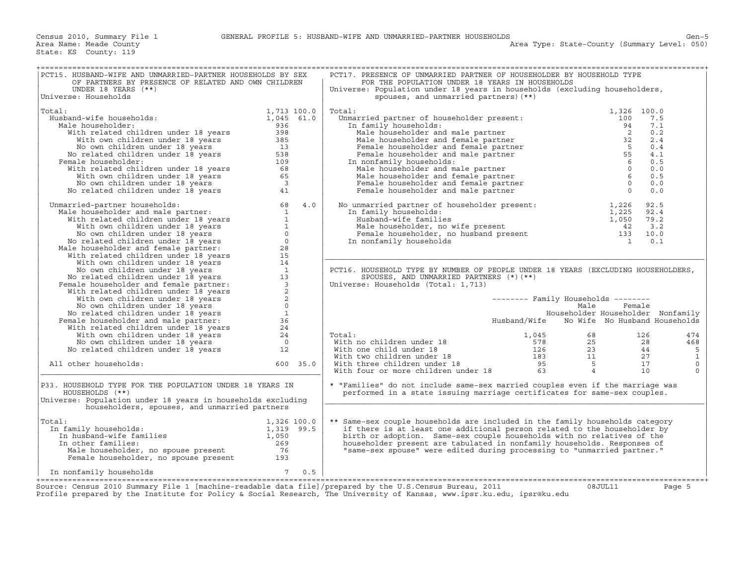| PCT15. HUSBAND-WIFE AND UNMARRIED-PARTNER HOUSEHOLDS BY SEX<br>OF PARTNERS BY PRESENCE OF RELATED AND OWN CHILDREN                                                                                                                                                                                                                                                                                                                                                                          |             |     | PCT17. PRESENCE OF UNMARRIED PARTNER OF HOUSEHOLDER BY HOUSEHOLD TYPE<br>FOR THE POPULATION UNDER 18 YEARS IN HOUSEHOLDS                                                                                                                                                                                                                                                                                                                              |                                            |        |              |
|---------------------------------------------------------------------------------------------------------------------------------------------------------------------------------------------------------------------------------------------------------------------------------------------------------------------------------------------------------------------------------------------------------------------------------------------------------------------------------------------|-------------|-----|-------------------------------------------------------------------------------------------------------------------------------------------------------------------------------------------------------------------------------------------------------------------------------------------------------------------------------------------------------------------------------------------------------------------------------------------------------|--------------------------------------------|--------|--------------|
| UNDER 18 YEARS $(**)$                                                                                                                                                                                                                                                                                                                                                                                                                                                                       |             |     | Universe: Population under 18 years in households (excluding householders,                                                                                                                                                                                                                                                                                                                                                                            |                                            |        |              |
| Universe: Households                                                                                                                                                                                                                                                                                                                                                                                                                                                                        |             |     | spouses, and unmarried partners) (**)                                                                                                                                                                                                                                                                                                                                                                                                                 |                                            |        |              |
| Total:                                                                                                                                                                                                                                                                                                                                                                                                                                                                                      | 1,713 100.0 |     | Total:<br>$\begin{tabular}{llllllll} {\bf\emph{Total:}} & {\bf\emph{Unmarried partner of householder present:}} & {\bf\emph{1,326 }} & {\bf\emph{100}} & {\bf\emph{0}} & {\bf\emph{0}} & {\bf\emph{0}} & {\bf\emph{100}} & {\bf\emph{7.5}} \\ {\bf\emph{In family households:}} & {\bf\emph{100}} & {\bf\emph{7.5}} & {\bf\emph{20}} & {\bf\emph{20}} & {\bf\emph{21}} & {\bf\emph{21}} & {\bf\emph{22}} & {\bf\emph{22}} & {\bf\emph{23}} & {\bf\em$ |                                            |        |              |
| $1,045$ 61.0<br>Husband-wife households:                                                                                                                                                                                                                                                                                                                                                                                                                                                    |             |     |                                                                                                                                                                                                                                                                                                                                                                                                                                                       |                                            |        |              |
| Male householder:                                                                                                                                                                                                                                                                                                                                                                                                                                                                           |             |     |                                                                                                                                                                                                                                                                                                                                                                                                                                                       |                                            |        |              |
|                                                                                                                                                                                                                                                                                                                                                                                                                                                                                             |             |     |                                                                                                                                                                                                                                                                                                                                                                                                                                                       |                                            |        |              |
|                                                                                                                                                                                                                                                                                                                                                                                                                                                                                             |             |     |                                                                                                                                                                                                                                                                                                                                                                                                                                                       |                                            |        |              |
|                                                                                                                                                                                                                                                                                                                                                                                                                                                                                             |             |     |                                                                                                                                                                                                                                                                                                                                                                                                                                                       |                                            |        |              |
|                                                                                                                                                                                                                                                                                                                                                                                                                                                                                             |             |     |                                                                                                                                                                                                                                                                                                                                                                                                                                                       |                                            |        |              |
| Female householder:                                                                                                                                                                                                                                                                                                                                                                                                                                                                         |             |     |                                                                                                                                                                                                                                                                                                                                                                                                                                                       |                                            |        |              |
|                                                                                                                                                                                                                                                                                                                                                                                                                                                                                             |             |     |                                                                                                                                                                                                                                                                                                                                                                                                                                                       |                                            |        |              |
|                                                                                                                                                                                                                                                                                                                                                                                                                                                                                             |             |     |                                                                                                                                                                                                                                                                                                                                                                                                                                                       |                                            |        |              |
|                                                                                                                                                                                                                                                                                                                                                                                                                                                                                             |             |     |                                                                                                                                                                                                                                                                                                                                                                                                                                                       |                                            |        |              |
|                                                                                                                                                                                                                                                                                                                                                                                                                                                                                             |             |     |                                                                                                                                                                                                                                                                                                                                                                                                                                                       |                                            |        |              |
| % and -wite households:<br>lale householder: 1,045 61.0<br>With related children under 18 years<br>With own children under 18 years<br>No own children under 18 years<br>No related children under 18 years<br>No related children under 1<br>No related children under 18 years<br>11<br>Mamarried-partner households:<br>Male householder and male partner:<br>With velated children under 18 years<br>11<br>Wown children under 18 years<br>No own children under 18 years<br>No related |             |     | Female Householder and the term of householder present:<br>In family households:<br>Husband-wife families<br>Male householder, no wife present<br>Female householder, no husband present<br>The family households<br>The family households                                                                                                                                                                                                            |                                            |        |              |
| Unmarried-partner households:                                                                                                                                                                                                                                                                                                                                                                                                                                                               |             |     |                                                                                                                                                                                                                                                                                                                                                                                                                                                       |                                            |        |              |
|                                                                                                                                                                                                                                                                                                                                                                                                                                                                                             |             |     |                                                                                                                                                                                                                                                                                                                                                                                                                                                       |                                            |        |              |
|                                                                                                                                                                                                                                                                                                                                                                                                                                                                                             |             |     |                                                                                                                                                                                                                                                                                                                                                                                                                                                       |                                            |        |              |
|                                                                                                                                                                                                                                                                                                                                                                                                                                                                                             |             |     |                                                                                                                                                                                                                                                                                                                                                                                                                                                       |                                            |        |              |
|                                                                                                                                                                                                                                                                                                                                                                                                                                                                                             |             |     |                                                                                                                                                                                                                                                                                                                                                                                                                                                       |                                            |        |              |
|                                                                                                                                                                                                                                                                                                                                                                                                                                                                                             |             |     |                                                                                                                                                                                                                                                                                                                                                                                                                                                       |                                            |        |              |
|                                                                                                                                                                                                                                                                                                                                                                                                                                                                                             |             |     |                                                                                                                                                                                                                                                                                                                                                                                                                                                       |                                            |        |              |
|                                                                                                                                                                                                                                                                                                                                                                                                                                                                                             |             |     |                                                                                                                                                                                                                                                                                                                                                                                                                                                       |                                            |        |              |
|                                                                                                                                                                                                                                                                                                                                                                                                                                                                                             |             |     | PCT16. HOUSEHOLD TYPE BY NUMBER OF PEOPLE UNDER 18 YEARS (EXCLUDING HOUSEHOLDERS,                                                                                                                                                                                                                                                                                                                                                                     |                                            |        |              |
|                                                                                                                                                                                                                                                                                                                                                                                                                                                                                             |             |     | SPOUSES, AND UNMARRIED PARTNERS $(*)$ (**)                                                                                                                                                                                                                                                                                                                                                                                                            |                                            |        |              |
|                                                                                                                                                                                                                                                                                                                                                                                                                                                                                             |             |     | Universe: Households (Total: 1,713)                                                                                                                                                                                                                                                                                                                                                                                                                   |                                            |        |              |
|                                                                                                                                                                                                                                                                                                                                                                                                                                                                                             |             |     |                                                                                                                                                                                                                                                                                                                                                                                                                                                       |                                            |        |              |
|                                                                                                                                                                                                                                                                                                                                                                                                                                                                                             |             |     |                                                                                                                                                                                                                                                                                                                                                                                                                                                       | -------- Family Households --------        |        |              |
|                                                                                                                                                                                                                                                                                                                                                                                                                                                                                             |             |     |                                                                                                                                                                                                                                                                                                                                                                                                                                                       | Male                                       | Female |              |
|                                                                                                                                                                                                                                                                                                                                                                                                                                                                                             |             |     |                                                                                                                                                                                                                                                                                                                                                                                                                                                       | Householder Householder Nonfamily          |        |              |
|                                                                                                                                                                                                                                                                                                                                                                                                                                                                                             |             |     |                                                                                                                                                                                                                                                                                                                                                                                                                                                       | Husband/Wife No Wife No Husband Households |        |              |
|                                                                                                                                                                                                                                                                                                                                                                                                                                                                                             |             |     |                                                                                                                                                                                                                                                                                                                                                                                                                                                       |                                            |        |              |
|                                                                                                                                                                                                                                                                                                                                                                                                                                                                                             |             |     | Total:                                                                                                                                                                                                                                                                                                                                                                                                                                                |                                            |        | 474          |
|                                                                                                                                                                                                                                                                                                                                                                                                                                                                                             |             |     |                                                                                                                                                                                                                                                                                                                                                                                                                                                       |                                            |        | 468          |
|                                                                                                                                                                                                                                                                                                                                                                                                                                                                                             |             |     |                                                                                                                                                                                                                                                                                                                                                                                                                                                       |                                            |        | 5            |
|                                                                                                                                                                                                                                                                                                                                                                                                                                                                                             |             |     |                                                                                                                                                                                                                                                                                                                                                                                                                                                       |                                            |        | $\mathbf{1}$ |
| All other households:                                                                                                                                                                                                                                                                                                                                                                                                                                                                       | $600$ 35.0  |     |                                                                                                                                                                                                                                                                                                                                                                                                                                                       |                                            |        | $\circ$      |
|                                                                                                                                                                                                                                                                                                                                                                                                                                                                                             |             |     | $\begin{tabular}{lllllllllll} \multicolumn{3}{l} \textbf{Total:} & & & & 1,045 & & 68 & & 126 \\ \textbf{With no children under 18} & & & 578 & & 25 & & 28 \\ \textbf{With two children under 18} & & & 126 & & 23 & & 44 \\ \textbf{With two children under 18} & & & 183 & & 11 & & 27 \\ \textbf{With three children under 18} & & & 95 & & 5 & 17 \\ \textbf{With four or more children under 18} & & & 63 & & 4 & & 10 \\ \end{tabular}$        |                                            |        | $\Omega$     |
| P33. HOUSEHOLD TYPE FOR THE POPULATION UNDER 18 YEARS IN<br>HOUSEHOLDS (**)<br>Universe: Population under 18 years in households excluding<br>householders, spouses, and unmarried partners                                                                                                                                                                                                                                                                                                 |             |     | * "Families" do not include same-sex married couples even if the marriage was<br>performed in a state issuing marriage certificates for same-sex couples.                                                                                                                                                                                                                                                                                             |                                            |        |              |
| Total:                                                                                                                                                                                                                                                                                                                                                                                                                                                                                      |             |     | ** Same-sex couple households are included in the family households category                                                                                                                                                                                                                                                                                                                                                                          |                                            |        |              |
| al:<br>1,326 100.0<br>1,319 99.5<br>In husband-wife families<br>In other families<br>The charmanilies<br>The charmanilies<br>269<br>In family households:                                                                                                                                                                                                                                                                                                                                   |             |     | if there is at least one additional person related to the householder by                                                                                                                                                                                                                                                                                                                                                                              |                                            |        |              |
|                                                                                                                                                                                                                                                                                                                                                                                                                                                                                             |             |     | birth or adoption. Same-sex couple households with no relatives of the                                                                                                                                                                                                                                                                                                                                                                                |                                            |        |              |
| In other families:                                                                                                                                                                                                                                                                                                                                                                                                                                                                          |             |     | householder present are tabulated in nonfamily households. Responses of                                                                                                                                                                                                                                                                                                                                                                               |                                            |        |              |
|                                                                                                                                                                                                                                                                                                                                                                                                                                                                                             |             |     | "same-sex spouse" were edited during processing to "unmarried partner."                                                                                                                                                                                                                                                                                                                                                                               |                                            |        |              |
| American contract to the contract of the contract of the contract of the contract of the contract of the contract of the contract of the contract of the contract of the contract of the contract of the contract of the contr                                                                                                                                                                                                                                                              |             |     |                                                                                                                                                                                                                                                                                                                                                                                                                                                       |                                            |        |              |
| In nonfamily households                                                                                                                                                                                                                                                                                                                                                                                                                                                                     | $7^{\circ}$ | 0.5 |                                                                                                                                                                                                                                                                                                                                                                                                                                                       |                                            |        |              |
|                                                                                                                                                                                                                                                                                                                                                                                                                                                                                             |             |     |                                                                                                                                                                                                                                                                                                                                                                                                                                                       |                                            |        |              |
| Source: Census 2010 Summary File 1 [machine-readable data file]/prepared by the U.S.Census Bureau, 2011<br>Profile prepared by the Institute for Policy & Social Research, The University of Kansas, www.ipsr.ku.edu, ipsr@ku.edu                                                                                                                                                                                                                                                           |             |     |                                                                                                                                                                                                                                                                                                                                                                                                                                                       | 08JUL11                                    |        | Page 5       |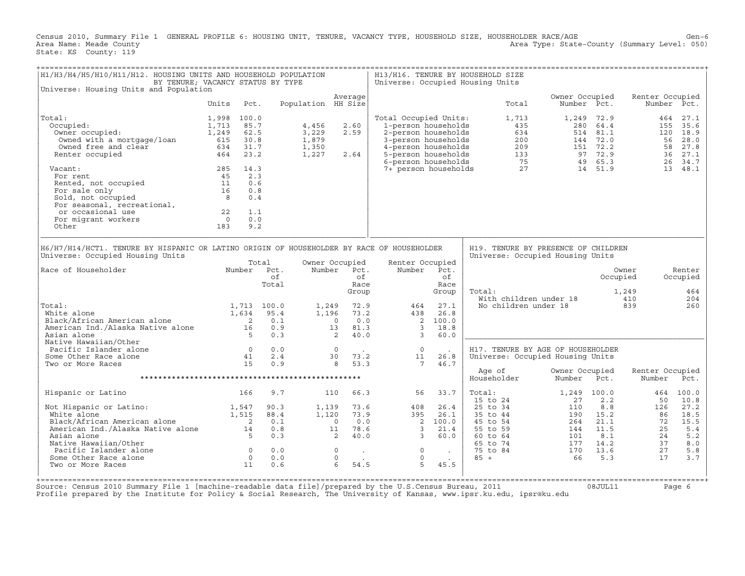Census 2010, Summary File 1 GENERAL PROFILE 6: HOUSING UNIT, TENURE, VACANCY TYPE, HOUSEHOLD SIZE, HOUSEHOLDER RACE/AGE Gen−6<br>Area Name: Meade County (Summary Level: 050) Area Type: State-County (Summary Level: 050) State: KS County: 119

| H1/H3/H4/H5/H10/H11/H12. HOUSING UNITS AND HOUSEHOLD POPULATION                                                                                                                                        | BY TENURE; VACANCY STATUS BY TYPE                                                                                |                                                 |                                            |                                                                                                                 |                                                                                                                                          |                                                          | H13/H16. TENURE BY HOUSEHOLD SIZE<br>Universe: Occupied Housing Units                      |                                                     |                                                                       |                                               |                                                         |
|--------------------------------------------------------------------------------------------------------------------------------------------------------------------------------------------------------|------------------------------------------------------------------------------------------------------------------|-------------------------------------------------|--------------------------------------------|-----------------------------------------------------------------------------------------------------------------|------------------------------------------------------------------------------------------------------------------------------------------|----------------------------------------------------------|--------------------------------------------------------------------------------------------|-----------------------------------------------------|-----------------------------------------------------------------------|-----------------------------------------------|---------------------------------------------------------|
| Universe: Housing Units and Population                                                                                                                                                                 |                                                                                                                  |                                                 |                                            | Average                                                                                                         |                                                                                                                                          |                                                          |                                                                                            | Owner Occupied                                      |                                                                       | Renter Occupied                               |                                                         |
|                                                                                                                                                                                                        | Units                                                                                                            | Pct.                                            | Population HH Size                         |                                                                                                                 |                                                                                                                                          |                                                          | Total                                                                                      | Number Pct.                                         |                                                                       |                                               | Number Pct.                                             |
| Total:<br>Occupied:<br>Owner occupied:<br>Owned with a mortgage/loan<br>Owned free and clear<br>Renter occupied                                                                                        | 1,998<br>100.0<br>1,713<br>1,249<br>615<br>30.8<br>634<br>464                                                    | 85.7<br>62.5<br>31.7<br>23.2                    | 4,456<br>3,229<br>1,879<br>1,350<br>1,227  | 2.60<br>2.59<br>2.64                                                                                            | Total Occupied Units:<br>1-person households<br>2-person households<br>3-person households<br>4-person households<br>5-person households |                                                          | 1,713<br>435<br>634<br>200<br>209<br>133<br>75                                             |                                                     | 1,249 72.9<br>280 64.4<br>514 81.1<br>144 72.0<br>151 72.2<br>97 72.9 | 464<br>155<br>56<br>58<br>36                  | 27.1<br>35.6<br>120 18.9<br>28.0<br>27.8<br>27.1        |
| Vacant:<br>For rent<br>Rented, not occupied<br>For sale only<br>Sold, not occupied<br>For seasonal, recreational,<br>or occasional use<br>For migrant workers<br>Other                                 | 285<br>14.3<br>45<br>11<br>16<br>8<br>22<br>$\overline{0}$<br>183                                                | 2.3<br>0.6<br>0.8<br>0.4<br>1.1<br>0.0<br>9.2   |                                            |                                                                                                                 | 6-person households<br>7+ person households                                                                                              |                                                          |                                                                                            | 27                                                  | 49 65.3<br>14 51.9                                                    | 26                                            | 34.7<br>13 48.1                                         |
| H6/H7/H14/HCT1. TENURE BY HISPANIC OR LATINO ORIGIN OF HOUSEHOLDER BY RACE OF HOUSEHOLDER<br>Universe: Occupied Housing Units                                                                          |                                                                                                                  |                                                 |                                            |                                                                                                                 |                                                                                                                                          |                                                          | H19. TENURE BY PRESENCE OF CHILDREN<br>Universe: Occupied Housing Units                    |                                                     |                                                                       |                                               |                                                         |
| Race of Householder                                                                                                                                                                                    |                                                                                                                  | Total<br>Number Pct.<br>of<br>Total             | Number                                     | Owner Occupied<br>Pct.<br>of<br>Race<br>Group                                                                   | Renter Occupied<br>Number                                                                                                                | Pct.<br>of<br>Race<br>Group                              | Total:<br>With children under 18                                                           |                                                     | Occupied                                                              | Owner<br>1,249<br>410                         | Renter<br>Occupied<br>464<br>204                        |
| Total:<br>White alone<br>Black/African American alone<br>American Ind./Alaska Native alone<br>Asian alone                                                                                              | 1,634<br>$\begin{array}{c} 2 \\ 16 \end{array}$<br>- 5                                                           | 1,713 100.0<br>95.4<br>0.1<br>0.9<br>0.3        | 1,249<br>1,196<br>$\overline{\phantom{0}}$ | 72.9<br>73.2<br>0.0<br>13<br>81.3<br>40.0<br>2                                                                  | 464<br>438<br>$\overline{2}$<br>$\overline{3}$<br>$\overline{3}$                                                                         | 27.1<br>26.8<br>100.0<br>18.8<br>60.0                    | No children under 18                                                                       |                                                     |                                                                       | 839                                           | 260                                                     |
| Native Hawaiian/Other<br>Pacific Islander alone<br>Some Other Race alone<br>Two or More Races                                                                                                          | $\overline{0}$<br>41<br>15                                                                                       | 0.0<br>2.4<br>0.9                               |                                            | $\overline{0}$<br>30<br>73.2<br>8<br>53.3                                                                       | $\overline{0}$<br>11<br>$7\overline{ }$                                                                                                  | 26.8<br>46.7                                             | H17. TENURE BY AGE OF HOUSEHOLDER<br>Universe: Occupied Housing Units                      |                                                     |                                                                       |                                               |                                                         |
|                                                                                                                                                                                                        |                                                                                                                  |                                                 |                                            |                                                                                                                 |                                                                                                                                          |                                                          | Age of<br>Householder                                                                      | Owner Occupied<br>Number                            | Pct.                                                                  | Renter Occupied<br>Number                     | Pct.                                                    |
| Hispanic or Latino                                                                                                                                                                                     | 166                                                                                                              | 9.7                                             |                                            | 110<br>66.3                                                                                                     | 56                                                                                                                                       | 33.7                                                     | Total:<br>15 to 24                                                                         | 1,249 100.0<br>27                                   | 2.2                                                                   | 464<br>50                                     | 100.0<br>10.8                                           |
| Not Hispanic or Latino:<br>White alone<br>Black/African American alone<br>American Ind./Alaska Native alone<br>Asian alone<br>Native Hawaiian/Other<br>Pacific Islander alone<br>Some Other Race alone | 1,547<br>1,515<br>$\overline{\phantom{a}}$<br>$1\overline{4}$<br>$5^{\circ}$<br>$\overline{0}$<br>$\overline{0}$ | 90.3<br>88.4<br>0.1<br>0.8<br>0.3<br>0.0<br>0.0 | 1,139<br>1,120                             | 73.6<br>73.9<br>0.0<br>$\overline{0}$<br>11<br>78.6<br>2<br>40.0<br>$\overline{0}$<br>$\sim 10^{-1}$<br>$\circ$ | 408<br>395<br>$\overline{\phantom{a}}$<br>$\overline{3}$<br>$\overline{3}$<br>$\circ$<br>$\circ$                                         | 26.4<br>26.1<br>100.0<br>21.4<br>60.0<br><b>Contract</b> | 25 to 34<br>35 to 44<br>45 to 54<br>55 to 59<br>60 to 64<br>65 to 74<br>75 to 84<br>$85 +$ | 110<br>190<br>264<br>144<br>101<br>177<br>170<br>66 | 8.8<br>15.2<br>21.1<br>11.5<br>8.1<br>14.2<br>13.6<br>5.3             | 126<br>86<br>72<br>25<br>24<br>37<br>27<br>17 | 27.2<br>18.5<br>15.5<br>5.4<br>5.2<br>8.0<br>5.8<br>3.7 |
| Two or More Races                                                                                                                                                                                      | 11                                                                                                               | 0.6                                             |                                            | $6\overline{6}$<br>54.5                                                                                         | 5                                                                                                                                        | 45.5                                                     |                                                                                            |                                                     |                                                                       |                                               |                                                         |

+===================================================================================================================================================+ Source: Census 2010 Summary File 1 [machine−readable data file]/prepared by the U.S.Census Bureau, 2011 08JUL11 Page 6 Profile prepared by the Institute for Policy & Social Research, The University of Kansas, www.ipsr.ku.edu, ipsr@ku.edu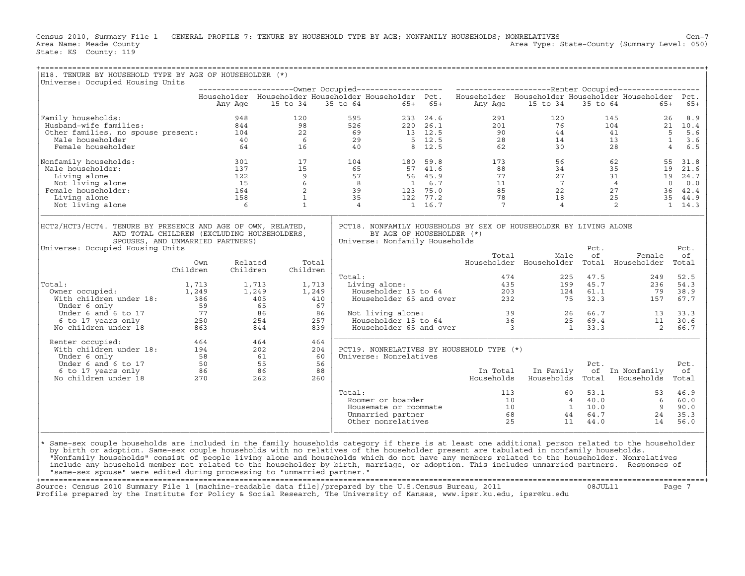Census 2010, Summary File 1 GENERAL PROFILE 7: TENURE BY HOUSEHOLD TYPE BY AGE; NONFAMILY HOUSEHOLDS; NONRELATIVES<br>Area Name: Meade County Level: 050) Area Type: State-County (Summary Level: 050) Area Type: State-County (Summary Level: 050) State: KS County: 119

| H18. TENURE BY HOUSEHOLD TYPE BY AGE OF HOUSEHOLDER (*)<br>Universe: Occupied Housing Units                                                                                                                                                                                                                                                                           |          |          |          |            |        |                                                             |           |                                                                                                                                                                                                                                                                                                                                   |                                                   |                            |                                   |             |
|-----------------------------------------------------------------------------------------------------------------------------------------------------------------------------------------------------------------------------------------------------------------------------------------------------------------------------------------------------------------------|----------|----------|----------|------------|--------|-------------------------------------------------------------|-----------|-----------------------------------------------------------------------------------------------------------------------------------------------------------------------------------------------------------------------------------------------------------------------------------------------------------------------------------|---------------------------------------------------|----------------------------|-----------------------------------|-------------|
|                                                                                                                                                                                                                                                                                                                                                                       |          |          |          |            |        |                                                             |           |                                                                                                                                                                                                                                                                                                                                   |                                                   |                            |                                   |             |
|                                                                                                                                                                                                                                                                                                                                                                       |          |          |          |            |        |                                                             |           | Householder Householder Householder Householder Pct. Householder Householder Householder Householder Pct.                                                                                                                                                                                                                         |                                                   |                            |                                   |             |
|                                                                                                                                                                                                                                                                                                                                                                       |          | Any Age  | 15 to 34 |            |        | 35 to 64                                                    | $65+ 65+$ | Any Age                                                                                                                                                                                                                                                                                                                           | 15 to 34                                          |                            | 35 to 64<br>$65+$                 | $65+$       |
| Family households:                                                                                                                                                                                                                                                                                                                                                    |          |          |          |            |        |                                                             |           |                                                                                                                                                                                                                                                                                                                                   |                                                   |                            |                                   |             |
|                                                                                                                                                                                                                                                                                                                                                                       |          |          |          |            |        |                                                             |           |                                                                                                                                                                                                                                                                                                                                   |                                                   |                            |                                   |             |
|                                                                                                                                                                                                                                                                                                                                                                       |          |          |          |            |        |                                                             |           |                                                                                                                                                                                                                                                                                                                                   |                                                   |                            |                                   |             |
|                                                                                                                                                                                                                                                                                                                                                                       |          |          |          |            |        |                                                             |           |                                                                                                                                                                                                                                                                                                                                   |                                                   |                            |                                   |             |
| 948 120 595 233 24.6 291 120 145 26 8.9<br>948 120 595 233 24.6 291 120 145 26 8.9<br>98 526 220 26.1 201 76 104 21 10.4<br>98 526 220 26.1 201 76 104 21 10.4<br>98 526 220 26.1 201 76 104 21 10.4<br>98 526 220 26.1 201 76 104 21 10                                                                                                                              |          |          |          |            |        |                                                             |           |                                                                                                                                                                                                                                                                                                                                   |                                                   |                            |                                   |             |
| Nonfamily households:                                                                                                                                                                                                                                                                                                                                                 |          |          |          |            |        |                                                             |           | $\begin{array}{cccccccccc} 301 & & & 17 & & & 104 & & & 180 & 59.8 & & & 173 & & & 56 & & & 62 & & 55 & 31.8 \\ 137 & & & 15 & & & 65 & & & 57 & 41.6 & & & 88 & & 34 & & 35 & & 19 & 21.6 \\ 122 & & & 9 & & 57 & & 56 & 45.9 & & 77 & & 27 & & 31 & & 19 & 24.7 \\ 15 & & & 6 & & 8 & & 1 & 6.7 & & & 11 & & 7 & & 4 & & 0 & 0$ |                                                   |                            |                                   |             |
| Male householder:                                                                                                                                                                                                                                                                                                                                                     |          |          |          |            |        |                                                             |           |                                                                                                                                                                                                                                                                                                                                   |                                                   |                            |                                   |             |
| Living alone                                                                                                                                                                                                                                                                                                                                                          |          |          |          |            |        |                                                             |           |                                                                                                                                                                                                                                                                                                                                   |                                                   |                            |                                   |             |
| Not living alone                                                                                                                                                                                                                                                                                                                                                      |          |          |          |            |        |                                                             |           |                                                                                                                                                                                                                                                                                                                                   |                                                   |                            |                                   |             |
| Female householder:                                                                                                                                                                                                                                                                                                                                                   |          |          |          |            |        |                                                             |           |                                                                                                                                                                                                                                                                                                                                   |                                                   |                            |                                   |             |
| Living alone                                                                                                                                                                                                                                                                                                                                                          |          |          |          |            |        |                                                             |           |                                                                                                                                                                                                                                                                                                                                   |                                                   |                            |                                   |             |
| Not living alone                                                                                                                                                                                                                                                                                                                                                      |          |          |          |            |        |                                                             |           |                                                                                                                                                                                                                                                                                                                                   |                                                   |                            |                                   |             |
| HCT2/HCT3/HCT4. TENURE BY PRESENCE AND AGE OF OWN, RELATED,<br>AND TOTAL CHILDREN (EXCLUDING HOUSEHOLDERS,<br>SPOUSES, AND UNMARRIED PARTNERS)<br>Universe: Occupied Housing Units                                                                                                                                                                                    |          |          |          |            |        | BY AGE OF HOUSEHOLDER (*)<br>Universe: Nonfamily Households |           | PCT18. NONFAMILY HOUSEHOLDS BY SEX OF HOUSEHOLDER BY LIVING ALONE                                                                                                                                                                                                                                                                 |                                                   | Pct.                       |                                   | Pct.        |
|                                                                                                                                                                                                                                                                                                                                                                       | Own      | Related  |          | Total      |        |                                                             |           | Total                                                                                                                                                                                                                                                                                                                             | Male<br>Householder Householder Total Householder | of                         | Female                            | οf<br>Total |
|                                                                                                                                                                                                                                                                                                                                                                       | Children | Children |          | Children   |        |                                                             |           |                                                                                                                                                                                                                                                                                                                                   |                                                   |                            |                                   |             |
|                                                                                                                                                                                                                                                                                                                                                                       |          |          |          |            | Total: |                                                             |           | otal: 474<br>Living alone: 435<br>Householder 15 to 64 203<br>Householder 65 and over 232                                                                                                                                                                                                                                         | 474                                               | 225 47.5                   | 249                               | 52.5        |
| Total:                                                                                                                                                                                                                                                                                                                                                                |          |          | 1,713    | 1,713      |        |                                                             |           |                                                                                                                                                                                                                                                                                                                                   |                                                   | 199    45.7<br>124    61.1 | 236                               | 54.3        |
|                                                                                                                                                                                                                                                                                                                                                                       |          |          | 1,249    | 1,249      |        |                                                             |           |                                                                                                                                                                                                                                                                                                                                   |                                                   |                            | 79                                | 38.9        |
| With children under 18: 386                                                                                                                                                                                                                                                                                                                                           |          |          | 405      | 410        |        |                                                             |           |                                                                                                                                                                                                                                                                                                                                   | 75                                                |                            | 32.3<br>157                       | 67.7        |
|                                                                                                                                                                                                                                                                                                                                                                       |          |          |          | 67         |        |                                                             |           |                                                                                                                                                                                                                                                                                                                                   |                                                   |                            |                                   |             |
|                                                                                                                                                                                                                                                                                                                                                                       |          |          |          | 86         |        | Not living alone:                                           |           | Not living alone:<br>Householder 15 to 64<br>Householder 65 and over<br>3<br>3<br>1<br>33.3<br>2                                                                                                                                                                                                                                  |                                                   |                            |                                   | 33.3        |
|                                                                                                                                                                                                                                                                                                                                                                       |          |          |          | 257        |        |                                                             |           |                                                                                                                                                                                                                                                                                                                                   |                                                   |                            |                                   | 30.6        |
| Under 6 only<br>Under 6 only<br>59 65<br>59 65<br>59 65<br>17 86<br>6 to 17 years only<br>77 86<br>863 844<br>No children under 18                                                                                                                                                                                                                                    |          |          |          | 839        |        |                                                             |           |                                                                                                                                                                                                                                                                                                                                   |                                                   |                            | $\overline{\mathbf{c}}$           | 66.7        |
| Renter occupied:<br>With children under 18:<br>194 202<br>Under 6 only 58 61<br>Under 6 and 6 to 17 50 55<br>6 to 17 years only 86 86<br>No children under 18 270 262<br>Renter occupied:                                                                                                                                                                             |          |          |          | 464<br>204 |        |                                                             |           | PCT19. NONRELATIVES BY HOUSEHOLD TYPE (*)                                                                                                                                                                                                                                                                                         |                                                   |                            |                                   |             |
|                                                                                                                                                                                                                                                                                                                                                                       |          |          |          | 60         |        | Universe: Nonrelatives                                      |           |                                                                                                                                                                                                                                                                                                                                   |                                                   |                            |                                   |             |
|                                                                                                                                                                                                                                                                                                                                                                       |          |          |          | 56         |        |                                                             |           |                                                                                                                                                                                                                                                                                                                                   |                                                   | Pct.                       |                                   | Pct.        |
|                                                                                                                                                                                                                                                                                                                                                                       |          |          |          | 88         |        |                                                             |           | In Total                                                                                                                                                                                                                                                                                                                          | In Family                                         |                            | of In Nonfamily                   | оf          |
|                                                                                                                                                                                                                                                                                                                                                                       |          |          |          | 260        |        |                                                             |           | Households                                                                                                                                                                                                                                                                                                                        |                                                   |                            | Households Total Households Total |             |
|                                                                                                                                                                                                                                                                                                                                                                       |          |          |          |            | Total: |                                                             |           |                                                                                                                                                                                                                                                                                                                                   |                                                   |                            |                                   |             |
|                                                                                                                                                                                                                                                                                                                                                                       |          |          |          |            |        |                                                             |           |                                                                                                                                                                                                                                                                                                                                   |                                                   |                            |                                   |             |
|                                                                                                                                                                                                                                                                                                                                                                       |          |          |          |            |        |                                                             |           |                                                                                                                                                                                                                                                                                                                                   |                                                   |                            |                                   |             |
|                                                                                                                                                                                                                                                                                                                                                                       |          |          |          |            |        |                                                             |           |                                                                                                                                                                                                                                                                                                                                   |                                                   |                            |                                   |             |
|                                                                                                                                                                                                                                                                                                                                                                       |          |          |          |            |        |                                                             |           |                                                                                                                                                                                                                                                                                                                                   |                                                   |                            |                                   |             |
| * Same-sex couple households are included in the family households category if there is at least one additional person related to the householder<br>by birth or adoption. Same-sex couple households with no relatives of the householder present are tabulated in nonfamily households.                                                                             |          |          |          |            |        |                                                             |           |                                                                                                                                                                                                                                                                                                                                   |                                                   |                            |                                   |             |
| "Nonfamily households" consist of people living alone and households which do not have any members related to the householder. Nonrelatives<br>include any household member not related to the householder by birth, marriage, or adoption. This includes unmarried partners. Responses of<br>"same-sex spouse" were edited during processing to "unmarried partner." |          |          |          |            |        |                                                             |           |                                                                                                                                                                                                                                                                                                                                   |                                                   |                            |                                   |             |

+===================================================================================================================================================+ Source: Census 2010 Summary File 1 [machine−readable data file]/prepared by the U.S.Census Bureau, 2011 08JUL11 Page 7 Profile prepared by the Institute for Policy & Social Research, The University of Kansas, www.ipsr.ku.edu, ipsr@ku.edu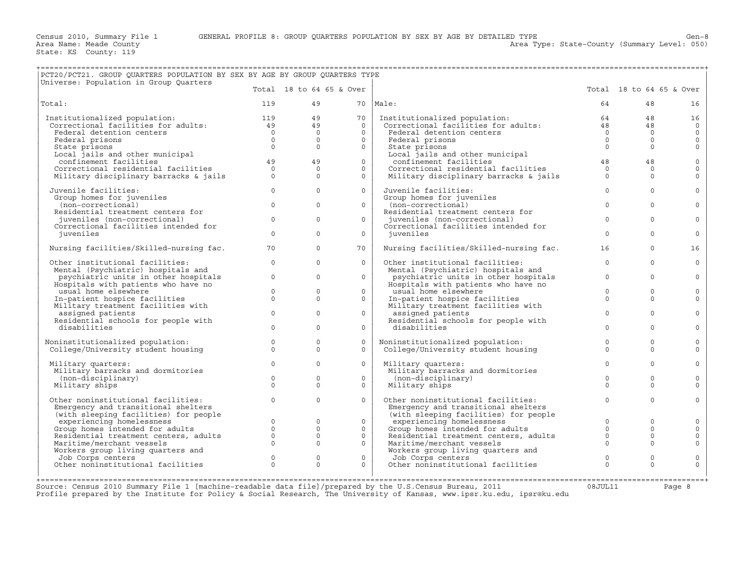+===================================================================================================================================================+

Area Type: State-County (Summary Level: 050)

| PCT20/PCT21. GROUP QUARTERS POPULATION BY SEX BY AGE BY GROUP QUARTERS TYPE<br>Universe: Population in Group Quarters                    |                            |                          |                          |                                                                             |                                 |                          |                           |
|------------------------------------------------------------------------------------------------------------------------------------------|----------------------------|--------------------------|--------------------------|-----------------------------------------------------------------------------|---------------------------------|--------------------------|---------------------------|
|                                                                                                                                          |                            |                          | Total 18 to 64 65 & Over |                                                                             |                                 | Total 18 to 64 65 & Over |                           |
| Total:                                                                                                                                   | 119                        | 49                       |                          | 70   Male:                                                                  | 64                              | 48                       | 16                        |
| Institutionalized population: 119<br>Correctional facilities for adults: 49<br>Federal detertion system<br>Institutionalized population: |                            | 49                       | 70                       | Institutionalized population:<br>Correctional facilities for adults:        | 64                              | 48                       | 16                        |
| Federal detention centers                                                                                                                | $\overline{0}$             | 49<br>$\Omega$           | $\Omega$<br>$\Omega$     | Federal detention centers                                                   | 48<br>$\bigcap$                 | 48<br>$\Omega$           | $\overline{0}$<br>$\circ$ |
| Federal prisons                                                                                                                          | $\overline{0}$             | $\Omega$                 | $\Omega$                 | Federal prisons                                                             | $\overline{0}$                  | $\Omega$                 | $\circ$                   |
| State prisons                                                                                                                            | $\Omega$                   | $\Omega$                 | $\Omega$                 | State prisons                                                               | $\Omega$                        | $\Omega$                 | $\circ$                   |
| Local jails and other municipal<br>confinement facilities<br>confinement facilities                                                      | 49                         | 49                       | $\Omega$                 | Local jails and other municipal<br>confinement facilities                   | 48                              | 48                       | $\mathbf 0$               |
| Correctional residential facilities                                                                                                      | $\circ$                    | $\Omega$                 | 0                        | Correctional residential facilities                                         | $\Omega$                        | $\Omega$                 | $\circ$                   |
| Military disciplinary barracks & jails                                                                                                   | $\Omega$                   | $\Omega$                 | $\Omega$                 | Military disciplinary barracks & jails                                      | $\Omega$                        | $\Omega$                 | $\Omega$                  |
| Juvenile facilities:                                                                                                                     | $\circ$                    | $\Omega$                 | $\mathsf{O}$             | Juvenile facilities:                                                        | $\mathbf 0$                     | $\Omega$                 | $\mathbf{0}$              |
| Group homes for juveniles<br>(non-correctional)                                                                                          | $\Omega$                   | $\Omega$                 | $\Omega$                 | Group homes for juveniles<br>(non-correctional)                             | $\Omega$                        | $\Omega$                 | $\mathbf{0}$              |
| Residential treatment centers for                                                                                                        |                            |                          |                          | Residential treatment centers for                                           |                                 |                          |                           |
| juveniles (non-correctional)                                                                                                             | $\circ$                    | $\Omega$                 | $\Omega$                 | juveniles (non-correctional)                                                | $\Omega$                        | $\Omega$                 | $\circ$                   |
| Correctional facilities intended for<br>juveniles                                                                                        | $\Omega$                   | $\Omega$                 | $\circ$                  | Correctional facilities intended for<br>juveniles                           | $\Omega$                        | $\Omega$                 | $\Omega$                  |
|                                                                                                                                          |                            |                          |                          |                                                                             |                                 |                          |                           |
| Nursing facilities/Skilled-nursing fac.                                                                                                  | 70                         | $\Omega$                 | 70                       | Nursing facilities/Skilled-nursing fac.                                     | 16                              | $\Omega$                 | 16                        |
| Other institutional facilities:                                                                                                          | $\circ$                    | $\Omega$                 | $\Omega$                 | Other institutional facilities:                                             | $\Omega$                        | $\Omega$                 | $\circ$                   |
| Mental (Psychiatric) hospitals and<br>psychiatric units in other hospitals                                                               | $\circ$                    | $\Omega$                 | $\circ$                  | Mental (Psychiatric) hospitals and                                          | $\mathbf 0$                     | $\Omega$                 | $\circ$                   |
| Hospitals with patients who have no                                                                                                      |                            |                          |                          | psychiatric units in other hospitals<br>Hospitals with patients who have no |                                 |                          |                           |
| usual home elsewhere                                                                                                                     | $\circ$                    | $\mathbf{0}$             | $\circ$                  | usual home elsewhere                                                        | $\mathbf 0$                     | $\mathbf{0}$             | $\circ$                   |
| In-patient hospice facilities<br>Military treatment facilities with                                                                      | $\Omega$                   | $\Omega$                 | $\circ$                  | In-patient hospice facilities<br>Military treatment facilities with         | $\Omega$                        | $\Omega$                 | $\circ$                   |
| assigned patients                                                                                                                        | $\mathbf{0}$               | $\Omega$                 | $\circ$                  | assigned patients                                                           | $\mathbf{0}$                    | $\Omega$                 | $\mathbf{0}$              |
| Residential schools for people with<br>disabilities                                                                                      | $\Omega$                   | $\Omega$                 | $\circ$                  | Residential schools for people with<br>disabilities                         | $\Omega$                        | $\Omega$                 | $\circ$                   |
|                                                                                                                                          |                            |                          |                          |                                                                             |                                 |                          |                           |
| Noninstitutionalized population:<br>College/University student housing                                                                   | $\Omega$<br>$\Omega$       | $\Omega$<br>$\Omega$     | $\Omega$<br>$\Omega$     | Noninstitutionalized population:<br>College/University student housing      | $\Omega$<br>$\Omega$            | $\Omega$<br>$\Omega$     | $\circ$<br>$\circ$        |
|                                                                                                                                          |                            |                          |                          |                                                                             |                                 |                          |                           |
| Military quarters:                                                                                                                       | $\mathbf{0}$               | $\Omega$                 | $\circ$                  | Military quarters:                                                          | $\mathbf{0}$                    | $\Omega$                 | $\circ$                   |
| Military barracks and dormitories<br>(non-disciplinary)                                                                                  | $\Omega$                   | $\Omega$                 | $\Omega$                 | Military barracks and dormitories<br>(non-disciplinary)                     | $\Omega$                        | $\Omega$                 | $\mathbf{0}$              |
| Military ships                                                                                                                           | $\Omega$                   | $\Omega$                 | $\mathsf{O}$             | Military ships                                                              | $\Omega$                        | $\Omega$                 | $\Omega$                  |
| Other noninstitutional facilities:                                                                                                       | $\Omega$                   | $\Omega$                 | $\mathsf{O}$             | Other noninstitutional facilities:                                          | $\circ$                         | $\Omega$                 | $\mathbf{0}$              |
| Emergency and transitional shelters                                                                                                      |                            |                          |                          | Emergency and transitional shelters                                         |                                 |                          |                           |
| (with sleeping facilities) for people                                                                                                    |                            |                          |                          | (with sleeping facilities) for people                                       |                                 |                          |                           |
| experiencing homelessness<br>Group homes intended for adults                                                                             | $\overline{0}$<br>$\Omega$ | $\mathbf{0}$<br>$\Omega$ | $\circ$<br>$\Omega$      | experiencing homelessness<br>Group homes intended for adults                | $\mathbf{0}$<br>$\Omega$        | $\circ$<br>$\Omega$      | $\circ$<br>$\circ$        |
| Residential treatment centers, adults                                                                                                    | $\circ$                    | $\Omega$                 | $\mathbf{0}$             | Residential treatment centers, adults                                       | $\circ$                         | $\Omega$                 | $\circ$                   |
| Maritime/merchant vessels                                                                                                                | $\Omega$                   | $\Omega$                 | $\circ$                  | Maritime/merchant vessels                                                   | $\Omega$                        | $\Omega$                 | $\mathsf{O}\xspace$       |
| Workers group living quarters and                                                                                                        |                            |                          |                          | Workers group living quarters and                                           |                                 |                          |                           |
| Job Corps centers<br>Other noninstitutional facilities                                                                                   | $\circ$<br>$\Omega$        | $\mathbf{0}$<br>$\Omega$ | $\mathsf{O}$<br>$\Omega$ | Job Corps centers<br>Other noninstitutional facilities                      | $\mathsf{O}\xspace$<br>$\Omega$ | $\mathbf{0}$<br>$\Omega$ | $\circ$<br>$\Omega$       |
|                                                                                                                                          |                            |                          |                          |                                                                             |                                 |                          |                           |
|                                                                                                                                          |                            |                          |                          |                                                                             |                                 |                          |                           |

+===================================================================================================================================================+Source: Census 2010 Summary File 1 [machine−readable data file]/prepared by the U.S.Census Bureau, 2011 08JUL11 Page 8 Profile prepared by the Institute for Policy & Social Research, The University of Kansas, www.ipsr.ku.edu, ipsr@ku.edu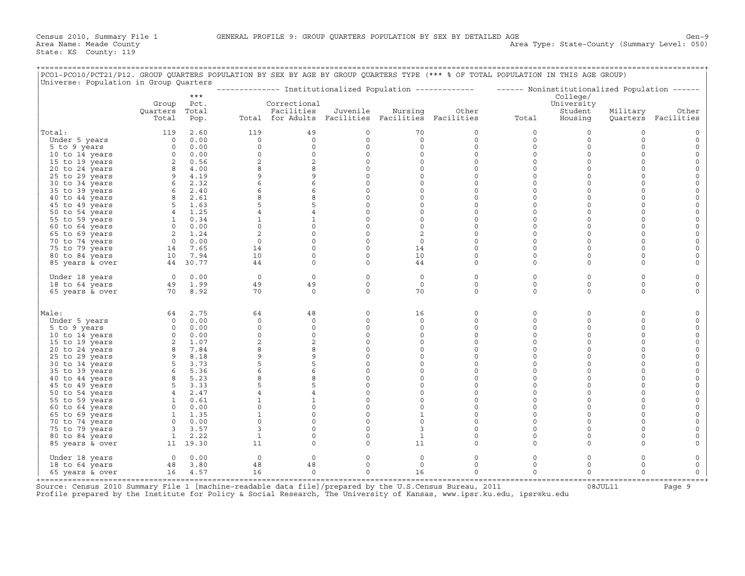| PCO1-PCO10/PCT21/P12. GROUP QUARTERS POPULATION BY SEX BY AGE BY GROUP QUARTERS TYPE (*** % OF TOTAL POPULATION IN THIS AGE GROUP)<br>Universe: Population in Group Quarters |                                                                                                                                                                                                                                                   |               |                |                                                   |                     |                     |              |                                                                                                         |                       |             |                     |
|------------------------------------------------------------------------------------------------------------------------------------------------------------------------------|---------------------------------------------------------------------------------------------------------------------------------------------------------------------------------------------------------------------------------------------------|---------------|----------------|---------------------------------------------------|---------------------|---------------------|--------------|---------------------------------------------------------------------------------------------------------|-----------------------|-------------|---------------------|
|                                                                                                                                                                              |                                                                                                                                                                                                                                                   | $***$         |                |                                                   |                     |                     |              | -------------- Institutionalized Population ------------- ------ Noninstitutionalized Population ------ | College/              |             |                     |
|                                                                                                                                                                              | Group<br>Quarters                                                                                                                                                                                                                                 | Pct.<br>Total |                | Correctional<br>Facilities                        | Juvenile            | Nursing             | Other        |                                                                                                         | University<br>Student | Military    | Other               |
|                                                                                                                                                                              | Total                                                                                                                                                                                                                                             | Pop.          |                | Total for Adults Facilities Facilities Facilities |                     |                     |              | Total                                                                                                   | Housing               |             | Quarters Facilities |
| Total:                                                                                                                                                                       |                                                                                                                                                                                                                                                   | 119 2.60      | 119            | 49                                                | $\circ$             | 70                  | 0            | $\circ$                                                                                                 | $\circ$               | $\mathbf 0$ |                     |
| Under 5 years                                                                                                                                                                | 0 0.00                                                                                                                                                                                                                                            |               | $\circ$        | $\circ$                                           | $\circ$             | $\circ$             | $\mathsf{O}$ | $\circ$                                                                                                 | $\circ$               | $\circ$     | $\circ$             |
| 5 to 9 years                                                                                                                                                                 |                                                                                                                                                                                                                                                   | $0 \t 0.00$   | $\circ$        | $\circ$                                           | $\mathsf{O}\xspace$ | $\mathsf{O}\xspace$ | 0            | 0                                                                                                       | $\mathsf{O}\xspace$   | $\Omega$    | $\Omega$            |
| 10 to 14 years                                                                                                                                                               |                                                                                                                                                                                                                                                   |               | $\circ$        | $\circ$                                           | $\circ$             | $\circ$             | $\circ$      | $\circ$                                                                                                 | $\circ$               | $\Omega$    | $\mathbf 0$         |
| 15 to 19 years                                                                                                                                                               | $\begin{array}{cccc} 0 & 0.00 \\ 0 & 0.00 \\ 2 & 0.56 \\ 8 & 4.00 \\ 9 & 4.19 \\ 6 & 2.32 \\ 6 & 2.61 \\ 8 & 2.61 \\ 5 & 1.63 \\ 4 & 1.25 \\ 1 & 0.34 \\ 0 & 0.00 \\ 2 & 1.24 \\ 0 & 0.00 \\ 14 & 7.65 \\ 10 & 7.69 \\ 44 & 30.77 \\ \end{array}$ |               | $\overline{a}$ | 2                                                 | $\circ$             | $\circ$             | $\circ$      | $\circ$                                                                                                 | $\circ$               | $\Omega$    | $\circ$             |
| 20 to 24 years                                                                                                                                                               |                                                                                                                                                                                                                                                   |               | 8              | 8                                                 | $\mathsf{O}\xspace$ | $\circ$             | $\circ$      | $\circ$                                                                                                 | $\mathsf{O}\xspace$   | $\Omega$    |                     |
| 25 to 29 years                                                                                                                                                               |                                                                                                                                                                                                                                                   |               | 9              | 9                                                 | $\circ$             | $\circ$             | 0            | $\circ$                                                                                                 | $\circ$               | $\Omega$    | $\Omega$            |
| 30 to 34 years                                                                                                                                                               |                                                                                                                                                                                                                                                   |               | 6              | $6\overline{6}$                                   | $\circ$             | $\mathsf{O}\xspace$ | 0            | $\circ$                                                                                                 | $\circ$               | $\Omega$    | $\Omega$            |
| 35 to 39 years                                                                                                                                                               |                                                                                                                                                                                                                                                   |               | 6              | 6                                                 | $\circ$             | $\circ$             | $\Omega$     | $\circ$                                                                                                 | $\Omega$              | $\Omega$    |                     |
| 40 to 44 years                                                                                                                                                               |                                                                                                                                                                                                                                                   |               | 8              | 8                                                 | $\circ$             | $\Omega$            | $\Omega$     | $\Omega$                                                                                                | $\circ$               | $\Omega$    | $\Omega$            |
| 45 to 49 years                                                                                                                                                               |                                                                                                                                                                                                                                                   |               |                | 5                                                 | $\circ$             | $\mathsf{O}\xspace$ | 0            | $\mathsf{O}\xspace$                                                                                     | $\mathsf{O}\xspace$   | $\Omega$    | $\mathsf O$         |
| 50 to 54 years                                                                                                                                                               |                                                                                                                                                                                                                                                   |               |                | $\overline{4}$                                    | $\circ$             | $\circ$             | 0            | $\circ$                                                                                                 | $\circ$               | $\Omega$    |                     |
| 55 to 59 years                                                                                                                                                               |                                                                                                                                                                                                                                                   |               | $\mathbf{1}$   | $\mathbf{1}$                                      | $\circ$             | $\circ$             | 0            | $\circ$                                                                                                 | $\circ$               | $\Omega$    | $\circ$             |
| 60 to 64 years                                                                                                                                                               |                                                                                                                                                                                                                                                   |               | $\circ$        | $\mathsf 0$                                       | $\mathsf{O}\xspace$ | $\mathsf{O}\xspace$ | 0            | 0                                                                                                       | $\mathsf{O}\xspace$   | $\Omega$    | $\Omega$            |
| 65 to 69 years                                                                                                                                                               |                                                                                                                                                                                                                                                   |               | 2              | $\circ$                                           | $\circ$             | 2                   | 0            | $\circ$                                                                                                 | $\circ$               | $\Omega$    |                     |
| 70 to 74 years                                                                                                                                                               |                                                                                                                                                                                                                                                   |               | $\circ$        | $\circ$                                           | $\circ$             | $\circ$             | 0            | $\circ$                                                                                                 | $\circ$               | $\Omega$    |                     |
| 75 to 79 years                                                                                                                                                               |                                                                                                                                                                                                                                                   |               | 14             | $\mathsf{O}\xspace$                               | $\mathsf{O}\xspace$ | 14                  | 0            | 0                                                                                                       | $\mathbf 0$           | $\Omega$    |                     |
| 80 to 84 years                                                                                                                                                               |                                                                                                                                                                                                                                                   |               | 10             | $\circ$                                           | $\circ$             | 10                  | 0            | $\circ$                                                                                                 | $\circ$               | $\Omega$    |                     |
| 85 years & over                                                                                                                                                              | 44 30.77                                                                                                                                                                                                                                          |               | 44             | $\circ$                                           | $\circ$             | 44                  | 0            | $\circ$                                                                                                 | $\circ$               | $\Omega$    |                     |
| Under 18 years                                                                                                                                                               | $\begin{array}{ccc} 0 & 0.00 \\ 49 & 1.99 \\ 70 & 8.92 \end{array}$                                                                                                                                                                               |               | $\overline{0}$ | $\circ$                                           | $\circ$             | $\circ$             | 0            | $\circ$                                                                                                 | $\circ$               | $\mathbf 0$ | $\Omega$            |
| 18 to 64 years                                                                                                                                                               |                                                                                                                                                                                                                                                   |               | 49             | 49                                                | $\circ$             | $\circ$             | 0            | $\circ$                                                                                                 | $\circ$               | $\Omega$    | $\Omega$            |
| 65 years & over                                                                                                                                                              |                                                                                                                                                                                                                                                   |               | 70             | $\Omega$                                          | $\Omega$            | 70                  | $\Omega$     | $\Omega$                                                                                                | $\circ$               | $\Omega$    |                     |
| Male:                                                                                                                                                                        |                                                                                                                                                                                                                                                   | 64 2.75       | 64             | 48                                                | $\circ$             | 16                  | 0            | $\circ$                                                                                                 | $\mathsf{O}\xspace$   | $\Omega$    |                     |
| Under 5 years                                                                                                                                                                |                                                                                                                                                                                                                                                   | $0 \t 0.00$   | $\Omega$       | $\Omega$                                          | $\circ$             | $\Omega$            | $\Omega$     | $\Omega$                                                                                                | $\circ$               | $\Omega$    |                     |
| 5 to 9 years                                                                                                                                                                 |                                                                                                                                                                                                                                                   |               | $\circ$        | $\circ$                                           | $\mathsf{O}\xspace$ | $\circ$             | 0            | $\circ$                                                                                                 | $\mathbf 0$           | $\Omega$    | $\Omega$            |
| 10 to 14 years                                                                                                                                                               |                                                                                                                                                                                                                                                   |               | $\circ$        | $\circ$                                           | $\circ$             | $\circ$             | 0            | $\circ$                                                                                                 | $\circ$               | $\Omega$    | $\Omega$            |
| 15 to 19 years                                                                                                                                                               |                                                                                                                                                                                                                                                   |               | $\overline{2}$ | 2                                                 | $\circ$             | $\Omega$            | $\Omega$     | $\Omega$                                                                                                | $\Omega$              | $\Omega$    |                     |
| 20 to 24 years                                                                                                                                                               |                                                                                                                                                                                                                                                   |               | 8              | 8                                                 | $\mathsf{O}\xspace$ | $\mathsf{O}\xspace$ | 0            | 0                                                                                                       | $\mathbf 0$           | $\Omega$    |                     |
| 25 to 29 years                                                                                                                                                               |                                                                                                                                                                                                                                                   |               | 9              | 9                                                 | $\circ$             | $\circ$             | 0            | $\circ$                                                                                                 | $\circ$               | $\Omega$    |                     |
| 30 to 34 years                                                                                                                                                               |                                                                                                                                                                                                                                                   |               | 5              | 5                                                 | $\circ$             | $\circ$             | 0            | $\circ$                                                                                                 | $\circ$               | $\Omega$    |                     |
| 35 to 39 years                                                                                                                                                               |                                                                                                                                                                                                                                                   |               | 6              | $\epsilon$                                        | $\mathbb O$         | $\circ$             | $\Omega$     | $\Omega$                                                                                                | $\mathbf 0$           | $\Omega$    |                     |
| 40 to 44 years                                                                                                                                                               |                                                                                                                                                                                                                                                   |               | 8              | 8                                                 | $\circ$             | $\circ$             | $\Omega$     | $\circ$                                                                                                 | $\Omega$              | $\Omega$    | $\Omega$            |
| 45 to 49 years                                                                                                                                                               |                                                                                                                                                                                                                                                   |               | 5              | 5                                                 | $\circ$             | $\circ$             | 0            | $\circ$                                                                                                 | $\circ$               | $\Omega$    |                     |
| 50 to 54 years                                                                                                                                                               |                                                                                                                                                                                                                                                   |               |                | $\overline{4}$                                    | $\circ$             | $\circ$             | $\circ$      | $\circ$                                                                                                 | $\circ$               | $\Omega$    |                     |
| 55 to 59 years                                                                                                                                                               |                                                                                                                                                                                                                                                   |               | $\mathbf{1}$   | $\mathbf{1}$                                      | $\circ$             | $\circ$             | 0            | $\circ$                                                                                                 | $\Omega$              | $\Omega$    |                     |
| 60 to 64 years                                                                                                                                                               |                                                                                                                                                                                                                                                   |               | $\circ$        | $\circ$                                           | $\mathsf{O}\xspace$ | $\circ$             | 0            | 0                                                                                                       | $\circ$               | $\Omega$    | $\Omega$            |
| 65 to 69 years                                                                                                                                                               |                                                                                                                                                                                                                                                   |               |                | $\mathsf{O}\xspace$                               | $\mathsf{O}\xspace$ | $\mathbf{1}$        | 0            | $\circ$                                                                                                 | $\Omega$              | $\Omega$    |                     |
| 70 to 74 years                                                                                                                                                               |                                                                                                                                                                                                                                                   |               | $\circ$        | $\circ$                                           | $\circ$             | $\circ$             | $\Omega$     | $\circ$                                                                                                 | $\Omega$              | $\Omega$    |                     |
| 75 to 79 years                                                                                                                                                               | $\begin{bmatrix} 0 & 0.00 \\ 3 & 3.57 \\ 1 & 2.22 \end{bmatrix}$                                                                                                                                                                                  |               | 3              | $\mathsf{O}$                                      | $\circ$             | 3                   | 0            | 0                                                                                                       | $\mathsf{O}\xspace$   | $\mathbf 0$ |                     |
| 80 to 84 years                                                                                                                                                               |                                                                                                                                                                                                                                                   |               | $\mathbf{1}$   | $\mathbf 0$                                       | $\circ$             | $\mathbf{1}$        | $\circ$      | $\circ$                                                                                                 | $\Omega$              | $\Omega$    |                     |
| 85 years & over                                                                                                                                                              | 11 19.30                                                                                                                                                                                                                                          |               | 11             | $\circ$                                           | $\circ$             | 11                  | 0            | $\Omega$                                                                                                | $\circ$               | $\Omega$    |                     |
| Under 18 years                                                                                                                                                               |                                                                                                                                                                                                                                                   | $0 \t 0.00$   | $\circ$        | $\mathbf 0$                                       | $\circ$             | 0                   | 0            | 0                                                                                                       | $\circ$               | $\Omega$    |                     |
| 18 to 64 years                                                                                                                                                               |                                                                                                                                                                                                                                                   | 48 3.80       | 48             | 48                                                | $\circ$             | $\circ$             | 0            | $\circ$                                                                                                 | $\circ$               | $\Omega$    | 0                   |
| 65 years & over                                                                                                                                                              | $16$ 4.57                                                                                                                                                                                                                                         |               | 16             | $\Omega$                                          | $\Omega$            | 16                  | $\Omega$     | $\circ$                                                                                                 | $\Omega$              | $\Omega$    | $\circ$             |

+===================================================================================================================================================+ Source: Census 2010 Summary File 1 [machine-readable data file]/prepared by the U.S.Census Bureau, 2011 Page 9<br>Profile prepared by the Institute for Policy & Social Research, The University of Kansas, www.ip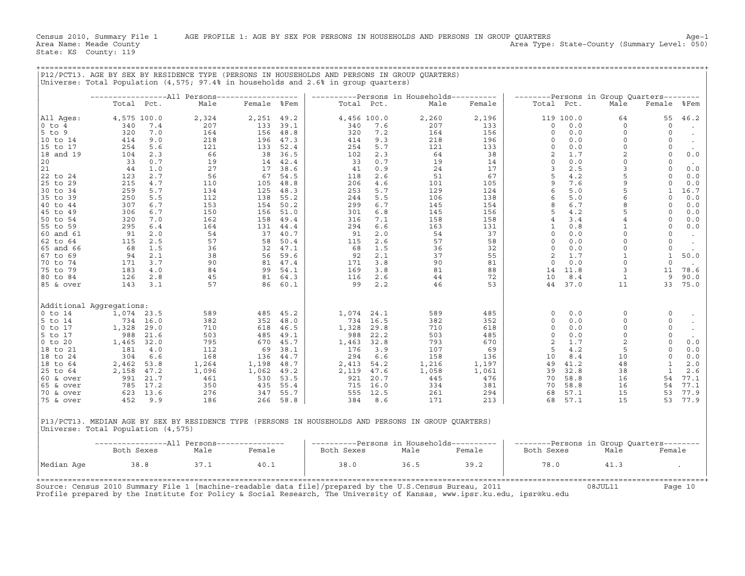|             |                                    |       | P12/PCT13. AGE BY SEX BY RESIDENCE TYPE (PERSONS IN HOUSEHOLDS AND PERSONS IN GROUP QUARTERS)<br>Universe: Total Population (4,575; 97.4% in households and 2.6% in group quarters) |             |         |            |             |                                           |        |                   |            |                                           |                |            |
|-------------|------------------------------------|-------|-------------------------------------------------------------------------------------------------------------------------------------------------------------------------------------|-------------|---------|------------|-------------|-------------------------------------------|--------|-------------------|------------|-------------------------------------------|----------------|------------|
|             |                                    |       |                                                                                                                                                                                     |             |         |            |             |                                           |        |                   |            |                                           |                |            |
|             |                                    |       | -----------------All Persons------------------                                                                                                                                      |             |         |            |             | ----------Persons in Households---------- |        |                   |            | --------Persons in Group Quarters-------- |                |            |
|             | Total Pct.                         |       | Male                                                                                                                                                                                | Female %Fem |         |            | Total Pct.  | Male                                      | Female |                   | Total Pct. | Male                                      | Female         | %Fem       |
| All Ages:   | 4,575 100.0                        |       | 2,324                                                                                                                                                                               | 2,251       | 49.2    |            | 4,456 100.0 | 2,260                                     | 2,196  |                   | 119 100.0  | 64                                        | 55             | 46.2       |
| $0$ to $4$  | 340                                | 7.4   | 207                                                                                                                                                                                 | 133         | 39.1    | 340        | 7.6         | 207                                       | 133    | 0                 | 0.0        | $\mathbf 0$                               | $\circ$        | $\bullet$  |
| $5$ to $9$  | 320                                | 7.0   | 164                                                                                                                                                                                 | 156         | 48.8    | 320        | 7.2         | 164                                       | 156    | $\Omega$          | 0.0        | $\Omega$                                  | $\Omega$       | $\sim$     |
| 10 to 14    | 414                                | 9.0   | 218                                                                                                                                                                                 | 196         | 47.3    | 414        | 9.3         | 218                                       | 196    | $\circ$           | 0.0        | $\mathsf O$                               | $\circ$        |            |
| 15 to 17    | 254                                | 5.6   | 121                                                                                                                                                                                 | 133         | 52.4    | 254        | 5.7         | 121                                       | 133    | $\circ$           | 0.0        | $\mathsf O$                               | $\circ$        | $\sim$     |
| 18 and 19   | 104                                | 2.3   | 66                                                                                                                                                                                  | 38          | 36.5    | 102        | 2.3         | 64                                        | 38     | 2                 | 1.7        | $\overline{a}$                            | $\overline{0}$ | 0.0        |
| 20          | 33                                 | 0.7   | 19                                                                                                                                                                                  | 14          | 42.4    | 33         | 0.7         | 19                                        | 14     | $\circ$           | 0.0        | $\circ$                                   | $\overline{0}$ | $\sim$     |
| 21          | 44                                 | 1.0   | 27                                                                                                                                                                                  | 17          | 38.6    | 41         | 0.9         | 24                                        | 17     | 3                 | 2.5        | 3                                         | $\circ$        | 0.0        |
| 22 to 24    | 123                                | 2.7   | 56                                                                                                                                                                                  | 67          | 54.5    | 118        | 2.6         | 51                                        | 67     | 5                 | 4.2        | 5                                         | $\circ$        | 0.0        |
| 25 to 29    | 215                                | $4.7$ | 110                                                                                                                                                                                 | 105         | 48.8    | 206        | 4.6         | 101                                       | 105    | 9                 | 7.6        | $\mathsf 9$                               | $\circ$        | 0.0        |
| 30 to 34    | 259                                | 5.7   | 134                                                                                                                                                                                 | 125         | 48.3    | 253        | 5.7         | 129                                       | 124    | 6                 | 5.0        | $\overline{5}$                            | $\mathbf{1}$   | 16.7       |
| 35 to 39    | 250                                | 5.5   | 112                                                                                                                                                                                 | 138         | 55.2    | 244        | 5.5         | 106                                       | 138    | 6                 | 5.0        | 6                                         | $\circ$        | 0.0        |
| 40 to 44    | 307                                | $6.7$ | 153                                                                                                                                                                                 | 154         | 50.2    | 299        | 6.7         | 145                                       | 154    | 8                 | 6.7        | $\,8\,$                                   | $\circ$        | $0.0$      |
|             |                                    |       |                                                                                                                                                                                     |             |         |            |             |                                           |        | 5                 | 4.2        | 5                                         | $\circ$        |            |
| 45 to 49    | 306                                | 6.7   | 150                                                                                                                                                                                 | 156         | 51.0    | 301        | 6.8         | 145                                       | 156    |                   |            | $\,4\,$                                   | $\circ$        | 0.0        |
| 50 to 54    | 320                                | 7.0   | 162                                                                                                                                                                                 | 158         | 49.4    | 316        | 7.1         | 158                                       | 158    | 4<br>$\mathbf{1}$ | 3.4<br>0.8 | $\mathbf{1}$                              | $\circ$        | 0.0<br>0.0 |
| 55 to 59    | 295                                | $6.4$ | 164                                                                                                                                                                                 | 131         | 44.4    | 294        | 6.6         | 163                                       | 131    | $\mathbf 0$       |            | $\mathsf O$                               | $\circ$        |            |
| 60 and 61   | 91                                 | 2.0   | 54                                                                                                                                                                                  | 37          | 40.7    | 91         | 2.0         | 54                                        | 37     |                   | 0.0        | $\circ$                                   |                | $\sim$     |
| 62 to 64    | 115                                | 2.5   | 57                                                                                                                                                                                  | 58          | 50.4    | 115        | 2.6         | 57                                        | 58     | $\Omega$          | 0.0        |                                           | $\overline{0}$ | $\sim$     |
| 65 and 66   | 68                                 | 1.5   | 36                                                                                                                                                                                  | 32          | 47.1    | 68         | 1.5         | 36                                        | 32     | $\mathbf 0$       | 0.0        | $\circ$                                   | $\circ$        | $\sim$     |
| 67 to 69    | 94                                 | 2.1   | 38                                                                                                                                                                                  |             | 56 59.6 | 92         | 2.1         | 37                                        | 55     | 2                 | 1.7        | $\mathbf{1}$                              | $\mathbf{1}$   | 50.0       |
| 70 to 74    | 171                                | 3.7   | 90                                                                                                                                                                                  |             | 81 47.4 | 171        | 3.8         | 90                                        | 81     | $\circ$           | 0.0        | $\circ$                                   | $\circ$        | $\sim$     |
| 75 to 79    | 183                                | 4.0   | 84                                                                                                                                                                                  | 99          | 54.1    | 169        | 3.8         | 81                                        | 88     | 14                | 11.8       | $\overline{3}$                            | 11             | 78.6       |
| 80 to 84    | 126                                | 2.8   | 45                                                                                                                                                                                  | 81 64.3     |         | 116        | 2.6         | 44                                        | 72     | 10                | 8.4        | <sup>1</sup>                              | 9              | 90.0       |
| 85 & over   | 143                                | 3.1   | 57                                                                                                                                                                                  | 86          | 60.1    | 99         | 2.2         | 46                                        | 53     | 44                | 37.0       | 11                                        | 33             | 75.0       |
|             |                                    |       |                                                                                                                                                                                     |             |         |            |             |                                           |        |                   |            |                                           |                |            |
|             | Additional Aqqreqations:           |       |                                                                                                                                                                                     |             |         |            |             |                                           |        |                   |            |                                           |                |            |
| $0$ to $14$ | 1,074                              | 23.5  | 589                                                                                                                                                                                 | 485         | 45.2    | 1,074      | 24.1        | 589                                       | 485    | $\mathbf 0$       | 0.0        | $\circ$                                   | $\mathbf 0$    | $\cdot$    |
| 5 to 14     | 734                                | 16.0  | 382                                                                                                                                                                                 | 352         | 48.0    | 734        | 16.5        | 382                                       | 352    | 0                 | 0.0        | $\circ$                                   | 0              | $\bullet$  |
| $0$ to $17$ | 1,328                              | 29.0  | 710                                                                                                                                                                                 | 618         | 46.5    | 1,328      | 29.8        | 710                                       | 618    | $\Omega$          | 0.0        | $\circ$                                   | $\circ$        | $\sim$     |
| 5 to 17     | 988                                | 21.6  | 503                                                                                                                                                                                 | 485         | 49.1    | 988        | 22.2        | 503                                       | 485    | $\circ$           | 0.0        | $\mathsf O$                               | $\circ$        | $\sim$     |
| $0$ to $20$ | 1,465                              | 32.0  | 795                                                                                                                                                                                 | 670         | 45.7    | 1,463      | 32.8        | 793                                       | 670    | $\overline{a}$    | 1.7        | $\boldsymbol{2}$                          | $\circ$        | 0.0        |
| 18 to 21    | 181                                | 4.0   | 112                                                                                                                                                                                 | 69          | 38.1    | 176        | 3.9         | 107                                       | 69     | 5                 | 4.2        | 5                                         | $\Omega$       | 0.0        |
| 18 to 24    | 304                                | 6.6   | 168                                                                                                                                                                                 | 136         | 44.7    | 294        | 6.6         | 158                                       | 136    | 10                | 8.4        | 10                                        | $\circ$        | 0.0        |
| 18 to 64    | 2,462                              | 53.8  | 1,264                                                                                                                                                                               | 1,198       | 48.7    | 2,413      | 54.2        | 1,216                                     | 1,197  | 49                | 41.2       | 48                                        | $\mathbf{1}$   | 2.0        |
| 25 to 64    | 2,158                              | 47.2  | 1,096                                                                                                                                                                               | 1,062       | 49.2    | 2,119      | 47.6        | 1,058                                     | 1,061  | 39                | 32.8       | 38                                        | <sup>1</sup>   | 2.6        |
| 60 & over   | 991                                | 21.7  | 461                                                                                                                                                                                 | 530         | 53.5    | 921        | 20.7        | 445                                       | 476    | 70                | 58.8       | 16                                        | 54             | 77.1       |
| 65 & over   | 785                                | 17.2  | 350                                                                                                                                                                                 | 435         | 55.4    | 715        | 16.0        | 334                                       | 381    | 70                | 58.8       | 16                                        | 54             | 77.1       |
| 70 & over   | 623                                | 13.6  | 276                                                                                                                                                                                 | 347         | 55.7    | 555        | 12.5        | 261                                       | 294    | 68                | 57.1       | 15                                        | 53             | 77.9       |
| 75 & over   | 452                                | 9.9   | 186                                                                                                                                                                                 | 266         | 58.8    | 384        | 8.6         | 171                                       | 213    | 68                | 57.1       | 15                                        |                | 53 77.9    |
|             |                                    |       |                                                                                                                                                                                     |             |         |            |             |                                           |        |                   |            |                                           |                |            |
|             |                                    |       | P13/PCT13. MEDIAN AGE BY SEX BY RESIDENCE TYPE (PERSONS IN HOUSEHOLDS AND PERSONS IN GROUP QUARTERS)                                                                                |             |         |            |             |                                           |        |                   |            |                                           |                |            |
|             | Universe: Total Population (4,575) |       |                                                                                                                                                                                     |             |         |            |             |                                           |        |                   |            |                                           |                |            |
|             |                                    |       | -----------------All Persons---------------                                                                                                                                         |             |         |            |             | ----------Persons in Households---------- |        |                   |            | --------Persons in Group Quarters-------- |                |            |
|             | Both Sexes                         |       | Male                                                                                                                                                                                | Female      |         | Both Sexes |             | Male                                      | Female | Both Sexes        |            | Male                                      | Female         |            |
|             |                                    |       |                                                                                                                                                                                     |             |         |            |             |                                           |        |                   |            |                                           |                |            |
| Median Aqe  |                                    | 38.8  | 37.1                                                                                                                                                                                | 40.1        |         | 38.0       |             | 36.5                                      | 39.2   | 78.0              |            | 41.3                                      |                |            |
|             |                                    |       |                                                                                                                                                                                     |             |         |            |             |                                           |        |                   |            |                                           |                |            |

+===================================================================================================================================================+ Source: Census 2010 Summary File 1 [machine−readable data file]/prepared by the U.S.Census Bureau, 2011 08JUL11 Page 10 Profile prepared by the Institute for Policy & Social Research, The University of Kansas, www.ipsr.ku.edu, ipsr@ku.edu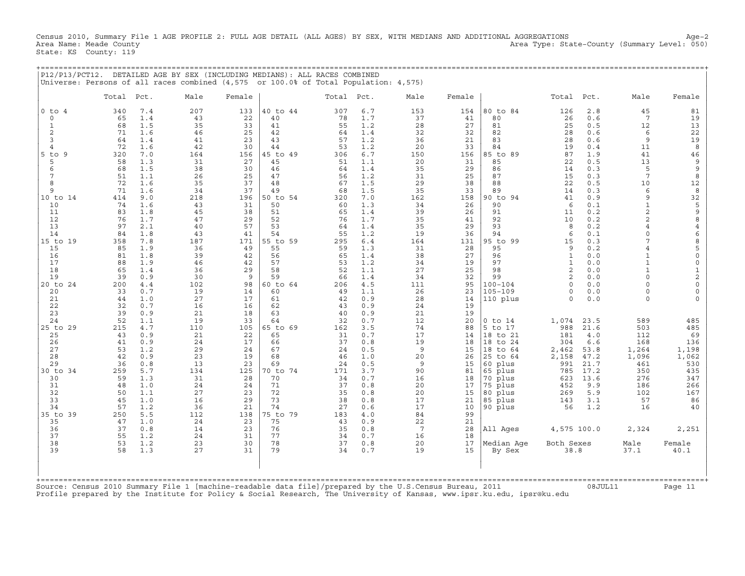Census 2010, Summary File 1 AGE PROFILE 2: FULL AGE DETAIL (ALL AGES) BY SEX, WITH MEDIANS AND ADDITIONAL AGGREGATIONS Age−2 Area Name: Meade County Area Type: State−County (Summary Level: 050) State: KS County: 119

+===================================================================================================================================================+

|                       |           |            | P12/P13/PCT12. DETAILED AGE BY SEX (INCLUDING MEDIANS): ALL RACES COMBINED<br>Universe: Persons of all races combined (4,575 or 100.0% of Total Population: 4,575) |           |                |           |            |                 |           |                      |                              |              |                                |                                            |
|-----------------------|-----------|------------|--------------------------------------------------------------------------------------------------------------------------------------------------------------------|-----------|----------------|-----------|------------|-----------------|-----------|----------------------|------------------------------|--------------|--------------------------------|--------------------------------------------|
|                       | Total     | Pct.       | Male                                                                                                                                                               | Female    |                | Total     | Pct.       | Male            | Female    |                      | Total                        | Pct.         | Male                           | Female                                     |
| $0$ to $4$<br>$\circ$ | 340<br>65 | 7.4<br>1.4 | 207<br>43                                                                                                                                                          | 133<br>22 | 40 to 44<br>40 | 307<br>78 | 6.7<br>1.7 | 153<br>37       | 154<br>41 | 80 to 84<br>80       | 126<br>26                    | 2.8<br>0.6   | 45<br>$7\phantom{.0}$          | 81<br>19                                   |
| $\mathbf{1}$          | 68        | 1.5        | 35                                                                                                                                                                 | 33        | 41             | 55        | 1.2        | 28              | 27        | 81                   | 25                           | 0.5          | 12                             | 13                                         |
| $\overline{c}$        | 71        | 1.6        | 46                                                                                                                                                                 | 25        | 42             | 64        | 1.4        | 32              | 32        | 82                   | 28                           | 0.6          | 6                              | 22                                         |
| 3                     | 64        | 1.4        | 41                                                                                                                                                                 | 23        | 43             | 57        | 1.2        | 36              | 21        | 83                   | 28                           | 0.6          | 9                              | 19                                         |
| $\overline{4}$        | 72        | 1.6        | 42                                                                                                                                                                 | 30        | 44             | 53        | 1.2        | 20              | 33        | 84                   | 19                           | 0.4          | 11                             | 8                                          |
| 5<br>9<br>to<br>5     | 320<br>58 | 7.0<br>1.3 | 164<br>31                                                                                                                                                          | 156<br>27 | 45 to 49<br>45 | 306<br>51 | 6.7<br>1.1 | 150<br>20       | 156<br>31 | 85 to 89<br>85       | 87<br>22                     | 1.9<br>0.5   | 41<br>13                       | 46<br>9                                    |
| 6                     | 68        | 1.5        | 38                                                                                                                                                                 | 30        | 46             | 64        | 1.4        | 35              | 29        | 86                   | 14                           | 0.3          | 5                              | $\mathsf 9$                                |
| 7                     | 51        | 1.1        | 26                                                                                                                                                                 | 25        | 47             | 56        | 1.2        | 31              | 25        | 87                   | 15                           | 0.3          | $\overline{7}$                 | $\,8\,$                                    |
| 8                     | 72        | 1.6        | 35                                                                                                                                                                 | 37        | 48             | 67        | 1.5        | 29              | 38        | 88                   | 22                           | 0.5          | 10                             | 12                                         |
| 9                     | 71        | 1.6        | 34                                                                                                                                                                 | 37        | 49             | 68        | 1.5        | 35              | 33        | 89                   | 14                           | 0.3          | 6                              | 8                                          |
| 10 to 14              | 414       | 9.0        | 218                                                                                                                                                                | 196       | 50 to 54       | 320       | 7.0        | 162             | 158       | 90 to 94             | 41                           | 0.9          | 9                              | 32                                         |
| 10<br>11              | 74<br>83  | 1.6<br>1.8 | 43<br>45                                                                                                                                                           | 31<br>38  | 50<br>51       | 60<br>65  | 1.3<br>1.4 | 34<br>39        | 26<br>26  | 90<br>91             | 6<br>11                      | 0.1<br>0.2   | $\mathbf{1}$<br>$\overline{c}$ | 5<br>$\mathsf 9$                           |
| 12                    | 76        | 1.7        | 47                                                                                                                                                                 | 29        | 52             | 76        | 1.7        | 35              | 41        | 92                   | 10                           | 0.2          | $\overline{a}$                 | 8                                          |
| 13                    | 97        | 2.1        | 40                                                                                                                                                                 | 57        | 53             | 64        | 1.4        | 35              | 29        | 93                   | 8                            | 0.2          | $\overline{4}$                 | $\overline{4}$                             |
| 14                    | 84        | 1.8        | 43                                                                                                                                                                 | 41        | 54             | 55        | 1.2        | 19              | 36        | 94                   | 6                            | 0.1          | $\Omega$                       | 6                                          |
| $15$ to<br>19         | 358       | 7.8        | 187                                                                                                                                                                | 171       | 55 to 59       | 295       | $6.4$      | 164             | 131       | 95 to<br>99          | 15                           | 0.3          | $\overline{7}$                 | 8                                          |
| 15                    | 85        | 1.9        | 36                                                                                                                                                                 | 49        | 55             | 59        | 1.3        | 31              | 28        | 95                   | 9                            | 0.2<br>0.0   | $\overline{4}$<br>$\mathbf{1}$ | 5                                          |
| 16<br>17              | 81<br>88  | 1.8<br>1.9 | 39<br>46                                                                                                                                                           | 42<br>42  | 56<br>57       | 65<br>53  | 1.4<br>1.2 | 38<br>34        | 27<br>19  | 96<br>97             | $\mathbf{1}$<br>$\mathbf{1}$ | 0.0          | $\mathbf{1}$                   | $\mathsf{O}\xspace$<br>$\mathsf{O}\xspace$ |
| 18                    | 65        | 1.4        | 36                                                                                                                                                                 | 29        | 58             | 52        | 1.1        | 27              | 25        | 98                   | $\mathbf{2}$                 | 0.0          | $\mathbf{1}$                   | $\mathbf{1}$                               |
| 19                    | 39        | 0.9        | 30                                                                                                                                                                 | 9         | 59             | 66        | 1.4        | 34              | 32        | 99                   | 2                            | 0.0          | $\Omega$                       | $\overline{c}$                             |
| $20$ to<br>24         | 200       | 4.4        | 102                                                                                                                                                                | 98        | 60 to 64       | 206       | 4.5        | 111             | 95        | $100 - 104$          | $\Omega$                     | 0.0          | $\Omega$                       | $\mathsf{O}\xspace$                        |
| 20                    | 33        | 0.7        | 19                                                                                                                                                                 | 14        | 60             | 49        | 1.1        | 26              | 23        | $105 - 109$          | $\circ$                      | 0.0          | $\Omega$                       | $\mathbf 0$                                |
| 21<br>22              | 44<br>32  | 1.0<br>0.7 | 27<br>16                                                                                                                                                           | 17<br>16  | 61<br>62       | 42<br>43  | 0.9<br>0.9 | 28<br>24        | 14<br>19  | 110 plus             | $\Omega$                     | 0.0          | $\Omega$                       |                                            |
| 23                    | 39        | 0.9        | 21                                                                                                                                                                 | 18        | 63             | 40        | 0.9        | 21              | 19        |                      |                              |              |                                |                                            |
| 24                    | 52        | 1.1        | 19                                                                                                                                                                 | 33        | 64             | 32        | 0.7        | 12              | 20        | $0$ to $14$          | 1,074                        | 23.5         | 589                            | 485                                        |
| 25 to 29              | 215       | 4.7        | 110                                                                                                                                                                | 105       | 65 to 69       | 162       | 3.5        | 74              | 88        | 5 to 17              | 988                          | 21.6         | 503                            | 485                                        |
| 25                    | 43        | 0.9        | 21                                                                                                                                                                 | 22        | 65             | 31        | 0.7        | 17              | 14        | 18 to 21             | 181                          | 4.0          | 112                            | 69                                         |
| 26                    | 41        | 0.9        | 24                                                                                                                                                                 | 17        | 66             | 37        | 0.8        | 19              | 18        | 18 to 24             | 304                          | 6.6          | 168                            | 136                                        |
| 27<br>28              | 53<br>42  | 1.2<br>0.9 | 29<br>23                                                                                                                                                           | 24<br>19  | 67<br>68       | 24<br>46  | 0.5<br>1.0 | 9<br>20         | 15<br>26  | 18 to 64<br>25 to 64 | 2,462<br>2,158               | 53.8<br>47.2 | 1,264<br>1,096                 | 1,198<br>1,062                             |
| 29                    | 36        | 0.8        | 13                                                                                                                                                                 | 23        | 69             | 24        | 0.5        | 9               | 15        | 60 plus              | 991                          | 21.7         | 461                            | 530                                        |
| 30 to 34              | 259       | 5.7        | 134                                                                                                                                                                | 125       | 70 to 74       | 171       | 3.7        | 90              | 81        | 65 plus              | 785                          | 17.2         | 350                            | 435                                        |
| 30                    | 59        | 1.3        | 31                                                                                                                                                                 | 28        | 70             | 34        | 0.7        | 16              | 18        | 70 plus              | 623                          | 13.6         | 276                            | 347                                        |
| 31                    | 48        | 1.0        | 24                                                                                                                                                                 | 24        | 71             | 37        | 0.8        | 20              | 17        | 75 plus              | 452                          | 9.9          | 186                            | 266                                        |
| 32                    | 50        | 1.1        | 27                                                                                                                                                                 | 23<br>29  | 72<br>73       | 35        | 0.8        | 20              | 15        | 80 plus              | 269                          | 5.9          | 102                            | 167                                        |
| 33<br>34              | 45<br>57  | 1.0<br>1.2 | 16<br>36                                                                                                                                                           | 21        | 74             | 38<br>27  | 0.8<br>0.6 | 17<br>17        | 21<br>10  | 85 plus<br>90 plus   | 143<br>56                    | 3.1<br>1.2   | 57<br>16                       | 86<br>40                                   |
| 35 to<br>39           | 250       | 5.5        | 112                                                                                                                                                                | 138       | 75 to 79       | 183       | 4.0        | 84              | 99        |                      |                              |              |                                |                                            |
| 35                    | 47        | 1.0        | 24                                                                                                                                                                 | 23        | 75             | 43        | 0.9        | 22              | 21        |                      |                              |              |                                |                                            |
| 36                    | 37        | 0.8        | 14                                                                                                                                                                 | 23        | 76             | 35        | 0.8        | $7\phantom{.0}$ | 28        | All Ages             | 4,575 100.0                  |              | 2,324                          | 2,251                                      |
| 37                    | 55        | 1.2        | 24                                                                                                                                                                 | 31        | 77             | 34        | 0.7        | 16              | 18        |                      |                              |              |                                |                                            |
| 38<br>39              | 53<br>58  | 1.2<br>1.3 | 23<br>27                                                                                                                                                           | 30<br>31  | 78<br>79       | 37<br>34  | 0.8<br>0.7 | 20<br>19        | 17<br>15  | Median Aqe<br>By Sex | Both Sexes<br>38.8           |              | Male<br>37.1                   | Female<br>40.1                             |
|                       |           |            |                                                                                                                                                                    |           |                |           |            |                 |           |                      |                              |              |                                |                                            |
| +===========          |           |            |                                                                                                                                                                    |           |                |           |            |                 |           |                      |                              |              |                                |                                            |
|                       |           |            |                                                                                                                                                                    |           |                |           |            |                 |           |                      |                              |              |                                |                                            |

Source: Census 2010 Summary File 1 [machine−readable data file]/prepared by the U.S.Census Bureau, 2011 08JUL11 Page 11 Profile prepared by the Institute for Policy & Social Research, The University of Kansas, www.ipsr.ku.edu, ipsr@ku.edu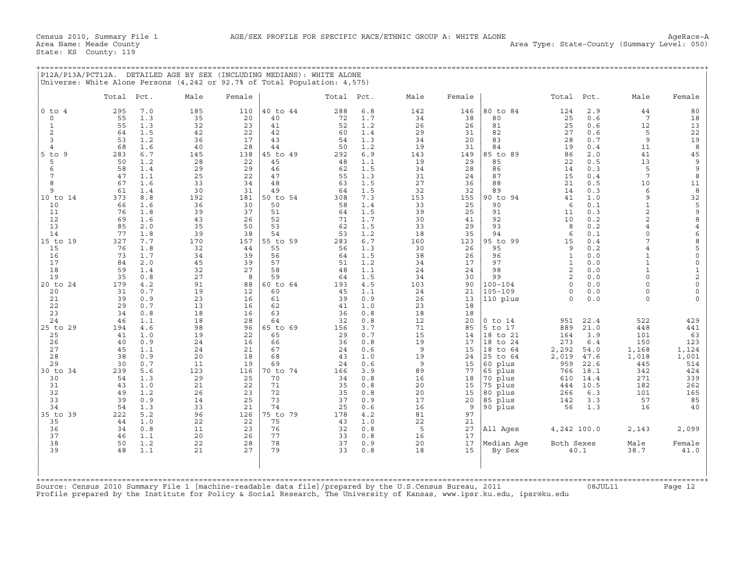|                | Total Pct. |            | Male      | Female    |                | Total Pct. |            | Male      | Female    |                        | Total         | Pct.         | Male                           | Female                                |
|----------------|------------|------------|-----------|-----------|----------------|------------|------------|-----------|-----------|------------------------|---------------|--------------|--------------------------------|---------------------------------------|
| $0$ to $4$     | 295        | 7.0        | 185       | 110       | 40 to 44       | 288        | 6.8        | 142       | 146       | 80 to 84               | 124           | 2.9          | 44                             | 80                                    |
| $\circ$        | 55         | 1.3        | 35        | 20        | 40             | 72         | 1.7        | 34        | 38        | 80                     | 25            | 0.6          | $7\phantom{.0}$                | 18                                    |
| 1<br>2         | 55<br>64   | 1.3<br>1.5 | 32<br>42  | 23<br>22  | 41<br>42       | 52<br>60   | 1.2<br>1.4 | 26<br>29  | 26<br>31  | 81<br>82               | 25<br>27      | 0.6<br>0.6   | 12<br>5                        | 13<br>22                              |
| $\overline{3}$ | 53         | 1.2        | 36        | 17        | 43             | 54         | 1.3        | 34        | 20        | 83                     | 28            | 0.7          | 9                              | 19                                    |
| $\overline{4}$ | 68         | 1.6        | 40        | 28        | 44             | 50         | 1.2        | 19        | 31        | 84                     | 19            | 0.4          | 11                             | 8                                     |
| $5$ to $9$     | 283        | 6.7        | 145       | 138       | 45 to 49       | 292        | 6.9        | 143       | 149       | 85 to 89               | 86            | 2.0          | 41                             | 45                                    |
| 5<br>6         | 50<br>58   | 1.2        | 28<br>29  | 22<br>29  | 45<br>46       | 48         | 1.1<br>1.5 | 19<br>34  | 29<br>28  | 85<br>86               | 22            | 0.5<br>0.3   | 13<br>5                        | $\mathsf 9$<br>9                      |
| 7              | 47         | 1.4<br>1.1 | 25        | 22        | 47             | 62<br>55   | 1.3        | 31        | 24        | 87                     | 14<br>15      | 0.4          | $7\phantom{.0}$                | $\,8\,$                               |
| 8              | 67         | 1.6        | 33        | 34        | 48             | 63         | 1.5        | 27        | 36        | 88                     | 21            | 0.5          | 10                             | 11                                    |
| 9              | 61         | 1.4        | 30        | 31        | 49             | 64         | 1.5        | 32        | 32        | 89                     | 14            | 0.3          | 6                              | $\,$ 8                                |
| 10 to 14       | 373        | 8.8        | 192       | 181       | 50 to 54       | 308        | 7.3        | 153       | 155       | 90 to 94               | 41            | 1.0          | 9                              | 32                                    |
| 10<br>11       | 66<br>76   | 1.6<br>1.8 | 36<br>39  | 30<br>37  | 50<br>51       | 58<br>64   | 1.4<br>1.5 | 33<br>39  | 25<br>25  | 90<br>91               | 6<br>11       | 0.1<br>0.3   | $\mathbf{1}$<br>$\overline{a}$ | $\mathsf S$<br>$\mathsf 9$            |
| 12             | 69         | 1.6        | 43        | 26        | 52             | 71         | 1.7        | 30        | 41        | 92                     | 10            | 0.2          | $\overline{2}$                 | $\,$ 8 $\,$                           |
| 13             | 85         | 2.0        | 35        | 50        | 53             | 62         | 1.5        | 33        | 29        | 93                     | 8             | 0.2          | 4                              | 4                                     |
| 14             | 77         | 1.8        | 39        | 38        | 54             | 53         | 1.2        | 18        | 35        | 94                     | 6             | 0.1          | $\Omega$<br>$\overline{7}$     | 6                                     |
| 15 to 19<br>15 | 327<br>76  | 7.7<br>1.8 | 170<br>32 | 157<br>44 | 55 to 59<br>55 | 283<br>56  | 6.7<br>1.3 | 160<br>30 | 123<br>26 | 95 to 99<br>95         | 15<br>9       | 0.4<br>0.2   | 4                              | $\begin{array}{c} 8 \\ 5 \end{array}$ |
| 16             | 73         | 1.7        | 34        | 39        | 56             | 64         | 1.5        | 38        | 26        | 96                     | $\mathbf{1}$  | 0.0          | $\mathbf{1}$                   | $\mathsf{O}\xspace$                   |
| 17             | 84         | 2.0        | 45        | 39        | 57             | 51         | 1.2        | 34        | 17        | 97                     | $\mathbf{1}$  | 0.0          | $\mathbf{1}$                   | $\mathsf{O}\xspace$                   |
| 18             | 59         | 1.4        | 32        | 27        | 58             | 48         | 1.1        | 24        | 24        | 98                     | 2             | 0.0          | $\mathbf{1}$                   | $\frac{1}{2}$                         |
| 19<br>20 to 24 | 35<br>179  | 0.8<br>4.2 | 27<br>91  | 8<br>88   | 59<br>60 to 64 | 64<br>193  | 1.5<br>4.5 | 34<br>103 | 30<br>90  | 99<br>$100 - 104$      | 2<br>$\Omega$ | 0.0<br>0.0   | $\Omega$<br>$\Omega$           | $\mathsf{O}\xspace$                   |
| 20             | 31         | 0.7        | 19        | 12        | 60             | 45         | 1.1        | 24        | 21        | 105-109                | $\Omega$      | 0.0          | $\Omega$                       | $\mathsf{O}\xspace$                   |
| 21             | 39         | 0.9        | 23        | 16        | 61             | 39         | 0.9        | 26        | 13        | 110 plus               | $\Omega$      | $0.0$        | $\Omega$                       | $\Omega$                              |
| 22             | 29         | 0.7        | 13        | 16        | 62             | 41         | 1.0        | 23        | 18        |                        |               |              |                                |                                       |
| 23<br>24       | 34<br>46   | 0.8<br>1.1 | 18<br>18  | 16<br>28  | 63<br>64       | 36<br>32   | 0.8<br>0.8 | 18<br>12  | 18<br>20  |                        |               | 22.4         | 522                            | 429                                   |
| 25 to 29       | 194        | 4.6        | 98        | 96        | 65 to 69       | 156        | 3.7        | 71        | 85        | $0$ to $14$<br>5 to 17 | 951<br>889    | 21.0         | 448                            | 441                                   |
| 25             | 41         | 1.0        | 19        | 22        | 65             | 29         | 0.7        | 15        | 14        | 18 to 21               | 164           | 3.9          | 101                            | 63                                    |
| 26             | 40         | 0.9        | 24        | 16        | 66             | 36         | 0.8        | 19        | 17        | 18 to 24               | 273           | $6.4$        | 150                            | 123                                   |
| 27<br>28       | 45         | 1.1<br>0.9 | 24<br>20  | 21<br>18  | 67<br>68       | 24<br>43   | 0.6        | 9         | 15        | 18 to 64               | 2,292         | 54.0         | 1,168                          | 1,124                                 |
| 29             | 38<br>30   | 0.7        | 11        | 19        | 69             | 24         | 1.0<br>0.6 | 19<br>9   | 24<br>15  | 25 to 64<br>60 plus    | 2,019<br>959  | 47.6<br>22.6 | 1,018<br>445                   | 1,001<br>514                          |
| 30 to 34       | 239        | 5.6        | 123       | 116       | 70 to 74       | 166        | 3.9        | 89        | 77        | 65 plus                | 766           | 18.1         | 342                            | 424                                   |
| 30             | 54         | 1.3        | 29        | 25        | 70             | 34         | 0.8        | 16        | 18        | 70 plus                | 610           | 14.4         | 271                            | 339                                   |
| 31             | 43         | 1.0        | 21        | 22        | 71             | 35         | 0.8        | 20        | 15        | 75 plus                | 444           | 10.5         | 182                            | 262                                   |
| 32<br>33       | 49<br>39   | 1.2<br>0.9 | 26<br>14  | 23<br>25  | 72<br>73       | 35<br>37   | 0.8<br>0.9 | 20<br>17  | 15<br>20  | 80 plus<br>85 plus     | 266<br>142    | 6.3<br>3.3   | 101<br>57                      | 165<br>85                             |
| 34             | 54         | 1.3        | 33        | 21        | 74             | 25         | 0.6        | 16        | 9         | 90 plus                | 56            | 1.3          | 16                             | 40                                    |
| 35 to 39       | 222        | 5.2        | 96        | 126       | 75 to 79       | 178        | 4.2        | 81        | 97        |                        |               |              |                                |                                       |
| 35             | 44         | 1.0        | 22        | 22        | 75             | 43         | 1.0        | 22        | 21        |                        |               |              |                                |                                       |
| 36<br>37       | 34<br>46   | 0.8<br>1.1 | 11<br>20  | 23<br>26  | 76<br>77       | 32<br>33   | 0.8<br>0.8 | 5<br>16   | 27<br>17  | All Ages               | 4,242 100.0   |              | 2,143                          | 2,099                                 |
| 38             | 50         | 1.2        | 22        | 28        | 78             | 37         | 0.9        | 20        | 17        | Median Aqe             | Both Sexes    |              | Male                           | Female                                |
| 39             | 48         | 1.1        | 21        | 27        | 79             | 33         | 0.8        | 18        | 15        | By Sex                 |               | 40.1         | 38.7                           | 41.0                                  |
|                |            |            |           |           |                |            |            |           |           |                        |               |              |                                |                                       |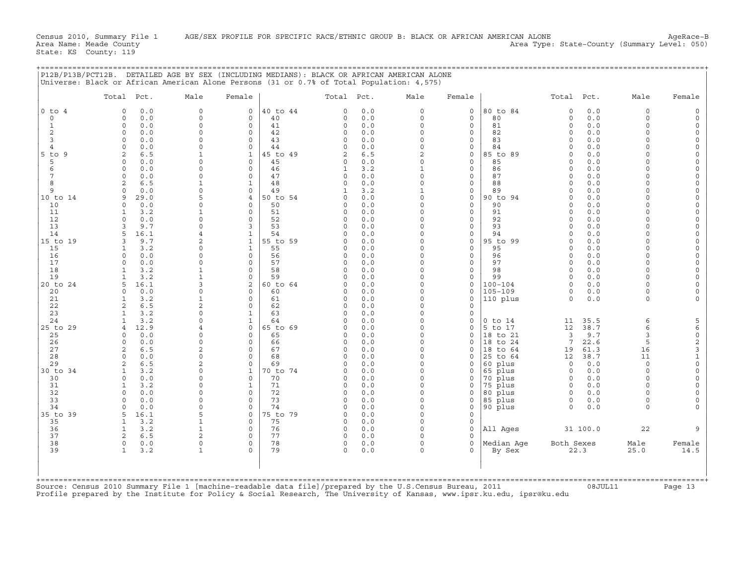|                | Total Pct.                               | Male                           | Female                                 | Total Pct.           |            | Male                     | Female                 |                    | Total Pct.              |             | Male                 | Female                     |
|----------------|------------------------------------------|--------------------------------|----------------------------------------|----------------------|------------|--------------------------|------------------------|--------------------|-------------------------|-------------|----------------------|----------------------------|
| $0$ to $4$     | 0.0<br>$\Omega$                          | $\mathbf 0$                    | 0<br>40 to 44                          | $\Omega$             | 0.0        | $\mathbf 0$              | 0                      | 80 to 84           | $\circ$                 | 0.0         | $\circ$              | $\Omega$                   |
| $\mathbf 0$    | 0.0<br>$\Omega$                          | $\mathbf 0$<br>$\Omega$        | $\mathbf 0$<br>40                      | 0                    | 0.0        | $\Omega$                 | $\mathbf 0$            | 80                 | $\mathbf 0$             | 0.0         | $\Omega$<br>$\Omega$ | $\Omega$                   |
| 1<br>2         | $\Omega$<br>0.0<br>0.0<br>$\Omega$       | $\Omega$                       | $\mathbf 0$<br>41<br>$\mathbf 0$<br>42 | $\mathbf 0$<br>0     | 0.0<br>0.0 | $\Omega$<br>$\Omega$     | $\circ$<br>$\mathbf 0$ | 81<br>82           | $\mathbf 0$<br>$\Omega$ | 0.0<br>0.0  | $\Omega$             | $\Omega$                   |
| 3              | 0.0<br>$\Omega$                          | $\Omega$                       | $\Omega$<br>43                         | $\Omega$             | 0.0        | $\Omega$                 | 0                      | 83                 | $\Omega$                | 0.0         | $\cap$               | $\Omega$                   |
| $\overline{4}$ | 0.0<br>$\Omega$                          | $\Omega$                       | $\Omega$<br>44                         | $\Omega$             | 0.0        | $\Omega$                 | $\mathbf 0$            | 84                 | $\Omega$                | 0.0         | $\cap$               | $\Omega$                   |
| $5$ to<br>9    | 2<br>6.5                                 | $\mathbf{1}$                   | $\mathbf{1}$<br>45 to 49               | $\overline{2}$       | 6.5        | $\overline{c}$           | 0                      | 85 to 89           | $\Omega$                | 0.0         | $\Omega$             | $\Omega$                   |
| 5              | 0.0<br>$\Omega$                          | $\Omega$                       | 45<br>0                                | 0                    | 0.0        | $\Omega$                 | 0                      | 85                 | $\Omega$                | 0.0         | $\Omega$             | $\Omega$                   |
| 6              | 0.0<br>$\Omega$                          |                                | $\Omega$<br>46                         | $\mathbf{1}$         | 3.2        | $\mathbf{1}$             | $\mathbf 0$            | 86                 | $\Omega$                | 0.0         | $\Omega$             |                            |
| 7              | 0.0<br>$\Omega$                          | $\Omega$                       | $\Omega$<br>47                         | $\circ$              | 0.0        | $\mathbf 0$              | 0                      | 87                 | $\Omega$<br>$\Omega$    | 0.0         | $\Omega$<br>$\cap$   | $\Omega$                   |
| 8<br>9         | 6.5<br>2<br>$\Omega$<br>0.0              | $\Omega$                       | 48<br>1<br>$\Omega$<br>49              | $\Omega$             | 0.0<br>3.2 | $\Omega$<br>$\mathbf{1}$ | 0<br>$\mathbf 0$       | 88<br>89           | $\Omega$                | 0.0<br>0.0  | $\Omega$             | $\Omega$<br>$\Omega$       |
| 10 to 14       | 29.0<br>9                                |                                | 50 to 54<br>4                          | 0                    | 0.0        | $\Omega$                 | $\mathbf 0$            | 90 to 94           | $\Omega$                | 0.0         | $\Omega$             | $\Omega$                   |
| 10             | 0.0<br>$\Omega$                          | $\Omega$                       | 50<br>$\circ$                          | $\circ$              | 0.0        | $\Omega$                 | $\mathbf 0$            | 90                 | $\Omega$                | 0.0         | $\Omega$             | $\Omega$                   |
| 11             | 3.2<br>-1.                               |                                | 0<br>51                                | $\Omega$             | 0.0        | $\Omega$                 | 0                      | 91                 | $\Omega$                | 0.0         | $\cap$               | $\Omega$                   |
| 12             | $\cap$<br>0.0                            | $\Omega$                       | $\Omega$<br>52                         | $\Omega$             | 0.0        | $\Omega$                 | $\mathbf 0$            | 92                 | $\cap$                  | 0.0         | $\Omega$             | $\Omega$                   |
| 13             | 3<br>9.7                                 | $\Omega$                       | 53<br>3                                | $\circ$              | 0.0        | $\Omega$                 | 0                      | 93                 | $\Omega$                | 0.0         | $\Omega$             | $\Omega$                   |
| 14             | 16.1<br>5                                |                                | $\mathbf{1}$<br>54                     | $\Omega$             | 0.0        | $\Omega$                 | 0                      | 94                 | $\Omega$                | 0.0         | $\cap$<br>$\Omega$   | $\Omega$                   |
| 15 to 19<br>15 | 9.7<br>3<br>3.2<br>1                     | $\overline{a}$<br>$\Omega$     | 55 to 59<br>$\mathbf{1}$<br>55<br>1    | $\Omega$<br>$\Omega$ | 0.0<br>0.0 | $\Omega$<br>$\Omega$     | $\mathbf 0$<br>0       | 95 to 99<br>95     | $\Omega$<br>$\Omega$    | 0.0<br>0.0  | $\Omega$             | $\Omega$                   |
| 16             | 0.0<br>$\Omega$                          | $\Omega$                       | $\Omega$<br>56                         | $\Omega$             | 0.0        | $\Omega$                 | 0                      | 96                 | $\Omega$                | 0.0         | $\cap$               | $\Omega$                   |
| 17             | 0.0<br>$\Omega$                          | $\Omega$                       | $\Omega$<br>57                         | $\circ$              | 0.0        | $\Omega$                 | $\mathbf 0$            | 97                 | $\Omega$                | $0.0$       | $\Omega$             | $\Omega$                   |
| 18             | 3.2<br>$\mathbf{1}$                      |                                | 58<br>$\circ$                          | $\Omega$             | 0.0        | $\Omega$                 | $\mathbf 0$            | 98                 | $\Omega$                | 0.0         | $\Omega$             | $\Omega$                   |
| 19             | 3.2<br>1                                 |                                | $\mathbf 0$<br>59                      | $\circ$              | 0.0        | $\Omega$                 | 0                      | 99                 | $\circ$                 | 0.0         | $\Omega$             |                            |
| 20 to 24       | 16.1<br>5                                |                                | 2<br>60 to 64                          | $\Omega$             | 0.0        | $\Omega$                 | 0                      | $100 - 104$        | $\Omega$                | 0.0         | $\Omega$             | $\Omega$                   |
| 20             | 0.0<br>$\Omega$                          | $\Omega$                       | $\Omega$<br>60                         | $\Omega$             | 0.0        | $\Omega$                 | $\mathbf 0$            | $105 - 109$        | $\Omega$                | 0.0         | $\Omega$             | $\Omega$                   |
| 21<br>22       | $\mathbf{1}$<br>3.2<br>2<br>6.5          | $\mathbf{1}$<br>$\overline{a}$ | 0<br>61<br>62<br>$\Omega$              | 0<br>$\circ$         | 0.0<br>0.0 | $\Omega$<br>$\Omega$     | 0<br>$\mathbf 0$       | 110 plus           | $\Omega$                | 0.0         | $\Omega$             |                            |
| 23             | 3.2<br>$\mathbf{1}$                      |                                | $\mathbf{1}$<br>63                     | $\Omega$             | 0.0        | $\Omega$                 | $\mathbf 0$            |                    |                         |             |                      |                            |
| 24             | 3.2<br>1                                 | $\Omega$                       | $\mathbf{1}$<br>64                     | $\Omega$             | 0.0        | $\mathbf 0$              | 0                      | $0$ to $14$        | 11                      | 35.5        | 6                    | 5                          |
| 25 to 29       | 12.9<br>4                                |                                | $\mathbf 0$<br>65 to 69                | $\Omega$             | 0.0        | $\Omega$                 | 0                      | 5 to 17            | 12                      | 38.7        | 6                    | 6                          |
| 25             | 0.0<br>$\Omega$                          | $\Omega$                       | $\mathbf 0$<br>65                      | $\Omega$             | 0.0        | $\Omega$                 | $\mathbf 0$            | 18 to 21           | 3                       | 9.7         | 3                    | $\mathsf{O}\xspace$        |
| 26             | 0.0<br>$\Omega$                          | $\Omega$                       | $\circ$<br>66                          | $\circ$              | 0.0        | $\Omega$                 | 0                      | 18 to 24           | 7                       | 22.6        | 5                    | $\mathbf 2$                |
| 27             | 2<br>6.5                                 | $\overline{a}$                 | $\Omega$<br>67                         | $\Omega$             | 0.0        | $\Omega$                 | $\Omega$               | 18 to 64           | 19                      | 61.3        | 16                   | 3                          |
| 28<br>29       | $\Omega$<br>0.0<br>$\mathfrak{D}$<br>6.5 | $\Omega$<br>2                  | 68<br>$\Omega$<br>$\Omega$<br>69       | $\Omega$<br>$\Omega$ | 0.0<br>0.0 | $\Omega$<br>$\Omega$     | 0<br>0                 | 25 to 64           | 12<br>$\circ$           | 38.7<br>0.0 | 11<br>$\Omega$       | $\mathbf 1$<br>$\mathbf 0$ |
| 30 to 34       | <sup>1</sup><br>3.2                      | $\Omega$                       | $\mathbf{1}$<br>70 to 74               | $\circ$              | 0.0        | $\Omega$                 | 0                      | 60 plus<br>65 plus | $\circ$                 | 0.0         | $\Omega$             | $\Omega$                   |
| 30             | 0.0<br>$\Omega$                          | $\Omega$                       | $\mathbf 0$<br>70                      | $\Omega$             | 0.0        | $\Omega$                 | 0                      | 70 plus            | $\circ$                 | 0.0         | $\Omega$             | $\Omega$                   |
| 31             | 3.2<br>1                                 | $\Omega$                       | 71<br>1                                | $\Omega$             | 0.0        | $\Omega$                 | 0                      | 75 plus            | $\Omega$                | $0.0$       | $\Omega$             |                            |
| 32             | $\Omega$<br>0.0                          | $\Omega$                       | 0<br>72                                | 0                    | 0.0        | 0                        | 0                      | 80 plus            | $\circ$                 | 0.0         | $\Omega$             | $\Omega$                   |
| 33             | $\Omega$<br>0.0                          | $\Omega$                       | 73<br>$\Omega$                         | $\Omega$             | 0.0        | $\Omega$                 | 0                      | 85 plus            | $\circ$                 | 0.0         | $\Omega$             | $\Omega$                   |
| 34             | 0.0<br>$\Omega$                          | $\Omega$                       | $\circ$<br>74                          | 0                    | 0.0        | $\Omega$                 | 0                      | 90 plus            | $\Omega$                | 0.0         | $\Omega$             |                            |
| 35 to 39       | 16.1<br>5                                | 5                              | $\mathbf 0$<br>75 to 79                | 0                    | 0.0        | $\Omega$<br>$\Omega$     | 0                      |                    |                         |             |                      |                            |
| 35<br>36       | 3.2<br>$\mathbf{1}$<br>3.2<br>1          |                                | $\Omega$<br>75<br>76<br>$\circ$        | $\Omega$<br>0        | 0.0<br>0.0 | $\Omega$                 | $\mathbf 0$<br>0       | All Ages           |                         | 31 100.0    | 22                   |                            |
| 37             | 2<br>6.5                                 |                                | $\circ$<br>77                          | $\Omega$             | 0.0        | $\Omega$                 | 0                      |                    |                         |             |                      |                            |
| 38             | 0<br>0.0                                 | 0                              | 78<br>$\mathbf 0$                      | $\circ$              | 0.0        | $\Omega$                 | $\mathbf 0$            | Median Age         | Both Sexes              |             | Male                 | Female                     |
| 39             | $\mathbf{1}$<br>3.2                      | $\mathbf{1}$                   | 79<br>$\Omega$                         | $\Omega$             | 0.0        | $\Omega$                 | $\Omega$               | By Sex             | 22.3                    |             | 25.0                 | 14.5                       |
|                |                                          |                                |                                        |                      |            |                          |                        |                    |                         |             |                      |                            |
|                |                                          |                                |                                        |                      |            |                          |                        |                    |                         |             |                      |                            |

+===================================================================================================================================================+

Source: Census 2010 Summary File 1 [machine−readable data file]/prepared by the U.S.Census Bureau, 2011 08JUL11 Page 13 Profile prepared by the Institute for Policy & Social Research, The University of Kansas, www.ipsr.ku.edu, ipsr@ku.edu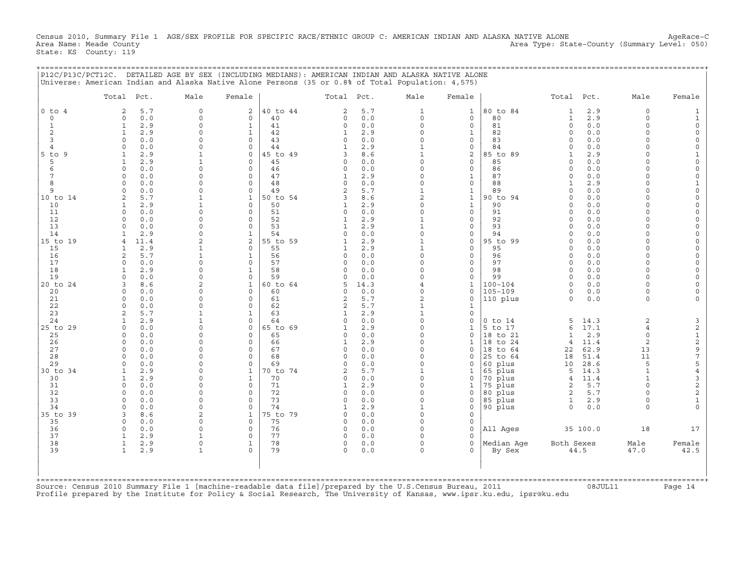Census 2010, Summary File 1 AGE/SEX PROFILE FOR SPECIFIC RACE/ETHNIC GROUP C: AMERICAN INDIAN AND ALASKA NATIVE ALONE AgeRace-C<br>Area Name: Meade County (Summary Level: 050) Area Type: State-County (Summary Level: 050) State: KS County: 119

+===================================================================================================================================================+

| $0$ to<br>$\overline{c}$<br>$\overline{4}$<br>$\circ$<br>0<br>1<br>1<br>$\overline{c}$<br>$\mathbf{1}$<br>$\overline{3}$<br>$\Omega$<br>$\overline{4}$<br>$\Omega$<br>9<br>1<br>5<br>1<br>6<br>$\circ$<br>7<br>$\circ$<br>8<br>$\circ$<br>9<br>$\Omega$<br>$\mathfrak{D}$<br>10<br>$\mathbf{1}$<br>11<br>$\Omega$<br>12<br>$\circ$<br>13<br>$\Omega$<br>14<br>1<br>4<br>15<br>1<br>16<br>2<br>17<br>$\circ$<br>18<br>1<br>19<br>$\Omega$<br>3<br>20<br>$\Omega$<br>21<br>$\circ$<br>22<br>$\mathbf 0$<br>23<br>2<br>24<br>1<br>$\Omega$<br>25<br>$\circ$ | 5.7<br>0.0<br>2.9<br>2.9<br>0.0<br>0.0<br>2.9<br>2.9<br>0.0<br>0.0<br>0.0<br>0.0<br>5.7<br>2.9<br>0.0<br>0.0<br>0.0<br>2.9<br>11.4<br>2.9<br>5.7<br>0.0<br>2.9<br>0.0<br>8.6<br>0.0<br>0.0 | $\Omega$<br>2<br>$\mathbf 0$<br>0<br>$\mathbf{1}$<br>0<br>$\mathbf{1}$<br>$\Omega$<br>$\Omega$<br>$\mathbf 0$<br>$\Omega$<br>$\Omega$<br>$\mathbf 0$<br>$\mathbf{1}$<br>$\mathbf{1}$<br>$\mathbf 0$<br>$\Omega$<br>0<br>$\Omega$<br>$\mathbf 0$<br>$\Omega$<br>0<br>$\Omega$<br>$\Omega$<br>$\mathbf{1}$<br>$\mathbf{1}$<br>$\mathbf{1}$<br>$\mathbf 0$<br>$\mathbf 0$<br>$\Omega$<br>$\Omega$<br>$\Omega$<br>$\Omega$<br>$\Omega$<br>$\mathbf{1}$<br>$\Omega$<br>2<br>$\overline{2}$<br>$\mathbf{1}$<br>0<br>$\mathbf{1}$<br>$\mathbf{1}$<br>$\Omega$<br>$\mathbf 0$<br>$\Omega$<br>$\mathbf{1}$<br>$\Omega$<br>$\Omega$<br>$\mathbf{1}$<br>$\overline{2}$<br>$\Omega$<br>0 | 40 to 44<br>40<br>41<br>42<br>43<br>44<br>45 to 49<br>45<br>46<br>47<br>48<br>49<br>50 to 54<br>50<br>51<br>52<br>53<br>54<br>55 to 59<br>55<br>56<br>57<br>58<br>59<br>60 to 64<br>60 | 2<br>0<br>$\Omega$<br>1<br>$\circ$<br>3<br>$\Omega$<br>$\Omega$<br>-1<br>0<br>$\mathfrak{D}$<br>3<br>1<br>$\Omega$<br>1<br>$\Omega$<br>1<br>$\circ$<br>$\Omega$<br>$\Omega$<br>$\Omega$<br>5 | 5.7<br>0.0<br>0.0<br>2.9<br>0.0<br>2.9<br>8.6<br>0.0<br>0.0<br>2.9<br>0.0<br>5.7<br>8.6<br>2.9<br>0.0<br>2.9<br>2.9<br>0.0<br>2.9<br>2.9<br>0.0<br>0.0<br>0.0<br>0.0<br>14.3 | $\mathbf{1}$<br>0<br>$\Omega$<br>$\Omega$<br>$\Omega$<br>1<br>$\mathbf{1}$<br>$\Omega$<br>$\Omega$<br>0<br>0<br>1<br>$\overline{2}$<br>$\Omega$<br>$\Omega$<br>1<br>1<br>0<br>1<br>$\Omega$<br>$\Omega$<br>$\Omega$<br>$\Omega$<br>4 | $\mathbf{1}$<br>0<br>0<br>$\mathbf{1}$<br>0<br>0<br>2<br>0<br>0<br>1<br>0<br>1<br>$\mathbf{1}$<br>$\mathbf{1}$<br>0<br>0<br>0<br>0<br>0<br>0<br>$\mathbf{0}$<br>0<br>0<br>0 | 80 to 84<br>80<br>81<br>82<br>83<br>84<br>85 to<br>89<br>85<br>86<br>87<br>88<br>89<br>90 to 94<br>90<br>91<br>92<br>93<br>94<br>95 to 99<br>95<br>96<br>97<br>98<br>99 | $\mathbf{1}$<br>$\mathbf{1}$<br>$\mathbf 0$<br>$\circ$<br>$\Omega$<br>$\Omega$<br>1<br>$\Omega$<br>$\Omega$<br>$\Omega$<br>1<br>$\Omega$<br>$\Omega$<br>$\Omega$<br>$\Omega$<br>$\Omega$<br>$\Omega$<br>$\circ$<br>$\Omega$<br>$\Omega$<br>$\Omega$<br>$\Omega$<br>$\Omega$<br>$\Omega$ | 2.9<br>2.9<br>0.0<br>0.0<br>0.0<br>0.0<br>2.9<br>0.0<br>0.0<br>0.0<br>2.9<br>0.0<br>0.0<br>0.0<br>0.0<br>0.0<br>0.0<br>0.0<br>0.0<br>0.0<br>0.0<br>0.0<br>0.0<br>0.0 | $\Omega$<br>$\Omega$<br>$\Omega$<br>$\Omega$<br>$\Omega$<br>$\Omega$<br>$\Omega$<br>$\Omega$<br>$\cap$<br>$\Omega$<br>$\Omega$<br>$\cap$<br>$\Omega$<br>$\Omega$<br>$\Omega$<br>$\Omega$<br>$\Omega$<br>$\Omega$<br>$\Omega$<br>$\Omega$<br>$\Omega$<br>$\Omega$<br>$\Omega$<br>$\Omega$ | $\Omega$<br>$\Omega$<br>$\Omega$<br>$\Omega$<br>$\Omega$<br>$\Omega$<br>$\Omega$<br>$\Omega$<br>$\Omega$<br>$\Omega$<br>$\Omega$<br>$\Omega$<br>$\Omega$ |
|----------------------------------------------------------------------------------------------------------------------------------------------------------------------------------------------------------------------------------------------------------------------------------------------------------------------------------------------------------------------------------------------------------------------------------------------------------------------------------------------------------------------------------------------------------|--------------------------------------------------------------------------------------------------------------------------------------------------------------------------------------------|------------------------------------------------------------------------------------------------------------------------------------------------------------------------------------------------------------------------------------------------------------------------------------------------------------------------------------------------------------------------------------------------------------------------------------------------------------------------------------------------------------------------------------------------------------------------------------------------------------------------------------------------------------------------------|----------------------------------------------------------------------------------------------------------------------------------------------------------------------------------------|----------------------------------------------------------------------------------------------------------------------------------------------------------------------------------------------|------------------------------------------------------------------------------------------------------------------------------------------------------------------------------|--------------------------------------------------------------------------------------------------------------------------------------------------------------------------------------------------------------------------------------|-----------------------------------------------------------------------------------------------------------------------------------------------------------------------------|-------------------------------------------------------------------------------------------------------------------------------------------------------------------------|-----------------------------------------------------------------------------------------------------------------------------------------------------------------------------------------------------------------------------------------------------------------------------------------|----------------------------------------------------------------------------------------------------------------------------------------------------------------------|------------------------------------------------------------------------------------------------------------------------------------------------------------------------------------------------------------------------------------------------------------------------------------------|----------------------------------------------------------------------------------------------------------------------------------------------------------|
| $5$ to<br>10 to 14<br>15 to 19<br>20 to 24<br>25 to 29                                                                                                                                                                                                                                                                                                                                                                                                                                                                                                   |                                                                                                                                                                                            |                                                                                                                                                                                                                                                                                                                                                                                                                                                                                                                                                                                                                                                                              |                                                                                                                                                                                        |                                                                                                                                                                                              |                                                                                                                                                                              |                                                                                                                                                                                                                                      |                                                                                                                                                                             |                                                                                                                                                                         |                                                                                                                                                                                                                                                                                         |                                                                                                                                                                      |                                                                                                                                                                                                                                                                                          |                                                                                                                                                          |
|                                                                                                                                                                                                                                                                                                                                                                                                                                                                                                                                                          |                                                                                                                                                                                            |                                                                                                                                                                                                                                                                                                                                                                                                                                                                                                                                                                                                                                                                              |                                                                                                                                                                                        |                                                                                                                                                                                              |                                                                                                                                                                              |                                                                                                                                                                                                                                      |                                                                                                                                                                             |                                                                                                                                                                         |                                                                                                                                                                                                                                                                                         |                                                                                                                                                                      |                                                                                                                                                                                                                                                                                          |                                                                                                                                                          |
|                                                                                                                                                                                                                                                                                                                                                                                                                                                                                                                                                          |                                                                                                                                                                                            |                                                                                                                                                                                                                                                                                                                                                                                                                                                                                                                                                                                                                                                                              |                                                                                                                                                                                        |                                                                                                                                                                                              |                                                                                                                                                                              |                                                                                                                                                                                                                                      |                                                                                                                                                                             |                                                                                                                                                                         |                                                                                                                                                                                                                                                                                         |                                                                                                                                                                      |                                                                                                                                                                                                                                                                                          |                                                                                                                                                          |
|                                                                                                                                                                                                                                                                                                                                                                                                                                                                                                                                                          |                                                                                                                                                                                            |                                                                                                                                                                                                                                                                                                                                                                                                                                                                                                                                                                                                                                                                              |                                                                                                                                                                                        |                                                                                                                                                                                              |                                                                                                                                                                              |                                                                                                                                                                                                                                      |                                                                                                                                                                             |                                                                                                                                                                         |                                                                                                                                                                                                                                                                                         |                                                                                                                                                                      |                                                                                                                                                                                                                                                                                          |                                                                                                                                                          |
|                                                                                                                                                                                                                                                                                                                                                                                                                                                                                                                                                          |                                                                                                                                                                                            |                                                                                                                                                                                                                                                                                                                                                                                                                                                                                                                                                                                                                                                                              |                                                                                                                                                                                        |                                                                                                                                                                                              |                                                                                                                                                                              |                                                                                                                                                                                                                                      |                                                                                                                                                                             |                                                                                                                                                                         |                                                                                                                                                                                                                                                                                         |                                                                                                                                                                      |                                                                                                                                                                                                                                                                                          |                                                                                                                                                          |
|                                                                                                                                                                                                                                                                                                                                                                                                                                                                                                                                                          |                                                                                                                                                                                            |                                                                                                                                                                                                                                                                                                                                                                                                                                                                                                                                                                                                                                                                              |                                                                                                                                                                                        |                                                                                                                                                                                              |                                                                                                                                                                              |                                                                                                                                                                                                                                      |                                                                                                                                                                             |                                                                                                                                                                         |                                                                                                                                                                                                                                                                                         |                                                                                                                                                                      |                                                                                                                                                                                                                                                                                          |                                                                                                                                                          |
|                                                                                                                                                                                                                                                                                                                                                                                                                                                                                                                                                          |                                                                                                                                                                                            |                                                                                                                                                                                                                                                                                                                                                                                                                                                                                                                                                                                                                                                                              |                                                                                                                                                                                        |                                                                                                                                                                                              |                                                                                                                                                                              |                                                                                                                                                                                                                                      |                                                                                                                                                                             |                                                                                                                                                                         |                                                                                                                                                                                                                                                                                         |                                                                                                                                                                      |                                                                                                                                                                                                                                                                                          |                                                                                                                                                          |
|                                                                                                                                                                                                                                                                                                                                                                                                                                                                                                                                                          |                                                                                                                                                                                            |                                                                                                                                                                                                                                                                                                                                                                                                                                                                                                                                                                                                                                                                              |                                                                                                                                                                                        |                                                                                                                                                                                              |                                                                                                                                                                              |                                                                                                                                                                                                                                      |                                                                                                                                                                             |                                                                                                                                                                         |                                                                                                                                                                                                                                                                                         |                                                                                                                                                                      |                                                                                                                                                                                                                                                                                          |                                                                                                                                                          |
|                                                                                                                                                                                                                                                                                                                                                                                                                                                                                                                                                          |                                                                                                                                                                                            |                                                                                                                                                                                                                                                                                                                                                                                                                                                                                                                                                                                                                                                                              |                                                                                                                                                                                        |                                                                                                                                                                                              |                                                                                                                                                                              |                                                                                                                                                                                                                                      |                                                                                                                                                                             |                                                                                                                                                                         |                                                                                                                                                                                                                                                                                         |                                                                                                                                                                      |                                                                                                                                                                                                                                                                                          |                                                                                                                                                          |
|                                                                                                                                                                                                                                                                                                                                                                                                                                                                                                                                                          |                                                                                                                                                                                            |                                                                                                                                                                                                                                                                                                                                                                                                                                                                                                                                                                                                                                                                              |                                                                                                                                                                                        |                                                                                                                                                                                              |                                                                                                                                                                              |                                                                                                                                                                                                                                      |                                                                                                                                                                             |                                                                                                                                                                         |                                                                                                                                                                                                                                                                                         |                                                                                                                                                                      |                                                                                                                                                                                                                                                                                          |                                                                                                                                                          |
|                                                                                                                                                                                                                                                                                                                                                                                                                                                                                                                                                          |                                                                                                                                                                                            |                                                                                                                                                                                                                                                                                                                                                                                                                                                                                                                                                                                                                                                                              |                                                                                                                                                                                        |                                                                                                                                                                                              |                                                                                                                                                                              |                                                                                                                                                                                                                                      |                                                                                                                                                                             |                                                                                                                                                                         |                                                                                                                                                                                                                                                                                         |                                                                                                                                                                      |                                                                                                                                                                                                                                                                                          |                                                                                                                                                          |
|                                                                                                                                                                                                                                                                                                                                                                                                                                                                                                                                                          |                                                                                                                                                                                            |                                                                                                                                                                                                                                                                                                                                                                                                                                                                                                                                                                                                                                                                              |                                                                                                                                                                                        |                                                                                                                                                                                              |                                                                                                                                                                              |                                                                                                                                                                                                                                      |                                                                                                                                                                             |                                                                                                                                                                         |                                                                                                                                                                                                                                                                                         |                                                                                                                                                                      |                                                                                                                                                                                                                                                                                          |                                                                                                                                                          |
|                                                                                                                                                                                                                                                                                                                                                                                                                                                                                                                                                          |                                                                                                                                                                                            |                                                                                                                                                                                                                                                                                                                                                                                                                                                                                                                                                                                                                                                                              |                                                                                                                                                                                        |                                                                                                                                                                                              |                                                                                                                                                                              |                                                                                                                                                                                                                                      |                                                                                                                                                                             |                                                                                                                                                                         |                                                                                                                                                                                                                                                                                         |                                                                                                                                                                      |                                                                                                                                                                                                                                                                                          |                                                                                                                                                          |
|                                                                                                                                                                                                                                                                                                                                                                                                                                                                                                                                                          |                                                                                                                                                                                            |                                                                                                                                                                                                                                                                                                                                                                                                                                                                                                                                                                                                                                                                              |                                                                                                                                                                                        |                                                                                                                                                                                              |                                                                                                                                                                              |                                                                                                                                                                                                                                      |                                                                                                                                                                             |                                                                                                                                                                         |                                                                                                                                                                                                                                                                                         |                                                                                                                                                                      |                                                                                                                                                                                                                                                                                          |                                                                                                                                                          |
|                                                                                                                                                                                                                                                                                                                                                                                                                                                                                                                                                          |                                                                                                                                                                                            |                                                                                                                                                                                                                                                                                                                                                                                                                                                                                                                                                                                                                                                                              |                                                                                                                                                                                        |                                                                                                                                                                                              |                                                                                                                                                                              |                                                                                                                                                                                                                                      |                                                                                                                                                                             |                                                                                                                                                                         |                                                                                                                                                                                                                                                                                         |                                                                                                                                                                      |                                                                                                                                                                                                                                                                                          |                                                                                                                                                          |
|                                                                                                                                                                                                                                                                                                                                                                                                                                                                                                                                                          |                                                                                                                                                                                            |                                                                                                                                                                                                                                                                                                                                                                                                                                                                                                                                                                                                                                                                              |                                                                                                                                                                                        |                                                                                                                                                                                              |                                                                                                                                                                              |                                                                                                                                                                                                                                      |                                                                                                                                                                             |                                                                                                                                                                         |                                                                                                                                                                                                                                                                                         |                                                                                                                                                                      |                                                                                                                                                                                                                                                                                          |                                                                                                                                                          |
|                                                                                                                                                                                                                                                                                                                                                                                                                                                                                                                                                          |                                                                                                                                                                                            |                                                                                                                                                                                                                                                                                                                                                                                                                                                                                                                                                                                                                                                                              |                                                                                                                                                                                        |                                                                                                                                                                                              |                                                                                                                                                                              |                                                                                                                                                                                                                                      |                                                                                                                                                                             |                                                                                                                                                                         |                                                                                                                                                                                                                                                                                         |                                                                                                                                                                      |                                                                                                                                                                                                                                                                                          |                                                                                                                                                          |
|                                                                                                                                                                                                                                                                                                                                                                                                                                                                                                                                                          |                                                                                                                                                                                            |                                                                                                                                                                                                                                                                                                                                                                                                                                                                                                                                                                                                                                                                              |                                                                                                                                                                                        |                                                                                                                                                                                              |                                                                                                                                                                              |                                                                                                                                                                                                                                      |                                                                                                                                                                             |                                                                                                                                                                         |                                                                                                                                                                                                                                                                                         |                                                                                                                                                                      |                                                                                                                                                                                                                                                                                          |                                                                                                                                                          |
|                                                                                                                                                                                                                                                                                                                                                                                                                                                                                                                                                          |                                                                                                                                                                                            |                                                                                                                                                                                                                                                                                                                                                                                                                                                                                                                                                                                                                                                                              |                                                                                                                                                                                        |                                                                                                                                                                                              |                                                                                                                                                                              |                                                                                                                                                                                                                                      |                                                                                                                                                                             |                                                                                                                                                                         |                                                                                                                                                                                                                                                                                         |                                                                                                                                                                      |                                                                                                                                                                                                                                                                                          |                                                                                                                                                          |
|                                                                                                                                                                                                                                                                                                                                                                                                                                                                                                                                                          |                                                                                                                                                                                            |                                                                                                                                                                                                                                                                                                                                                                                                                                                                                                                                                                                                                                                                              |                                                                                                                                                                                        |                                                                                                                                                                                              |                                                                                                                                                                              |                                                                                                                                                                                                                                      |                                                                                                                                                                             |                                                                                                                                                                         |                                                                                                                                                                                                                                                                                         |                                                                                                                                                                      |                                                                                                                                                                                                                                                                                          |                                                                                                                                                          |
|                                                                                                                                                                                                                                                                                                                                                                                                                                                                                                                                                          |                                                                                                                                                                                            |                                                                                                                                                                                                                                                                                                                                                                                                                                                                                                                                                                                                                                                                              |                                                                                                                                                                                        |                                                                                                                                                                                              |                                                                                                                                                                              |                                                                                                                                                                                                                                      |                                                                                                                                                                             |                                                                                                                                                                         |                                                                                                                                                                                                                                                                                         |                                                                                                                                                                      |                                                                                                                                                                                                                                                                                          |                                                                                                                                                          |
|                                                                                                                                                                                                                                                                                                                                                                                                                                                                                                                                                          |                                                                                                                                                                                            |                                                                                                                                                                                                                                                                                                                                                                                                                                                                                                                                                                                                                                                                              |                                                                                                                                                                                        |                                                                                                                                                                                              |                                                                                                                                                                              |                                                                                                                                                                                                                                      |                                                                                                                                                                             |                                                                                                                                                                         |                                                                                                                                                                                                                                                                                         |                                                                                                                                                                      |                                                                                                                                                                                                                                                                                          |                                                                                                                                                          |
|                                                                                                                                                                                                                                                                                                                                                                                                                                                                                                                                                          |                                                                                                                                                                                            |                                                                                                                                                                                                                                                                                                                                                                                                                                                                                                                                                                                                                                                                              |                                                                                                                                                                                        |                                                                                                                                                                                              |                                                                                                                                                                              |                                                                                                                                                                                                                                      |                                                                                                                                                                             | $100 - 104$                                                                                                                                                             | $\Omega$                                                                                                                                                                                                                                                                                | 0.0                                                                                                                                                                  | $\Omega$                                                                                                                                                                                                                                                                                 |                                                                                                                                                          |
|                                                                                                                                                                                                                                                                                                                                                                                                                                                                                                                                                          |                                                                                                                                                                                            |                                                                                                                                                                                                                                                                                                                                                                                                                                                                                                                                                                                                                                                                              |                                                                                                                                                                                        | $\Omega$                                                                                                                                                                                     | 0.0                                                                                                                                                                          | 0                                                                                                                                                                                                                                    | 1<br>0                                                                                                                                                                      | $105 - 109$                                                                                                                                                             | $\circ$                                                                                                                                                                                                                                                                                 | 0.0                                                                                                                                                                  | $\Omega$                                                                                                                                                                                                                                                                                 | $\Omega$                                                                                                                                                 |
|                                                                                                                                                                                                                                                                                                                                                                                                                                                                                                                                                          |                                                                                                                                                                                            | $\Omega$<br>$\Omega$                                                                                                                                                                                                                                                                                                                                                                                                                                                                                                                                                                                                                                                         | 61                                                                                                                                                                                     | 2                                                                                                                                                                                            | 5.7                                                                                                                                                                          | $\overline{c}$                                                                                                                                                                                                                       | 0                                                                                                                                                                           | 110 plus                                                                                                                                                                | $\Omega$                                                                                                                                                                                                                                                                                | 0.0                                                                                                                                                                  | $\Omega$                                                                                                                                                                                                                                                                                 |                                                                                                                                                          |
|                                                                                                                                                                                                                                                                                                                                                                                                                                                                                                                                                          | 0.0                                                                                                                                                                                        | $\Omega$<br>$\mathbf 0$                                                                                                                                                                                                                                                                                                                                                                                                                                                                                                                                                                                                                                                      | 62                                                                                                                                                                                     | 2                                                                                                                                                                                            | 5.7                                                                                                                                                                          | 1                                                                                                                                                                                                                                    | 1                                                                                                                                                                           |                                                                                                                                                                         |                                                                                                                                                                                                                                                                                         |                                                                                                                                                                      |                                                                                                                                                                                                                                                                                          |                                                                                                                                                          |
|                                                                                                                                                                                                                                                                                                                                                                                                                                                                                                                                                          | 5.7                                                                                                                                                                                        | 1<br>1                                                                                                                                                                                                                                                                                                                                                                                                                                                                                                                                                                                                                                                                       | 63                                                                                                                                                                                     | $\mathbf{1}$                                                                                                                                                                                 | 2.9                                                                                                                                                                          | $\mathbf{1}$                                                                                                                                                                                                                         | 0                                                                                                                                                                           |                                                                                                                                                                         |                                                                                                                                                                                                                                                                                         |                                                                                                                                                                      |                                                                                                                                                                                                                                                                                          |                                                                                                                                                          |
|                                                                                                                                                                                                                                                                                                                                                                                                                                                                                                                                                          | 2.9                                                                                                                                                                                        | $\mathbf{1}$<br>$\mathbf 0$                                                                                                                                                                                                                                                                                                                                                                                                                                                                                                                                                                                                                                                  | 64                                                                                                                                                                                     | $\circ$                                                                                                                                                                                      | 0.0                                                                                                                                                                          | $\Omega$                                                                                                                                                                                                                             | 0                                                                                                                                                                           | $0$ to $14$                                                                                                                                                             | 5                                                                                                                                                                                                                                                                                       | 14.3                                                                                                                                                                 | $\overline{2}$                                                                                                                                                                                                                                                                           | 3                                                                                                                                                        |
|                                                                                                                                                                                                                                                                                                                                                                                                                                                                                                                                                          | 0.0                                                                                                                                                                                        | $\Omega$<br>$\Omega$                                                                                                                                                                                                                                                                                                                                                                                                                                                                                                                                                                                                                                                         | 65 to 69                                                                                                                                                                               | $\mathbf{1}$                                                                                                                                                                                 | 2.9                                                                                                                                                                          | $\Omega$                                                                                                                                                                                                                             | $\mathbf{1}$                                                                                                                                                                | 5 to 17                                                                                                                                                                 | 6                                                                                                                                                                                                                                                                                       | 17.1                                                                                                                                                                 | $\overline{4}$                                                                                                                                                                                                                                                                           | $\sqrt{2}$                                                                                                                                               |
|                                                                                                                                                                                                                                                                                                                                                                                                                                                                                                                                                          | 0.0                                                                                                                                                                                        | $\Omega$<br>0                                                                                                                                                                                                                                                                                                                                                                                                                                                                                                                                                                                                                                                                | 65                                                                                                                                                                                     | $\Omega$                                                                                                                                                                                     | 0.0                                                                                                                                                                          | $\Omega$                                                                                                                                                                                                                             | $\Omega$                                                                                                                                                                    | 18 to 21                                                                                                                                                                | 1                                                                                                                                                                                                                                                                                       | 2.9                                                                                                                                                                  | $\Omega$                                                                                                                                                                                                                                                                                 |                                                                                                                                                          |
| 26<br>$\Omega$                                                                                                                                                                                                                                                                                                                                                                                                                                                                                                                                           | 0.0                                                                                                                                                                                        | $\Omega$<br>$\Omega$                                                                                                                                                                                                                                                                                                                                                                                                                                                                                                                                                                                                                                                         | 66                                                                                                                                                                                     | 1                                                                                                                                                                                            | 2.9                                                                                                                                                                          | $\Omega$                                                                                                                                                                                                                             | 1                                                                                                                                                                           | 18 to 24                                                                                                                                                                | 4                                                                                                                                                                                                                                                                                       | 11.4                                                                                                                                                                 | $\overline{2}$                                                                                                                                                                                                                                                                           | $\begin{array}{c}\n1 \\ 2 \\ 9\n\end{array}$                                                                                                             |
| 27<br>$\Omega$                                                                                                                                                                                                                                                                                                                                                                                                                                                                                                                                           | 0.0                                                                                                                                                                                        | $\Omega$<br>$\Omega$                                                                                                                                                                                                                                                                                                                                                                                                                                                                                                                                                                                                                                                         | 67                                                                                                                                                                                     | $\Omega$                                                                                                                                                                                     | 0.0                                                                                                                                                                          | $\Omega$                                                                                                                                                                                                                             | $\Omega$                                                                                                                                                                    | 18 to 64                                                                                                                                                                | 22                                                                                                                                                                                                                                                                                      | 62.9                                                                                                                                                                 | 13                                                                                                                                                                                                                                                                                       |                                                                                                                                                          |
| 28<br>$\Omega$                                                                                                                                                                                                                                                                                                                                                                                                                                                                                                                                           | 0.0                                                                                                                                                                                        | $\Omega$<br>$\Omega$                                                                                                                                                                                                                                                                                                                                                                                                                                                                                                                                                                                                                                                         | 68                                                                                                                                                                                     | $\Omega$                                                                                                                                                                                     | 0.0                                                                                                                                                                          | 0                                                                                                                                                                                                                                    | 0                                                                                                                                                                           | 25 to 64                                                                                                                                                                | 18                                                                                                                                                                                                                                                                                      | 51.4                                                                                                                                                                 | 11                                                                                                                                                                                                                                                                                       | $\boldsymbol{7}$                                                                                                                                         |
| 29<br>$\Omega$                                                                                                                                                                                                                                                                                                                                                                                                                                                                                                                                           | 0.0                                                                                                                                                                                        | $\Omega$<br>$\mathbf 0$                                                                                                                                                                                                                                                                                                                                                                                                                                                                                                                                                                                                                                                      | 69                                                                                                                                                                                     | $\Omega$                                                                                                                                                                                     | 0.0                                                                                                                                                                          | $\Omega$                                                                                                                                                                                                                             | 0                                                                                                                                                                           | 60 plus                                                                                                                                                                 | 10                                                                                                                                                                                                                                                                                      | 28.6                                                                                                                                                                 | 5                                                                                                                                                                                                                                                                                        | 5                                                                                                                                                        |
| 30 to 34<br>1                                                                                                                                                                                                                                                                                                                                                                                                                                                                                                                                            | 2.9                                                                                                                                                                                        | $\mathbf{1}$<br>$\Omega$                                                                                                                                                                                                                                                                                                                                                                                                                                                                                                                                                                                                                                                     | 70 to 74                                                                                                                                                                               | $\mathfrak{D}$                                                                                                                                                                               | 5.7                                                                                                                                                                          | 1                                                                                                                                                                                                                                    | 1                                                                                                                                                                           | 65 plus                                                                                                                                                                 | 5                                                                                                                                                                                                                                                                                       | 14.3                                                                                                                                                                 | $\mathbf{1}$                                                                                                                                                                                                                                                                             | $\,4$                                                                                                                                                    |
| $\mathbf{1}$<br>30                                                                                                                                                                                                                                                                                                                                                                                                                                                                                                                                       | 2.9                                                                                                                                                                                        | $\mathbf{1}$<br>$\Omega$                                                                                                                                                                                                                                                                                                                                                                                                                                                                                                                                                                                                                                                     | 70                                                                                                                                                                                     | $\Omega$                                                                                                                                                                                     | 0.0                                                                                                                                                                          | $\Omega$                                                                                                                                                                                                                             | $\Omega$                                                                                                                                                                    | 70 plus                                                                                                                                                                 | $\overline{4}$                                                                                                                                                                                                                                                                          | 11.4                                                                                                                                                                 | $\mathbf{1}$                                                                                                                                                                                                                                                                             | $\ensuremath{\mathsf{3}}$                                                                                                                                |
| 31<br>$\Omega$                                                                                                                                                                                                                                                                                                                                                                                                                                                                                                                                           | 0.0                                                                                                                                                                                        | $\Omega$<br>$\Omega$                                                                                                                                                                                                                                                                                                                                                                                                                                                                                                                                                                                                                                                         | 71                                                                                                                                                                                     | 1                                                                                                                                                                                            | 2.9                                                                                                                                                                          | $\Omega$                                                                                                                                                                                                                             | 1                                                                                                                                                                           | 75 plus                                                                                                                                                                 | $\mathbf{2}$                                                                                                                                                                                                                                                                            | $5.7$                                                                                                                                                                | $\Omega$                                                                                                                                                                                                                                                                                 | $\sqrt{2}$                                                                                                                                               |
| 32<br>$\Omega$                                                                                                                                                                                                                                                                                                                                                                                                                                                                                                                                           | 0.0                                                                                                                                                                                        | $\Omega$<br>$\Omega$                                                                                                                                                                                                                                                                                                                                                                                                                                                                                                                                                                                                                                                         | 72                                                                                                                                                                                     | $\Omega$                                                                                                                                                                                     | 0.0                                                                                                                                                                          | 0                                                                                                                                                                                                                                    | 0                                                                                                                                                                           | 80 plus                                                                                                                                                                 | $\overline{c}$                                                                                                                                                                                                                                                                          | 5.7                                                                                                                                                                  | $\Omega$                                                                                                                                                                                                                                                                                 | $\sqrt{2}$                                                                                                                                               |
| 33<br>$\Omega$                                                                                                                                                                                                                                                                                                                                                                                                                                                                                                                                           | 0.0                                                                                                                                                                                        | $\Omega$<br>$\Omega$                                                                                                                                                                                                                                                                                                                                                                                                                                                                                                                                                                                                                                                         | 73                                                                                                                                                                                     | $\Omega$                                                                                                                                                                                     | 0.0                                                                                                                                                                          | $\Omega$                                                                                                                                                                                                                             | $\Omega$                                                                                                                                                                    | 85 plus                                                                                                                                                                 | $\mathbf{1}$                                                                                                                                                                                                                                                                            | 2.9                                                                                                                                                                  | $\Omega$                                                                                                                                                                                                                                                                                 | $\mathbf 1$                                                                                                                                              |
| 34<br>$\Omega$<br>3                                                                                                                                                                                                                                                                                                                                                                                                                                                                                                                                      | 0.0                                                                                                                                                                                        | $\Omega$<br>$\circ$<br>$\overline{2}$<br>$\mathbf{1}$                                                                                                                                                                                                                                                                                                                                                                                                                                                                                                                                                                                                                        | 74<br>75 to 79                                                                                                                                                                         | 1<br>$\Omega$                                                                                                                                                                                | 2.9                                                                                                                                                                          | 1<br>$\Omega$                                                                                                                                                                                                                        | 0<br>$\Omega$                                                                                                                                                               | 90 plus                                                                                                                                                                 | $\circ$                                                                                                                                                                                                                                                                                 | 0.0                                                                                                                                                                  | $\Omega$                                                                                                                                                                                                                                                                                 |                                                                                                                                                          |
| 35 to 39<br>35<br>$\circ$                                                                                                                                                                                                                                                                                                                                                                                                                                                                                                                                | 8.6<br>0.0                                                                                                                                                                                 | $\Omega$<br>0                                                                                                                                                                                                                                                                                                                                                                                                                                                                                                                                                                                                                                                                | 75                                                                                                                                                                                     | 0                                                                                                                                                                                            | 0.0<br>0.0                                                                                                                                                                   | $\Omega$                                                                                                                                                                                                                             | 0                                                                                                                                                                           |                                                                                                                                                                         |                                                                                                                                                                                                                                                                                         |                                                                                                                                                                      |                                                                                                                                                                                                                                                                                          |                                                                                                                                                          |
| 36<br>$\mathbf 0$                                                                                                                                                                                                                                                                                                                                                                                                                                                                                                                                        | 0.0                                                                                                                                                                                        | $\Omega$<br>$\mathbf 0$                                                                                                                                                                                                                                                                                                                                                                                                                                                                                                                                                                                                                                                      | 76                                                                                                                                                                                     | $\Omega$                                                                                                                                                                                     | 0.0                                                                                                                                                                          | $\Omega$                                                                                                                                                                                                                             | $\Omega$                                                                                                                                                                    | All Ages                                                                                                                                                                |                                                                                                                                                                                                                                                                                         | 35 100.0                                                                                                                                                             | 18                                                                                                                                                                                                                                                                                       | 17                                                                                                                                                       |
| 37<br>$\mathbf{1}$                                                                                                                                                                                                                                                                                                                                                                                                                                                                                                                                       | 2.9                                                                                                                                                                                        | $\mathbf{1}$<br>$\Omega$                                                                                                                                                                                                                                                                                                                                                                                                                                                                                                                                                                                                                                                     | 77                                                                                                                                                                                     | $\Omega$                                                                                                                                                                                     | 0.0                                                                                                                                                                          | $\Omega$                                                                                                                                                                                                                             | $\Omega$                                                                                                                                                                    |                                                                                                                                                                         |                                                                                                                                                                                                                                                                                         |                                                                                                                                                                      |                                                                                                                                                                                                                                                                                          |                                                                                                                                                          |
| 38<br>$\mathbf{1}$                                                                                                                                                                                                                                                                                                                                                                                                                                                                                                                                       | 2.9                                                                                                                                                                                        | $\mathbf{1}$<br>0                                                                                                                                                                                                                                                                                                                                                                                                                                                                                                                                                                                                                                                            | 78                                                                                                                                                                                     | 0                                                                                                                                                                                            | 0.0                                                                                                                                                                          | $\Omega$                                                                                                                                                                                                                             | $\Omega$                                                                                                                                                                    | Median Aqe                                                                                                                                                              | Both Sexes                                                                                                                                                                                                                                                                              |                                                                                                                                                                      | Male                                                                                                                                                                                                                                                                                     | Female                                                                                                                                                   |
| $\mathbf{1}$<br>39                                                                                                                                                                                                                                                                                                                                                                                                                                                                                                                                       | 2.9                                                                                                                                                                                        | $\mathbf{1}$<br>$\Omega$                                                                                                                                                                                                                                                                                                                                                                                                                                                                                                                                                                                                                                                     | 79                                                                                                                                                                                     | $\Omega$                                                                                                                                                                                     | 0.0                                                                                                                                                                          | $\Omega$                                                                                                                                                                                                                             | $\Omega$                                                                                                                                                                    | By Sex                                                                                                                                                                  | 44.5                                                                                                                                                                                                                                                                                    |                                                                                                                                                                      | 47.0                                                                                                                                                                                                                                                                                     | 42.5                                                                                                                                                     |
|                                                                                                                                                                                                                                                                                                                                                                                                                                                                                                                                                          |                                                                                                                                                                                            |                                                                                                                                                                                                                                                                                                                                                                                                                                                                                                                                                                                                                                                                              |                                                                                                                                                                                        |                                                                                                                                                                                              |                                                                                                                                                                              |                                                                                                                                                                                                                                      |                                                                                                                                                                             |                                                                                                                                                                         |                                                                                                                                                                                                                                                                                         |                                                                                                                                                                      |                                                                                                                                                                                                                                                                                          |                                                                                                                                                          |

Profile prepared by the Institute for Policy & Social Research, The University of Kansas, www.ipsr.ku.edu, ipsr@ku.edu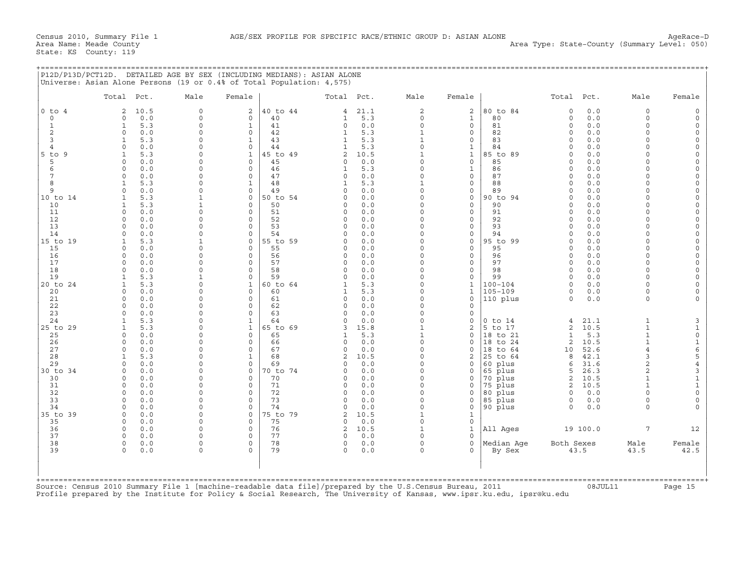+===================================================================================================================================================+

|                |                                      |                          |                     |                |                      | Total Pct. | Male               | Female                              |                | Total Pct.           |            | Male                 | Female                          |
|----------------|--------------------------------------|--------------------------|---------------------|----------------|----------------------|------------|--------------------|-------------------------------------|----------------|----------------------|------------|----------------------|---------------------------------|
| $0$ to $4$     | 2<br>10.5                            | $\circ$                  | $\overline{2}$      | 40 to 44       | 4                    | 21.1       | 2                  | 2                                   | 80 to 84       | $\Omega$             | 0.0        | $\mathbf 0$          | $\mathbf 0$                     |
| $\circ$        | 0.0<br>$\Omega$                      | $\circ$                  | $\Omega$            | 40             | $\mathbf{1}$         | 5.3        | $\Omega$           | $\mathbf{1}$                        | 80             | $\Omega$             | 0.0        | $\Omega$             | $\Omega$                        |
| $\mathbf{1}$   | 5.3<br>$\mathbf{1}$                  | $\Omega$                 | $\mathbf{1}$        | 41             | $\Omega$             | 0.0        | $\Omega$           | $\Omega$                            | 81             | $\Omega$             | 0.0        | $\Omega$             | $\Omega$                        |
| $\overline{c}$ | $\circ$<br>0.0                       | $\Omega$                 | $\Omega$            | 42             | $\mathbf{1}$         | 5.3        | $\mathbf{1}$       | 0                                   | 82             | $\Omega$             | 0.0        | $\Omega$             | $\circ$                         |
| 3              | 5.3<br>1                             | $\Omega$                 | 1                   | 43             | 1                    | 5.3        | $\mathbf 1$        | $\mathbf 0$                         | 83             | $\Omega$             | 0.0        | $\Omega$             | $\circ$                         |
| $\overline{4}$ | 0.0<br>$\Omega$                      | $\Omega$                 | 0                   | 44             | $\mathbf{1}$         | 5.3        | $\Omega$           | $\mathbf{1}$                        | 84             | $\Omega$             | 0.0        | $\cap$               | $\Omega$                        |
| $5$ to $9$     | 5.3<br>1                             | $\Omega$                 | $\mathbf{1}$        | 45 to 49       | $\mathbf{Z}$         | 10.5       | $\mathbf{1}$       | $\mathbf{1}$                        | 85 to 89       | $\Omega$             | 0.0        | $\cap$               | $\Omega$                        |
| 5              | $\circ$<br>0.0                       | $\Omega$                 | $\Omega$            | 45             | $\circ$              | 0.0        | $\circ$            | $\mathbf 0$                         | 85             | $\Omega$             | 0.0        | $\Omega$             | $\Omega$<br>$\circ$             |
| 6              | $\Omega$<br>0.0                      | $\Omega$                 | $\Omega$            | 46             | $\mathbf{1}$         | 5.3        | $\Omega$           | $\mathbf{1}$                        | 86             | $\Omega$             | 0.0        | $\Omega$             |                                 |
| 7              | 0.0<br>$\Omega$                      | $\Omega$                 | $\Omega$            | 47             | $\Omega$             | 0.0        | $\Omega$           | $\mathbf 0$                         | 87             | $\Omega$             | 0.0        | $\Omega$             |                                 |
| 8              | 5.3<br>$\mathbf{1}$                  | $\Omega$                 | $\mathbf{1}$        | 48             | $\mathbf{1}$         | 5.3        | $\mathbf{1}$       | $\Omega$                            | 88             | $\Omega$             | 0.0        | $\cap$               | $\Omega$<br>$\mathsf{O}\xspace$ |
| 9              | $\Omega$<br>0.0                      | $\Omega$                 | $\Omega$            | 49             | $\Omega$             | 0.0        | $\Omega$           | $\mathsf{O}\xspace$                 | 89             | $\Omega$             | 0.0        | $\Omega$             |                                 |
| 10 to 14       | 5.3<br>1                             | $\mathbf{1}$             | 0                   | 50 to 54       | $\Omega$             | 0.0        | $\Omega$           | $\mathsf{O}\xspace$                 | 90 to 94       | $\Omega$             | 0.0        | $\Omega$             | $\mathsf O$                     |
| 10             | 5.3<br>$\mathbf{1}$                  | 1                        | $\Omega$            | 50             | $\Omega$             | 0.0        | $\Omega$           | $\mathbf 0$                         | 90             | $\Omega$             | 0.0        | $\Omega$             |                                 |
| 11             | $\Omega$<br>0.0                      | $\Omega$                 | $\Omega$            | 51             | 0                    | 0.0        | $\Omega$           | $\mathbf 0$                         | 91             | $\Omega$             | 0.0        | $\Omega$             |                                 |
| 12             | $\Omega$<br>0.0                      | $\Omega$                 | $\Omega$            | 52             | $\Omega$             | 0.0        | $\Omega$           | $\mathbf 0$                         | 92             | $\Omega$             | 0.0        | $\Omega$             |                                 |
| 13<br>14       | 0.0<br>$\Omega$                      | $\Omega$<br>$\Omega$     | $\Omega$            | 53             | $\Omega$<br>$\cap$   | 0.0        | $\Omega$<br>$\cap$ | $\mathbf 0$                         | 93             | $\Omega$<br>$\Omega$ | 0.0        | $\Omega$<br>$\Omega$ |                                 |
|                | $\Omega$<br>0.0                      |                          | $\Omega$            | 54             |                      | 0.0        | $\Omega$           | $\Omega$<br>$\mathbf 0$             | 94             | $\Omega$             | 0.0        | $\Omega$             |                                 |
| 15 to 19       | 5.3<br>$\mathbf{1}$<br>$\cap$<br>0.0 | $\mathbf{1}$<br>$\Omega$ | $\circ$<br>$\Omega$ | 55 to 59<br>55 | $\Omega$<br>$\Omega$ | 0.0<br>0.0 | $\cap$             | $\Omega$                            | 95 to 99<br>95 | $\Omega$             | 0.0<br>0.0 | $\cap$               |                                 |
| 15<br>16       |                                      | $\Omega$                 | $\circ$             |                |                      | 0.0        | $\Omega$           |                                     |                | $\Omega$             | 0.0        | $\Omega$             |                                 |
| 17             | 0.0<br>$\circ$<br>0.0<br>$\Omega$    | $\Omega$                 | $\Omega$            | 56<br>57       | $\circ$<br>$\circ$   | 0.0        | $\Omega$           | $\mathsf{O}\xspace$<br>$\mathbf{0}$ | 96<br>97       | $\Omega$             | 0.0        | $\Omega$             |                                 |
| 18             | $\Omega$<br>0.0                      | $\Omega$                 | $\Omega$            | 58             | $\circ$              | 0.0        | $\circ$            | $\mathbf 0$                         | 98             | $\Omega$             | 0.0        | $\Omega$             |                                 |
| 19             | 5.3<br>1                             | $\mathbf{1}$             | 0                   | 59             | $\circ$              | 0.0        | $\Omega$           | $\mathbf 0$                         | 99             | $\Omega$             | 0.0        | $\Omega$             |                                 |
| 20 to 24       | 5.3<br>$\mathbf{1}$                  | $\Omega$                 | $\mathbf{1}$        | 60 to 64       | 1                    | 5.3        | $\Omega$           | $\mathbf{1}$                        | $100 - 104$    | $\Omega$             | 0.0        | $\Omega$             |                                 |
| 20             | $\Omega$<br>0.0                      | $\Omega$                 | $\Omega$            | 60             | $\mathbf{1}$         | 5.3        | $\Omega$           | $\mathbf{1}$                        | $105 - 109$    | $\Omega$             | 0.0        | $\Omega$             |                                 |
| 21             | 0.0<br>$\Omega$                      | $\Omega$                 | $\Omega$            | 61             | $\Omega$             | 0.0        | $\Omega$           | $\Omega$                            | 110 plus       | $\Omega$             | 0.0        | $\Omega$             |                                 |
| 22             | $\Omega$<br>0.0                      | $\Omega$                 | $\Omega$            | 62             | $\Omega$             | 0.0        | $\Omega$           | $\mathbf 0$                         |                |                      |            |                      |                                 |
| 23             | $\Omega$<br>0.0                      | $\Omega$                 | $\Omega$            | 63             | $\Omega$             | 0.0        | $\Omega$           | $\mathbf 0$                         |                |                      |            |                      |                                 |
| 24             | 5.3<br>1                             | 0                        | 1                   | 64             | 0                    | 0.0        | $\circ$            | 0                                   | $0$ to $14$    | 4                    | 21.1       | 1                    |                                 |
| 25 to 29       | 5.3<br>1                             | $\Omega$                 | 1                   | 65 to 69       | 3                    | 15.8       | $\mathbf{1}$       | 2                                   | 5 to 17        | 2                    | 10.5       | $\mathbf{1}$         |                                 |
| 25             | 0.0<br>0                             | $\Omega$                 | $\Omega$            | 65             | $\mathbf{1}$         | 5.3        | $\mathbf{1}$       | $\mathbf 0$                         | 18 to 21       | $\mathbf{1}$         | 5.3        | $\mathbf{1}$         |                                 |
| 26             | 0.0<br>$\Omega$                      | $\Omega$                 | $\Omega$            | 66             | $\circ$              | 0.0        | $\Omega$           | $\Omega$                            | 18 to 24       | 2                    | 10.5       | $\mathbf{1}$         |                                 |
| 27             | $\Omega$<br>0.0                      | $\Omega$                 | $\Omega$            | 67             | $\circ$              | 0.0        | $\Omega$           | $\mathbf 0$                         | 18 to 64       | 10                   | 52.6       | $\overline{4}$       |                                 |
| 28             | 5.3<br>$\mathbf{1}$                  | $\Omega$                 | $\mathbf{1}$        | 68             | 2                    | 10.5       | $\Omega$           | 2                                   | 25 to 64       | 8                    | 42.1       | 3                    |                                 |
| 29             | 0.0<br>$\Omega$                      | $\Omega$                 | $\Omega$            | 69             | $\Omega$             | 0.0        | $\Omega$           | $\Omega$                            | 60 plus        | 6                    | 31.6       | 2                    |                                 |
| 30 to 34       | $\Omega$<br>0.0                      | $\Omega$                 | $\Omega$            | 70 to 74       | $\Omega$             | 0.0        | $\Omega$           | 0                                   | 65 plus        | 5                    | 26.3       | 2                    |                                 |
| 30             | $\Omega$<br>0.0                      | $\Omega$                 | $\Omega$            | 70             | $\Omega$             | 0.0        | $\Omega$           | $\mathsf{O}\xspace$                 | 70 plus        | $\mathbf{2}$         | 10.5       | 1                    |                                 |
| 31             | 0.0<br>0                             | $\mathbf 0$              | 0                   | 71             | 0                    | 0.0        | $\Omega$           | $\mathsf{O}$                        | 75 plus        | 2                    | 10.5       |                      |                                 |
| 32             | $\Omega$<br>0.0                      | $\Omega$                 | $\Omega$            | 72             | $\Omega$             | 0.0        | $\Omega$           | $\Omega$                            | 80 plus        | $\Omega$             | 0.0        | $\cap$               |                                 |
| 33             | $\Omega$<br>0.0                      | $\Omega$                 | 0                   | 73             | 0                    | 0.0        | $\circ$            | 0                                   | 85 plus        | $\mathbf 0$          | 0.0        | $\Omega$             |                                 |
| 34             | $\Omega$<br>0.0                      | $\Omega$                 | $\Omega$            | 74             | $\circ$              | 0.0        | $\Omega$           | $\mathbf 0$                         | 90 plus        | $\Omega$             | 0.0        | $\Omega$             |                                 |
| 35 to 39       | $\circ$<br>0.0                       | $\Omega$                 | 0                   | 75 to 79       | 2                    | 10.5       | $\mathbf{1}$       | $\mathbf{1}$                        |                |                      |            |                      |                                 |
| 35             | 0.0<br>$\Omega$                      | $\Omega$                 | $\Omega$            | 75             | $\Omega$             | 0.0        | $\Omega$           | $\mathbf 0$                         |                |                      |            |                      |                                 |
| 36             | $\Omega$<br>0.0                      | $\Omega$                 | $\Omega$            | 76             | $\overline{a}$       | 10.5       | $\mathbf{1}$       | $\mathbf{1}$                        | All Ages       |                      | 19 100.0   | $7\overline{ }$      | 12                              |
| 37             | 0.0<br>$\Omega$                      | $\Omega$                 | 0                   | 77             | $\Omega$             | 0.0        | $\Omega$           | $\mathbf 0$                         |                |                      |            |                      |                                 |
| 38             | $\circ$<br>0.0                       | $\Omega$                 | $\Omega$            | 78             | 0                    | 0.0        | $\circ$            | $\mathbf 0$                         | Median Aqe     | Both Sexes           |            | Male                 | Female                          |
| 39             | $\Omega$<br>0.0                      | $\Omega$                 | $\Omega$            | 79             | $\Omega$             | 0.0        | $\Omega$           | $\Omega$                            | By Sex         |                      | 43.5       | 43.5                 | 42.5                            |
|                |                                      |                          |                     |                |                      |            |                    |                                     |                |                      |            |                      |                                 |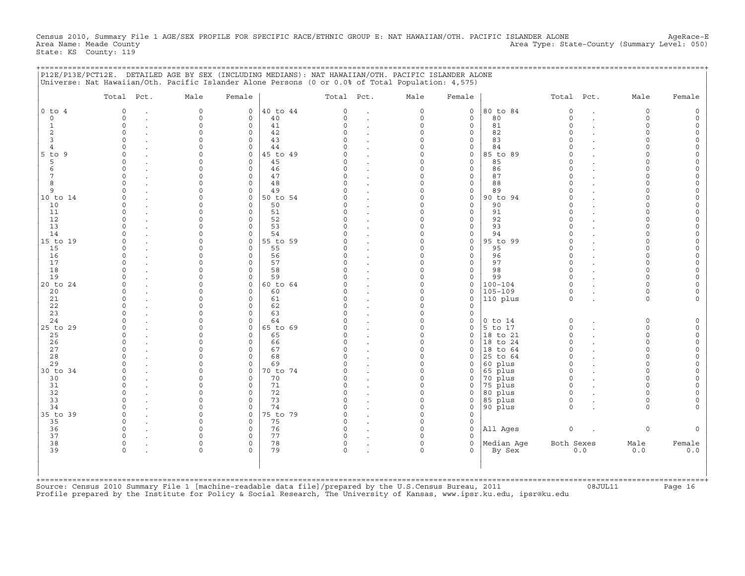Census 2010, Summary File 1 AGE/SEX PROFILE FOR SPECIFIC RACE/ETHNIC GROUP E: NAT HAWAIIAN/OTH. PACIFIC ISLANDER ALONE AgeRace-E<br>Area Name: Meade County (Summary Level: 050) Area Type: State-County (Summary Level: 050) State: KS County: 119

+===================================================================================================================================================+

|                | Total Pct.          | Male                 | Female                     |          | Total Pct.           |                      | Male                 | Female                     |             | Total Pct.           |     | Male     | Female |
|----------------|---------------------|----------------------|----------------------------|----------|----------------------|----------------------|----------------------|----------------------------|-------------|----------------------|-----|----------|--------|
| $0$ to $4$     | $\Omega$            | $\mathbf 0$          | $\mathbf 0$                | 40 to 44 | $\Omega$             | $\cdot$              | $\circ$              | $\mathbf 0$                | 80 to 84    | $\mathsf{O}\xspace$  |     | $\circ$  |        |
| $\circ$        | $\Omega$            | $\Omega$             | $\mathbf 0$                | 40       | $\Omega$             | $\ddot{\phantom{0}}$ | $\Omega$             | $\Omega$                   | 80          | $\Omega$             |     | $\Omega$ |        |
| 1              | $\Omega$            | $\Omega$             | $\mathbf 0$                | 41       | $\Omega$             |                      | $\Omega$             | $\mathbf 0$                | 81          | $\Omega$             |     | $\Omega$ |        |
| 2              | $\cap$              | $\Omega$             | $\Omega$                   | 42       | $\Omega$             |                      | $\Omega$             | $\mathbf 0$                | 82          | $\Omega$             |     | $\Omega$ |        |
| 3              |                     | $\Omega$             | $\mathbf 0$                | 43       | $\cap$               |                      | $\Omega$             | $\mathbf 0$                | 83          | $\Omega$             |     | $\cap$   |        |
| $\overline{4}$ |                     | $\Omega$             | $\Omega$                   | 44       | $\cap$               |                      | $\Omega$             | $\mathbf 0$                | 84          | $\cap$               |     | $\cap$   |        |
| $5$ to<br>9    | $\cap$              | $\Omega$             | $\mathbf 0$                | 45 to 49 | O                    |                      | $\Omega$             | 0                          | 85 to 89    | $\Omega$             |     | $\cap$   |        |
| 5<br>6         | $\cap$              |                      | $\mathbf 0$<br>$\mathbf 0$ | 45<br>46 | U<br>U               | $\cdot$              | O<br>O               | $\mathbf 0$<br>$\mathbf 0$ | 85<br>86    | $\Omega$<br>$\Omega$ |     |          |        |
| 7              |                     |                      | $\Omega$                   | 47       | $\Omega$             | $\cdot$              | $\Omega$             | $\mathbf 0$                | 87          | $\Omega$             |     |          |        |
| 8              |                     |                      | $\Omega$                   | 48       | $\Omega$             |                      | $\Omega$             | $\mathbf 0$                | 88          | $\Omega$             |     |          |        |
| 9              |                     |                      | $\mathbf 0$                | 49       | U                    |                      | $\Omega$             | 0                          | 89          | $\Omega$             |     | $\cap$   |        |
| 10 to 14       |                     | $\Omega$             | $\mathbf 0$                | 50 to 54 | U                    |                      | $\Omega$             | 0                          | 90 to 94    | $\Omega$             |     | $\cap$   |        |
| 10             | $\Omega$            | $\Omega$             | $\mathbf 0$                | 50       | 0                    |                      | $\Omega$             | $\mathbf 0$                | 90          | $\Omega$             |     | $\cap$   |        |
| 11             |                     |                      | $\mathbf 0$                | 51       | O                    |                      | $\Omega$             | 0                          | 91          | $\Omega$             |     | $\cap$   |        |
| 12             |                     | $\Omega$             | 0                          | 52       | 0                    |                      | $\Omega$             | $\mathbf 0$                | 92          | $\Omega$             |     | $\cap$   |        |
| 13             |                     |                      | $\Omega$                   | 53       | $\Omega$             |                      | 0                    | $\mathbf 0$                | 93          | $\Omega$             |     |          |        |
| 14             | $\Omega$            |                      | $\mathbf 0$                | 54       | $\Omega$             |                      | $\Omega$             | 0                          | 94          | $\Omega$             |     | $\Omega$ |        |
| 15 to 19       |                     |                      | 0                          | 55 to 59 |                      |                      | $\Omega$             | 0                          | 95 to 99    | $\Omega$             |     |          |        |
| 15             |                     | $\Omega$             | $\Omega$                   | 55       | O                    |                      | $\Omega$             | $\mathbf 0$                | 95          | $\Omega$             |     | $\Omega$ |        |
| 16             | $\Omega$            | $\Omega$             | $\mathbf 0$                | 56       | 0                    |                      | $\Omega$             | 0                          | 96          | $\Omega$             |     | $\cap$   |        |
| 17             |                     |                      | $\mathbf 0$                | 57       | O                    |                      | $\Omega$             | 0                          | 97          | $\Omega$             |     | $\cap$   |        |
| 18             |                     |                      | 0                          | 58       | O                    |                      | $\Omega$             | 0                          | 98          | $\Omega$             |     | $\Omega$ |        |
| 19             |                     |                      | 0                          | 59       | U                    |                      | $\Omega$             | 0                          | 99          | $\Omega$             |     | $\cap$   |        |
| 20 to 24       |                     |                      | $\Omega$                   | 60 to 64 | $\Omega$             |                      | $\Omega$             | $\mathbf 0$                | $100 - 104$ | $\Omega$             |     | $\Omega$ |        |
| 20             |                     |                      | $\Omega$                   | 60       | U                    |                      | $\Omega$             | $\mathbf 0$                | $105 - 109$ | $\Omega$             |     | $\Omega$ |        |
| 21             |                     | $\Omega$             | $\Omega$<br>$\Omega$       | 61<br>62 | $\Omega$<br>$\Omega$ |                      | $\Omega$<br>$\Omega$ | $\circ$<br>$\mathbf 0$     | 110 plus    | $\Omega$             |     | $\Omega$ |        |
| 22<br>23       |                     | $\Omega$             | $\Omega$                   | 63       | $\Omega$             |                      | $\Omega$             | $\mathbf 0$                |             |                      |     |          |        |
| 24             |                     | $\Omega$             | $\mathbf 0$                | 64       | $\Omega$             |                      | $\Omega$             | $\mathbf 0$                | $0$ to $14$ | $\circ$              |     | $\circ$  |        |
| 25 to 29       |                     |                      | $\mathbf 0$                | 65 to 69 | $\Omega$             |                      | $\Omega$             | $\Omega$                   | 5 to 17     | $\Omega$             |     | $\Omega$ |        |
| 25             | $\cap$              | $\cap$               | $\mathbf 0$                | 65       | O                    | $\cdot$              | $\Omega$             | $\mathbf 0$                | 18 to 21    | $\Omega$             |     | $\Omega$ |        |
| 26             |                     |                      | $\Omega$                   | 66       | $\Omega$             |                      | $\Omega$             | $\Omega$                   | 18 to 24    | $\Omega$             |     | $\Omega$ |        |
| 27             |                     |                      | $\Omega$                   | 67       | $\cap$               |                      | $\Omega$             | $\Omega$                   | 18 to 64    | $\Omega$             |     | $\Omega$ |        |
| 28             |                     | $\Omega$             | $\mathbf 0$                | 68       | $\Omega$             |                      | $\Omega$             | 0                          | 25 to 64    | $\Omega$             |     | $\Omega$ |        |
| 29             |                     | $\Omega$             | $\circ$                    | 69       | U                    |                      | $\Omega$             | 0                          | 60 plus     | $\Omega$             |     | $\Omega$ |        |
| 30 to 34       |                     | $\Omega$             | $\mathbf 0$                | 70 to 74 | O                    | $\cdot$              | $\Omega$             | 0                          | 65 plus     | $\Omega$             |     | $\Omega$ |        |
| 30             |                     | $\Omega$             | $\Omega$                   | 70       | $\Omega$             |                      | $\Omega$             | 0                          | 70 plus     | $\Omega$             |     | $\cap$   |        |
| 31             | $\Omega$            | $\Omega$             | $\mathbf 0$                | 71       | $\Omega$             | $\ddot{\phantom{a}}$ | $\Omega$             | $\mathbf 0$                | 75 plus     | $\circ$              |     | $\Omega$ |        |
| 32             |                     |                      | $\mathbf 0$                | 72       | $\Omega$             | $\bullet$            | $\Omega$             | 0                          | 80 plus     | $\Omega$             |     | $\Omega$ |        |
| 33             | $\cap$              | $\Omega$             | $\mathbf 0$                | 73       | $\Omega$             | $\cdot$              | $\Omega$             | $\mathbf 0$                | 85 plus     | $\Omega$             |     | $\Omega$ |        |
| 34             |                     |                      | $\circ$                    | 74       | $\Omega$             |                      | $\Omega$             | $\mathbf 0$                | 90 plus     | $\Omega$             |     | $\Omega$ |        |
| 35 to 39       |                     | $\Omega$             | $\mathbf 0$                | 75 to 79 | $\Omega$             |                      | $\Omega$             | $\Omega$                   |             |                      |     |          |        |
| 35             | $\cap$              | $\Omega$             | $\mathbf 0$                | 75       | $\Omega$             |                      | $\Omega$             | 0                          |             |                      |     |          |        |
| 36             |                     | $\Omega$             | $\mathbf 0$                | 76       | $\Omega$             |                      | $\Omega$             | 0                          | All Ages    | $\mathsf O$          |     | $\Omega$ |        |
| 37<br>38       | $\circ$<br>$\Omega$ | $\Omega$<br>$\Omega$ | $\mathbf 0$<br>0           | 77<br>78 | 0<br>0               |                      | $\Omega$<br>$\Omega$ | 0<br>$\mathbf 0$           | Median Aqe  | Both Sexes           |     | Male     | Female |
| 39             | $\Omega$            |                      |                            | 79       | $\Omega$             |                      | $\Omega$             | $\Omega$                   |             |                      | 0.0 | 0.0      |        |
|                |                     |                      |                            |          |                      |                      |                      |                            | By Sex      |                      |     |          | 0.0    |
|                |                     |                      |                            |          |                      |                      |                      |                            |             |                      |     |          |        |
|                |                     |                      |                            |          |                      |                      |                      |                            |             |                      |     |          |        |

Profile prepared by the Institute for Policy & Social Research, The University of Kansas, www.ipsr.ku.edu, ipsr@ku.edu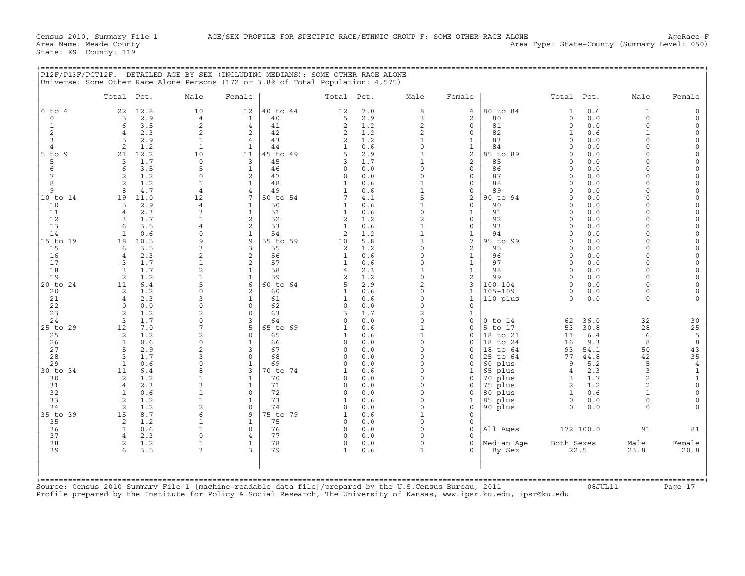|               |            |               | P12F/P13F/PCT12F. DETAILED AGE BY SEX (INCLUDING MEDIANS): SOME OTHER RACE ALONE<br>Universe: Some Other Race Alone Persons (172 or 3.8% of Total Population: 4,575) |        |             |               |        |      |        |                     |       |      |      |        |
|---------------|------------|---------------|----------------------------------------------------------------------------------------------------------------------------------------------------------------------|--------|-------------|---------------|--------|------|--------|---------------------|-------|------|------|--------|
|               | Total Pct. |               | Male                                                                                                                                                                 | Female |             | Total Pct.    |        | Male | Female |                     | Total | Pct. | Male | Female |
| $ 0 \t{to} 4$ |            | 22 12.8       | 10                                                                                                                                                                   |        | 12 40 to 44 |               | 12 7.0 |      |        | 4  80 to 84         |       | 10.6 |      |        |
|               |            | $5 \quad 2.9$ |                                                                                                                                                                      |        |             | $\sim$ $\sim$ | 2.9    |      |        | 80<br>$\sim$ $\sim$ |       | 0.0  |      |        |

|                     | Total Pct.                        | Male                         | Female                           |                | Total Pct.                     |            | Male                     | Female                       |                        | Total Pct.               |              | Male                            | Female                                 |
|---------------------|-----------------------------------|------------------------------|----------------------------------|----------------|--------------------------------|------------|--------------------------|------------------------------|------------------------|--------------------------|--------------|---------------------------------|----------------------------------------|
| $0$ to $4$          | 22<br>12.8                        | 10                           | 12                               | 40 to 44       | 12                             | 7.0        | 8                        | $\overline{4}$               | 80 to 84               | $\mathbf{1}$             | 0.6          | $\mathbf{1}$                    | $\Omega$                               |
| $\Omega$            | 2.9<br>5                          | $\overline{4}$               | $\mathbf{1}$                     | 40             | 5                              | 2.9        | 3                        | $\overline{a}$               | 80                     | $\circ$                  | 0.0          | $\Omega$                        |                                        |
| $\mathbf{1}$        | 3.5<br>6                          | $\overline{c}$               | $\overline{4}$                   | 41             | 2                              | 1.2        | $\overline{c}$           | $\circ$                      | 81                     | $\Omega$                 | 0.0          | $\Omega$                        |                                        |
| $\overline{2}$<br>3 | 2.3<br>2.9<br>5                   | $\mathbf{2}$<br>$\mathbf{1}$ | $\mathbf{2}$                     | 42<br>43       | 2                              | 1.2        | $\overline{a}$           | 0                            | 82<br>83               | $\mathbf{1}$<br>$\Omega$ | 0.6          | $\mathbf{1}$<br>$\Omega$        | $\Omega$<br>$\Omega$                   |
| $\overline{4}$      | 2<br>1.2                          | $\mathbf{1}$                 | $\overline{4}$<br>$\mathbf{1}$   | 44             | 2<br>$\mathbf{1}$              | 1.2<br>0.6 | $\mathbf{1}$<br>$\Omega$ | $\mathbf{1}$<br>$\mathbf{1}$ | 84                     | $\Omega$                 | 0.0<br>0.0   |                                 | $\Omega$                               |
| $5$ to<br>9         | 21<br>12.2                        | 10                           | 11                               | 45 to 49       | 5                              | 2.9        | ζ                        | $\overline{c}$               | 85 to 89               | $\Omega$                 | 0.0          |                                 |                                        |
| 5                   | 1.7<br>3                          | $\circ$                      | 3                                | 45             | 3                              | 1.7        | $\mathbf{1}$             | $\overline{a}$               | 85                     | $\Omega$                 | 0.0          | $\cap$                          |                                        |
| 6                   | 3.5<br>6                          | 5                            | $\mathbf{1}$                     | 46             | $\Omega$                       | 0.0        | $\Omega$                 | $\circ$                      | 86                     | $\Omega$                 | 0.0          |                                 | $\Omega$                               |
| 7                   | 1.2<br>2                          | $\Omega$                     | 2                                | 47             | $\Omega$                       | 0.0        | $\Omega$                 | $\circ$                      | 87                     | $\Omega$                 | 0.0          | $\cap$                          |                                        |
| 8                   | 1.2<br>2                          | $\mathbf{1}$                 | $\mathbf{1}$                     | 48             | 1                              | 0.6        | $\mathbf{1}$             | $\mathbf{0}$                 | 88                     | $\Omega$                 | 0.0          | $\cap$                          | $\Omega$                               |
| 9                   | 4.7<br>8                          | $\overline{4}$               | 4                                | 49             | 1                              | 0.6        | $\mathbf{1}$             | 0                            | 89                     | $\Omega$                 | 0.0          | $\cap$                          |                                        |
| 10 to 14<br>10      | 19<br>11.0<br>2.9<br>5            | 12<br>$\overline{4}$         | 7<br>$\mathbf{1}$                | 50 to 54<br>50 | 7                              | 4.1<br>0.6 | 5<br>$\mathbf{1}$        | $\mathbf{2}$<br>$\circ$      | 90 to 94<br>90         | $\Omega$<br>$\Omega$     | 0.0<br>0.0   | $\Omega$                        | $\Omega$                               |
| 11                  | 2.3<br>$\overline{4}$             | $\mathbf{3}$                 | $\mathbf{1}$                     | 51             | 1<br>1                         | 0.6        | $\Omega$                 | $\mathbf{1}$                 | 91                     | $\Omega$                 | 0.0          |                                 |                                        |
| 12                  | 1.7<br>3                          | 1                            | 2                                | 52             | 2                              | 1.2        | $\overline{c}$           | $\circ$                      | 92                     | $\Omega$                 | 0.0          | $\cap$                          |                                        |
| 13                  | 3.5<br>$\epsilon$                 | $\overline{4}$               | 2                                | 53             | $\mathbf{1}$                   | 0.6        | $\mathbf{1}$             | $\circ$                      | 93                     | $\Omega$                 | 0.0          |                                 | $\Omega$                               |
| 14                  | 0.6<br>-1                         | $\Omega$                     | $\mathbf{1}$                     | 54             | $\overline{2}$                 | 1.2        | $\mathbf{1}$             | $\mathbf 1$                  | 94                     | $\Omega$                 | 0.0          |                                 |                                        |
| 15 to 19            | 18<br>10.5                        | 9                            | 9                                | 55 to 59       | 10                             | 5.8        | 3                        | 7                            | 95 to 99               | $\Omega$                 | 0.0          | $\cap$                          | $\Omega$                               |
| 15                  | 3.5<br>6                          | 3                            | 3                                | 55             | 2                              | 1.2        | $\Omega$                 | 2                            | 95                     | $\Omega$                 | 0.0          | $\cap$                          | $\Omega$                               |
| 16                  | 2.3<br>$\overline{4}$             | 2<br>$\mathbf{1}$            | $\overline{a}$<br>$\overline{a}$ | 56             | $\mathbf{1}$                   | 0.6        | $\Omega$<br>$\Omega$     | $\mathbf{1}$                 | 96<br>97               | $\Omega$<br>$\Omega$     | 0.0          | $\Omega$<br>$\cap$              | $\Omega$<br>$\Omega$                   |
| 17<br>18            | 1.7<br>3<br>1.7<br>3              | 2                            | $\mathbf{1}$                     | 57<br>58       | $\mathbf{1}$<br>$\overline{4}$ | 0.6<br>2.3 | 3                        | $\mathbf{1}$<br>$\mathbf{1}$ | 98                     | $\Omega$                 | 0.0<br>0.0   | $\Omega$                        |                                        |
| 19                  | 1.2<br>2                          | $\mathbf{1}$                 | $\mathbf{1}$                     | 59             | $\overline{2}$                 | 1.2        | $\circ$                  | 2                            | 99                     | $\Omega$                 | 0.0          | $\cap$                          | $\Omega$                               |
| 20 to 24            | 6.4<br>11                         | 5                            | 6                                | 60 to 64       | 5                              | 2.9        | $\overline{a}$           | 3                            | $100 - 104$            | $\Omega$                 | 0.0          | $\Omega$                        |                                        |
| 20                  | 1.2<br>2                          | $\Omega$                     | 2                                | 60             | 1                              | 0.6        | $\Omega$                 | $\mathbf{1}$                 | $105 - 109$            | $\circ$                  | 0.0          | $\Omega$                        |                                        |
| 21                  | 2.3<br>$\overline{4}$             | 3                            | $\mathbf{1}$                     | 61             | $\mathbf{1}$                   | 0.6        | $\Omega$                 | $\mathbf{1}$                 | 110 plus               | $\Omega$                 | 0.0          | $\Omega$                        |                                        |
| 22                  | 0.0<br>$\Omega$                   | $\Omega$                     | $\mathbf 0$                      | 62             | $\Omega$                       | 0.0        | $\Omega$                 | $\mathbf 0$                  |                        |                          |              |                                 |                                        |
| 23                  | 1.2<br>2                          | $\overline{2}$               | $\Omega$                         | 63             | 3                              | 1.7        | $\overline{c}$           | $\mathbf{1}$                 |                        |                          |              |                                 |                                        |
| 24<br>25 to 29      | 3<br>1.7<br>12<br>7.0             | $\Omega$<br>7                | 3<br>5                           | 64<br>65 to 69 | $\Omega$<br>$\mathbf{1}$       | 0.0<br>0.6 | $\circ$<br>$\mathbf{1}$  | $\mathbf 0$<br>$\mathbf 0$   | $0$ to $14$<br>5 to 17 | 62<br>53                 | 36.0<br>30.8 | 32<br>28                        | 30                                     |
| 25                  | 1.2<br>2                          | $\overline{a}$               | $\Omega$                         | 65             | $\mathbf{1}$                   | 0.6        | $\mathbf{1}$             | $\mathbf{0}$                 | 18 to 21               | 11                       | 6.4          | 6                               | $\begin{array}{c} 25 \\ 5 \end{array}$ |
| 26                  | 0.6<br>1                          | $\Omega$                     | $\mathbf{1}$                     | 66             | 0                              | 0.0        | $\Omega$                 | $\mathbf 0$                  | 18 to 24               | 16                       | 9.3          | 8                               | 8                                      |
| 27                  | 5<br>2.9                          | $\overline{a}$               | 3                                | 67             | 0                              | 0.0        | $\Omega$                 | $\mathbf 0$                  | 18 to 64               | 93                       | 54.1         | 50                              | 43                                     |
| 28                  | 1.7<br>3                          | 3                            | $\mathbf 0$                      | 68             | $\Omega$                       | 0.0        | $\Omega$                 | 0                            | 25 to 64               | 77                       | 44.8         | 42                              | 35                                     |
| 29                  | 0.6<br>$\mathbf{1}$               | $\Omega$                     | $\mathbf{1}$                     | 69             | $\Omega$                       | 0.0        | $\Omega$                 | $\mathbf 0$                  | 60 plus                | 9                        | 5.2          | 5                               | $\overline{4}$                         |
| 30 to 34            | 6.4<br>11                         | $\mathsf{R}$                 | 3                                | 70 to 74       | 1                              | 0.6        | $\Omega$                 | 1                            | 65 plus                | $\overline{4}$           | 2.3          | 3                               | $\mathbf 1$                            |
| 30<br>31            | 2<br>1.2<br>2.3<br>$\overline{4}$ | $\mathbf{1}$<br>$\mathbf{3}$ | $\mathbf{1}$                     | 70<br>71       | $\Omega$<br>$\Omega$           | 0.0<br>0.0 | $\Omega$<br>$\Omega$     | $\mathbf 0$                  | 70 plus                | 3<br>$\overline{c}$      | 1.7<br>1.2   | $\overline{a}$<br>$\mathcal{D}$ | $\mathbf 1$<br>$\Omega$                |
| 32                  | 0.6<br>$\mathbf{1}$               |                              | $\mathbf{1}$<br>$\Omega$         | 72             | $\Omega$                       | 0.0        | $\Omega$                 | $\mathbf 0$<br>$\mathbf 0$   | 75 plus<br>80 plus     | $\mathbf{1}$             | 0.6          |                                 | $\Omega$                               |
| 33                  | 1.2<br>2                          | 1                            | $\mathbf{1}$                     | 73             | 1                              | 0.6        | $\Omega$                 | 1                            | 85 plus                | 0                        | 0.0          | $\Omega$                        | $\Omega$                               |
| 34                  | 1.2<br>2                          | $\overline{2}$               | $\Omega$                         | 74             | $\Omega$                       | 0.0        | $\Omega$                 | $\mathbf 0$                  | 90 plus                | $\Omega$                 | 0.0          | $\Omega$                        |                                        |
| 35 to 39            | 15<br>8.7                         | 6                            | 9                                | 75 to 79       | 1                              | 0.6        | $\mathbf{1}$             | $\mathbf{0}$                 |                        |                          |              |                                 |                                        |
| 35                  | 1.2<br>2                          | $\mathbf{1}$                 | $\mathbf{1}$                     | 75             | $\Omega$                       | 0.0        | $\Omega$                 | $\mathbf{0}$                 |                        |                          |              |                                 |                                        |
| 36                  | $\mathbf{1}$<br>0.6               | 1                            | $\mathbf 0$                      | 76             | $\mathbf 0$                    | 0.0        | $\Omega$                 | $\mathbf{0}$                 | All Ages               |                          | 172 100.0    | 91                              | 81                                     |
| 37                  | 2.3                               | $\Omega$                     | $\overline{4}$                   | 77             | $\Omega$                       | 0.0        | $\cap$                   | $\Omega$                     |                        |                          |              |                                 |                                        |
| 38<br>39            | 1.2<br>2<br>3.5                   | 1<br>$\mathbf{z}$            | 1<br>ζ                           | 78<br>79       | $\circ$<br>$\mathbf{1}$        | 0.0<br>0.6 | $\Omega$<br>1            | $\circ$<br>$\Omega$          | Median Aqe<br>By Sex   | Both Sexes               | 22.5         | Male<br>23.8                    | Female<br>20.8                         |
|                     |                                   |                              |                                  |                |                                |            |                          |                              |                        |                          |              |                                 |                                        |
|                     |                                   |                              |                                  |                |                                |            |                          |                              |                        |                          |              |                                 |                                        |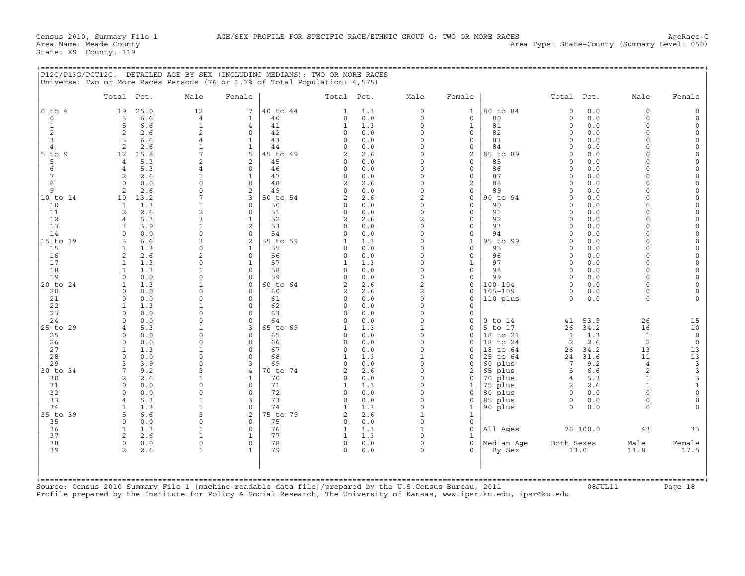+===================================================================================================================================================+

State: KS County: 119

| $0$ to $4$<br>12<br>40 to 44<br>$\circ$<br>80 to 84<br>0.0<br>$\circ$<br>19<br>25.0<br>7<br>1.3<br>$\mathbf{1}$<br>0<br>1<br>0.0<br>0.0<br>$\mathbf 0$<br>6.6<br>$\overline{4}$<br>40<br>0<br>$\circ$<br>$\mathbf{0}$<br>80<br>$\circ$<br>$\circ$<br>5<br>$\mathbf{1}$<br>5<br>$\mathbf{1}$<br>81<br>0.0<br>$\circ$<br>$\mathbf{1}$<br>6.6<br>$\overline{4}$<br>41<br>$\mathbf{1}$<br>1.3<br>0<br>$\mathbf{1}$<br>0<br>2<br>2<br>2<br>0.0<br>$\Omega$<br>0.0<br>$\Omega$<br>2.6<br>$\circ$<br>42<br>0<br>82<br>0<br>0<br>3<br>5<br>6.6<br>43<br>0.0<br>$\Omega$<br>83<br>0.0<br>$\Omega$<br>4<br>1<br>0<br>0<br>$\Omega$<br>2<br>2.6<br>$\mathbf 1$<br>$\mathbf{1}$<br>44<br>$\circ$<br>0.0<br>$\Omega$<br>0<br>84<br>0.0<br>$\Omega$<br>$\overline{4}$<br>$\Omega$<br>5<br>2<br>$5$ to $9$<br>12<br>15.8<br>7<br>45 to 49<br>$\overline{a}$<br>2.6<br>$\Omega$<br>85 to 89<br>0.0<br>$\Omega$<br>0<br>2<br>2<br>5<br>5.3<br>45<br>0.0<br>$\Omega$<br>0<br>85<br>0.0<br>$\Omega$<br>$\overline{4}$<br>0<br>$\Omega$<br>5.3<br>$\mathbf 0$<br>46<br>0.0<br>0<br>86<br>0.0<br>$\Omega$<br>6<br>$\overline{4}$<br>4<br>0<br>$\Omega$<br>0<br>7<br>2.6<br>$\mathbf{1}$<br>$\mathbf{1}$<br>47<br>$\Omega$<br>0.0<br>$\Omega$<br>$\mathbf{0}$<br>87<br>0.0<br>$\cap$<br>2<br>$\Omega$<br>$\overline{c}$<br>8<br>$\Omega$<br>$\Omega$<br>48<br>$\overline{c}$<br>2.6<br>$\Omega$<br>88<br>0.0<br>$\Omega$<br>$\Omega$<br>0.0<br>$\Omega$<br>$\mathsf{Q}$<br>2.6<br>$\Omega$<br>$\overline{2}$<br>89<br>0.0<br>2<br>49<br>$\Omega$<br>0.0<br>$\Omega$<br>0<br>$\Omega$<br>$\Omega$<br>7<br>3<br>50 to 54<br>2.6<br>$\overline{2}$<br>90 to 94<br>0.0<br>10 to 14<br>10<br>13.2<br>$\overline{a}$<br>0<br>$\Omega$<br>$\cap$<br>$\mathbf 0$<br>50<br>0.0<br>$\Omega$<br>0<br>0.0<br>10<br>$\mathbf{1}$<br>1.3<br>$\mathbf 1$<br>$\circ$<br>90<br>$\Omega$<br>$\Omega$<br>11<br>2<br>$\overline{2}$<br>91<br>2.6<br>$\mathbf 0$<br>51<br>0<br>0.0<br>$\Omega$<br>0<br>0.0<br>$\Omega$<br>$\Omega$<br>3<br>$\overline{2}$<br>92<br>0.0<br>12<br>5.3<br>$\mathbf{1}$<br>52<br>$\overline{a}$<br>2.6<br>$\mathbf{0}$<br>$\Omega$<br>4<br>$\Omega$<br>13<br>3.9<br>$\mathbf{1}$<br>$\overline{2}$<br>53<br>0.0<br>$\Omega$<br>$\mathbf{0}$<br>93<br>0.0<br>$\Omega$<br>3<br>0<br>$\Omega$<br>54<br>$\Omega$<br>$\mathbf{0}$<br>0.0<br>14<br>$\Omega$<br>0.0<br>0<br>$\circ$<br>0.0<br>94<br>$\Omega$<br>$\Omega$<br>0<br>2<br>55 to 59<br>95 to 99<br>15 to 19<br>6.6<br>3<br>1.3<br>$\Omega$<br>$\mathbf{1}$<br>0.0<br>$\Omega$<br>5<br>$\mathbf{1}$<br>O<br>$\Omega$<br>15<br>$\mathbf{1}$<br>1.3<br>$\mathbf{1}$<br>55<br>0.0<br>$\Omega$<br>$\mathbf 0$<br>95<br>0.0<br>$\Omega$<br>$\Omega$<br>$\Omega$<br>$\overline{2}$<br>$\circ$<br>16<br>2<br>2.6<br>56<br>0.0<br>$\Omega$<br>$\mathsf{O}$<br>96<br>0.0<br>$\Omega$<br>0<br>0<br>17<br>1.3<br>0<br>57<br>1.3<br>$\Omega$<br>97<br>0.0<br>$\Omega$<br>1<br>1<br>1<br>1<br>$\Omega$<br>18<br>1.3<br>$\mathbf{1}$<br>$\circ$<br>58<br>$\circ$<br>0.0<br>$\Omega$<br>0<br>98<br>0<br>0.0<br>$\Omega$<br>$\mathbf{1}$<br>19<br>0.0<br>0<br>$\circ$<br>59<br>$\circ$<br>0.0<br>0<br>$\mathbf{0}$<br>99<br>0.0<br>$\Omega$<br>$\Omega$<br>$\Omega$<br>1.3<br>2.6<br>$\overline{2}$<br>$100 - 104$<br>20 to 24<br>$\mathbf 1$<br>$\mathbf{0}$<br>60 to 64<br>$\overline{a}$<br>0<br>$\Omega$<br>0.0<br>$\cap$<br>$\mathbf{1}$<br>$\overline{a}$<br>$105 - 109$<br>0.0<br>$\circ$<br>20<br>$\Omega$<br>$\Omega$<br>60<br>$\overline{a}$<br>2.6<br>0<br>0<br>0.0<br>$\circ$<br>0.0<br>$\Omega$<br>$\Omega$<br>0.0<br>$\Omega$<br>110 plus<br>$\Omega$<br>0.0<br>21<br>$\Omega$<br>61<br>$\Omega$<br>0<br>$\Omega$<br>22<br>1.3<br>$\mathbf 1$<br>$\mathbf 0$<br>62<br>$\circ$<br>0.0<br>$\Omega$<br>0<br>1<br>23<br>$\Omega$<br>$\Omega$<br>0.0<br>$\Omega$<br>63<br>$\circ$<br>0.0<br>$\Omega$<br>0<br>53.9<br>26<br>24<br>0.0<br>$\Omega$<br>$\mathbf 0$<br>64<br>0.0<br>$\Omega$<br>0<br>$0$ to $14$<br>41<br>$\Omega$<br>0<br>25 to 29<br>5.3<br>3<br>65 to 69<br>5 to 17<br>26<br>34.2<br>16<br>$\mathbf{1}$<br>1.3<br>$\mathbf{1}$<br>0<br>$\overline{4}$<br>$\mathbf{1}$<br>$\circ$<br>1.3<br>$\mathbf{1}$<br>0.0<br>0<br>$\mathbf{0}$<br>65<br>0.0<br>0<br>18 to 21<br>1<br>25<br>$\mathbf 0$<br>0<br>$\overline{c}$<br>2.6<br>26<br>0.0<br>$\Omega$<br>$\mathbf 0$<br>66<br>$\circ$<br>0.0<br>$\Omega$<br>18 to 24<br>2<br>$\Omega$<br>$\Omega$<br>1.3<br>13<br>27<br>$\mathbf{1}$<br>$\mathbf 0$<br>67<br>0.0<br>$\Omega$<br>18 to 64<br>34.2<br>$\mathbf{1}$<br>0<br>$\Omega$<br>26<br>28<br>$\circ$<br>0.0<br>0<br>$\Omega$<br>68<br>$\mathbf{1}$<br>1.3<br>$\mathbf{1}$<br>25 to 64<br>24<br>31.6<br>11<br>0<br>29<br>3.9<br>$\Omega$<br>3<br>69<br>0<br>0.0<br>$\Omega$<br>60 plus<br>7<br>9.2<br>$\overline{4}$<br>3<br>0<br>65 plus<br>6.6<br>2<br>30 to 34<br>7<br>9.2<br>3<br>$\overline{4}$<br>70 to 74<br>$\overline{a}$<br>2.6<br>$\Omega$<br>2<br>5<br>2<br>2.6<br>$\mathbf 1$<br>70<br>0.0<br>0<br>70 plus<br>5.3<br>$\mathbf{1}$<br>30<br>1<br>0<br>0<br>4<br>75 plus<br>2.6<br>$\mathbf{1}$<br>31<br>0.0<br>$\Omega$<br>$\Omega$<br>71<br>$\mathbf{1}$<br>1.3<br>$\Omega$<br>2<br>$\Omega$<br>1<br>32<br>0.0<br>$\circ$<br>$\Omega$<br>72<br>$\circ$<br>$\Omega$<br>80 plus<br>0.0<br>$\Omega$<br>0.0<br>0<br>$\Omega$<br>$\Omega$<br>5.3<br>33<br>$\mathbf{1}$<br>3<br>73<br>0.0<br>$\Omega$<br>85 plus<br>$\Omega$<br>0.0<br>$\Omega$<br>0<br>$\Omega$<br>$\overline{4}$<br>$\mathbf{1}$<br>$\Omega$<br>1.3<br>$\Omega$<br>$\mathbf{1}$<br>90 plus<br>34<br>1.3<br>74<br>$\mathbf{1}$<br>$\Omega$<br>0.0<br>$\Omega$<br>1<br>2<br>75 to 79<br>35 to 39<br>5<br>6.6<br>3<br>$\overline{a}$<br>2.6<br>$\mathbf{1}$<br>$\mathbf{1}$<br>$\circ$<br>$\circ$<br>75<br>0.0<br>$\Omega$<br>35<br>$\Omega$<br>0.0<br>0<br>$\mathbf 0$<br>$\Omega$<br>All Ages<br>76 100.0<br>43<br>36<br>$\mathbf{1}$<br>1.3<br>$\mathbf 1$<br>76<br>1.3<br>0<br>1<br>$\mathbf{1}$<br>37<br>2<br>2.6<br>$\mathbf{1}$<br>77<br>1.3<br>$\mathbf{1}$<br>$\mathbf{1}$<br>$\Omega$<br>1<br>38<br>$\mathbf 0$<br>78<br>$\circ$<br>Median Age<br>Both Sexes<br>$\circ$<br>$\mathbf{0}$<br>0.0<br>$\Omega$<br>0<br>Male<br>0.0<br>79<br>39<br>2<br>2.6<br>$\mathbf 1$<br>$\mathbf{1}$<br>$\Omega$<br>0.0<br>$\Omega$<br>By Sex<br>13.0<br>11.8<br>$\Omega$ | Total Pct. | Male | Female | Total Pct. | Male | Female | Total Pct. | Male | Female |
|----------------------------------------------------------------------------------------------------------------------------------------------------------------------------------------------------------------------------------------------------------------------------------------------------------------------------------------------------------------------------------------------------------------------------------------------------------------------------------------------------------------------------------------------------------------------------------------------------------------------------------------------------------------------------------------------------------------------------------------------------------------------------------------------------------------------------------------------------------------------------------------------------------------------------------------------------------------------------------------------------------------------------------------------------------------------------------------------------------------------------------------------------------------------------------------------------------------------------------------------------------------------------------------------------------------------------------------------------------------------------------------------------------------------------------------------------------------------------------------------------------------------------------------------------------------------------------------------------------------------------------------------------------------------------------------------------------------------------------------------------------------------------------------------------------------------------------------------------------------------------------------------------------------------------------------------------------------------------------------------------------------------------------------------------------------------------------------------------------------------------------------------------------------------------------------------------------------------------------------------------------------------------------------------------------------------------------------------------------------------------------------------------------------------------------------------------------------------------------------------------------------------------------------------------------------------------------------------------------------------------------------------------------------------------------------------------------------------------------------------------------------------------------------------------------------------------------------------------------------------------------------------------------------------------------------------------------------------------------------------------------------------------------------------------------------------------------------------------------------------------------------------------------------------------------------------------------------------------------------------------------------------------------------------------------------------------------------------------------------------------------------------------------------------------------------------------------------------------------------------------------------------------------------------------------------------------------------------------------------------------------------------------------------------------------------------------------------------------------------------------------------------------------------------------------------------------------------------------------------------------------------------------------------------------------------------------------------------------------------------------------------------------------------------------------------------------------------------------------------------------------------------------------------------------------------------------------------------------------------------------------------------------------------------------------------------------------------------------------------------------------------------------------------------------------------------------------------------------------------------------------------------------------------------------------------------------------------------------------------------------------------------------------------------------------------------------------------------------------------------------------------------------------------------------------------------------------------------------------------------------------------------------------------------------------------------------------------------------------------------------------------------------------------------------------------------------------------------------------------------------------------------------------------------------------------------------------------------------------------------------------------------------------------------------------------------------------------------------------------------------------------------------------------------------------------------------------------------------------------------------------------------------------------------------------------------------------------------------------------------------------------------------------------------------------------------------------------------------------------------------------------------------------------------------------------------------------------------------------------------------------------------------------------------------------------------------------------------------------------------------------------------------------------------------------------------------------------------------------------------------------------------------------------------------------------------------------------------------------------------------------------------------------------|------------|------|--------|------------|------|--------|------------|------|--------|
|                                                                                                                                                                                                                                                                                                                                                                                                                                                                                                                                                                                                                                                                                                                                                                                                                                                                                                                                                                                                                                                                                                                                                                                                                                                                                                                                                                                                                                                                                                                                                                                                                                                                                                                                                                                                                                                                                                                                                                                                                                                                                                                                                                                                                                                                                                                                                                                                                                                                                                                                                                                                                                                                                                                                                                                                                                                                                                                                                                                                                                                                                                                                                                                                                                                                                                                                                                                                                                                                                                                                                                                                                                                                                                                                                                                                                                                                                                                                                                                                                                                                                                                                                                                                                                                                                                                                                                                                                                                                                                                                                                                                                                                                                                                                                                                                                                                                                                                                                                                                                                                                                                                                                                                                                                                                                                                                                                                                                                                                                                                                                                                                                                                                                                                                                                                                                                                                                                                                                                                                                                                                                                                                                                                                                                                                                        |            |      |        |            |      |        |            |      |        |
|                                                                                                                                                                                                                                                                                                                                                                                                                                                                                                                                                                                                                                                                                                                                                                                                                                                                                                                                                                                                                                                                                                                                                                                                                                                                                                                                                                                                                                                                                                                                                                                                                                                                                                                                                                                                                                                                                                                                                                                                                                                                                                                                                                                                                                                                                                                                                                                                                                                                                                                                                                                                                                                                                                                                                                                                                                                                                                                                                                                                                                                                                                                                                                                                                                                                                                                                                                                                                                                                                                                                                                                                                                                                                                                                                                                                                                                                                                                                                                                                                                                                                                                                                                                                                                                                                                                                                                                                                                                                                                                                                                                                                                                                                                                                                                                                                                                                                                                                                                                                                                                                                                                                                                                                                                                                                                                                                                                                                                                                                                                                                                                                                                                                                                                                                                                                                                                                                                                                                                                                                                                                                                                                                                                                                                                                                        |            |      |        |            |      |        |            |      |        |
|                                                                                                                                                                                                                                                                                                                                                                                                                                                                                                                                                                                                                                                                                                                                                                                                                                                                                                                                                                                                                                                                                                                                                                                                                                                                                                                                                                                                                                                                                                                                                                                                                                                                                                                                                                                                                                                                                                                                                                                                                                                                                                                                                                                                                                                                                                                                                                                                                                                                                                                                                                                                                                                                                                                                                                                                                                                                                                                                                                                                                                                                                                                                                                                                                                                                                                                                                                                                                                                                                                                                                                                                                                                                                                                                                                                                                                                                                                                                                                                                                                                                                                                                                                                                                                                                                                                                                                                                                                                                                                                                                                                                                                                                                                                                                                                                                                                                                                                                                                                                                                                                                                                                                                                                                                                                                                                                                                                                                                                                                                                                                                                                                                                                                                                                                                                                                                                                                                                                                                                                                                                                                                                                                                                                                                                                                        |            |      |        |            |      |        |            |      |        |
|                                                                                                                                                                                                                                                                                                                                                                                                                                                                                                                                                                                                                                                                                                                                                                                                                                                                                                                                                                                                                                                                                                                                                                                                                                                                                                                                                                                                                                                                                                                                                                                                                                                                                                                                                                                                                                                                                                                                                                                                                                                                                                                                                                                                                                                                                                                                                                                                                                                                                                                                                                                                                                                                                                                                                                                                                                                                                                                                                                                                                                                                                                                                                                                                                                                                                                                                                                                                                                                                                                                                                                                                                                                                                                                                                                                                                                                                                                                                                                                                                                                                                                                                                                                                                                                                                                                                                                                                                                                                                                                                                                                                                                                                                                                                                                                                                                                                                                                                                                                                                                                                                                                                                                                                                                                                                                                                                                                                                                                                                                                                                                                                                                                                                                                                                                                                                                                                                                                                                                                                                                                                                                                                                                                                                                                                                        |            |      |        |            |      |        |            |      |        |
|                                                                                                                                                                                                                                                                                                                                                                                                                                                                                                                                                                                                                                                                                                                                                                                                                                                                                                                                                                                                                                                                                                                                                                                                                                                                                                                                                                                                                                                                                                                                                                                                                                                                                                                                                                                                                                                                                                                                                                                                                                                                                                                                                                                                                                                                                                                                                                                                                                                                                                                                                                                                                                                                                                                                                                                                                                                                                                                                                                                                                                                                                                                                                                                                                                                                                                                                                                                                                                                                                                                                                                                                                                                                                                                                                                                                                                                                                                                                                                                                                                                                                                                                                                                                                                                                                                                                                                                                                                                                                                                                                                                                                                                                                                                                                                                                                                                                                                                                                                                                                                                                                                                                                                                                                                                                                                                                                                                                                                                                                                                                                                                                                                                                                                                                                                                                                                                                                                                                                                                                                                                                                                                                                                                                                                                                                        |            |      |        |            |      |        |            |      |        |
|                                                                                                                                                                                                                                                                                                                                                                                                                                                                                                                                                                                                                                                                                                                                                                                                                                                                                                                                                                                                                                                                                                                                                                                                                                                                                                                                                                                                                                                                                                                                                                                                                                                                                                                                                                                                                                                                                                                                                                                                                                                                                                                                                                                                                                                                                                                                                                                                                                                                                                                                                                                                                                                                                                                                                                                                                                                                                                                                                                                                                                                                                                                                                                                                                                                                                                                                                                                                                                                                                                                                                                                                                                                                                                                                                                                                                                                                                                                                                                                                                                                                                                                                                                                                                                                                                                                                                                                                                                                                                                                                                                                                                                                                                                                                                                                                                                                                                                                                                                                                                                                                                                                                                                                                                                                                                                                                                                                                                                                                                                                                                                                                                                                                                                                                                                                                                                                                                                                                                                                                                                                                                                                                                                                                                                                                                        |            |      |        |            |      |        |            |      |        |
|                                                                                                                                                                                                                                                                                                                                                                                                                                                                                                                                                                                                                                                                                                                                                                                                                                                                                                                                                                                                                                                                                                                                                                                                                                                                                                                                                                                                                                                                                                                                                                                                                                                                                                                                                                                                                                                                                                                                                                                                                                                                                                                                                                                                                                                                                                                                                                                                                                                                                                                                                                                                                                                                                                                                                                                                                                                                                                                                                                                                                                                                                                                                                                                                                                                                                                                                                                                                                                                                                                                                                                                                                                                                                                                                                                                                                                                                                                                                                                                                                                                                                                                                                                                                                                                                                                                                                                                                                                                                                                                                                                                                                                                                                                                                                                                                                                                                                                                                                                                                                                                                                                                                                                                                                                                                                                                                                                                                                                                                                                                                                                                                                                                                                                                                                                                                                                                                                                                                                                                                                                                                                                                                                                                                                                                                                        |            |      |        |            |      |        |            |      |        |
|                                                                                                                                                                                                                                                                                                                                                                                                                                                                                                                                                                                                                                                                                                                                                                                                                                                                                                                                                                                                                                                                                                                                                                                                                                                                                                                                                                                                                                                                                                                                                                                                                                                                                                                                                                                                                                                                                                                                                                                                                                                                                                                                                                                                                                                                                                                                                                                                                                                                                                                                                                                                                                                                                                                                                                                                                                                                                                                                                                                                                                                                                                                                                                                                                                                                                                                                                                                                                                                                                                                                                                                                                                                                                                                                                                                                                                                                                                                                                                                                                                                                                                                                                                                                                                                                                                                                                                                                                                                                                                                                                                                                                                                                                                                                                                                                                                                                                                                                                                                                                                                                                                                                                                                                                                                                                                                                                                                                                                                                                                                                                                                                                                                                                                                                                                                                                                                                                                                                                                                                                                                                                                                                                                                                                                                                                        |            |      |        |            |      |        |            |      |        |
|                                                                                                                                                                                                                                                                                                                                                                                                                                                                                                                                                                                                                                                                                                                                                                                                                                                                                                                                                                                                                                                                                                                                                                                                                                                                                                                                                                                                                                                                                                                                                                                                                                                                                                                                                                                                                                                                                                                                                                                                                                                                                                                                                                                                                                                                                                                                                                                                                                                                                                                                                                                                                                                                                                                                                                                                                                                                                                                                                                                                                                                                                                                                                                                                                                                                                                                                                                                                                                                                                                                                                                                                                                                                                                                                                                                                                                                                                                                                                                                                                                                                                                                                                                                                                                                                                                                                                                                                                                                                                                                                                                                                                                                                                                                                                                                                                                                                                                                                                                                                                                                                                                                                                                                                                                                                                                                                                                                                                                                                                                                                                                                                                                                                                                                                                                                                                                                                                                                                                                                                                                                                                                                                                                                                                                                                                        |            |      |        |            |      |        |            |      |        |
|                                                                                                                                                                                                                                                                                                                                                                                                                                                                                                                                                                                                                                                                                                                                                                                                                                                                                                                                                                                                                                                                                                                                                                                                                                                                                                                                                                                                                                                                                                                                                                                                                                                                                                                                                                                                                                                                                                                                                                                                                                                                                                                                                                                                                                                                                                                                                                                                                                                                                                                                                                                                                                                                                                                                                                                                                                                                                                                                                                                                                                                                                                                                                                                                                                                                                                                                                                                                                                                                                                                                                                                                                                                                                                                                                                                                                                                                                                                                                                                                                                                                                                                                                                                                                                                                                                                                                                                                                                                                                                                                                                                                                                                                                                                                                                                                                                                                                                                                                                                                                                                                                                                                                                                                                                                                                                                                                                                                                                                                                                                                                                                                                                                                                                                                                                                                                                                                                                                                                                                                                                                                                                                                                                                                                                                                                        |            |      |        |            |      |        |            |      |        |
|                                                                                                                                                                                                                                                                                                                                                                                                                                                                                                                                                                                                                                                                                                                                                                                                                                                                                                                                                                                                                                                                                                                                                                                                                                                                                                                                                                                                                                                                                                                                                                                                                                                                                                                                                                                                                                                                                                                                                                                                                                                                                                                                                                                                                                                                                                                                                                                                                                                                                                                                                                                                                                                                                                                                                                                                                                                                                                                                                                                                                                                                                                                                                                                                                                                                                                                                                                                                                                                                                                                                                                                                                                                                                                                                                                                                                                                                                                                                                                                                                                                                                                                                                                                                                                                                                                                                                                                                                                                                                                                                                                                                                                                                                                                                                                                                                                                                                                                                                                                                                                                                                                                                                                                                                                                                                                                                                                                                                                                                                                                                                                                                                                                                                                                                                                                                                                                                                                                                                                                                                                                                                                                                                                                                                                                                                        |            |      |        |            |      |        |            |      |        |
|                                                                                                                                                                                                                                                                                                                                                                                                                                                                                                                                                                                                                                                                                                                                                                                                                                                                                                                                                                                                                                                                                                                                                                                                                                                                                                                                                                                                                                                                                                                                                                                                                                                                                                                                                                                                                                                                                                                                                                                                                                                                                                                                                                                                                                                                                                                                                                                                                                                                                                                                                                                                                                                                                                                                                                                                                                                                                                                                                                                                                                                                                                                                                                                                                                                                                                                                                                                                                                                                                                                                                                                                                                                                                                                                                                                                                                                                                                                                                                                                                                                                                                                                                                                                                                                                                                                                                                                                                                                                                                                                                                                                                                                                                                                                                                                                                                                                                                                                                                                                                                                                                                                                                                                                                                                                                                                                                                                                                                                                                                                                                                                                                                                                                                                                                                                                                                                                                                                                                                                                                                                                                                                                                                                                                                                                                        |            |      |        |            |      |        |            |      |        |
|                                                                                                                                                                                                                                                                                                                                                                                                                                                                                                                                                                                                                                                                                                                                                                                                                                                                                                                                                                                                                                                                                                                                                                                                                                                                                                                                                                                                                                                                                                                                                                                                                                                                                                                                                                                                                                                                                                                                                                                                                                                                                                                                                                                                                                                                                                                                                                                                                                                                                                                                                                                                                                                                                                                                                                                                                                                                                                                                                                                                                                                                                                                                                                                                                                                                                                                                                                                                                                                                                                                                                                                                                                                                                                                                                                                                                                                                                                                                                                                                                                                                                                                                                                                                                                                                                                                                                                                                                                                                                                                                                                                                                                                                                                                                                                                                                                                                                                                                                                                                                                                                                                                                                                                                                                                                                                                                                                                                                                                                                                                                                                                                                                                                                                                                                                                                                                                                                                                                                                                                                                                                                                                                                                                                                                                                                        |            |      |        |            |      |        |            |      |        |
|                                                                                                                                                                                                                                                                                                                                                                                                                                                                                                                                                                                                                                                                                                                                                                                                                                                                                                                                                                                                                                                                                                                                                                                                                                                                                                                                                                                                                                                                                                                                                                                                                                                                                                                                                                                                                                                                                                                                                                                                                                                                                                                                                                                                                                                                                                                                                                                                                                                                                                                                                                                                                                                                                                                                                                                                                                                                                                                                                                                                                                                                                                                                                                                                                                                                                                                                                                                                                                                                                                                                                                                                                                                                                                                                                                                                                                                                                                                                                                                                                                                                                                                                                                                                                                                                                                                                                                                                                                                                                                                                                                                                                                                                                                                                                                                                                                                                                                                                                                                                                                                                                                                                                                                                                                                                                                                                                                                                                                                                                                                                                                                                                                                                                                                                                                                                                                                                                                                                                                                                                                                                                                                                                                                                                                                                                        |            |      |        |            |      |        |            |      |        |
|                                                                                                                                                                                                                                                                                                                                                                                                                                                                                                                                                                                                                                                                                                                                                                                                                                                                                                                                                                                                                                                                                                                                                                                                                                                                                                                                                                                                                                                                                                                                                                                                                                                                                                                                                                                                                                                                                                                                                                                                                                                                                                                                                                                                                                                                                                                                                                                                                                                                                                                                                                                                                                                                                                                                                                                                                                                                                                                                                                                                                                                                                                                                                                                                                                                                                                                                                                                                                                                                                                                                                                                                                                                                                                                                                                                                                                                                                                                                                                                                                                                                                                                                                                                                                                                                                                                                                                                                                                                                                                                                                                                                                                                                                                                                                                                                                                                                                                                                                                                                                                                                                                                                                                                                                                                                                                                                                                                                                                                                                                                                                                                                                                                                                                                                                                                                                                                                                                                                                                                                                                                                                                                                                                                                                                                                                        |            |      |        |            |      |        |            |      |        |
|                                                                                                                                                                                                                                                                                                                                                                                                                                                                                                                                                                                                                                                                                                                                                                                                                                                                                                                                                                                                                                                                                                                                                                                                                                                                                                                                                                                                                                                                                                                                                                                                                                                                                                                                                                                                                                                                                                                                                                                                                                                                                                                                                                                                                                                                                                                                                                                                                                                                                                                                                                                                                                                                                                                                                                                                                                                                                                                                                                                                                                                                                                                                                                                                                                                                                                                                                                                                                                                                                                                                                                                                                                                                                                                                                                                                                                                                                                                                                                                                                                                                                                                                                                                                                                                                                                                                                                                                                                                                                                                                                                                                                                                                                                                                                                                                                                                                                                                                                                                                                                                                                                                                                                                                                                                                                                                                                                                                                                                                                                                                                                                                                                                                                                                                                                                                                                                                                                                                                                                                                                                                                                                                                                                                                                                                                        |            |      |        |            |      |        |            |      |        |
|                                                                                                                                                                                                                                                                                                                                                                                                                                                                                                                                                                                                                                                                                                                                                                                                                                                                                                                                                                                                                                                                                                                                                                                                                                                                                                                                                                                                                                                                                                                                                                                                                                                                                                                                                                                                                                                                                                                                                                                                                                                                                                                                                                                                                                                                                                                                                                                                                                                                                                                                                                                                                                                                                                                                                                                                                                                                                                                                                                                                                                                                                                                                                                                                                                                                                                                                                                                                                                                                                                                                                                                                                                                                                                                                                                                                                                                                                                                                                                                                                                                                                                                                                                                                                                                                                                                                                                                                                                                                                                                                                                                                                                                                                                                                                                                                                                                                                                                                                                                                                                                                                                                                                                                                                                                                                                                                                                                                                                                                                                                                                                                                                                                                                                                                                                                                                                                                                                                                                                                                                                                                                                                                                                                                                                                                                        |            |      |        |            |      |        |            |      |        |
|                                                                                                                                                                                                                                                                                                                                                                                                                                                                                                                                                                                                                                                                                                                                                                                                                                                                                                                                                                                                                                                                                                                                                                                                                                                                                                                                                                                                                                                                                                                                                                                                                                                                                                                                                                                                                                                                                                                                                                                                                                                                                                                                                                                                                                                                                                                                                                                                                                                                                                                                                                                                                                                                                                                                                                                                                                                                                                                                                                                                                                                                                                                                                                                                                                                                                                                                                                                                                                                                                                                                                                                                                                                                                                                                                                                                                                                                                                                                                                                                                                                                                                                                                                                                                                                                                                                                                                                                                                                                                                                                                                                                                                                                                                                                                                                                                                                                                                                                                                                                                                                                                                                                                                                                                                                                                                                                                                                                                                                                                                                                                                                                                                                                                                                                                                                                                                                                                                                                                                                                                                                                                                                                                                                                                                                                                        |            |      |        |            |      |        |            |      |        |
|                                                                                                                                                                                                                                                                                                                                                                                                                                                                                                                                                                                                                                                                                                                                                                                                                                                                                                                                                                                                                                                                                                                                                                                                                                                                                                                                                                                                                                                                                                                                                                                                                                                                                                                                                                                                                                                                                                                                                                                                                                                                                                                                                                                                                                                                                                                                                                                                                                                                                                                                                                                                                                                                                                                                                                                                                                                                                                                                                                                                                                                                                                                                                                                                                                                                                                                                                                                                                                                                                                                                                                                                                                                                                                                                                                                                                                                                                                                                                                                                                                                                                                                                                                                                                                                                                                                                                                                                                                                                                                                                                                                                                                                                                                                                                                                                                                                                                                                                                                                                                                                                                                                                                                                                                                                                                                                                                                                                                                                                                                                                                                                                                                                                                                                                                                                                                                                                                                                                                                                                                                                                                                                                                                                                                                                                                        |            |      |        |            |      |        |            |      |        |
|                                                                                                                                                                                                                                                                                                                                                                                                                                                                                                                                                                                                                                                                                                                                                                                                                                                                                                                                                                                                                                                                                                                                                                                                                                                                                                                                                                                                                                                                                                                                                                                                                                                                                                                                                                                                                                                                                                                                                                                                                                                                                                                                                                                                                                                                                                                                                                                                                                                                                                                                                                                                                                                                                                                                                                                                                                                                                                                                                                                                                                                                                                                                                                                                                                                                                                                                                                                                                                                                                                                                                                                                                                                                                                                                                                                                                                                                                                                                                                                                                                                                                                                                                                                                                                                                                                                                                                                                                                                                                                                                                                                                                                                                                                                                                                                                                                                                                                                                                                                                                                                                                                                                                                                                                                                                                                                                                                                                                                                                                                                                                                                                                                                                                                                                                                                                                                                                                                                                                                                                                                                                                                                                                                                                                                                                                        |            |      |        |            |      |        |            |      |        |
|                                                                                                                                                                                                                                                                                                                                                                                                                                                                                                                                                                                                                                                                                                                                                                                                                                                                                                                                                                                                                                                                                                                                                                                                                                                                                                                                                                                                                                                                                                                                                                                                                                                                                                                                                                                                                                                                                                                                                                                                                                                                                                                                                                                                                                                                                                                                                                                                                                                                                                                                                                                                                                                                                                                                                                                                                                                                                                                                                                                                                                                                                                                                                                                                                                                                                                                                                                                                                                                                                                                                                                                                                                                                                                                                                                                                                                                                                                                                                                                                                                                                                                                                                                                                                                                                                                                                                                                                                                                                                                                                                                                                                                                                                                                                                                                                                                                                                                                                                                                                                                                                                                                                                                                                                                                                                                                                                                                                                                                                                                                                                                                                                                                                                                                                                                                                                                                                                                                                                                                                                                                                                                                                                                                                                                                                                        |            |      |        |            |      |        |            |      |        |
|                                                                                                                                                                                                                                                                                                                                                                                                                                                                                                                                                                                                                                                                                                                                                                                                                                                                                                                                                                                                                                                                                                                                                                                                                                                                                                                                                                                                                                                                                                                                                                                                                                                                                                                                                                                                                                                                                                                                                                                                                                                                                                                                                                                                                                                                                                                                                                                                                                                                                                                                                                                                                                                                                                                                                                                                                                                                                                                                                                                                                                                                                                                                                                                                                                                                                                                                                                                                                                                                                                                                                                                                                                                                                                                                                                                                                                                                                                                                                                                                                                                                                                                                                                                                                                                                                                                                                                                                                                                                                                                                                                                                                                                                                                                                                                                                                                                                                                                                                                                                                                                                                                                                                                                                                                                                                                                                                                                                                                                                                                                                                                                                                                                                                                                                                                                                                                                                                                                                                                                                                                                                                                                                                                                                                                                                                        |            |      |        |            |      |        |            |      |        |
|                                                                                                                                                                                                                                                                                                                                                                                                                                                                                                                                                                                                                                                                                                                                                                                                                                                                                                                                                                                                                                                                                                                                                                                                                                                                                                                                                                                                                                                                                                                                                                                                                                                                                                                                                                                                                                                                                                                                                                                                                                                                                                                                                                                                                                                                                                                                                                                                                                                                                                                                                                                                                                                                                                                                                                                                                                                                                                                                                                                                                                                                                                                                                                                                                                                                                                                                                                                                                                                                                                                                                                                                                                                                                                                                                                                                                                                                                                                                                                                                                                                                                                                                                                                                                                                                                                                                                                                                                                                                                                                                                                                                                                                                                                                                                                                                                                                                                                                                                                                                                                                                                                                                                                                                                                                                                                                                                                                                                                                                                                                                                                                                                                                                                                                                                                                                                                                                                                                                                                                                                                                                                                                                                                                                                                                                                        |            |      |        |            |      |        |            |      |        |
|                                                                                                                                                                                                                                                                                                                                                                                                                                                                                                                                                                                                                                                                                                                                                                                                                                                                                                                                                                                                                                                                                                                                                                                                                                                                                                                                                                                                                                                                                                                                                                                                                                                                                                                                                                                                                                                                                                                                                                                                                                                                                                                                                                                                                                                                                                                                                                                                                                                                                                                                                                                                                                                                                                                                                                                                                                                                                                                                                                                                                                                                                                                                                                                                                                                                                                                                                                                                                                                                                                                                                                                                                                                                                                                                                                                                                                                                                                                                                                                                                                                                                                                                                                                                                                                                                                                                                                                                                                                                                                                                                                                                                                                                                                                                                                                                                                                                                                                                                                                                                                                                                                                                                                                                                                                                                                                                                                                                                                                                                                                                                                                                                                                                                                                                                                                                                                                                                                                                                                                                                                                                                                                                                                                                                                                                                        |            |      |        |            |      |        |            |      |        |
|                                                                                                                                                                                                                                                                                                                                                                                                                                                                                                                                                                                                                                                                                                                                                                                                                                                                                                                                                                                                                                                                                                                                                                                                                                                                                                                                                                                                                                                                                                                                                                                                                                                                                                                                                                                                                                                                                                                                                                                                                                                                                                                                                                                                                                                                                                                                                                                                                                                                                                                                                                                                                                                                                                                                                                                                                                                                                                                                                                                                                                                                                                                                                                                                                                                                                                                                                                                                                                                                                                                                                                                                                                                                                                                                                                                                                                                                                                                                                                                                                                                                                                                                                                                                                                                                                                                                                                                                                                                                                                                                                                                                                                                                                                                                                                                                                                                                                                                                                                                                                                                                                                                                                                                                                                                                                                                                                                                                                                                                                                                                                                                                                                                                                                                                                                                                                                                                                                                                                                                                                                                                                                                                                                                                                                                                                        |            |      |        |            |      |        |            |      |        |
|                                                                                                                                                                                                                                                                                                                                                                                                                                                                                                                                                                                                                                                                                                                                                                                                                                                                                                                                                                                                                                                                                                                                                                                                                                                                                                                                                                                                                                                                                                                                                                                                                                                                                                                                                                                                                                                                                                                                                                                                                                                                                                                                                                                                                                                                                                                                                                                                                                                                                                                                                                                                                                                                                                                                                                                                                                                                                                                                                                                                                                                                                                                                                                                                                                                                                                                                                                                                                                                                                                                                                                                                                                                                                                                                                                                                                                                                                                                                                                                                                                                                                                                                                                                                                                                                                                                                                                                                                                                                                                                                                                                                                                                                                                                                                                                                                                                                                                                                                                                                                                                                                                                                                                                                                                                                                                                                                                                                                                                                                                                                                                                                                                                                                                                                                                                                                                                                                                                                                                                                                                                                                                                                                                                                                                                                                        |            |      |        |            |      |        |            |      |        |
|                                                                                                                                                                                                                                                                                                                                                                                                                                                                                                                                                                                                                                                                                                                                                                                                                                                                                                                                                                                                                                                                                                                                                                                                                                                                                                                                                                                                                                                                                                                                                                                                                                                                                                                                                                                                                                                                                                                                                                                                                                                                                                                                                                                                                                                                                                                                                                                                                                                                                                                                                                                                                                                                                                                                                                                                                                                                                                                                                                                                                                                                                                                                                                                                                                                                                                                                                                                                                                                                                                                                                                                                                                                                                                                                                                                                                                                                                                                                                                                                                                                                                                                                                                                                                                                                                                                                                                                                                                                                                                                                                                                                                                                                                                                                                                                                                                                                                                                                                                                                                                                                                                                                                                                                                                                                                                                                                                                                                                                                                                                                                                                                                                                                                                                                                                                                                                                                                                                                                                                                                                                                                                                                                                                                                                                                                        |            |      |        |            |      |        |            |      |        |
|                                                                                                                                                                                                                                                                                                                                                                                                                                                                                                                                                                                                                                                                                                                                                                                                                                                                                                                                                                                                                                                                                                                                                                                                                                                                                                                                                                                                                                                                                                                                                                                                                                                                                                                                                                                                                                                                                                                                                                                                                                                                                                                                                                                                                                                                                                                                                                                                                                                                                                                                                                                                                                                                                                                                                                                                                                                                                                                                                                                                                                                                                                                                                                                                                                                                                                                                                                                                                                                                                                                                                                                                                                                                                                                                                                                                                                                                                                                                                                                                                                                                                                                                                                                                                                                                                                                                                                                                                                                                                                                                                                                                                                                                                                                                                                                                                                                                                                                                                                                                                                                                                                                                                                                                                                                                                                                                                                                                                                                                                                                                                                                                                                                                                                                                                                                                                                                                                                                                                                                                                                                                                                                                                                                                                                                                                        |            |      |        |            |      |        |            |      |        |
|                                                                                                                                                                                                                                                                                                                                                                                                                                                                                                                                                                                                                                                                                                                                                                                                                                                                                                                                                                                                                                                                                                                                                                                                                                                                                                                                                                                                                                                                                                                                                                                                                                                                                                                                                                                                                                                                                                                                                                                                                                                                                                                                                                                                                                                                                                                                                                                                                                                                                                                                                                                                                                                                                                                                                                                                                                                                                                                                                                                                                                                                                                                                                                                                                                                                                                                                                                                                                                                                                                                                                                                                                                                                                                                                                                                                                                                                                                                                                                                                                                                                                                                                                                                                                                                                                                                                                                                                                                                                                                                                                                                                                                                                                                                                                                                                                                                                                                                                                                                                                                                                                                                                                                                                                                                                                                                                                                                                                                                                                                                                                                                                                                                                                                                                                                                                                                                                                                                                                                                                                                                                                                                                                                                                                                                                                        |            |      |        |            |      |        |            |      |        |
|                                                                                                                                                                                                                                                                                                                                                                                                                                                                                                                                                                                                                                                                                                                                                                                                                                                                                                                                                                                                                                                                                                                                                                                                                                                                                                                                                                                                                                                                                                                                                                                                                                                                                                                                                                                                                                                                                                                                                                                                                                                                                                                                                                                                                                                                                                                                                                                                                                                                                                                                                                                                                                                                                                                                                                                                                                                                                                                                                                                                                                                                                                                                                                                                                                                                                                                                                                                                                                                                                                                                                                                                                                                                                                                                                                                                                                                                                                                                                                                                                                                                                                                                                                                                                                                                                                                                                                                                                                                                                                                                                                                                                                                                                                                                                                                                                                                                                                                                                                                                                                                                                                                                                                                                                                                                                                                                                                                                                                                                                                                                                                                                                                                                                                                                                                                                                                                                                                                                                                                                                                                                                                                                                                                                                                                                                        |            |      |        |            |      |        |            |      |        |
|                                                                                                                                                                                                                                                                                                                                                                                                                                                                                                                                                                                                                                                                                                                                                                                                                                                                                                                                                                                                                                                                                                                                                                                                                                                                                                                                                                                                                                                                                                                                                                                                                                                                                                                                                                                                                                                                                                                                                                                                                                                                                                                                                                                                                                                                                                                                                                                                                                                                                                                                                                                                                                                                                                                                                                                                                                                                                                                                                                                                                                                                                                                                                                                                                                                                                                                                                                                                                                                                                                                                                                                                                                                                                                                                                                                                                                                                                                                                                                                                                                                                                                                                                                                                                                                                                                                                                                                                                                                                                                                                                                                                                                                                                                                                                                                                                                                                                                                                                                                                                                                                                                                                                                                                                                                                                                                                                                                                                                                                                                                                                                                                                                                                                                                                                                                                                                                                                                                                                                                                                                                                                                                                                                                                                                                                                        |            |      |        |            |      |        |            |      |        |
|                                                                                                                                                                                                                                                                                                                                                                                                                                                                                                                                                                                                                                                                                                                                                                                                                                                                                                                                                                                                                                                                                                                                                                                                                                                                                                                                                                                                                                                                                                                                                                                                                                                                                                                                                                                                                                                                                                                                                                                                                                                                                                                                                                                                                                                                                                                                                                                                                                                                                                                                                                                                                                                                                                                                                                                                                                                                                                                                                                                                                                                                                                                                                                                                                                                                                                                                                                                                                                                                                                                                                                                                                                                                                                                                                                                                                                                                                                                                                                                                                                                                                                                                                                                                                                                                                                                                                                                                                                                                                                                                                                                                                                                                                                                                                                                                                                                                                                                                                                                                                                                                                                                                                                                                                                                                                                                                                                                                                                                                                                                                                                                                                                                                                                                                                                                                                                                                                                                                                                                                                                                                                                                                                                                                                                                                                        |            |      |        |            |      |        |            |      |        |
|                                                                                                                                                                                                                                                                                                                                                                                                                                                                                                                                                                                                                                                                                                                                                                                                                                                                                                                                                                                                                                                                                                                                                                                                                                                                                                                                                                                                                                                                                                                                                                                                                                                                                                                                                                                                                                                                                                                                                                                                                                                                                                                                                                                                                                                                                                                                                                                                                                                                                                                                                                                                                                                                                                                                                                                                                                                                                                                                                                                                                                                                                                                                                                                                                                                                                                                                                                                                                                                                                                                                                                                                                                                                                                                                                                                                                                                                                                                                                                                                                                                                                                                                                                                                                                                                                                                                                                                                                                                                                                                                                                                                                                                                                                                                                                                                                                                                                                                                                                                                                                                                                                                                                                                                                                                                                                                                                                                                                                                                                                                                                                                                                                                                                                                                                                                                                                                                                                                                                                                                                                                                                                                                                                                                                                                                                        |            |      |        |            |      |        |            |      |        |
|                                                                                                                                                                                                                                                                                                                                                                                                                                                                                                                                                                                                                                                                                                                                                                                                                                                                                                                                                                                                                                                                                                                                                                                                                                                                                                                                                                                                                                                                                                                                                                                                                                                                                                                                                                                                                                                                                                                                                                                                                                                                                                                                                                                                                                                                                                                                                                                                                                                                                                                                                                                                                                                                                                                                                                                                                                                                                                                                                                                                                                                                                                                                                                                                                                                                                                                                                                                                                                                                                                                                                                                                                                                                                                                                                                                                                                                                                                                                                                                                                                                                                                                                                                                                                                                                                                                                                                                                                                                                                                                                                                                                                                                                                                                                                                                                                                                                                                                                                                                                                                                                                                                                                                                                                                                                                                                                                                                                                                                                                                                                                                                                                                                                                                                                                                                                                                                                                                                                                                                                                                                                                                                                                                                                                                                                                        |            |      |        |            |      |        |            |      |        |
|                                                                                                                                                                                                                                                                                                                                                                                                                                                                                                                                                                                                                                                                                                                                                                                                                                                                                                                                                                                                                                                                                                                                                                                                                                                                                                                                                                                                                                                                                                                                                                                                                                                                                                                                                                                                                                                                                                                                                                                                                                                                                                                                                                                                                                                                                                                                                                                                                                                                                                                                                                                                                                                                                                                                                                                                                                                                                                                                                                                                                                                                                                                                                                                                                                                                                                                                                                                                                                                                                                                                                                                                                                                                                                                                                                                                                                                                                                                                                                                                                                                                                                                                                                                                                                                                                                                                                                                                                                                                                                                                                                                                                                                                                                                                                                                                                                                                                                                                                                                                                                                                                                                                                                                                                                                                                                                                                                                                                                                                                                                                                                                                                                                                                                                                                                                                                                                                                                                                                                                                                                                                                                                                                                                                                                                                                        |            |      |        |            |      |        |            |      |        |
|                                                                                                                                                                                                                                                                                                                                                                                                                                                                                                                                                                                                                                                                                                                                                                                                                                                                                                                                                                                                                                                                                                                                                                                                                                                                                                                                                                                                                                                                                                                                                                                                                                                                                                                                                                                                                                                                                                                                                                                                                                                                                                                                                                                                                                                                                                                                                                                                                                                                                                                                                                                                                                                                                                                                                                                                                                                                                                                                                                                                                                                                                                                                                                                                                                                                                                                                                                                                                                                                                                                                                                                                                                                                                                                                                                                                                                                                                                                                                                                                                                                                                                                                                                                                                                                                                                                                                                                                                                                                                                                                                                                                                                                                                                                                                                                                                                                                                                                                                                                                                                                                                                                                                                                                                                                                                                                                                                                                                                                                                                                                                                                                                                                                                                                                                                                                                                                                                                                                                                                                                                                                                                                                                                                                                                                                                        |            |      |        |            |      |        |            |      |        |
|                                                                                                                                                                                                                                                                                                                                                                                                                                                                                                                                                                                                                                                                                                                                                                                                                                                                                                                                                                                                                                                                                                                                                                                                                                                                                                                                                                                                                                                                                                                                                                                                                                                                                                                                                                                                                                                                                                                                                                                                                                                                                                                                                                                                                                                                                                                                                                                                                                                                                                                                                                                                                                                                                                                                                                                                                                                                                                                                                                                                                                                                                                                                                                                                                                                                                                                                                                                                                                                                                                                                                                                                                                                                                                                                                                                                                                                                                                                                                                                                                                                                                                                                                                                                                                                                                                                                                                                                                                                                                                                                                                                                                                                                                                                                                                                                                                                                                                                                                                                                                                                                                                                                                                                                                                                                                                                                                                                                                                                                                                                                                                                                                                                                                                                                                                                                                                                                                                                                                                                                                                                                                                                                                                                                                                                                                        |            |      |        |            |      |        |            |      |        |
|                                                                                                                                                                                                                                                                                                                                                                                                                                                                                                                                                                                                                                                                                                                                                                                                                                                                                                                                                                                                                                                                                                                                                                                                                                                                                                                                                                                                                                                                                                                                                                                                                                                                                                                                                                                                                                                                                                                                                                                                                                                                                                                                                                                                                                                                                                                                                                                                                                                                                                                                                                                                                                                                                                                                                                                                                                                                                                                                                                                                                                                                                                                                                                                                                                                                                                                                                                                                                                                                                                                                                                                                                                                                                                                                                                                                                                                                                                                                                                                                                                                                                                                                                                                                                                                                                                                                                                                                                                                                                                                                                                                                                                                                                                                                                                                                                                                                                                                                                                                                                                                                                                                                                                                                                                                                                                                                                                                                                                                                                                                                                                                                                                                                                                                                                                                                                                                                                                                                                                                                                                                                                                                                                                                                                                                                                        |            |      |        |            |      |        |            |      |        |
|                                                                                                                                                                                                                                                                                                                                                                                                                                                                                                                                                                                                                                                                                                                                                                                                                                                                                                                                                                                                                                                                                                                                                                                                                                                                                                                                                                                                                                                                                                                                                                                                                                                                                                                                                                                                                                                                                                                                                                                                                                                                                                                                                                                                                                                                                                                                                                                                                                                                                                                                                                                                                                                                                                                                                                                                                                                                                                                                                                                                                                                                                                                                                                                                                                                                                                                                                                                                                                                                                                                                                                                                                                                                                                                                                                                                                                                                                                                                                                                                                                                                                                                                                                                                                                                                                                                                                                                                                                                                                                                                                                                                                                                                                                                                                                                                                                                                                                                                                                                                                                                                                                                                                                                                                                                                                                                                                                                                                                                                                                                                                                                                                                                                                                                                                                                                                                                                                                                                                                                                                                                                                                                                                                                                                                                                                        |            |      |        |            |      |        |            |      |        |
|                                                                                                                                                                                                                                                                                                                                                                                                                                                                                                                                                                                                                                                                                                                                                                                                                                                                                                                                                                                                                                                                                                                                                                                                                                                                                                                                                                                                                                                                                                                                                                                                                                                                                                                                                                                                                                                                                                                                                                                                                                                                                                                                                                                                                                                                                                                                                                                                                                                                                                                                                                                                                                                                                                                                                                                                                                                                                                                                                                                                                                                                                                                                                                                                                                                                                                                                                                                                                                                                                                                                                                                                                                                                                                                                                                                                                                                                                                                                                                                                                                                                                                                                                                                                                                                                                                                                                                                                                                                                                                                                                                                                                                                                                                                                                                                                                                                                                                                                                                                                                                                                                                                                                                                                                                                                                                                                                                                                                                                                                                                                                                                                                                                                                                                                                                                                                                                                                                                                                                                                                                                                                                                                                                                                                                                                                        |            |      |        |            |      |        |            |      |        |
|                                                                                                                                                                                                                                                                                                                                                                                                                                                                                                                                                                                                                                                                                                                                                                                                                                                                                                                                                                                                                                                                                                                                                                                                                                                                                                                                                                                                                                                                                                                                                                                                                                                                                                                                                                                                                                                                                                                                                                                                                                                                                                                                                                                                                                                                                                                                                                                                                                                                                                                                                                                                                                                                                                                                                                                                                                                                                                                                                                                                                                                                                                                                                                                                                                                                                                                                                                                                                                                                                                                                                                                                                                                                                                                                                                                                                                                                                                                                                                                                                                                                                                                                                                                                                                                                                                                                                                                                                                                                                                                                                                                                                                                                                                                                                                                                                                                                                                                                                                                                                                                                                                                                                                                                                                                                                                                                                                                                                                                                                                                                                                                                                                                                                                                                                                                                                                                                                                                                                                                                                                                                                                                                                                                                                                                                                        |            |      |        |            |      |        |            |      |        |
|                                                                                                                                                                                                                                                                                                                                                                                                                                                                                                                                                                                                                                                                                                                                                                                                                                                                                                                                                                                                                                                                                                                                                                                                                                                                                                                                                                                                                                                                                                                                                                                                                                                                                                                                                                                                                                                                                                                                                                                                                                                                                                                                                                                                                                                                                                                                                                                                                                                                                                                                                                                                                                                                                                                                                                                                                                                                                                                                                                                                                                                                                                                                                                                                                                                                                                                                                                                                                                                                                                                                                                                                                                                                                                                                                                                                                                                                                                                                                                                                                                                                                                                                                                                                                                                                                                                                                                                                                                                                                                                                                                                                                                                                                                                                                                                                                                                                                                                                                                                                                                                                                                                                                                                                                                                                                                                                                                                                                                                                                                                                                                                                                                                                                                                                                                                                                                                                                                                                                                                                                                                                                                                                                                                                                                                                                        |            |      |        |            |      |        |            |      |        |
|                                                                                                                                                                                                                                                                                                                                                                                                                                                                                                                                                                                                                                                                                                                                                                                                                                                                                                                                                                                                                                                                                                                                                                                                                                                                                                                                                                                                                                                                                                                                                                                                                                                                                                                                                                                                                                                                                                                                                                                                                                                                                                                                                                                                                                                                                                                                                                                                                                                                                                                                                                                                                                                                                                                                                                                                                                                                                                                                                                                                                                                                                                                                                                                                                                                                                                                                                                                                                                                                                                                                                                                                                                                                                                                                                                                                                                                                                                                                                                                                                                                                                                                                                                                                                                                                                                                                                                                                                                                                                                                                                                                                                                                                                                                                                                                                                                                                                                                                                                                                                                                                                                                                                                                                                                                                                                                                                                                                                                                                                                                                                                                                                                                                                                                                                                                                                                                                                                                                                                                                                                                                                                                                                                                                                                                                                        |            |      |        |            |      |        |            |      |        |
|                                                                                                                                                                                                                                                                                                                                                                                                                                                                                                                                                                                                                                                                                                                                                                                                                                                                                                                                                                                                                                                                                                                                                                                                                                                                                                                                                                                                                                                                                                                                                                                                                                                                                                                                                                                                                                                                                                                                                                                                                                                                                                                                                                                                                                                                                                                                                                                                                                                                                                                                                                                                                                                                                                                                                                                                                                                                                                                                                                                                                                                                                                                                                                                                                                                                                                                                                                                                                                                                                                                                                                                                                                                                                                                                                                                                                                                                                                                                                                                                                                                                                                                                                                                                                                                                                                                                                                                                                                                                                                                                                                                                                                                                                                                                                                                                                                                                                                                                                                                                                                                                                                                                                                                                                                                                                                                                                                                                                                                                                                                                                                                                                                                                                                                                                                                                                                                                                                                                                                                                                                                                                                                                                                                                                                                                                        |            |      |        |            |      |        |            |      | Female |
|                                                                                                                                                                                                                                                                                                                                                                                                                                                                                                                                                                                                                                                                                                                                                                                                                                                                                                                                                                                                                                                                                                                                                                                                                                                                                                                                                                                                                                                                                                                                                                                                                                                                                                                                                                                                                                                                                                                                                                                                                                                                                                                                                                                                                                                                                                                                                                                                                                                                                                                                                                                                                                                                                                                                                                                                                                                                                                                                                                                                                                                                                                                                                                                                                                                                                                                                                                                                                                                                                                                                                                                                                                                                                                                                                                                                                                                                                                                                                                                                                                                                                                                                                                                                                                                                                                                                                                                                                                                                                                                                                                                                                                                                                                                                                                                                                                                                                                                                                                                                                                                                                                                                                                                                                                                                                                                                                                                                                                                                                                                                                                                                                                                                                                                                                                                                                                                                                                                                                                                                                                                                                                                                                                                                                                                                                        |            |      |        |            |      |        |            |      | 17.5   |
|                                                                                                                                                                                                                                                                                                                                                                                                                                                                                                                                                                                                                                                                                                                                                                                                                                                                                                                                                                                                                                                                                                                                                                                                                                                                                                                                                                                                                                                                                                                                                                                                                                                                                                                                                                                                                                                                                                                                                                                                                                                                                                                                                                                                                                                                                                                                                                                                                                                                                                                                                                                                                                                                                                                                                                                                                                                                                                                                                                                                                                                                                                                                                                                                                                                                                                                                                                                                                                                                                                                                                                                                                                                                                                                                                                                                                                                                                                                                                                                                                                                                                                                                                                                                                                                                                                                                                                                                                                                                                                                                                                                                                                                                                                                                                                                                                                                                                                                                                                                                                                                                                                                                                                                                                                                                                                                                                                                                                                                                                                                                                                                                                                                                                                                                                                                                                                                                                                                                                                                                                                                                                                                                                                                                                                                                                        |            |      |        |            |      |        |            |      |        |

Profile prepared by the Institute for Policy & Social Research, The University of Kansas, www.ipsr.ku.edu, ipsr@ku.edu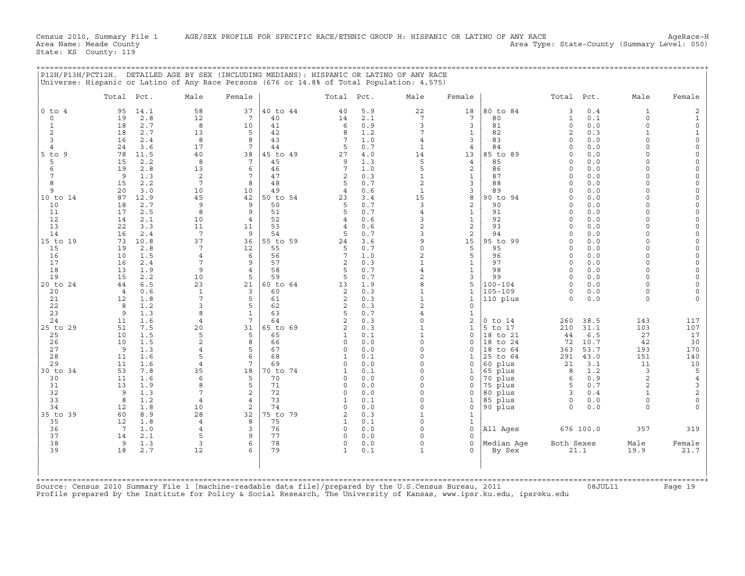| Total Pct.<br>Male<br>Total Pct.<br>Female<br>Male<br>Female<br>Total Pct.<br>$0$ to $4$<br>58<br>37<br>40 to 44<br>5.9<br>22<br>18<br>80 to 84<br>0.4<br>95<br>14.1<br>40<br>3<br>12<br>2.1<br>$7\overline{ }$<br>$7\phantom{.0}$<br>0.1<br>$\circ$<br>19<br>2.8<br>7<br>40<br>14<br>80<br>$\mathbf{1}$<br>0.9<br>3<br>$\mathbf{1}$<br>18<br>2.7<br>8<br>10<br>41<br>6<br>3<br>81<br>$\circ$<br>0.0<br>$\overline{c}$<br>2.7<br>5<br>42<br>1.2<br>7<br>$\mathbf{1}$<br>$\overline{2}$<br>0.3<br>18<br>13<br>8<br>82<br>3<br>16<br>43<br>7<br>1.0<br>3<br>83<br>$\Omega$<br>0.0<br>2.4<br>8<br>8<br>4<br>3.6<br>$7\phantom{.0}$<br>0.7<br>0.0<br>24<br>17<br>44<br>5<br>$\mathbf{1}$<br>84<br>$\Omega$<br>4<br>$\overline{4}$<br>40<br>85 to 89<br>$5$ to $9$<br>78<br>11.5<br>38<br>45 to 49<br>27<br>$4.0$<br>14<br>13<br>0.0<br>$\Omega$<br>2.2<br>8<br>5<br>85<br>0.0<br>5<br>15<br>7<br>45<br>9<br>1.3<br>$\overline{4}$<br>$\Omega$<br>5<br>46<br>7<br>2<br>19<br>2.8<br>13<br>6<br>1.0<br>86<br>$\Omega$<br>0.0<br>6<br>$\mathbf{1}$<br>9<br>1.3<br>2<br>47<br>$\overline{2}$<br>0.3<br>$\mathbf{1}$<br>87<br>0.0<br>$\Omega$<br>$7\phantom{.0}$<br>2.2<br>48<br>$\overline{a}$<br>3<br>88<br>0.0<br>8<br>15<br>$\mathsf{R}$<br>5<br>0.7<br>$\Omega$<br>9<br>20<br>3.0<br>10<br>10<br>49<br>$\overline{4}$<br>0.6<br>$\mathbf{1}$<br>3<br>89<br>$\Omega$<br>0.0<br>15<br>8<br>10 to 14<br>87<br>12.9<br>45<br>42<br>50 to 54<br>3.4<br>90 to 94<br>0.0<br>23<br>$\Omega$<br>9<br>50<br>0.7<br>3<br>$\overline{a}$<br>0.0<br>10<br>18<br>2.7<br>9<br>5<br>90<br>$\Omega$<br>8<br>9<br>$\mathbf{1}$<br>11<br>17<br>2.5<br>51<br>5<br>0.7<br>$\overline{4}$<br>91<br>$\Omega$<br>0.0<br>12<br>14<br>52<br>3<br>$\mathbf{1}$<br>92<br>0.0<br>2.1<br>10<br>$\overline{4}$<br>$\overline{4}$<br>0.6<br>$\Omega$<br>$\overline{c}$<br>$\overline{a}$<br>93<br>13<br>22<br>3.3<br>11<br>53<br>0.6<br>$\Omega$<br>0.0<br>11<br>$\overline{4}$<br>3<br>$\overline{a}$<br>14<br>16<br>2.4<br>7<br>9<br>54<br>5<br>0.7<br>94<br>0.0<br>$\Omega$<br>73<br>10.8<br>37<br>55 to 59<br>3.6<br>9<br>15<br>95 to 99<br>0.0<br>15 to 19<br>36<br>$\Omega$<br>24<br>19<br>2.8<br>55<br>$\circ$<br>5<br>95<br>0.0<br>15<br>7<br>12<br>5<br>0.7<br>$\Omega$<br>7<br>$\overline{a}$<br>5<br>0.0<br>10<br>1.5<br>56<br>1.0<br>96<br>16<br>$\overline{4}$<br>6<br>$\Omega$<br>$\mathbf{1}$<br>17<br>7<br>$\mathsf{Q}$<br>57<br>$\overline{2}$<br>0.3<br>$\mathbf{1}$<br>97<br>0.0<br>16<br>2.4<br>$\Omega$<br>18<br>58<br>$\overline{4}$<br>13<br>1.9<br>9<br>$\overline{4}$<br>5<br>0.7<br>$\mathbf{1}$<br>98<br>$\Omega$<br>0.0<br>2.2<br>5<br>2<br>3<br>19<br>15<br>10<br>5<br>59<br>0.7<br>99<br>$\Omega$<br>0.0<br>6.5<br>23<br>21<br>R<br>5<br>$100 - 104$<br>0.0<br>20 to 24<br>44<br>60 to 64<br>13<br>1.9<br>$\Omega$<br>$\mathbf{1}$<br>$\mathbf{1}$<br>$105 - 109$<br>20<br>0.6<br>$\mathbf{1}$<br>3<br>60<br>2<br>0.3<br>$\Omega$<br>0.0<br>$\overline{4}$<br>$\overline{7}$<br>5<br>21<br>1.8<br>61<br>2<br>0.3<br>$\mathbf{1}$<br>$\mathbf{1}$<br>110 plus<br>0.0<br>12<br>$\Omega$<br>$\overline{a}$<br>22<br>1.2<br>3<br>5<br>62<br>0.3<br>$\overline{c}$<br>$\circ$<br>8<br>23<br>8<br>5<br>9<br>1.3<br>$\mathbf{1}$<br>63<br>0.7<br>4<br>$\mathbf{1}$ | Male<br>Female<br>$\mathbf{1}$<br>2<br>$\Omega$<br>$\mathbf{1}$<br>$\Omega$<br>$\circ$<br>$\mathbf{1}$<br>$\mathbf{1}$<br>$\circ$<br>$\Omega$                                                                                                                                                                                                                                      |
|-------------------------------------------------------------------------------------------------------------------------------------------------------------------------------------------------------------------------------------------------------------------------------------------------------------------------------------------------------------------------------------------------------------------------------------------------------------------------------------------------------------------------------------------------------------------------------------------------------------------------------------------------------------------------------------------------------------------------------------------------------------------------------------------------------------------------------------------------------------------------------------------------------------------------------------------------------------------------------------------------------------------------------------------------------------------------------------------------------------------------------------------------------------------------------------------------------------------------------------------------------------------------------------------------------------------------------------------------------------------------------------------------------------------------------------------------------------------------------------------------------------------------------------------------------------------------------------------------------------------------------------------------------------------------------------------------------------------------------------------------------------------------------------------------------------------------------------------------------------------------------------------------------------------------------------------------------------------------------------------------------------------------------------------------------------------------------------------------------------------------------------------------------------------------------------------------------------------------------------------------------------------------------------------------------------------------------------------------------------------------------------------------------------------------------------------------------------------------------------------------------------------------------------------------------------------------------------------------------------------------------------------------------------------------------------------------------------------------------------------------------------------------------------------------------------------------------------------------------------------------------------------------------------------------------------------------------------------------------------------------------------------------------------------------------------------------------------------------------------------------------------------------------------------------------------------------------------------------------------------------------|------------------------------------------------------------------------------------------------------------------------------------------------------------------------------------------------------------------------------------------------------------------------------------------------------------------------------------------------------------------------------------|
|                                                                                                                                                                                                                                                                                                                                                                                                                                                                                                                                                                                                                                                                                                                                                                                                                                                                                                                                                                                                                                                                                                                                                                                                                                                                                                                                                                                                                                                                                                                                                                                                                                                                                                                                                                                                                                                                                                                                                                                                                                                                                                                                                                                                                                                                                                                                                                                                                                                                                                                                                                                                                                                                                                                                                                                                                                                                                                                                                                                                                                                                                                                                                                                                                                                       |                                                                                                                                                                                                                                                                                                                                                                                    |
|                                                                                                                                                                                                                                                                                                                                                                                                                                                                                                                                                                                                                                                                                                                                                                                                                                                                                                                                                                                                                                                                                                                                                                                                                                                                                                                                                                                                                                                                                                                                                                                                                                                                                                                                                                                                                                                                                                                                                                                                                                                                                                                                                                                                                                                                                                                                                                                                                                                                                                                                                                                                                                                                                                                                                                                                                                                                                                                                                                                                                                                                                                                                                                                                                                                       | $\overline{0}$<br>$\Omega$<br>$\Omega$<br>$\Omega$<br>$\Omega$<br>$\Omega$<br>$\Omega$<br>$\cap$<br>$\Omega$<br>$\cap$<br>$\Omega$<br>$\Omega$<br>$\cap$<br>$\cap$<br>$\Omega$<br>$\Omega$<br>$\Omega$<br>$\Omega$<br>$\cap$<br>$\cap$<br>$\Omega$<br>$\cap$<br>$\Omega$<br>$\Omega$<br>$\Omega$<br>$\Omega$<br>$\cap$<br>$\Omega$<br>$\Omega$<br>$\Omega$<br>$\Omega$<br>$\Omega$ |
| 24<br>11<br>1.6<br>$\overline{4}$<br>260<br>25 to 29<br>51<br>7.5<br>20<br>31<br>65 to 69<br>$\overline{2}$<br>0.3<br>$\mathbf{1}$<br>$\mathbf{1}$<br>5 to 17<br>210<br>31.1<br>10<br>1.5<br>5<br>65<br>0.1<br>$\mathbf{1}$<br>$\circ$<br>6.5<br>25<br>5<br>18 to 21<br>44<br>1<br>$\overline{c}$<br>$\Omega$<br>26<br>10<br>1.5<br>8<br>66<br>0.0<br>to 24<br>72<br>10.7<br>$\mathbf 0$<br>$\mathbf 0$<br>18<br>27<br>1.3<br>9<br>5<br>67<br>0.0<br>$\Omega$<br>53.7<br>0<br>0<br>18<br>to 64<br>363<br>4<br>28<br>1.6<br>5<br>68<br>291<br>43.0<br>6<br>0.1<br>$\Omega$<br>25<br>to 64<br>11<br>$\mathbf{1}$<br>$\mathbf{1}$<br>29<br>11<br>7<br>60 plus<br>21<br>3.1<br>1.6<br>$\overline{4}$<br>69<br>$\Omega$<br>0.0<br>$\Omega$<br>$\Omega$<br>35<br>30 to 34<br>53<br>7.8<br>$\Omega$<br>1.2<br>18<br>70 to 74<br>$\mathbf{1}$<br>0.1<br>$\mathbf 1$<br>65 plus<br>8<br>11<br>1.6<br>6<br>$\Omega$<br>70 plus<br>0.9<br>30<br>5<br>70<br>$\Omega$<br>0.0<br>$\mathbf 0$<br>6<br>31<br>13<br>1.9<br>8<br>5<br>71<br>0.0<br>$\Omega$<br>75 plus<br>5<br>0.7<br>$\Omega$<br>0<br>7<br>$\overline{c}$<br>32<br>9<br>1.3<br>72<br>$\Omega$<br>0.0<br>$\Omega$<br>$\mathbf 0$<br>80 plus<br>3<br>0.4<br>33<br>8<br>1.2<br>$\overline{4}$<br>$\overline{4}$<br>73<br>0.1<br>$\Omega$<br>$\mathbf{1}$<br>85 plus<br>$\circ$<br>0.0<br>$\mathbf{1}$<br>34<br>12<br>1.8<br>10<br>2<br>74<br>$\Omega$<br>$\circ$<br>90 plus<br>$\Omega$<br>0.0<br>$\Omega$<br>0.0<br>35 to 39<br>60<br>8.9<br>28<br>32<br>75 to 79<br>0.3<br>$\mathbf{1}$<br>$\overline{a}$<br>$\mathbf{1}$<br>35<br>12<br>1.8<br>$\overline{4}$<br>8<br>75<br>0.1<br>$\circ$<br>$\mathbf{1}$<br>$\mathbf{1}$<br>36<br>7<br>1.0<br>3<br>76<br>0.0<br>$\Omega$<br>$\mathbf{0}$<br>All Ages<br>676 100.0<br>4<br>0<br>37<br>9<br>77<br>2.1<br>5<br>$\Omega$<br>0.0<br>$\Omega$<br>14<br>38<br>1.3<br>78<br>0.0<br>Median Age<br>Both Sexes<br>9<br>3<br>0<br>$\Omega$<br>$\Omega$<br>6<br>39<br>2.7<br>79<br>21.1<br>18<br>12<br>0.1<br>$\Omega$<br>By Sex<br>$\mathbf{1}$<br>Source: Census 2010 Summary File 1 [machine-readable data file]/prepared by the U.S.Census Bureau, 2011                                                                                                                                                                                                                                                                                                                                                                                                                                                                                                                                                                                                                                                                                                                                                                                                                                                                                                                                                                                                                                                                                                       | $\overline{a}$<br>$\overline{\mathbf{c}}$<br>7<br>64<br>0.3<br>$\circ$<br>$0$ to $14$<br>38.5<br>143<br>117<br>103<br>107<br>27<br>17<br>30<br>42<br>193<br>170<br>151<br>140<br>11<br>10<br>5<br>3<br>$\overline{a}$<br>$\overline{4}$<br>3<br>$\overline{2}$<br>$\begin{array}{c} 2 \\ 0 \end{array}$<br>$\Omega$<br>$\cap$<br>357<br>319<br>Male<br>Female<br>19.9<br>21.7      |

+===================================================================================================================================================+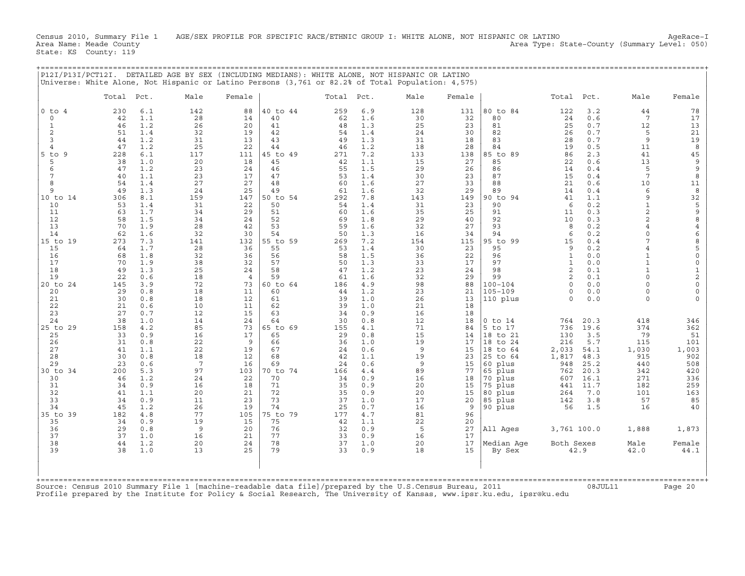Census 2010, Summary File 1 AGE/SEX PROFILE FOR SPECIFIC RACE/ETHNIC GROUP I: WHITE ALONE, NOT HISPANIC OR LATINO AgeRace-I<br>Area Name: Meade County (Summary Level: 050) Area Type: State-County (Summary Level: 050) State: KS County: 119

| P12I/P13I/PCT12I.                                                                                                                                               |                                                                                                             |                                                                                                                            | DETAILED AGE BY SEX (INCLUDING MEDIANS): WHITE ALONE, NOT HISPANIC OR LATINO<br>Universe: White Alone, Not Hispanic or Latino Persons (3,761 or 82.2% of Total Population: 4,575) |                                                                                                            |                                                                                                                            |                                                                                                             |                                                                                                                            |                                                                                                                    |                                                                                                             | ==============                                                                                                                                                  |                                                                                                           |                                                                                                                            |                                                                                                                                                                                |                                                                                                                                        |
|-----------------------------------------------------------------------------------------------------------------------------------------------------------------|-------------------------------------------------------------------------------------------------------------|----------------------------------------------------------------------------------------------------------------------------|-----------------------------------------------------------------------------------------------------------------------------------------------------------------------------------|------------------------------------------------------------------------------------------------------------|----------------------------------------------------------------------------------------------------------------------------|-------------------------------------------------------------------------------------------------------------|----------------------------------------------------------------------------------------------------------------------------|--------------------------------------------------------------------------------------------------------------------|-------------------------------------------------------------------------------------------------------------|-----------------------------------------------------------------------------------------------------------------------------------------------------------------|-----------------------------------------------------------------------------------------------------------|----------------------------------------------------------------------------------------------------------------------------|--------------------------------------------------------------------------------------------------------------------------------------------------------------------------------|----------------------------------------------------------------------------------------------------------------------------------------|
|                                                                                                                                                                 | Total                                                                                                       | Pct.                                                                                                                       | Male                                                                                                                                                                              | Female                                                                                                     |                                                                                                                            | Total                                                                                                       | Pct.                                                                                                                       | Male                                                                                                               | Female                                                                                                      |                                                                                                                                                                 | Total                                                                                                     | Pct.                                                                                                                       | Male                                                                                                                                                                           | Female                                                                                                                                 |
| $0$ to $4$<br>$\circ$<br>$\mathbf{1}$<br>$\overline{2}$<br>3<br>$\overline{4}$<br>$5$ to $9$<br>5<br>6<br>7<br>8<br>9<br>10 to 14<br>10<br>11<br>12<br>13<br>14 | 230<br>42<br>46<br>51<br>44<br>47<br>228<br>38<br>47<br>40<br>54<br>49<br>306<br>53<br>63<br>58<br>70<br>62 | 6.1<br>1.1<br>1.2<br>1.4<br>1.2<br>1.2<br>6.1<br>1.0<br>1.2<br>1.1<br>1.4<br>1.3<br>8.1<br>1.4<br>1.7<br>1.5<br>1.9<br>1.6 | 142<br>28<br>26<br>32<br>31<br>25<br>117<br>20<br>23<br>23<br>27<br>24<br>159<br>31<br>34<br>34<br>28<br>32                                                                       | 88<br>14<br>20<br>19<br>13<br>22<br>111<br>18<br>24<br>17<br>27<br>25<br>147<br>22<br>29<br>24<br>42<br>30 | 40 to 44<br>40<br>41<br>42<br>43<br>44<br>45 to 49<br>45<br>46<br>47<br>48<br>49<br>50 to 54<br>50<br>51<br>52<br>53<br>54 | 259<br>62<br>48<br>54<br>49<br>46<br>271<br>42<br>55<br>53<br>60<br>61<br>292<br>54<br>60<br>69<br>59<br>50 | 6.9<br>1.6<br>1.3<br>1.4<br>1.3<br>1.2<br>7.2<br>1.1<br>1.5<br>1.4<br>1.6<br>1.6<br>7.8<br>1.4<br>1.6<br>1.8<br>1.6<br>1.3 | 128<br>30<br>25<br>24<br>31<br>18<br>133<br>15<br>29<br>30<br>27<br>32<br>143<br>31<br>35<br>29<br>32<br>16        | 131<br>32<br>23<br>30<br>18<br>28<br>138<br>27<br>26<br>23<br>33<br>29<br>149<br>23<br>25<br>40<br>27<br>34 | 80 to 84<br>80<br>81<br>82<br>83<br>84<br>85 to 89<br>85<br>86<br>87<br>88<br>89<br>90 to 94<br>90<br>91<br>92<br>93<br>94                                      | 122<br>24<br>25<br>26<br>28<br>19<br>86<br>22<br>14<br>15<br>21<br>14<br>41<br>6<br>11<br>10<br>8<br>6    | 3.2<br>0.6<br>0.7<br>0.7<br>0.7<br>0.5<br>2.3<br>0.6<br>0.4<br>0.4<br>0.6<br>0.4<br>1.1<br>0.2<br>0.3<br>0.3<br>0.2<br>0.2 | 44<br>$7\phantom{.0}$<br>12<br>5<br>9<br>11<br>41<br>13<br>5<br>$\overline{7}$<br>10<br>6<br>9<br>$\mathbf{1}$<br>$\overline{a}$<br>$\overline{c}$<br>$\overline{4}$<br>0<br>7 | 78<br>17<br>13<br>21<br>19<br>8<br>45<br>9<br>9<br>8<br>11<br>8<br>32<br>$\begin{array}{c} 5 \\ 9 \\ 8 \end{array}$<br>$\,4$<br>6      |
| 15 to 19<br>15<br>16<br>17<br>18<br>19<br>20 to 24<br>20<br>21<br>22                                                                                            | 273<br>64<br>68<br>70<br>49<br>22<br>145<br>29<br>30<br>21                                                  | 7.3<br>1.7<br>1.8<br>1.9<br>1.3<br>0.6<br>3.9<br>0.8<br>0.8<br>0.6                                                         | 141<br>28<br>32<br>38<br>25<br>18<br>72<br>18<br>18<br>10                                                                                                                         | 132<br>36<br>36<br>32<br>24<br>$\overline{4}$<br>73<br>11<br>12<br>11                                      | 55 to 59<br>55<br>56<br>57<br>58<br>59<br>$60$ to $64$<br>60<br>61<br>62                                                   | 269<br>53<br>58<br>50<br>47<br>61<br>186<br>44<br>39<br>39                                                  | 7.2<br>1.4<br>1.5<br>1.3<br>1.2<br>1.6<br>4.9<br>1.2<br>1.0<br>1.0                                                         | 154<br>30<br>36<br>33<br>23<br>32<br>98<br>23<br>26<br>21                                                          | 115<br>23<br>22<br>17<br>24<br>29<br>88<br>21<br>13<br>18                                                   | 95 to 99<br>95<br>96<br>97<br>98<br>99<br>$100 - 104$<br>$105 - 109$<br>110 plus                                                                                | 15<br>9<br>$\mathbf{1}$<br>$\mathbf{1}$<br>2<br>2<br>$\Omega$<br>$\circ$<br>$\Omega$                      | 0.4<br>0.2<br>0.0<br>0.0<br>0.1<br>0.1<br>0.0<br>$0.0$<br>0.0                                                              | $\overline{4}$<br>$\mathbf{1}$<br>$\mathbf{1}$<br>$\mathbf{1}$<br>$\circ$<br>$\Omega$<br>0<br>$\Omega$                                                                         | $\begin{array}{c} 8 \\ 5 \end{array}$<br>$\circ$<br>$\mathsf{O}\xspace$<br>$\frac{1}{2}$<br>$\circ$<br>$\mathsf{O}\xspace$<br>$\Omega$ |
| 23<br>24<br>25 to 29<br>25<br>26<br>27<br>28<br>29<br>30 to 34<br>30<br>31<br>32<br>33<br>34<br>35 to 39<br>35<br>36<br>37                                      | 27<br>38<br>158<br>33<br>31<br>41<br>30<br>23<br>200<br>46<br>34<br>41<br>34<br>45<br>182<br>34<br>29<br>37 | 0.7<br>1.0<br>4.2<br>0.9<br>0.8<br>1.1<br>0.8<br>0.6<br>5.3<br>1.2<br>0.9<br>1.1<br>0.9<br>1.2<br>4.8<br>0.9<br>0.8<br>1.0 | 12<br>14<br>85<br>16<br>22<br>22<br>18<br>$7\phantom{.0}$<br>97<br>24<br>16<br>20<br>11<br>26<br>77<br>19<br>9<br>16                                                              | 15<br>24<br>73<br>17<br>9<br>19<br>12<br>16<br>103<br>22<br>18<br>21<br>23<br>19<br>105<br>15<br>20<br>21  | 63<br>64<br>65 to 69<br>65<br>66<br>67<br>68<br>69<br>70 to 74<br>70<br>71<br>72<br>73<br>74<br>75 to 79<br>75<br>76<br>77 | 34<br>30<br>155<br>29<br>36<br>24<br>42<br>24<br>166<br>34<br>35<br>35<br>37<br>25<br>177<br>42<br>32<br>33 | 0.9<br>0.8<br>4.1<br>0.8<br>1.0<br>0.6<br>1.1<br>0.6<br>4.4<br>0.9<br>0.9<br>0.9<br>1.0<br>0.7<br>4.7<br>1.1<br>0.9<br>0.9 | 16<br>12<br>71<br>15<br>19<br>$\overline{9}$<br>19<br>9<br>89<br>16<br>20<br>20<br>17<br>16<br>81<br>22<br>5<br>16 | 18<br>18<br>84<br>14<br>17<br>15<br>23<br>15<br>77<br>18<br>15<br>15<br>20<br>9<br>96<br>20<br>27<br>17     | $0$ to $14$<br>5 to 17<br>18 to 21<br>18 to 24<br>18 to 64<br>25 to 64<br>60 plus<br>65 plus<br>70 plus<br>75 plus<br>80 plus<br>85 plus<br>90 plus<br>All Ages | 764<br>736<br>130<br>216<br>2,033<br>1,817<br>948<br>762<br>607<br>441<br>264<br>142<br>56<br>3,761 100.0 | 20.3<br>19.6<br>3.5<br>5.7<br>54.1<br>48.3<br>25.2<br>20.3<br>16.1<br>11.7<br>7.0<br>3.8<br>1.5                            | 418<br>374<br>79<br>115<br>1,030<br>915<br>440<br>342<br>271<br>182<br>101<br>57<br>16<br>1,888                                                                                | 346<br>362<br>51<br>101<br>1,003<br>902<br>508<br>420<br>336<br>259<br>163<br>85<br>40<br>1,873                                        |
| 38<br>39                                                                                                                                                        | 44<br>38                                                                                                    | 1.2<br>1.0                                                                                                                 | 20<br>13                                                                                                                                                                          | 24<br>25                                                                                                   | 78<br>79                                                                                                                   | 37<br>33                                                                                                    | 1.0<br>0.9                                                                                                                 | 20<br>18                                                                                                           | 17<br>15                                                                                                    | Median Age<br>By Sex                                                                                                                                            | Both Sexes                                                                                                | 42.9                                                                                                                       | Male<br>42.0                                                                                                                                                                   | Female<br>44.1                                                                                                                         |

+===================================================================================================================================================+ Source: Census 2010 Summary File 1 [machine−readable data file]/prepared by the U.S.Census Bureau, 2011 08JUL11 Page 20 Profile prepared by the Institute for Policy & Social Research, The University of Kansas, www.ipsr.ku.edu, ipsr@ku.edu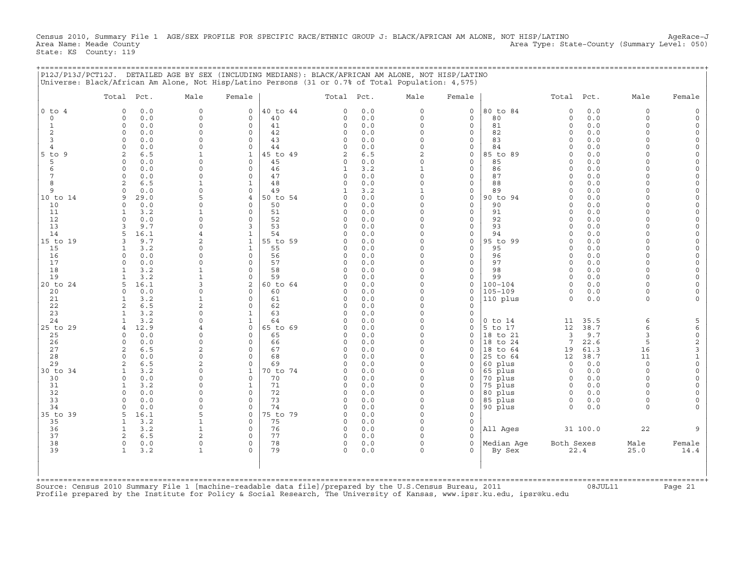Census 2010, Summary File 1 AGE/SEX PROFILE FOR SPECIFIC RACE/ETHNIC GROUP J: BLACK/AFRICAN AM ALONE, NOT HISP/LATINO AgeRace-J<br>Area Name: Meade County (Summary Level: 050) Area Type: State-County (Summary Level: 050) State: KS County: 119

+===================================================================================================================================================+

|                | Total Pct.                      | Male                | Female                        |                | Total Pct.           |            | Male                     | Female                      |                    | Total Pct.              |            | Male                 | Female                         |
|----------------|---------------------------------|---------------------|-------------------------------|----------------|----------------------|------------|--------------------------|-----------------------------|--------------------|-------------------------|------------|----------------------|--------------------------------|
| $0$ to $4$     | 0.0<br>$\Omega$                 | $\mathsf{O}\xspace$ | 0                             | 40 to 44       | $\Omega$             | 0.0        | $\circ$                  | $\mathsf{O}\xspace$         | 80 to 84           | $\mathbf 0$             | 0.0        | $\mathbf 0$          | $\Omega$                       |
| 0              | 0.0<br>0                        | 0                   | 0                             | 40             | 0                    | 0.0        | 0                        | $\mathsf{O}$                | 80                 | 0                       | $0.0$      | $\mathbf 0$          |                                |
| 1              | $\Omega$<br>0.0                 | 0                   | $\Omega$                      | 41             | $\Omega$             | 0.0        | $\Omega$                 | $\mathbf 0$                 | 81                 | $\Omega$                | 0.0        | $\Omega$             | $\Omega$                       |
| 2              | $\circ$<br>0.0                  | $\Omega$            | $\circ$                       | 42             | $\Omega$             | 0.0        | $\circ$                  | $\mathbf 0$                 | 82                 | $\Omega$                | 0.0        | $\Omega$             | $\Omega$                       |
| 3              | 0.0<br>$\Omega$                 | 0                   | $\mathbf 0$                   | 43             | $\Omega$             | 0.0        | $\Omega$                 | $\mathbf 0$                 | 83                 | $\Omega$                | 0.0        | $\Omega$             | $\circ$                        |
| 4              | 0.0<br>$\Omega$                 | $\Omega$            | $\Omega$                      | 44             | $\Omega$             | 0.0        | $\Omega$                 | $\mathbf 0$                 | 84                 | $\Omega$                | 0.0        |                      | $\Omega$                       |
| 5 to 9         | 6.5<br>2                        | $\mathbf{1}$        | $\mathbf{1}$                  | 45 to 49       | 2                    | 6.5        | 2                        | $\mathsf{O}$                | 85 to 89           | $\Omega$                | 0.0        |                      | $\Omega$                       |
| 5<br>6         | 0.0<br>$\Omega$<br>0<br>0.0     | 0<br>0              | $\mathbf 0$<br>0              | 45<br>46       | 0<br>1               | 0.0<br>3.2 | $\Omega$<br>$\mathbf{1}$ | $\mathbf 0$<br>$\mathsf{O}$ | 85<br>86           | $\Omega$<br>$\Omega$    | 0.0<br>0.0 | U                    | $\Omega$<br>$\Omega$           |
| 7              | 0.0<br>$\Omega$                 | $\Omega$            | $\Omega$                      | 47             | $\Omega$             | 0.0        | $\Omega$                 | $\mathbf 0$                 | 87                 | $\Omega$                | 0.0        |                      | $\Omega$                       |
| 8              | 2<br>6.5                        | $\mathbf{1}$        | $\mathbf{1}$                  | 48             | 0                    | 0.0        | $\circ$                  | $\mathbf 0$                 | 88                 | $\Omega$                | 0.0        | $\Omega$             | $\Omega$                       |
| $\mathsf{Q}$   | 0.0<br>$\Omega$                 | $\Omega$            | $\mathbf 0$                   | 49             |                      | 3.2        | $\mathbf{1}$             | $\mathbf 0$                 | 89                 | $\Omega$                | 0.0        |                      | $\Omega$                       |
| 10 to 14       | 29.0<br>9                       | 5                   | 4                             | 50 to 54       | O                    | 0.0        | $\Omega$                 | $\mathbf 0$                 | 90 to 94           | $\Omega$                | 0.0        |                      | $\Omega$                       |
| 10             | 0.0<br>$\Omega$                 | 0                   | $\Omega$                      | 50             | 0                    | 0.0        | 0                        | $\mathsf{O}$                | 90                 | $\Omega$                | 0.0        | U                    | $\Omega$                       |
| 11             | 3.2<br>-1                       | 1                   | $\mathbf 0$                   | 51             | $\Omega$             | 0.0        | $\Omega$                 | $\mathbf 0$                 | 91                 | $\Omega$                | 0.0        | $\cap$               | $\Omega$                       |
| 12             | $\Omega$<br>0.0                 | 0                   | 0                             | 52             | 0                    | 0.0        | 0                        | $\mathsf{O}$                | 92                 | $\Omega$                | 0.0        | $\cap$               | $\Omega$                       |
| 13             | 9.7<br>3                        | $\Omega$            | 3                             | 53             | 0                    | 0.0        | $\Omega$                 | $\mathbf 0$                 | 93                 | $\Omega$                | 0.0        | $\cap$               | $\mathbf 0$                    |
| 14             | 16.1<br>5                       | 4                   | $\mathbf{1}$                  | 54             | $\Omega$             | 0.0        | $\circ$                  | $\mathbf 0$                 | 94                 | $\Omega$                | 0.0        | $\Omega$             | $\Omega$                       |
| 15 to 19       | 9.7<br>3                        | 2                   | $\mathbf{1}$                  | 55 to 59       | O                    | 0.0        | $\Omega$                 | $\mathsf{O}\xspace$         | 95 to 99           | $\Omega$                | 0.0        |                      | $\Omega$                       |
| 15             | 3.2<br>1                        | $\Omega$            | $\mathbf{1}$                  | 55             | $\Omega$             | 0.0        | $\Omega$                 | $\Omega$                    | 95                 | $\Omega$                | 0.0        |                      | $\Omega$                       |
| 16             | 0.0<br>0                        | $\Omega$            | $\circ$                       | 56             | 0                    | 0.0        | $\Omega$                 | $\mathsf{O}$                | 96                 | $\Omega$                | 0.0        | $\cap$               | $\Omega$                       |
| 17             | 0.0<br>0                        | 0                   | $\mathbf 0$                   | 57             | 0                    | 0.0        | $\Omega$                 | $\mathbf 0$                 | 97                 | $\Omega$                | 0.0        | $\cap$               | $\Omega$                       |
| 18             | 3.2<br>-1                       | $\mathbf{1}$        | $\mathbf 0$                   | 58             | $\Omega$             | 0.0        | $\Omega$<br>$\Omega$     | $\mathsf{O}$                | 98                 | $\Omega$                | 0.0        | $\cap$<br>$\cap$     | $\Omega$<br>$\Omega$           |
| 19<br>20 to 24 | 3.2<br>16.1<br>5                | $\mathbf 1$<br>ς    | $\mathbf 0$<br>$\overline{a}$ | 59<br>60 to 64 | 0<br>$\Omega$        | 0.0<br>0.0 | $\Omega$                 | $\mathbf 0$<br>$\mathbf 0$  | 99<br>100-104      | $\Omega$<br>$\Omega$    | 0.0<br>0.0 | $\Omega$             | $\Omega$                       |
| 20             | 0.0<br>$\Omega$                 | $\circ$             | $\mathbf 0$                   | 60             | O                    | 0.0        | $\Omega$                 | $\mathbf 0$                 | $105 - 109$        | $\Omega$                | 0.0        | $\Omega$             | $\Omega$                       |
| 21             | 3.2<br>$\mathbf{1}$             | $\mathbf{1}$        | $\mathbf 0$                   | 61             | $\Omega$             | 0.0        | $\Omega$                 | $\mathbf 0$                 | 110 plus           | $\Omega$                | 0.0        | $\Omega$             |                                |
| 22             | 2<br>6.5                        | $\overline{2}$      | $\Omega$                      | 62             | 0                    | 0.0        | $\Omega$                 | $\mathbf 0$                 |                    |                         |            |                      |                                |
| 23             | 3.2                             | $\Omega$            | $\mathbf{1}$                  | 63             | 0                    | 0.0        | $\Omega$                 | $\mathbf 0$                 |                    |                         |            |                      |                                |
| 24             | 3.2<br>1                        | $\Omega$            | $\mathbf{1}$                  | 64             | $\Omega$             | 0.0        | $\circ$                  | $\mathsf{O}$                | $0$ to $14$        | 11                      | 35.5       | 6                    | 5                              |
| 25 to 29       | 12.9<br>4                       | 4                   | $\mathbf 0$                   | 65 to 69       | 0                    | 0.0        | $\Omega$                 | $\mathbf 0$                 | 5 to 17            | 12                      | 38.7       | 6                    | $\epsilon$                     |
| 25             | 0.0<br>$\Omega$                 | $\Omega$            | $\Omega$                      | 65             | $\Omega$             | 0.0        | $\Omega$                 | $\mathbf 0$                 | 18 to 21           | 3                       | 9.7        | 3                    | $\mathsf{O}\xspace$            |
| 26             | 0.0<br>$\Omega$                 | $\Omega$            | $\mathbf 0$                   | 66             | 0                    | 0.0        | $\Omega$                 | $\Omega$                    | 18 to 24           | $7\phantom{.0}$         | 22.6       | 5                    | $\overline{c}$                 |
| 27             | 2<br>6.5                        | $\overline{2}$      | $\Omega$                      | 67             | $\Omega$             | 0.0        | $\Omega$                 | $\Omega$                    | 18 to 64           | 19                      | 61.3       | 16                   | $\mathsf 3$                    |
| 28             | $\Omega$<br>0.0                 | $\Omega$            | $\Omega$                      | 68             | 0                    | 0.0        | $\circ$                  | $\mathbf 0$                 | 25 to 64           | 12                      | 38.7       | 11                   | $\mathbf 1$                    |
| 29             | $\overline{a}$<br>6.5           | 2                   | $\mathbf 0$                   | 69             | $\Omega$             | 0.0        | $\Omega$                 | $\mathbf 0$                 | 60 plus            | $\mathbf 0$             | 0.0        | $\Omega$             | $\mathsf{O}\xspace$            |
| 30 to 34       | 3.2<br>1                        | 0<br>$\Omega$       | $\mathbf{1}$<br>$\mathbf 0$   | 70 to 74       | O                    | 0.0        | $\Omega$<br>$\Omega$     | $\mathbf 0$<br>$\Omega$     | 65 plus            | $\circ$                 | 0.0        | $\Omega$<br>$\Omega$ | $\mathsf{O}\xspace$<br>$\circ$ |
| 30<br>31       | 0<br>0.0<br>3.2<br>$\mathbf{1}$ | $\Omega$            | $\mathbf{1}$                  | 70<br>71       | $\Omega$<br>$\Omega$ | 0.0<br>0.0 | $\Omega$                 | $\mathbf 0$                 | 70 plus<br>75 plus | $\mathbf 0$<br>$\Omega$ | 0.0<br>0.0 | $\Omega$             | $\Omega$                       |
| 32             | 0.0<br>$\Omega$                 | $\Omega$            | $\circ$                       | 72             | $\Omega$             | 0.0        | $\Omega$                 | $\mathbf 0$                 | 80 plus            | $\circ$                 | 0.0        | $\Omega$             | $\Omega$                       |
| 33             | $\cap$<br>0.0                   | $\Omega$            | $\Omega$                      | 73             | $\Omega$             | 0.0        | $\Omega$                 | $\Omega$                    | 85 plus            | $\Omega$                | 0.0        | $\Omega$             | $\Omega$                       |
| 34             | $\Omega$<br>0.0                 | $\Omega$            | $\Omega$                      | 74             | $\Omega$             | 0.0        | $\circ$                  | $\mathbf 0$                 | 90 plus            | $\circ$                 | 0.0        | $\Omega$             |                                |
| 35 to 39       | 16.1<br>5                       | 5                   | $\mathbf 0$                   | 75 to 79       | 0                    | 0.0        | $\circ$                  | $\mathbf 0$                 |                    |                         |            |                      |                                |
| 35             | 3.2<br>1                        | $\mathbf{1}$        | $\circ$                       | 75             | $\Omega$             | 0.0        | $\Omega$                 | $\mathbf 0$                 |                    |                         |            |                      |                                |
| 36             | 3.2<br>1                        | $\mathbf 1$         | $\mathbf 0$                   | 76             | 0                    | 0.0        | $\Omega$                 | $\mathbf 0$                 | All Ages           |                         | 31 100.0   | 22                   |                                |
| 37             | 2<br>6.5                        | 2                   | $\mathbf 0$                   | 77             | 0                    | 0.0        | $\Omega$                 | $\mathbf 0$                 |                    |                         |            |                      |                                |
| 38             | $\mathbf 0$<br>0.0              | 0                   | $\mathbf 0$                   | 78             | 0                    | 0.0        | $\Omega$                 | $\mathbf 0$                 | Median Age         | Both Sexes              |            | Male                 | Female                         |
| 39             | $\mathbf{1}$<br>3.2             | $\mathbf 1$         | $\cap$                        | 79             | $\Omega$             | 0.0        | $\Omega$                 | $\Omega$                    | By Sex             |                         | 22.4       | 25.0                 | 14.4                           |
|                |                                 |                     |                               |                |                      |            |                          |                             |                    |                         |            |                      |                                |
|                |                                 |                     |                               |                |                      |            |                          |                             |                    |                         |            |                      |                                |

Profile prepared by the Institute for Policy & Social Research, The University of Kansas, www.ipsr.ku.edu, ipsr@ku.edu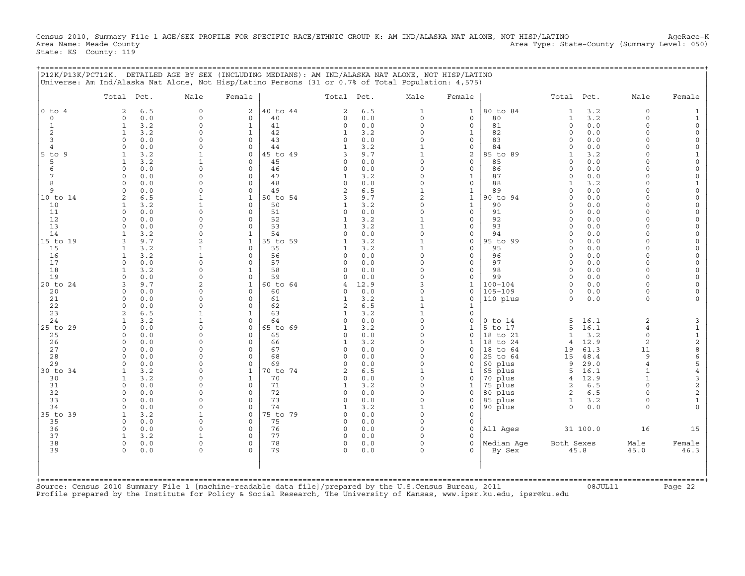Census 2010, Summary File 1 AGE/SEX PROFILE FOR SPECIFIC RACE/ETHNIC GROUP K: AM IND/ALASKA NAT ALONE, NOT HISP/LATINO AgeRace-K<br>Area Name: Meade County (Summary Level: 050) Area Type: State-County (Summary Level: 050) State: KS County: 119

|                 | P12K/P13K/PCT12K. DETAILED AGE BY SEX (INCLUDING MEDIANS): AM IND/ALASKA NAT ALONE, NOT HISP/LATINO<br>Universe: Am Ind/Alaska Nat Alone, Not Hisp/Latino Persons (31 or 0.7% of Total Population: 4,575)                         |                         |                             |                |                         |            |                                |                                    |                      |                                  |              |                          |                                                   |
|-----------------|-----------------------------------------------------------------------------------------------------------------------------------------------------------------------------------------------------------------------------------|-------------------------|-----------------------------|----------------|-------------------------|------------|--------------------------------|------------------------------------|----------------------|----------------------------------|--------------|--------------------------|---------------------------------------------------|
|                 | Total Pct.                                                                                                                                                                                                                        | Male                    | Female                      |                | Total Pct.              |            | Male                           | Female                             |                      | Total Pct.                       |              | Male                     | Female                                            |
| $0$ to $4$      | 2<br>6.5                                                                                                                                                                                                                          | $\mathbf 0$             | 2                           | 40 to 44       | 2                       | 6.5<br>0.0 | 1                              | $\mathbf 1$                        | 80 to 84<br>80       | 1                                | 3.2<br>3.2   | $\circ$<br>$\circ$       | $\mathbf{1}$                                      |
| $\circ$<br>1    | 0.0<br>$\circ$<br>3.2<br>1                                                                                                                                                                                                        | $\mathbf 0$<br>$\Omega$ | $\mathbf 0$<br>$\mathbf{1}$ | 40<br>41       | $\mathsf{O}$<br>$\circ$ | 0.0        | $\circ$<br>$\Omega$            | $\circ$<br>$\circ$                 | 81                   | $\mathbf{1}$<br>0                | 0.0          | $\Omega$                 | $\mathbf{1}$<br>$\mathsf{O}$                      |
| 2               | 3.2<br>$\mathbf{1}$                                                                                                                                                                                                               | $\Omega$                | $\mathbf{1}$                | 42             | $\mathbf{1}$            | 3.2        | $\Omega$                       | $\mathbf{1}$                       | 82                   | $\circ$                          | 0.0          | $\Omega$                 | 0                                                 |
| 3               | 0.0<br>$\Omega$                                                                                                                                                                                                                   | $\Omega$                | $\mathbf 0$                 | 43             | $\circ$                 | 0.0        | $\Omega$                       | $\mathbf{0}$                       | 83                   | 0                                | 0.0          | $\Omega$                 | 0                                                 |
| $\overline{4}$  | 0.0<br>$\Omega$<br>3.2                                                                                                                                                                                                            | $\Omega$                | $\mathbf 0$                 | 44             | 1                       | 3.2<br>9.7 | $\overline{1}$<br>$\mathbf{1}$ | $\mathbf 0$                        | 84<br>85 to 89       | $\Omega$                         | 0.0<br>3.2   | $\Omega$<br>$\Omega$     | $\mathbf 0$                                       |
| $5$ to $9$<br>5 | 3.2<br>$\mathbf{1}$                                                                                                                                                                                                               |                         | $\mathbf 0$<br>$\mathbf 0$  | 45 to 49<br>45 | 3<br>$\mathbf 0$        | 0.0        | $\Omega$                       | 2<br>$\mathbf 0$                   | 85                   | 1<br>$\Omega$                    | 0.0          | $\Omega$                 | 1<br>$\mathbf 0$                                  |
| 6               | $\Omega$<br>0.0                                                                                                                                                                                                                   | $\cap$                  | $\Omega$                    | 46             | $\circ$                 | 0.0        | $\Omega$                       | $\mathbf{0}$                       | 86                   | $\Omega$                         | 0.0          | $\Omega$                 | 0                                                 |
| 7               | 0.0<br>$\Omega$                                                                                                                                                                                                                   | $\Omega$                | $\circ$                     | 47             | $\mathbf{1}$            | 3.2        | $\Omega$                       | $\mathbf{1}$                       | 87                   | $\Omega$                         | 0.0          | $\Omega$                 | $\mathbf 0$                                       |
| 8               | 0.0<br>$\cap$                                                                                                                                                                                                                     | $\cap$                  | $\Omega$                    | 48             | $\Omega$                | 0.0        | $\Omega$                       | $\mathbf{0}$                       | 88                   | 1                                | 3.2          | $\Omega$                 | $\mathbf 1$                                       |
| 9<br>10 to 14   | 0.0<br>$\Omega$<br>6.5<br>$\mathcal{L}$                                                                                                                                                                                           | $\Omega$                | $\mathbf 0$<br>$\mathbf{1}$ | 49<br>50 to 54 | $\overline{2}$<br>3     | 6.5<br>9.7 | $\mathbf{1}$<br>$\overline{a}$ | $\mathbf 1$<br>$\mathbf 1$         | 89<br>90 to 94       | $\circ$<br>$\Omega$              | 0.0<br>0.0   | $\Omega$<br>$\Omega$     | $\mathsf{O}$<br>0                                 |
| 10              | 3.2<br>$\mathbf{1}$                                                                                                                                                                                                               |                         | $\mathbf 0$                 | 50             | $\mathbf{1}$            | 3.2        | $\Omega$                       | $\mathbf{1}$                       | 90                   | $\Omega$                         | 0.0          | $\Omega$                 | $\mathbf 0$                                       |
| 11              | $\Omega$<br>0.0                                                                                                                                                                                                                   | $\Omega$                | $\Omega$                    | 51             | $\Omega$                | 0.0        | $\Omega$                       | $\circ$                            | 91                   | $\Omega$                         | 0.0          | $\Omega$                 | $\mathsf{O}$                                      |
| 12              | 0.0<br>$\circ$                                                                                                                                                                                                                    | $\mathbf 0$             | $\mathbf 0$                 | 52             | 1                       | 3.2        | $\mathbf{1}$                   | $\circ$                            | 92                   | $\circ$                          | 0.0          | $\Omega$                 | 0                                                 |
| 13<br>14        | 0.0<br>$\cap$<br>3.2                                                                                                                                                                                                              | $\cap$<br>$\Omega$      | $\Omega$<br>$\mathbf{1}$    | 53<br>54       | $\mathbf{1}$<br>$\circ$ | 3.2<br>0.0 | $\mathbf{1}$<br>$\Omega$       | $\mathbf 0$<br>$\mathbf{0}$        | 93<br>94             | $\Omega$<br>$\Omega$             | 0.0<br>0.0   | $\Omega$<br>$\Omega$     | $\mathsf{O}$<br>0                                 |
| 15 to 19        | 9.7<br>$\mathbf{z}$                                                                                                                                                                                                               |                         | $\mathbf{1}$                | 55 to 59       | $\mathbf{1}$            | 3.2        |                                | $\Omega$                           | 95 to 99             | $\Omega$                         | 0.0          | $\Omega$                 | $\mathsf{O}$                                      |
| 15              | 3.2<br>1                                                                                                                                                                                                                          | 1                       | $\mathbf 0$                 | 55             | 1                       | 3.2        | $\mathbf{1}$                   | $\circ$                            | 95                   | 0                                | 0.0          | $\Omega$                 | 0                                                 |
| 16              | 3.2<br>$\mathbf{1}$                                                                                                                                                                                                               |                         | $\mathbf 0$                 | 56             | $\Omega$                | 0.0        | $\Omega$                       | $\mathbf 0$                        | 96                   | $\Omega$                         | 0.0          | $\Omega$                 | $\mathsf{O}$                                      |
| 17              | 0.0<br>$\Omega$                                                                                                                                                                                                                   | $\Omega$<br>$\Omega$    | $\circ$                     | 57<br>58       | 0<br>$\Omega$           | 0.0        | $\Omega$<br>$\Omega$           | $\mathsf{O}$<br>$\Omega$           | 97<br>98             | $\circ$                          | 0.0<br>0.0   | $\Omega$<br>$\cap$       | 0                                                 |
| 18<br>19        | 3.2<br>0.0<br>$\Omega$                                                                                                                                                                                                            | $\Omega$                | $\mathbf{1}$<br>$\mathbf 0$ | 59             | $\Omega$                | 0.0<br>0.0 | $\Omega$                       | $\mathsf{O}$                       | 99                   | $\Omega$<br>0                    | 0.0          | $\Omega$                 | $\mathsf{O}$<br>0                                 |
| 20 to 24        | 9.7                                                                                                                                                                                                                               | $\mathfrak{D}$          | $\mathbf{1}$                | 60 to 64       | 4                       | 12.9       | 3                              | $\mathbf{1}$                       | $100 - 104$          | $\Omega$                         | 0.0          | $\Omega$                 | $\mathsf{O}$                                      |
| 20              | 0.0<br>$\Omega$                                                                                                                                                                                                                   | $\cap$                  | $\mathbf 0$                 | 60             | 0                       | 0.0        | $\Omega$                       | $\mathbf 0$                        | 105-109              | 0                                | 0.0          | $\Omega$                 | 0                                                 |
| 21              | 0.0<br>$\Omega$                                                                                                                                                                                                                   | $\cap$                  | $\Omega$                    | 61             | 1                       | 3.2        | $\mathbf{1}$                   | $\Omega$                           | 110 plus             | $\Omega$                         | 0.0          | $\Omega$                 | $\Omega$                                          |
| 22<br>23        | 0.0<br>$\Omega$<br>6.5<br>$\mathcal{L}$                                                                                                                                                                                           | $\Omega$                | $\mathbf 0$<br>$\mathbf{1}$ | 62<br>63       | 2<br>1                  | 6.5<br>3.2 | $\mathbf{1}$<br>$\mathbf{1}$   | $\mathbf 1$<br>$\mathsf{O}\xspace$ |                      |                                  |              |                          |                                                   |
| 24              | 3.2<br>1                                                                                                                                                                                                                          |                         | $\mathbf 0$                 | 64             | $\Omega$                | 0.0        | $\Omega$                       | $\mathbf 0$                        | $0$ to $14$          | 5                                | 16.1         | $\overline{2}$           | 3                                                 |
| 25 to 29        | 0.0<br>$\Omega$                                                                                                                                                                                                                   | $\Omega$                | $\mathbf 0$                 | 65 to 69       | $\mathbf{1}$            | 3.2        | $\Omega$                       | $\mathbf{1}$                       | 5 to 17              | 5                                | 16.1         | $\overline{4}$           |                                                   |
| 25              | 0.0<br>$\Omega$                                                                                                                                                                                                                   | $\Omega$                | $\mathbf 0$                 | 65             | $\Omega$                | 0.0        | $\Omega$                       | 0                                  | 18 to 21             | $\mathbf{1}$                     | 3.2          | $\Omega$                 | $\begin{array}{c}\n1 \\ 1 \\ 2 \\ 8\n\end{array}$ |
| 26<br>27        | 0.0<br>$\Omega$<br>0.0<br>$\Omega$                                                                                                                                                                                                | $\cap$<br>$\cap$        | $\mathbf 0$<br>$\mathbf 0$  | 66<br>67       | 1<br>0                  | 3.2<br>0.0 | $\Omega$<br>$\Omega$           | $\mathbf 1$<br>0                   | 18 to 24<br>18 to 64 | $\overline{4}$<br>19             | 12.9<br>61.3 | $\overline{2}$<br>11     |                                                   |
| 28              | 0.0<br>$\Omega$                                                                                                                                                                                                                   | $\Omega$                | $\mathbf 0$                 | 68             | $\Omega$                | 0.0        | $\Omega$                       | $\Omega$                           | 25 to 64             | 15                               | 48.4         | 9                        |                                                   |
| 29              | 0.0<br>$\Omega$                                                                                                                                                                                                                   | $\Omega$                | $\mathbf 0$                 | 69             | $\Omega$                | 0.0        | $\Omega$                       | 0                                  | 60 plus              | 9                                | 29.0         | $\overline{4}$           | 6<br>5                                            |
| 30 to 34        | 3.2<br>$\mathbf{1}$                                                                                                                                                                                                               | $\Omega$                | $\mathbf{1}$                | 70 to 74       | $\overline{a}$          | 6.5        | $\mathbf{1}$                   | 1                                  | 65 plus              | 5                                | 16.1         | $\mathbf{1}$             | $\overline{4}$                                    |
| 30<br>31        | 3.2<br>$\mathbf{1}$<br>$\Omega$                                                                                                                                                                                                   | $\cap$<br>$\Omega$      | $\mathbf{1}$<br>$\mathbf 0$ | 70<br>71       | $\Omega$                | 0.0        | $\Omega$<br>$\Omega$           | $\mathbf 0$                        | 70 plus              | $\overline{4}$                   | 12.9         | $\mathbf{1}$<br>$\Omega$ | $\begin{array}{c} 3 \\ 2 \\ 2 \end{array}$        |
| 32              | 0.0<br>0.0<br>$\Omega$                                                                                                                                                                                                            | $\Omega$                | $\mathbf 0$                 | 72             | 1<br>$\mathbf 0$        | 3.2<br>0.0 | $\Omega$                       | $\mathbf 1$<br>0                   | 75 plus<br>80 plus   | $\overline{a}$<br>$\overline{a}$ | 6.5<br>6.5   | $\Omega$                 |                                                   |
| 33              | $\Omega$<br>0.0                                                                                                                                                                                                                   | $\cap$                  | $\Omega$                    | 73             | $\Omega$                | 0.0        | $\Omega$                       | $\mathbf 0$                        | 85 plus              | $\mathbf{1}$                     | 3.2          | $\Omega$                 | $1\,$                                             |
| 34              | 0.0<br>$\Omega$                                                                                                                                                                                                                   | $\Omega$                | $\mathbf 0$                 | 74             | 1                       | 3.2        | $\mathbf{1}$                   | $\mathbf 0$                        | 90 plus              | 0                                | 0.0          | $\Omega$                 | $\Omega$                                          |
| 35 to 39        | 3.2<br>$\mathbf{1}$                                                                                                                                                                                                               |                         | $\mathbf 0$                 | 75 to 79       | $\Omega$                | 0.0        | $\Omega$                       | $\Omega$                           |                      |                                  |              |                          |                                                   |
| 35<br>36        | $\Omega$<br>0.0<br>0.0<br>$\Omega$                                                                                                                                                                                                | $\Omega$<br>$\Omega$    | $\mathbf 0$<br>$\mathbf 0$  | 75<br>76       | $\circ$<br>$\circ$      | 0.0<br>0.0 | $\Omega$<br>$\Omega$           | $\mathbf 0$<br>$\mathbf 0$         | All Ages             |                                  | 31 100.0     | 16                       | 15                                                |
| 37              | 3.2<br>$\mathbf{1}$                                                                                                                                                                                                               | 1                       | $\mathbf 0$                 | 77             | $\circ$                 | 0.0        | $\Omega$                       | $\Omega$                           |                      |                                  |              |                          |                                                   |
| 38              | $\Omega$<br>0.0                                                                                                                                                                                                                   | $\Omega$                | $\Omega$                    | 78             | $\circ$                 | 0.0        | $\Omega$                       | $\Omega$                           | Median Aqe           | Both Sexes                       |              | Male                     | Female                                            |
| 39              | 0.0<br>$\Omega$                                                                                                                                                                                                                   | $\Omega$                | $\cap$                      | 79             | $\Omega$                | 0.0        | $\Omega$                       | $\Omega$                           | By Sex               | 45.8                             |              | 45.0                     | 46.3                                              |
|                 |                                                                                                                                                                                                                                   |                         |                             |                |                         |            |                                |                                    |                      |                                  |              |                          |                                                   |
|                 | Source: Census 2010 Summary File 1 [machine-readable data file]/prepared by the U.S.Census Bureau, 2011<br>Profile prepared by the Institute for Policy & Social Research, The University of Kansas, www.ipsr.ku.edu, ipsr@ku.edu |                         |                             |                |                         |            |                                |                                    |                      |                                  | 08JUL11      |                          | Page 22                                           |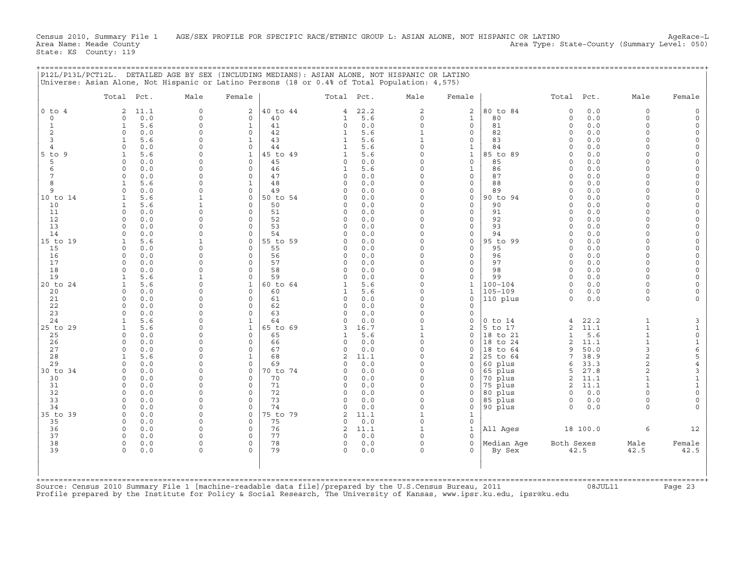Census 2010, Summary File 1 AGE/SEX PROFILE FOR SPECIFIC RACE/ETHNIC GROUP L: ASIAN ALONE, NOT HISPANIC OR LATINO AgeRace-L<br>Area Name: Meade County (Summary Level: 050) Area Type: State-County (Summary Level: 050) State: KS County: 119

+===================================================================================================================================================+

|                     | Total Pct.                   |            | Male                     | Female                       |                | Total Pct.               |             | Male                     | Female                      |                        | Total Pct.           |              | Male                             | Female                                      |
|---------------------|------------------------------|------------|--------------------------|------------------------------|----------------|--------------------------|-------------|--------------------------|-----------------------------|------------------------|----------------------|--------------|----------------------------------|---------------------------------------------|
| $0$ to $4$          | 2                            | 11.1       | $\circ$                  | $\overline{a}$               | 40 to 44       | $\overline{4}$           | 22.2        | 2                        | 2                           | 80 to 84               | $\circ$              | 0.0          | $\Omega$                         |                                             |
| $\circ$             | $\Omega$                     | 0.0        | $\Omega$                 | $\Omega$                     | 40             | 1                        | 5.6         | $\Omega$                 | $\mathbf{1}$                | 80                     | $\circ$              | 0.0          | $\Omega$                         |                                             |
| $\mathbf{1}$        | $\mathbf{1}$                 | 5.6        | $\Omega$                 | $\mathbf{1}$                 | 41             | $\circ$                  | 0.0         | $\Omega$                 | $\circ$                     | 81                     | $\circ$              | 0.0          | $\Omega$                         |                                             |
| $\overline{c}$<br>3 | $\Omega$<br>$\mathbf{1}$     | 0.0<br>5.6 | $\mathbf 0$<br>$\Omega$  | 0<br>$\mathbf{1}$            | 42<br>43       | $\mathbf{1}$<br>1        | 5.6<br>5.6  | $\mathbf{1}$             | 0<br>0                      | 82<br>83               | $\Omega$<br>$\Omega$ | 0.0<br>0.0   | $\Omega$<br>$\Omega$             | $\Omega$                                    |
| $\overline{4}$      | $\cap$                       | 0.0        | $\Omega$                 | $\mathbf 0$                  | 44             |                          | 5.6         | $\Omega$                 | $\mathbf{1}$                | 84                     | $\Omega$             | 0.0          | $\Omega$                         | $\Omega$                                    |
| $5$ to $9$          | $\mathbf{1}$                 | 5.6        | $\Omega$                 | <sup>1</sup>                 | 45 to 49       | 1                        | 5.6         | $\Omega$                 | $\mathbf{1}$                | 85 to 89               | $\Omega$             | 0.0          | $\Omega$                         | $\Omega$                                    |
| 5                   | $\Omega$                     | 0.0        | $\Omega$                 | $\Omega$                     | 45             | $\Omega$                 | 0.0         | $\Omega$                 | $\mathbf{0}$                | 85                     | $\Omega$             | 0.0          | $\Omega$                         |                                             |
| 6                   | $\Omega$                     | 0.0        | $\Omega$                 | $\Omega$                     | 46             | 1                        | 5.6         | $\Omega$                 | $\mathbf{1}$                | 86                     | $\Omega$             | 0.0          | $\Omega$                         | $\Omega$                                    |
| 7                   | $\Omega$<br>$\mathbf{1}$     | 0.0        | $\Omega$<br>$\Omega$     | $\mathbf 0$                  | 47<br>48       | $\circ$<br>$\Omega$      | 0.0         |                          | $\circ$<br>$\mathbf{0}$     | 87<br>88               | $\Omega$<br>$\Omega$ | 0.0<br>0.0   | $\Omega$<br>$\Omega$             |                                             |
| 8<br>9              | $\Omega$                     | 5.6<br>0.0 | $\Omega$                 | 1<br>$\mathbf 0$             | 49             | $\Omega$                 | 0.0<br>0.0  | $\Omega$                 | $\mathsf{O}$                | 89                     | 0                    | 0.0          | $\Omega$                         |                                             |
| 10 to 14            |                              | 5.6        |                          | $\mathbf 0$                  | 50 to 54       | $\Omega$                 | 0.0         |                          | $\mathsf{O}$                | 90 to 94               | $\Omega$             | 0.0          | $\Omega$                         | $\Omega$                                    |
| 10                  | $\mathbf{1}$                 | 5.6        |                          | $\Omega$                     | 50             | $\Omega$                 | 0.0         |                          | $\mathbf 0$                 | 90                     | $\Omega$             | 0.0          | $\Omega$                         |                                             |
| 11                  | $\Omega$                     | 0.0        | $\Omega$                 | $\Omega$                     | 51             | $\Omega$                 | 0.0         |                          | $\mathbf{0}$                | 91                     | $\Omega$             | 0.0          | $\Omega$                         |                                             |
| 12                  | $\Omega$                     | 0.0        | $\Omega$                 | $\Omega$                     | 52             | $\Omega$                 | 0.0         | $\Omega$                 | $\mathbf 0$                 | 92                     | $\Omega$             | 0.0          | $\Omega$                         |                                             |
| 13<br>14            | $\cap$<br>$\Omega$           | 0.0<br>0.0 | $\Omega$<br>$\Omega$     | $\Omega$<br>$\Omega$         | 53<br>54       | $\Omega$<br><sup>0</sup> | 0.0<br>0.0  | $\Omega$                 | $\Omega$<br>0               | 93<br>94               | $\cap$<br>$\Omega$   | 0.0<br>$0.0$ | $\Omega$                         | $\Omega$<br>$\Omega$                        |
| 15 to 19            | 1                            | 5.6        | $\mathbf{1}$             | $\mathbf{0}$                 | 55 to 59       | $\Omega$                 | 0.0         | $\Omega$                 | $\mathsf{O}$                | 95 to 99               | 0                    | 0.0          | $\Omega$                         | $\Omega$                                    |
| 15                  | $\Omega$                     | 0.0        | $\Omega$                 | 0                            | 55             | $\Omega$                 | 0.0         | $\Omega$                 | $\mathbf 0$                 | 95                     | $\Omega$             | 0.0          | $\Omega$                         | $\Omega$                                    |
| 16                  | $\Omega$                     | 0.0        | $\Omega$                 | $\mathbf 0$                  | 56             | 0                        | 0.0         |                          | $\mathsf{O}$                | 96                     | $\Omega$             | 0.0          | $\Omega$                         |                                             |
| 17                  | $\Omega$                     | 0.0        | $\Omega$                 | $\Omega$                     | 57             | $\Omega$                 | 0.0         |                          | $\mathbf{0}$                | 97                     | $\Omega$             | 0.0          | $\Omega$                         |                                             |
| 18<br>19            | $\Omega$<br>$\mathbf{1}$     | 0.0<br>5.6 | $\Omega$<br>$\mathbf{1}$ | 0<br>0                       | 58<br>59       | $\Omega$<br>$\Omega$     | 0.0<br>0.0  | $\Omega$                 | $\mathbf{0}$<br>$\mathbf 0$ | 98<br>99               | $\Omega$<br>$\Omega$ | 0.0<br>0.0   | $\Omega$<br>$\Omega$             | $\Omega$                                    |
| 20 to 24            |                              | 5.6        | $\Omega$                 | $\mathbf{1}$                 | 60 to 64       |                          | 5.6         |                          | $\mathbf{1}$                | $100 - 104$            | $\Omega$             | 0.0          | $\Omega$                         |                                             |
| 20                  | $\Omega$                     | 0.0        | $\Omega$                 | $\Omega$                     | 60             | 1                        | 5.6         | $\Omega$                 | 1                           | $105 - 109$            | 0                    | 0.0          | $\Omega$                         |                                             |
| 21                  | $\Omega$                     | 0.0        | $\Omega$                 | $\Omega$                     | 61             | $\Omega$                 | 0.0         | $\Omega$                 | $\mathbf 0$                 | 110 plus               | $\circ$              | 0.0          | $\Omega$                         |                                             |
| 22                  | $\Omega$                     | 0.0        | $\Omega$                 | 0                            | 62             | $\Omega$                 | 0.0         |                          | 0                           |                        |                      |              |                                  |                                             |
| 23                  | $\Omega$                     | 0.0        | $\Omega$                 | $\Omega$                     | 63             | $\cap$                   | 0.0         | $\Omega$                 | $\Omega$                    |                        |                      |              |                                  |                                             |
| 24<br>25 to 29      | $\mathbf{1}$<br>$\mathbf{1}$ | 5.6<br>5.6 | $\Omega$<br>$\Omega$     | $\mathbf{1}$<br>$\mathbf{1}$ | 64<br>65 to 69 | 3                        | 0.0<br>16.7 | $\Omega$<br>$\mathbf{1}$ | 0<br>$\overline{2}$         | $0$ to $14$<br>5 to 17 | 4<br>$\overline{a}$  | 22.2<br>11.1 | $\mathbf{1}$<br>$\mathbf{1}$     | 3<br>$\mathbf{1}$                           |
| 25                  | $\Omega$                     | 0.0        | $\Omega$                 | $\Omega$                     | 65             |                          | 5.6         |                          | $\mathbf{0}$                | 18 to 21               | $\mathbf{1}$         | 5.6          | $\mathbf{1}$                     | $\mathsf{O}\xspace$                         |
| 26                  | $\Omega$                     | 0.0        | $\Omega$                 | 0                            | 66             | 0                        | 0.0         |                          | $\Omega$                    | 18 to 24               | 2                    | 11.1         | $\mathbf{1}$                     | $\mathbf 1$                                 |
| 27                  | $\Omega$                     | 0.0        | $\Omega$                 | 0                            | 67             | 0                        | 0.0         | $\Omega$                 | 0                           | 18 to 64               | 9                    | 50.0         | 3                                | 6<br>5                                      |
| 28                  |                              | 5.6        | $\Omega$                 | 1                            | 68             | 2                        | 11.1        |                          | 2                           | 25 to 64               | 7                    | 38.9         | $\overline{2}$                   |                                             |
| 29<br>30 to 34      |                              | 0.0<br>0.0 | $\Omega$<br>$\Omega$     | $\mathbf 0$<br>$\Omega$      | 69<br>70 to 74 | <sup>0</sup>             | 0.0<br>0.0  | $\Omega$                 | $\Omega$<br>0               | 60 plus                | 6<br>5               | 33.3<br>27.8 | $\overline{a}$<br>$\overline{a}$ | $\overline{4}$<br>$\ensuremath{\mathsf{3}}$ |
| 30                  | $\Omega$                     | 0.0        | $\Omega$                 | $\Omega$                     | 70             | $\Omega$                 | 0.0         | $\Omega$                 | $\Omega$                    | 65 plus<br>70 plus     | $\overline{a}$       | 11.1         | $\mathbf{1}$                     | $\mathbf{1}$                                |
| 31                  | $\Omega$                     | 0.0        | $\Omega$                 | $\Omega$                     | 71             | $\Omega$                 | 0.0         | $\Omega$                 | $\Omega$                    | 75 plus                | $\overline{a}$       | 11.1         |                                  | $\mathbf{1}$                                |
| 32                  | $\Omega$                     | 0.0        | $\Omega$                 | 0                            | 72             | $\Omega$                 | 0.0         | $\Omega$                 | $\Omega$                    | 80 plus                | $\circ$              | 0.0          |                                  | $\mathsf{O}\xspace$                         |
| 33                  | $\Omega$                     | 0.0        | $\Omega$                 | 0                            | 73             |                          | 0.0         | $\Omega$                 | 0                           | 85 plus                | 0                    | 0.0          | $\Omega$                         | $\mathbf 0$                                 |
| 34                  | $\Omega$<br>$\Omega$         | 0.0        | $\Omega$<br>$\Omega$     | 0<br>$\mathbf 0$             | 74<br>75 to 79 | $\Omega$<br>2            | 0.0<br>11.1 | $\Omega$                 | 0                           | 90 plus                | $\Omega$             | 0.0          | $\Omega$                         |                                             |
| 35 to 39<br>35      | $\Omega$                     | 0.0<br>0.0 | $\Omega$                 | $\Omega$                     | 75             | $\Omega$                 | 0.0         | $\Omega$                 | 1<br>$\mathbf 0$            |                        |                      |              |                                  |                                             |
| 36                  | $\Omega$                     | 0.0        | $\Omega$                 | $\Omega$                     | 76             | $\overline{a}$           | 11.1        | $\mathbf{1}$             | $\mathbf{1}$                | All Ages               |                      | 18 100.0     | 6                                | 12                                          |
| 37                  |                              | 0.0        | $\Omega$                 | $\Omega$                     | 77             | $\Omega$                 | 0.0         |                          | $\Omega$                    |                        |                      |              |                                  |                                             |
| 38                  | $\mathsf{O}$                 | 0.0        | $\Omega$                 | 0                            | 78             | 0                        | 0.0         | $\Omega$                 | $\mathbf{0}$                | Median Aqe             | Both Sexes           |              | Male                             | Female                                      |
| 39                  | $\Omega$                     | 0.0        | $\Omega$                 | $\Omega$                     | 79             | $\Omega$                 | 0.0         |                          | $\Omega$                    | By Sex                 |                      | 42.5         | 42.5                             | 42.5                                        |
|                     |                              |            |                          |                              |                |                          |             |                          |                             |                        |                      |              |                                  |                                             |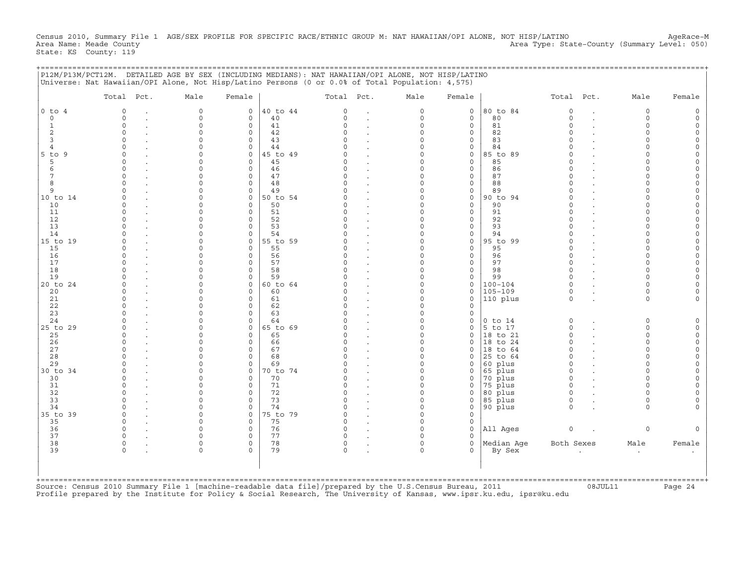Census 2010, Summary File 1 AGE/SEX PROFILE FOR SPECIFIC RACE/ETHNIC GROUP M: NAT HAWAIIAN/OPI ALONE, NOT HISP/LATINO AgeRace-M<br>Area Name: Meade County (Summary Level: 050) Area Type: State-County (Summary Level: 050) State: KS County: 119

+===================================================================================================================================================+

|                | Total Pct.   | Male        | Female       |          | Total Pct. | Male     | Female       |             | Total Pct.         | Male     | Female |
|----------------|--------------|-------------|--------------|----------|------------|----------|--------------|-------------|--------------------|----------|--------|
| $0$ to $4$     | $\Omega$     | $\mathbf 0$ | $\mathbf 0$  | 40 to 44 | $\Omega$   | $\Omega$ | $\mathbf{0}$ | 80 to 84    | $\circ$            | $\circ$  |        |
| $\Omega$       | $\Omega$     | $\Omega$    | $\Omega$     | 40       | $\Omega$   | $\Omega$ | $\circ$      | 80          | $\Omega$           | $\Omega$ |        |
| $\mathbf{1}$   | $\circ$      | $\Omega$    | $\mathbf{0}$ | 41       |            | $\Omega$ | $\circ$      | 81          | $\Omega$           | $\Omega$ |        |
| 2              | $\Omega$     | $\Omega$    | $\mathbf 0$  | 42       |            | O        | 0            | 82          | $\Omega$           | $\Omega$ |        |
| 3              | $\Omega$     |             | $\Omega$     | 43       |            | O        | 0            | 83          | $\Omega$           |          |        |
| $\overline{4}$ |              |             | $\mathbf 0$  | 44       |            | U        | 0            | 84          |                    |          |        |
| $5$ to<br>9    | $\cap$       |             | $\Omega$     | 5 to 49  |            | U        | $\mathbf 0$  | 85 to 89    | $\Omega$           |          |        |
| 5              | $\Omega$     |             | $\Omega$     | 45       |            | $\Omega$ | $\mathbf{0}$ | 85          | $\Omega$           | $\Omega$ |        |
| 6              | $\cap$       |             | $\Omega$     | 46       |            |          | $\mathbf{0}$ | 86          | $\Omega$           | $\cap$   |        |
|                | $\Omega$     |             | $\mathbf 0$  | 47       |            | 0        | $\circ$      | 87          | $\Omega$           | $\Omega$ |        |
| 8              |              |             | $\mathbf 0$  | 48       |            |          | 0            | 88          | $\cap$             |          |        |
| 9              |              |             | $\mathbf 0$  | 49       |            | O        | 0            | 89          | $\Omega$           | $\Omega$ |        |
| 10 to 14       |              |             | $\mathbf 0$  | 50 to 54 |            |          | $\circ$      | 90 to 94    | $\Omega$           | $\Omega$ |        |
| 10             |              |             | $\Omega$     | 50       |            |          | $\mathbf{0}$ | 90          |                    |          |        |
| 11             | $\Omega$     |             | $\Omega$     | 51       |            |          | 0            | 91          | $\Omega$           |          |        |
| 12             |              |             | $\Omega$     | 52       |            |          | $\mathbf{0}$ | 92          | $\Omega$           |          |        |
| 13             |              |             | $\Omega$     | 53       |            |          | $\mathbf 0$  | 93          |                    |          |        |
| 14             |              |             | $\Omega$     | 54       |            |          | 0            | 94          |                    |          |        |
| 15 to 19       |              |             | $\mathbf 0$  | 55 to 59 |            | O        | 0            | 95 to 99    | $\Omega$           | $\cap$   |        |
| 15             |              |             | $\Omega$     | 55       |            | U        | 0            | 95          | $\Omega$           | $\cap$   |        |
| 16             | $\Omega$     |             | $\mathbf 0$  | 56       |            | O        | 0            | 96          | $\Omega$           | $\Omega$ |        |
| 17             | $\Omega$     |             | $\Omega$     | 57       |            | O        | $\circ$      | 97          | $\Omega$           | $\Omega$ |        |
| 18             | $\Omega$     |             | $\Omega$     | 58       |            | $\Omega$ | $\mathbf{0}$ | 98          | $\Omega$           | $\Omega$ |        |
| 19             |              |             | $\mathbf 0$  | 59       |            | $\Omega$ | $\mathbf{0}$ | 99          | $\Omega$           | $\Omega$ |        |
| 20 to 24       |              |             | $\mathbf 0$  | 60 to 64 |            | $\Omega$ | $\circ$      | $100 - 104$ | $\Omega$           | $\Omega$ |        |
| 20             |              |             | $\Omega$     | 60       |            | $\Omega$ | 0            | $105 - 109$ | $\circ$            | $\Omega$ |        |
| 21             | $\Omega$     |             | $\Omega$     | 61       |            | O        | 0            | 110 plus    | $\Omega$           | $\Omega$ |        |
| 22             |              |             | $\Omega$     | 62       |            |          | 0            |             |                    |          |        |
| 23             |              |             | $\Omega$     | 63       |            | $\Omega$ |              |             |                    |          |        |
| 24             |              | U           | $\Omega$     | 64       |            | $\Omega$ | 0            |             | $\Omega$           | $\Omega$ |        |
|                |              |             | $\Omega$     |          |            | $\Omega$ | 0            | $0$ to $14$ |                    | $\Omega$ |        |
| 25 to 29       | $\Omega$     |             | $\Omega$     | 65 to 69 |            | $\Omega$ | $\mathbf 0$  | 5 to 17     | $\Omega$<br>$\cap$ | $\Omega$ |        |
| 25             |              |             |              | 65       |            |          | $\mathbf{0}$ | 18 to 21    |                    | $\Omega$ |        |
| 26             | $\Omega$     |             | $\mathbf 0$  | 66       |            | $\Omega$ | 0            | 18 to 24    | $\Omega$           | $\Omega$ |        |
| 27             | $\Omega$     |             | $\mathbf 0$  | 67       |            | $\Omega$ | 0            | 18 to 64    | $\circ$            |          |        |
| 28             | $\Omega$     |             | $\mathbf 0$  | 68       |            | $\Omega$ | 0            | 25 to 64    | $\Omega$           | $\Omega$ |        |
| 29             |              |             | $\mathbf 0$  | 69       |            | $\Omega$ | 0            | 60 plus     | $\Omega$           |          |        |
| 30 to 34       |              |             | $\Omega$     | 70 to 74 |            | $\Omega$ | 0            | 65 plus     | $\Omega$           |          |        |
| 30             | $\Omega$     |             | $\Omega$     | 70       |            | $\Omega$ | 0            | 70 plus     | $\Omega$           |          |        |
| 31             | $\Omega$     |             | $\Omega$     | 71       |            | $\Omega$ | 0            | 75 plus     | $\Omega$           |          |        |
| 32             | $\Omega$     |             | $\Omega$     | 72       |            | $\Omega$ | $\Omega$     | 80 plus     | $\Omega$           |          |        |
| 33             |              |             | $\mathbf 0$  | 73       |            | $\Omega$ | 0            | 85 plus     | $\Omega$           | $\Omega$ |        |
| 34             | $\Omega$     | U           | $\Omega$     | 74       |            | $\Omega$ | 0            | 90 plus     | $\Omega$           | $\cap$   |        |
| 35 to 39       | $\Omega$     | U           | $\mathbf 0$  | 75 to 79 |            | $\Omega$ | $\mathbf{0}$ |             |                    |          |        |
| 35             | $\Omega$     |             | $\Omega$     | 75       |            | $\Omega$ | 0            |             |                    |          |        |
| 36             | $\Omega$     | O           | $\Omega$     | 76       |            | $\Omega$ | $\mathbf{0}$ | All Ages    | $\circ$            | $\circ$  |        |
| 37             | $\Omega$     |             | $\Omega$     | 77       |            |          | $\Omega$     |             |                    |          |        |
| 38             | $\mathsf{O}$ | $\Omega$    | $\mathbf 0$  | 78       |            | $\Omega$ | 0            | Median Aqe  | Both Sexes         | Male     | Female |
| 39             | $\Omega$     | $\Omega$    | $\Omega$     | 79       |            | $\Omega$ | 0            | By Sex      |                    |          |        |
|                |              |             |              |          |            |          |              |             |                    |          |        |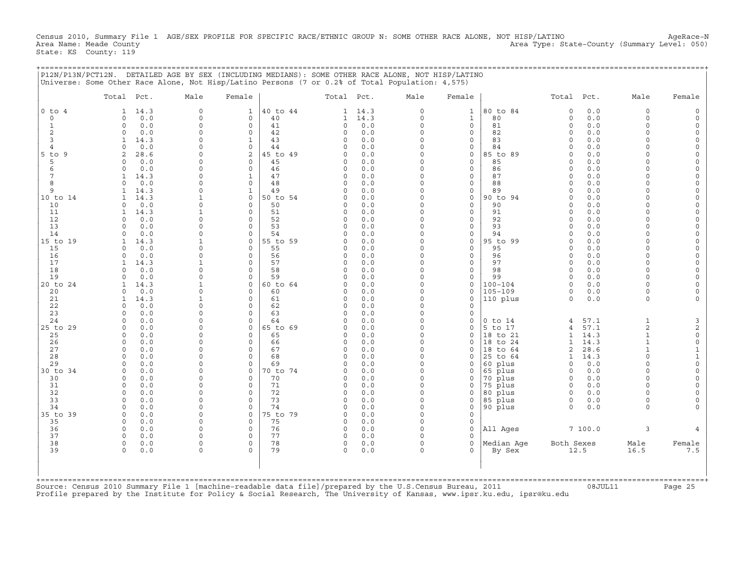Census 2010, Summary File 1 AGE/SEX PROFILE FOR SPECIFIC RACE/ETHNIC GROUP N: SOME OTHER RACE ALONE, NOT HISP/LATINO AgeRace-N<br>Area Name: Meade County (evel: 050) Area AgeRace-N Area Type: State-County (Summary Level: 050) State: KS County: 119

+===================================================================================================================================================+

|P12N/P13N/PCT12N. DETAILED AGE BY SEX (INCLUDING MEDIANS): SOME OTHER RACE ALONE, NOT HISP/LATINO | |Universe: Some Other Race Alone, Not Hisp/Latino Persons (7 or 0.2% of Total Population: 4,575) | | | | Total Pct. Male Female | Total Pct. Male Female | Total Pct. Male Female | | | | | |0 to 4 1 14.3 0 1 |40 to 44 1 14.3 0 1 |80 to 84 0 0.0 0 0 | | 0 0 0.0 0 0 | 40 1 14.3 0 1 | 80 0 0.0 0 0 | | 1 0 0.0 0 0 | 41 0 0.0 0 0 | 81 0 0.0 0 0 | | 2 0 0.0 0 0 | 42 0 0.0 0 0 | 82 0 0.0 0 0 | | 3 1 14.3 0 1 | 43 0 0.0 0 0 | 83 0 0.0 0 0 | | 4 0 0.0 0 0 | 44 0 0.0 0 0 | 84 0 0.0 0 0 | |5 to 9 2 28.6 0 2 |45 to 49 0 0.0 0 0 |85 to 89 0 0.0 0 0 | | 5 0 0.0 0 0 | 45 0 0.0 0 0 | 85 0 0.0 0 0 | | 6 0 0.0 0 0 | 46 0 0.0 0 0 | 86 0 0.0 0 0 | | 7 1 14.3 0 1 | 47 0 0.0 0 0 | 87 0 0.0 0 0 | | 8 0 0.0 0 0 | 48 0 0.0 0 0 | 88 0 0.0 0 0 | | 9 1 14.3 0 1 | 49 0 0.0 0 0 | 89 0 0.0 0 0 | |10 to 14 1 14.3 1 0 |50 to 54 0 0.0 0 0 |90 to 94 0 0.0 0 0 | | 10 0 0.0 0 0 | 50 0 0.0 0 0 | 90 0 0.0 0 0 | | 11 1 14.3 1 0 | 51 0 0.0 0 0 | 91 0 0.0 0 0 | | 12 0 0.0 0 0 | 52 0 0.0 0 0 | 92 0 0.0 0 0 | | 13 0 0.0 0 0 | 53 0 0.0 0 0 | 93 0 0.0 0 0 | | 14 0 0.0 0 0 | 54 0 0.0 0 0 | 94 0 0.0 0 0 | |15 to 19 1 14.3 1 0 |55 to 59 0 0.0 0 0 |95 to 99 0 0.0 0 0 | | 15 0 0.0 0 0 | 55 0 0.0 0 0 | 95 0 0.0 0 0 | | 16 0 0.0 0 0 | 56 0 0.0 0 0 | 96 0 0.0 0 0 | | 17 1 14.3 1 0 | 57 0 0.0 0 0 | 97 0 0.0 0 0 | | 18 0 0.0 0 0 | 58 0 0.0 0 0 | 98 0 0.0 0 0 | | 19 0 0.0 0 0 | 59 0 0.0 0 0 | 99 0 0.0 0 0 | |20 to 24 1 14.3 1 0 |60 to 64 0 0.0 0 0 |100−104 0 0.0 0 0 | | 20 0 0.0 0 0 | 60 0 0.0 0 0 |105−109 0 0.0 0 0 | | 21 1 14.3 1 0 | 61 0 0.0 0 0 |110 plus 0 0.0 0 0 | | 22 0 0.0 0 0 | 62 0 0.0 0 0 | | | 23 0 0.0 0 0 | 63 0 0.0 0 0 | | | 24 0 0.0 0 0 | 64 0 0.0 0 0 |0 to 14 4 57.1 1 3 | |25 to 29 0 0.0 0 0 |65 to 69 0 0.0 0 0 |5 to 17 4 57.1 2 2 | | 25 0 0.0 0 0 | 65 0 0.0 0 0 |18 to 21 1 14.3 1 0 | | 26 0 0.0 0 0 | 66 0 0.0 0 0 |18 to 24 1 14.3 1 0 | | 27 0 0.0 0 0 | 67 0 0.0 0 0 |18 to 64 2 28.6 1 1 | | 28 0 0.0 0 0 | 68 0 0.0 0 0 |25 to 64 1 14.3 0 1 | | 29 0 0.0 0 0 | 69 0 0.0 0 0 |60 plus 0 0.0 0 0 | |30 to 34 0 0.0 0 0 |70 to 74 0 0.0 0 0 |65 plus 0 0.0 0 0 | | 30 0 0.0 0 0 | 70 0 0.0 0 0 |70 plus 0 0.0 0 0 | | 31 0 0.0 0 0 | 71 0 0.0 0 0 |75 plus 0 0.0 0 0 | | 32 0 0.0 0 0 | 72 0 0.0 0 0 |80 plus 0 0.0 0 0 | | 33 0 0.0 0 0 | 73 0 0.0 0 0 |85 plus 0 0.0 0 0 | | 34 0 0.0 0 0 | 74 0 0.0 0 0 |90 plus 0 0.0 0 0 | |35 to 39 0 0.0 0 0 |75 to 79 0 0.0 0 0 | | | 35 0 0.0 0 0 | 75 0 0.0 0 0 | | | 36 0 0.0 0 0 | 76 0 0.0 0 0 |All Ages 7 100.0 3 4 | | 37 0 0.0 0 0 | 77 0 0.0 0 0 | | | 38 0 0.0 0 0 | 78 0 0.0 0 0 |Median Age Both Sexes Male Female | | 39 0 0.0 0 0 | 79 0 0.0 0 0 | By Sex 12.5 16.5 7.5 | | | | | | | | | | | +===================================================================================================================================================+Source: Census 2010 Summary File 1 [machine−readable data file]/prepared by the U.S.Census Bureau, 2011 08JUL11 Page 25

Profile prepared by the Institute for Policy & Social Research, The University of Kansas, www.ipsr.ku.edu, ipsr@ku.edu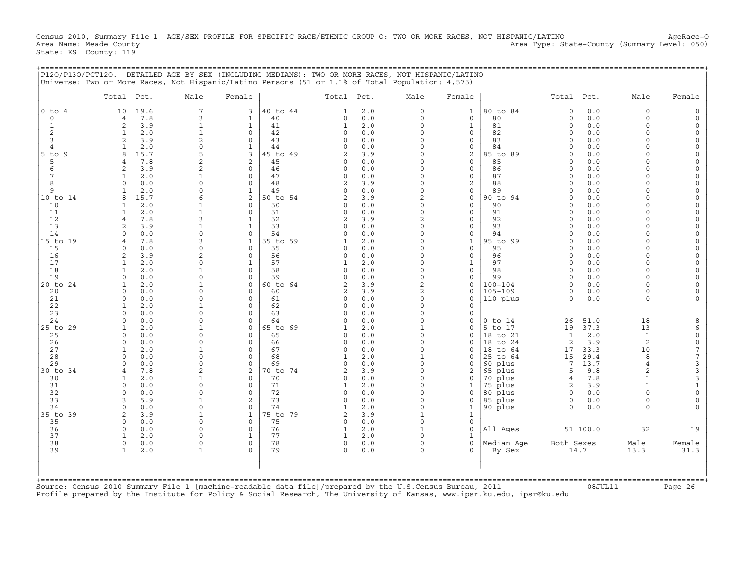Census 2010, Summary File 1 AGE/SEX PROFILE FOR SPECIFIC RACE/ETHNIC GROUP O: TWO OR MORE RACES, NOT HISPANIC/LATINO AgeRace-O<br>Area Name: Meade County (Summary Level: 050) Area Type: State-County (Summary Level: 050) State: KS County: 119

+===================================================================================================================================================+

|                | Total Pct.                  |              | Male                           | Female                      |                | Total Pct.           |            | Male                     | Female                       |                     | Total Pct.           |              | Male                 | Female               |
|----------------|-----------------------------|--------------|--------------------------------|-----------------------------|----------------|----------------------|------------|--------------------------|------------------------------|---------------------|----------------------|--------------|----------------------|----------------------|
| $0$ to $4$     | 10                          | 19.6         | $\overline{7}$                 | 3                           | 40 to 44       | $\mathbf{1}$         | 2.0        | $\Omega$                 | $\mathbf{1}$                 | 80 to 84            | $\circ$              | 0.0          | $\Omega$             |                      |
| $\circ$        | $\overline{4}$              | 7.8          | 3                              | $\mathbf{1}$                | 40             | $\Omega$             | 0.0        | $\Omega$                 | $\circ$                      | 80                  | $\Omega$             | 0.0          | $\Omega$             |                      |
| $\mathbf{1}$   | 2                           | 3.9          | $\mathbf{1}$                   | $\mathbf{1}$                | 41             | $\mathbf{1}$         | 2.0        | $\Omega$                 | $\mathbf{1}$                 | 81                  | $\circ$              | 0.0          | $\Omega$<br>$\Omega$ |                      |
| 2<br>3         | 1<br>2                      | 2.0<br>3.9   | $\mathbf{1}$<br>$\overline{2}$ | $\Omega$<br>$\Omega$        | 42<br>43       | $\circ$<br>$\Omega$  | 0.0<br>0.0 | O<br>O                   | 0<br>0                       | 82<br>83            | $\Omega$<br>$\Omega$ | 0.0<br>0.0   | $\Omega$             | $\Omega$             |
| $\overline{4}$ | $\mathbf{1}$                | 2.0          | $\Omega$                       | $\mathbf{1}$                | 44             | $\cap$               | 0.0        |                          | 0                            | 84                  | $\Omega$             | 0.0          |                      | $\Omega$             |
| $5$ to<br>9    | 8                           | 15.7         | 5                              | 3                           | 5 to 49        |                      | 3.9        | U                        | 2                            | 85 to 89            | $\cap$               | 0.0          |                      | $\Omega$             |
| 5              | $\overline{4}$              | 7.8          | $\overline{a}$                 | 2                           | 45             | $\Omega$             | 0.0        | $\Omega$                 | $\mathbf{0}$                 | 85                  | $\Omega$             | 0.0          | $\Omega$             |                      |
| 6              | 2                           | 3.9          | 2                              | $\Omega$                    | 46             | $\cap$               | 0.0        | $\Omega$                 | $\mathbf{0}$                 | 86                  | $\cap$               | 0.0          | $\cap$               | $\Omega$             |
|                | $\mathbf{1}$                | 2.0          |                                | $\mathbf 0$                 | 47             | $\Omega$             | 0.0        | $\Omega$                 | $\circ$                      | 87                  | $\Omega$             | 0.0          | $\Omega$             | $\Omega$             |
| 8<br>9         | $\Omega$                    | 0.0          | $\cap$<br>$\Omega$             | $\mathbf 0$<br>$\mathbf{1}$ | 48             | 2<br>$\Omega$        | 3.9<br>0.0 | O<br>$\Omega$            | 2                            | 88<br>89            | $\Omega$<br>$\Omega$ | 0.0<br>0.0   | $\Omega$             |                      |
| 10 to 14       | 1<br>8                      | 2.0<br>15.7  |                                | 2                           | 49<br>50 to 54 | 2                    | 3.9        | 2                        | 0<br>$\circ$                 | 90 to 94            | $\Omega$             | 0.0          | $\Omega$             | $\Omega$             |
| 10             | $\mathbf{1}$                | 2.0          |                                | $\Omega$                    | 50             |                      | 0.0        |                          | $\mathbf{0}$                 | 90                  | $\cap$               | 0.0          |                      |                      |
| 11             | $\mathbf{1}$                | 2.0          |                                | $\Omega$                    | 51             | $\Omega$             | 0.0        | $\Omega$                 | 0                            | 91                  | $\Omega$             | 0.0          |                      |                      |
| 12             | $\overline{4}$              | 7.8          | $\mathbf{z}$                   | $\mathbf{1}$                | 52             | $\overline{2}$       | 3.9        | $\overline{c}$           | $\mathbf{0}$                 | 92                  | $\Omega$             | 0.0          | $\Omega$             |                      |
| 13             | $\overline{c}$              | 3.9          |                                | $\mathbf{1}$                | 53             | $\cap$               | 0.0        |                          | $\mathbf 0$                  | 93                  | $\Omega$             | 0.0          |                      | $\Omega$             |
| 14             | $\Omega$                    | 0.0          | $\cap$                         | $\Omega$                    | 54             | ∩                    | 0.0        |                          | $\Omega$                     | 94                  | $\Omega$             | 0.0          |                      |                      |
| 15 to 19<br>15 | $\overline{4}$<br>$\Omega$  | 7.8<br>0.0   | 3<br>$\Omega$                  | $\mathbf{1}$<br>$\Omega$    | 55 to 59<br>55 | $\cap$               | 2.0<br>0.0 | $\Omega$<br>$\Omega$     | $\mathbf{1}$<br>$\mathbf{0}$ | 95 to 99<br>95      | $\circ$<br>$\Omega$  | 0.0<br>0.0   | $\Omega$<br>$\Omega$ | $\Omega$<br>$\Omega$ |
| 16             | $\overline{a}$              | 3.9          | 2                              | $\Omega$                    | 56             | $\Omega$             | 0.0        | $\Omega$                 | 0                            | 96                  | $\Omega$             | 0.0          | $\Omega$             |                      |
| 17             | $\mathbf{1}$                | 2.0          | $\cap$                         | $\mathbf{1}$                | 57             |                      | 2.0        | $\Omega$                 | $\mathbf{1}$                 | 97                  | $\Omega$             | 0.0          | $\Omega$             | $\Omega$             |
| 18             | $\mathbf{1}$                | 2.0          | $\mathbf{1}$                   | $\Omega$                    | 58             | $\Omega$             | 0.0        | $\Omega$                 | $\mathbf{0}$                 | 98                  | $\Omega$             | 0.0          | $\Omega$             |                      |
| 19             | $\Omega$                    | 0.0          | $\Omega$                       | $\Omega$                    | 59             | $\Omega$             | 0.0        | $\Omega$                 | $\mathbf{0}$                 | 99                  | $\Omega$             | 0.0          | $\Omega$             | $\Omega$             |
| 20 to 24       | $\mathbf{1}$                | 2.0          |                                | $\mathbf 0$                 | 60 to 64       | $\overline{c}$       | 3.9        | $\overline{c}$           | $\mathbf{0}$                 | $100 - 104$         | $\Omega$             | 0.0          | $\Omega$             |                      |
| 20             | $\mathbf 0$                 | 0.0          | $\Omega$                       | $\Omega$                    | 60             | 2                    | 3.9        | 2                        | 0                            | $105 - 109$         | 0                    | 0.0          | $\Omega$             |                      |
| 21<br>22       | $\mathbf 0$<br>$\mathbf{1}$ | 0.0<br>2.0   | $\Omega$                       | $\Omega$<br>$\Omega$        | 61<br>62       | $\Omega$<br>$\Omega$ | 0.0<br>0.0 | $\Omega$                 | $\mathbf 0$<br>0             | 110 plus            | $\Omega$             | 0.0          | $\Omega$             |                      |
| 23             | $\cap$                      | 0.0          | $\cap$                         | $\Omega$                    | 63             | $\cap$               | 0.0        |                          | $\mathbf 0$                  |                     |                      |              |                      |                      |
| 24             | $\Omega$                    | 0.0          | $\Omega$                       | $\Omega$                    | 64             | $\cap$               | 0.0        | $\Omega$                 | 0                            | $0$ to $14$         | 26                   | 51.0         | 18                   |                      |
| 25 to 29       | $\mathbf{1}$                | 2.0          |                                | $\Omega$                    | 65 to 69       |                      | 2.0        | $\mathbf{1}$             | $\Omega$                     | 5 to 17             | 19                   | 37.3         | 13                   | 6                    |
| 25             | $\Omega$                    | 0.0          | $\cap$                         | $\Omega$                    | 65             | $\Omega$             | 0.0        | $\Omega$                 | $\mathbf 0$                  | 18 to 21            | 1                    | 2.0          | $\mathbf{1}$         | $\circ$              |
| 26             | $\mathbf 0$                 | 0.0          | $\Omega$                       | $\Omega$                    | 66             | $\Omega$             | 0.0        | $\Omega$                 | 0                            | 18 to 24            | 2                    | 3.9          | 2                    | $\mathsf{O}\xspace$  |
| 27             | 1                           | 2.0          | $\mathbf{1}$<br>$\Omega$       | $\mathbf 0$                 | 67             | $\circ$              | 0.0        | $\Omega$                 | 0                            | 18 to 64            | 17                   | 33.3         | 10<br>8              | $\boldsymbol{7}$     |
| 28<br>29       | $\mathbf 0$<br>$\Omega$     | 0.0<br>0.0   | $\Omega$                       | $\Omega$<br>$\Omega$        | 68<br>69       | $\Omega$             | 2.0<br>0.0 | $\Omega$                 | 0<br>0                       | 25 to 64<br>60 plus | 15<br>7              | 29.4<br>13.7 | $\overline{4}$       | $\sqrt{ }$<br>3      |
| 30 to 34       | $\overline{4}$              | 7.8          | 2                              | 2                           | 0 to 74        |                      | 3.9        | $\Omega$                 | 2                            | 65 plus             | 5                    | 9.8          | $\overline{a}$       | $\mathsf 3$          |
| 30             | 1                           | 2.0          |                                | $\Omega$                    | 70             | $\Omega$             | 0.0        | $\Omega$                 | 0                            | 70 plus             | $\overline{4}$       | 7.8          | $\mathbf{1}$         | $\mathsf 3$          |
| 31             | $\Omega$                    | 0.0          | $\cap$                         | $\Omega$                    | 71             |                      | 2.0        | $\Omega$                 | 1                            | 75 plus             | 2                    | 3.9          |                      | $\mathbf{1}$         |
| 32             | $\Omega$                    | 0.0          | $\Omega$                       | $\Omega$                    | 72             | $\Omega$             | 0.0        | $\Omega$                 | $\Omega$                     | 80 plus             | $\Omega$             | 0.0          |                      | $\mathsf{O}\xspace$  |
| 33             | 3                           | 5.9          |                                | 2                           | 73             | $\Omega$             | 0.0        | $\Omega$                 | 0                            | 85 plus             | 0                    | 0.0          | $\Omega$             | $\mathbf 0$          |
| 34             | $\mathbf 0$<br>2            | 0.0          | $\Omega$<br>-1                 | $\Omega$<br>$\mathbf{1}$    | 74<br>75 to 79 | $\overline{2}$       | 2.0        | $\Omega$<br>$\mathbf{1}$ | 1                            | 90 plus             | $\Omega$             | 0.0          | $\cap$               |                      |
| 35 to 39<br>35 | $\Omega$                    | 3.9<br>$0.0$ | $\Omega$                       | $\Omega$                    | 75             | $\Omega$             | 3.9<br>0.0 | $\Omega$                 | $\mathbf{1}$<br>$\mathbf{0}$ |                     |                      |              |                      |                      |
| 36             | $\mathbf 0$                 | 0.0          | $\Omega$                       | $\Omega$                    | 76             | $\mathbf{1}$         | 2.0        | $\mathbf{1}$             | $\mathbf 0$                  | All Ages            |                      | 51 100.0     | 32                   | 19                   |
| 37             | $\mathbf{1}$                | 2.0          | U                              | $\mathbf{1}$                | 77             |                      | 2.0        | $\Omega$                 | 1                            |                     |                      |              |                      |                      |
| 38             | $\circ$                     | 0.0          | $\Omega$                       | $\mathbf 0$                 | 78             | $\mathsf{O}$         | 0.0        | $\Omega$                 | $\circ$                      | Median Aqe          | Both Sexes           |              | Male                 | Female               |
| 39             | $\mathbf{1}$                | 2.0          | $\mathbf{1}$                   | $\cap$                      | 79             | $\Omega$             | 0.0        | $\Omega$                 | 0                            | By Sex              |                      | 14.7         | 13.3                 | 31.3                 |
|                |                             |              |                                |                             |                |                      |            |                          |                              |                     |                      |              |                      |                      |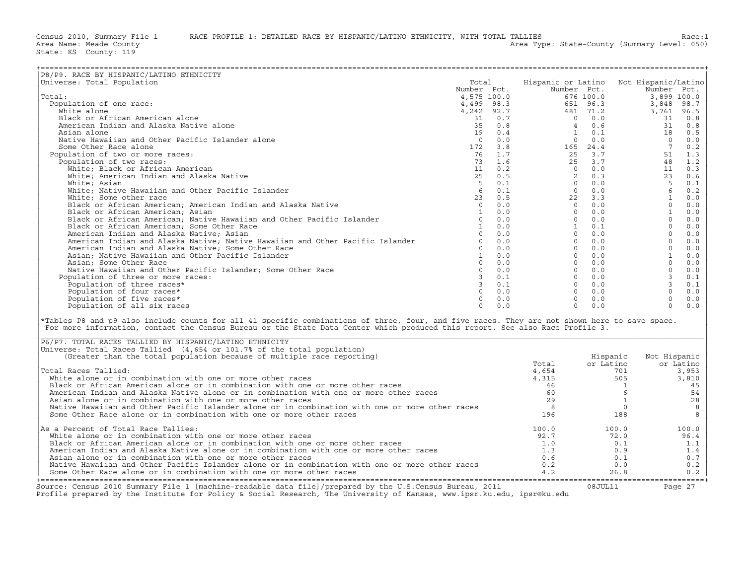| P8/P9. RACE BY HISPANIC/LATINO ETHNICITY                                                                                                                                                                                                                                       |             |     |                                                                                                                                                                                                                                                                                                                                                                                                                                                                                                        |                            |                |           |
|--------------------------------------------------------------------------------------------------------------------------------------------------------------------------------------------------------------------------------------------------------------------------------|-------------|-----|--------------------------------------------------------------------------------------------------------------------------------------------------------------------------------------------------------------------------------------------------------------------------------------------------------------------------------------------------------------------------------------------------------------------------------------------------------------------------------------------------------|----------------------------|----------------|-----------|
| Universe: Total Population                                                                                                                                                                                                                                                     | Total       |     | Hispanic or Latino Not Hispanic/Latino                                                                                                                                                                                                                                                                                                                                                                                                                                                                 |                            |                |           |
|                                                                                                                                                                                                                                                                                | Number Pct. |     |                                                                                                                                                                                                                                                                                                                                                                                                                                                                                                        |                            | Number Pct.    |           |
| Total:                                                                                                                                                                                                                                                                         |             |     |                                                                                                                                                                                                                                                                                                                                                                                                                                                                                                        | Number Pct.<br>Number Pct. |                |           |
| Population of one race:                                                                                                                                                                                                                                                        |             |     | $\begin{tabular}{l c c c} $\begin{array}{c} \multicolumn{4}{c}{\textbf{a}} & $\begin{array}{c} $n$\begin{array}{c} $n$\begin{array}{c} $n$\begin{array}{c} $n$\begin{array}{c} $n$\begin{array}{c} $n$\begin{array}{c} $n$\begin{array}{c} $n$\begin{array}{c} $n$\begin{array}{c} $n$\begin{array}{c} $n$\begin{array}{c} $n$\begin{array}{c} $n$\begin{array}{c} $n$\begin{array}{c} $n$\begin{array}{c} $n$\begin{array}{c} $n$\begin{array}{c} $n$\begin{array}{c} $n$\begin{array}{c} $n$\begin{$ |                            |                |           |
| White alone                                                                                                                                                                                                                                                                    |             |     |                                                                                                                                                                                                                                                                                                                                                                                                                                                                                                        |                            |                |           |
| Black or African American alone                                                                                                                                                                                                                                                |             |     |                                                                                                                                                                                                                                                                                                                                                                                                                                                                                                        |                            |                |           |
| American Indian and Alaska Native alone                                                                                                                                                                                                                                        |             |     |                                                                                                                                                                                                                                                                                                                                                                                                                                                                                                        |                            |                |           |
| Asian alone                                                                                                                                                                                                                                                                    |             |     |                                                                                                                                                                                                                                                                                                                                                                                                                                                                                                        |                            |                |           |
| Native Hawaiian and Other Pacific Islander alone                                                                                                                                                                                                                               |             |     |                                                                                                                                                                                                                                                                                                                                                                                                                                                                                                        |                            |                |           |
| Some Other Race alone                                                                                                                                                                                                                                                          |             |     |                                                                                                                                                                                                                                                                                                                                                                                                                                                                                                        |                            |                |           |
|                                                                                                                                                                                                                                                                                |             |     |                                                                                                                                                                                                                                                                                                                                                                                                                                                                                                        |                            |                |           |
| Population of two or more races:                                                                                                                                                                                                                                               |             |     |                                                                                                                                                                                                                                                                                                                                                                                                                                                                                                        |                            |                |           |
| Population of two races:                                                                                                                                                                                                                                                       |             |     |                                                                                                                                                                                                                                                                                                                                                                                                                                                                                                        |                            |                |           |
| White; Black or African American                                                                                                                                                                                                                                               |             |     |                                                                                                                                                                                                                                                                                                                                                                                                                                                                                                        |                            |                |           |
| White; American Indian and Alaska Native                                                                                                                                                                                                                                       |             |     |                                                                                                                                                                                                                                                                                                                                                                                                                                                                                                        |                            |                |           |
| White; Asian                                                                                                                                                                                                                                                                   |             |     |                                                                                                                                                                                                                                                                                                                                                                                                                                                                                                        |                            |                |           |
| White; Native Hawaiian and Other Pacific Islander                                                                                                                                                                                                                              |             |     |                                                                                                                                                                                                                                                                                                                                                                                                                                                                                                        |                            |                |           |
| White; Some other race                                                                                                                                                                                                                                                         |             |     |                                                                                                                                                                                                                                                                                                                                                                                                                                                                                                        |                            |                |           |
| Black or African American; American Indian and Alaska Native                                                                                                                                                                                                                   |             |     |                                                                                                                                                                                                                                                                                                                                                                                                                                                                                                        |                            |                |           |
| Black or African American; Asian                                                                                                                                                                                                                                               |             |     |                                                                                                                                                                                                                                                                                                                                                                                                                                                                                                        |                            |                |           |
| Black or African American; Native Hawaiian and Other Pacific Islander                                                                                                                                                                                                          |             |     |                                                                                                                                                                                                                                                                                                                                                                                                                                                                                                        |                            |                |           |
| Black or African American; Some Other Race                                                                                                                                                                                                                                     |             |     |                                                                                                                                                                                                                                                                                                                                                                                                                                                                                                        |                            |                |           |
| American Indian and Alaska Native; Asian                                                                                                                                                                                                                                       |             |     |                                                                                                                                                                                                                                                                                                                                                                                                                                                                                                        |                            |                |           |
| American Indian and Alaska Native; Native Hawaiian and Other Pacific Islander                                                                                                                                                                                                  |             |     |                                                                                                                                                                                                                                                                                                                                                                                                                                                                                                        |                            |                |           |
| American Indian and Alaska Native; Some Other Race                                                                                                                                                                                                                             |             |     |                                                                                                                                                                                                                                                                                                                                                                                                                                                                                                        |                            |                |           |
|                                                                                                                                                                                                                                                                                |             |     |                                                                                                                                                                                                                                                                                                                                                                                                                                                                                                        |                            |                |           |
| Asian; Native Hawaiian and Other Pacific Islander                                                                                                                                                                                                                              |             |     |                                                                                                                                                                                                                                                                                                                                                                                                                                                                                                        |                            |                |           |
| Asian; Some Other Race                                                                                                                                                                                                                                                         |             |     |                                                                                                                                                                                                                                                                                                                                                                                                                                                                                                        |                            |                |           |
| Native Hawaiian and Other Pacific Islander; Some Other Race                                                                                                                                                                                                                    |             |     |                                                                                                                                                                                                                                                                                                                                                                                                                                                                                                        |                            |                |           |
| Population of three or more races:                                                                                                                                                                                                                                             |             |     |                                                                                                                                                                                                                                                                                                                                                                                                                                                                                                        |                            |                |           |
| Population of three races*                                                                                                                                                                                                                                                     |             |     |                                                                                                                                                                                                                                                                                                                                                                                                                                                                                                        |                            |                |           |
| Population of four races*                                                                                                                                                                                                                                                      |             |     |                                                                                                                                                                                                                                                                                                                                                                                                                                                                                                        |                            |                |           |
| Population of five races*                                                                                                                                                                                                                                                      |             |     |                                                                                                                                                                                                                                                                                                                                                                                                                                                                                                        |                            |                |           |
| Population of all six races                                                                                                                                                                                                                                                    | $\Omega$    | 0.0 | $\Omega$                                                                                                                                                                                                                                                                                                                                                                                                                                                                                               | 0.0                        | $\Omega$       | 0.0       |
| *Tables P8 and p9 also include counts for all 41 specific combinations of three, four, and five races. They are not shown here to save space.<br>For more information, contact the Census Bureau or the State Data Center which produced this report. See also Race Profile 3. |             |     |                                                                                                                                                                                                                                                                                                                                                                                                                                                                                                        |                            |                |           |
| P6/P7. TOTAL RACES TALLIED BY HISPANIC/LATINO ETHNICITY                                                                                                                                                                                                                        |             |     |                                                                                                                                                                                                                                                                                                                                                                                                                                                                                                        |                            |                |           |
| Universe: Total Races Tallied (4,654 or 101.7% of the total population)                                                                                                                                                                                                        |             |     |                                                                                                                                                                                                                                                                                                                                                                                                                                                                                                        |                            |                |           |
| (Greater than the total population because of multiple race reporting)                                                                                                                                                                                                         |             |     |                                                                                                                                                                                                                                                                                                                                                                                                                                                                                                        | Hispanic                   | Not Hispanic   |           |
|                                                                                                                                                                                                                                                                                |             |     | Total                                                                                                                                                                                                                                                                                                                                                                                                                                                                                                  | or Latino                  |                | or Latino |
| Total Races Tallied:                                                                                                                                                                                                                                                           |             |     | 4,654                                                                                                                                                                                                                                                                                                                                                                                                                                                                                                  |                            | 701            | 3,953     |
| White alone or in combination with one or more other races                                                                                                                                                                                                                     |             |     | 4,315                                                                                                                                                                                                                                                                                                                                                                                                                                                                                                  | 505                        |                | 3,810     |
| Black or African American alone or in combination with one or more other races                                                                                                                                                                                                 |             |     | 46                                                                                                                                                                                                                                                                                                                                                                                                                                                                                                     |                            | $\overline{1}$ | 45        |
| American Indian and Alaska Native alone or in combination with one or more other races                                                                                                                                                                                         |             |     | 60                                                                                                                                                                                                                                                                                                                                                                                                                                                                                                     |                            | 6              | 54        |
| Asian alone or in combination with one or more other races                                                                                                                                                                                                                     |             |     | 29                                                                                                                                                                                                                                                                                                                                                                                                                                                                                                     |                            | $\mathbf{1}$   | 28        |
| Native Hawaiian and Other Pacific Islander alone or in combination with one or more other races                                                                                                                                                                                |             |     | 8                                                                                                                                                                                                                                                                                                                                                                                                                                                                                                      |                            | $\circ$        | 8         |
| Some Other Race alone or in combination with one or more other races                                                                                                                                                                                                           |             |     | 196                                                                                                                                                                                                                                                                                                                                                                                                                                                                                                    | 188                        |                | 8         |
|                                                                                                                                                                                                                                                                                |             |     |                                                                                                                                                                                                                                                                                                                                                                                                                                                                                                        |                            |                |           |
| As a Percent of Total Race Tallies:                                                                                                                                                                                                                                            |             |     | 100.0                                                                                                                                                                                                                                                                                                                                                                                                                                                                                                  | 100.0                      |                | 100.0     |
| White alone or in combination with one or more other races                                                                                                                                                                                                                     |             |     | 92.7                                                                                                                                                                                                                                                                                                                                                                                                                                                                                                   | 72.0                       |                | 96.4      |
| Black or African American alone or in combination with one or more other races                                                                                                                                                                                                 |             |     | 1.0                                                                                                                                                                                                                                                                                                                                                                                                                                                                                                    | 0.1                        |                | 1.1       |
| American Indian and Alaska Native alone or in combination with one or more other races                                                                                                                                                                                         |             |     | 1.3                                                                                                                                                                                                                                                                                                                                                                                                                                                                                                    | 0.9                        |                | 1.4       |
| Asian alone or in combination with one or more other races                                                                                                                                                                                                                     |             |     | 0.6                                                                                                                                                                                                                                                                                                                                                                                                                                                                                                    | 0.1                        |                | 0.7       |
| Native Hawaiian and Other Pacific Islander alone or in combination with one or more other races                                                                                                                                                                                |             |     | 0.2                                                                                                                                                                                                                                                                                                                                                                                                                                                                                                    | 0.0                        |                | 0.2       |
| Some Other Race alone or in combination with one or more other races                                                                                                                                                                                                           |             |     | 4.2                                                                                                                                                                                                                                                                                                                                                                                                                                                                                                    | 26.8                       |                | 0.2       |

| P6/P7. TOTAL RACES TALLIED BY HISPANIC/LATINO ETHNICITY                                                                                                                                                                           |       |           |              |
|-----------------------------------------------------------------------------------------------------------------------------------------------------------------------------------------------------------------------------------|-------|-----------|--------------|
| Universe: Total Races Tallied (4,654 or 101.7% of the total population)                                                                                                                                                           |       |           |              |
| (Greater than the total population because of multiple race reporting)                                                                                                                                                            |       | Hispanic  | Not Hispanic |
|                                                                                                                                                                                                                                   | Total | or Latino | or Latino    |
| Total Races Tallied:                                                                                                                                                                                                              | 4,654 | 701       | 3,953        |
| White alone or in combination with one or more other races                                                                                                                                                                        | 4,315 | 505       | 3,810        |
| Black or African American alone or in combination with one or more other races                                                                                                                                                    | 46    |           | 45           |
| American Indian and Alaska Native alone or in combination with one or more other races                                                                                                                                            | 60    |           | 54           |
| Asian alone or in combination with one or more other races                                                                                                                                                                        | 29    |           | 28           |
| Native Hawaiian and Other Pacific Islander alone or in combination with one or more other races                                                                                                                                   |       |           |              |
| Some Other Race alone or in combination with one or more other races                                                                                                                                                              | 196   | 188       |              |
|                                                                                                                                                                                                                                   |       |           |              |
| As a Percent of Total Race Tallies:                                                                                                                                                                                               | 100.0 | 100.0     | 100.0        |
| White alone or in combination with one or more other races                                                                                                                                                                        | 92.7  | 72.0      | 96.4         |
| Black or African American alone or in combination with one or more other races                                                                                                                                                    | 1.0   | 0.1       | 1.1          |
| American Indian and Alaska Native alone or in combination with one or more other races                                                                                                                                            | 1.3   | 0.9       | 1.4          |
| Asian alone or in combination with one or more other races                                                                                                                                                                        | 0.6   | 0.1       | 0.7          |
| Native Hawaiian and Other Pacific Islander alone or in combination with one or more other races                                                                                                                                   | 0.2   | 0.0       | 0.2          |
| Some Other Race alone or in combination with one or more other races                                                                                                                                                              | 4.2   | 26.8      | 0.2          |
|                                                                                                                                                                                                                                   |       |           |              |
| Source: Census 2010 Summary File 1 [machine-readable data file]/prepared by the U.S.Census Bureau, 2011<br>Profile prepared by the Institute for Policy & Social Research, The University of Kansas, www.ipsr.ku.edu, ipsr@ku.edu |       | 08JUL11   | Page 27      |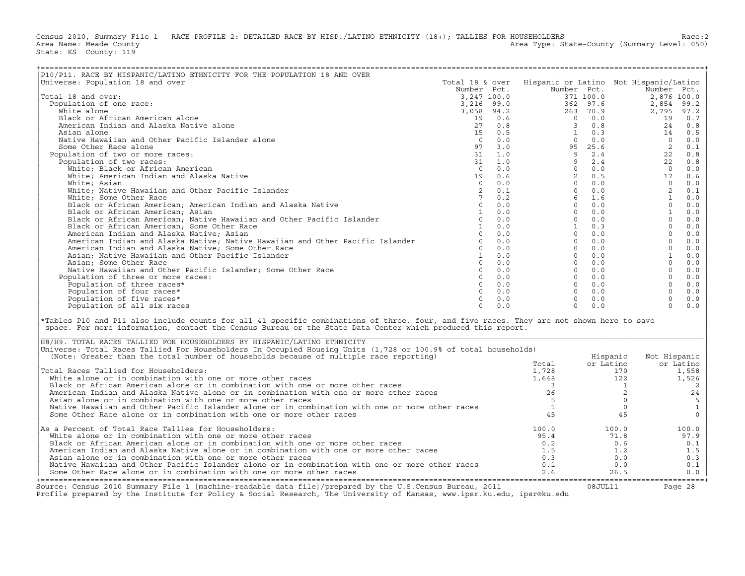Census 2010, Summary File 1 RACE PROFILE 2: DETAILED RACE BY HISP./LATINO ETHNICITY (18+); TALLIES FOR HOUSEHOLDERS<br>Area Name: Meade County (Summary Level: 050) Area Type: State-County (Summary Level: 050) State: KS County: 119

| --------------------------------                                                                                                                                                                                                                                                                                                    |                 |     |                                                                                                                                                                                                                                                                                                                                      |           |                |                                            |
|-------------------------------------------------------------------------------------------------------------------------------------------------------------------------------------------------------------------------------------------------------------------------------------------------------------------------------------|-----------------|-----|--------------------------------------------------------------------------------------------------------------------------------------------------------------------------------------------------------------------------------------------------------------------------------------------------------------------------------------|-----------|----------------|--------------------------------------------|
| P10/P11. RACE BY HISPANIC/LATINO ETHNICITY FOR THE POPULATION 18 AND OVER                                                                                                                                                                                                                                                           |                 |     |                                                                                                                                                                                                                                                                                                                                      |           |                |                                            |
| Universe: Population 18 and over                                                                                                                                                                                                                                                                                                    | Total 18 & over |     | Hispanic or Latino Not Hispanic/Latino                                                                                                                                                                                                                                                                                               |           |                |                                            |
|                                                                                                                                                                                                                                                                                                                                     |                 |     | Number Pct.                                                                                                                                                                                                                                                                                                                          |           |                |                                            |
| Total 18 and over:                                                                                                                                                                                                                                                                                                                  |                 |     |                                                                                                                                                                                                                                                                                                                                      |           |                |                                            |
| Population of one race:                                                                                                                                                                                                                                                                                                             |                 |     |                                                                                                                                                                                                                                                                                                                                      |           |                |                                            |
| White alone                                                                                                                                                                                                                                                                                                                         |                 |     |                                                                                                                                                                                                                                                                                                                                      |           |                |                                            |
|                                                                                                                                                                                                                                                                                                                                     |                 |     |                                                                                                                                                                                                                                                                                                                                      |           |                |                                            |
| Black or African American alone                                                                                                                                                                                                                                                                                                     |                 |     |                                                                                                                                                                                                                                                                                                                                      |           |                |                                            |
| American Indian and Alaska Native alone                                                                                                                                                                                                                                                                                             |                 |     |                                                                                                                                                                                                                                                                                                                                      |           |                |                                            |
| Asian alone                                                                                                                                                                                                                                                                                                                         |                 |     |                                                                                                                                                                                                                                                                                                                                      |           |                |                                            |
| Native Hawaiian and Other Pacific Islander alone                                                                                                                                                                                                                                                                                    |                 |     |                                                                                                                                                                                                                                                                                                                                      |           |                |                                            |
| Some Other Race alone                                                                                                                                                                                                                                                                                                               |                 |     |                                                                                                                                                                                                                                                                                                                                      |           |                |                                            |
| Population of two or more races:                                                                                                                                                                                                                                                                                                    |                 |     |                                                                                                                                                                                                                                                                                                                                      |           |                |                                            |
| Population of two races:                                                                                                                                                                                                                                                                                                            |                 |     |                                                                                                                                                                                                                                                                                                                                      |           |                |                                            |
| White; Black or African American                                                                                                                                                                                                                                                                                                    |                 |     |                                                                                                                                                                                                                                                                                                                                      |           |                |                                            |
| White; American Indian and Alaska Native                                                                                                                                                                                                                                                                                            |                 |     |                                                                                                                                                                                                                                                                                                                                      |           |                |                                            |
| White; Asian                                                                                                                                                                                                                                                                                                                        |                 |     |                                                                                                                                                                                                                                                                                                                                      |           |                |                                            |
| White; Native Hawaiian and Other Pacific Islander                                                                                                                                                                                                                                                                                   |                 |     |                                                                                                                                                                                                                                                                                                                                      |           |                |                                            |
| White; Some Other Race                                                                                                                                                                                                                                                                                                              |                 |     |                                                                                                                                                                                                                                                                                                                                      |           |                |                                            |
| Black or African American; American Indian and Alaska Native                                                                                                                                                                                                                                                                        |                 |     |                                                                                                                                                                                                                                                                                                                                      |           |                |                                            |
| Black or African American; Asian                                                                                                                                                                                                                                                                                                    |                 |     |                                                                                                                                                                                                                                                                                                                                      |           |                |                                            |
| Black or African American; Native Hawaiian and Other Pacific Islander                                                                                                                                                                                                                                                               |                 |     |                                                                                                                                                                                                                                                                                                                                      |           |                |                                            |
|                                                                                                                                                                                                                                                                                                                                     |                 |     |                                                                                                                                                                                                                                                                                                                                      |           |                |                                            |
| Black or African American; Some Other Race                                                                                                                                                                                                                                                                                          |                 |     |                                                                                                                                                                                                                                                                                                                                      |           |                |                                            |
| American Indian and Alaska Native; Asian                                                                                                                                                                                                                                                                                            |                 |     |                                                                                                                                                                                                                                                                                                                                      |           |                |                                            |
| American Indian and Alaska Native; Native Hawaiian and Other Pacific Islander                                                                                                                                                                                                                                                       |                 |     |                                                                                                                                                                                                                                                                                                                                      |           |                |                                            |
| American Indian and Alaska Native; Some Other Race                                                                                                                                                                                                                                                                                  |                 |     |                                                                                                                                                                                                                                                                                                                                      |           |                |                                            |
| Asian; Native Hawaiian and Other Pacific Islander                                                                                                                                                                                                                                                                                   |                 |     |                                                                                                                                                                                                                                                                                                                                      |           |                |                                            |
| Asian; Some Other Race                                                                                                                                                                                                                                                                                                              |                 |     |                                                                                                                                                                                                                                                                                                                                      |           |                |                                            |
| Native Hawaiian and Other Pacific Islander; Some Other Race                                                                                                                                                                                                                                                                         |                 |     |                                                                                                                                                                                                                                                                                                                                      |           |                |                                            |
| Population of three or more races:                                                                                                                                                                                                                                                                                                  |                 |     |                                                                                                                                                                                                                                                                                                                                      |           |                |                                            |
| Population of three races*                                                                                                                                                                                                                                                                                                          |                 |     |                                                                                                                                                                                                                                                                                                                                      |           |                |                                            |
| Population of four races*                                                                                                                                                                                                                                                                                                           |                 |     |                                                                                                                                                                                                                                                                                                                                      |           |                |                                            |
| Population of five races*                                                                                                                                                                                                                                                                                                           |                 |     |                                                                                                                                                                                                                                                                                                                                      |           |                |                                            |
| Population of all six races                                                                                                                                                                                                                                                                                                         | $\Omega$        | 0.0 | $\Omega$                                                                                                                                                                                                                                                                                                                             | 0.0       | $\Omega$       | 0.0                                        |
|                                                                                                                                                                                                                                                                                                                                     |                 |     | $\begin{array}{l cccc} \text{Number} & \text{DCT} & \text{m-square or Lation} & \text{Not H ispanic/Latino} \\ \hline 3, 247 & 100.0 & 371 & 100.0 & 2, 876 & 100.0 \\ 3, 216 & 99.0 & 371 & 100.0 & 2, 876 & 100.0 \\ 3, 216 & 99.0 & 262 & 97.6 & 2, 854 & 99.2 \\ 19 & 0.6 & 0 & 0.0 & 2795 & 97.2 \\ 27 & 0.8 & 0 & 0.0 & 19 & $ |           |                |                                            |
| *Tables P10 and P11 also include counts for all 41 specific combinations of three, four, and five races. They are not shown here to save<br>space. For more information, contact the Census Bureau or the State Data Center which produced this report.<br>H8/H9. TOTAL RACES TALLIED FOR HOUSEHOLDERS BY HISPANIC/LATINO ETHNICITY |                 |     |                                                                                                                                                                                                                                                                                                                                      |           |                |                                            |
| Universe: Total Races Tallied For Householders In Occupied Housing Units (1,728 or 100.9% of total households)<br>(Note: Greater than the total number of households because of multiple race reporting)                                                                                                                            |                 |     |                                                                                                                                                                                                                                                                                                                                      | Hispanic  | Not Hispanic   |                                            |
|                                                                                                                                                                                                                                                                                                                                     |                 |     | Total                                                                                                                                                                                                                                                                                                                                | or Latino | or Latino      |                                            |
| Total Races Tallied for Householders:                                                                                                                                                                                                                                                                                               |                 |     | 1,728                                                                                                                                                                                                                                                                                                                                |           | 170            | 1,558                                      |
| White alone or in combination with one or more other races                                                                                                                                                                                                                                                                          |                 |     | 1,648                                                                                                                                                                                                                                                                                                                                |           | 122            | 1,526                                      |
| Black or African American alone or in combination with one or more other races                                                                                                                                                                                                                                                      |                 |     | $\overline{\mathbf{3}}$                                                                                                                                                                                                                                                                                                              |           | $\overline{1}$ | $\overline{c}$                             |
| American Indian and Alaska Native alone or in combination with one or more other races                                                                                                                                                                                                                                              |                 |     | 26                                                                                                                                                                                                                                                                                                                                   |           | $\overline{a}$ | 24                                         |
| Asian alone or in combination with one or more other races                                                                                                                                                                                                                                                                          |                 |     | 5                                                                                                                                                                                                                                                                                                                                    |           | $\circ$        | 5                                          |
| Native Hawaiian and Other Pacific Islander alone or in combination with one or more other races                                                                                                                                                                                                                                     |                 |     | $\mathbf{1}$                                                                                                                                                                                                                                                                                                                         |           | $\circ$        |                                            |
| Some Other Race alone or in combination with one or more other races                                                                                                                                                                                                                                                                |                 |     | 45                                                                                                                                                                                                                                                                                                                                   |           | 45             | $\begin{smallmatrix}1\\0\end{smallmatrix}$ |
| As a Percent of Total Race Tallies for Householders:                                                                                                                                                                                                                                                                                |                 |     | 100.0                                                                                                                                                                                                                                                                                                                                | 100.0     |                | 100.0                                      |
| White alone or in combination with one or more other races                                                                                                                                                                                                                                                                          |                 |     | 95.4                                                                                                                                                                                                                                                                                                                                 | 71.8      |                | 97.9                                       |
| Black or African American alone or in combination with one or more other races                                                                                                                                                                                                                                                      |                 |     | 0.2                                                                                                                                                                                                                                                                                                                                  |           | 0.6            | 0.1                                        |
| American Indian and Alaska Native alone or in combination with one or more other races                                                                                                                                                                                                                                              |                 |     | 1.5                                                                                                                                                                                                                                                                                                                                  |           | 1.2            |                                            |
|                                                                                                                                                                                                                                                                                                                                     |                 |     |                                                                                                                                                                                                                                                                                                                                      |           |                | 1.5                                        |
| Asian alone or in combination with one or more other races                                                                                                                                                                                                                                                                          |                 |     | 0.3                                                                                                                                                                                                                                                                                                                                  |           | 0.0            | 0.3                                        |
| Native Hawaiian and Other Pacific Islander alone or in combination with one or more other races                                                                                                                                                                                                                                     |                 |     | 0.1                                                                                                                                                                                                                                                                                                                                  |           | 0.0            | 0.1                                        |
| Some Other Race alone or in combination with one or more other races                                                                                                                                                                                                                                                                |                 |     | 2.6                                                                                                                                                                                                                                                                                                                                  | 26.5      |                | 0.0                                        |

| H8/H9. TOTAL RACES TALLIED FOR HOUSEHOLDERS BY HISPANIC/LATINO ETHNICITY                                                                                                                                                          |       |           |              |
|-----------------------------------------------------------------------------------------------------------------------------------------------------------------------------------------------------------------------------------|-------|-----------|--------------|
| Universe: Total Races Tallied For Householders In Occupied Housing Units (1,728 or 100.9% of total households)                                                                                                                    |       |           |              |
| (Note: Greater than the total number of households because of multiple race reporting)                                                                                                                                            |       | Hispanic  | Not Hispanic |
|                                                                                                                                                                                                                                   | Total | or Latino | or Latino    |
| Total Races Tallied for Householders:                                                                                                                                                                                             | 1,728 | 170       | 1,558        |
| White alone or in combination with one or more other races                                                                                                                                                                        | 1,648 | 122       | 1,526        |
| Black or African American alone or in combination with one or more other races                                                                                                                                                    |       |           |              |
| American Indian and Alaska Native alone or in combination with one or more other races                                                                                                                                            |       |           | 24           |
| Asian alone or in combination with one or more other races                                                                                                                                                                        |       |           |              |
| Native Hawaiian and Other Pacific Islander alone or in combination with one or more other races                                                                                                                                   |       |           |              |
| Some Other Race alone or in combination with one or more other races                                                                                                                                                              |       |           |              |
| As a Percent of Total Race Tallies for Householders:                                                                                                                                                                              | 100.0 | 100.0     | 100.0        |
| White alone or in combination with one or more other races                                                                                                                                                                        | 95.4  | 71.8      | 97.9         |
| Black or African American alone or in combination with one or more other races                                                                                                                                                    | 0.2   | 0.6       | 0.1          |
| American Indian and Alaska Native alone or in combination with one or more other races                                                                                                                                            | 1.5   | 1.2       | 1.5          |
| Asian alone or in combination with one or more other races                                                                                                                                                                        | 0.3   | 0.0       | 0.3          |
| Native Hawaiian and Other Pacific Islander alone or in combination with one or more other races                                                                                                                                   | 0.1   | 0.0       | 0.1          |
| Some Other Race alone or in combination with one or more other races                                                                                                                                                              | 2.6   | 26.5      |              |
|                                                                                                                                                                                                                                   |       |           | $0.0$        |
| Source: Census 2010 Summary File 1 [machine-readable data file]/prepared by the U.S.Census Bureau, 2011<br>Profile prepared by the Institute for Policy & Social Research, The University of Kansas, www.ipsr.ku.edu, ipsr@ku.edu |       | 08JUL11   | Page 28      |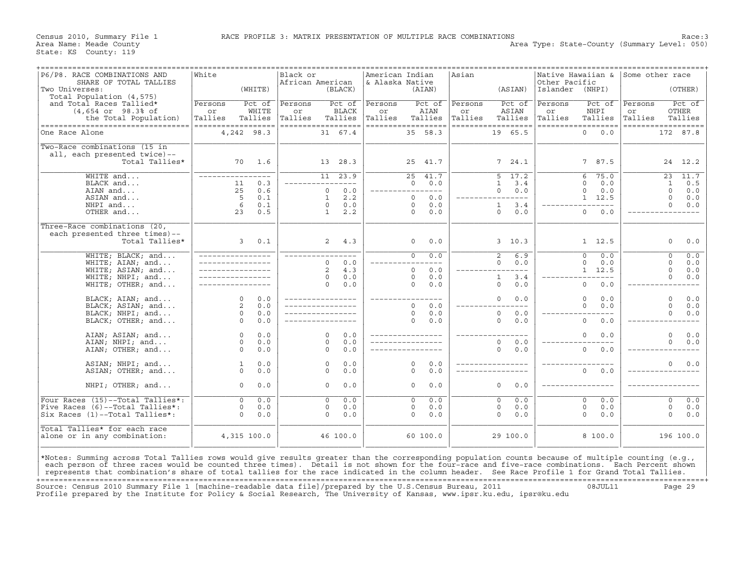Census 2010, Summary File 1 RACE PROFILE 3: MATRIX PRESENTATION OF MULTIPLE RACE COMBINATIONS Race: 3<br>Area Name: Meade County Level: 050) Area Type: State-County (Summary Level: 050)

| P6/P8. RACE COMBINATIONS AND<br>SHARE OF TOTAL TALLIES<br>Two Universes:                                                                          | White<br>(WHITTE)                 | Black or<br>African American<br>(BLACK)  | American Indian<br>& Alaska Native<br>(AIAN) | Asian<br>(ASIAN)                  | Native Hawaiian &<br>Other Pacific<br>Islander<br>(NHPI) | Some other race<br>(OTHER)        |
|---------------------------------------------------------------------------------------------------------------------------------------------------|-----------------------------------|------------------------------------------|----------------------------------------------|-----------------------------------|----------------------------------------------------------|-----------------------------------|
| Total Population (4,575)                                                                                                                          |                                   |                                          |                                              |                                   |                                                          |                                   |
| and Total Races Tallied*                                                                                                                          | Persons<br>Pct of                 | Pct of<br>Persons                        | Persons<br>Pct of                            | Persons<br>Pct of                 | Persons<br>Pct of                                        | Pct of<br>Persons                 |
| $(4,654 \text{ or } 98.3\text{* of})$<br>the Total Population)                                                                                    | WHITE<br>or<br>Tallies<br>Tallies | <b>BLACK</b><br>or<br>Tallies<br>Tallies | AIAN<br>or<br>Tallies<br>Tallies             | ASIAN<br>or<br>Tallies<br>Tallies | NHPI<br>or<br>Tallies<br>Tallies                         | OTHER<br>or<br>Tallies<br>Tallies |
| -----------------------------------                                                                                                               | ------------------                | ------------------                       | ------------------                           | ==================                | ==================                                       | ==================                |
| One Race Alone                                                                                                                                    | 4,242 98.3                        | 31 67.4                                  | 35 58.3                                      | 19 65.5                           | $\Omega$<br>0.0                                          | 172 87.8                          |
| Two-Race combinations (15 in                                                                                                                      |                                   |                                          |                                              |                                   |                                                          |                                   |
| all, each presented twice)--                                                                                                                      |                                   |                                          |                                              |                                   |                                                          |                                   |
| Total Tallies*                                                                                                                                    | 70<br>1.6                         | 13 28.3                                  | 25<br>41.7                                   | 7, 24.1                           | 7 87.5                                                   | 24 12.2                           |
| WHITE and                                                                                                                                         | $- - - -$                         | $11 \quad 23.9$                          | 25<br>41.7                                   | 5<br>17.2                         | 75.0<br>6                                                | 23<br>11.7                        |
| BLACK and                                                                                                                                         | 0.3<br>11                         | $- - - -$                                | $\Omega$<br>0.0                              | $\mathbf{1}$<br>3.4               | $\Omega$<br>0.0                                          | 0.5<br>$\mathbf{1}$               |
| AIAN and                                                                                                                                          | 25<br>0.6                         | 0.0<br>$\mathbf{0}$                      | ----------                                   | $\circ$<br>0.0                    | $\mathbf 0$<br>0.0                                       | $\Omega$<br>0.0                   |
| ASIAN and                                                                                                                                         | 5<br>0.1                          | 2.2<br>1                                 | $\Omega$<br>0.0                              | $- - -$                           | $1 \quad 12.5$                                           | $\circ$<br>0.0                    |
| NHPI and                                                                                                                                          | 6<br>0.1                          | 0.0<br>$\circ$                           | 0.0<br>$\Omega$                              | $\mathbf{1}$<br>3.4               | $- - -$                                                  | $\Omega$<br>0.0                   |
| OTHER and                                                                                                                                         | 23<br>0.5                         | $\mathbf{1}$<br>2.2                      | $\Omega$<br>0.0                              | 0.0<br>$\Omega$                   | $\mathbf{0}$<br>0.0                                      |                                   |
| Three-Race combinations (20,                                                                                                                      |                                   |                                          |                                              |                                   |                                                          |                                   |
| each presented three times)--<br>Total Tallies*                                                                                                   | $\mathbf{3}$<br>0.1               | 2<br>4.3                                 | $\circ$<br>0.0                               | 3, 10.3                           | $1 \quad 12.5$                                           | $\circ$<br>0.0                    |
|                                                                                                                                                   |                                   |                                          |                                              |                                   |                                                          |                                   |
| WHITE; BLACK; and                                                                                                                                 |                                   |                                          | $\circ$<br>0.0                               | $\overline{a}$<br>6.9             | 0.0<br>$\Omega$                                          | 0.0<br>$\circ$                    |
| WHITE; AIAN; and                                                                                                                                  |                                   | 0.0<br>$\Omega$                          |                                              | 0.0<br>$\Omega$                   | $\Omega$<br>0.0                                          | $\Omega$<br>0.0                   |
| WHITE; ASIAN; and                                                                                                                                 |                                   | $\overline{2}$<br>4.3                    | 0.0<br>$\Omega$                              | $---$                             | 1, 12.5                                                  | $\Omega$<br>0.0                   |
| WHITE; NHPI; and                                                                                                                                  |                                   | 0.0<br>$\circ$                           | $\Omega$<br>0.0                              | 3.4<br>$\mathbf{1}$               |                                                          | $\circ$<br>0.0                    |
| WHITE; OTHER; and                                                                                                                                 |                                   | 0.0<br>$\Omega$                          | $\Omega$<br>0.0                              | $\Omega$<br>0.0                   | $\mathbf 0$<br>0.0                                       | -----                             |
| BLACK; AIAN; and                                                                                                                                  | $\Omega$<br>0.0                   |                                          |                                              | $\circ$<br>0.0                    | $\Omega$<br>0.0                                          | $\circ$<br>0.0                    |
| BLACK; ASIAN; and                                                                                                                                 | 2<br>0.0                          |                                          | $\Omega$<br>0.0                              |                                   | $\Omega$<br>0.0                                          | $\Omega$<br>0.0                   |
| BLACK; NHPI; and                                                                                                                                  | $\circ$<br>0.0                    |                                          | $\Omega$<br>0.0                              | $\circ$<br>0.0                    |                                                          | $\circ$<br>0.0                    |
| BLACK; OTHER; and                                                                                                                                 | $\Omega$<br>0.0                   |                                          | $\Omega$<br>0.0                              | $\Omega$<br>0.0                   | $\Omega$<br>0.0                                          |                                   |
| AIAN; ASIAN; and                                                                                                                                  | $0.0$<br>$\circ$                  | $\Omega$<br>0.0                          |                                              |                                   | 0.0<br>0                                                 | $\circ$<br>0.0                    |
| AIAN; NHPI; and                                                                                                                                   | $\Omega$<br>0.0                   | 0.0<br>$\Omega$                          |                                              | $\Omega$<br>0.0                   |                                                          | $\Omega$<br>0.0                   |
| AIAN; OTHER; and                                                                                                                                  | $\Omega$<br>0.0                   | 0.0<br>$\Omega$                          |                                              | $\circ$<br>0.0                    | $\mathbf 0$<br>0.0                                       |                                   |
|                                                                                                                                                   |                                   |                                          |                                              |                                   |                                                          |                                   |
| ASIAN; NHPI; and                                                                                                                                  | $0.0$<br>$\mathbf{1}$             | 0.0<br>$\mathbf 0$                       | 0.0<br>0                                     |                                   |                                                          | $\circ$<br>0.0                    |
| ASIAN; OTHER; and                                                                                                                                 | $\Omega$<br>0.0                   | 0.0<br>$\Omega$                          | 0.0<br>$\Omega$                              |                                   | $\circ$<br>0.0                                           |                                   |
| NHPI; OTHER; and                                                                                                                                  | $0.0$<br>$\circ$                  | 0.0<br>$\circ$                           | 0.0<br>0                                     | $\circ$<br>0.0                    |                                                          |                                   |
| Four Races (15)--Total Tallies*:                                                                                                                  | $\overline{0}$<br>0.0             | $\overline{\circ}$<br>0.0                | 0.0<br>$\overline{0}$                        | 0.0<br>$\overline{0}$             | 0.0<br>$\overline{0}$                                    | 0.0<br>$\overline{0}$             |
| Five Races (6)--Total Tallies*:                                                                                                                   | 0.0<br>$\circ$                    | 0.0<br>$\circ$                           | 0.0<br>0                                     | 0<br>0.0                          | $\mathbf 0$<br>0.0                                       | $\circ$<br>0.0                    |
| Six Races (1)--Total Tallies*:                                                                                                                    | $\Omega$<br>0.0                   | $\Omega$<br>0.0                          | $\Omega$<br>0.0                              | $\Omega$<br>0.0                   | $\Omega$<br>0.0                                          | $\Omega$<br>0.0                   |
| Total Tallies* for each race                                                                                                                      |                                   |                                          |                                              |                                   |                                                          |                                   |
| alone or in any combination:                                                                                                                      | 4,315 100.0                       | 46 100.0                                 | 60 100.0                                     | 29 100.0                          | 8 100.0                                                  | 196 100.0                         |
|                                                                                                                                                   |                                   |                                          |                                              |                                   |                                                          |                                   |
|                                                                                                                                                   |                                   |                                          |                                              |                                   |                                                          |                                   |
| *Notes: Summing across Total Tallies rows would give results greater than the corresponding population counts because of multiple counting (e.g., |                                   |                                          |                                              |                                   |                                                          |                                   |
| each person of three races would be counted three times). Detail is not shown for the four-race and five-race combinations. Each Percent shown    |                                   |                                          |                                              |                                   |                                                          |                                   |
| represents that combination's share of total tallies for the race indicated in the column header. See Race Profile 1 for Grand Total Tallies.     |                                   |                                          |                                              |                                   |                                                          |                                   |

+===================================================================================================================================================+ Source: Census 2010 Summary File 1 [machine−readable data file]/prepared by the U.S.Census Bureau, 2011 08JUL11 Page 29 Profile prepared by the Institute for Policy & Social Research, The University of Kansas, www.ipsr.ku.edu, ipsr@ku.edu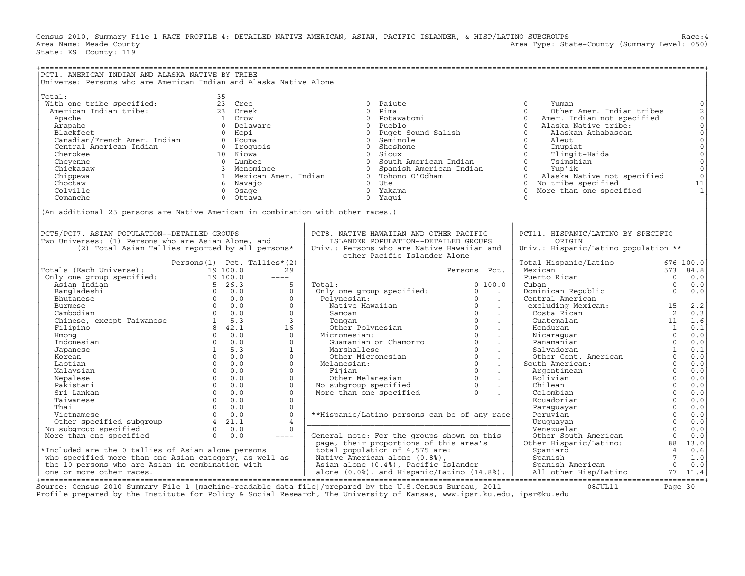Census 2010, Summary File 1 RACE PROFILE 4: DETAILED NATIVE AMERICAN, ASIAN, PACIFIC ISLANDER, & HISP/LATINO SUBGROUPS Race:4<br>Area Name: Meade County (Summary Level: 050) Area Type: State-County (Summary Level: 050) State: KS County: 119

| PCT1. AMERICAN INDIAN AND ALASKA NATIVE BY TRIBE<br>Universe: Persons who are American Indian and Alaska Native Alone                                                                                                                                                                                                                                                                                                                                                                           |                               |                         |                                                                                                                                                                                                                                                               |                         |                                                                                      |                                                     |                                                                                                                                                                                 |
|-------------------------------------------------------------------------------------------------------------------------------------------------------------------------------------------------------------------------------------------------------------------------------------------------------------------------------------------------------------------------------------------------------------------------------------------------------------------------------------------------|-------------------------------|-------------------------|---------------------------------------------------------------------------------------------------------------------------------------------------------------------------------------------------------------------------------------------------------------|-------------------------|--------------------------------------------------------------------------------------|-----------------------------------------------------|---------------------------------------------------------------------------------------------------------------------------------------------------------------------------------|
| Total:<br>th one true specified<br>American Indian tribe:<br>Arapho 1 Crow 1 (Decay 1 Crown and the candian of the candian of the candian of the candian of the candian of<br>Candian of Haware 1 (Decay 1 Certifical Central American Indian of                                                                                                                                                                                                                                                | 35                            |                         | 0 Paiute                                                                                                                                                                                                                                                      |                         | $\Omega$<br>Yuman                                                                    |                                                     | $\mathsf{O}$<br>$\sqrt{2}$<br>$\mathsf{O}\xspace$<br>$\mathsf{O}\xspace$<br>$\overline{0}$<br>$\mathbb O$<br>$_{\rm 0}^{\rm 0}$<br>$\circ$<br>$\mathbb O$<br>11<br>$\mathbf{1}$ |
|                                                                                                                                                                                                                                                                                                                                                                                                                                                                                                 |                               |                         |                                                                                                                                                                                                                                                               |                         |                                                                                      |                                                     |                                                                                                                                                                                 |
| (An additional 25 persons are Native American in combination with other races.)                                                                                                                                                                                                                                                                                                                                                                                                                 |                               |                         |                                                                                                                                                                                                                                                               |                         |                                                                                      |                                                     |                                                                                                                                                                                 |
| PCT5/PCT7. ASIAN POPULATION--DETAILED GROUPS<br>Two Universes: (1) Persons who are Asian Alone, and<br>(2) Total Asian Tallies reported by all persons*                                                                                                                                                                                                                                                                                                                                         |                               |                         | PCT8. NATIVE HAWAIIAN AND OTHER PACIFIC<br>ISLANDER POPULATION--DETAILED GROUPS<br>Univ.: Persons who are Native Hawaiian and<br>other Pacific Islander Alone                                                                                                 |                         | PCT11. HISPANIC/LATINO BY SPECIFIC<br>ORIGIN<br>Univ.: Hispanic/Latino population ** |                                                     |                                                                                                                                                                                 |
|                                                                                                                                                                                                                                                                                                                                                                                                                                                                                                 | Persons (1) Pct. Tallies* (2) |                         |                                                                                                                                                                                                                                                               |                         | Total Hispanic/Latino                                                                |                                                     | 676 100.0                                                                                                                                                                       |
| $\begin{tabular}{ll} \textsc{Totals (Each Universe)} & \textsc{Persons (1)} & \textsc{Pet. Tallit} \\ \hline Only one group specified: & 19 100.0 \\ \hline Asian Indian & 5 26.3 \\ \hline Bangladeshi & 5 26.3 \\ \hline Butanese & 0 0.0 \\ \hline Chintese, except Taiwan & 0 0.0 \\ \hline Chinese, except Taiwan & 0 0.0 \\ \hline Inhomog & 0 0.0 \\ \hline Indonesian & 0 0.0 \\ \hline Japanese & 1 5.3 \\ \hline Koren & 0 0.0 \\ \hline Lootian & 0 0.0 \\ \hline Inodonesian & 0 0$ |                               | 29                      |                                                                                                                                                                                                                                                               | Persons Pct.            | Mexican                                                                              |                                                     | 573 84.8                                                                                                                                                                        |
|                                                                                                                                                                                                                                                                                                                                                                                                                                                                                                 |                               | $---$                   |                                                                                                                                                                                                                                                               |                         | Puerto Rican                                                                         | $\overline{0}$                                      | 0.0                                                                                                                                                                             |
|                                                                                                                                                                                                                                                                                                                                                                                                                                                                                                 |                               | 5                       | Total:<br>Total: 0<br>Only one group specified: 0<br>Polynesian: 0<br>Native Hawaiian 0<br>Samoan 0<br>Samoan 0<br>Tongan 0<br>Other Polynesian 0<br>Micronesian: 0<br>Guamanian or Chamorro 0<br>Marshallese 0<br>Other Micronesian 0<br>Other Micronesian 0 | 0, 100.0                | Cuban 0<br>Dominican Republic 0<br>Central American 0<br>excluding Mexican: 15<br>2  |                                                     | 0.0                                                                                                                                                                             |
|                                                                                                                                                                                                                                                                                                                                                                                                                                                                                                 |                               | $\Omega$                |                                                                                                                                                                                                                                                               | <b>Contract</b>         |                                                                                      |                                                     | 0.0                                                                                                                                                                             |
|                                                                                                                                                                                                                                                                                                                                                                                                                                                                                                 |                               | $\Omega$<br>$\Omega$    |                                                                                                                                                                                                                                                               | $\sim 100$              |                                                                                      |                                                     | 2.2                                                                                                                                                                             |
|                                                                                                                                                                                                                                                                                                                                                                                                                                                                                                 |                               | $\Omega$                |                                                                                                                                                                                                                                                               | $\sim 10$               | Costa Rican                                                                          | $\overline{2}$                                      | 0.3                                                                                                                                                                             |
|                                                                                                                                                                                                                                                                                                                                                                                                                                                                                                 |                               | $\overline{\mathbf{3}}$ |                                                                                                                                                                                                                                                               | $\sim 100$<br>$\sim 10$ | Guatemalan                                                                           | $\begin{bmatrix} 11 & 1.6 \\ 1 & 0.1 \end{bmatrix}$ |                                                                                                                                                                                 |
|                                                                                                                                                                                                                                                                                                                                                                                                                                                                                                 |                               | 16                      |                                                                                                                                                                                                                                                               | $\sim 100$ km s $^{-1}$ |                                                                                      |                                                     |                                                                                                                                                                                 |
|                                                                                                                                                                                                                                                                                                                                                                                                                                                                                                 |                               | $\overline{0}$          |                                                                                                                                                                                                                                                               | $\sim 10$               |                                                                                      |                                                     | 0.0                                                                                                                                                                             |
|                                                                                                                                                                                                                                                                                                                                                                                                                                                                                                 |                               | $\Omega$                |                                                                                                                                                                                                                                                               | $\sim$                  | Honduran 1<br>Nicaraguan 0<br>Panamanian 0<br>Salvadoran 1<br>Other Cent. American 0 |                                                     | 0.0                                                                                                                                                                             |
|                                                                                                                                                                                                                                                                                                                                                                                                                                                                                                 |                               | $\mathbf{1}$            |                                                                                                                                                                                                                                                               | $\sim 100$              |                                                                                      |                                                     | 0.1                                                                                                                                                                             |
|                                                                                                                                                                                                                                                                                                                                                                                                                                                                                                 |                               | $\circ$                 |                                                                                                                                                                                                                                                               |                         |                                                                                      |                                                     | 0.0                                                                                                                                                                             |
|                                                                                                                                                                                                                                                                                                                                                                                                                                                                                                 |                               | $\Omega$                | Marshallese<br>Other Micronesian<br>Melanesian: 0<br>Fijian 0<br>Other Melanesian 0<br>No subgroup specified 0<br>More than one specified 0<br>.                                                                                                              |                         | South American:                                                                      | $\Omega$                                            | 0.0                                                                                                                                                                             |
| Malaysian                                                                                                                                                                                                                                                                                                                                                                                                                                                                                       |                               | $\circ$                 |                                                                                                                                                                                                                                                               |                         | Argentinean                                                                          | $\begin{matrix} 0 \\ 0 \\ 0 \\ 0 \end{matrix}$      | 0.0                                                                                                                                                                             |
| Nepalese                                                                                                                                                                                                                                                                                                                                                                                                                                                                                        |                               | $\circ$                 |                                                                                                                                                                                                                                                               |                         | Bolivian                                                                             |                                                     | 0.0                                                                                                                                                                             |
| Pakistani                                                                                                                                                                                                                                                                                                                                                                                                                                                                                       |                               | $\Omega$                |                                                                                                                                                                                                                                                               |                         | Chilean                                                                              |                                                     | 0.0                                                                                                                                                                             |
| Sri Lankan                                                                                                                                                                                                                                                                                                                                                                                                                                                                                      |                               | $\Omega$                |                                                                                                                                                                                                                                                               |                         | Colombian                                                                            | $\overline{0}$                                      | 0.0                                                                                                                                                                             |
| Taiwanese                                                                                                                                                                                                                                                                                                                                                                                                                                                                                       |                               | $\Omega$                |                                                                                                                                                                                                                                                               |                         | Ecuadorian                                                                           | $\Omega$                                            | 0.0                                                                                                                                                                             |
|                                                                                                                                                                                                                                                                                                                                                                                                                                                                                                 |                               | $\mathbf{0}$            |                                                                                                                                                                                                                                                               |                         | Paraquayan                                                                           | $\Omega$                                            | 0.0                                                                                                                                                                             |
|                                                                                                                                                                                                                                                                                                                                                                                                                                                                                                 |                               | $\Omega$                | **Hispanic/Latino persons can be of any race                                                                                                                                                                                                                  |                         | Peruvian                                                                             | $\Omega$                                            | 0.0                                                                                                                                                                             |
|                                                                                                                                                                                                                                                                                                                                                                                                                                                                                                 |                               |                         |                                                                                                                                                                                                                                                               |                         |                                                                                      |                                                     |                                                                                                                                                                                 |
|                                                                                                                                                                                                                                                                                                                                                                                                                                                                                                 |                               |                         |                                                                                                                                                                                                                                                               |                         |                                                                                      |                                                     |                                                                                                                                                                                 |
| Taiwanese 0 0.0<br>Thai<br>Vietnamese 0 0.0<br>Uther specified subgroup 0 0.0<br>No subgroup specified 0 0.0<br>More than one specified 0 0.0                                                                                                                                                                                                                                                                                                                                                   |                               |                         |                                                                                                                                                                                                                                                               |                         |                                                                                      |                                                     |                                                                                                                                                                                 |
|                                                                                                                                                                                                                                                                                                                                                                                                                                                                                                 |                               |                         |                                                                                                                                                                                                                                                               |                         |                                                                                      |                                                     |                                                                                                                                                                                 |
|                                                                                                                                                                                                                                                                                                                                                                                                                                                                                                 |                               |                         |                                                                                                                                                                                                                                                               |                         |                                                                                      |                                                     |                                                                                                                                                                                 |
|                                                                                                                                                                                                                                                                                                                                                                                                                                                                                                 |                               |                         |                                                                                                                                                                                                                                                               |                         |                                                                                      |                                                     |                                                                                                                                                                                 |
|                                                                                                                                                                                                                                                                                                                                                                                                                                                                                                 |                               |                         |                                                                                                                                                                                                                                                               |                         |                                                                                      |                                                     |                                                                                                                                                                                 |

+===================================================================================================================================================+Source: Census 2010 Summary File 1 [machine−readable data file]/prepared by the U.S.Census Bureau, 2011 08JUL11 Page 30 Profile prepared by the Institute for Policy & Social Research, The University of Kansas, www.ipsr.ku.edu, ipsr@ku.edu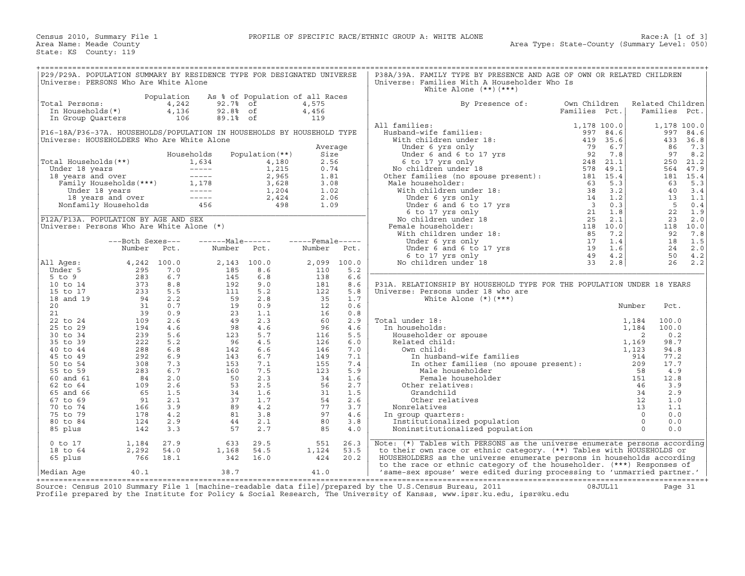| P29/P29A. POPULATION SUMMARY BY RESIDENCE TYPE FOR DESIGNATED UNIVERSE<br>Universe: PERSONS Who Are White Alone                           |                                           |                              |                                                                                                                                                      |                                       |                                      |                          | P38A/39A. FAMILY TYPE BY PRESENCE AND AGE OF OWN OR RELATED CHILDREN<br>Universe: Families With A Householder Who Is<br>White Alone $(**)$ $(***)$                                                                         |                               |                    |                                                                                |                             |  |
|-------------------------------------------------------------------------------------------------------------------------------------------|-------------------------------------------|------------------------------|------------------------------------------------------------------------------------------------------------------------------------------------------|---------------------------------------|--------------------------------------|--------------------------|----------------------------------------------------------------------------------------------------------------------------------------------------------------------------------------------------------------------------|-------------------------------|--------------------|--------------------------------------------------------------------------------|-----------------------------|--|
| Total Persons:<br>In Households(*)                                                                                                        |                                           | Population<br>4,242<br>4,136 | 92.7%<br>92.8% of                                                                                                                                    | As % of Population of all Races<br>of | 4,575<br>4,456                       |                          | By Presence of:                                                                                                                                                                                                            | Own Children<br>Families Pct. |                    | Related Children<br>Families Pct.                                              |                             |  |
| In Group Quarters<br>P16-18A/P36-37A. HOUSEHOLDS/POPULATION IN HOUSEHOLDS BY HOUSEHOLD TYPE<br>Universe: HOUSEHOLDERS Who Are White Alone |                                           | 106                          | 89.1% of                                                                                                                                             |                                       | 119                                  |                          | All families:<br>Husband-wife families:<br>With children under 18:                                                                                                                                                         | 1,178 100.0<br>997<br>419     | 84.6<br>35.6       | 997<br>433                                                                     | 1,178 100.0<br>84.6<br>36.8 |  |
| Total Households(**)                                                                                                                      |                                           |                              | Households<br>1,634                                                                                                                                  | Population $(**)$<br>4,180            | Average<br>Size<br>2.56              |                          | Under 6 yrs only<br>Under 6 yrs only<br>Under 6 and 6 to 17 yrs<br>6 to 17 yrs only<br>5 children under 18                                                                                                                 | 79<br>92<br>248               | 6.7<br>7.8<br>21.1 | 86<br>97<br>250                                                                | 7.3<br>8.2<br>21.2          |  |
| Under 18 years<br>18 years and over                                                                                                       |                                           |                              | $\sim$ $\sim$ $\sim$ $\sim$ $\sim$ $\sim$<br>der 18 years<br>} years and over<br>Family Households(***)<br>Under 18 years<br>1,178<br>1,178<br>1,179 | 1,215<br>2,965<br>3,628               | 0.74<br>1.81<br>3.08                 |                          | No children under 18<br>Other families (no spouse present): 181 15.4<br>Male householder:                                                                                                                                  | 578 49.1<br>63                | 5.3                | 564<br>63                                                                      | 47.9<br>181 15.4<br>5.3     |  |
|                                                                                                                                           | 18 years and over<br>Nonfamily Households |                              | $------$<br>456                                                                                                                                      | 1,204<br>2,424<br>498                 | 1.02<br>2.06<br>1.09                 |                          | With children under 18:                                                                                                                                                                                                    |                               |                    | 40<br>13<br>5<br>22                                                            | 3.4<br>1.1<br>0.4<br>1.9    |  |
| P12A/P13A. POPULATION BY AGE AND SEX<br>Universe: Persons Who Are White Alone (*)                                                         |                                           |                              |                                                                                                                                                      |                                       |                                      |                          | No children under 18<br>Female householder:<br>With children under 18:                                                                                                                                                     |                               |                    | 23<br>92                                                                       | 2.0<br>118 10.0<br>7.8      |  |
|                                                                                                                                           | ---Both Sexes---<br>Number                | Pct.<br>4,242 100.0          | ------Male------<br>Number                                                                                                                           | Pct.                                  | $---$ Female-----<br>Number<br>2,099 | Pct.<br>100.0            | Under 6 y a Unity<br>Under 6 and 6 to 17 yrs<br>6 to 17 yrs only<br>9 children under 18<br>33<br>No children under 18                                                                                                      |                               | 1.6<br>4.2         | 18<br>24<br>50<br>26                                                           | 1.5<br>2.0<br>4.2<br>2.2    |  |
| All Ages:<br>Under 5<br>$5$ to $9$<br>10 to 14                                                                                            | 295<br>283<br>373                         | 7.0<br>6.7<br>8.8            | 2,143 100.0<br>185<br>145<br>192                                                                                                                     | 8.6<br>6.8<br>9.0                     | 110<br>138<br>181                    | 5.2<br>6.6<br>8.6        | P31A. RELATIONSHIP BY HOUSEHOLD TYPE FOR THE POPULATION UNDER 18 YEARS                                                                                                                                                     |                               | 2.8                |                                                                                |                             |  |
| 15 to 17<br>18 and 19<br>20                                                                                                               | 233<br>94<br>31                           | 5.5<br>2.2<br>0.7            | 111<br>59<br>19                                                                                                                                      | 5.2<br>2.8<br>0.9                     | 122<br>35<br>12                      | 5.8<br>1.7<br>0.6        | Universe: Persons under 18 who are<br>White Alone $(*)$ $(***)$                                                                                                                                                            |                               |                    | Number<br>Pct.                                                                 |                             |  |
| 21<br>22 to 24<br>25 to 29                                                                                                                | 39<br>109<br>194                          | 0.9<br>2.6<br>4.6            | 23<br>-49<br>98                                                                                                                                      | 1.1<br>2.3<br>4.6                     | 16<br>60<br>96                       | 0.8<br>2.9<br>4.6        | Total under 18:<br>In households:                                                                                                                                                                                          |                               |                    | 1,184<br>100.0<br>100.0<br>1,184                                               |                             |  |
| 30 to 34<br>35 to 39<br>40 to 44<br>45 to 49                                                                                              | 239<br>222<br>288<br>292                  | 5.6<br>5.2<br>6.8<br>6.9     | 123<br>96<br>142<br>143                                                                                                                              | 5.7<br>4.5<br>6.6<br>6.7              | 116<br>126<br>146<br>149             | 5.5<br>6.0<br>7.0<br>7.1 | Householder or spouse<br>Related child:<br>Own child:<br>In husband-wife families                                                                                                                                          |                               |                    | 2<br>0.2<br>98.7<br>1,169<br>94.8<br>1,123<br>914<br>77.2                      |                             |  |
| 50 to 54<br>55 to 59<br>60 and 61                                                                                                         | 308<br>283<br>84                          | 7.3<br>6.7<br>2.0            | 153<br>160<br>50                                                                                                                                     | 7.1<br>7.5<br>2.3                     | 155<br>123<br>34                     | 7.4<br>5.9<br>1.6        | In other families (no spouse present):<br>Male householder<br>Female householder                                                                                                                                           |                               |                    | 209<br>17.7<br>58<br>4.9<br>151<br>12.8                                        |                             |  |
| 62 to 64<br>65 and 66<br>67 to 69                                                                                                         | 109<br>65<br>91                           | 2.6<br>1.5<br>2.1            | 53<br>34<br>37                                                                                                                                       | 2.5<br>1.6<br>1.7                     | 56<br>31<br>54                       | 2.7<br>1.5<br>2.6        | Other relatives:<br>Grandchild<br>Other relatives                                                                                                                                                                          |                               |                    | 3.9<br>46<br>2.9<br>34<br>12<br>1.0                                            |                             |  |
| 70 to 74<br>75 to 79<br>80 to 84<br>85 plus                                                                                               | 166<br>178<br>124<br>142                  | 3.9<br>4.2<br>2.9<br>3.3     | 89<br>81<br>44<br>57                                                                                                                                 | 4.2<br>3.8<br>2.1<br>2.7              | 77<br>97<br>80<br>85                 | 3.7<br>4.6<br>3.8<br>4.0 | Nonrelatives<br>In group quarters:<br>Institutionalized population<br>Noninstitutionalized population                                                                                                                      |                               |                    | 13<br>1.1<br>$\overline{0}$<br>0.0<br>$\overline{0}$<br>0.0<br>$\Omega$<br>0.0 |                             |  |
| $0$ to $17$<br>18 to 64                                                                                                                   | 1,184<br>2,292                            | 27.9<br>54.0                 | 633<br>1,168                                                                                                                                         | 29.5<br>54.5                          | 551<br>1,124                         | 26.3<br>53.5             | Note: $(*)$ Tables with PERSONS as the universe enumerate persons according<br>to their own race or ethnic category. (**) Tables with HOUSEHOLDS or                                                                        |                               |                    |                                                                                |                             |  |
| 65 plus<br> Median Aqe                                                                                                                    | 766<br>40.1                               | 18.1                         | 342<br>38.7                                                                                                                                          | 16.0                                  | 424<br>41.0                          | 20.2                     | HOUSEHOLDERS as the universe enumerate persons in households according<br>to the race or ethnic category of the householder. (***) Responses of<br>'same-sex spouse' were edited during processing to 'unmarried partner.' |                               |                    |                                                                                |                             |  |

+===================================================================================================================================================+Source: Census 2010 Summary File 1 [machine−readable data file]/prepared by the U.S.Census Bureau, 2011 08JUL11 Page 31 Profile prepared by the Institute for Policy & Social Research, The University of Kansas, www.ipsr.ku.edu, ipsr@ku.edu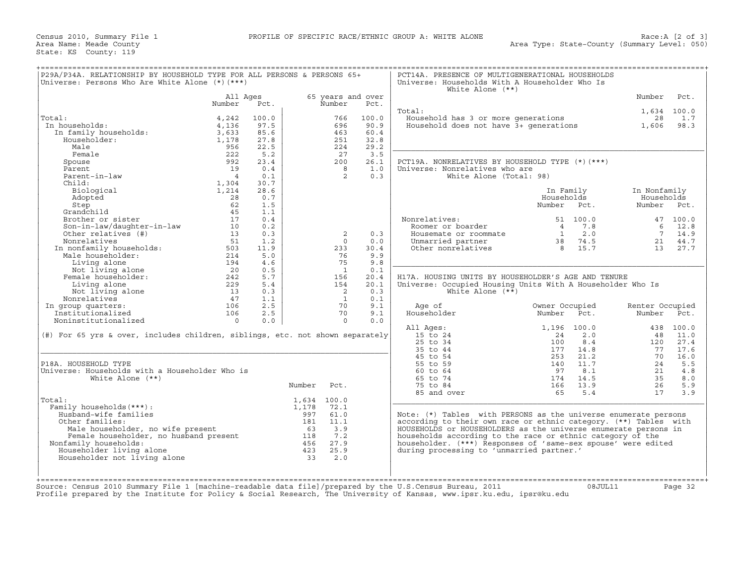Census 2010, Summary File 1 **PROFILE OF SPECIFIC RACE/ETHNIC GROUP A: WHITE ALONE** Area Name: Meade County State: KS County: 119

| P29A/P34A. RELATIONSHIP BY HOUSEHOLD TYPE FOR ALL PERSONS & PERSONS 65+<br>Universe: Persons Who Are White Alone (*) (***)                                                                      |                                                |       |             |                |                   | PCT14A. PRESENCE OF MULTIGENERATIONAL HOUSEHOLDS<br>Universe: Households With A Householder Who Is<br>White Alone $(**)$               |                |                                                                  |                 |           |
|-------------------------------------------------------------------------------------------------------------------------------------------------------------------------------------------------|------------------------------------------------|-------|-------------|----------------|-------------------|----------------------------------------------------------------------------------------------------------------------------------------|----------------|------------------------------------------------------------------|-----------------|-----------|
|                                                                                                                                                                                                 | All Ages                                       |       |             |                | 65 years and over |                                                                                                                                        |                |                                                                  | Number          | Pct.      |
|                                                                                                                                                                                                 | Number                                         | Pct.  |             | Number         | Pct.              |                                                                                                                                        |                |                                                                  |                 |           |
|                                                                                                                                                                                                 |                                                |       |             |                |                   | Total:                                                                                                                                 |                |                                                                  | 1,634 100.0     |           |
| Total:                                                                                                                                                                                          | 4,242                                          | 100.0 |             | 766            | 100.0             | Household has 3 or more generations and the case of the sense of the details of the Household does not have 3+ generations and $1,606$ |                |                                                                  |                 | 1.7       |
| In households:                                                                                                                                                                                  | 4,136                                          | 97.5  |             | 696            | 90.9              |                                                                                                                                        |                |                                                                  |                 | 98.3      |
| ai:<br>1 households:<br>In family households:                                                                                                                                                   | 3,633                                          | 85.6  |             | 463            | 60.4              |                                                                                                                                        |                |                                                                  |                 |           |
|                                                                                                                                                                                                 | 1,178                                          | 27.8  |             | 251            | 32.8              |                                                                                                                                        |                |                                                                  |                 |           |
| Male                                                                                                                                                                                            | 956                                            | 22.5  |             | 224            | 29.2              |                                                                                                                                        |                |                                                                  |                 |           |
| Female                                                                                                                                                                                          | 222                                            | 5.2   |             | 27             | 3.5               |                                                                                                                                        |                |                                                                  |                 |           |
| Spouse                                                                                                                                                                                          | 992                                            | 23.4  |             | 200            | 26.1              | PCT19A. NONRELATIVES BY HOUSEHOLD TYPE (*) (***)                                                                                       |                |                                                                  |                 |           |
| Parent                                                                                                                                                                                          | 19                                             | 0.4   |             | 8              | 1.0               | Universe: Nonrelatives who are                                                                                                         |                |                                                                  |                 |           |
| Parent-in-law                                                                                                                                                                                   | $\overline{4}$                                 | 0.1   |             | $\overline{2}$ | 0.3               | White Alone (Total: 98)                                                                                                                |                |                                                                  |                 |           |
| Child:                                                                                                                                                                                          | 1,304                                          | 30.7  |             |                |                   |                                                                                                                                        |                |                                                                  |                 |           |
| Biological                                                                                                                                                                                      | 1,214                                          | 28.6  |             |                |                   |                                                                                                                                        | In Family      |                                                                  | In Nonfamily    |           |
| Adopted                                                                                                                                                                                         | 28                                             | 0.7   |             |                |                   |                                                                                                                                        | Households     |                                                                  | Households      |           |
| Step                                                                                                                                                                                            | 62                                             | 1.5   |             |                |                   |                                                                                                                                        | Number Pct.    |                                                                  | Number Pct.     |           |
| Grandchild                                                                                                                                                                                      | 45                                             | 1.1   |             |                |                   |                                                                                                                                        |                |                                                                  |                 |           |
| Brother or sister                                                                                                                                                                               | 17                                             | 0.4   |             |                |                   | Nonrelatives:                                                                                                                          |                | 51 100.0                                                         |                 | 47 100.0  |
|                                                                                                                                                                                                 |                                                | 0.2   |             |                |                   | Roomer or boarder                                                                                                                      |                |                                                                  |                 | 6 12.8    |
| Son-in-law/daughter-in-law 10<br>Other relatives (#) 13                                                                                                                                         |                                                | 0.3   |             | 2              | 0.3               | Housemate or roommate                                                                                                                  |                |                                                                  |                 | 7 14.9    |
|                                                                                                                                                                                                 |                                                | 1.2   |             | $\Omega$       | 0.0               | Unmarried partner                                                                                                                      |                | $\begin{array}{ccc} 4 & 7.8 \\ 1 & 2.0 \\ 38 & 74.5 \end{array}$ |                 | 21 44.7   |
|                                                                                                                                                                                                 |                                                | 11.9  |             | 233            | 30.4              | Other nonrelatives                                                                                                                     |                | 8 15.7                                                           |                 | 13 27.7   |
|                                                                                                                                                                                                 |                                                | 5.0   |             | 76             | 9.9               |                                                                                                                                        |                |                                                                  |                 |           |
|                                                                                                                                                                                                 |                                                | 4.6   |             | 75             | 9.8               |                                                                                                                                        |                |                                                                  |                 |           |
|                                                                                                                                                                                                 |                                                | 0.5   |             | $\overline{1}$ | 0.1               |                                                                                                                                        |                |                                                                  |                 |           |
|                                                                                                                                                                                                 |                                                | 5.7   |             | 156            | 20.4              | H17A. HOUSING UNITS BY HOUSEHOLDER'S AGE AND TENURE                                                                                    |                |                                                                  |                 |           |
| Other relatives (#)<br>Nonrelatives 51<br>In nonfamily households: 503<br>Male householder: 214<br>Living alone 194<br>Not living alone 20<br>Female householder: 242<br>Fiving alone 229<br>13 | $\begin{array}{c} 229 \\ 13 \\ 47 \end{array}$ | 5.4   |             | 154            | 20.1              | Universe: Occupied Housing Units With A Householder Who Is                                                                             |                |                                                                  |                 |           |
| Not living alone                                                                                                                                                                                |                                                | 0.3   |             | $\overline{2}$ | 0.3               | White Alone $(**)$                                                                                                                     |                |                                                                  |                 |           |
| Nonrelatives                                                                                                                                                                                    |                                                | 1.1   |             | $\overline{1}$ | 0.1               |                                                                                                                                        |                |                                                                  |                 |           |
| In group quarters:                                                                                                                                                                              | 106                                            | 2.5   |             | 70             | 9.1               | Age of                                                                                                                                 | Owner Occupied |                                                                  | Renter Occupied |           |
| Institutionalized                                                                                                                                                                               | 106                                            | 2.5   |             | 70             | 9.1               | Householder                                                                                                                            | Number         | Pct.                                                             | Number Pct.     |           |
| Noninstitutionalized                                                                                                                                                                            | $\overline{0}$                                 | 0.0   |             | $\circ$        | 0.0               |                                                                                                                                        |                |                                                                  |                 |           |
|                                                                                                                                                                                                 |                                                |       |             |                |                   | All Ages:                                                                                                                              |                | 1,196 100.0                                                      |                 | 438 100.0 |
| (#) For 65 yrs & over, includes children, siblings, etc. not shown separately                                                                                                                   |                                                |       |             |                |                   | 15 to 24                                                                                                                               | 24             | 2.0                                                              |                 | 48 11.0   |
|                                                                                                                                                                                                 |                                                |       |             |                |                   | $25$ to $34$                                                                                                                           | 100            | 8.4                                                              | 120             | 27.4      |
|                                                                                                                                                                                                 |                                                |       |             |                |                   | 35 to 44                                                                                                                               | 177            | 14.8                                                             | 77              | 17.6      |
|                                                                                                                                                                                                 |                                                |       |             |                |                   | 45 to 54                                                                                                                               | 253            | 21.2                                                             | 70              | 16.0      |
| P18A. HOUSEHOLD TYPE                                                                                                                                                                            |                                                |       |             |                |                   | 55 to 59                                                                                                                               | 140            | 11.7                                                             | 24              | 5.5       |
| Universe: Households with a Householder Who is                                                                                                                                                  |                                                |       |             |                |                   | 60 to 64                                                                                                                               | 97             | 8.1                                                              | 21              | 4.8       |
| White Alone $(**)$                                                                                                                                                                              |                                                |       |             |                |                   | 65 to 74                                                                                                                               | 174            | 14.5                                                             | 35              | 8.0       |
|                                                                                                                                                                                                 |                                                |       | Number      | Pct.           |                   | 75 to 84                                                                                                                               | 166            | 13.9                                                             | 26              | 5.9       |
|                                                                                                                                                                                                 |                                                |       |             |                |                   | 85 and over                                                                                                                            | 65             | 5.4                                                              | 17              | 3.9       |
| Total:                                                                                                                                                                                          |                                                |       | 1,634 100.0 |                |                   |                                                                                                                                        |                |                                                                  |                 |           |
| Family households (***) :                                                                                                                                                                       |                                                |       | 1,178       | 72.1           |                   |                                                                                                                                        |                |                                                                  |                 |           |
| Husband-wife families                                                                                                                                                                           |                                                |       | 997         | 61.0           |                   | Note: (*) Tables with PERSONS as the universe enumerate persons                                                                        |                |                                                                  |                 |           |
| Other families:                                                                                                                                                                                 |                                                |       | 181 11.1    |                |                   | according to their own race or ethnic category. (**) Tables with                                                                       |                |                                                                  |                 |           |
|                                                                                                                                                                                                 |                                                |       |             |                |                   | HOUSEHOLDS or HOUSEHOLDERS as the universe enumerate persons in                                                                        |                |                                                                  |                 |           |
|                                                                                                                                                                                                 |                                                |       |             |                |                   | households according to the race or ethnic category of the                                                                             |                |                                                                  |                 |           |
| Nonfamily households:                                                                                                                                                                           |                                                |       |             |                |                   | householder. (***) Responses of 'same-sex spouse' were edited                                                                          |                |                                                                  |                 |           |
| Householder living alone                                                                                                                                                                        |                                                |       |             |                |                   | during processing to 'unmarried partner.'                                                                                              |                |                                                                  |                 |           |
| Householder not living alone                                                                                                                                                                    |                                                |       | 33          | 2.0            |                   |                                                                                                                                        |                |                                                                  |                 |           |
|                                                                                                                                                                                                 |                                                |       |             |                |                   |                                                                                                                                        |                |                                                                  |                 |           |
|                                                                                                                                                                                                 |                                                |       |             |                |                   |                                                                                                                                        |                |                                                                  |                 |           |
|                                                                                                                                                                                                 |                                                |       |             |                |                   |                                                                                                                                        |                |                                                                  |                 |           |
| Source: Census 2010 Summary File 1 [machine-readable data file]/prepared by the U.S.Census Bureau, 2011                                                                                         |                                                |       |             |                |                   |                                                                                                                                        |                | 08JUL11                                                          |                 | Page 32   |
| Profile prepared by the Institute for Policy & Social Research, The University of Kansas, www.ipsr.ku.edu, ipsr@ku.edu                                                                          |                                                |       |             |                |                   |                                                                                                                                        |                |                                                                  |                 |           |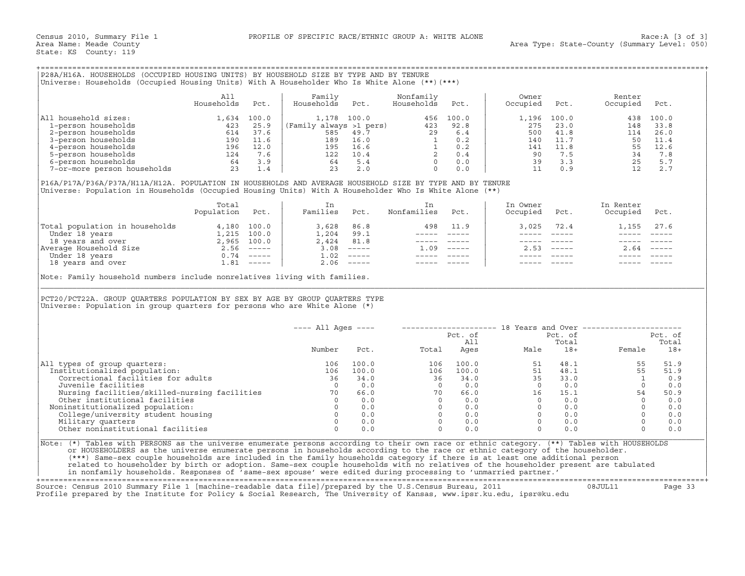## +===================================================================================================================================================+

|                             | All<br>Households | Pct.  | Family<br>Households    | Pct. | Nonfamily<br>Households | Pct.  | Owner<br>Occupied | Pct.  | Renter<br>Occupied | Pct.        |
|-----------------------------|-------------------|-------|-------------------------|------|-------------------------|-------|-------------------|-------|--------------------|-------------|
| household sizes:<br>All     | ⊥,634             | 100.0 | 1,178 100.0             |      | 456                     | 100.0 | ⊥,196             | 100.0 | 438                | 100.0       |
| 1-person households         | 423               | 25.9  | (Family always >1 pers) |      | 423                     | 92.8  | 275               | 23.0  | 148                | 33.8        |
| 2-person households         | 614               | 37.6  | 585                     | 49.7 | 29                      | 6.4   | 500               | 41.8  | 114                | 26.0        |
| 3-person households         | 190               | 11.6  | 189                     | 16.0 |                         | 0.2   | 140               | 11.7  | 50                 | 11.4        |
| 4-person households         | 196               | 12.0  | 195                     | 16.6 |                         | 0.2   | 141               | 11.8  | 55                 | 12.6        |
| 5-person households         | 124               | 7.6   | 122                     | 10.4 |                         | 0.4   | 90                | 7.5   | 34                 | 7.8         |
| 6-person households         | 64                | 3.9   | 64                      | 5.4  |                         | 0.0   | 39                | 3.3   | 25                 | 5.7         |
| 7-or-more person households | 23                |       | 23                      | 2.0  |                         | 0.0   |                   | 0.9   |                    | $2 \cdot 7$ |

|                                | Total<br>Population | Pct.        | Families | Pct.                      | Nonfamilies | Pct.                      | In Owner<br>Occupied | Pct. | In Renter<br>Occupied | Pct.                      |
|--------------------------------|---------------------|-------------|----------|---------------------------|-------------|---------------------------|----------------------|------|-----------------------|---------------------------|
| Total population in households | 4,180               | 100.0       | 3,628    | 86.8                      | 498         | 11.9                      | 3.025                | 72.4 | 1,155                 | 27.6                      |
| Under 18 years                 |                     | 1,215 100.0 | 1,204    | 99.1                      |             |                           |                      |      |                       |                           |
| 18 years and over              | 2,965               | 100.0       | 2,424    | 81.8                      |             |                           |                      |      |                       |                           |
| Average Household Size         | 2.56                | $------$    | 3.08     | $\qquad \qquad - - - - -$ | 1.09        | $\qquad \qquad - - - - -$ | 2.53                 |      | 2.64                  | $\qquad \qquad - - - - -$ |
| Under 18 years                 | 0.74                | $------$    | 1.02     | $\qquad \qquad - - - - -$ |             |                           |                      |      |                       |                           |
| 18 years and over              | .81                 | $------$    | 2.06     | $- - - - - -$             |             |                           |                      |      |                       |                           |

| P28A/H16A. HOUSEHOLDS (OCCUPIED HOUSING UNITS) BY HOUSEHOLD SIZE BY TYPE AND BY TENURE<br>Universe: Households (Occupied Housing Units) With A Householder Who Is White Alone (**) (***)                                                                                                                                                                                                                                                                                                                                                                                                                                                                         |                          |      |                                                                                                                                                                    |                               |                         |                                                                                                                          |                                                                                                                                                                                                                                                                                                                                                                                                          |                                                                                                                                                                                                                                                                                                                                                                                                            |                                                                                                             |                               |
|------------------------------------------------------------------------------------------------------------------------------------------------------------------------------------------------------------------------------------------------------------------------------------------------------------------------------------------------------------------------------------------------------------------------------------------------------------------------------------------------------------------------------------------------------------------------------------------------------------------------------------------------------------------|--------------------------|------|--------------------------------------------------------------------------------------------------------------------------------------------------------------------|-------------------------------|-------------------------|--------------------------------------------------------------------------------------------------------------------------|----------------------------------------------------------------------------------------------------------------------------------------------------------------------------------------------------------------------------------------------------------------------------------------------------------------------------------------------------------------------------------------------------------|------------------------------------------------------------------------------------------------------------------------------------------------------------------------------------------------------------------------------------------------------------------------------------------------------------------------------------------------------------------------------------------------------------|-------------------------------------------------------------------------------------------------------------|-------------------------------|
|                                                                                                                                                                                                                                                                                                                                                                                                                                                                                                                                                                                                                                                                  | All<br>Households        | Pct. | Family<br>Households                                                                                                                                               | Pct.                          | Nonfamily<br>Households | Pct.                                                                                                                     | Owner<br>Occupied                                                                                                                                                                                                                                                                                                                                                                                        | Pct.                                                                                                                                                                                                                                                                                                                                                                                                       | Renter<br>Occupied                                                                                          | Pct.                          |
| All household sizes:                                                                                                                                                                                                                                                                                                                                                                                                                                                                                                                                                                                                                                             | 1,634 100.0              |      | 1,178 100.0 456 100.0<br>(Family always >1 pers) 423 92.8<br>585 49.7 29 6.4<br>189 16.0 1 0.2<br>195 16.6 1 0.2<br>122 10.4 2 0.4<br>64 5.4 0 0.0<br>23 2.0 0 0.0 |                               |                         |                                                                                                                          | 1,196<br>275<br>500                                                                                                                                                                                                                                                                                                                                                                                      | 100.0<br>23.0<br>41.8                                                                                                                                                                                                                                                                                                                                                                                      | 114                                                                                                         | 438 100.0<br>148 33.8<br>26.0 |
| 1 nouseholds<br>2-person households<br>2-person households<br>3-person households<br>4-person households<br>4-person households<br>5-person households<br>6-person households<br>7-or-more person households<br>23 1.4                                                                                                                                                                                                                                                                                                                                                                                                                                           |                          |      |                                                                                                                                                                    |                               |                         |                                                                                                                          | 140<br>141<br>90                                                                                                                                                                                                                                                                                                                                                                                         | 11.7<br>11.8<br>7.5                                                                                                                                                                                                                                                                                                                                                                                        | $\begin{array}{rrrr} 114 & 260.0 \\ 50 & 11.4 \\ 55 & 12.6 \\ 34 & 7.8 \\ 25 & 5.7 \\ 12 & 2.7 \end{array}$ |                               |
|                                                                                                                                                                                                                                                                                                                                                                                                                                                                                                                                                                                                                                                                  |                          |      |                                                                                                                                                                    |                               |                         |                                                                                                                          |                                                                                                                                                                                                                                                                                                                                                                                                          | 39 3.3<br>11 0.9                                                                                                                                                                                                                                                                                                                                                                                           |                                                                                                             |                               |
| P16A/P17A/P36A/P37A/H11A/H12A. POPULATION IN HOUSEHOLDS AND AVERAGE HOUSEHOLD SIZE BY TYPE AND BY TENURE<br>Universe: Population in Households (Occupied Housing Units) With A Householder Who Is White Alone (**)                                                                                                                                                                                                                                                                                                                                                                                                                                               |                          |      |                                                                                                                                                                    |                               |                         |                                                                                                                          |                                                                                                                                                                                                                                                                                                                                                                                                          |                                                                                                                                                                                                                                                                                                                                                                                                            |                                                                                                             |                               |
|                                                                                                                                                                                                                                                                                                                                                                                                                                                                                                                                                                                                                                                                  | Total<br>Population Pct. |      | In<br>Families Pct.                                                                                                                                                |                               | In<br>Nonfamilies Pct.  |                                                                                                                          | In Owner<br>Occupied                                                                                                                                                                                                                                                                                                                                                                                     | Pct.                                                                                                                                                                                                                                                                                                                                                                                                       | In Renter<br>Occupied Pct.                                                                                  |                               |
| Total population in households 4,180 100.0<br>Under 18 years 1,215 100.0<br>18 years and over 2,965 100.0<br>Nerage Household Size 2.56 -----<br>Under 18 years and over 1.81 -----<br>1.81 -----                                                                                                                                                                                                                                                                                                                                                                                                                                                                |                          |      | $3,628$ $86.8$<br>$1,204$ $99.1$<br>$2,424$ $81.8$<br>$3.08$ -----                                                                                                 |                               |                         | 498 11.9<br>______________                                                                                               | $\frac{1}{2}$                                                                                                                                                                                                                                                                                                                                                                                            | 3,025 72.4<br>$\frac{1}{2} \frac{1}{2} \frac{1}{2} \frac{1}{2} \frac{1}{2} \frac{1}{2} \frac{1}{2} \frac{1}{2} \frac{1}{2} \frac{1}{2} \frac{1}{2} \frac{1}{2} \frac{1}{2} \frac{1}{2} \frac{1}{2} \frac{1}{2} \frac{1}{2} \frac{1}{2} \frac{1}{2} \frac{1}{2} \frac{1}{2} \frac{1}{2} \frac{1}{2} \frac{1}{2} \frac{1}{2} \frac{1}{2} \frac{1}{2} \frac{1}{2} \frac{1}{2} \frac{1}{2} \frac{1}{2} \frac{$ | 1,155 27.6<br>$\frac{1}{2}$                                                                                 |                               |
|                                                                                                                                                                                                                                                                                                                                                                                                                                                                                                                                                                                                                                                                  |                          |      | $1.02$ -----                                                                                                                                                       |                               | $1.09$ -----            | ----- -----<br>$\begin{array}{cccccc} - & - & - & - & - & - & - \\ & - & - & - & - & - \\ & & - & - & - & - \end{array}$ | $------$<br>$\frac{1}{2} \frac{1}{2} \frac{1}{2} \frac{1}{2} \frac{1}{2} \frac{1}{2} \frac{1}{2} \frac{1}{2} \frac{1}{2} \frac{1}{2} \frac{1}{2} \frac{1}{2} \frac{1}{2} \frac{1}{2} \frac{1}{2} \frac{1}{2} \frac{1}{2} \frac{1}{2} \frac{1}{2} \frac{1}{2} \frac{1}{2} \frac{1}{2} \frac{1}{2} \frac{1}{2} \frac{1}{2} \frac{1}{2} \frac{1}{2} \frac{1}{2} \frac{1}{2} \frac{1}{2} \frac{1}{2} \frac{$ | $\qquad \qquad - - - - -$<br>$2.53$ $---$                                                                                                                                                                                                                                                                                                                                                                  | $2.64$ -----                                                                                                |                               |
|                                                                                                                                                                                                                                                                                                                                                                                                                                                                                                                                                                                                                                                                  |                          |      |                                                                                                                                                                    | $2.06$ -----                  | ----- -----             |                                                                                                                          |                                                                                                                                                                                                                                                                                                                                                                                                          | $------$                                                                                                                                                                                                                                                                                                                                                                                                   |                                                                                                             |                               |
| Note: Family household numbers include nonrelatives living with families.<br>PCT20/PCT22A. GROUP QUARTERS POPULATION BY SEX BY AGE BY GROUP QUARTERS TYPE<br>Universe: Population in group quarters for persons who are White Alone $(*)$                                                                                                                                                                                                                                                                                                                                                                                                                        |                          |      |                                                                                                                                                                    |                               |                         |                                                                                                                          |                                                                                                                                                                                                                                                                                                                                                                                                          |                                                                                                                                                                                                                                                                                                                                                                                                            |                                                                                                             |                               |
|                                                                                                                                                                                                                                                                                                                                                                                                                                                                                                                                                                                                                                                                  |                          |      | $---$ All Ages $---$                                                                                                                                               |                               |                         |                                                                                                                          |                                                                                                                                                                                                                                                                                                                                                                                                          |                                                                                                                                                                                                                                                                                                                                                                                                            | -------------------- 18 Years and Over ----------------------                                               |                               |
|                                                                                                                                                                                                                                                                                                                                                                                                                                                                                                                                                                                                                                                                  |                          |      | Number                                                                                                                                                             | Pct.                          |                         | Pct. of<br>All                                                                                                           |                                                                                                                                                                                                                                                                                                                                                                                                          | Pct. of<br>Total                                                                                                                                                                                                                                                                                                                                                                                           | Female                                                                                                      | Pct. of<br>Total<br>$18+$     |
| All types of group quarters:                                                                                                                                                                                                                                                                                                                                                                                                                                                                                                                                                                                                                                     |                          |      | 106                                                                                                                                                                | 100.0                         | 106                     | 100.0                                                                                                                    | 51                                                                                                                                                                                                                                                                                                                                                                                                       |                                                                                                                                                                                                                                                                                                                                                                                                            | $48.1$<br>$48.1$<br>55                                                                                      | 51.9                          |
| Institutionalized population:<br>Correctional facilities for adults<br>Juvenile facilities                                                                                                                                                                                                                                                                                                                                                                                                                                                                                                                                                                       |                          |      | 106<br>36<br>$\overline{0}$                                                                                                                                        | 100.0<br>34.0<br>0.0          |                         |                                                                                                                          | $\begin{array}{cccc} 106 & 100.0 & & & & & 51 & 48.1 \\ 106 & 100.0 & & & & & 51 & 48.1 \\ 36 & 34.0 & & & & 35 & 33.0 \\ 0 & 0.0 & & & & 0 & 0.0 \\ 70 & 66.0 & & & 16 & 15.1 \\ 0 & 0.0 & & & 0 & 0.0 \\ 0 & 0.0 & & & 0 & 0.0 \\ 0 & 0.0 & & & 0 & 0.0 \\ 0 & 0.0 & & & 0 & 0.0 \\ 0 & 0.0 & & & 0 & 0.0 \\ 0 & 0.0$                                                                                  |                                                                                                                                                                                                                                                                                                                                                                                                            | 55<br>$\begin{array}{c} 1 \\ 0 \\ 54 \end{array}$                                                           | 51.9<br>0.9<br>0.0            |
| Nursing facilities/skilled-nursing facilities 70<br>The contract of the contract of the contract of the contract of the contract of the contract of the contract o<br>Other institutional facilities                                                                                                                                                                                                                                                                                                                                                                                                                                                             |                          |      | $\overline{0}$                                                                                                                                                     | 66.0<br>$0 \qquad 0.0$<br>0.0 |                         |                                                                                                                          |                                                                                                                                                                                                                                                                                                                                                                                                          |                                                                                                                                                                                                                                                                                                                                                                                                            | $\overline{0}$<br>$\Omega$                                                                                  | 50.9<br>0.0<br>0.0            |
| Noninstitutionalized population:<br>College/university student housing<br>Military quarters                                                                                                                                                                                                                                                                                                                                                                                                                                                                                                                                                                      |                          |      | $\Omega$                                                                                                                                                           | $0 \qquad 0.0$<br>0.0         |                         |                                                                                                                          |                                                                                                                                                                                                                                                                                                                                                                                                          |                                                                                                                                                                                                                                                                                                                                                                                                            | $\overline{0}$<br>$\Omega$                                                                                  | 0.0<br>0.0                    |
| Other noninstitutional facilities                                                                                                                                                                                                                                                                                                                                                                                                                                                                                                                                                                                                                                |                          |      | $\Omega$                                                                                                                                                           | 0.0                           |                         |                                                                                                                          |                                                                                                                                                                                                                                                                                                                                                                                                          |                                                                                                                                                                                                                                                                                                                                                                                                            | $\Omega$                                                                                                    | 0.0                           |
| Note: (*) Tables with PERSONS as the universe enumerate persons according to their own race or ethnic category. (**) Tables with HOUSEHOLDS<br>or HOUSEHOLDERS as the universe enumerate persons in households according to the race or ethnic category of the householder.<br>(***) Same-sex couple households are included in the family households category if there is at least one additional person<br>related to householder by birth or adoption. Same-sex couple households with no relatives of the householder present are tabulated<br>in nonfamily households. Responses of 'same-sex spouse' were edited during processing to 'unmarried partner.' |                          |      |                                                                                                                                                                    |                               |                         |                                                                                                                          |                                                                                                                                                                                                                                                                                                                                                                                                          |                                                                                                                                                                                                                                                                                                                                                                                                            |                                                                                                             |                               |

+===================================================================================================================================================+ Source: Census 2010 Summary File 1 [machine−readable data file]/prepared by the U.S.Census Bureau, 2011 08JUL11 Page 33 Profile prepared by the Institute for Policy & Social Research, The University of Kansas, www.ipsr.ku.edu, ipsr@ku.edu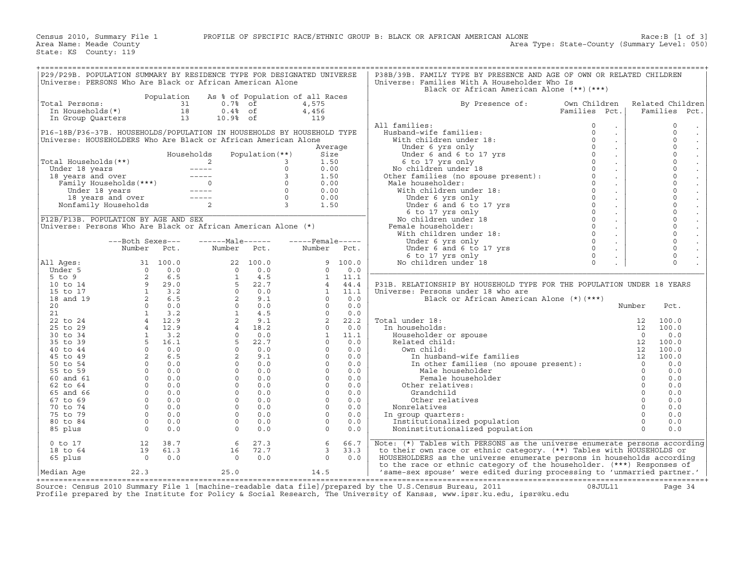|                                                                                                                                                                                                                                               |                                        |      | P29/P29B. POPULATION SUMMARY BY RESIDENCE TYPE FOR DESIGNATED UNIVERSE<br>Universe: PERSONS Who Are Black or African American Alone                                                                                                                                                    |                 |                                                                                                                                                                                                                                                                                          |      | P38B/39B. FAMILY TYPE BY PRESENCE AND AGE OF OWN OR RELATED CHILDREN<br>Universe: Families With A Householder Who Is                                                                                                                             |                               |                      |                                                |
|-----------------------------------------------------------------------------------------------------------------------------------------------------------------------------------------------------------------------------------------------|----------------------------------------|------|----------------------------------------------------------------------------------------------------------------------------------------------------------------------------------------------------------------------------------------------------------------------------------------|-----------------|------------------------------------------------------------------------------------------------------------------------------------------------------------------------------------------------------------------------------------------------------------------------------------------|------|--------------------------------------------------------------------------------------------------------------------------------------------------------------------------------------------------------------------------------------------------|-------------------------------|----------------------|------------------------------------------------|
|                                                                                                                                                                                                                                               |                                        |      |                                                                                                                                                                                                                                                                                        |                 |                                                                                                                                                                                                                                                                                          |      | Black or African American Alone (**)(***)                                                                                                                                                                                                        |                               |                      |                                                |
| Total Persons:                                                                                                                                                                                                                                |                                        |      | Population As % of Population of all Races<br>otal Persons:<br>In Households(*)<br>In Group Quarters<br>In Group Quarters<br>In Group Quarters<br>In The Community of the Community of the Community of the Community of the Community of the Community of the Community of the Commun |                 | 4,575                                                                                                                                                                                                                                                                                    |      | By Presence of:                                                                                                                                                                                                                                  | Own Children<br>Families Pct. |                      | Related Children<br>Families Pct.              |
|                                                                                                                                                                                                                                               |                                        |      |                                                                                                                                                                                                                                                                                        |                 | 4,456<br>119                                                                                                                                                                                                                                                                             |      |                                                                                                                                                                                                                                                  |                               |                      |                                                |
|                                                                                                                                                                                                                                               |                                        |      |                                                                                                                                                                                                                                                                                        |                 |                                                                                                                                                                                                                                                                                          |      | All families:                                                                                                                                                                                                                                    | $\circ$<br>$\Box$             |                      | $\circ$                                        |
|                                                                                                                                                                                                                                               |                                        |      | P16-18B/P36-37B. HOUSEHOLDS/POPULATION IN HOUSEHOLDS BY HOUSEHOLD TYPE                                                                                                                                                                                                                 |                 |                                                                                                                                                                                                                                                                                          |      |                                                                                                                                                                                                                                                  | $\sim$                        |                      | $\Omega$<br>$\sim$                             |
|                                                                                                                                                                                                                                               |                                        |      | Universe: HOUSEHOLDERS Who Are Black or African American Alone                                                                                                                                                                                                                         |                 |                                                                                                                                                                                                                                                                                          |      |                                                                                                                                                                                                                                                  | $\mathcal{L}^{\mathcal{L}}$   |                      | $\mathbf 0$<br>$\sim$                          |
|                                                                                                                                                                                                                                               |                                        |      |                                                                                                                                                                                                                                                                                        |                 | Average                                                                                                                                                                                                                                                                                  |      |                                                                                                                                                                                                                                                  | $\mathcal{L}^{\pm}$           |                      | $\mathbf 0$                                    |
|                                                                                                                                                                                                                                               |                                        |      | Households                                                                                                                                                                                                                                                                             | Population (**) | Size                                                                                                                                                                                                                                                                                     |      |                                                                                                                                                                                                                                                  | $\sim$                        |                      | $\mathbf 0$                                    |
| Total Households (**)<br>Under 18 years<br>18 years and over<br>Family Households (***)<br>Under 18 years<br>18 years and over<br>18 years and over<br>18 years and over<br>18 years and over<br>18 years and over<br>19 Households<br>2<br>2 |                                        |      |                                                                                                                                                                                                                                                                                        |                 | 1.50                                                                                                                                                                                                                                                                                     |      | 11 families:<br>Husband-wife families:<br>0 With children under 18:<br>0 Under 6 yrs only<br>0 Under 6 and 6 to 17 yrs<br>6 to 17 yrs 0 0<br>6 to 17 yrs 0 0<br>No children under 18<br>Other families (no spouse present):<br>0 12 householder: | $\sim$                        |                      | $\mathbf 0$                                    |
|                                                                                                                                                                                                                                               |                                        |      |                                                                                                                                                                                                                                                                                        |                 | 0.00                                                                                                                                                                                                                                                                                     |      |                                                                                                                                                                                                                                                  | $\mathcal{L}_{\mathbf{r}}$    |                      | $\mathbf 0$                                    |
|                                                                                                                                                                                                                                               |                                        |      |                                                                                                                                                                                                                                                                                        |                 | 1.50                                                                                                                                                                                                                                                                                     |      |                                                                                                                                                                                                                                                  | $\mathcal{L}_{\mathbf{r}}$    |                      | $\mathbf 0$                                    |
|                                                                                                                                                                                                                                               |                                        |      |                                                                                                                                                                                                                                                                                        |                 | 0.00                                                                                                                                                                                                                                                                                     |      | Male householder:                                                                                                                                                                                                                                | $\sim$                        |                      | $\mathbf 0$                                    |
|                                                                                                                                                                                                                                               |                                        |      |                                                                                                                                                                                                                                                                                        |                 | 0.00<br>0.00                                                                                                                                                                                                                                                                             |      |                                                                                                                                                                                                                                                  | $\sim$                        |                      | $\rm _0$<br>$\mathcal{L}^{\pm}$<br>$\mathbf 0$ |
|                                                                                                                                                                                                                                               |                                        |      |                                                                                                                                                                                                                                                                                        |                 | 1.50                                                                                                                                                                                                                                                                                     |      | % Ther families (no spouse present):<br>Male householder:<br>With children under 18:<br>Under 6 yrs only<br>Under 6 and 6 to 17 yrs<br>6 to 17 yrs 0<br>6 to 17 yrs 0<br>Mochildren under 18<br>No children under 18:<br>With children under 18: | $\sim$<br>$\mathcal{L}^{\pm}$ |                      | $\mathbf 0$                                    |
|                                                                                                                                                                                                                                               |                                        |      |                                                                                                                                                                                                                                                                                        |                 |                                                                                                                                                                                                                                                                                          |      |                                                                                                                                                                                                                                                  | $\sim$                        |                      | $\mathbf 0$                                    |
| P12B/P13B. POPULATION BY AGE AND SEX                                                                                                                                                                                                          |                                        |      |                                                                                                                                                                                                                                                                                        |                 |                                                                                                                                                                                                                                                                                          |      |                                                                                                                                                                                                                                                  | $\sim$                        |                      | $\mathbf 0$                                    |
| Universe: Persons Who Are Black or African American Alone (*)                                                                                                                                                                                 |                                        |      |                                                                                                                                                                                                                                                                                        |                 |                                                                                                                                                                                                                                                                                          |      | Female householder:                                                                                                                                                                                                                              | $\sim$                        |                      | $\mathbf 0$                                    |
|                                                                                                                                                                                                                                               |                                        |      |                                                                                                                                                                                                                                                                                        |                 |                                                                                                                                                                                                                                                                                          |      |                                                                                                                                                                                                                                                  | $\sim$                        |                      | $\mathbf 0$                                    |
|                                                                                                                                                                                                                                               | ---Both Sexes---                       |      |                                                                                                                                                                                                                                                                                        |                 | $---Male---  ---Female---$                                                                                                                                                                                                                                                               |      |                                                                                                                                                                                                                                                  | $\sim$                        |                      | $\mathbf 0$                                    |
|                                                                                                                                                                                                                                               | Number Pct.                            |      | Number Pct.                                                                                                                                                                                                                                                                            |                 | Number Pct.                                                                                                                                                                                                                                                                              |      |                                                                                                                                                                                                                                                  | $\sim$                        |                      | $\mathbf 0$                                    |
|                                                                                                                                                                                                                                               |                                        |      |                                                                                                                                                                                                                                                                                        |                 |                                                                                                                                                                                                                                                                                          |      |                                                                                                                                                                                                                                                  |                               |                      | $\mathbf 0$                                    |
| All Ages:                                                                                                                                                                                                                                     |                                        |      |                                                                                                                                                                                                                                                                                        |                 |                                                                                                                                                                                                                                                                                          |      |                                                                                                                                                                                                                                                  |                               |                      | $\Omega$                                       |
|                                                                                                                                                                                                                                               |                                        |      |                                                                                                                                                                                                                                                                                        |                 |                                                                                                                                                                                                                                                                                          |      |                                                                                                                                                                                                                                                  |                               |                      |                                                |
|                                                                                                                                                                                                                                               |                                        |      |                                                                                                                                                                                                                                                                                        |                 |                                                                                                                                                                                                                                                                                          |      | P31B. RELATIONSHIP BY HOUSEHOLD TYPE FOR THE POPULATION UNDER 18 YEARS                                                                                                                                                                           |                               |                      |                                                |
|                                                                                                                                                                                                                                               |                                        |      |                                                                                                                                                                                                                                                                                        |                 |                                                                                                                                                                                                                                                                                          |      | Universe: Persons under 18 who are                                                                                                                                                                                                               |                               |                      |                                                |
|                                                                                                                                                                                                                                               |                                        |      |                                                                                                                                                                                                                                                                                        |                 |                                                                                                                                                                                                                                                                                          |      | Black or African American Alone (*) (***)                                                                                                                                                                                                        |                               |                      |                                                |
|                                                                                                                                                                                                                                               |                                        |      |                                                                                                                                                                                                                                                                                        |                 |                                                                                                                                                                                                                                                                                          |      |                                                                                                                                                                                                                                                  |                               | Number               | Pct.                                           |
|                                                                                                                                                                                                                                               |                                        |      |                                                                                                                                                                                                                                                                                        |                 |                                                                                                                                                                                                                                                                                          |      | nder 18:<br>useholds: 12<br>seholder or spouse 0<br>ated child: 12<br>wn child: 12<br>In husband-wife families 12<br>In other families (no spouse present): 0<br>Mala householder 0                                                              |                               |                      |                                                |
|                                                                                                                                                                                                                                               |                                        |      |                                                                                                                                                                                                                                                                                        |                 |                                                                                                                                                                                                                                                                                          |      | Total under 18:                                                                                                                                                                                                                                  |                               |                      | 100.0                                          |
|                                                                                                                                                                                                                                               |                                        |      |                                                                                                                                                                                                                                                                                        |                 |                                                                                                                                                                                                                                                                                          |      | In households:                                                                                                                                                                                                                                   |                               |                      | 100.0                                          |
|                                                                                                                                                                                                                                               |                                        |      |                                                                                                                                                                                                                                                                                        |                 |                                                                                                                                                                                                                                                                                          |      | Householder or spouse                                                                                                                                                                                                                            |                               |                      | 0.0                                            |
|                                                                                                                                                                                                                                               |                                        |      |                                                                                                                                                                                                                                                                                        |                 |                                                                                                                                                                                                                                                                                          |      | Related child:<br>Own child:                                                                                                                                                                                                                     |                               |                      | 100.0<br>100.0                                 |
|                                                                                                                                                                                                                                               |                                        |      |                                                                                                                                                                                                                                                                                        |                 |                                                                                                                                                                                                                                                                                          |      | In husband-wife families                                                                                                                                                                                                                         |                               |                      | 100.0                                          |
|                                                                                                                                                                                                                                               |                                        |      |                                                                                                                                                                                                                                                                                        |                 |                                                                                                                                                                                                                                                                                          |      |                                                                                                                                                                                                                                                  |                               |                      | 0.0                                            |
|                                                                                                                                                                                                                                               |                                        |      |                                                                                                                                                                                                                                                                                        |                 |                                                                                                                                                                                                                                                                                          |      | Male householder                                                                                                                                                                                                                                 |                               | $\overline{0}$       | 0.0                                            |
|                                                                                                                                                                                                                                               |                                        |      |                                                                                                                                                                                                                                                                                        |                 |                                                                                                                                                                                                                                                                                          |      | Female householder                                                                                                                                                                                                                               |                               | $\Omega$             | 0.0                                            |
|                                                                                                                                                                                                                                               |                                        |      |                                                                                                                                                                                                                                                                                        |                 |                                                                                                                                                                                                                                                                                          |      | Other relatives:                                                                                                                                                                                                                                 |                               | $\Omega$             | 0.0                                            |
|                                                                                                                                                                                                                                               |                                        |      |                                                                                                                                                                                                                                                                                        |                 |                                                                                                                                                                                                                                                                                          |      | Grandchild                                                                                                                                                                                                                                       |                               | $\Omega$             | 0.0                                            |
|                                                                                                                                                                                                                                               |                                        |      |                                                                                                                                                                                                                                                                                        |                 |                                                                                                                                                                                                                                                                                          |      | Other relatives                                                                                                                                                                                                                                  |                               | $\Omega$             | 0.0                                            |
|                                                                                                                                                                                                                                               |                                        |      |                                                                                                                                                                                                                                                                                        |                 |                                                                                                                                                                                                                                                                                          |      | Nonrelatives                                                                                                                                                                                                                                     |                               | $\Omega$             | 0.0                                            |
|                                                                                                                                                                                                                                               |                                        |      |                                                                                                                                                                                                                                                                                        |                 |                                                                                                                                                                                                                                                                                          |      | In group quarters:                                                                                                                                                                                                                               |                               | $\Omega$             | 0.0                                            |
|                                                                                                                                                                                                                                               |                                        |      |                                                                                                                                                                                                                                                                                        |                 |                                                                                                                                                                                                                                                                                          |      | Institutionalized population                                                                                                                                                                                                                     |                               | $\Omega$<br>$\Omega$ | 0.0                                            |
|                                                                                                                                                                                                                                               |                                        |      | Number Pct.<br>Number Pct.<br>Under 5<br>5 to 9<br>5 to 9<br>100.0<br>22 100.0<br>100.0<br>22 100.0<br>100.0<br>22 100.0<br>100.0<br>22 100.0<br>100.0<br>22 100.0<br>100.0<br>23 5<br>22 5<br>22 5<br>22 10<br>20 00.0<br>20 00.0<br>21<br>21<br>23 6 .5<br>20 00.0<br>20 00.0<br>2   |                 | Number Pct.<br>9 100.0<br>0 0.0<br>1 11.1<br>4 44.4<br>1 11.1<br>0 0.0<br>0 0.0<br>2 22.2<br>0 0.0<br>2 22.2<br>0 0.0<br>1 11.1<br>0 0.0<br>0 0.0<br>0 0.0<br>0 0.0<br>0 0.0<br>0 0.0<br>0 0.0<br>0 0.0<br>0 0.0<br>0 0.0<br>0 0.0<br>0 0.0<br>0 0.0<br>0 0.0<br>0 0.0<br>0 0.0<br>0 0.0 |      | Noninstitutionalized population                                                                                                                                                                                                                  |                               |                      | 0.0                                            |
| $0$ to $17$                                                                                                                                                                                                                                   | 12 38.7                                |      | 6                                                                                                                                                                                                                                                                                      |                 | 6                                                                                                                                                                                                                                                                                        | 66.7 | Note: (*) Tables with PERSONS as the universe enumerate persons according                                                                                                                                                                        |                               |                      |                                                |
| 18 to 64                                                                                                                                                                                                                                      |                                        | 61.3 |                                                                                                                                                                                                                                                                                        | 16 72.7         | 27.3<br>$\overline{3}$                                                                                                                                                                                                                                                                   | 33.3 | to their own race or ethnic category. (**) Tables with HOUSEHOLDS or                                                                                                                                                                             |                               |                      |                                                |
| 65 plus                                                                                                                                                                                                                                       | $\begin{array}{c} 19 \\ 0 \end{array}$ | 0.0  | $\overline{0}$                                                                                                                                                                                                                                                                         | 0.0             | $\Omega$                                                                                                                                                                                                                                                                                 | 0.0  | HOUSEHOLDERS as the universe enumerate persons in households according                                                                                                                                                                           |                               |                      |                                                |
|                                                                                                                                                                                                                                               |                                        |      |                                                                                                                                                                                                                                                                                        |                 |                                                                                                                                                                                                                                                                                          |      | to the race or ethnic category of the householder. (***) Responses of                                                                                                                                                                            |                               |                      |                                                |
| Median Age                                                                                                                                                                                                                                    | 22.3                                   |      | 25.0<br>---------------------                                                                                                                                                                                                                                                          |                 | 14.5                                                                                                                                                                                                                                                                                     |      | 'same-sex spouse' were edited during processing to 'unmarried partner.'                                                                                                                                                                          |                               |                      |                                                |

+===================================================================================================================================================+ Source: Census 2010 Summary File 1 [machine−readable data file]/prepared by the U.S.Census Bureau, 2011 08JUL11 Page 34 Profile prepared by the Institute for Policy & Social Research, The University of Kansas, www.ipsr.ku.edu, ipsr@ku.edu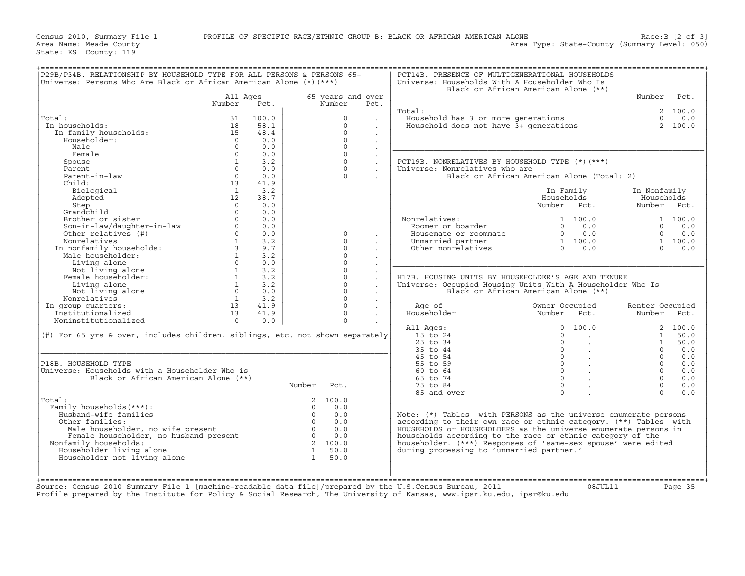|                                                                                                                                                                                                          |                                                                       |                 |                                |                   |                      |                                                                                                            | Black or African American Alone (**)                                                     |                                                      |             |
|----------------------------------------------------------------------------------------------------------------------------------------------------------------------------------------------------------|-----------------------------------------------------------------------|-----------------|--------------------------------|-------------------|----------------------|------------------------------------------------------------------------------------------------------------|------------------------------------------------------------------------------------------|------------------------------------------------------|-------------|
|                                                                                                                                                                                                          | All Ages                                                              |                 |                                | 65 years and over |                      |                                                                                                            |                                                                                          | Number                                               | Pct.        |
|                                                                                                                                                                                                          | Number                                                                | Pct.            |                                | Number            | Pct.                 |                                                                                                            |                                                                                          |                                                      |             |
|                                                                                                                                                                                                          |                                                                       |                 |                                |                   |                      | Total:                                                                                                     |                                                                                          |                                                      | 2 100.0     |
| Total:                                                                                                                                                                                                   | 31                                                                    | 100.0           |                                | $\circ$           |                      | Jousehold has 3 or more generations $\begin{array}{ccc}\n0.1 & 0.0 \\ 0.0 & 0.0 \\ 0.0 & 0.0\n\end{array}$ |                                                                                          |                                                      |             |
| In households:                                                                                                                                                                                           | 18                                                                    | 58.1            |                                | $\circ$           | $\sim$               |                                                                                                            |                                                                                          |                                                      |             |
| In family households:                                                                                                                                                                                    | 15                                                                    | 48.4            |                                | $\Omega$          | $\sim$               |                                                                                                            |                                                                                          |                                                      |             |
| Householder:                                                                                                                                                                                             | $\bigcap$                                                             | 0.0             |                                | $\Omega$          | $\ddot{\phantom{0}}$ |                                                                                                            |                                                                                          |                                                      |             |
| Male                                                                                                                                                                                                     | $\Omega$                                                              | 0.0             |                                | $\Omega$          | $\ddot{\phantom{a}}$ |                                                                                                            |                                                                                          |                                                      |             |
| Female                                                                                                                                                                                                   | $\Omega$                                                              | 0.0             |                                | $\Omega$          | $\blacksquare$       |                                                                                                            |                                                                                          |                                                      |             |
| Spouse                                                                                                                                                                                                   | $\overline{1}$                                                        | 3.2             |                                | $\Omega$          | $\ddot{\phantom{0}}$ | PCT19B. NONRELATIVES BY HOUSEHOLD TYPE (*) (***)                                                           |                                                                                          |                                                      |             |
| Parent                                                                                                                                                                                                   | $\cap$                                                                | 0.0             |                                | $\Omega$          |                      | Universe: Nonrelatives who are                                                                             |                                                                                          |                                                      |             |
| Parent-in-law                                                                                                                                                                                            | $\Omega$                                                              | 0.0             |                                | $\Omega$          |                      |                                                                                                            | Black or African American Alone (Total: 2)                                               |                                                      |             |
| Child:                                                                                                                                                                                                   | 13                                                                    | 41.9            |                                |                   |                      |                                                                                                            |                                                                                          |                                                      |             |
| Biological                                                                                                                                                                                               | $\sim$ 1                                                              | 3.2             |                                |                   |                      |                                                                                                            | In Family                                                                                | In Nonfamily                                         |             |
| Adopted                                                                                                                                                                                                  | 12                                                                    | 38.7            |                                |                   |                      |                                                                                                            | Households                                                                               | Households                                           |             |
| Step                                                                                                                                                                                                     | $\Omega$                                                              | 0.0             |                                |                   |                      |                                                                                                            | Number Pct.                                                                              | Number Pct.                                          |             |
| Grandchild                                                                                                                                                                                               | $\Omega$                                                              | 0.0             |                                |                   |                      |                                                                                                            |                                                                                          |                                                      |             |
| ------er or sister<br>Son-in-law/daughter-in-law<br>Other relatives (#)<br>Nonrelatives                                                                                                                  | $\Omega$                                                              | 0.0             |                                |                   |                      |                                                                                                            | 1 100.0                                                                                  |                                                      | 1 100.0     |
|                                                                                                                                                                                                          | $\Omega$                                                              | 0.0             |                                |                   |                      | Nonrelatives:<br>Roomer or boarder                                                                         |                                                                                          |                                                      | $0 \t 0.0$  |
|                                                                                                                                                                                                          | $\Omega$                                                              | 0.0             |                                | $\Omega$          |                      | Housemate or roommate                                                                                      | $\begin{bmatrix} 0 & 0 & 0 \\ 0 & 0 & 0 \\ 1 & 100 & 0 \\ 0 & 0 & 0 \end{bmatrix}$       |                                                      | $0 \t 0.0$  |
|                                                                                                                                                                                                          | $\mathbf{1}$                                                          | 3.2             |                                | $\Omega$          | $\sim$               | Unmarried partner                                                                                          |                                                                                          | $\begin{bmatrix} 1 & 100.0 \\ 0 & 0.0 \end{bmatrix}$ |             |
| Nonferacives<br>In nonfamily households:<br>Male householder:                                                                                                                                            |                                                                       | $3 \sim$<br>9.7 |                                | $\Omega$          |                      | Other nonrelatives                                                                                         |                                                                                          |                                                      |             |
|                                                                                                                                                                                                          | 1                                                                     | 3.2             |                                | $\Omega$          |                      |                                                                                                            |                                                                                          |                                                      |             |
| Living alone                                                                                                                                                                                             | $\Omega$                                                              | 0.0             |                                | $\Omega$          | $\sim$               |                                                                                                            |                                                                                          |                                                      |             |
|                                                                                                                                                                                                          | 1                                                                     | 3.2             |                                | $\Omega$          | $\ddot{\phantom{a}}$ |                                                                                                            |                                                                                          |                                                      |             |
| Not living alone<br>Female householder:                                                                                                                                                                  | $\begin{array}{ccc} 1 & 3.2 \\ 1 & 3.2 \\ 1 & 3.2 \\ 0.0 \end{array}$ |                 |                                | $\Omega$          | $\sim$               | H17B. HOUSING UNITS BY HOUSEHOLDER'S AGE AND TENURE                                                        |                                                                                          |                                                      |             |
|                                                                                                                                                                                                          |                                                                       |                 |                                |                   | $\ddot{\phantom{a}}$ |                                                                                                            |                                                                                          |                                                      |             |
| Living alone                                                                                                                                                                                             |                                                                       |                 |                                | $\Omega$          | $\sim$               | Universe: Occupied Housing Units With A Householder Who Is                                                 |                                                                                          |                                                      |             |
| Not living alone                                                                                                                                                                                         |                                                                       |                 |                                | $\Omega$          | $\sim$               |                                                                                                            | Black or African American Alone (**)                                                     |                                                      |             |
|                                                                                                                                                                                                          |                                                                       | $1 \t3.2$       |                                | $\Omega$          |                      |                                                                                                            |                                                                                          |                                                      |             |
|                                                                                                                                                                                                          | $\begin{array}{cc} 1 & 3.2 \\ 13 & 41.9 \\ 13 & 41.9 \end{array}$     |                 |                                | $\Omega$          |                      | Age of                                                                                                     | Owner Occupied                                                                           | Renter Occupied                                      |             |
|                                                                                                                                                                                                          |                                                                       |                 |                                | $\Omega$          |                      | Householder                                                                                                | Pct.<br><b>Example 2</b> Number                                                          | Number Pct.                                          |             |
|                                                                                                                                                                                                          |                                                                       |                 |                                | $\cap$            |                      |                                                                                                            |                                                                                          |                                                      |             |
| NOT IIving arous<br>Nonrelatives<br>In group quarters:<br>Institutionalized                                                                                                                              | $\overline{0}$                                                        | 0.0             |                                |                   |                      |                                                                                                            |                                                                                          |                                                      |             |
|                                                                                                                                                                                                          |                                                                       |                 |                                |                   |                      | All Ages:                                                                                                  | 0, 100, 0                                                                                |                                                      | 2, 100.0    |
| (#) For 65 yrs & over, includes children, siblings, etc. not shown separately                                                                                                                            |                                                                       |                 |                                |                   |                      | $15$ to $24$                                                                                               | $\Omega$<br><b>Contract Contract</b>                                                     |                                                      | 1 50.0      |
|                                                                                                                                                                                                          |                                                                       |                 |                                |                   |                      | $25$ to $34$                                                                                               | $\Omega$<br>$\sim 100$                                                                   | 1                                                    |             |
|                                                                                                                                                                                                          |                                                                       |                 |                                |                   |                      | 35 to 44                                                                                                   | $\overline{0}$<br><b>Contract</b>                                                        | $\Omega$                                             | 50.0<br>0.0 |
|                                                                                                                                                                                                          |                                                                       |                 |                                |                   |                      | 45 to 54                                                                                                   |                                                                                          | $\Omega$                                             | 0.0         |
|                                                                                                                                                                                                          |                                                                       |                 |                                |                   |                      | 55 to 59                                                                                                   | $\begin{array}{ccc} 0 & & \end{array}$ .<br>$\overline{0}$ .                             | $\Omega$                                             | 0.0         |
|                                                                                                                                                                                                          |                                                                       |                 |                                |                   |                      | 60 to 64                                                                                                   | $\overline{0}$ .                                                                         | $\Omega$                                             | 0.0         |
| P18B. HOUSEHOLD TYPE<br>Universe: Households with a Householder Who is<br>Black or African American Alone (**)                                                                                           |                                                                       |                 |                                |                   |                      | 65 to 74                                                                                                   |                                                                                          | $\Omega$                                             | 0.0         |
|                                                                                                                                                                                                          |                                                                       |                 | Number Pct.                    |                   |                      | 75 to 84                                                                                                   | $\begin{array}{ccc} & & & \\ & & & \\ \hline & & & \\ & & & & \\ \end{array}$<br>$\circ$ | $\Omega$                                             |             |
|                                                                                                                                                                                                          |                                                                       |                 |                                |                   |                      | 85 and over                                                                                                | $\sim 10^{11}$<br>$\Omega$                                                               | $\Omega$                                             | 0.0<br>0.0  |
|                                                                                                                                                                                                          |                                                                       |                 |                                | 2 100.0           |                      |                                                                                                            |                                                                                          |                                                      |             |
| Family households (***) :                                                                                                                                                                                |                                                                       |                 | $\Omega$                       | 0.0               |                      |                                                                                                            |                                                                                          |                                                      |             |
|                                                                                                                                                                                                          |                                                                       |                 | $\overline{0}$                 |                   |                      |                                                                                                            |                                                                                          |                                                      |             |
| Husband-wife families                                                                                                                                                                                    |                                                                       |                 |                                | 0.0               |                      | Note: $(*)$ Tables with PERSONS as the universe enumerate persons                                          |                                                                                          |                                                      |             |
| Other families:                                                                                                                                                                                          |                                                                       |                 | $\overline{0}$                 | 0.0               |                      | according to their own race or ethnic category. (**) Tables with                                           |                                                                                          |                                                      |             |
|                                                                                                                                                                                                          |                                                                       |                 | $\overline{0}$                 | 0.0               |                      | HOUSEHOLDS or HOUSEHOLDERS as the universe enumerate persons in                                            |                                                                                          |                                                      |             |
|                                                                                                                                                                                                          |                                                                       |                 |                                | $0 \t 0.0$        |                      | households according to the race or ethnic category of the                                                 |                                                                                          |                                                      |             |
| Nonfamily households:                                                                                                                                                                                    |                                                                       |                 |                                | 2 100.0           |                      | householder. (***) Responses of 'same-sex spouse' were edited                                              |                                                                                          |                                                      |             |
| Total:<br>where the present<br>Female householder, no husband present<br>amily households:<br>weeholder living alone<br>onfamily households:<br>Householder living alone<br>Householder not living alone |                                                                       |                 | $\mathbf{1}$<br>$\overline{1}$ | 50.0<br>50.0      |                      | during processing to 'unmarried partner.'                                                                  |                                                                                          |                                                      |             |

Source: Census 2010 Summary File 1 [machine−readable data file]/prepared by the U.S.Census Bureau, 2011 08JUL11 Page 35 Profile prepared by the Institute for Policy & Social Research, The University of Kansas, www.ipsr.ku.edu, ipsr@ku.edu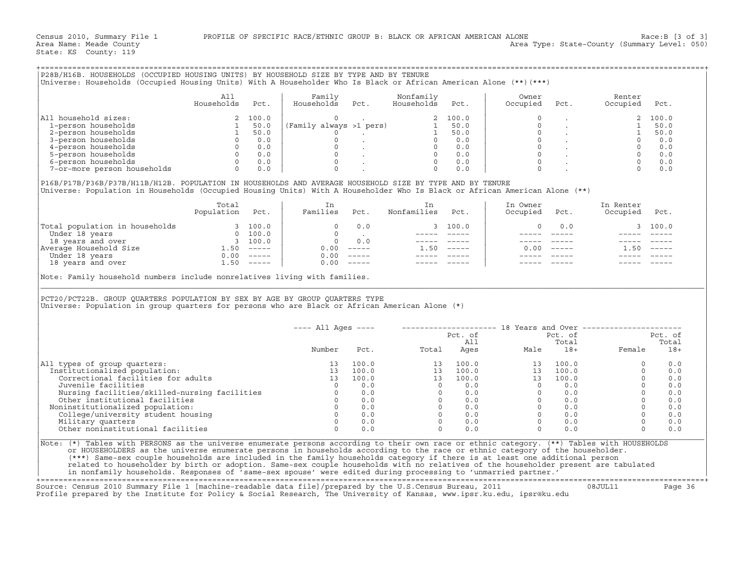|                                                                                                                                                                                                                                                                                                                                                       | All                               |      | Family                                                                                                         | Nonfamily                      |                                                            | Owner                                                                                                                                                                                                                          |      | Renter        |               |
|-------------------------------------------------------------------------------------------------------------------------------------------------------------------------------------------------------------------------------------------------------------------------------------------------------------------------------------------------------|-----------------------------------|------|----------------------------------------------------------------------------------------------------------------|--------------------------------|------------------------------------------------------------|--------------------------------------------------------------------------------------------------------------------------------------------------------------------------------------------------------------------------------|------|---------------|---------------|
|                                                                                                                                                                                                                                                                                                                                                       | Households                        | Pct. | Households Pct.                                                                                                | Households                     | Pct.                                                       | Occupied                                                                                                                                                                                                                       | Pct. | Occupied      | Pct.          |
| All household sizes:                                                                                                                                                                                                                                                                                                                                  |                                   |      |                                                                                                                |                                |                                                            |                                                                                                                                                                                                                                |      |               |               |
|                                                                                                                                                                                                                                                                                                                                                       |                                   |      |                                                                                                                |                                |                                                            |                                                                                                                                                                                                                                |      |               |               |
|                                                                                                                                                                                                                                                                                                                                                       |                                   |      |                                                                                                                |                                |                                                            |                                                                                                                                                                                                                                |      |               |               |
|                                                                                                                                                                                                                                                                                                                                                       |                                   |      |                                                                                                                |                                |                                                            |                                                                                                                                                                                                                                |      |               |               |
|                                                                                                                                                                                                                                                                                                                                                       |                                   |      |                                                                                                                |                                |                                                            |                                                                                                                                                                                                                                |      |               |               |
|                                                                                                                                                                                                                                                                                                                                                       |                                   |      |                                                                                                                |                                |                                                            |                                                                                                                                                                                                                                |      |               |               |
|                                                                                                                                                                                                                                                                                                                                                       |                                   |      |                                                                                                                |                                |                                                            |                                                                                                                                                                                                                                |      |               |               |
|                                                                                                                                                                                                                                                                                                                                                       |                                   |      |                                                                                                                |                                |                                                            |                                                                                                                                                                                                                                |      |               |               |
| P16B/P17B/P36B/P37B/H11B/H12B. POPULATION IN HOUSEHOLDS AND AVERAGE HOUSEHOLD SIZE BY TYPE AND BY TENURE<br>Universe: Population in Households (Occupied Housing Units) With A Householder Who Is Black or African American Alone (**)                                                                                                                |                                   |      |                                                                                                                |                                |                                                            |                                                                                                                                                                                                                                |      |               |               |
|                                                                                                                                                                                                                                                                                                                                                       | Total<br>Total<br>Population Pct. |      | i in the state of the state of the state of the state of the state of the state of the state of the state of t | In                             |                                                            | In Owner                                                                                                                                                                                                                       |      | In Renter     |               |
|                                                                                                                                                                                                                                                                                                                                                       |                                   |      |                                                                                                                | Families Pct. Nonfamilies Pct. |                                                            | Occupied                                                                                                                                                                                                                       | Pct. | Occupied Pct. |               |
|                                                                                                                                                                                                                                                                                                                                                       |                                   |      |                                                                                                                |                                | $\begin{array}{cccc} 3 & 100.0 \\ - & & - & - \end{array}$ | $\Omega$                                                                                                                                                                                                                       | 0.0  |               | 3 100.0       |
|                                                                                                                                                                                                                                                                                                                                                       |                                   |      |                                                                                                                |                                |                                                            |                                                                                                                                                                                                                                |      |               | $\frac{1}{2}$ |
|                                                                                                                                                                                                                                                                                                                                                       |                                   |      |                                                                                                                | المستشفى المستشفى              |                                                            |                                                                                                                                                                                                                                |      |               |               |
|                                                                                                                                                                                                                                                                                                                                                       |                                   |      |                                                                                                                |                                | $1.50$ -----                                               | 0.00                                                                                                                                                                                                                           |      | 1.50          |               |
|                                                                                                                                                                                                                                                                                                                                                       |                                   |      |                                                                                                                |                                | ________________                                           |                                                                                                                                                                                                                                |      | $------$      |               |
|                                                                                                                                                                                                                                                                                                                                                       |                                   |      |                                                                                                                |                                |                                                            |                                                                                                                                                                                                                                |      |               |               |
|                                                                                                                                                                                                                                                                                                                                                       |                                   |      |                                                                                                                |                                |                                                            |                                                                                                                                                                                                                                |      |               |               |
| Note: Family household numbers include nonrelatives living with families.<br>PCT20/PCT22B. GROUP QUARTERS POPULATION BY SEX BY AGE BY GROUP QUARTERS TYPE<br>Universe: Population in group quarters for persons who are Black or African American Alone (*)                                                                                           |                                   |      |                                                                                                                |                                |                                                            |                                                                                                                                                                                                                                |      |               |               |
|                                                                                                                                                                                                                                                                                                                                                       |                                   |      |                                                                                                                |                                |                                                            |                                                                                                                                                                                                                                |      |               |               |
|                                                                                                                                                                                                                                                                                                                                                       |                                   |      |                                                                                                                |                                |                                                            |                                                                                                                                                                                                                                |      |               |               |
|                                                                                                                                                                                                                                                                                                                                                       |                                   |      | Number                                                                                                         |                                |                                                            |                                                                                                                                                                                                                                |      |               |               |
|                                                                                                                                                                                                                                                                                                                                                       |                                   |      |                                                                                                                |                                |                                                            | Pct. of Pet. of Pet. of Pet. of Pet. of Pet. of Pet. of All Total Total Pet. of Pet. of Pet. of Pet. of Pet. of Pet. of Pet. of Pet. of Pet. of Pet. of Pet. of Pet. of Pet. of Pet. of Pet. of Pet. of Pet. of Pet. of Pet. o |      | $\Omega$      | 0.0           |
|                                                                                                                                                                                                                                                                                                                                                       |                                   |      |                                                                                                                |                                |                                                            |                                                                                                                                                                                                                                |      | $\Omega$      | 0.0           |
|                                                                                                                                                                                                                                                                                                                                                       |                                   |      |                                                                                                                |                                |                                                            |                                                                                                                                                                                                                                |      | $\Omega$      | 0.0           |
| All types of group quarters:<br>Institutionalized population:                                                                                                                                                                                                                                                                                         |                                   |      |                                                                                                                |                                |                                                            |                                                                                                                                                                                                                                |      | $\Omega$      | 0.0           |
|                                                                                                                                                                                                                                                                                                                                                       |                                   |      |                                                                                                                |                                |                                                            |                                                                                                                                                                                                                                |      | $\Omega$      | 0.0           |
|                                                                                                                                                                                                                                                                                                                                                       |                                   |      |                                                                                                                |                                |                                                            |                                                                                                                                                                                                                                |      | $\Omega$      | 0.0           |
| Noninstitutionalized population:                                                                                                                                                                                                                                                                                                                      |                                   |      |                                                                                                                |                                |                                                            |                                                                                                                                                                                                                                |      | $\Omega$      | 0.0           |
|                                                                                                                                                                                                                                                                                                                                                       |                                   |      |                                                                                                                |                                |                                                            |                                                                                                                                                                                                                                |      | $\Omega$      | 0.0           |
|                                                                                                                                                                                                                                                                                                                                                       |                                   |      |                                                                                                                |                                |                                                            |                                                                                                                                                                                                                                |      | $\Omega$      | 0.0           |
| $\begin{tabular}{lcccccc} types of group quarters: & & & & & & & & & 13 & 100.0 & & & & 13 & 100.0 & & & & 13 & 100.0 & & & & & 100.0 & & & & 13 & 100.0 & & & & 13 & 100.0 & & & & 100.0 & & & & 13 & 100.0 & & & & 100.0 & & & & 100.0 & & & & 100.0 & & & & 100.0 & & & & 100.0 & & & & 100.0 & & & & 100.0 & & & & 100.0 & & & & 100.0 & & & & &$ |                                   |      |                                                                                                                |                                |                                                            |                                                                                                                                                                                                                                |      | $\Omega$      | 0.0           |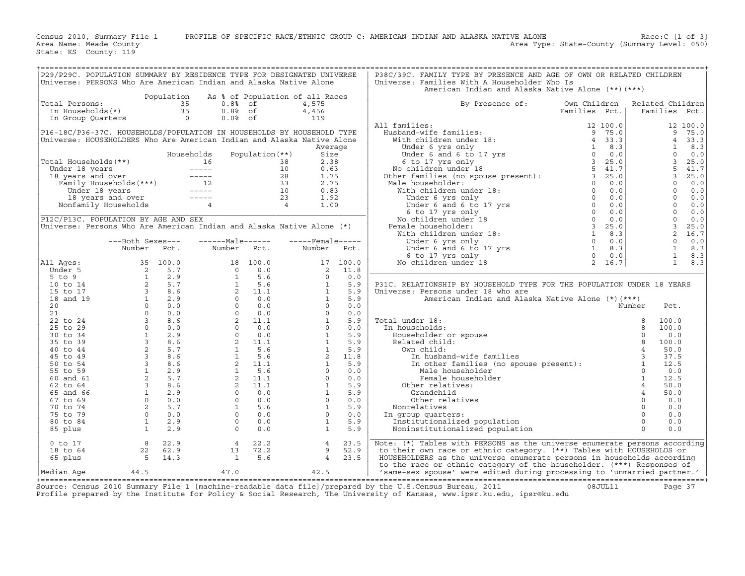Census 2010, Summary File 1 PROFILE OF SPECIFIC RACE/ETHNIC GROUP C: AMERICAN INDIAN AND ALASKA NATIVE ALONE Race:C [1 of 3]<br>Area Name: Meade County Level: 050) Area Type: State-County (Summary Level: 050) Area Type: State-County (Summary Level: 050)

State: KS County: 119

| P29/P29C. POPULATION SUMMARY BY RESIDENCE TYPE FOR DESIGNATED UNIVERSE<br>Universe: PERSONS Who Are American Indian and Alaska Native Alone                                                                                                                                                                                                                                                                                      |                                                                                                                                                                         |      |                                                                   |                 |                            |      | P38C/39C. FAMILY TYPE BY PRESENCE AND AGE OF OWN OR RELATED CHILDREN<br>Universe: Families With A Householder Who Is                                                                                                                                                                                                                                                                                                                                                                                                                                                                                                                                   |               |                                   |
|----------------------------------------------------------------------------------------------------------------------------------------------------------------------------------------------------------------------------------------------------------------------------------------------------------------------------------------------------------------------------------------------------------------------------------|-------------------------------------------------------------------------------------------------------------------------------------------------------------------------|------|-------------------------------------------------------------------|-----------------|----------------------------|------|--------------------------------------------------------------------------------------------------------------------------------------------------------------------------------------------------------------------------------------------------------------------------------------------------------------------------------------------------------------------------------------------------------------------------------------------------------------------------------------------------------------------------------------------------------------------------------------------------------------------------------------------------------|---------------|-----------------------------------|
|                                                                                                                                                                                                                                                                                                                                                                                                                                  |                                                                                                                                                                         |      |                                                                   |                 |                            |      | American Indian and Alaska Native Alone (**) (***)                                                                                                                                                                                                                                                                                                                                                                                                                                                                                                                                                                                                     |               |                                   |
| Total Persons:                                                                                                                                                                                                                                                                                                                                                                                                                   | otal Persons:<br>In Households(*)<br>In Group Quarters<br>$\begin{array}{ccc} 35 & 0.88 & 0f \\ 35 & 0.88 & 0f \\ \text{In Group Quarters} & 0 & 0.08 & 0f \end{array}$ |      | Population As % of Population of all Races                        |                 | 4,575<br>4,456             |      | By Presence of:<br>Own Children                                                                                                                                                                                                                                                                                                                                                                                                                                                                                                                                                                                                                        | Families Pct. | Related Children<br>Families Pct. |
|                                                                                                                                                                                                                                                                                                                                                                                                                                  |                                                                                                                                                                         |      |                                                                   |                 | 119                        |      | $\begin{tabular}{ll ll ll } \hline\texttt{A}{\texttt{All} } \texttt{f} \texttt{amilies}: & \texttt{Families} & \texttt{Pct.} & \texttt{Families} & \texttt{Pct.} \\ \hline \texttt{H} \texttt{u} \texttt{b} \texttt{c} \texttt{b} \texttt{c} \texttt{b} \texttt{c} \texttt{c} \texttt{c} \texttt{c} \texttt{d} \texttt{d} \texttt{c} \texttt{d} \texttt{d} \texttt{d} \texttt{d} \texttt{d} \texttt{d} \texttt{d} \texttt{d} \texttt$<br>All families:                                                                                                                                                                                                 |               |                                   |
| P16-18C/P36-37C. HOUSEHOLDS/POPULATION IN HOUSEHOLDS BY HOUSEHOLD TYPE<br>Universe: HOUSEHOLDERS Who Are American Indian and Alaska Native Alone                                                                                                                                                                                                                                                                                 |                                                                                                                                                                         |      |                                                                   |                 |                            |      |                                                                                                                                                                                                                                                                                                                                                                                                                                                                                                                                                                                                                                                        |               |                                   |
|                                                                                                                                                                                                                                                                                                                                                                                                                                  |                                                                                                                                                                         |      |                                                                   |                 | Average                    |      |                                                                                                                                                                                                                                                                                                                                                                                                                                                                                                                                                                                                                                                        |               |                                   |
|                                                                                                                                                                                                                                                                                                                                                                                                                                  |                                                                                                                                                                         |      |                                                                   | Population (**) |                            |      |                                                                                                                                                                                                                                                                                                                                                                                                                                                                                                                                                                                                                                                        |               |                                   |
|                                                                                                                                                                                                                                                                                                                                                                                                                                  |                                                                                                                                                                         |      |                                                                   |                 |                            |      |                                                                                                                                                                                                                                                                                                                                                                                                                                                                                                                                                                                                                                                        |               |                                   |
|                                                                                                                                                                                                                                                                                                                                                                                                                                  |                                                                                                                                                                         |      |                                                                   |                 |                            |      |                                                                                                                                                                                                                                                                                                                                                                                                                                                                                                                                                                                                                                                        |               |                                   |
|                                                                                                                                                                                                                                                                                                                                                                                                                                  |                                                                                                                                                                         |      |                                                                   |                 |                            |      |                                                                                                                                                                                                                                                                                                                                                                                                                                                                                                                                                                                                                                                        |               |                                   |
| $\begin{tabular}{ c c c c c c } \hline \text{Total Households} & \text{Households} & \text{Population (**)} & \text{Size} \\ \hline \text{Under 18 years and over} & 16 & 38 & 2.38 \\ \text{I8 years and over} & 10 & 0.63 \\ \text{Family Households} & & & & & & 12 \\ \hline \text{Under 18 years} & & & & & 12 \\ \text{Under 18 years} & & & & & 12 \\ \text{Nonfamily Households} & & & & & & 12 \\ \hline \end{tabular}$ |                                                                                                                                                                         |      |                                                                   |                 |                            |      |                                                                                                                                                                                                                                                                                                                                                                                                                                                                                                                                                                                                                                                        |               |                                   |
|                                                                                                                                                                                                                                                                                                                                                                                                                                  |                                                                                                                                                                         |      |                                                                   |                 |                            |      |                                                                                                                                                                                                                                                                                                                                                                                                                                                                                                                                                                                                                                                        |               |                                   |
|                                                                                                                                                                                                                                                                                                                                                                                                                                  |                                                                                                                                                                         |      |                                                                   |                 |                            |      |                                                                                                                                                                                                                                                                                                                                                                                                                                                                                                                                                                                                                                                        |               |                                   |
| P12C/P13C. POPULATION BY AGE AND SEX                                                                                                                                                                                                                                                                                                                                                                                             |                                                                                                                                                                         |      |                                                                   |                 |                            |      |                                                                                                                                                                                                                                                                                                                                                                                                                                                                                                                                                                                                                                                        |               |                                   |
| Universe: Persons Who Are American Indian and Alaska Native Alone (*)                                                                                                                                                                                                                                                                                                                                                            |                                                                                                                                                                         |      |                                                                   |                 |                            |      |                                                                                                                                                                                                                                                                                                                                                                                                                                                                                                                                                                                                                                                        |               |                                   |
|                                                                                                                                                                                                                                                                                                                                                                                                                                  |                                                                                                                                                                         |      |                                                                   |                 |                            |      |                                                                                                                                                                                                                                                                                                                                                                                                                                                                                                                                                                                                                                                        |               |                                   |
|                                                                                                                                                                                                                                                                                                                                                                                                                                  | ---Both Sexes---<br>Number                                                                                                                                              | Pct. |                                                                   |                 | $---Male---  ---Female---$ |      |                                                                                                                                                                                                                                                                                                                                                                                                                                                                                                                                                                                                                                                        |               |                                   |
|                                                                                                                                                                                                                                                                                                                                                                                                                                  |                                                                                                                                                                         |      | Number Pct. Number Pct.                                           |                 |                            |      |                                                                                                                                                                                                                                                                                                                                                                                                                                                                                                                                                                                                                                                        |               |                                   |
| All Ages:                                                                                                                                                                                                                                                                                                                                                                                                                        |                                                                                                                                                                         |      |                                                                   |                 |                            |      |                                                                                                                                                                                                                                                                                                                                                                                                                                                                                                                                                                                                                                                        |               |                                   |
|                                                                                                                                                                                                                                                                                                                                                                                                                                  |                                                                                                                                                                         |      |                                                                   |                 |                            |      |                                                                                                                                                                                                                                                                                                                                                                                                                                                                                                                                                                                                                                                        |               |                                   |
|                                                                                                                                                                                                                                                                                                                                                                                                                                  |                                                                                                                                                                         |      |                                                                   |                 |                            |      |                                                                                                                                                                                                                                                                                                                                                                                                                                                                                                                                                                                                                                                        |               |                                   |
|                                                                                                                                                                                                                                                                                                                                                                                                                                  |                                                                                                                                                                         |      |                                                                   |                 |                            |      | P31C. RELATIONSHIP BY HOUSEHOLD TYPE FOR THE POPULATION UNDER 18 YEARS<br>Universe: Persons under 18 who are                                                                                                                                                                                                                                                                                                                                                                                                                                                                                                                                           |               |                                   |
|                                                                                                                                                                                                                                                                                                                                                                                                                                  |                                                                                                                                                                         |      |                                                                   |                 |                            |      |                                                                                                                                                                                                                                                                                                                                                                                                                                                                                                                                                                                                                                                        |               |                                   |
|                                                                                                                                                                                                                                                                                                                                                                                                                                  |                                                                                                                                                                         |      |                                                                   |                 |                            |      |                                                                                                                                                                                                                                                                                                                                                                                                                                                                                                                                                                                                                                                        |               |                                   |
|                                                                                                                                                                                                                                                                                                                                                                                                                                  |                                                                                                                                                                         |      |                                                                   |                 |                            |      |                                                                                                                                                                                                                                                                                                                                                                                                                                                                                                                                                                                                                                                        |               |                                   |
|                                                                                                                                                                                                                                                                                                                                                                                                                                  |                                                                                                                                                                         |      |                                                                   |                 |                            |      | Total under 18:                                                                                                                                                                                                                                                                                                                                                                                                                                                                                                                                                                                                                                        |               |                                   |
|                                                                                                                                                                                                                                                                                                                                                                                                                                  |                                                                                                                                                                         |      |                                                                   |                 |                            |      | In households:                                                                                                                                                                                                                                                                                                                                                                                                                                                                                                                                                                                                                                         |               |                                   |
|                                                                                                                                                                                                                                                                                                                                                                                                                                  |                                                                                                                                                                         |      |                                                                   |                 |                            |      |                                                                                                                                                                                                                                                                                                                                                                                                                                                                                                                                                                                                                                                        |               |                                   |
|                                                                                                                                                                                                                                                                                                                                                                                                                                  |                                                                                                                                                                         |      |                                                                   |                 |                            |      |                                                                                                                                                                                                                                                                                                                                                                                                                                                                                                                                                                                                                                                        |               |                                   |
|                                                                                                                                                                                                                                                                                                                                                                                                                                  |                                                                                                                                                                         |      |                                                                   |                 |                            |      |                                                                                                                                                                                                                                                                                                                                                                                                                                                                                                                                                                                                                                                        |               |                                   |
|                                                                                                                                                                                                                                                                                                                                                                                                                                  |                                                                                                                                                                         |      |                                                                   |                 |                            |      |                                                                                                                                                                                                                                                                                                                                                                                                                                                                                                                                                                                                                                                        |               |                                   |
|                                                                                                                                                                                                                                                                                                                                                                                                                                  |                                                                                                                                                                         |      |                                                                   |                 |                            |      |                                                                                                                                                                                                                                                                                                                                                                                                                                                                                                                                                                                                                                                        |               |                                   |
|                                                                                                                                                                                                                                                                                                                                                                                                                                  |                                                                                                                                                                         |      |                                                                   |                 |                            |      | Female housen<br>Other relatives:                                                                                                                                                                                                                                                                                                                                                                                                                                                                                                                                                                                                                      |               |                                   |
|                                                                                                                                                                                                                                                                                                                                                                                                                                  |                                                                                                                                                                         |      |                                                                   |                 |                            |      |                                                                                                                                                                                                                                                                                                                                                                                                                                                                                                                                                                                                                                                        |               |                                   |
|                                                                                                                                                                                                                                                                                                                                                                                                                                  |                                                                                                                                                                         |      |                                                                   |                 |                            |      |                                                                                                                                                                                                                                                                                                                                                                                                                                                                                                                                                                                                                                                        |               |                                   |
|                                                                                                                                                                                                                                                                                                                                                                                                                                  |                                                                                                                                                                         |      |                                                                   |                 |                            |      | In group quarters:                                                                                                                                                                                                                                                                                                                                                                                                                                                                                                                                                                                                                                     |               |                                   |
|                                                                                                                                                                                                                                                                                                                                                                                                                                  |                                                                                                                                                                         |      |                                                                   |                 |                            |      |                                                                                                                                                                                                                                                                                                                                                                                                                                                                                                                                                                                                                                                        |               |                                   |
| Number Pct. Number Pct. Number Pct.<br>Under 5<br>5 to 9<br>10 do 17 100.0<br>16 to 14<br>16 to 17<br>16 to 17<br>16 to 17<br>20<br>16 to 17<br>20<br>16 to 17<br>20<br>16 to 17<br>20<br>16 to 17<br>20<br>16 12 9<br>20<br>21<br>20<br>20<br>20<br>20<br>20<br>20<br>20<br>20<br>20<br>                                                                                                                                        |                                                                                                                                                                         |      |                                                                   |                 |                            |      |                                                                                                                                                                                                                                                                                                                                                                                                                                                                                                                                                                                                                                                        |               |                                   |
| $0$ to $17$                                                                                                                                                                                                                                                                                                                                                                                                                      | $\begin{array}{ccc} & 8 & 22.9 \\ 22 & 62.9 \\ & 5 & 14.3 \end{array}$                                                                                                  |      |                                                                   | 4 22.2          | $\overline{4}$             | 23.5 | Note: (*) Tables with PERSONS as the universe enumerate persons according                                                                                                                                                                                                                                                                                                                                                                                                                                                                                                                                                                              |               |                                   |
| 18 to 64                                                                                                                                                                                                                                                                                                                                                                                                                         |                                                                                                                                                                         |      | $\begin{array}{ccc} 4 & 22.2 \\ 13 & 72.2 \\ 1 & 5.6 \end{array}$ |                 | 9                          | 52.9 | to their own race or ethnic category. (**) Tables with HOUSEHOLDS or                                                                                                                                                                                                                                                                                                                                                                                                                                                                                                                                                                                   |               |                                   |
| 65 plus                                                                                                                                                                                                                                                                                                                                                                                                                          |                                                                                                                                                                         |      |                                                                   |                 | $4 \quad$                  | 23.5 | HOUSEHOLDERS as the universe enumerate persons in households according                                                                                                                                                                                                                                                                                                                                                                                                                                                                                                                                                                                 |               |                                   |
| Median Aqe                                                                                                                                                                                                                                                                                                                                                                                                                       | 44.5 47.0                                                                                                                                                               |      |                                                                   |                 | 42.5                       |      | $\begin{tabular}{c c c} \multicolumn{4}{c}{\text{\textit{HOMSE}}} & \multicolumn{4}{c}{\text{\textit{HOMSE}}} & \multicolumn{4}{c}{\text{\textit{HOMSE}}} & \multicolumn{4}{c}{\text{\textit{HOMSE}}} & \multicolumn{4}{c}{\text{\textit{HOMSE}}} & \multicolumn{4}{c}{\text{\textit{HOMSE}}} & \multicolumn{4}{c}{\text{\textit{HOMSE}}} & \multicolumn{4}{c}{\text{\textit{HOMSE}}} & \multicolumn{4}{c}{\text{\textit{HOMSE}}} & \multicolumn{4}{c}{\text{\textit{HOMSE}}} & \multicolumn{4}{c$<br>to the race or ethnic category of the householder. (***) Responses of<br>'same-sex spouse' were edited during processing to 'unmarried partner.' |               |                                   |

+===================================================================================================================================================+Source: Census 2010 Summary File 1 [machine−readable data file]/prepared by the U.S.Census Bureau, 2011 08JUL11 Page 37 Profile prepared by the Institute for Policy & Social Research, The University of Kansas, www.ipsr.ku.edu, ipsr@ku.edu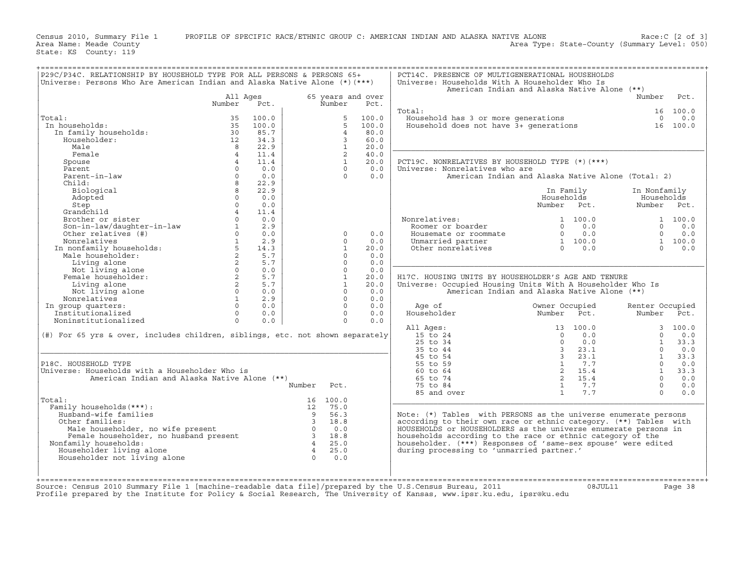Census 2010, Summary File 1 PROFILE OF SPECIFIC RACE/ETHNIC GROUP C: AMERICAN INDIAN AND ALASKA NATIVE ALONE Race:C [2 of 3]<br>Area Name: Meade County Level: 050) Area Type: State-County (Summary Level: 050) Area Type: State-County (Summary Level: 050)

State: KS County: 119

| P29C/P34C. RELATIONSHIP BY HOUSEHOLD TYPE FOR ALL PERSONS & PERSONS 65+                                                                                                                                                              |                    |                                            |                          |                |                           | PCT14C. PRESENCE OF MULTIGENERATIONAL HOUSEHOLDS                                               |                         |         |                 |          |
|--------------------------------------------------------------------------------------------------------------------------------------------------------------------------------------------------------------------------------------|--------------------|--------------------------------------------|--------------------------|----------------|---------------------------|------------------------------------------------------------------------------------------------|-------------------------|---------|-----------------|----------|
| Universe: Persons Who Are American Indian and Alaska Native Alone (*) (***)                                                                                                                                                          |                    |                                            |                          |                |                           | Universe: Households With A Householder Who Is<br>American Indian and Alaska Native Alone (**) |                         |         |                 |          |
|                                                                                                                                                                                                                                      |                    |                                            |                          |                |                           |                                                                                                |                         |         | Number          | Pct.     |
|                                                                                                                                                                                                                                      | All Ages<br>Number | Pct.                                       |                          | Number         | 65 years and over<br>Pct. |                                                                                                |                         |         |                 |          |
|                                                                                                                                                                                                                                      |                    |                                            |                          |                |                           | Total:                                                                                         |                         |         |                 | 16 100.0 |
| Total:                                                                                                                                                                                                                               | 35                 | 100.0                                      |                          | 5              | 100.0                     | Household has 3 or more generations                                                            |                         |         | $\Omega$        | 0.0      |
| In households:                                                                                                                                                                                                                       | 35                 | 100.0                                      |                          | 5              | 100.0                     | Household does not have $3+$ qenerations                                                       |                         |         |                 | 16 100.0 |
|                                                                                                                                                                                                                                      |                    |                                            |                          | $\overline{4}$ | 80.0                      |                                                                                                |                         |         |                 |          |
| In family households:                                                                                                                                                                                                                | 30                 | 85.7                                       |                          |                |                           |                                                                                                |                         |         |                 |          |
| Householder:                                                                                                                                                                                                                         | 12                 | 34.3                                       |                          | 3              | 60.0                      |                                                                                                |                         |         |                 |          |
| Male                                                                                                                                                                                                                                 | 8                  | 22.9                                       |                          | $\mathbf{1}$   | 20.0                      |                                                                                                |                         |         |                 |          |
| Female                                                                                                                                                                                                                               | $\overline{4}$     | 11.4                                       |                          | $\overline{a}$ | 40.0                      |                                                                                                |                         |         |                 |          |
| Spouse                                                                                                                                                                                                                               |                    | 11.4                                       |                          | $\mathbf{1}$   | 20.0                      | PCT19C. NONRELATIVES BY HOUSEHOLD TYPE (*) (***)                                               |                         |         |                 |          |
| Parent                                                                                                                                                                                                                               | $\Omega$           | 0.0                                        |                          | $\Omega$       | 0.0                       | Universe: Nonrelatives who are                                                                 |                         |         |                 |          |
| Parent-in-law                                                                                                                                                                                                                        | $\Omega$           | 0.0                                        |                          | $\Omega$       | 0.0                       | American Indian and Alaska Native Alone (Total: 2)                                             |                         |         |                 |          |
| Child:                                                                                                                                                                                                                               | 8                  | 22.9                                       |                          |                |                           |                                                                                                |                         |         |                 |          |
| Biological                                                                                                                                                                                                                           | 8                  | 22.9                                       |                          |                |                           |                                                                                                | In Family               |         | In Nonfamily    |          |
| Adopted                                                                                                                                                                                                                              | $\Omega$           | 0.0                                        |                          |                |                           |                                                                                                | Households              |         | Households      |          |
| Step                                                                                                                                                                                                                                 | $\Omega$           | 0.0                                        |                          |                |                           |                                                                                                | Number Pct.             |         | Number Pct.     |          |
| Grandchild                                                                                                                                                                                                                           | $\overline{4}$     | 11.4                                       |                          |                |                           |                                                                                                |                         |         |                 |          |
| Brother or sister                                                                                                                                                                                                                    | $\Omega$           | 0.0                                        |                          |                |                           | Nonrelatives:                                                                                  |                         | 1 100.0 |                 | 1 100.0  |
| Son-in-law/daughter-in-law                                                                                                                                                                                                           |                    | 2.9                                        |                          |                |                           | Roomer or boarder                                                                              | $\Omega$                | 0.0     | $\Omega$        | 0.0      |
| Other relatives (#)                                                                                                                                                                                                                  | $\Omega$           | 0.0                                        |                          | $\Omega$       | 0.0                       | Housemate or roommate                                                                          | $\Omega$                | 0.0     | $\Omega$        | 0.0      |
|                                                                                                                                                                                                                                      | $\mathbf{1}$       | 2.9                                        |                          | $\Omega$       | 0.0                       | Unmarried partner                                                                              | 1 100.0                 |         |                 | 1 100.0  |
|                                                                                                                                                                                                                                      |                    | 14.3                                       |                          | $\mathbf{1}$   | 20.0                      | Other nonrelatives                                                                             | $\Omega$                | 0.0     | $\Omega$        | 0.0      |
| Noncelatives<br>In nonfamily households:<br>The contract of the contract of the contract of the contract of the contract of the contract of the contract of the contract of the contract of the contract of the contract of the cont | $\overline{2}$     | 5.7                                        |                          | $\Omega$       | 0.0                       |                                                                                                |                         |         |                 |          |
| Living alone                                                                                                                                                                                                                         | $2^{\circ}$        | 5.7                                        |                          | $\circ$        | 0.0                       |                                                                                                |                         |         |                 |          |
| Not living alone                                                                                                                                                                                                                     | $\Omega$           | 0.0                                        |                          | $\Omega$       | 0.0                       |                                                                                                |                         |         |                 |          |
|                                                                                                                                                                                                                                      |                    |                                            |                          |                |                           |                                                                                                |                         |         |                 |          |
| Female householder:                                                                                                                                                                                                                  | $\overline{2}$     | 5.7                                        |                          | $\mathbf{1}$   | 20.0                      | H17C. HOUSING UNITS BY HOUSEHOLDER'S AGE AND TENURE                                            |                         |         |                 |          |
| Living alone                                                                                                                                                                                                                         | $2^{\circ}$        | 5.7                                        |                          | $\mathbf{1}$   | 20.0                      | Universe: Occupied Housing Units With A Householder Who Is                                     |                         |         |                 |          |
| Not living alone                                                                                                                                                                                                                     | $\Omega$           | 0.0                                        |                          | $\Omega$       | 0.0                       | American Indian and Alaska Native Alone (**)                                                   |                         |         |                 |          |
| Nonrelatives                                                                                                                                                                                                                         | $\mathbf{1}$       | 2.9                                        |                          | $\circ$        | 0.0                       |                                                                                                |                         |         |                 |          |
| In group quarters:                                                                                                                                                                                                                   | $\Omega$           | 0.0                                        |                          | $\Omega$       | 0.0                       | Age of                                                                                         | Owner Occupied          |         | Renter Occupied |          |
| Institutionalized                                                                                                                                                                                                                    | $\Omega$           | 0.0                                        |                          | $\Omega$       | 0.0                       | Householder                                                                                    | Number Pct.             |         | Number Pct.     |          |
| Noninstitutionalized                                                                                                                                                                                                                 | $\Omega$           | 0.0                                        |                          | $\Omega$       | 0.0                       |                                                                                                |                         |         |                 |          |
|                                                                                                                                                                                                                                      |                    |                                            |                          |                |                           | All Ages:                                                                                      | 13 100.0                |         |                 | 3, 100.0 |
| (#) For 65 yrs & over, includes children, siblings, etc. not shown separately                                                                                                                                                        |                    |                                            |                          |                |                           | 15 to 24                                                                                       | $\Omega$                | 0.0     | $\Omega$        | 0.0      |
|                                                                                                                                                                                                                                      |                    |                                            |                          |                |                           | 25 to 34                                                                                       | $\Omega$                | 0.0     | $\overline{1}$  | 33.3     |
|                                                                                                                                                                                                                                      |                    |                                            |                          |                |                           | 35 to 44                                                                                       | 3 <sup>7</sup>          | 23.1    | $\Omega$        | 0.0      |
|                                                                                                                                                                                                                                      |                    |                                            |                          |                |                           | 45 to 54                                                                                       | $\overline{\mathbf{3}}$ | 23.1    | $\mathbf{1}$    | 33.3     |
| P18C. HOUSEHOLD TYPE                                                                                                                                                                                                                 |                    |                                            |                          |                |                           | 55 to 59                                                                                       | $\mathbf{1}$            | 7.7     | $\Omega$        | 0.0      |
| Universe: Households with a Householder Who is                                                                                                                                                                                       |                    |                                            |                          |                |                           | 60 to 64                                                                                       |                         | 2, 15.4 | $\mathbf{1}$    | 33.3     |
| American Indian and Alaska Native Alone (**)                                                                                                                                                                                         |                    |                                            |                          |                |                           | 65 to 74                                                                                       |                         | 2 15.4  | $\Omega$        | 0.0      |
|                                                                                                                                                                                                                                      |                    |                                            | Number                   | Pct.           |                           | 75 to 84                                                                                       | $\mathbf{1}$            | 7.7     | $\Omega$        | 0.0      |
|                                                                                                                                                                                                                                      |                    |                                            |                          |                |                           | 85 and over                                                                                    | 1                       | 7.7     | $\Omega$        | 0.0      |
| Total:                                                                                                                                                                                                                               |                    |                                            |                          | 16 100.0       |                           |                                                                                                |                         |         |                 |          |
| Family households (***) :                                                                                                                                                                                                            |                    |                                            | 12                       | 75.0           |                           |                                                                                                |                         |         |                 |          |
| Husband-wife families                                                                                                                                                                                                                |                    |                                            | $\overline{9}$           | 56.3           |                           | Note: (*) Tables with PERSONS as the universe enumerate persons                                |                         |         |                 |          |
|                                                                                                                                                                                                                                      |                    |                                            | $\overline{\phantom{a}}$ | 18.8           |                           | according to their own race or ethnic category. (**) Tables with                               |                         |         |                 |          |
| Other families:                                                                                                                                                                                                                      |                    |                                            |                          |                |                           |                                                                                                |                         |         |                 |          |
| Male householder, no wife present                                                                                                                                                                                                    |                    | $\begin{array}{c} 3 \\ 0 \\ 3 \end{array}$ |                          | 0.0            |                           | HOUSEHOLDS or HOUSEHOLDERS as the universe enumerate persons in                                |                         |         |                 |          |
| Female householder, no husband present                                                                                                                                                                                               |                    |                                            |                          | 18.8           |                           | households according to the race or ethnic category of the                                     |                         |         |                 |          |
| Nonfamily households:                                                                                                                                                                                                                |                    |                                            | $4\overline{4}$          | 25.0           |                           | householder. (***) Responses of 'same-sex spouse' were edited                                  |                         |         |                 |          |
| Householder living alone                                                                                                                                                                                                             |                    |                                            | $\overline{4}$           | 25.0           |                           | during processing to 'unmarried partner.'                                                      |                         |         |                 |          |
| Householder not living alone                                                                                                                                                                                                         |                    |                                            | $\Omega$                 | 0.0            |                           |                                                                                                |                         |         |                 |          |
|                                                                                                                                                                                                                                      |                    |                                            |                          |                |                           |                                                                                                |                         |         |                 |          |
|                                                                                                                                                                                                                                      |                    |                                            |                          |                |                           |                                                                                                |                         |         |                 |          |

+===================================================================================================================================================+

+===================================================================================================================================================+ Source: Census 2010 Summary File 1 [machine−readable data file]/prepared by the U.S.Census Bureau, 2011 08JUL11 Page 38

Profile prepared by the Institute for Policy & Social Research, The University of Kansas, www.ipsr.ku.edu, ipsr@ku.edu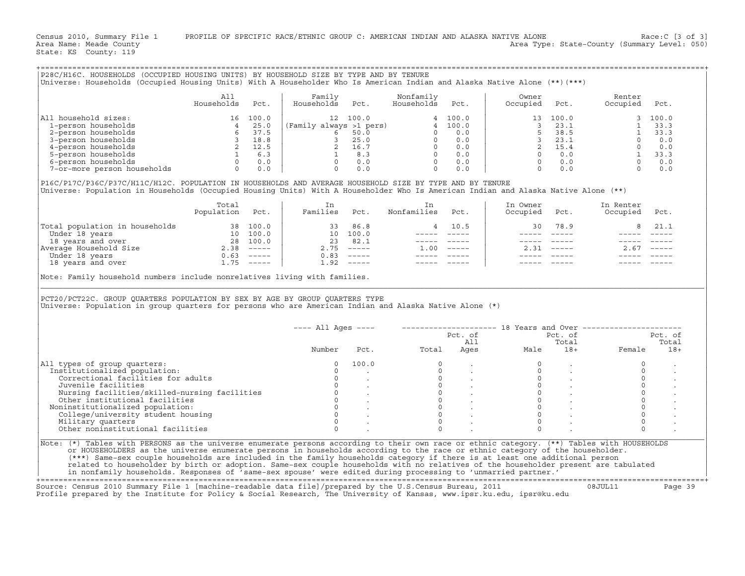Census 2010, Summary File 1 PROFILE OF SPECIFIC RACE/ETHNIC GROUP C: AMERICAN INDIAN AND ALASKA NATIVE ALONE Race:C [3 of 3]<br>Area Name: Meade County Level: 050) Area Type: State-County (Summary Level: 050) Area Type: State-County (Summary Level: 050)

+===================================================================================================================================================+

State: KS County: 119

| All household sizes:<br>$\begin{tabular}{llllll} 11 \;{\rm household\; sizes:} & 16 & 100.0 \\ 1-person \; households & 4 & 25.0 \\ 2-person \; households & 6 & 37.5 \\ 3-person \; households & 2 & 12.5 \\ 4 - person \; households & 6 & 37.5 \\ 5-person \; households & 2 & 12.5 \\ 5-person \; households & 1 & 6.3 \\ 6-person \; households & 0 & 0.0 \\ 7-or-more \; person \; households & 0 & 0.0 \\ \end{tabular}$                                                                                                                 | Households Pct. | Family                                |              | Nonfamily                                                                                                                                                                                                                                      |                | Owner         |                | Renter                                                                                                                                                                                                                                                                                            |                |
|-------------------------------------------------------------------------------------------------------------------------------------------------------------------------------------------------------------------------------------------------------------------------------------------------------------------------------------------------------------------------------------------------------------------------------------------------------------------------------------------------------------------------------------------------|-----------------|---------------------------------------|--------------|------------------------------------------------------------------------------------------------------------------------------------------------------------------------------------------------------------------------------------------------|----------------|---------------|----------------|---------------------------------------------------------------------------------------------------------------------------------------------------------------------------------------------------------------------------------------------------------------------------------------------------|----------------|
|                                                                                                                                                                                                                                                                                                                                                                                                                                                                                                                                                 |                 | Households Pct.                       |              | Households Pct.                                                                                                                                                                                                                                |                | Occupied      | Pct.           | Occupied<br>$\begin{array}{cccccc} \text{p} \text{iea} & & {} \\ 13 & 100.0 & & {} \\ 3 & 23.1 & & 1 & 33.3 \\ 5 & 38.5 & & 1 & 33.3 \\ 3 & 23.1 & & 0 & 0.0 \\ 2 & 15.4 & & 0 & 0.0 \\ 0 & 0.0 & & 1 & 33.3 \\ 0 & 0.0 & & 0 & 0.0 \\ 0 & 0.0 & & 0 & 0.0 \\ 0 & 0.0 & & 0 & 0.0 \\ \end{array}$ | Pct.           |
|                                                                                                                                                                                                                                                                                                                                                                                                                                                                                                                                                 |                 |                                       |              | $\begin{array}{cccc} \text{21} & 100.0 & 4 & 100.0 \\ \text{221} & 100.0 & 5 & 50.0 & 0 & 0.0 \\ 6 & 50.0 & 0 & 0.0 & 0.0 \\ 3 & 25.0 & 0 & 0.0 & 0.0 \\ 2 & 16.7 & 0 & 0.0 & 0 \\ 0 & 0.0 & 0 & 0 & 0.0 \\ 0 & 0.0 & 0 & 0 & 0.0 \end{array}$ |                |               |                |                                                                                                                                                                                                                                                                                                   |                |
|                                                                                                                                                                                                                                                                                                                                                                                                                                                                                                                                                 |                 | $(Family always >1 pers)$<br>$6 50.0$ |              |                                                                                                                                                                                                                                                |                |               |                |                                                                                                                                                                                                                                                                                                   |                |
|                                                                                                                                                                                                                                                                                                                                                                                                                                                                                                                                                 |                 |                                       |              |                                                                                                                                                                                                                                                |                |               |                |                                                                                                                                                                                                                                                                                                   |                |
|                                                                                                                                                                                                                                                                                                                                                                                                                                                                                                                                                 |                 |                                       |              |                                                                                                                                                                                                                                                |                |               |                |                                                                                                                                                                                                                                                                                                   |                |
|                                                                                                                                                                                                                                                                                                                                                                                                                                                                                                                                                 |                 |                                       |              |                                                                                                                                                                                                                                                |                |               |                |                                                                                                                                                                                                                                                                                                   |                |
|                                                                                                                                                                                                                                                                                                                                                                                                                                                                                                                                                 |                 |                                       |              |                                                                                                                                                                                                                                                |                |               |                |                                                                                                                                                                                                                                                                                                   |                |
|                                                                                                                                                                                                                                                                                                                                                                                                                                                                                                                                                 |                 |                                       |              |                                                                                                                                                                                                                                                |                |               |                |                                                                                                                                                                                                                                                                                                   |                |
|                                                                                                                                                                                                                                                                                                                                                                                                                                                                                                                                                 |                 |                                       |              |                                                                                                                                                                                                                                                |                |               |                |                                                                                                                                                                                                                                                                                                   |                |
| P16C/P17C/P36C/P37C/H11C/H12C. POPULATION IN HOUSEHOLDS AND AVERAGE HOUSEHOLD SIZE BY TYPE AND BY TENURE<br>Universe: Population in Households (Occupied Housing Units) With A Householder Who Is American Indian and Alaska Native Alone (**)                                                                                                                                                                                                                                                                                                  |                 |                                       |              |                                                                                                                                                                                                                                                |                |               |                |                                                                                                                                                                                                                                                                                                   |                |
|                                                                                                                                                                                                                                                                                                                                                                                                                                                                                                                                                 | Total           | In                                    |              | In                                                                                                                                                                                                                                             |                | In Owner      |                | In Renter                                                                                                                                                                                                                                                                                         |                |
|                                                                                                                                                                                                                                                                                                                                                                                                                                                                                                                                                 | Population Pct. | Families Pct.                         |              | Nonfamilies Pct.                                                                                                                                                                                                                               |                | Occupied Pct. |                | Occupied                                                                                                                                                                                                                                                                                          | Pct.           |
|                                                                                                                                                                                                                                                                                                                                                                                                                                                                                                                                                 |                 | 33 86.8                               |              |                                                                                                                                                                                                                                                | $4 \quad 10.5$ | 30            | 78.9           | 8                                                                                                                                                                                                                                                                                                 | 21.1           |
|                                                                                                                                                                                                                                                                                                                                                                                                                                                                                                                                                 |                 |                                       |              |                                                                                                                                                                                                                                                |                |               |                |                                                                                                                                                                                                                                                                                                   |                |
|                                                                                                                                                                                                                                                                                                                                                                                                                                                                                                                                                 |                 | 10 100.0<br>23 82.1<br>2.75 -----     |              |                                                                                                                                                                                                                                                | ______________ |               | ______   _____ |                                                                                                                                                                                                                                                                                                   |                |
|                                                                                                                                                                                                                                                                                                                                                                                                                                                                                                                                                 |                 |                                       |              |                                                                                                                                                                                                                                                | $1.00$ -----   |               | $2.31$ -----   |                                                                                                                                                                                                                                                                                                   | $2.67$ -----   |
|                                                                                                                                                                                                                                                                                                                                                                                                                                                                                                                                                 |                 |                                       |              |                                                                                                                                                                                                                                                | _____________  |               |                |                                                                                                                                                                                                                                                                                                   |                |
|                                                                                                                                                                                                                                                                                                                                                                                                                                                                                                                                                 |                 | $0.83$ -----                          |              |                                                                                                                                                                                                                                                |                |               |                |                                                                                                                                                                                                                                                                                                   |                |
|                                                                                                                                                                                                                                                                                                                                                                                                                                                                                                                                                 |                 |                                       | $1.92$ ----- |                                                                                                                                                                                                                                                |                |               |                |                                                                                                                                                                                                                                                                                                   |                |
|                                                                                                                                                                                                                                                                                                                                                                                                                                                                                                                                                 |                 |                                       |              |                                                                                                                                                                                                                                                |                |               |                |                                                                                                                                                                                                                                                                                                   |                |
| $\begin{tabular}{ l l } \hline Total population in households & 38 100.0Under 18 years & 10 100.018 years and over & 28 100.0Average Household Size & 2.38 100.0Under 18 years and over & 0.63 1.75 1.75 1.75$<br>Note: Family household numbers include nonrelatives living with families.<br>PCT20/PCT22C. GROUP QUARTERS POPULATION BY SEX BY AGE BY GROUP QUARTERS TYPE<br>Universe: Population in group quarters for persons who are American Indian and Alaska Native Alone (*)                                                           |                 |                                       |              |                                                                                                                                                                                                                                                |                |               |                | ---- All Ages ----    --------------------    18 Years and Over ------------------<br>Pct. of Pct. of                                                                                                                                                                                             |                |
|                                                                                                                                                                                                                                                                                                                                                                                                                                                                                                                                                 |                 | Number                                |              |                                                                                                                                                                                                                                                |                | Pct. of       | Total          |                                                                                                                                                                                                                                                                                                   | Total<br>$18+$ |
|                                                                                                                                                                                                                                                                                                                                                                                                                                                                                                                                                 |                 |                                       |              |                                                                                                                                                                                                                                                |                |               |                | Total<br>Male 18+ Female                                                                                                                                                                                                                                                                          |                |
| All types of group quarters:                                                                                                                                                                                                                                                                                                                                                                                                                                                                                                                    |                 |                                       |              |                                                                                                                                                                                                                                                |                |               |                | $\circ$                                                                                                                                                                                                                                                                                           |                |
|                                                                                                                                                                                                                                                                                                                                                                                                                                                                                                                                                 |                 |                                       |              |                                                                                                                                                                                                                                                |                |               |                | $\circ$                                                                                                                                                                                                                                                                                           |                |
|                                                                                                                                                                                                                                                                                                                                                                                                                                                                                                                                                 |                 |                                       |              |                                                                                                                                                                                                                                                |                |               |                | $\circ$                                                                                                                                                                                                                                                                                           |                |
|                                                                                                                                                                                                                                                                                                                                                                                                                                                                                                                                                 |                 |                                       |              |                                                                                                                                                                                                                                                |                |               |                | $\circ$                                                                                                                                                                                                                                                                                           |                |
|                                                                                                                                                                                                                                                                                                                                                                                                                                                                                                                                                 |                 |                                       |              |                                                                                                                                                                                                                                                |                |               |                | $\mathbb O$                                                                                                                                                                                                                                                                                       |                |
|                                                                                                                                                                                                                                                                                                                                                                                                                                                                                                                                                 |                 |                                       |              |                                                                                                                                                                                                                                                |                |               |                | $\mathsf{O}$                                                                                                                                                                                                                                                                                      |                |
|                                                                                                                                                                                                                                                                                                                                                                                                                                                                                                                                                 |                 |                                       |              |                                                                                                                                                                                                                                                |                |               |                | $\mathbb O$                                                                                                                                                                                                                                                                                       |                |
| Institutionalized population:<br>Noninstitutionalized population:                                                                                                                                                                                                                                                                                                                                                                                                                                                                               |                 |                                       |              |                                                                                                                                                                                                                                                |                |               |                | $\mathsf{O}$                                                                                                                                                                                                                                                                                      |                |
|                                                                                                                                                                                                                                                                                                                                                                                                                                                                                                                                                 |                 |                                       |              |                                                                                                                                                                                                                                                |                |               |                | $\Omega$                                                                                                                                                                                                                                                                                          |                |
|                                                                                                                                                                                                                                                                                                                                                                                                                                                                                                                                                 |                 |                                       |              |                                                                                                                                                                                                                                                |                |               |                |                                                                                                                                                                                                                                                                                                   |                |
| Note: (*) Tables with PERSONS as the universe enumerate persons according to their own race or ethnic category. (**) Tables with HOUSEHOLDS<br>or HOUSEHOLDERS as the universe enumerate persons in households according to the race or ethnic category of the householder.<br>(***) Same-sex couple households are included in the family households category if there is at least one additional person<br>related to householder by birth or adoption. Same-sex couple households with no relatives of the householder present are tabulated |                 |                                       |              |                                                                                                                                                                                                                                                |                |               |                |                                                                                                                                                                                                                                                                                                   |                |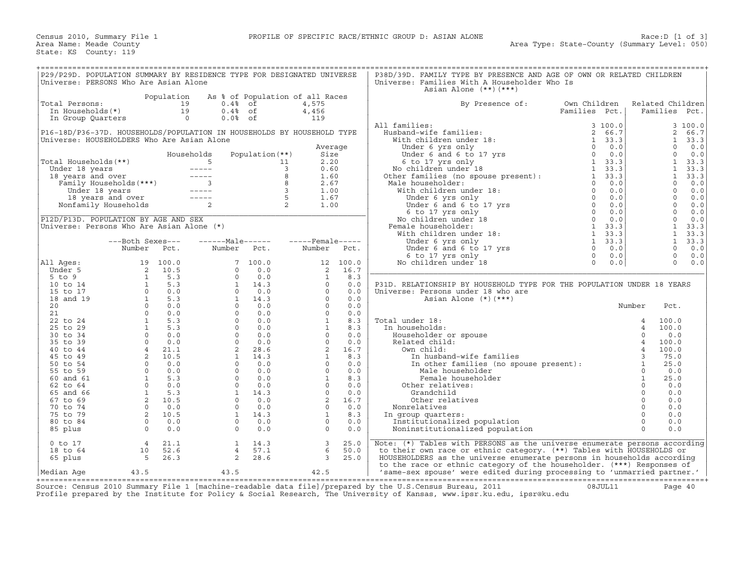| P29/P29D. POPULATION SUMMARY BY RESIDENCE TYPE FOR DESIGNATED UNIVERSE<br>Universe: PERSONS Who Are Asian Alone                                                                                                                                  |                  |                                                     |                 |                   |                                                                                                                                                                                                                                                                                                |          | P38D/39D. FAMILY TYPE BY PRESENCE AND AGE OF OWN OR RELATED CHILDREN<br>Universe: Families With A Householder Who Is<br>Asian Alone $(**)$ $(***)$                                                       |               |                  |                |      |
|--------------------------------------------------------------------------------------------------------------------------------------------------------------------------------------------------------------------------------------------------|------------------|-----------------------------------------------------|-----------------|-------------------|------------------------------------------------------------------------------------------------------------------------------------------------------------------------------------------------------------------------------------------------------------------------------------------------|----------|----------------------------------------------------------------------------------------------------------------------------------------------------------------------------------------------------------|---------------|------------------|----------------|------|
|                                                                                                                                                                                                                                                  |                  | Population                                          |                 |                   | As % of Population of all Races                                                                                                                                                                                                                                                                |          |                                                                                                                                                                                                          |               |                  |                |      |
| Total Persons:                                                                                                                                                                                                                                   |                  |                                                     | $0.4%$ of       |                   | 4,575                                                                                                                                                                                                                                                                                          |          | By Presence of:                                                                                                                                                                                          | Own Children  | Related Children |                |      |
| In Households(*)                                                                                                                                                                                                                                 |                  | $\begin{bmatrix} 19 \\ 19 \\ 19 \\ 0 \end{bmatrix}$ | $0.4%$ of       |                   | 4,456                                                                                                                                                                                                                                                                                          |          |                                                                                                                                                                                                          | Families Pct. |                  | Families Pct.  |      |
| In Group Quarters                                                                                                                                                                                                                                |                  |                                                     | $0.0%$ of       |                   | 119                                                                                                                                                                                                                                                                                            |          |                                                                                                                                                                                                          |               |                  |                |      |
|                                                                                                                                                                                                                                                  |                  |                                                     |                 |                   |                                                                                                                                                                                                                                                                                                |          | All families:                                                                                                                                                                                            | 3 100.0       |                  | 3 100.0        |      |
| P16-18D/P36-37D. HOUSEHOLDS/POPULATION IN HOUSEHOLDS BY HOUSEHOLD TYPE                                                                                                                                                                           |                  |                                                     |                 |                   |                                                                                                                                                                                                                                                                                                |          |                                                                                                                                                                                                          |               |                  | $\overline{2}$ | 66.7 |
| Universe: HOUSEHOLDERS Who Are Asian Alone                                                                                                                                                                                                       |                  |                                                     |                 |                   |                                                                                                                                                                                                                                                                                                |          |                                                                                                                                                                                                          |               |                  | $\mathbf{1}$   |      |
|                                                                                                                                                                                                                                                  |                  |                                                     |                 |                   |                                                                                                                                                                                                                                                                                                |          |                                                                                                                                                                                                          |               |                  | $\Omega$       | 33.3 |
|                                                                                                                                                                                                                                                  |                  |                                                     |                 |                   | Average                                                                                                                                                                                                                                                                                        |          |                                                                                                                                                                                                          |               |                  | $\Omega$       | 0.0  |
|                                                                                                                                                                                                                                                  |                  |                                                     | Households      | Population $(**)$ | Size                                                                                                                                                                                                                                                                                           |          |                                                                                                                                                                                                          |               |                  |                | 0.0  |
| Total Households (**)                                                                                                                                                                                                                            |                  |                                                     |                 |                   | 2.20                                                                                                                                                                                                                                                                                           |          |                                                                                                                                                                                                          |               |                  | $\mathbf{1}$   | 33.3 |
|                                                                                                                                                                                                                                                  |                  |                                                     |                 |                   | 0.60                                                                                                                                                                                                                                                                                           |          |                                                                                                                                                                                                          |               |                  | $\mathbf{1}$   | 33.3 |
|                                                                                                                                                                                                                                                  |                  |                                                     |                 |                   | 1.60                                                                                                                                                                                                                                                                                           |          |                                                                                                                                                                                                          |               |                  | $\mathbf{1}$   | 33.3 |
|                                                                                                                                                                                                                                                  |                  |                                                     |                 |                   | 2.67                                                                                                                                                                                                                                                                                           |          |                                                                                                                                                                                                          |               |                  | $\circ$        | 0.0  |
|                                                                                                                                                                                                                                                  |                  |                                                     |                 |                   | 1.00                                                                                                                                                                                                                                                                                           |          |                                                                                                                                                                                                          |               |                  | $\Omega$       | 0.0  |
| otal Households (**)<br>Under 18 years<br>18 years and over<br>Family Households (***)<br>Under 18 years<br>18 years and over<br>18 years and over<br>18 years and over<br>18 years and over<br>18 years and over<br>18 years and over<br>2<br>2 |                  |                                                     |                 |                   | 1.67                                                                                                                                                                                                                                                                                           |          |                                                                                                                                                                                                          |               |                  | $\Omega$       | 0.0  |
|                                                                                                                                                                                                                                                  |                  |                                                     |                 |                   | 1.00                                                                                                                                                                                                                                                                                           |          |                                                                                                                                                                                                          |               |                  | $\circ$        | 0.0  |
|                                                                                                                                                                                                                                                  |                  |                                                     |                 |                   |                                                                                                                                                                                                                                                                                                |          |                                                                                                                                                                                                          |               |                  | $\Omega$       | 0.0  |
| P12D/P13D. POPULATION BY AGE AND SEX                                                                                                                                                                                                             |                  |                                                     |                 |                   |                                                                                                                                                                                                                                                                                                |          |                                                                                                                                                                                                          |               |                  | $\mathbf{0}$   | 0.0  |
| Universe: Persons Who Are Asian Alone (*)                                                                                                                                                                                                        |                  |                                                     |                 |                   |                                                                                                                                                                                                                                                                                                |          |                                                                                                                                                                                                          |               |                  | $\mathbf{1}$   | 33.3 |
|                                                                                                                                                                                                                                                  |                  |                                                     |                 |                   |                                                                                                                                                                                                                                                                                                |          |                                                                                                                                                                                                          |               |                  | $\mathbf{1}$   | 33.3 |
|                                                                                                                                                                                                                                                  | ---Both Sexes--- |                                                     |                 |                   | $---Male---  ---Female---$                                                                                                                                                                                                                                                                     |          |                                                                                                                                                                                                          |               |                  | $\mathbf{1}$   | 33.3 |
|                                                                                                                                                                                                                                                  | Number Pct.      |                                                     | Number Pct.     |                   | Number Pct.                                                                                                                                                                                                                                                                                    |          |                                                                                                                                                                                                          |               |                  | $\Omega$       | 0.0  |
|                                                                                                                                                                                                                                                  |                  |                                                     |                 |                   |                                                                                                                                                                                                                                                                                                |          | 1 University of the University of the University of the University of the University of the University of the U<br>1 33.3<br>1 33.3<br>Under 6 and 6 to 17 yrs<br>6 to 17 yrs<br>0 0.0<br>0 0.0<br>0 0.0 |               |                  | $\mathbf 0$    | 0.0  |
| All Aqes:                                                                                                                                                                                                                                        |                  |                                                     |                 |                   |                                                                                                                                                                                                                                                                                                | 12 100.0 | No children under 18                                                                                                                                                                                     |               |                  | $\Omega$       | 0.0  |
| Under 5                                                                                                                                                                                                                                          |                  |                                                     |                 |                   | 2                                                                                                                                                                                                                                                                                              | 16.7     |                                                                                                                                                                                                          |               |                  |                |      |
| $5$ to $9$                                                                                                                                                                                                                                       |                  |                                                     |                 |                   |                                                                                                                                                                                                                                                                                                |          |                                                                                                                                                                                                          |               |                  |                |      |
| 10 to 14                                                                                                                                                                                                                                         |                  |                                                     |                 |                   |                                                                                                                                                                                                                                                                                                |          | P31D. RELATIONSHIP BY HOUSEHOLD TYPE FOR THE POPULATION UNDER 18 YEARS                                                                                                                                   |               |                  |                |      |
| 15 to 17                                                                                                                                                                                                                                         |                  |                                                     |                 |                   |                                                                                                                                                                                                                                                                                                |          | Universe: Persons under 18 who are                                                                                                                                                                       |               |                  |                |      |
| 18 and 19                                                                                                                                                                                                                                        |                  |                                                     |                 |                   |                                                                                                                                                                                                                                                                                                |          | Asian Alone $(*)$ $(***)$                                                                                                                                                                                |               |                  |                |      |
| 20                                                                                                                                                                                                                                               |                  |                                                     |                 |                   |                                                                                                                                                                                                                                                                                                |          |                                                                                                                                                                                                          |               | Number           | Pct.           |      |
| 21                                                                                                                                                                                                                                               |                  |                                                     |                 |                   |                                                                                                                                                                                                                                                                                                |          |                                                                                                                                                                                                          |               |                  |                |      |
| 22 to 24                                                                                                                                                                                                                                         |                  |                                                     |                 |                   |                                                                                                                                                                                                                                                                                                |          | Total under 18:                                                                                                                                                                                          |               |                  | 100.0          |      |
| 25 to 29                                                                                                                                                                                                                                         |                  |                                                     |                 |                   |                                                                                                                                                                                                                                                                                                |          | In households:                                                                                                                                                                                           |               |                  | 100.0          |      |
| 30 to 34                                                                                                                                                                                                                                         |                  |                                                     |                 |                   |                                                                                                                                                                                                                                                                                                |          | Householder or spouse                                                                                                                                                                                    |               |                  | 0.0            |      |
| 35 to 39                                                                                                                                                                                                                                         |                  |                                                     |                 |                   |                                                                                                                                                                                                                                                                                                |          | Related child:                                                                                                                                                                                           |               |                  | 100.0          |      |
| 40 to 44                                                                                                                                                                                                                                         |                  |                                                     |                 |                   |                                                                                                                                                                                                                                                                                                |          | Own child:                                                                                                                                                                                               |               |                  | 100.0          |      |
| 45 to 49                                                                                                                                                                                                                                         |                  |                                                     |                 |                   |                                                                                                                                                                                                                                                                                                |          |                                                                                                                                                                                                          |               |                  | 75.0           |      |
| 50 to 54                                                                                                                                                                                                                                         |                  |                                                     |                 |                   | $\begin{array}{cccc} 2 & 16.7 \ 1 & 8.3 \ 0 & 0.0 \ 0 & 0.0 \ 0 & 0.0 \ 0 & 0.0 \ 0 & 0.0 \ 0 & 0.0 \ 0 & 0.0 \ 0 & 0.0 \ 0 & 0.0 \ 1 & 8.3 \ 1 & 8.3 \ 1 & 8.3 \ 1 & 8.3 \ 1 & 8.3 \ 0 & 0.0 \ 0 & 0.0 \ 2 & 16.7 \ 1 & 8.3 \ 0 & 0.0 \ 0 & 0.0 \ 2 & 16.7 \ 0 & 0.0 \ 2 & 16.7 \ 0 & 0.0 \ $ |          |                                                                                                                                                                                                          |               |                  | 25.0           |      |
| 55 to 59                                                                                                                                                                                                                                         |                  |                                                     |                 |                   |                                                                                                                                                                                                                                                                                                |          |                                                                                                                                                                                                          |               |                  | 0.0            |      |
| 60 and 61                                                                                                                                                                                                                                        |                  |                                                     |                 |                   |                                                                                                                                                                                                                                                                                                |          | Female householder                                                                                                                                                                                       |               | $\mathbf{1}$     | 25.0           |      |
| 62 to 64                                                                                                                                                                                                                                         |                  |                                                     |                 |                   |                                                                                                                                                                                                                                                                                                |          | Other relatives:                                                                                                                                                                                         |               | $\Omega$         | 0.0            |      |
| 65 and 66                                                                                                                                                                                                                                        |                  |                                                     |                 |                   |                                                                                                                                                                                                                                                                                                |          | Grandchild                                                                                                                                                                                               |               | $\circ$          | 0.0            |      |
| 67 to 69                                                                                                                                                                                                                                         |                  |                                                     |                 |                   |                                                                                                                                                                                                                                                                                                |          | Other relatives                                                                                                                                                                                          |               | $\Omega$         | 0.0            |      |
|                                                                                                                                                                                                                                                  |                  |                                                     |                 |                   |                                                                                                                                                                                                                                                                                                |          |                                                                                                                                                                                                          |               | $\circ$          | 0.0            |      |
| 70 to 74<br>75 to 79                                                                                                                                                                                                                             |                  |                                                     |                 |                   |                                                                                                                                                                                                                                                                                                |          | Nonrelatives                                                                                                                                                                                             |               | $\Omega$         | 0.0            |      |
|                                                                                                                                                                                                                                                  |                  |                                                     |                 |                   |                                                                                                                                                                                                                                                                                                |          | In group quarters:                                                                                                                                                                                       |               | $\Omega$         |                |      |
| 80 to 84                                                                                                                                                                                                                                         |                  |                                                     |                 |                   |                                                                                                                                                                                                                                                                                                |          | Institutionalized population                                                                                                                                                                             |               | $\Omega$         | 0.0            |      |
| 85 plus                                                                                                                                                                                                                                          |                  | $0 \qquad 0.0$                                      | $\Omega$        | 0.0               | $\Omega$                                                                                                                                                                                                                                                                                       | 0.0      | Noninstitutionalized population                                                                                                                                                                          |               |                  | 0.0            |      |
|                                                                                                                                                                                                                                                  |                  |                                                     |                 |                   |                                                                                                                                                                                                                                                                                                |          |                                                                                                                                                                                                          |               |                  |                |      |
| $0$ to $17$                                                                                                                                                                                                                                      | 4                | 21.1                                                | $\mathbf{1}$    | 14.3              | $\overline{\mathbf{3}}$                                                                                                                                                                                                                                                                        | 25.0     | Note: (*) Tables with PERSONS as the universe enumerate persons according                                                                                                                                |               |                  |                |      |
| 18 to 64                                                                                                                                                                                                                                         | 10               | 52.6                                                | $4\overline{ }$ | 57.1              | 6                                                                                                                                                                                                                                                                                              | 50.0     | to their own race or ethnic category. (**) Tables with HOUSEHOLDS or                                                                                                                                     |               |                  |                |      |
| 65 plus                                                                                                                                                                                                                                          | $5^{\circ}$      | 26.3                                                | 2               | 28.6              | 3                                                                                                                                                                                                                                                                                              | 25.0     | HOUSEHOLDERS as the universe enumerate persons in households according                                                                                                                                   |               |                  |                |      |
|                                                                                                                                                                                                                                                  |                  |                                                     |                 |                   |                                                                                                                                                                                                                                                                                                |          | to the race or ethnic category of the householder. (***) Responses of                                                                                                                                    |               |                  |                |      |
| Median Aqe                                                                                                                                                                                                                                       | 43.5             |                                                     | 43.5            |                   | 42.5                                                                                                                                                                                                                                                                                           |          | 'same-sex spouse' were edited during processing to 'unmarried partner.'                                                                                                                                  |               |                  |                |      |

+===================================================================================================================================================+ Source: Census 2010 Summary File 1 [machine−readable data file]/prepared by the U.S.Census Bureau, 2011 08JUL11 Page 40 Profile prepared by the Institute for Policy & Social Research, The University of Kansas, www.ipsr.ku.edu, ipsr@ku.edu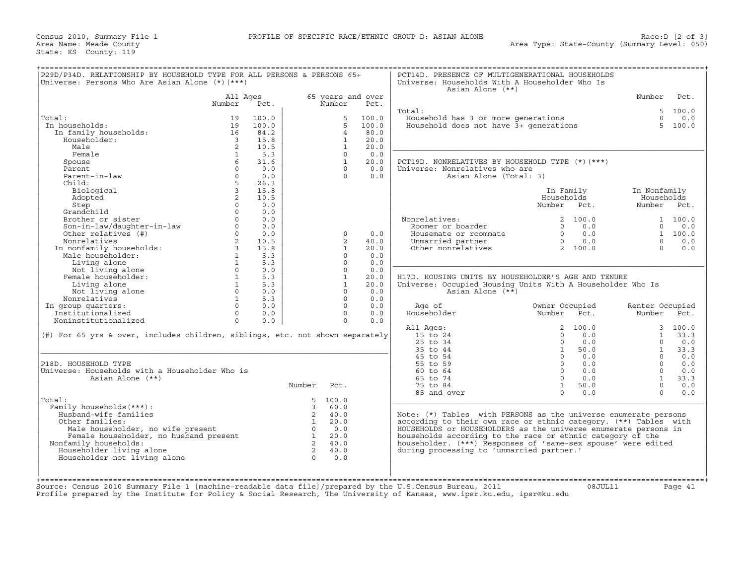| P29D/P34D. RELATIONSHIP BY HOUSEHOLD TYPE FOR ALL PERSONS & PERSONS 65+<br>Universe: Persons Who Are Asian Alone $(*)$ $(***)$                                                                                                                                                                |                         |                 |                                                                     |                   |       | PCT14D. PRESENCE OF MULTIGENERATIONAL HOUSEHOLDS<br>Universe: Households With A Householder Who Is<br>Asian Alone (**)                                                                                                        |                         |                 |                |
|-----------------------------------------------------------------------------------------------------------------------------------------------------------------------------------------------------------------------------------------------------------------------------------------------|-------------------------|-----------------|---------------------------------------------------------------------|-------------------|-------|-------------------------------------------------------------------------------------------------------------------------------------------------------------------------------------------------------------------------------|-------------------------|-----------------|----------------|
|                                                                                                                                                                                                                                                                                               | All Ages                |                 |                                                                     | 65 years and over |       |                                                                                                                                                                                                                               |                         | Number          | Pct.           |
|                                                                                                                                                                                                                                                                                               | Number                  | Pct.            |                                                                     | Number            | Pct.  |                                                                                                                                                                                                                               |                         |                 |                |
|                                                                                                                                                                                                                                                                                               |                         |                 |                                                                     |                   |       | Total:                                                                                                                                                                                                                        |                         |                 | 5, 100.0       |
| Total:                                                                                                                                                                                                                                                                                        | 19                      | 100.0           |                                                                     | 5                 | 100.0 | <br>Household has 3 or more generations<br>Household does not have 3+ generations                                                                                                                                             |                         |                 | $0 \t 0.0$     |
| In households:                                                                                                                                                                                                                                                                                | 19                      | 100.0           |                                                                     | 5                 | 100.0 |                                                                                                                                                                                                                               |                         |                 | 5, 100.0       |
| In family households:                                                                                                                                                                                                                                                                         | 16                      | 84.2            |                                                                     | $\overline{4}$    | 80.0  |                                                                                                                                                                                                                               |                         |                 |                |
| Householder:                                                                                                                                                                                                                                                                                  | $\overline{\mathbf{3}}$ | 15.8            |                                                                     | $\mathbf{1}$      | 20.0  |                                                                                                                                                                                                                               |                         |                 |                |
| Male                                                                                                                                                                                                                                                                                          | 2                       | 10.5            |                                                                     | $\mathbf{1}$      | 20.0  |                                                                                                                                                                                                                               |                         |                 |                |
| Female                                                                                                                                                                                                                                                                                        | $\mathbf{1}$            | 5.3             |                                                                     | $\Omega$          | 0.0   |                                                                                                                                                                                                                               |                         |                 |                |
| Spouse                                                                                                                                                                                                                                                                                        |                         | 31.6            |                                                                     | $\overline{1}$    | 20.0  | PCT19D. NONRELATIVES BY HOUSEHOLD TYPE (*) (***)                                                                                                                                                                              |                         |                 |                |
| Parent                                                                                                                                                                                                                                                                                        | $\circ$                 | 0.0             |                                                                     | $\Omega$          | 0.0   | Universe: Nonrelatives who are                                                                                                                                                                                                |                         |                 |                |
| Parent-in-law                                                                                                                                                                                                                                                                                 | $\Omega$                | 0.0             |                                                                     | $\cap$            | 0.0   | Asian Alone (Total: 3)                                                                                                                                                                                                        |                         |                 |                |
| Child:                                                                                                                                                                                                                                                                                        | 5                       | 26.3            |                                                                     |                   |       |                                                                                                                                                                                                                               |                         |                 |                |
| Biological                                                                                                                                                                                                                                                                                    | $\overline{\mathbf{3}}$ | 15.8            |                                                                     |                   |       |                                                                                                                                                                                                                               | In Family               | In Nonfamily    |                |
| Adopted                                                                                                                                                                                                                                                                                       | $2^{\circ}$             | 10.5            |                                                                     |                   |       |                                                                                                                                                                                                                               | Households              | Households      |                |
| Step                                                                                                                                                                                                                                                                                          | $\Omega$                | 0.0             |                                                                     |                   |       |                                                                                                                                                                                                                               | Number Pct.             | Number Pct.     |                |
| Grandchild                                                                                                                                                                                                                                                                                    | $\Omega$                | 0.0             |                                                                     |                   |       |                                                                                                                                                                                                                               |                         |                 |                |
| Brother or sister                                                                                                                                                                                                                                                                             | $\Omega$                | 0.0             |                                                                     |                   |       | Nonrelatives:                                                                                                                                                                                                                 | 2 100.0                 |                 | 1 100.0        |
| Siocher or Siscer<br>Son-in-law/daughter-in-law<br>Other relatives (#)                                                                                                                                                                                                                        | $\Omega$                | 0.0             |                                                                     |                   |       | Roomer or boarder                                                                                                                                                                                                             | 0 0.0                   |                 | $0 \t 0.0$     |
|                                                                                                                                                                                                                                                                                               | $0 \qquad \qquad$       | 0.0             |                                                                     | $\Omega$          | 0.0   |                                                                                                                                                                                                                               |                         |                 | 1 100.0        |
|                                                                                                                                                                                                                                                                                               |                         |                 |                                                                     | $\overline{2}$    | 40.0  |                                                                                                                                                                                                                               |                         | $\Omega$        | 0.0            |
|                                                                                                                                                                                                                                                                                               |                         |                 |                                                                     | $\mathbf{1}$      | 20.0  | Provident comments and the comments of the community of the community of the contract of the contract of the community of the contract of the contract of the contract of the contract of the contract of the contract of the |                         | $\Omega$        | 0.0            |
|                                                                                                                                                                                                                                                                                               |                         |                 |                                                                     | $\Omega$          | 0.0   |                                                                                                                                                                                                                               |                         |                 |                |
|                                                                                                                                                                                                                                                                                               |                         |                 |                                                                     | $\Omega$          | 0.0   |                                                                                                                                                                                                                               |                         |                 |                |
|                                                                                                                                                                                                                                                                                               |                         |                 |                                                                     | $\Omega$          | 0.0   |                                                                                                                                                                                                                               |                         |                 |                |
|                                                                                                                                                                                                                                                                                               |                         |                 |                                                                     | <sup>1</sup>      | 20.0  | H17D. HOUSING UNITS BY HOUSEHOLDER'S AGE AND TENURE                                                                                                                                                                           |                         |                 |                |
| Other relatives (#)<br>Nonrelatives (#)<br>In nonfamily households:<br>Male householder:<br>Living alone<br>Not living alone<br>Female householder:<br>Living alone<br>$\begin{array}{cccc}\n1 & 5.3 \\ 1 & 5.3 \\ 1 & 5.3 \\ 1 & 5.3 \\ 1 & 5.3 \\ 1 & 5.3 \\ 1 & 5.3 \\ 1 & 5.3 \\ 1 & 5.3$ |                         |                 |                                                                     | $\mathbf{1}$      | 20.0  | Universe: Occupied Housing Units With A Householder Who Is                                                                                                                                                                    |                         |                 |                |
| Not living alone                                                                                                                                                                                                                                                                              | $0 \qquad \qquad$       | 0.0             |                                                                     | $\Omega$          | 0.0   | Asian Alone (**)                                                                                                                                                                                                              |                         |                 |                |
| Nonrelatives                                                                                                                                                                                                                                                                                  | $1 \quad \cdots$        | 5.3             |                                                                     | $\Omega$          | 0.0   |                                                                                                                                                                                                                               |                         |                 |                |
| In group quarters:                                                                                                                                                                                                                                                                            |                         | $\Omega$<br>0.0 |                                                                     | $\Omega$          | 0.0   | Age of                                                                                                                                                                                                                        | Owner Occupied          | Renter Occupied |                |
| Institutionalized                                                                                                                                                                                                                                                                             | $0 \qquad \qquad$       | 0.0             |                                                                     | $\circ$           | 0.0   | Householder                                                                                                                                                                                                                   | Number Pct.             | Number Pct.     |                |
| Noninstitutionalized                                                                                                                                                                                                                                                                          | $\Omega$                | 0.0             |                                                                     | $\Omega$          | 0.0   |                                                                                                                                                                                                                               |                         |                 |                |
|                                                                                                                                                                                                                                                                                               |                         |                 |                                                                     |                   |       | All Ages:                                                                                                                                                                                                                     | 2 100.0                 |                 | 3, 100.0       |
| (#) For 65 yrs & over, includes children, siblings, etc. not shown separately                                                                                                                                                                                                                 |                         |                 |                                                                     |                   |       | 15 to 24                                                                                                                                                                                                                      | 0.0<br>$\Omega$         |                 | $1 \quad 33.3$ |
|                                                                                                                                                                                                                                                                                               |                         |                 |                                                                     |                   |       | $25$ to $34$                                                                                                                                                                                                                  | $\Omega$<br>0.0         | $\Omega$        | 0.0            |
|                                                                                                                                                                                                                                                                                               |                         |                 |                                                                     |                   |       | 35 to 44                                                                                                                                                                                                                      | $\mathbf{1}$<br>50.0    | 1               | 33.3           |
|                                                                                                                                                                                                                                                                                               |                         |                 |                                                                     |                   |       | 45 to 54                                                                                                                                                                                                                      | $0 \t 0.0$              |                 | $0 \t 0.0$     |
|                                                                                                                                                                                                                                                                                               |                         |                 |                                                                     |                   |       | 55 to 59                                                                                                                                                                                                                      | $0 \qquad 0.0$          | $\Omega$        | 0.0            |
| P18D. HOUSEHOLD TYPE                                                                                                                                                                                                                                                                          |                         |                 |                                                                     |                   |       |                                                                                                                                                                                                                               |                         |                 | 0.0            |
| Universe: Households with a Householder Who is                                                                                                                                                                                                                                                |                         |                 |                                                                     |                   |       | 60 to 64                                                                                                                                                                                                                      | $0 \qquad 0.0$          | $\Omega$        |                |
| Asian Alone (**)                                                                                                                                                                                                                                                                              |                         |                 |                                                                     |                   |       | 65 to 74                                                                                                                                                                                                                      | $0 \qquad 0.0$          | 1               | 33.3           |
|                                                                                                                                                                                                                                                                                               |                         |                 |                                                                     |                   |       |                                                                                                                                                                                                                               | $\mathbf{1}$            | $\Omega$        |                |
|                                                                                                                                                                                                                                                                                               |                         |                 | Number Pct.                                                         |                   |       | 75 to 84<br>85 and over                                                                                                                                                                                                       | 50.0<br>0.0<br>$\Omega$ | $\Omega$        | 0.0<br>0.0     |
| Total:                                                                                                                                                                                                                                                                                        |                         |                 |                                                                     | 5, 100.0          |       |                                                                                                                                                                                                                               |                         |                 |                |
|                                                                                                                                                                                                                                                                                               |                         |                 | $\overline{3}$                                                      | 60.0              |       |                                                                                                                                                                                                                               |                         |                 |                |
| Family households (***) :                                                                                                                                                                                                                                                                     |                         |                 |                                                                     | 2 40.0            |       |                                                                                                                                                                                                                               |                         |                 |                |
| Husband-wife families                                                                                                                                                                                                                                                                         |                         |                 |                                                                     | 20.0              |       | Note: $(*)$ Tables with PERSONS as the universe enumerate persons                                                                                                                                                             |                         |                 |                |
| Other families:                                                                                                                                                                                                                                                                               |                         |                 |                                                                     | 0.0               |       | according to their own race or ethnic category. (**) Tables with                                                                                                                                                              |                         |                 |                |
| Male householder, no wife present                                                                                                                                                                                                                                                             |                         |                 | $\frac{2}{1}$                                                       | 20.0              |       | HOUSEHOLDS or HOUSEHOLDERS as the universe enumerate persons in                                                                                                                                                               |                         |                 |                |
| ner ramifies:<br>Male householder, no wife present the constant of the constant of the constant of the constant of the constant<br>Complex bouseholder, no husband present the constant of the constant of the constant of the const                                                          |                         |                 |                                                                     | 2 40.0            |       | households according to the race or ethnic category of the                                                                                                                                                                    |                         |                 |                |
| Nonfamily households:                                                                                                                                                                                                                                                                         |                         |                 |                                                                     |                   |       | householder. (***) Responses of 'same-sex spouse' were edited                                                                                                                                                                 |                         |                 |                |
| Householder living alone                                                                                                                                                                                                                                                                      |                         |                 | $\begin{matrix} 2 & 40.0 \\ 0 & 0.0 \end{matrix}$<br>$\overline{0}$ | 0.0               |       | during processing to 'unmarried partner.'                                                                                                                                                                                     |                         |                 |                |
| Householder not living alone                                                                                                                                                                                                                                                                  |                         |                 |                                                                     |                   |       |                                                                                                                                                                                                                               |                         |                 |                |
|                                                                                                                                                                                                                                                                                               |                         |                 |                                                                     |                   |       |                                                                                                                                                                                                                               |                         |                 |                |
|                                                                                                                                                                                                                                                                                               |                         |                 |                                                                     |                   |       |                                                                                                                                                                                                                               |                         |                 |                |
| Source: Census 2010 Summary File 1 [machine-readable data file]/prepared by the U.S.Census Bureau, 2011<br>Profile prepared by the Institute for Policy & Social Research, The University of Kansas, www.ipsr.ku.edu, ipsr@ku.edu                                                             |                         |                 |                                                                     |                   |       |                                                                                                                                                                                                                               | 08JUL11                 |                 | Page 41        |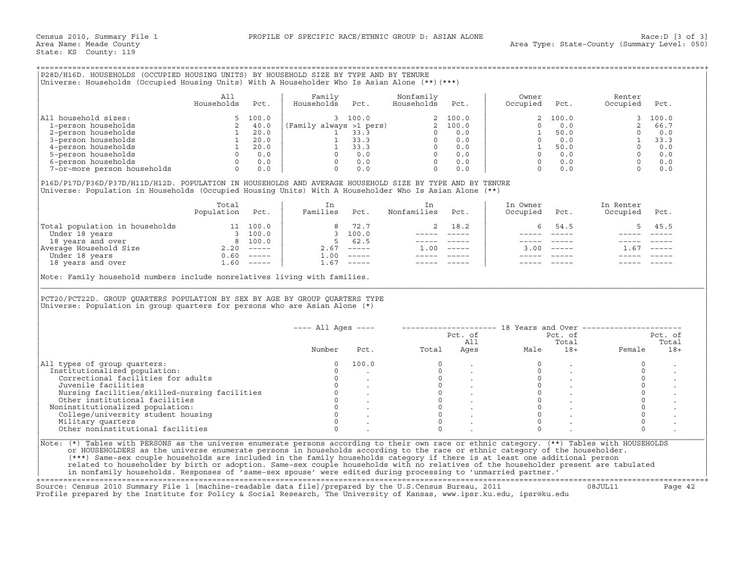| P28D/H16D. HOUSEHOLDS (OCCUPIED HOUSING UNITS) BY HOUSEHOLD SIZE BY TYPE AND BY TENURE         |  |
|------------------------------------------------------------------------------------------------|--|
| (Universe: Households (Occupied Housing Units) With A Householder Who Is Asian Alone (**)(***) |  |

|                             | All<br>Households | Pct.  | Family<br>Households    | Pct.  | Nonfamily<br>Households | Pct.    | Owner<br>Occupied | Pct.  | Renter<br>Occupied | Pct.  |
|-----------------------------|-------------------|-------|-------------------------|-------|-------------------------|---------|-------------------|-------|--------------------|-------|
| household sizes:<br> All    |                   | 100.0 |                         | 100.0 |                         | 2 100.0 |                   | 100.0 |                    | 100.0 |
| 1-person households         |                   | 40.0  | (Family always >1 pers) |       |                         | 2 100.0 |                   |       |                    | 66.7  |
| 2-person households         |                   | 20.0  |                         | 33.3  |                         | 0.0     |                   | 50.0  |                    | 0.0   |
| 3-person households         |                   | 20.0  |                         | 33.3  |                         | 0.0     |                   | 0.0   |                    | 33.3  |
| 4-person households         |                   | 20.0  |                         | 33.3  |                         | 0.0     |                   | 50.0  |                    | 0.0   |
| 5-person households         |                   | 0.0   |                         | 0.0   |                         | 0.0     |                   | 0.0   |                    | 0.0   |
| 6-person households         |                   | 0.0   |                         | 0.0   |                         | 0.0     |                   |       |                    | 0.0   |
| 7-or-more person households |                   | 0.0   |                         | 0.0   |                         | 0.0     |                   |       |                    | 0.0   |

|                                | Total<br>Population | Pct.                      | Families           | Pct.                      | Nonfamilies | Pct.          | In Owner<br>Occupied | Pct.          | In Renter<br>Occupied | Pct.     |
|--------------------------------|---------------------|---------------------------|--------------------|---------------------------|-------------|---------------|----------------------|---------------|-----------------------|----------|
| Total population in households |                     | 100.0                     |                    | 8 72.7                    |             | 2 18.2        |                      | 54.5          |                       | 5 45.5   |
| Under 18 years                 |                     | 100.0                     |                    | 3, 100.0                  |             |               |                      |               |                       |          |
| 18 years and over              | 8                   | 100.0                     |                    | 62.5                      |             |               |                      |               |                       |          |
| Average Household Size         | 2.20                | $\qquad \qquad - - - - -$ | 2.67               | $\frac{1}{2}$             | .00         | $- - - - - -$ | 3.00                 | $\frac{1}{2}$ | 1.67                  | $------$ |
| Under 18 years                 | 0.60                | $- - - - - -$             | $\overline{1}$ .00 | $\qquad \qquad - - - - -$ |             |               |                      |               |                       |          |
| 18 years and over              | ⊥.60                | $------$                  | 1.67               | $- - - - - -$             |             |               |                      |               |                       |          |

| P28D/H16D. HOUSEHOLDS (OCCUPIED HOUSING UNITS) BY HOUSEHOLD SIZE BY TYPE AND BY TENURE<br>Universe: Households (Occupied Housing Units) With A Householder Who Is Asian Alone (**) (***)                                                            |                          |      |                           |                                                                                   |              |                                                                                                                                                                                                                                                                                                                                                                                                                                     |                                                                                                                                                                                                                                                                                                                                                                                              |                                                                                                                                                                                                                 |                |
|-----------------------------------------------------------------------------------------------------------------------------------------------------------------------------------------------------------------------------------------------------|--------------------------|------|---------------------------|-----------------------------------------------------------------------------------|--------------|-------------------------------------------------------------------------------------------------------------------------------------------------------------------------------------------------------------------------------------------------------------------------------------------------------------------------------------------------------------------------------------------------------------------------------------|----------------------------------------------------------------------------------------------------------------------------------------------------------------------------------------------------------------------------------------------------------------------------------------------------------------------------------------------------------------------------------------------|-----------------------------------------------------------------------------------------------------------------------------------------------------------------------------------------------------------------|----------------|
|                                                                                                                                                                                                                                                     | All<br>Households        | Pct. | Family<br>Households Pct. | Nonfamily<br>Households                                                           | Pct.         | Owner<br>Occupied                                                                                                                                                                                                                                                                                                                                                                                                                   | Pct.                                                                                                                                                                                                                                                                                                                                                                                         | Renter<br>Occupied                                                                                                                                                                                              | Pct.           |
| All household sizes:                                                                                                                                                                                                                                |                          |      |                           |                                                                                   |              |                                                                                                                                                                                                                                                                                                                                                                                                                                     | 100.0                                                                                                                                                                                                                                                                                                                                                                                        |                                                                                                                                                                                                                 | 3 100.0        |
|                                                                                                                                                                                                                                                     |                          |      |                           |                                                                                   |              | $\Omega$                                                                                                                                                                                                                                                                                                                                                                                                                            | 0.0                                                                                                                                                                                                                                                                                                                                                                                          |                                                                                                                                                                                                                 |                |
|                                                                                                                                                                                                                                                     |                          |      |                           |                                                                                   |              |                                                                                                                                                                                                                                                                                                                                                                                                                                     |                                                                                                                                                                                                                                                                                                                                                                                              |                                                                                                                                                                                                                 |                |
|                                                                                                                                                                                                                                                     |                          |      |                           |                                                                                   |              |                                                                                                                                                                                                                                                                                                                                                                                                                                     |                                                                                                                                                                                                                                                                                                                                                                                              |                                                                                                                                                                                                                 |                |
|                                                                                                                                                                                                                                                     |                          |      |                           |                                                                                   |              |                                                                                                                                                                                                                                                                                                                                                                                                                                     |                                                                                                                                                                                                                                                                                                                                                                                              |                                                                                                                                                                                                                 |                |
|                                                                                                                                                                                                                                                     |                          |      |                           |                                                                                   |              |                                                                                                                                                                                                                                                                                                                                                                                                                                     |                                                                                                                                                                                                                                                                                                                                                                                              |                                                                                                                                                                                                                 |                |
|                                                                                                                                                                                                                                                     |                          |      |                           |                                                                                   |              |                                                                                                                                                                                                                                                                                                                                                                                                                                     |                                                                                                                                                                                                                                                                                                                                                                                              |                                                                                                                                                                                                                 |                |
|                                                                                                                                                                                                                                                     |                          |      |                           |                                                                                   |              |                                                                                                                                                                                                                                                                                                                                                                                                                                     |                                                                                                                                                                                                                                                                                                                                                                                              | $\begin{array}{cccc} 2 & 66 \cdot \textit{i} \\ 0 & 0 \cdot 0 \\ 1 & 33 \cdot 3 \\ 0 & 0 \cdot 0 \\ 0 & 0 \cdot 0 \\ 0 & 0 \cdot \textit{i} \\ 0 & 0 \cdot \textit{i} \\ 0 & 0 \cdot \textit{i} \\ \end{array}$ |                |
| P16D/P17D/P36D/P37D/H11D/H12D. POPULATION IN HOUSEHOLDS AND AVERAGE HOUSEHOLD SIZE BY TYPE AND BY TENURE<br>Universe: Population in Households (Occupied Housing Units) With A Householder Who Is Asian Alone (**)                                  |                          |      |                           |                                                                                   |              |                                                                                                                                                                                                                                                                                                                                                                                                                                     |                                                                                                                                                                                                                                                                                                                                                                                              |                                                                                                                                                                                                                 |                |
|                                                                                                                                                                                                                                                     | Total<br>Population Pct. |      | In<br>Families Pct.       | In<br>Nonfamilies Pct.                                                            |              | In Owner<br>Occupied Pct.                                                                                                                                                                                                                                                                                                                                                                                                           |                                                                                                                                                                                                                                                                                                                                                                                              | In Renter<br>Occupied Pct.                                                                                                                                                                                      |                |
|                                                                                                                                                                                                                                                     |                          |      |                           | 2                                                                                 | 18.2         | 6                                                                                                                                                                                                                                                                                                                                                                                                                                   | 54.5                                                                                                                                                                                                                                                                                                                                                                                         | 5                                                                                                                                                                                                               | 45.5           |
|                                                                                                                                                                                                                                                     |                          |      |                           |                                                                                   | ----- -----  |                                                                                                                                                                                                                                                                                                                                                                                                                                     | $\frac{1}{2} \frac{1}{2} \frac{1}{2} \frac{1}{2} \frac{1}{2} \frac{1}{2} \frac{1}{2} \frac{1}{2} \frac{1}{2} \frac{1}{2} \frac{1}{2} \frac{1}{2} \frac{1}{2} \frac{1}{2} \frac{1}{2} \frac{1}{2} \frac{1}{2} \frac{1}{2} \frac{1}{2} \frac{1}{2} \frac{1}{2} \frac{1}{2} \frac{1}{2} \frac{1}{2} \frac{1}{2} \frac{1}{2} \frac{1}{2} \frac{1}{2} \frac{1}{2} \frac{1}{2} \frac{1}{2} \frac{$ |                                                                                                                                                                                                                 |                |
|                                                                                                                                                                                                                                                     |                          |      |                           |                                                                                   | ____________ |                                                                                                                                                                                                                                                                                                                                                                                                                                     |                                                                                                                                                                                                                                                                                                                                                                                              | $------$                                                                                                                                                                                                        |                |
|                                                                                                                                                                                                                                                     |                          |      |                           |                                                                                   | $1.00$ ----- |                                                                                                                                                                                                                                                                                                                                                                                                                                     | $3.00$ -----                                                                                                                                                                                                                                                                                                                                                                                 | $1.67$ -----                                                                                                                                                                                                    |                |
|                                                                                                                                                                                                                                                     |                          |      |                           |                                                                                   |              |                                                                                                                                                                                                                                                                                                                                                                                                                                     |                                                                                                                                                                                                                                                                                                                                                                                              |                                                                                                                                                                                                                 |                |
|                                                                                                                                                                                                                                                     |                          |      |                           | ----- -----                                                                       |              |                                                                                                                                                                                                                                                                                                                                                                                                                                     |                                                                                                                                                                                                                                                                                                                                                                                              |                                                                                                                                                                                                                 |                |
| PCT20/PCT22D. GROUP QUARTERS POPULATION BY SEX BY AGE BY GROUP QUARTERS TYPE<br>Universe: Population in group quarters for persons who are Asian Alone $(*)$                                                                                        |                          |      |                           |                                                                                   |              |                                                                                                                                                                                                                                                                                                                                                                                                                                     |                                                                                                                                                                                                                                                                                                                                                                                              |                                                                                                                                                                                                                 |                |
|                                                                                                                                                                                                                                                     |                          |      |                           | ---- All Ages ----    --------------------    18 Years and Over ----------------- |              |                                                                                                                                                                                                                                                                                                                                                                                                                                     |                                                                                                                                                                                                                                                                                                                                                                                              |                                                                                                                                                                                                                 |                |
|                                                                                                                                                                                                                                                     |                          |      |                           |                                                                                   |              |                                                                                                                                                                                                                                                                                                                                                                                                                                     |                                                                                                                                                                                                                                                                                                                                                                                              | Pct. of Pct. of                                                                                                                                                                                                 |                |
|                                                                                                                                                                                                                                                     |                          |      | Number                    | Pct.                                                                              |              |                                                                                                                                                                                                                                                                                                                                                                                                                                     |                                                                                                                                                                                                                                                                                                                                                                                              | Pct. of Pct. of Pct. of I<br>Total Ages Male 18+ Female                                                                                                                                                         | Total<br>$18+$ |
|                                                                                                                                                                                                                                                     |                          |      |                           |                                                                                   |              |                                                                                                                                                                                                                                                                                                                                                                                                                                     |                                                                                                                                                                                                                                                                                                                                                                                              |                                                                                                                                                                                                                 |                |
| All types of group quarters:                                                                                                                                                                                                                        |                          |      |                           | $\circ$                                                                           |              | $\circ$                                                                                                                                                                                                                                                                                                                                                                                                                             |                                                                                                                                                                                                                                                                                                                                                                                              | $\circ$                                                                                                                                                                                                         |                |
| Institutionalized population:                                                                                                                                                                                                                       |                          |      |                           |                                                                                   |              |                                                                                                                                                                                                                                                                                                                                                                                                                                     |                                                                                                                                                                                                                                                                                                                                                                                              | $\mathbf{0}$                                                                                                                                                                                                    |                |
|                                                                                                                                                                                                                                                     |                          |      |                           |                                                                                   |              |                                                                                                                                                                                                                                                                                                                                                                                                                                     |                                                                                                                                                                                                                                                                                                                                                                                              | $\circ$                                                                                                                                                                                                         |                |
|                                                                                                                                                                                                                                                     |                          |      |                           |                                                                                   |              |                                                                                                                                                                                                                                                                                                                                                                                                                                     |                                                                                                                                                                                                                                                                                                                                                                                              | $\circ$                                                                                                                                                                                                         |                |
|                                                                                                                                                                                                                                                     |                          |      |                           |                                                                                   |              | $\begin{array}{ccccc} 0 & & & & & \\ 0 & & & & & \\ 0 & & & & & \\ 0 & & & & & \\ 0 & & & & & \\ 0 & & & & & \\ 0 & & & & & \\ 0 & & & & & \\ 0 & & & & & \\ 0 & & & & & \\ 0 & & & & & \\ 0 & & & & & \\ 0 & & & & & \\ 0 & & & & & \\ 0 & & & & & \\ 0 & & & & & \\ 0 & & & & & \\ 0 & & & & & \\ 0 & & & & & \\ 0 & & & & & \\ 0 & & & & & & \\ 0 & & & & & & \\ 0 & & & & & & \\ 0 & & & & & & \\ 0 & & & & & & \\ 0 & & & & &$ |                                                                                                                                                                                                                                                                                                                                                                                              | $\circ$                                                                                                                                                                                                         |                |
|                                                                                                                                                                                                                                                     |                          |      |                           |                                                                                   |              |                                                                                                                                                                                                                                                                                                                                                                                                                                     |                                                                                                                                                                                                                                                                                                                                                                                              | $\circ$                                                                                                                                                                                                         |                |
| Noninstitutionalized population:                                                                                                                                                                                                                    |                          |      |                           |                                                                                   |              |                                                                                                                                                                                                                                                                                                                                                                                                                                     |                                                                                                                                                                                                                                                                                                                                                                                              | $\mathbf{0}$                                                                                                                                                                                                    |                |
|                                                                                                                                                                                                                                                     |                          |      |                           |                                                                                   |              |                                                                                                                                                                                                                                                                                                                                                                                                                                     |                                                                                                                                                                                                                                                                                                                                                                                              | $\Omega$                                                                                                                                                                                                        |                |
|                                                                                                                                                                                                                                                     |                          |      |                           | $\overline{0}$                                                                    |              | $\Omega$                                                                                                                                                                                                                                                                                                                                                                                                                            |                                                                                                                                                                                                                                                                                                                                                                                              | $\Omega$                                                                                                                                                                                                        |                |
| University of the material of the material of the material of the material of the material of the institutional facilities<br>(0 100.0 )<br>Other institutional facilities<br>other institutional facilities<br>institutionalized popu              |                          |      |                           | $\cap$                                                                            |              | $\cap$                                                                                                                                                                                                                                                                                                                                                                                                                              |                                                                                                                                                                                                                                                                                                                                                                                              | $\cap$                                                                                                                                                                                                          |                |
|                                                                                                                                                                                                                                                     |                          |      |                           |                                                                                   |              |                                                                                                                                                                                                                                                                                                                                                                                                                                     |                                                                                                                                                                                                                                                                                                                                                                                              |                                                                                                                                                                                                                 |                |
| Note: (*) Tables with PERSONS as the universe enumerate persons according to their own race or ethnic category. (**) Tables with HOUSEHOLDS                                                                                                         |                          |      |                           |                                                                                   |              |                                                                                                                                                                                                                                                                                                                                                                                                                                     |                                                                                                                                                                                                                                                                                                                                                                                              |                                                                                                                                                                                                                 |                |
| or HOUSEHOLDERS as the universe enumerate persons in households according to the race or ethnic category of the householder.                                                                                                                        |                          |      |                           |                                                                                   |              |                                                                                                                                                                                                                                                                                                                                                                                                                                     |                                                                                                                                                                                                                                                                                                                                                                                              |                                                                                                                                                                                                                 |                |
| (***) Same-sex couple households are included in the family households category if there is at least one additional person                                                                                                                          |                          |      |                           |                                                                                   |              |                                                                                                                                                                                                                                                                                                                                                                                                                                     |                                                                                                                                                                                                                                                                                                                                                                                              |                                                                                                                                                                                                                 |                |
|                                                                                                                                                                                                                                                     |                          |      |                           |                                                                                   |              |                                                                                                                                                                                                                                                                                                                                                                                                                                     |                                                                                                                                                                                                                                                                                                                                                                                              |                                                                                                                                                                                                                 |                |
| related to householder by birth or adoption. Same-sex couple households with no relatives of the householder present are tabulated<br>in nonfamily households. Responses of 'same-sex spouse' were edited during processing to 'unmarried partner.' |                          |      |                           |                                                                                   |              |                                                                                                                                                                                                                                                                                                                                                                                                                                     |                                                                                                                                                                                                                                                                                                                                                                                              |                                                                                                                                                                                                                 |                |

+===================================================================================================================================================+ Source: Census 2010 Summary File 1 [machine−readable data file]/prepared by the U.S.Census Bureau, 2011 08JUL11 Page 42

Profile prepared by the Institute for Policy & Social Research, The University of Kansas, www.ipsr.ku.edu, ipsr@ku.edu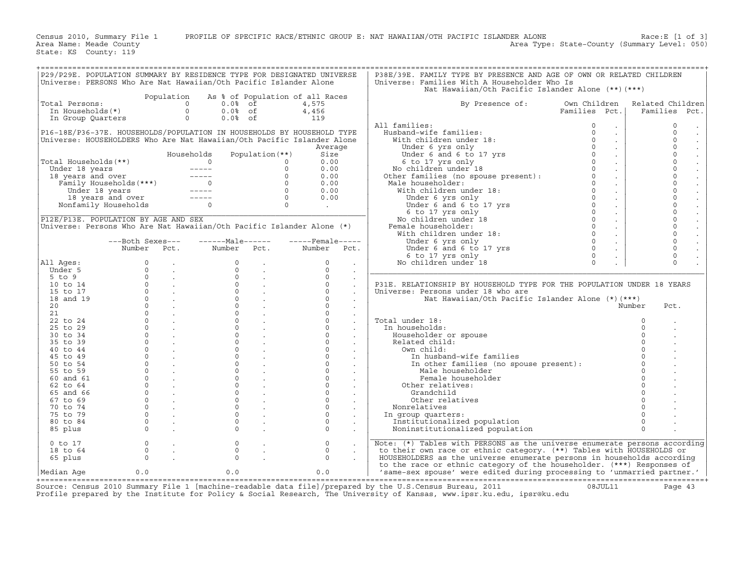Census 2010, Summary File 1 PROFILE OF SPECIFIC RACE/ETHNIC GROUP E: NAT HAWAIIAN/OTH PACIFIC ISLANDER ALONE Race:E [1 of 3]<br>Area Name: Meade County Level: 050) Area Type: State-County (Summary Level: 050) Area Type: State-County (Summary Level: 050)

State: KS County: 119

| P29/P29E. POPULATION SUMMARY BY RESIDENCE TYPE FOR DESIGNATED UNIVERSE<br>Universe: PERSONS Who Are Nat Hawaiian/Oth Pacific Islander Alone |            |                                              |         | P38E/39E. FAMILY TYPE BY PRESENCE AND AGE OF OWN OR RELATED CHILDREN<br>Universe: Families With A Householder Who Is |               |                  |
|---------------------------------------------------------------------------------------------------------------------------------------------|------------|----------------------------------------------|---------|----------------------------------------------------------------------------------------------------------------------|---------------|------------------|
|                                                                                                                                             |            |                                              |         | Nat Hawaiian/Oth Pacific Islander Alone (**)(***)                                                                    |               |                  |
| Total Persons:                                                                                                                              | Population | As % of Population of all Races<br>$0.0%$ of | 4,575   | By Presence of:                                                                                                      | Own Children  | Related Children |
| In Households(*)                                                                                                                            |            | $0.0%$ of                                    | 4,456   |                                                                                                                      | Families Pct. | Families Pct.    |
| In Group Quarters                                                                                                                           |            | $0.0%$ of                                    | 119     |                                                                                                                      |               |                  |
|                                                                                                                                             |            |                                              |         | All families:                                                                                                        |               |                  |
| P16-18E/P36-37E. HOUSEHOLDS/POPULATION IN HOUSEHOLDS BY HOUSEHOLD TYPE                                                                      |            |                                              |         | Husband-wife families:                                                                                               |               |                  |
| Universe: HOUSEHOLDERS Who Are Nat Hawaiian/Oth Pacific Islander Alone                                                                      |            |                                              |         | With children under 18:                                                                                              |               |                  |
|                                                                                                                                             |            |                                              | Average | Under 6 yrs only                                                                                                     |               |                  |
|                                                                                                                                             | Households | Population $(**)$                            | Size    | Under 6 and 6 to 17 yrs                                                                                              |               |                  |
| Total Households(**)                                                                                                                        |            |                                              | 0.00    | 6 to 17 yrs only                                                                                                     |               |                  |
| Under 18 years                                                                                                                              |            |                                              | 0.00    | No children under 18                                                                                                 |               |                  |

|                      | P29/P29E. POPULATION SUMMARY BY RESIDENCE TYPE FOR DESIGNATED UNIVERSE<br>Universe: PERSONS Who Are Nat Hawaiian/Oth Pacific Islander Alone |                                             |                                                                                                                                                                                                                                                                                                                                                                                                                                                                            |                   |                            |                                              | P38E/39E. FAMILY TYPE BY PRESENCE AND AGE OF OWN OR RELATED CHILDREN<br>Universe: Families With A Householder Who Is |                                  |              |                     |                                     |
|----------------------|---------------------------------------------------------------------------------------------------------------------------------------------|---------------------------------------------|----------------------------------------------------------------------------------------------------------------------------------------------------------------------------------------------------------------------------------------------------------------------------------------------------------------------------------------------------------------------------------------------------------------------------------------------------------------------------|-------------------|----------------------------|----------------------------------------------|----------------------------------------------------------------------------------------------------------------------|----------------------------------|--------------|---------------------|-------------------------------------|
|                      |                                                                                                                                             |                                             |                                                                                                                                                                                                                                                                                                                                                                                                                                                                            |                   |                            |                                              | Nat Hawaiian/Oth Pacific Islander Alone (**)(***)                                                                    |                                  |              |                     |                                     |
|                      |                                                                                                                                             | Population                                  | As % of Population of all Races                                                                                                                                                                                                                                                                                                                                                                                                                                            |                   |                            |                                              |                                                                                                                      |                                  |              |                     |                                     |
| Total Persons:       |                                                                                                                                             |                                             | $\Omega$<br>$0.0%$ of                                                                                                                                                                                                                                                                                                                                                                                                                                                      |                   | 4,575                      |                                              | By Presence of:                                                                                                      | Own Children                     |              | Related Children    |                                     |
| In Households(*)     |                                                                                                                                             |                                             | $\circ$<br>$0.0%$ of                                                                                                                                                                                                                                                                                                                                                                                                                                                       |                   | 4,456                      |                                              |                                                                                                                      | Families Pct.                    |              | Families Pct.       |                                     |
|                      | In Group Quarters                                                                                                                           |                                             | $\circ$<br>$0.0%$ of                                                                                                                                                                                                                                                                                                                                                                                                                                                       |                   | 119                        |                                              |                                                                                                                      |                                  |              |                     |                                     |
|                      |                                                                                                                                             |                                             |                                                                                                                                                                                                                                                                                                                                                                                                                                                                            |                   |                            |                                              | All families:                                                                                                        | $\circ$<br>$\sim$                |              | $\circ$             | $\sim$                              |
|                      | P16-18E/P36-37E. HOUSEHOLDS/POPULATION IN HOUSEHOLDS BY HOUSEHOLD TYPE                                                                      |                                             |                                                                                                                                                                                                                                                                                                                                                                                                                                                                            |                   |                            |                                              | Husband-wife families:<br>With children under 18:                                                                    | $\mathbf 0$<br>$\sim$<br>$\circ$ |              | $\circ$<br>$\Omega$ | $\sim$                              |
|                      | Universe: HOUSEHOLDERS Who Are Nat Hawaiian/Oth Pacific Islander Alone                                                                      |                                             |                                                                                                                                                                                                                                                                                                                                                                                                                                                                            |                   |                            |                                              |                                                                                                                      | $\sim$<br>$\Omega$               |              | $\Omega$            | $\Box$                              |
|                      |                                                                                                                                             |                                             | Households                                                                                                                                                                                                                                                                                                                                                                                                                                                                 | Population $(**)$ | Average<br>Size            |                                              | Under 6 yrs only<br>Under 6 and 6 to 17 yrs                                                                          | $\sim$<br>$\circ$<br>$\sim$      |              | $\Omega$            | $\mathbb{Z}^2$                      |
| Total Households(**) |                                                                                                                                             |                                             | $\Omega$                                                                                                                                                                                                                                                                                                                                                                                                                                                                   |                   | 0.00<br>$\circ$            |                                              | 6 to 17 yrs only                                                                                                     | $\Omega$<br>$\sim$               |              | $\cap$              | $\Box$<br>$\mathbb{Z}^{\mathbb{Z}}$ |
| Under 18 years       |                                                                                                                                             |                                             | $\frac{1}{2} \frac{1}{2} \frac{1}{2} \frac{1}{2} \frac{1}{2} \frac{1}{2} \frac{1}{2} \frac{1}{2} \frac{1}{2} \frac{1}{2} \frac{1}{2} \frac{1}{2} \frac{1}{2} \frac{1}{2} \frac{1}{2} \frac{1}{2} \frac{1}{2} \frac{1}{2} \frac{1}{2} \frac{1}{2} \frac{1}{2} \frac{1}{2} \frac{1}{2} \frac{1}{2} \frac{1}{2} \frac{1}{2} \frac{1}{2} \frac{1}{2} \frac{1}{2} \frac{1}{2} \frac{1}{2} \frac{$                                                                               |                   | $\Omega$<br>0.00           |                                              | No children under 18                                                                                                 | $\Omega$<br>$\sim$               |              | $\Omega$            | $\mathbb{Z}^2$                      |
|                      | 18 years and over                                                                                                                           |                                             | $\frac{1}{2} \left( \frac{1}{2} \right) \left( \frac{1}{2} \right) \left( \frac{1}{2} \right) \left( \frac{1}{2} \right) \left( \frac{1}{2} \right) \left( \frac{1}{2} \right) \left( \frac{1}{2} \right) \left( \frac{1}{2} \right) \left( \frac{1}{2} \right) \left( \frac{1}{2} \right) \left( \frac{1}{2} \right) \left( \frac{1}{2} \right) \left( \frac{1}{2} \right) \left( \frac{1}{2} \right) \left( \frac{1}{2} \right) \left( \frac{1}{2} \right) \left( \frac$ |                   | $\circ$<br>0.00            |                                              | Other families (no spouse present):                                                                                  | $\Omega$<br>$\sim$               |              | $\Omega$            | $\mathbb{Z}^{\mathbb{Z}}$           |
|                      | Family Households (***)                                                                                                                     |                                             | $\overline{\phantom{a}}$ 0                                                                                                                                                                                                                                                                                                                                                                                                                                                 |                   | $\Omega$<br>0.00           |                                              | Male householder:                                                                                                    | $\Omega$<br>$\sim$               |              | $\Omega$            | $\Box$                              |
|                      | Under 18 years                                                                                                                              |                                             | $------$                                                                                                                                                                                                                                                                                                                                                                                                                                                                   |                   | $\circ$<br>0.00            |                                              | With children under 18:                                                                                              | $\circ$<br>$\sim$                |              | $\Omega$            | $\mathbf{r}$                        |
|                      | 18 years and over                                                                                                                           |                                             | $\frac{1}{2} \frac{1}{2} \frac{1}{2} \frac{1}{2} \frac{1}{2} \frac{1}{2} \frac{1}{2} \frac{1}{2} \frac{1}{2} \frac{1}{2} \frac{1}{2} \frac{1}{2} \frac{1}{2} \frac{1}{2} \frac{1}{2} \frac{1}{2} \frac{1}{2} \frac{1}{2} \frac{1}{2} \frac{1}{2} \frac{1}{2} \frac{1}{2} \frac{1}{2} \frac{1}{2} \frac{1}{2} \frac{1}{2} \frac{1}{2} \frac{1}{2} \frac{1}{2} \frac{1}{2} \frac{1}{2} \frac{$                                                                               |                   | $\circ$<br>0.00            |                                              | Under 6 yrs only                                                                                                     | $\circ$<br>$\sim$                |              | $\Omega$            | $\Box$                              |
|                      | Nonfamily Households                                                                                                                        |                                             | $\Omega$                                                                                                                                                                                                                                                                                                                                                                                                                                                                   |                   | $\circ$<br>$\sim 10^{-11}$ |                                              | Under 6 and 6 to 17 yrs                                                                                              | $\circ$<br>$\sim$                |              | $\Omega$            | $\Box$                              |
|                      |                                                                                                                                             |                                             |                                                                                                                                                                                                                                                                                                                                                                                                                                                                            |                   |                            |                                              | 6 to 17 yrs only                                                                                                     | $\circ$<br>$\sim$                |              | $\Omega$            | $\Box$                              |
|                      | P12E/P13E. POPULATION BY AGE AND SEX                                                                                                        |                                             |                                                                                                                                                                                                                                                                                                                                                                                                                                                                            |                   |                            |                                              | No children under 18                                                                                                 | $\circ$<br>$\sim$                |              | $\Omega$            |                                     |
|                      | Universe: Persons Who Are Nat Hawaiian/Oth Pacific Islander Alone (*)                                                                       |                                             |                                                                                                                                                                                                                                                                                                                                                                                                                                                                            |                   |                            |                                              | Female householder:                                                                                                  | $\Omega$<br>$\sim$               |              | $\cap$              | $\Box$                              |
|                      |                                                                                                                                             |                                             |                                                                                                                                                                                                                                                                                                                                                                                                                                                                            |                   |                            |                                              | With children under 18:                                                                                              | $\Omega$<br>$\sim$               |              | $\Omega$            | $\mathbb{Z}^2$                      |
|                      | ---Both Sexes---                                                                                                                            |                                             | $---Maxe$                                                                                                                                                                                                                                                                                                                                                                                                                                                                  |                   | $---$ Female -----         |                                              | Under 6 yrs only                                                                                                     | $\circ$<br>$\sim$                |              | $\Omega$            | $\mathcal{L}^{\pm}$                 |
|                      | Number                                                                                                                                      | Pct.                                        | Number                                                                                                                                                                                                                                                                                                                                                                                                                                                                     | Pct.              | Number                     | Pct.                                         | Under 6 and 6 to 17 yrs                                                                                              | $\Omega$<br>$\sim$               |              | $\Omega$            | $\mathbb{Z}^{\mathbb{Z}}$           |
|                      |                                                                                                                                             |                                             |                                                                                                                                                                                                                                                                                                                                                                                                                                                                            |                   |                            |                                              | 6 to 17 yrs only                                                                                                     | $\mathbf 0$<br>$\bullet$         |              | $\mathbf 0$         |                                     |
| All Ages:            | 0                                                                                                                                           |                                             | $\circ$                                                                                                                                                                                                                                                                                                                                                                                                                                                                    |                   | $\circ$                    | $\sim$                                       | No children under 18                                                                                                 | $\Omega$                         |              | $\Omega$            |                                     |
| Under 5              | $\Omega$                                                                                                                                    |                                             |                                                                                                                                                                                                                                                                                                                                                                                                                                                                            |                   | $\Omega$                   | $\sim$                                       |                                                                                                                      |                                  |              |                     |                                     |
| $5$ to $9$           | $\Omega$                                                                                                                                    |                                             | $\Omega$                                                                                                                                                                                                                                                                                                                                                                                                                                                                   |                   | $\Omega$                   | $\sim$                                       |                                                                                                                      |                                  |              |                     |                                     |
| 10 to 14<br>15 to 17 | $\circ$<br>$\Omega$                                                                                                                         |                                             | $\Omega$<br>$\Omega$                                                                                                                                                                                                                                                                                                                                                                                                                                                       |                   | $\Omega$<br>$\Omega$       | $\sim$                                       | P31E. RELATIONSHIP BY HOUSEHOLD TYPE FOR THE POPULATION UNDER 18 YEARS<br>Universe: Persons under 18 who are         |                                  |              |                     |                                     |
| 18 and 19            | $\Omega$                                                                                                                                    | <b>Contract</b><br><b>Contract Contract</b> | $\Omega$                                                                                                                                                                                                                                                                                                                                                                                                                                                                   |                   | $\Omega$                   | $\sim$                                       | Nat Hawaiian/Oth Pacific Islander Alone $(*)$ $(***)$                                                                |                                  |              |                     |                                     |
| 20                   | $\circ$                                                                                                                                     | $\sim$                                      | $\Omega$                                                                                                                                                                                                                                                                                                                                                                                                                                                                   |                   | $\Omega$                   | $\sim$                                       |                                                                                                                      |                                  | Number       | Pct.                |                                     |
| 21                   | $\Omega$                                                                                                                                    | $\sim 100$                                  |                                                                                                                                                                                                                                                                                                                                                                                                                                                                            |                   | $\Omega$                   | $\bullet$                                    |                                                                                                                      |                                  |              |                     |                                     |
| 22 to 24             | $\Omega$                                                                                                                                    | $\sim$                                      | $\circ$                                                                                                                                                                                                                                                                                                                                                                                                                                                                    |                   | $\Omega$                   |                                              | Total under 18:                                                                                                      |                                  | $\Omega$     |                     |                                     |
| 25 to 29             | $\circ$                                                                                                                                     |                                             | $\mathbf{0}$                                                                                                                                                                                                                                                                                                                                                                                                                                                               |                   | $\Omega$                   | $\sim$                                       | In households:                                                                                                       |                                  | $\circ$      |                     |                                     |
| 30 to 34             | $\Omega$                                                                                                                                    | $\sim$                                      | $\circ$                                                                                                                                                                                                                                                                                                                                                                                                                                                                    |                   | $\Omega$                   |                                              | Householder or spouse                                                                                                |                                  | $\Omega$     |                     |                                     |
| 35 to 39             | $\Omega$                                                                                                                                    | $\sim$                                      | $\Omega$                                                                                                                                                                                                                                                                                                                                                                                                                                                                   |                   | $\Omega$                   | $\sim$                                       | Related child:                                                                                                       |                                  | $\Omega$     |                     |                                     |
| 40 to 44             | $\circ$                                                                                                                                     |                                             | $\mathbf{0}$                                                                                                                                                                                                                                                                                                                                                                                                                                                               |                   | $\circ$                    | $\sim$                                       | Own child:                                                                                                           |                                  |              |                     |                                     |
| 45 to 49             | $\Omega$                                                                                                                                    |                                             |                                                                                                                                                                                                                                                                                                                                                                                                                                                                            |                   | $\Omega$                   |                                              | In husband-wife families                                                                                             |                                  | $\Omega$     |                     |                                     |
| 50 to 54             | $\Omega$                                                                                                                                    |                                             | $\Omega$                                                                                                                                                                                                                                                                                                                                                                                                                                                                   |                   | $\Omega$                   |                                              | In other families (no spouse present):                                                                               |                                  | $\Omega$     |                     |                                     |
| 55 to 59             | $\Omega$                                                                                                                                    |                                             | $\Omega$                                                                                                                                                                                                                                                                                                                                                                                                                                                                   |                   | $\Omega$                   | $\sim$                                       | Male householder                                                                                                     |                                  | $\Omega$     |                     |                                     |
| 60 and 61            | $\Omega$                                                                                                                                    |                                             |                                                                                                                                                                                                                                                                                                                                                                                                                                                                            |                   | $\Omega$                   |                                              | Female householder                                                                                                   |                                  | $\Omega$     |                     |                                     |
| 62 to 64             | $\Omega$                                                                                                                                    | $\mathcal{L}^{\pm}$                         | $\Omega$                                                                                                                                                                                                                                                                                                                                                                                                                                                                   |                   | $\circ$                    |                                              | Other relatives:                                                                                                     |                                  |              |                     |                                     |
| 65 and 66            | $\circ$                                                                                                                                     |                                             | $\mathbf{0}$                                                                                                                                                                                                                                                                                                                                                                                                                                                               |                   | $\circ$                    | $\sim$                                       | Grandchild                                                                                                           |                                  | $\mathbf{0}$ |                     |                                     |
| 67 to 69             | $\Omega$                                                                                                                                    | $\ddot{\phantom{a}}$                        |                                                                                                                                                                                                                                                                                                                                                                                                                                                                            |                   | $\Omega$                   |                                              | Other relatives                                                                                                      |                                  | $\Omega$     |                     |                                     |
| 70 to 74             | $\Omega$                                                                                                                                    |                                             | $\Omega$                                                                                                                                                                                                                                                                                                                                                                                                                                                                   |                   | $\Omega$                   | $\sim$                                       | Nonrelatives                                                                                                         |                                  |              |                     |                                     |
| 75 to 79             | $\circ$                                                                                                                                     |                                             | $\circ$                                                                                                                                                                                                                                                                                                                                                                                                                                                                    |                   | $\Omega$                   | $\sim$                                       | In group quarters:                                                                                                   |                                  | $\circ$      |                     |                                     |
| 80 to 84             | $\Omega$                                                                                                                                    |                                             |                                                                                                                                                                                                                                                                                                                                                                                                                                                                            |                   | $\Omega$                   |                                              | Institutionalized population                                                                                         |                                  | $\circ$      |                     |                                     |
| 85 plus              | $\Omega$                                                                                                                                    |                                             | $\Omega$                                                                                                                                                                                                                                                                                                                                                                                                                                                                   |                   | $\Omega$                   |                                              | Noninstitutionalized population                                                                                      |                                  | $\Omega$     |                     |                                     |
| $0$ to $17$          | $\Omega$                                                                                                                                    |                                             | $\circ$                                                                                                                                                                                                                                                                                                                                                                                                                                                                    |                   | $\circ$                    |                                              | Note: (*) Tables with PERSONS as the universe enumerate persons according                                            |                                  |              |                     |                                     |
| 18 to 64             | $\circ$                                                                                                                                     |                                             | $\circ$                                                                                                                                                                                                                                                                                                                                                                                                                                                                    |                   | $\circ$                    | $\ddot{\phantom{a}}$<br>$\ddot{\phantom{0}}$ | to their own race or ethnic category. (**) Tables with HOUSEHOLDS or                                                 |                                  |              |                     |                                     |
| 65 plus              | $\circ$                                                                                                                                     |                                             | $\Omega$                                                                                                                                                                                                                                                                                                                                                                                                                                                                   |                   | $\circ$                    |                                              | HOUSEHOLDERS as the universe enumerate persons in households according                                               |                                  |              |                     |                                     |
|                      |                                                                                                                                             |                                             |                                                                                                                                                                                                                                                                                                                                                                                                                                                                            |                   |                            |                                              | to the race or ethnic category of the householder. (***) Responses of                                                |                                  |              |                     |                                     |
| Median Aqe           | 0.0                                                                                                                                         |                                             | 0.0                                                                                                                                                                                                                                                                                                                                                                                                                                                                        |                   | 0.0                        |                                              | 'same-sex spouse' were edited during processing to 'unmarried partner.'                                              |                                  |              |                     |                                     |

+===================================================================================================================================================+ Source: Census 2010 Summary File 1 [machine−readable data file]/prepared by the U.S.Census Bureau, 2011 08JUL11 Page 43 Profile prepared by the Institute for Policy & Social Research, The University of Kansas, www.ipsr.ku.edu, ipsr@ku.edu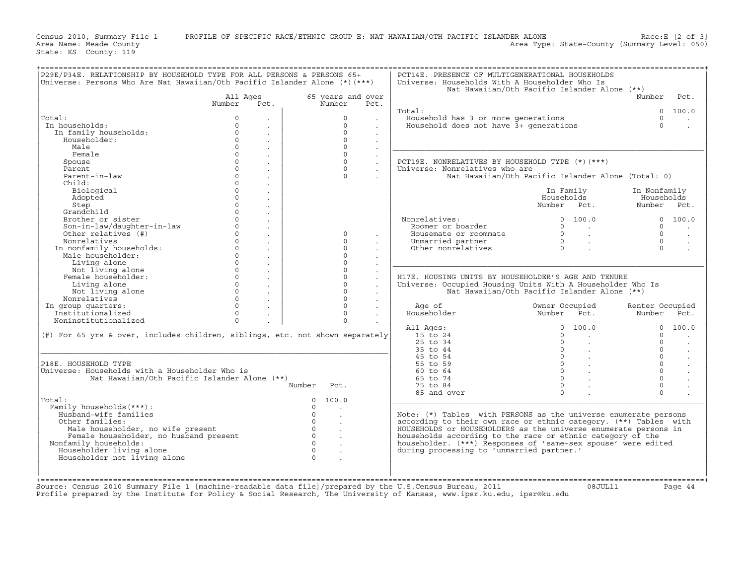Census 2010, Summary File 1 PROFILE OF SPECIFIC RACE/ETHNIC GROUP E: NAT HAWAIIAN/OTH PACIFIC ISLANDER ALONE Race:E [2 of 3]<br>Area Name: Meade County (Summary Level: 050) Area Type: State-County (Summary Level: 050)

State: KS County: 119

| P29E/P34E. RELATIONSHIP BY HOUSEHOLD TYPE FOR ALL PERSONS & PERSONS 65+<br>Universe: Persons Who Are Nat Hawaiian/Oth Pacific Islander Alone (*) (***) |          |                      |                                        | PCT14E. PRESENCE OF MULTIGENERATIONAL HOUSEHOLDS<br>Universe: Households With A Householder Who Is |                                                            |                 |                         |
|--------------------------------------------------------------------------------------------------------------------------------------------------------|----------|----------------------|----------------------------------------|----------------------------------------------------------------------------------------------------|------------------------------------------------------------|-----------------|-------------------------|
|                                                                                                                                                        |          |                      |                                        |                                                                                                    | Nat Hawaiian/Oth Pacific Islander Alone (**)               |                 |                         |
|                                                                                                                                                        | All Ages |                      | 65 years and over                      |                                                                                                    |                                                            | Number          | Pct.                    |
|                                                                                                                                                        | Number   | Pct.                 | Number<br>Pct.                         |                                                                                                    |                                                            |                 |                         |
|                                                                                                                                                        |          |                      |                                        | Total:                                                                                             |                                                            |                 | 0, 100, 0               |
| Total:                                                                                                                                                 | $\Omega$ |                      | $\Omega$                               | Household has 3 or more generations                                                                |                                                            | $\circ$         |                         |
| In households:                                                                                                                                         | $\Omega$ |                      | $\circ$                                | Household does not have 3+ generations                                                             |                                                            | $\Omega$        |                         |
| In family households:                                                                                                                                  | $\Omega$ |                      | $\Omega$                               |                                                                                                    |                                                            |                 |                         |
| Householder:                                                                                                                                           | $\Omega$ |                      | $\Omega$                               |                                                                                                    |                                                            |                 |                         |
| Male                                                                                                                                                   | $\Omega$ | $\ddot{\phantom{a}}$ | $\Omega$                               |                                                                                                    |                                                            |                 |                         |
| Female                                                                                                                                                 | $\circ$  | $\sim$               | $\circ$                                |                                                                                                    |                                                            |                 |                         |
| Spouse                                                                                                                                                 | $\Omega$ |                      | $\Omega$                               | PCT19E. NONRELATIVES BY HOUSEHOLD TYPE $(*)$ (***)                                                 |                                                            |                 |                         |
| Parent                                                                                                                                                 | $\Omega$ |                      | $\Omega$                               | Universe: Nonrelatives who are                                                                     |                                                            |                 |                         |
|                                                                                                                                                        | $\Omega$ | $\ddot{\phantom{a}}$ |                                        |                                                                                                    |                                                            |                 |                         |
| Parent-in-law                                                                                                                                          |          | $\sim$               | $\Omega$                               |                                                                                                    | Nat Hawaiian/Oth Pacific Islander Alone (Total: 0)         |                 |                         |
| Child:                                                                                                                                                 | $\Omega$ |                      |                                        |                                                                                                    |                                                            |                 |                         |
| Biological                                                                                                                                             | $\Omega$ |                      |                                        |                                                                                                    | In Family                                                  | In Nonfamily    |                         |
| Adopted                                                                                                                                                | $\Omega$ |                      |                                        |                                                                                                    | Households                                                 | Households      |                         |
| Step                                                                                                                                                   | $\Omega$ | $\sim$               |                                        |                                                                                                    | Number Pct.                                                | Number Pct.     |                         |
| Grandchild                                                                                                                                             | $\Omega$ |                      |                                        |                                                                                                    |                                                            |                 |                         |
| Brother or sister                                                                                                                                      | $\Omega$ |                      |                                        | Nonrelatives:                                                                                      | 0 100.0                                                    |                 | 0 100.0                 |
| Son-in-law/daughter-in-law                                                                                                                             | $\circ$  |                      |                                        | Roomer or boarder                                                                                  | $0 \qquad \qquad .$                                        | $\circ$         | $\sim 100$ km s $^{-1}$ |
| Other relatives (#)                                                                                                                                    | $\Omega$ |                      | $\Omega$                               | Housemate or roommate                                                                              | $\begin{array}{ccc} & & 0 & \end{array}$                   | $\Omega$        |                         |
|                                                                                                                                                        | $\Omega$ |                      |                                        |                                                                                                    |                                                            |                 | $\sim$                  |
| Nonrelatives                                                                                                                                           |          | $\sim$               | $\Omega$                               | Unmarried partner                                                                                  | $\begin{array}{ccccccc}\n0 & & & \end{array}$              | $\Omega$        | $\sim$                  |
| In nonfamily households:                                                                                                                               | $\Omega$ |                      | $\Omega$                               | Other nonrelatives                                                                                 | $\begin{array}{ccc} 0 & & \cdot \end{array}$               | $\Omega$        |                         |
| Male householder:                                                                                                                                      | $\Omega$ |                      | $\Omega$                               |                                                                                                    |                                                            |                 |                         |
| Living alone                                                                                                                                           | $\Omega$ |                      | $\Omega$                               |                                                                                                    |                                                            |                 |                         |
| Not living alone                                                                                                                                       | $\Omega$ |                      | $\Omega$                               |                                                                                                    |                                                            |                 |                         |
| Female householder:                                                                                                                                    | $\Omega$ |                      | $\Omega$                               | H17E. HOUSING UNITS BY HOUSEHOLDER'S AGE AND TENURE                                                |                                                            |                 |                         |
| Living alone                                                                                                                                           | $\circ$  | $\sim$               | $\circ$                                | Universe: Occupied Housing Units With A Householder Who Is                                         |                                                            |                 |                         |
| Not living alone                                                                                                                                       | $\Omega$ | $\sim$               | $\Omega$                               |                                                                                                    | Nat Hawaiian/Oth Pacific Islander Alone (**)               |                 |                         |
| Nonrelatives                                                                                                                                           | $\circ$  |                      | $\Omega$                               |                                                                                                    |                                                            |                 |                         |
|                                                                                                                                                        | $\Omega$ |                      | $\Omega$                               |                                                                                                    | Owner Occupied                                             |                 |                         |
| In group quarters:                                                                                                                                     |          |                      |                                        | Age of                                                                                             |                                                            | Renter Occupied |                         |
| Institutionalized                                                                                                                                      | $\Omega$ |                      | $\Omega$                               | Householder                                                                                        | Number Pct.                                                | Number Pct.     |                         |
| Noninstitutionalized                                                                                                                                   | $\Omega$ |                      | $\Omega$                               |                                                                                                    |                                                            |                 |                         |
|                                                                                                                                                        |          |                      |                                        | All Ages:                                                                                          | 0 100.0                                                    |                 | 0 100.0                 |
| (#) For 65 yrs & over, includes children, siblings, etc. not shown separately                                                                          |          |                      |                                        | 15 to 24                                                                                           | $\Omega$<br><b>Contractor</b>                              | $\Omega$        | $\ddot{\phantom{a}}$    |
|                                                                                                                                                        |          |                      |                                        | 25 to 34                                                                                           | $\Omega$                                                   | $\Omega$        | $\sim$                  |
|                                                                                                                                                        |          |                      |                                        | 35 to 44                                                                                           | $\begin{array}{ccc} 0 & & \cdot \end{array}$               | $\cap$          | $\sim$                  |
|                                                                                                                                                        |          |                      |                                        | 45 to 54                                                                                           | $0 \qquad \qquad .$                                        | $\Omega$        | $\sim$                  |
| P18E. HOUSEHOLD TYPE                                                                                                                                   |          |                      |                                        | 55 to 59                                                                                           | $\begin{matrix} 0 & \cdots & \cdots & \cdots \end{matrix}$ | $\Omega$        | $\sim$                  |
| Universe: Households with a Householder Who is                                                                                                         |          |                      |                                        | 60 to 64                                                                                           | $0 \qquad \qquad .$                                        | $\Omega$        |                         |
|                                                                                                                                                        |          |                      |                                        | 65 to 74                                                                                           | $0 \qquad \qquad .$                                        | $\Omega$        | $\mathbf{r}$            |
| Nat Hawaiian/Oth Pacific Islander Alone (**)                                                                                                           |          |                      |                                        |                                                                                                    |                                                            |                 |                         |
|                                                                                                                                                        |          |                      | Number<br>Pct.                         | 75 to 84                                                                                           | $\Omega$                                                   | $\Omega$        |                         |
|                                                                                                                                                        |          |                      |                                        | 85 and over                                                                                        | $\Omega$                                                   | $\Omega$        |                         |
|                                                                                                                                                        |          |                      | $\Omega$<br>100.0                      |                                                                                                    |                                                            |                 |                         |
| Total:                                                                                                                                                 |          |                      | $\Omega$                               |                                                                                                    |                                                            |                 |                         |
| Family households (***) :                                                                                                                              |          |                      |                                        |                                                                                                    |                                                            |                 |                         |
| Husband-wife families                                                                                                                                  |          |                      | $\overline{0}$<br>$\sim$               |                                                                                                    |                                                            |                 |                         |
|                                                                                                                                                        |          |                      |                                        | Note: $(*)$ Tables with PERSONS as the universe enumerate persons                                  |                                                            |                 |                         |
| Other families:                                                                                                                                        |          |                      | $\overline{0}$                         | according to their own race or ethnic category. (**) Tables with                                   |                                                            |                 |                         |
| Male householder, no wife present                                                                                                                      |          |                      | $\overline{0}$                         | HOUSEHOLDS Or HOUSEHOLDERS as the universe enumerate persons in                                    |                                                            |                 |                         |
| Female householder, no husband present                                                                                                                 |          |                      | $\overline{0}$<br>$\ddot{\phantom{a}}$ | households according to the race or ethnic category of the                                         |                                                            |                 |                         |
| Nonfamily households:                                                                                                                                  |          |                      | $\overline{0}$                         | householder. (***) Responses of 'same-sex spouse' were edited                                      |                                                            |                 |                         |
| Householder living alone                                                                                                                               |          |                      | $\overline{0}$                         | during processing to 'unmarried partner.'                                                          |                                                            |                 |                         |
| Householder not living alone                                                                                                                           |          |                      | $\Omega$                               |                                                                                                    |                                                            |                 |                         |
|                                                                                                                                                        |          |                      |                                        |                                                                                                    |                                                            |                 |                         |
|                                                                                                                                                        |          |                      |                                        |                                                                                                    |                                                            |                 |                         |
| Source: Census 2010 Summary File 1 [machine-readable data file]/prepared by the U.S.Census Bureau, 2011                                                |          |                      |                                        |                                                                                                    |                                                            |                 |                         |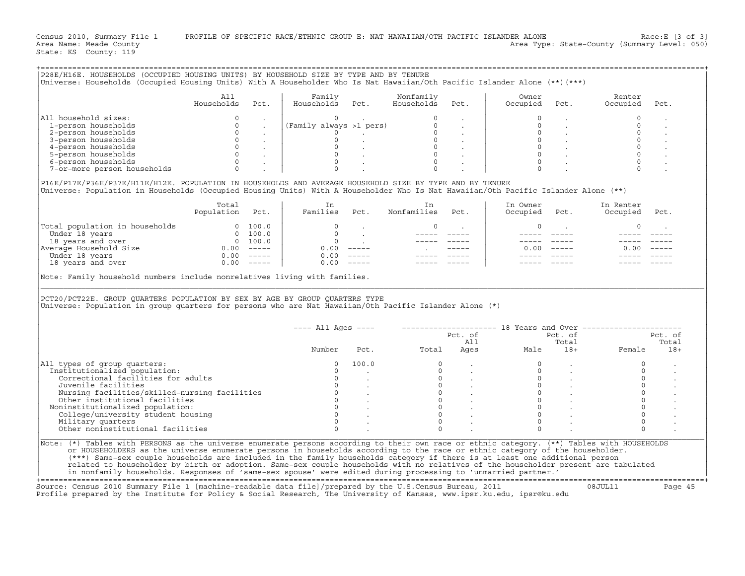|                                                                                                                                                                                                                                                | All                      |                                                   | Family                                               |                                                                                                | Nonfamily                |                                                            | Owner                                                    |                                                                                             | Renter                |         |
|------------------------------------------------------------------------------------------------------------------------------------------------------------------------------------------------------------------------------------------------|--------------------------|---------------------------------------------------|------------------------------------------------------|------------------------------------------------------------------------------------------------|--------------------------|------------------------------------------------------------|----------------------------------------------------------|---------------------------------------------------------------------------------------------|-----------------------|---------|
|                                                                                                                                                                                                                                                | Households               | Pct.                                              | Households                                           | Pct.                                                                                           | Households               | Pct.                                                       | Occupied                                                 | Pct.                                                                                        | Occupied              | Pct.    |
| All household sizes:                                                                                                                                                                                                                           | $\Omega$                 |                                                   | $\Omega$                                             |                                                                                                |                          |                                                            |                                                          |                                                                                             | 0                     |         |
| 1-person households                                                                                                                                                                                                                            | $\Omega$                 |                                                   | (Family always >1 pers)                              |                                                                                                | $\circ$                  |                                                            |                                                          |                                                                                             | $\Omega$              |         |
| 2-person households                                                                                                                                                                                                                            | $\Omega$                 |                                                   | $\Omega$                                             |                                                                                                |                          |                                                            | $\Omega$                                                 |                                                                                             | $\mathbf 0$           |         |
| 3-person households                                                                                                                                                                                                                            |                          | $0 \qquad \qquad$                                 | $\begin{array}{c} 0 \\ 0 \\ 0 \\ 0 \\ 0 \end{array}$ |                                                                                                |                          |                                                            | $\mathbb O$                                              |                                                                                             | $\mathbf 0$           |         |
| 4-person households                                                                                                                                                                                                                            |                          | $\begin{matrix} 0 & \cdots & \cdots \end{matrix}$ |                                                      |                                                                                                |                          |                                                            |                                                          | $\begin{matrix} 0 & & \cdot \\ 0 & & \cdot \end{matrix}$                                    |                       |         |
| 5-person households                                                                                                                                                                                                                            |                          | $\overline{0}$ .                                  |                                                      |                                                                                                |                          |                                                            |                                                          |                                                                                             |                       |         |
| 6-person households                                                                                                                                                                                                                            |                          | $\overline{0}$                                    |                                                      |                                                                                                |                          |                                                            | $\Omega$                                                 |                                                                                             |                       |         |
| 7-or-more person households                                                                                                                                                                                                                    | $\Omega$                 |                                                   | $\Omega$                                             |                                                                                                |                          |                                                            |                                                          |                                                                                             |                       |         |
| P16E/P17E/P36E/P37E/H11E/H12E. POPULATION IN HOUSEHOLDS AND AVERAGE HOUSEHOLD SIZE BY TYPE AND BY TENURE<br>Universe: Population in Households (Occupied Housing Units) With A Householder Who Is Nat Hawaiian/Oth Pacific Islander Alone (**) |                          |                                                   |                                                      |                                                                                                |                          |                                                            |                                                          |                                                                                             |                       |         |
|                                                                                                                                                                                                                                                | Total<br>Population Pct. |                                                   | In<br>Families Pct.                                  |                                                                                                | In<br>Nonfamilies        | Pct.                                                       | In Owner<br>Occupied Pct.                                |                                                                                             | In Renter<br>Occupied | Pct.    |
| Protal population in households<br>Under 18 years 0 100.0<br>18 years and over 0 100.0<br>Average Household Size 0.00 -----<br>Under 18 years 0 0.00 -----<br>0.00 -----<br>0.00 -----<br>0.00 -----<br>0.00 -----                             |                          |                                                   |                                                      |                                                                                                | $\circ$                  | $\langle\cdot\rangle$ .<br><br>)                           | 0                                                        | $\mathcal{L}^{\mathcal{L}}$ and $\mathcal{L}^{\mathcal{L}}$ and $\mathcal{L}^{\mathcal{L}}$ | 0                     |         |
|                                                                                                                                                                                                                                                |                          |                                                   |                                                      |                                                                                                |                          |                                                            |                                                          | ______ _____                                                                                |                       |         |
|                                                                                                                                                                                                                                                |                          |                                                   |                                                      |                                                                                                |                          |                                                            |                                                          |                                                                                             |                       |         |
|                                                                                                                                                                                                                                                |                          |                                                   |                                                      |                                                                                                | <b>Contract Contract</b> |                                                            |                                                          | $0.00$ -----                                                                                | $0.00 - - - -$        |         |
|                                                                                                                                                                                                                                                |                          |                                                   |                                                      |                                                                                                |                          |                                                            |                                                          |                                                                                             |                       |         |
| 18 years and over                                                                                                                                                                                                                              | $0.00$ -----             |                                                   | $0.00$ -----                                         |                                                                                                |                          |                                                            |                                                          |                                                                                             |                       |         |
| Note: Family household numbers include nonrelatives living with families.<br>PCT20/PCT22E. GROUP QUARTERS POPULATION BY SEX BY AGE BY GROUP QUARTERS TYPE                                                                                      |                          |                                                   |                                                      |                                                                                                |                          |                                                            |                                                          |                                                                                             |                       |         |
|                                                                                                                                                                                                                                                |                          |                                                   |                                                      |                                                                                                |                          |                                                            |                                                          |                                                                                             |                       |         |
| Universe: Population in group quarters for persons who are Nat Hawaiian/Oth Pacific Islander Alone (*)                                                                                                                                         |                          |                                                   | $---$ All Ages $---$                                 |                                                                                                |                          |                                                            | -------------------- 18 Years and Over ----------------- |                                                                                             |                       |         |
|                                                                                                                                                                                                                                                |                          |                                                   |                                                      |                                                                                                |                          | Pct. of                                                    |                                                          | Pct. of                                                                                     |                       | Pct. of |
|                                                                                                                                                                                                                                                |                          |                                                   |                                                      |                                                                                                |                          |                                                            |                                                          | Total                                                                                       |                       | Total   |
|                                                                                                                                                                                                                                                |                          |                                                   | Number                                               | Pct.                                                                                           | Total                    |                                                            | All<br>Ages<br>Male                                      |                                                                                             | 18+ Female            | $18+$   |
|                                                                                                                                                                                                                                                |                          |                                                   | $\circ$                                              | 100.0                                                                                          | $\circ$                  |                                                            | $\mathbf 0$                                              |                                                                                             | $\circ$               |         |
|                                                                                                                                                                                                                                                |                          |                                                   | $\Omega$                                             | $\sim$                                                                                         |                          |                                                            | $\Omega$                                                 | $\sim 100$                                                                                  | $\circ$               |         |
| Institutionalized population:<br>Correctional facilities for adults                                                                                                                                                                            |                          |                                                   | $\circ$                                              |                                                                                                |                          |                                                            |                                                          |                                                                                             | $\circ$               |         |
| Juvenile facilities                                                                                                                                                                                                                            |                          |                                                   | $\Omega$                                             |                                                                                                |                          |                                                            |                                                          |                                                                                             | $\circ$               |         |
| Nursing facilities/skilled-nursing facilities                                                                                                                                                                                                  |                          |                                                   |                                                      |                                                                                                |                          |                                                            |                                                          |                                                                                             | $\circ$               |         |
| Other institutional facilities                                                                                                                                                                                                                 |                          |                                                   |                                                      |                                                                                                |                          |                                                            |                                                          |                                                                                             | $\circ$               |         |
|                                                                                                                                                                                                                                                |                          |                                                   |                                                      | $\begin{matrix} 0 & & \cdot \\ & 0 & & \cdot \\ & & \cdot & \cdot \\ & & & \cdot \end{matrix}$ | $\circ$                  | $\begin{bmatrix} 0 \\ 0 \\ 0 \\ 0 \\ 0 \\ 0 \end{bmatrix}$ |                                                          |                                                                                             | $\circ$               |         |
| Noninstitutionalized population:<br>College/university student housing                                                                                                                                                                         |                          |                                                   | $\mathbf{0}$                                         |                                                                                                | $\Omega$                 |                                                            | $\Omega$                                                 |                                                                                             | $\circ$               |         |
| All types of group quarters:<br>Military quarters                                                                                                                                                                                              |                          |                                                   | $\Omega$                                             |                                                                                                | $\Omega$                 |                                                            | $\mathbf 0$                                              |                                                                                             | $\circ$               |         |
| Other noninstitutional facilities                                                                                                                                                                                                              |                          |                                                   | $\Omega$                                             |                                                                                                | $\Omega$                 |                                                            | $\Omega$                                                 |                                                                                             |                       |         |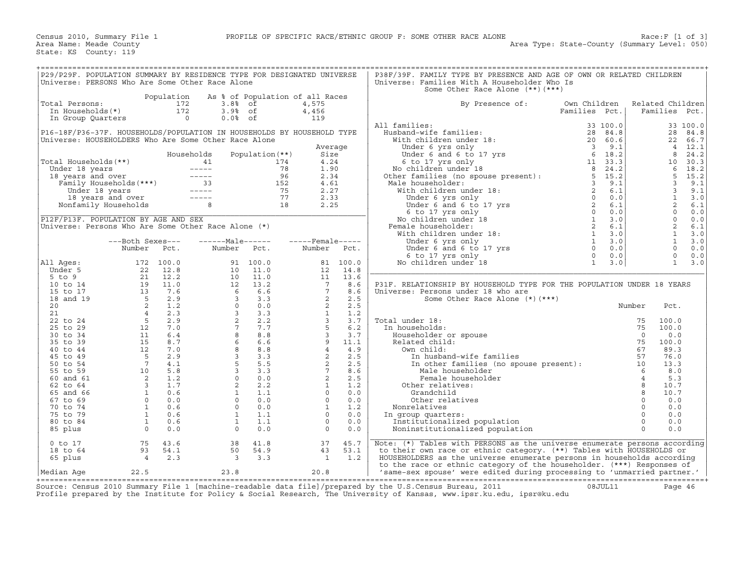| P29/P29F. POPULATION SUMMARY BY RESIDENCE TYPE FOR DESIGNATED UNIVERSE                                                                                                                         |                                                                                                                                                                                                                                  |            |                                                                                                                                                                                                                                                                                                                        |                       |                                                                                                                                                                                                                                                                                                        |          | P38F/39F. FAMILY TYPE BY PRESENCE AND AGE OF OWN OR RELATED CHILDREN                                                                                                                                                                                                                                                         |               |          |                  |                     |          |
|------------------------------------------------------------------------------------------------------------------------------------------------------------------------------------------------|----------------------------------------------------------------------------------------------------------------------------------------------------------------------------------------------------------------------------------|------------|------------------------------------------------------------------------------------------------------------------------------------------------------------------------------------------------------------------------------------------------------------------------------------------------------------------------|-----------------------|--------------------------------------------------------------------------------------------------------------------------------------------------------------------------------------------------------------------------------------------------------------------------------------------------------|----------|------------------------------------------------------------------------------------------------------------------------------------------------------------------------------------------------------------------------------------------------------------------------------------------------------------------------------|---------------|----------|------------------|---------------------|----------|
| Universe: PERSONS Who Are Some Other Race Alone                                                                                                                                                |                                                                                                                                                                                                                                  |            |                                                                                                                                                                                                                                                                                                                        |                       |                                                                                                                                                                                                                                                                                                        |          | Universe: Families With A Householder Who Is                                                                                                                                                                                                                                                                                 |               |          |                  |                     |          |
|                                                                                                                                                                                                |                                                                                                                                                                                                                                  |            |                                                                                                                                                                                                                                                                                                                        |                       |                                                                                                                                                                                                                                                                                                        |          | Some Other Race Alone (**) (***)                                                                                                                                                                                                                                                                                             |               |          |                  |                     |          |
|                                                                                                                                                                                                |                                                                                                                                                                                                                                  | Population | As % of Population of all Races                                                                                                                                                                                                                                                                                        |                       |                                                                                                                                                                                                                                                                                                        |          |                                                                                                                                                                                                                                                                                                                              |               |          |                  |                     |          |
|                                                                                                                                                                                                |                                                                                                                                                                                                                                  | 172        | $3.88$ of                                                                                                                                                                                                                                                                                                              |                       |                                                                                                                                                                                                                                                                                                        |          |                                                                                                                                                                                                                                                                                                                              | Own Children  |          |                  | Related Children    |          |
| Total Persons:                                                                                                                                                                                 |                                                                                                                                                                                                                                  | 172        |                                                                                                                                                                                                                                                                                                                        |                       | 4,575                                                                                                                                                                                                                                                                                                  |          | By Presence of:                                                                                                                                                                                                                                                                                                              |               |          |                  |                     | Pct.     |
| In Households(*)                                                                                                                                                                               |                                                                                                                                                                                                                                  |            | $3.9%$ of                                                                                                                                                                                                                                                                                                              |                       | 4,456                                                                                                                                                                                                                                                                                                  |          |                                                                                                                                                                                                                                                                                                                              | Families Pct. |          |                  | Families            |          |
| In Group Quarters                                                                                                                                                                              |                                                                                                                                                                                                                                  | $\sim$ 0   | $0.0%$ of                                                                                                                                                                                                                                                                                                              |                       | 119                                                                                                                                                                                                                                                                                                    |          |                                                                                                                                                                                                                                                                                                                              |               |          |                  |                     |          |
|                                                                                                                                                                                                |                                                                                                                                                                                                                                  |            |                                                                                                                                                                                                                                                                                                                        |                       |                                                                                                                                                                                                                                                                                                        |          | All families:                                                                                                                                                                                                                                                                                                                |               | 33 100.0 |                  |                     | 33 100.0 |
| P16-18F/P36-37F. HOUSEHOLDS/POPULATION IN HOUSEHOLDS BY HOUSEHOLD TYPE                                                                                                                         |                                                                                                                                                                                                                                  |            |                                                                                                                                                                                                                                                                                                                        |                       |                                                                                                                                                                                                                                                                                                        |          |                                                                                                                                                                                                                                                                                                                              |               |          |                  | 28                  | 84.8     |
| Universe: HOUSEHOLDERS Who Are Some Other Race Alone                                                                                                                                           |                                                                                                                                                                                                                                  |            |                                                                                                                                                                                                                                                                                                                        |                       |                                                                                                                                                                                                                                                                                                        |          |                                                                                                                                                                                                                                                                                                                              |               |          |                  | 22                  | 66.7     |
|                                                                                                                                                                                                |                                                                                                                                                                                                                                  |            |                                                                                                                                                                                                                                                                                                                        |                       | Average                                                                                                                                                                                                                                                                                                |          |                                                                                                                                                                                                                                                                                                                              |               |          |                  | $\overline{4}$      | 12.1     |
|                                                                                                                                                                                                |                                                                                                                                                                                                                                  |            | Households                                                                                                                                                                                                                                                                                                             | Population (**)       | Size                                                                                                                                                                                                                                                                                                   |          |                                                                                                                                                                                                                                                                                                                              |               |          |                  | 8                   | 24.2     |
| Total Households(**)                                                                                                                                                                           |                                                                                                                                                                                                                                  |            |                                                                                                                                                                                                                                                                                                                        | 174                   | 4.24                                                                                                                                                                                                                                                                                                   |          |                                                                                                                                                                                                                                                                                                                              |               |          |                  | 10                  | 30.3     |
|                                                                                                                                                                                                |                                                                                                                                                                                                                                  |            |                                                                                                                                                                                                                                                                                                                        | 78                    | 1.90                                                                                                                                                                                                                                                                                                   |          |                                                                                                                                                                                                                                                                                                                              |               |          |                  | 6                   | 18.2     |
|                                                                                                                                                                                                |                                                                                                                                                                                                                                  |            |                                                                                                                                                                                                                                                                                                                        | 96                    | 2.34                                                                                                                                                                                                                                                                                                   |          |                                                                                                                                                                                                                                                                                                                              |               |          |                  | 5                   | 15.2     |
|                                                                                                                                                                                                |                                                                                                                                                                                                                                  |            |                                                                                                                                                                                                                                                                                                                        | 152                   | 4.61                                                                                                                                                                                                                                                                                                   |          |                                                                                                                                                                                                                                                                                                                              |               |          |                  | 3                   | 9.1      |
|                                                                                                                                                                                                |                                                                                                                                                                                                                                  |            |                                                                                                                                                                                                                                                                                                                        |                       | 2.27                                                                                                                                                                                                                                                                                                   |          |                                                                                                                                                                                                                                                                                                                              |               |          |                  | 3                   | 9.1      |
| otal Households (**)<br>Under 18 years<br>18 years and over<br>Family Households (***)<br>18 years and over<br>18 years<br>18 years and over<br>18 years and over<br>Nonfamily Households<br>8 |                                                                                                                                                                                                                                  |            |                                                                                                                                                                                                                                                                                                                        | $\frac{75}{77}$<br>18 | 2.33                                                                                                                                                                                                                                                                                                   |          |                                                                                                                                                                                                                                                                                                                              |               |          |                  | $\mathbf{1}$        | 3.0      |
|                                                                                                                                                                                                |                                                                                                                                                                                                                                  |            |                                                                                                                                                                                                                                                                                                                        |                       | 2.25                                                                                                                                                                                                                                                                                                   |          |                                                                                                                                                                                                                                                                                                                              |               |          |                  | 2                   | 6.1      |
|                                                                                                                                                                                                |                                                                                                                                                                                                                                  |            |                                                                                                                                                                                                                                                                                                                        |                       |                                                                                                                                                                                                                                                                                                        |          |                                                                                                                                                                                                                                                                                                                              |               |          |                  |                     |          |
|                                                                                                                                                                                                |                                                                                                                                                                                                                                  |            |                                                                                                                                                                                                                                                                                                                        |                       |                                                                                                                                                                                                                                                                                                        |          | $\begin{tabular}{ll} \bf 1.1 &\bf 1.1 &\bf 2.2 &\bf 3.3 &\bf 1.01 &\bf 0.0 \\ \bf 2.2 &\bf 3.4 &\bf 0.0 \\ \bf 3.3 &\bf 1.001 &\bf 0.0 \\ \bf 4.4 &\bf 1.01 &\bf 0.07 &\bf 0.7 &\bf 0.7 \\ \bf 5.4 &\bf 0.17 &\bf 0.7 &\bf 0.7 \\ \bf 6.4 &\bf 1.02 &\bf 0.7 &\bf 0.7 \\ \bf 7.5 &\bf 0.17 &\bf 0.7 &\bf 0.7 \\ \$           |               |          |                  | $\circ$<br>$\Omega$ | 0.0      |
| P12F/P13F. POPULATION BY AGE AND SEX                                                                                                                                                           |                                                                                                                                                                                                                                  |            |                                                                                                                                                                                                                                                                                                                        |                       |                                                                                                                                                                                                                                                                                                        |          |                                                                                                                                                                                                                                                                                                                              |               |          |                  |                     | $0.0$    |
| Universe: Persons Who Are Some Other Race Alone $(*)$                                                                                                                                          |                                                                                                                                                                                                                                  |            |                                                                                                                                                                                                                                                                                                                        |                       |                                                                                                                                                                                                                                                                                                        |          |                                                                                                                                                                                                                                                                                                                              |               |          |                  | 2                   | 6.1      |
|                                                                                                                                                                                                |                                                                                                                                                                                                                                  |            |                                                                                                                                                                                                                                                                                                                        |                       |                                                                                                                                                                                                                                                                                                        |          |                                                                                                                                                                                                                                                                                                                              |               |          |                  | $\mathbf{1}$        | 3.0      |
|                                                                                                                                                                                                | ---Both Sexes---                                                                                                                                                                                                                 |            | $---Male----$                                                                                                                                                                                                                                                                                                          |                       | $---$ Female -----                                                                                                                                                                                                                                                                                     |          |                                                                                                                                                                                                                                                                                                                              |               |          |                  | $\mathbf{1}$        | 3.0      |
|                                                                                                                                                                                                | Number                                                                                                                                                                                                                           | Pct.       | Number Pct.                                                                                                                                                                                                                                                                                                            |                       | Number                                                                                                                                                                                                                                                                                                 | Pct.     |                                                                                                                                                                                                                                                                                                                              |               |          |                  | $\Omega$            | 0.0      |
|                                                                                                                                                                                                |                                                                                                                                                                                                                                  |            |                                                                                                                                                                                                                                                                                                                        |                       |                                                                                                                                                                                                                                                                                                        |          |                                                                                                                                                                                                                                                                                                                              |               |          |                  | $\mathbf 0$         | 0.0      |
| All Ages:                                                                                                                                                                                      |                                                                                                                                                                                                                                  |            |                                                                                                                                                                                                                                                                                                                        | 91 100.0              |                                                                                                                                                                                                                                                                                                        | 81 100.0 |                                                                                                                                                                                                                                                                                                                              |               |          |                  | $\mathbf{1}$        | 3.0      |
| Under 5                                                                                                                                                                                        |                                                                                                                                                                                                                                  |            |                                                                                                                                                                                                                                                                                                                        |                       | 12                                                                                                                                                                                                                                                                                                     | 14.8     |                                                                                                                                                                                                                                                                                                                              |               |          |                  |                     |          |
| $5$ to $9$                                                                                                                                                                                     |                                                                                                                                                                                                                                  |            |                                                                                                                                                                                                                                                                                                                        |                       | 11                                                                                                                                                                                                                                                                                                     | 13.6     |                                                                                                                                                                                                                                                                                                                              |               |          |                  |                     |          |
| 10 to 14                                                                                                                                                                                       |                                                                                                                                                                                                                                  |            |                                                                                                                                                                                                                                                                                                                        |                       |                                                                                                                                                                                                                                                                                                        |          | P31F. RELATIONSHIP BY HOUSEHOLD TYPE FOR THE POPULATION UNDER 18 YEARS                                                                                                                                                                                                                                                       |               |          |                  |                     |          |
| 15 to 17                                                                                                                                                                                       |                                                                                                                                                                                                                                  |            |                                                                                                                                                                                                                                                                                                                        |                       |                                                                                                                                                                                                                                                                                                        |          | Universe: Persons under 18 who are                                                                                                                                                                                                                                                                                           |               |          |                  |                     |          |
| 18 and 19                                                                                                                                                                                      |                                                                                                                                                                                                                                  |            |                                                                                                                                                                                                                                                                                                                        |                       |                                                                                                                                                                                                                                                                                                        |          | Some Other Race Alone (*) (***)                                                                                                                                                                                                                                                                                              |               |          |                  |                     |          |
| 20                                                                                                                                                                                             |                                                                                                                                                                                                                                  |            |                                                                                                                                                                                                                                                                                                                        |                       |                                                                                                                                                                                                                                                                                                        |          |                                                                                                                                                                                                                                                                                                                              |               |          | Number           | Pct.                |          |
| 21                                                                                                                                                                                             |                                                                                                                                                                                                                                  |            |                                                                                                                                                                                                                                                                                                                        |                       |                                                                                                                                                                                                                                                                                                        |          |                                                                                                                                                                                                                                                                                                                              |               |          |                  |                     |          |
|                                                                                                                                                                                                |                                                                                                                                                                                                                                  |            |                                                                                                                                                                                                                                                                                                                        |                       |                                                                                                                                                                                                                                                                                                        |          |                                                                                                                                                                                                                                                                                                                              |               |          |                  | 100.0               |          |
| 22 to 24                                                                                                                                                                                       |                                                                                                                                                                                                                                  |            |                                                                                                                                                                                                                                                                                                                        |                       |                                                                                                                                                                                                                                                                                                        |          | Total under 18:                                                                                                                                                                                                                                                                                                              |               |          |                  |                     |          |
| 25 to 29                                                                                                                                                                                       |                                                                                                                                                                                                                                  |            |                                                                                                                                                                                                                                                                                                                        |                       |                                                                                                                                                                                                                                                                                                        |          | In households:                                                                                                                                                                                                                                                                                                               |               |          |                  | 100.0               |          |
| 30 to 34                                                                                                                                                                                       |                                                                                                                                                                                                                                  |            |                                                                                                                                                                                                                                                                                                                        |                       |                                                                                                                                                                                                                                                                                                        |          | Householder or spouse                                                                                                                                                                                                                                                                                                        |               |          |                  | 0.0                 |          |
| 35 to 39                                                                                                                                                                                       |                                                                                                                                                                                                                                  |            |                                                                                                                                                                                                                                                                                                                        |                       |                                                                                                                                                                                                                                                                                                        |          | Related child:                                                                                                                                                                                                                                                                                                               |               |          |                  | 100.0               |          |
| 40 to 44                                                                                                                                                                                       |                                                                                                                                                                                                                                  |            |                                                                                                                                                                                                                                                                                                                        |                       |                                                                                                                                                                                                                                                                                                        |          | Own child:                                                                                                                                                                                                                                                                                                                   |               |          |                  | 89.3                |          |
| 45 to 49                                                                                                                                                                                       |                                                                                                                                                                                                                                  |            |                                                                                                                                                                                                                                                                                                                        |                       |                                                                                                                                                                                                                                                                                                        |          |                                                                                                                                                                                                                                                                                                                              |               |          |                  | 76.0                |          |
| 50 to 54                                                                                                                                                                                       |                                                                                                                                                                                                                                  |            |                                                                                                                                                                                                                                                                                                                        |                       |                                                                                                                                                                                                                                                                                                        |          |                                                                                                                                                                                                                                                                                                                              |               |          |                  | 13.3                |          |
| 55 to 59                                                                                                                                                                                       | $\begin{array}{cccc} 172&100.0\\22&12.8\\21&12.2\\19&11.0\\13&7.6\\5&2.9\\2&1.2\\4&2.3\\5&2.9\\12&7.0\\11&6.4\\15&8.7\\12&7.0\\5&2.9\\7&4.1\\15&8.7\\12&7.0\\5&2.9\\7&4.1\\10&5.8\\2&1.2\\3&1.7\\1&0.6\\0&0.0\\1&0.6\end{array}$ |            | $\begin{array}{cccc} 91 & 100.0 \\ 10 & 11.0 \\ 10 & 11.0 \\ 12 & 13.2 \\ 6 & 6.6 \\ 3 & 3.3 \\ 0 & 0.0 \\ 3 & 3.3 \\ 2 & 2.2 \\ 7 & 7.7 \\ 8 & 6.6 \\ 8 & 8.8 \\ 8 & 8.8 \\ 8 & 8.8 \\ 8 & 3 & 3.3 \\ 5 & 5.5 \\ 3 & 3.3 \\ 5 & 3.3 \\ 2 & 2.2 \\ 1 & 1.1 \\ 0 & 0.0 \\ 2 & 2.2 \\ 1 & 1.1 \\ 0 & 0.0 \\ 0 & 0. \\ 1$ |                       | $\begin{array}{cccc} 11 & 13.6 & 6\\ 7 & 8.6 & 6\\ 2 & 2.5 & 5\\ 2 & 2.5 & 5\\ 2 & 2.5 & 5\\ 3 & 3.7 & 7\\ 5 & 6.2 & 2.5\\ 3 & 3.7 & 11.9\\ 4 & 4 & 4.9\\ 2 & 2.2 & 5\\ 3 & 2.2 & 5\\ 4 & 4.2 & 5\\ 2 & 2.5 & 5\\ 1 & 1.2 & 1.2\\ 0 & 0.0 & 0\\ 0 & 0 & 0.0\\ 0 & 0 & 0.2\\ 0 & 0 & 0.2\\ \end{array}$ |          | 1981<br>1981<br>1992<br>1993<br>1994<br>1994<br>1994<br>1994<br>1994<br>1995<br>1995<br>1995<br>1996<br>1996<br>1996<br>1996<br>1996<br>1996<br>1996<br>1996<br>1996<br>1996<br>1996<br>1996<br>1996<br>1996<br>1996<br>1996<br>1996<br>1996<br>1996<br>1996<br>1996<br>1996<br>1996<br>1996<br>1996<br><br>Male householder |               |          | 6                | 8.0                 |          |
| 60 and 61                                                                                                                                                                                      |                                                                                                                                                                                                                                  |            |                                                                                                                                                                                                                                                                                                                        |                       |                                                                                                                                                                                                                                                                                                        | 2.5      | Female householder                                                                                                                                                                                                                                                                                                           |               |          | $\overline{4}$   | 5.3                 |          |
| 62 to 64                                                                                                                                                                                       |                                                                                                                                                                                                                                  |            |                                                                                                                                                                                                                                                                                                                        |                       |                                                                                                                                                                                                                                                                                                        |          | Other relatives:                                                                                                                                                                                                                                                                                                             |               |          | $\boldsymbol{8}$ | 10.7                |          |
| 65 and 66                                                                                                                                                                                      |                                                                                                                                                                                                                                  |            |                                                                                                                                                                                                                                                                                                                        |                       |                                                                                                                                                                                                                                                                                                        |          | Grandchild                                                                                                                                                                                                                                                                                                                   |               |          | 8                | 10.7                |          |
| 67 to 69                                                                                                                                                                                       |                                                                                                                                                                                                                                  |            |                                                                                                                                                                                                                                                                                                                        |                       |                                                                                                                                                                                                                                                                                                        |          | Other relatives                                                                                                                                                                                                                                                                                                              |               |          | $\circ$          | 0.0                 |          |
| 70 to 74                                                                                                                                                                                       | $\begin{matrix}0.0\\1\\0.6\end{matrix}$                                                                                                                                                                                          |            |                                                                                                                                                                                                                                                                                                                        |                       |                                                                                                                                                                                                                                                                                                        |          | Nonrelatives                                                                                                                                                                                                                                                                                                                 |               |          | $\circ$          | 0.0                 |          |
| 75 to 79                                                                                                                                                                                       |                                                                                                                                                                                                                                  | 0.6        | 1                                                                                                                                                                                                                                                                                                                      | 1.1                   | $\Omega$                                                                                                                                                                                                                                                                                               | 0.0      | In group quarters:                                                                                                                                                                                                                                                                                                           |               |          | $\Omega$         | 0.0                 |          |
| 80 to 84                                                                                                                                                                                       | $\overline{1}$                                                                                                                                                                                                                   | 0.6        | $\mathbf{1}$                                                                                                                                                                                                                                                                                                           | 1.1                   | $\Omega$                                                                                                                                                                                                                                                                                               | 0.0      | Institutionalized population                                                                                                                                                                                                                                                                                                 |               |          | $\Omega$         | 0.0                 |          |
|                                                                                                                                                                                                |                                                                                                                                                                                                                                  |            |                                                                                                                                                                                                                                                                                                                        |                       |                                                                                                                                                                                                                                                                                                        |          |                                                                                                                                                                                                                                                                                                                              |               |          |                  |                     |          |
| 85 plus                                                                                                                                                                                        | $\overline{0}$                                                                                                                                                                                                                   | 0.0        | $\circ$                                                                                                                                                                                                                                                                                                                | 0.0                   | $\Omega$                                                                                                                                                                                                                                                                                               | 0.0      | Noninstitutionalized population                                                                                                                                                                                                                                                                                              |               |          | $\Omega$         | 0.0                 |          |
|                                                                                                                                                                                                |                                                                                                                                                                                                                                  |            |                                                                                                                                                                                                                                                                                                                        |                       |                                                                                                                                                                                                                                                                                                        |          |                                                                                                                                                                                                                                                                                                                              |               |          |                  |                     |          |
| $0$ to $17$                                                                                                                                                                                    | 75                                                                                                                                                                                                                               | 43.6       | 38                                                                                                                                                                                                                                                                                                                     | 41.8                  | 37                                                                                                                                                                                                                                                                                                     | 45.7     | Note: (*) Tables with PERSONS as the universe enumerate persons according                                                                                                                                                                                                                                                    |               |          |                  |                     |          |
| 18 to 64                                                                                                                                                                                       | 93                                                                                                                                                                                                                               | 54.1       | 50                                                                                                                                                                                                                                                                                                                     | 54.9                  | 43                                                                                                                                                                                                                                                                                                     | 53.1     | to their own race or ethnic category. (**) Tables with HOUSEHOLDS or                                                                                                                                                                                                                                                         |               |          |                  |                     |          |
| 65 plus                                                                                                                                                                                        | $\overline{4}$                                                                                                                                                                                                                   | 2.3        | $\overline{\mathbf{3}}$                                                                                                                                                                                                                                                                                                | 3.3                   | <sup>1</sup>                                                                                                                                                                                                                                                                                           | 1.2      | HOUSEHOLDERS as the universe enumerate persons in households according                                                                                                                                                                                                                                                       |               |          |                  |                     |          |
|                                                                                                                                                                                                |                                                                                                                                                                                                                                  |            |                                                                                                                                                                                                                                                                                                                        |                       |                                                                                                                                                                                                                                                                                                        |          | to the race or ethnic category of the householder. (***) Responses of                                                                                                                                                                                                                                                        |               |          |                  |                     |          |
| Median Age                                                                                                                                                                                     | 22.5                                                                                                                                                                                                                             |            | 23.8                                                                                                                                                                                                                                                                                                                   |                       | 20.8                                                                                                                                                                                                                                                                                                   |          | 'same-sex spouse' were edited during processing to 'unmarried partner.'                                                                                                                                                                                                                                                      |               |          |                  |                     |          |
|                                                                                                                                                                                                |                                                                                                                                                                                                                                  |            |                                                                                                                                                                                                                                                                                                                        |                       |                                                                                                                                                                                                                                                                                                        |          |                                                                                                                                                                                                                                                                                                                              |               |          |                  |                     |          |

+===================================================================================================================================================+ Source: Census 2010 Summary File 1 [machine−readable data file]/prepared by the U.S.Census Bureau, 2011 08JUL11 Page 46 Profile prepared by the Institute for Policy & Social Research, The University of Kansas, www.ipsr.ku.edu, ipsr@ku.edu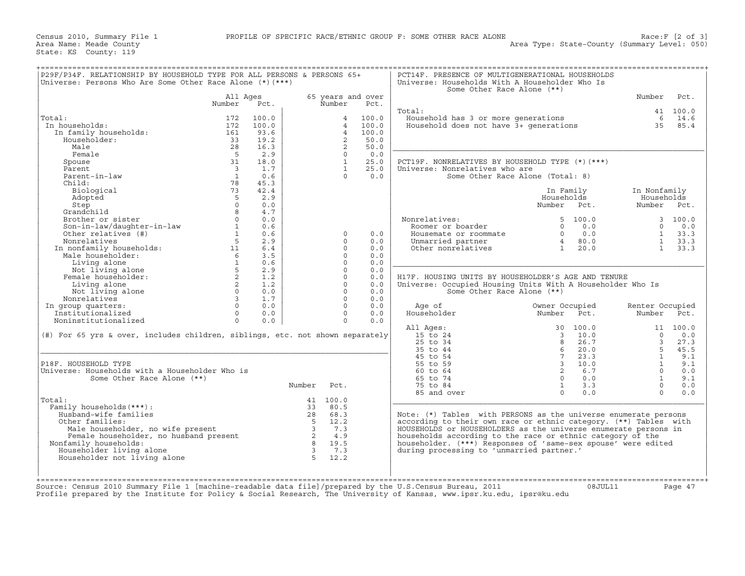| Number<br>All Ages<br>65 years and over<br>Number<br>Number<br>Pct.<br>Pct.<br>Total:<br>41 100.0<br>Household has 3 or more generations<br>6 14.6<br>Total:<br>172<br>100.0<br>100.0<br>$\overline{4}$<br>Household does not have $3+$ generations<br>35 85.4<br>In households:<br>172<br>100.0<br>$\overline{4}$<br>100.0<br>In family households:<br>$\overline{4}$<br>100.0<br>161<br>93.6<br>$\overline{2}$<br>Householder:<br>33<br>19.2<br>50.0<br>28<br>16.3<br>$\overline{2}$<br>50.0<br>Male<br>Female<br>$5^{\circ}$<br>2.9<br>$\Omega$<br>0.0<br>31<br>$\mathbf{1}$<br>25.0<br>Spouse<br>18.0<br>PCT19F. NONRELATIVES BY HOUSEHOLD TYPE (*)(***)<br>Parent<br>$\overline{\mathbf{3}}$<br>1.7<br>$\mathbf{1}$<br>25.0<br>Universe: Nonrelatives who are<br>Parent-in-law<br>$\overline{1}$<br>0.6<br>0.0<br>$\Omega$<br>Some Other Race Alone (Total: 8)<br>78<br>Child:<br>45.3<br>73<br>42.4<br>Biological<br>In Family<br>In Nonfamily<br>-5<br>2.9<br>Households<br>Households<br>Adopted<br>$\Omega$<br>0.0<br>Step<br>Number Pct.<br>Number Pct.<br>Grandchild<br>4.7<br>8<br>Brother or sister<br>$\Omega$<br>0.0<br>Nonrelatives:<br>5, 100.0<br>Son-in-law/daughter-in-law<br>$\mathbf{1}$<br>0.6<br>0.0<br>Roomer or boarder<br>$\Omega$<br>$\mathbf{1}$<br>Other relatives (#)<br>0.6<br>0.0<br>$\Omega$<br>0.0<br>$\mathbf{1}$<br>$\Omega$<br>Housemate or roommate<br>Nonrelatives<br>5<br>2.9<br>0.0<br>Unmarried partner<br>80.0<br>$\Omega$<br>$\overline{4}$<br>Non-racives<br>In nonfamily households:<br>Male householder:<br>11<br>20.0<br>6.4<br>$\Omega$<br>0.0<br>1<br>Other nonrelatives<br>6<br>3.5<br>$\Omega$<br>0.0<br>$\mathbf{1}$<br>$\Omega$<br>Living alone<br>0.6<br>0.0<br>Not living alone<br>5 <sup>5</sup><br>2.9<br>$\Omega$<br>0.0<br>Female householder:<br>2<br>1.2<br>$\Omega$<br>H17F. HOUSING UNITS BY HOUSEHOLDER'S AGE AND TENURE<br>0.0<br>2<br>1.2<br>$\Omega$<br>Living alone<br>0.0<br>Universe: Occupied Housing Units With A Householder Who Is<br>$\overline{0}$<br>$\Omega$<br>Not living alone<br>0.0<br>0.0<br>Some Other Race Alone (**)<br>$\overline{3}$<br>1.7<br>$\Omega$<br>Nonrelatives<br>0.0<br>$\Omega$<br>$\Omega$<br>In group quarters:<br>0.0<br>0.0<br>Age of<br>Owner Occupied<br>Renter Occupied<br>Householder<br>Institutionalized<br>Number Pct.<br>$\Omega$<br>0.0<br>$\Omega$<br>0.0<br>Number Pct.<br>Noninstitutionalized<br>$\circ$<br>$\Omega$<br>0.0<br>0.0<br>All Ages:<br>30 100.0<br>11 100.0<br>(#) For 65 yrs & over, includes children, siblings, etc. not shown separately<br>15 to 24<br>10.0<br>$\overline{3}$<br>$\Omega$<br>25 to 34<br>26.7<br>$\overline{3}$<br>8<br>35 to 44<br>6<br>20.0<br>$5 -$<br>45 to 54<br>$7\overline{ }$<br>23.3<br>$\overline{1}$<br>P18F. HOUSEHOLD TYPE<br>55 to 59<br>$\overline{\mathbf{3}}$<br>10.0<br>$\mathbf{1}$<br>60 to 64<br>2<br>6.7<br>Universe: Households with a Householder Who is<br>$\Omega$<br>Some Other Race Alone (**)<br>65 to 74<br>$\Omega$<br>0.0<br>$\overline{1}$<br>$\mathbf{1}$<br>3.3<br>Number<br>Pct.<br>75 to 84<br>$\Omega$<br>$\Omega$<br>85 and over<br>$\Omega$<br>0.0<br>Total:<br>41 100.0<br>Family households (***) :<br>80.5<br>33<br>Husband-wife families<br>28 68.3<br>Note: (*) Tables with PERSONS as the universe enumerate persons<br>$5 \t 12.2$<br>according to their own race or ethnic category. (**) Tables with<br>Other families:<br>ner ramifies:<br>Male householder, no wife present and the source of the source of the same of the source of the source of the<br>Camily households: a<br>HOUSEHOLDS or HOUSEHOLDERS as the universe enumerate persons in<br>Male householder, no wife present<br>7.3<br>4.9<br>households according to the race or ethnic category of the<br>Nonfamily households:<br>8 19.5<br>householder. (***) Responses of 'same-sex spouse' were edited<br>Householder living alone<br>$\overline{\mathbf{3}}$<br>7.3<br>during processing to 'unmarried partner.'<br>Householder not living alone<br>$5^{\circ}$<br>12.2 | P29F/P34F. RELATIONSHIP BY HOUSEHOLD TYPE FOR ALL PERSONS & PERSONS 65+<br>Universe: Persons Who Are Some Other Race Alone (*) (***) |  |  | PCT14F. PRESENCE OF MULTIGENERATIONAL HOUSEHOLDS<br>Universe: Households With A Householder Who Is<br>Some Other Race Alone (**) |         |            |
|-----------------------------------------------------------------------------------------------------------------------------------------------------------------------------------------------------------------------------------------------------------------------------------------------------------------------------------------------------------------------------------------------------------------------------------------------------------------------------------------------------------------------------------------------------------------------------------------------------------------------------------------------------------------------------------------------------------------------------------------------------------------------------------------------------------------------------------------------------------------------------------------------------------------------------------------------------------------------------------------------------------------------------------------------------------------------------------------------------------------------------------------------------------------------------------------------------------------------------------------------------------------------------------------------------------------------------------------------------------------------------------------------------------------------------------------------------------------------------------------------------------------------------------------------------------------------------------------------------------------------------------------------------------------------------------------------------------------------------------------------------------------------------------------------------------------------------------------------------------------------------------------------------------------------------------------------------------------------------------------------------------------------------------------------------------------------------------------------------------------------------------------------------------------------------------------------------------------------------------------------------------------------------------------------------------------------------------------------------------------------------------------------------------------------------------------------------------------------------------------------------------------------------------------------------------------------------------------------------------------------------------------------------------------------------------------------------------------------------------------------------------------------------------------------------------------------------------------------------------------------------------------------------------------------------------------------------------------------------------------------------------------------------------------------------------------------------------------------------------------------------------------------------------------------------------------------------------------------------------------------------------------------------------------------------------------------------------------------------------------------------------------------------------------------------------------------------------------------------------------------------------------------------------------------------------------------------------------------------------------------------------------------------------------------------------------------------------------------------------------------------------------------------------------------------------------------------------------------------------------------------------------------------------------------------------------------------------------------------------------------------------------------------------------------------|--------------------------------------------------------------------------------------------------------------------------------------|--|--|----------------------------------------------------------------------------------------------------------------------------------|---------|------------|
|                                                                                                                                                                                                                                                                                                                                                                                                                                                                                                                                                                                                                                                                                                                                                                                                                                                                                                                                                                                                                                                                                                                                                                                                                                                                                                                                                                                                                                                                                                                                                                                                                                                                                                                                                                                                                                                                                                                                                                                                                                                                                                                                                                                                                                                                                                                                                                                                                                                                                                                                                                                                                                                                                                                                                                                                                                                                                                                                                                                                                                                                                                                                                                                                                                                                                                                                                                                                                                                                                                                                                                                                                                                                                                                                                                                                                                                                                                                                                                                                                                                     |                                                                                                                                      |  |  |                                                                                                                                  |         | Pct.       |
|                                                                                                                                                                                                                                                                                                                                                                                                                                                                                                                                                                                                                                                                                                                                                                                                                                                                                                                                                                                                                                                                                                                                                                                                                                                                                                                                                                                                                                                                                                                                                                                                                                                                                                                                                                                                                                                                                                                                                                                                                                                                                                                                                                                                                                                                                                                                                                                                                                                                                                                                                                                                                                                                                                                                                                                                                                                                                                                                                                                                                                                                                                                                                                                                                                                                                                                                                                                                                                                                                                                                                                                                                                                                                                                                                                                                                                                                                                                                                                                                                                                     |                                                                                                                                      |  |  |                                                                                                                                  |         |            |
|                                                                                                                                                                                                                                                                                                                                                                                                                                                                                                                                                                                                                                                                                                                                                                                                                                                                                                                                                                                                                                                                                                                                                                                                                                                                                                                                                                                                                                                                                                                                                                                                                                                                                                                                                                                                                                                                                                                                                                                                                                                                                                                                                                                                                                                                                                                                                                                                                                                                                                                                                                                                                                                                                                                                                                                                                                                                                                                                                                                                                                                                                                                                                                                                                                                                                                                                                                                                                                                                                                                                                                                                                                                                                                                                                                                                                                                                                                                                                                                                                                                     |                                                                                                                                      |  |  |                                                                                                                                  |         |            |
|                                                                                                                                                                                                                                                                                                                                                                                                                                                                                                                                                                                                                                                                                                                                                                                                                                                                                                                                                                                                                                                                                                                                                                                                                                                                                                                                                                                                                                                                                                                                                                                                                                                                                                                                                                                                                                                                                                                                                                                                                                                                                                                                                                                                                                                                                                                                                                                                                                                                                                                                                                                                                                                                                                                                                                                                                                                                                                                                                                                                                                                                                                                                                                                                                                                                                                                                                                                                                                                                                                                                                                                                                                                                                                                                                                                                                                                                                                                                                                                                                                                     |                                                                                                                                      |  |  |                                                                                                                                  |         |            |
|                                                                                                                                                                                                                                                                                                                                                                                                                                                                                                                                                                                                                                                                                                                                                                                                                                                                                                                                                                                                                                                                                                                                                                                                                                                                                                                                                                                                                                                                                                                                                                                                                                                                                                                                                                                                                                                                                                                                                                                                                                                                                                                                                                                                                                                                                                                                                                                                                                                                                                                                                                                                                                                                                                                                                                                                                                                                                                                                                                                                                                                                                                                                                                                                                                                                                                                                                                                                                                                                                                                                                                                                                                                                                                                                                                                                                                                                                                                                                                                                                                                     |                                                                                                                                      |  |  |                                                                                                                                  |         |            |
|                                                                                                                                                                                                                                                                                                                                                                                                                                                                                                                                                                                                                                                                                                                                                                                                                                                                                                                                                                                                                                                                                                                                                                                                                                                                                                                                                                                                                                                                                                                                                                                                                                                                                                                                                                                                                                                                                                                                                                                                                                                                                                                                                                                                                                                                                                                                                                                                                                                                                                                                                                                                                                                                                                                                                                                                                                                                                                                                                                                                                                                                                                                                                                                                                                                                                                                                                                                                                                                                                                                                                                                                                                                                                                                                                                                                                                                                                                                                                                                                                                                     |                                                                                                                                      |  |  |                                                                                                                                  |         |            |
|                                                                                                                                                                                                                                                                                                                                                                                                                                                                                                                                                                                                                                                                                                                                                                                                                                                                                                                                                                                                                                                                                                                                                                                                                                                                                                                                                                                                                                                                                                                                                                                                                                                                                                                                                                                                                                                                                                                                                                                                                                                                                                                                                                                                                                                                                                                                                                                                                                                                                                                                                                                                                                                                                                                                                                                                                                                                                                                                                                                                                                                                                                                                                                                                                                                                                                                                                                                                                                                                                                                                                                                                                                                                                                                                                                                                                                                                                                                                                                                                                                                     |                                                                                                                                      |  |  |                                                                                                                                  |         |            |
|                                                                                                                                                                                                                                                                                                                                                                                                                                                                                                                                                                                                                                                                                                                                                                                                                                                                                                                                                                                                                                                                                                                                                                                                                                                                                                                                                                                                                                                                                                                                                                                                                                                                                                                                                                                                                                                                                                                                                                                                                                                                                                                                                                                                                                                                                                                                                                                                                                                                                                                                                                                                                                                                                                                                                                                                                                                                                                                                                                                                                                                                                                                                                                                                                                                                                                                                                                                                                                                                                                                                                                                                                                                                                                                                                                                                                                                                                                                                                                                                                                                     |                                                                                                                                      |  |  |                                                                                                                                  |         |            |
|                                                                                                                                                                                                                                                                                                                                                                                                                                                                                                                                                                                                                                                                                                                                                                                                                                                                                                                                                                                                                                                                                                                                                                                                                                                                                                                                                                                                                                                                                                                                                                                                                                                                                                                                                                                                                                                                                                                                                                                                                                                                                                                                                                                                                                                                                                                                                                                                                                                                                                                                                                                                                                                                                                                                                                                                                                                                                                                                                                                                                                                                                                                                                                                                                                                                                                                                                                                                                                                                                                                                                                                                                                                                                                                                                                                                                                                                                                                                                                                                                                                     |                                                                                                                                      |  |  |                                                                                                                                  |         |            |
|                                                                                                                                                                                                                                                                                                                                                                                                                                                                                                                                                                                                                                                                                                                                                                                                                                                                                                                                                                                                                                                                                                                                                                                                                                                                                                                                                                                                                                                                                                                                                                                                                                                                                                                                                                                                                                                                                                                                                                                                                                                                                                                                                                                                                                                                                                                                                                                                                                                                                                                                                                                                                                                                                                                                                                                                                                                                                                                                                                                                                                                                                                                                                                                                                                                                                                                                                                                                                                                                                                                                                                                                                                                                                                                                                                                                                                                                                                                                                                                                                                                     |                                                                                                                                      |  |  |                                                                                                                                  |         |            |
|                                                                                                                                                                                                                                                                                                                                                                                                                                                                                                                                                                                                                                                                                                                                                                                                                                                                                                                                                                                                                                                                                                                                                                                                                                                                                                                                                                                                                                                                                                                                                                                                                                                                                                                                                                                                                                                                                                                                                                                                                                                                                                                                                                                                                                                                                                                                                                                                                                                                                                                                                                                                                                                                                                                                                                                                                                                                                                                                                                                                                                                                                                                                                                                                                                                                                                                                                                                                                                                                                                                                                                                                                                                                                                                                                                                                                                                                                                                                                                                                                                                     |                                                                                                                                      |  |  |                                                                                                                                  |         |            |
|                                                                                                                                                                                                                                                                                                                                                                                                                                                                                                                                                                                                                                                                                                                                                                                                                                                                                                                                                                                                                                                                                                                                                                                                                                                                                                                                                                                                                                                                                                                                                                                                                                                                                                                                                                                                                                                                                                                                                                                                                                                                                                                                                                                                                                                                                                                                                                                                                                                                                                                                                                                                                                                                                                                                                                                                                                                                                                                                                                                                                                                                                                                                                                                                                                                                                                                                                                                                                                                                                                                                                                                                                                                                                                                                                                                                                                                                                                                                                                                                                                                     |                                                                                                                                      |  |  |                                                                                                                                  |         |            |
|                                                                                                                                                                                                                                                                                                                                                                                                                                                                                                                                                                                                                                                                                                                                                                                                                                                                                                                                                                                                                                                                                                                                                                                                                                                                                                                                                                                                                                                                                                                                                                                                                                                                                                                                                                                                                                                                                                                                                                                                                                                                                                                                                                                                                                                                                                                                                                                                                                                                                                                                                                                                                                                                                                                                                                                                                                                                                                                                                                                                                                                                                                                                                                                                                                                                                                                                                                                                                                                                                                                                                                                                                                                                                                                                                                                                                                                                                                                                                                                                                                                     |                                                                                                                                      |  |  |                                                                                                                                  |         |            |
|                                                                                                                                                                                                                                                                                                                                                                                                                                                                                                                                                                                                                                                                                                                                                                                                                                                                                                                                                                                                                                                                                                                                                                                                                                                                                                                                                                                                                                                                                                                                                                                                                                                                                                                                                                                                                                                                                                                                                                                                                                                                                                                                                                                                                                                                                                                                                                                                                                                                                                                                                                                                                                                                                                                                                                                                                                                                                                                                                                                                                                                                                                                                                                                                                                                                                                                                                                                                                                                                                                                                                                                                                                                                                                                                                                                                                                                                                                                                                                                                                                                     |                                                                                                                                      |  |  |                                                                                                                                  |         |            |
|                                                                                                                                                                                                                                                                                                                                                                                                                                                                                                                                                                                                                                                                                                                                                                                                                                                                                                                                                                                                                                                                                                                                                                                                                                                                                                                                                                                                                                                                                                                                                                                                                                                                                                                                                                                                                                                                                                                                                                                                                                                                                                                                                                                                                                                                                                                                                                                                                                                                                                                                                                                                                                                                                                                                                                                                                                                                                                                                                                                                                                                                                                                                                                                                                                                                                                                                                                                                                                                                                                                                                                                                                                                                                                                                                                                                                                                                                                                                                                                                                                                     |                                                                                                                                      |  |  |                                                                                                                                  |         |            |
|                                                                                                                                                                                                                                                                                                                                                                                                                                                                                                                                                                                                                                                                                                                                                                                                                                                                                                                                                                                                                                                                                                                                                                                                                                                                                                                                                                                                                                                                                                                                                                                                                                                                                                                                                                                                                                                                                                                                                                                                                                                                                                                                                                                                                                                                                                                                                                                                                                                                                                                                                                                                                                                                                                                                                                                                                                                                                                                                                                                                                                                                                                                                                                                                                                                                                                                                                                                                                                                                                                                                                                                                                                                                                                                                                                                                                                                                                                                                                                                                                                                     |                                                                                                                                      |  |  |                                                                                                                                  |         |            |
|                                                                                                                                                                                                                                                                                                                                                                                                                                                                                                                                                                                                                                                                                                                                                                                                                                                                                                                                                                                                                                                                                                                                                                                                                                                                                                                                                                                                                                                                                                                                                                                                                                                                                                                                                                                                                                                                                                                                                                                                                                                                                                                                                                                                                                                                                                                                                                                                                                                                                                                                                                                                                                                                                                                                                                                                                                                                                                                                                                                                                                                                                                                                                                                                                                                                                                                                                                                                                                                                                                                                                                                                                                                                                                                                                                                                                                                                                                                                                                                                                                                     |                                                                                                                                      |  |  |                                                                                                                                  |         |            |
|                                                                                                                                                                                                                                                                                                                                                                                                                                                                                                                                                                                                                                                                                                                                                                                                                                                                                                                                                                                                                                                                                                                                                                                                                                                                                                                                                                                                                                                                                                                                                                                                                                                                                                                                                                                                                                                                                                                                                                                                                                                                                                                                                                                                                                                                                                                                                                                                                                                                                                                                                                                                                                                                                                                                                                                                                                                                                                                                                                                                                                                                                                                                                                                                                                                                                                                                                                                                                                                                                                                                                                                                                                                                                                                                                                                                                                                                                                                                                                                                                                                     |                                                                                                                                      |  |  |                                                                                                                                  |         | 3, 100.0   |
|                                                                                                                                                                                                                                                                                                                                                                                                                                                                                                                                                                                                                                                                                                                                                                                                                                                                                                                                                                                                                                                                                                                                                                                                                                                                                                                                                                                                                                                                                                                                                                                                                                                                                                                                                                                                                                                                                                                                                                                                                                                                                                                                                                                                                                                                                                                                                                                                                                                                                                                                                                                                                                                                                                                                                                                                                                                                                                                                                                                                                                                                                                                                                                                                                                                                                                                                                                                                                                                                                                                                                                                                                                                                                                                                                                                                                                                                                                                                                                                                                                                     |                                                                                                                                      |  |  |                                                                                                                                  |         | $0 \t 0.0$ |
|                                                                                                                                                                                                                                                                                                                                                                                                                                                                                                                                                                                                                                                                                                                                                                                                                                                                                                                                                                                                                                                                                                                                                                                                                                                                                                                                                                                                                                                                                                                                                                                                                                                                                                                                                                                                                                                                                                                                                                                                                                                                                                                                                                                                                                                                                                                                                                                                                                                                                                                                                                                                                                                                                                                                                                                                                                                                                                                                                                                                                                                                                                                                                                                                                                                                                                                                                                                                                                                                                                                                                                                                                                                                                                                                                                                                                                                                                                                                                                                                                                                     |                                                                                                                                      |  |  |                                                                                                                                  |         | 33.3       |
|                                                                                                                                                                                                                                                                                                                                                                                                                                                                                                                                                                                                                                                                                                                                                                                                                                                                                                                                                                                                                                                                                                                                                                                                                                                                                                                                                                                                                                                                                                                                                                                                                                                                                                                                                                                                                                                                                                                                                                                                                                                                                                                                                                                                                                                                                                                                                                                                                                                                                                                                                                                                                                                                                                                                                                                                                                                                                                                                                                                                                                                                                                                                                                                                                                                                                                                                                                                                                                                                                                                                                                                                                                                                                                                                                                                                                                                                                                                                                                                                                                                     |                                                                                                                                      |  |  |                                                                                                                                  |         | $1 \t33.3$ |
|                                                                                                                                                                                                                                                                                                                                                                                                                                                                                                                                                                                                                                                                                                                                                                                                                                                                                                                                                                                                                                                                                                                                                                                                                                                                                                                                                                                                                                                                                                                                                                                                                                                                                                                                                                                                                                                                                                                                                                                                                                                                                                                                                                                                                                                                                                                                                                                                                                                                                                                                                                                                                                                                                                                                                                                                                                                                                                                                                                                                                                                                                                                                                                                                                                                                                                                                                                                                                                                                                                                                                                                                                                                                                                                                                                                                                                                                                                                                                                                                                                                     |                                                                                                                                      |  |  |                                                                                                                                  |         | $1 \t33.3$ |
|                                                                                                                                                                                                                                                                                                                                                                                                                                                                                                                                                                                                                                                                                                                                                                                                                                                                                                                                                                                                                                                                                                                                                                                                                                                                                                                                                                                                                                                                                                                                                                                                                                                                                                                                                                                                                                                                                                                                                                                                                                                                                                                                                                                                                                                                                                                                                                                                                                                                                                                                                                                                                                                                                                                                                                                                                                                                                                                                                                                                                                                                                                                                                                                                                                                                                                                                                                                                                                                                                                                                                                                                                                                                                                                                                                                                                                                                                                                                                                                                                                                     |                                                                                                                                      |  |  |                                                                                                                                  |         |            |
|                                                                                                                                                                                                                                                                                                                                                                                                                                                                                                                                                                                                                                                                                                                                                                                                                                                                                                                                                                                                                                                                                                                                                                                                                                                                                                                                                                                                                                                                                                                                                                                                                                                                                                                                                                                                                                                                                                                                                                                                                                                                                                                                                                                                                                                                                                                                                                                                                                                                                                                                                                                                                                                                                                                                                                                                                                                                                                                                                                                                                                                                                                                                                                                                                                                                                                                                                                                                                                                                                                                                                                                                                                                                                                                                                                                                                                                                                                                                                                                                                                                     |                                                                                                                                      |  |  |                                                                                                                                  |         |            |
|                                                                                                                                                                                                                                                                                                                                                                                                                                                                                                                                                                                                                                                                                                                                                                                                                                                                                                                                                                                                                                                                                                                                                                                                                                                                                                                                                                                                                                                                                                                                                                                                                                                                                                                                                                                                                                                                                                                                                                                                                                                                                                                                                                                                                                                                                                                                                                                                                                                                                                                                                                                                                                                                                                                                                                                                                                                                                                                                                                                                                                                                                                                                                                                                                                                                                                                                                                                                                                                                                                                                                                                                                                                                                                                                                                                                                                                                                                                                                                                                                                                     |                                                                                                                                      |  |  |                                                                                                                                  |         |            |
|                                                                                                                                                                                                                                                                                                                                                                                                                                                                                                                                                                                                                                                                                                                                                                                                                                                                                                                                                                                                                                                                                                                                                                                                                                                                                                                                                                                                                                                                                                                                                                                                                                                                                                                                                                                                                                                                                                                                                                                                                                                                                                                                                                                                                                                                                                                                                                                                                                                                                                                                                                                                                                                                                                                                                                                                                                                                                                                                                                                                                                                                                                                                                                                                                                                                                                                                                                                                                                                                                                                                                                                                                                                                                                                                                                                                                                                                                                                                                                                                                                                     |                                                                                                                                      |  |  |                                                                                                                                  |         |            |
|                                                                                                                                                                                                                                                                                                                                                                                                                                                                                                                                                                                                                                                                                                                                                                                                                                                                                                                                                                                                                                                                                                                                                                                                                                                                                                                                                                                                                                                                                                                                                                                                                                                                                                                                                                                                                                                                                                                                                                                                                                                                                                                                                                                                                                                                                                                                                                                                                                                                                                                                                                                                                                                                                                                                                                                                                                                                                                                                                                                                                                                                                                                                                                                                                                                                                                                                                                                                                                                                                                                                                                                                                                                                                                                                                                                                                                                                                                                                                                                                                                                     |                                                                                                                                      |  |  |                                                                                                                                  |         |            |
|                                                                                                                                                                                                                                                                                                                                                                                                                                                                                                                                                                                                                                                                                                                                                                                                                                                                                                                                                                                                                                                                                                                                                                                                                                                                                                                                                                                                                                                                                                                                                                                                                                                                                                                                                                                                                                                                                                                                                                                                                                                                                                                                                                                                                                                                                                                                                                                                                                                                                                                                                                                                                                                                                                                                                                                                                                                                                                                                                                                                                                                                                                                                                                                                                                                                                                                                                                                                                                                                                                                                                                                                                                                                                                                                                                                                                                                                                                                                                                                                                                                     |                                                                                                                                      |  |  |                                                                                                                                  |         |            |
|                                                                                                                                                                                                                                                                                                                                                                                                                                                                                                                                                                                                                                                                                                                                                                                                                                                                                                                                                                                                                                                                                                                                                                                                                                                                                                                                                                                                                                                                                                                                                                                                                                                                                                                                                                                                                                                                                                                                                                                                                                                                                                                                                                                                                                                                                                                                                                                                                                                                                                                                                                                                                                                                                                                                                                                                                                                                                                                                                                                                                                                                                                                                                                                                                                                                                                                                                                                                                                                                                                                                                                                                                                                                                                                                                                                                                                                                                                                                                                                                                                                     |                                                                                                                                      |  |  |                                                                                                                                  |         |            |
|                                                                                                                                                                                                                                                                                                                                                                                                                                                                                                                                                                                                                                                                                                                                                                                                                                                                                                                                                                                                                                                                                                                                                                                                                                                                                                                                                                                                                                                                                                                                                                                                                                                                                                                                                                                                                                                                                                                                                                                                                                                                                                                                                                                                                                                                                                                                                                                                                                                                                                                                                                                                                                                                                                                                                                                                                                                                                                                                                                                                                                                                                                                                                                                                                                                                                                                                                                                                                                                                                                                                                                                                                                                                                                                                                                                                                                                                                                                                                                                                                                                     |                                                                                                                                      |  |  |                                                                                                                                  |         |            |
|                                                                                                                                                                                                                                                                                                                                                                                                                                                                                                                                                                                                                                                                                                                                                                                                                                                                                                                                                                                                                                                                                                                                                                                                                                                                                                                                                                                                                                                                                                                                                                                                                                                                                                                                                                                                                                                                                                                                                                                                                                                                                                                                                                                                                                                                                                                                                                                                                                                                                                                                                                                                                                                                                                                                                                                                                                                                                                                                                                                                                                                                                                                                                                                                                                                                                                                                                                                                                                                                                                                                                                                                                                                                                                                                                                                                                                                                                                                                                                                                                                                     |                                                                                                                                      |  |  |                                                                                                                                  |         |            |
|                                                                                                                                                                                                                                                                                                                                                                                                                                                                                                                                                                                                                                                                                                                                                                                                                                                                                                                                                                                                                                                                                                                                                                                                                                                                                                                                                                                                                                                                                                                                                                                                                                                                                                                                                                                                                                                                                                                                                                                                                                                                                                                                                                                                                                                                                                                                                                                                                                                                                                                                                                                                                                                                                                                                                                                                                                                                                                                                                                                                                                                                                                                                                                                                                                                                                                                                                                                                                                                                                                                                                                                                                                                                                                                                                                                                                                                                                                                                                                                                                                                     |                                                                                                                                      |  |  |                                                                                                                                  |         |            |
|                                                                                                                                                                                                                                                                                                                                                                                                                                                                                                                                                                                                                                                                                                                                                                                                                                                                                                                                                                                                                                                                                                                                                                                                                                                                                                                                                                                                                                                                                                                                                                                                                                                                                                                                                                                                                                                                                                                                                                                                                                                                                                                                                                                                                                                                                                                                                                                                                                                                                                                                                                                                                                                                                                                                                                                                                                                                                                                                                                                                                                                                                                                                                                                                                                                                                                                                                                                                                                                                                                                                                                                                                                                                                                                                                                                                                                                                                                                                                                                                                                                     |                                                                                                                                      |  |  |                                                                                                                                  |         |            |
|                                                                                                                                                                                                                                                                                                                                                                                                                                                                                                                                                                                                                                                                                                                                                                                                                                                                                                                                                                                                                                                                                                                                                                                                                                                                                                                                                                                                                                                                                                                                                                                                                                                                                                                                                                                                                                                                                                                                                                                                                                                                                                                                                                                                                                                                                                                                                                                                                                                                                                                                                                                                                                                                                                                                                                                                                                                                                                                                                                                                                                                                                                                                                                                                                                                                                                                                                                                                                                                                                                                                                                                                                                                                                                                                                                                                                                                                                                                                                                                                                                                     |                                                                                                                                      |  |  |                                                                                                                                  |         |            |
|                                                                                                                                                                                                                                                                                                                                                                                                                                                                                                                                                                                                                                                                                                                                                                                                                                                                                                                                                                                                                                                                                                                                                                                                                                                                                                                                                                                                                                                                                                                                                                                                                                                                                                                                                                                                                                                                                                                                                                                                                                                                                                                                                                                                                                                                                                                                                                                                                                                                                                                                                                                                                                                                                                                                                                                                                                                                                                                                                                                                                                                                                                                                                                                                                                                                                                                                                                                                                                                                                                                                                                                                                                                                                                                                                                                                                                                                                                                                                                                                                                                     |                                                                                                                                      |  |  |                                                                                                                                  |         | 0.0        |
|                                                                                                                                                                                                                                                                                                                                                                                                                                                                                                                                                                                                                                                                                                                                                                                                                                                                                                                                                                                                                                                                                                                                                                                                                                                                                                                                                                                                                                                                                                                                                                                                                                                                                                                                                                                                                                                                                                                                                                                                                                                                                                                                                                                                                                                                                                                                                                                                                                                                                                                                                                                                                                                                                                                                                                                                                                                                                                                                                                                                                                                                                                                                                                                                                                                                                                                                                                                                                                                                                                                                                                                                                                                                                                                                                                                                                                                                                                                                                                                                                                                     |                                                                                                                                      |  |  |                                                                                                                                  |         | 27.3       |
|                                                                                                                                                                                                                                                                                                                                                                                                                                                                                                                                                                                                                                                                                                                                                                                                                                                                                                                                                                                                                                                                                                                                                                                                                                                                                                                                                                                                                                                                                                                                                                                                                                                                                                                                                                                                                                                                                                                                                                                                                                                                                                                                                                                                                                                                                                                                                                                                                                                                                                                                                                                                                                                                                                                                                                                                                                                                                                                                                                                                                                                                                                                                                                                                                                                                                                                                                                                                                                                                                                                                                                                                                                                                                                                                                                                                                                                                                                                                                                                                                                                     |                                                                                                                                      |  |  |                                                                                                                                  |         | 45.5       |
|                                                                                                                                                                                                                                                                                                                                                                                                                                                                                                                                                                                                                                                                                                                                                                                                                                                                                                                                                                                                                                                                                                                                                                                                                                                                                                                                                                                                                                                                                                                                                                                                                                                                                                                                                                                                                                                                                                                                                                                                                                                                                                                                                                                                                                                                                                                                                                                                                                                                                                                                                                                                                                                                                                                                                                                                                                                                                                                                                                                                                                                                                                                                                                                                                                                                                                                                                                                                                                                                                                                                                                                                                                                                                                                                                                                                                                                                                                                                                                                                                                                     |                                                                                                                                      |  |  |                                                                                                                                  |         | 9.1        |
|                                                                                                                                                                                                                                                                                                                                                                                                                                                                                                                                                                                                                                                                                                                                                                                                                                                                                                                                                                                                                                                                                                                                                                                                                                                                                                                                                                                                                                                                                                                                                                                                                                                                                                                                                                                                                                                                                                                                                                                                                                                                                                                                                                                                                                                                                                                                                                                                                                                                                                                                                                                                                                                                                                                                                                                                                                                                                                                                                                                                                                                                                                                                                                                                                                                                                                                                                                                                                                                                                                                                                                                                                                                                                                                                                                                                                                                                                                                                                                                                                                                     |                                                                                                                                      |  |  |                                                                                                                                  |         | 9.1        |
|                                                                                                                                                                                                                                                                                                                                                                                                                                                                                                                                                                                                                                                                                                                                                                                                                                                                                                                                                                                                                                                                                                                                                                                                                                                                                                                                                                                                                                                                                                                                                                                                                                                                                                                                                                                                                                                                                                                                                                                                                                                                                                                                                                                                                                                                                                                                                                                                                                                                                                                                                                                                                                                                                                                                                                                                                                                                                                                                                                                                                                                                                                                                                                                                                                                                                                                                                                                                                                                                                                                                                                                                                                                                                                                                                                                                                                                                                                                                                                                                                                                     |                                                                                                                                      |  |  |                                                                                                                                  |         | 0.0        |
|                                                                                                                                                                                                                                                                                                                                                                                                                                                                                                                                                                                                                                                                                                                                                                                                                                                                                                                                                                                                                                                                                                                                                                                                                                                                                                                                                                                                                                                                                                                                                                                                                                                                                                                                                                                                                                                                                                                                                                                                                                                                                                                                                                                                                                                                                                                                                                                                                                                                                                                                                                                                                                                                                                                                                                                                                                                                                                                                                                                                                                                                                                                                                                                                                                                                                                                                                                                                                                                                                                                                                                                                                                                                                                                                                                                                                                                                                                                                                                                                                                                     |                                                                                                                                      |  |  |                                                                                                                                  |         | 9.1        |
|                                                                                                                                                                                                                                                                                                                                                                                                                                                                                                                                                                                                                                                                                                                                                                                                                                                                                                                                                                                                                                                                                                                                                                                                                                                                                                                                                                                                                                                                                                                                                                                                                                                                                                                                                                                                                                                                                                                                                                                                                                                                                                                                                                                                                                                                                                                                                                                                                                                                                                                                                                                                                                                                                                                                                                                                                                                                                                                                                                                                                                                                                                                                                                                                                                                                                                                                                                                                                                                                                                                                                                                                                                                                                                                                                                                                                                                                                                                                                                                                                                                     |                                                                                                                                      |  |  |                                                                                                                                  |         | 0.0        |
|                                                                                                                                                                                                                                                                                                                                                                                                                                                                                                                                                                                                                                                                                                                                                                                                                                                                                                                                                                                                                                                                                                                                                                                                                                                                                                                                                                                                                                                                                                                                                                                                                                                                                                                                                                                                                                                                                                                                                                                                                                                                                                                                                                                                                                                                                                                                                                                                                                                                                                                                                                                                                                                                                                                                                                                                                                                                                                                                                                                                                                                                                                                                                                                                                                                                                                                                                                                                                                                                                                                                                                                                                                                                                                                                                                                                                                                                                                                                                                                                                                                     |                                                                                                                                      |  |  |                                                                                                                                  |         | 0.0        |
|                                                                                                                                                                                                                                                                                                                                                                                                                                                                                                                                                                                                                                                                                                                                                                                                                                                                                                                                                                                                                                                                                                                                                                                                                                                                                                                                                                                                                                                                                                                                                                                                                                                                                                                                                                                                                                                                                                                                                                                                                                                                                                                                                                                                                                                                                                                                                                                                                                                                                                                                                                                                                                                                                                                                                                                                                                                                                                                                                                                                                                                                                                                                                                                                                                                                                                                                                                                                                                                                                                                                                                                                                                                                                                                                                                                                                                                                                                                                                                                                                                                     |                                                                                                                                      |  |  |                                                                                                                                  |         |            |
|                                                                                                                                                                                                                                                                                                                                                                                                                                                                                                                                                                                                                                                                                                                                                                                                                                                                                                                                                                                                                                                                                                                                                                                                                                                                                                                                                                                                                                                                                                                                                                                                                                                                                                                                                                                                                                                                                                                                                                                                                                                                                                                                                                                                                                                                                                                                                                                                                                                                                                                                                                                                                                                                                                                                                                                                                                                                                                                                                                                                                                                                                                                                                                                                                                                                                                                                                                                                                                                                                                                                                                                                                                                                                                                                                                                                                                                                                                                                                                                                                                                     |                                                                                                                                      |  |  |                                                                                                                                  |         |            |
|                                                                                                                                                                                                                                                                                                                                                                                                                                                                                                                                                                                                                                                                                                                                                                                                                                                                                                                                                                                                                                                                                                                                                                                                                                                                                                                                                                                                                                                                                                                                                                                                                                                                                                                                                                                                                                                                                                                                                                                                                                                                                                                                                                                                                                                                                                                                                                                                                                                                                                                                                                                                                                                                                                                                                                                                                                                                                                                                                                                                                                                                                                                                                                                                                                                                                                                                                                                                                                                                                                                                                                                                                                                                                                                                                                                                                                                                                                                                                                                                                                                     |                                                                                                                                      |  |  |                                                                                                                                  |         |            |
|                                                                                                                                                                                                                                                                                                                                                                                                                                                                                                                                                                                                                                                                                                                                                                                                                                                                                                                                                                                                                                                                                                                                                                                                                                                                                                                                                                                                                                                                                                                                                                                                                                                                                                                                                                                                                                                                                                                                                                                                                                                                                                                                                                                                                                                                                                                                                                                                                                                                                                                                                                                                                                                                                                                                                                                                                                                                                                                                                                                                                                                                                                                                                                                                                                                                                                                                                                                                                                                                                                                                                                                                                                                                                                                                                                                                                                                                                                                                                                                                                                                     |                                                                                                                                      |  |  |                                                                                                                                  |         |            |
|                                                                                                                                                                                                                                                                                                                                                                                                                                                                                                                                                                                                                                                                                                                                                                                                                                                                                                                                                                                                                                                                                                                                                                                                                                                                                                                                                                                                                                                                                                                                                                                                                                                                                                                                                                                                                                                                                                                                                                                                                                                                                                                                                                                                                                                                                                                                                                                                                                                                                                                                                                                                                                                                                                                                                                                                                                                                                                                                                                                                                                                                                                                                                                                                                                                                                                                                                                                                                                                                                                                                                                                                                                                                                                                                                                                                                                                                                                                                                                                                                                                     |                                                                                                                                      |  |  |                                                                                                                                  |         |            |
|                                                                                                                                                                                                                                                                                                                                                                                                                                                                                                                                                                                                                                                                                                                                                                                                                                                                                                                                                                                                                                                                                                                                                                                                                                                                                                                                                                                                                                                                                                                                                                                                                                                                                                                                                                                                                                                                                                                                                                                                                                                                                                                                                                                                                                                                                                                                                                                                                                                                                                                                                                                                                                                                                                                                                                                                                                                                                                                                                                                                                                                                                                                                                                                                                                                                                                                                                                                                                                                                                                                                                                                                                                                                                                                                                                                                                                                                                                                                                                                                                                                     |                                                                                                                                      |  |  |                                                                                                                                  |         |            |
|                                                                                                                                                                                                                                                                                                                                                                                                                                                                                                                                                                                                                                                                                                                                                                                                                                                                                                                                                                                                                                                                                                                                                                                                                                                                                                                                                                                                                                                                                                                                                                                                                                                                                                                                                                                                                                                                                                                                                                                                                                                                                                                                                                                                                                                                                                                                                                                                                                                                                                                                                                                                                                                                                                                                                                                                                                                                                                                                                                                                                                                                                                                                                                                                                                                                                                                                                                                                                                                                                                                                                                                                                                                                                                                                                                                                                                                                                                                                                                                                                                                     |                                                                                                                                      |  |  |                                                                                                                                  |         |            |
|                                                                                                                                                                                                                                                                                                                                                                                                                                                                                                                                                                                                                                                                                                                                                                                                                                                                                                                                                                                                                                                                                                                                                                                                                                                                                                                                                                                                                                                                                                                                                                                                                                                                                                                                                                                                                                                                                                                                                                                                                                                                                                                                                                                                                                                                                                                                                                                                                                                                                                                                                                                                                                                                                                                                                                                                                                                                                                                                                                                                                                                                                                                                                                                                                                                                                                                                                                                                                                                                                                                                                                                                                                                                                                                                                                                                                                                                                                                                                                                                                                                     |                                                                                                                                      |  |  |                                                                                                                                  |         |            |
|                                                                                                                                                                                                                                                                                                                                                                                                                                                                                                                                                                                                                                                                                                                                                                                                                                                                                                                                                                                                                                                                                                                                                                                                                                                                                                                                                                                                                                                                                                                                                                                                                                                                                                                                                                                                                                                                                                                                                                                                                                                                                                                                                                                                                                                                                                                                                                                                                                                                                                                                                                                                                                                                                                                                                                                                                                                                                                                                                                                                                                                                                                                                                                                                                                                                                                                                                                                                                                                                                                                                                                                                                                                                                                                                                                                                                                                                                                                                                                                                                                                     |                                                                                                                                      |  |  |                                                                                                                                  |         |            |
|                                                                                                                                                                                                                                                                                                                                                                                                                                                                                                                                                                                                                                                                                                                                                                                                                                                                                                                                                                                                                                                                                                                                                                                                                                                                                                                                                                                                                                                                                                                                                                                                                                                                                                                                                                                                                                                                                                                                                                                                                                                                                                                                                                                                                                                                                                                                                                                                                                                                                                                                                                                                                                                                                                                                                                                                                                                                                                                                                                                                                                                                                                                                                                                                                                                                                                                                                                                                                                                                                                                                                                                                                                                                                                                                                                                                                                                                                                                                                                                                                                                     |                                                                                                                                      |  |  |                                                                                                                                  |         |            |
|                                                                                                                                                                                                                                                                                                                                                                                                                                                                                                                                                                                                                                                                                                                                                                                                                                                                                                                                                                                                                                                                                                                                                                                                                                                                                                                                                                                                                                                                                                                                                                                                                                                                                                                                                                                                                                                                                                                                                                                                                                                                                                                                                                                                                                                                                                                                                                                                                                                                                                                                                                                                                                                                                                                                                                                                                                                                                                                                                                                                                                                                                                                                                                                                                                                                                                                                                                                                                                                                                                                                                                                                                                                                                                                                                                                                                                                                                                                                                                                                                                                     |                                                                                                                                      |  |  |                                                                                                                                  |         |            |
|                                                                                                                                                                                                                                                                                                                                                                                                                                                                                                                                                                                                                                                                                                                                                                                                                                                                                                                                                                                                                                                                                                                                                                                                                                                                                                                                                                                                                                                                                                                                                                                                                                                                                                                                                                                                                                                                                                                                                                                                                                                                                                                                                                                                                                                                                                                                                                                                                                                                                                                                                                                                                                                                                                                                                                                                                                                                                                                                                                                                                                                                                                                                                                                                                                                                                                                                                                                                                                                                                                                                                                                                                                                                                                                                                                                                                                                                                                                                                                                                                                                     |                                                                                                                                      |  |  |                                                                                                                                  |         |            |
| Source: Census 2010 Summary File 1 [machine-readable data file]/prepared by the U.S.Census Bureau, 2011<br>Profile prepared by the Institute for Policy & Social Research, The University of Kansas, www.ipsr.ku.edu, ipsr@ku.edu                                                                                                                                                                                                                                                                                                                                                                                                                                                                                                                                                                                                                                                                                                                                                                                                                                                                                                                                                                                                                                                                                                                                                                                                                                                                                                                                                                                                                                                                                                                                                                                                                                                                                                                                                                                                                                                                                                                                                                                                                                                                                                                                                                                                                                                                                                                                                                                                                                                                                                                                                                                                                                                                                                                                                                                                                                                                                                                                                                                                                                                                                                                                                                                                                                                                                                                                                                                                                                                                                                                                                                                                                                                                                                                                                                                                                   |                                                                                                                                      |  |  |                                                                                                                                  | 08JUL11 | Page 47    |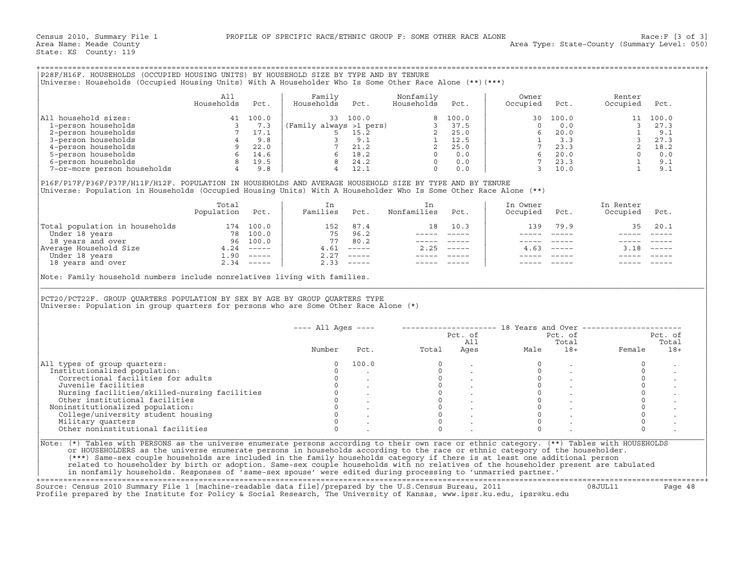| P28F/H16F. HOUSEHOLDS (OCCUPIED HOUSING UNITS) BY HOUSEHOLD SIZE BY TYPE AND BY TENURE<br>(***) Universe: Households (Occupied Housing Units) With A Householder Who Is Some Other Race Alone (**) [***) |                   |       |                         |       |                         |       |                   |       |                    |       |
|----------------------------------------------------------------------------------------------------------------------------------------------------------------------------------------------------------|-------------------|-------|-------------------------|-------|-------------------------|-------|-------------------|-------|--------------------|-------|
|                                                                                                                                                                                                          | All<br>Households | Pct.  | Family<br>Households    | Pct.  | Nonfamily<br>Households | Pct.  | Owner<br>Occupied | Pct.  | Renter<br>Occupied | Pct.  |
| All household sizes:                                                                                                                                                                                     | 41                | 100.0 | 33                      | 100.0 | 8                       | 100.0 | 30                | 100.0 |                    | 100.0 |
| 1-person households                                                                                                                                                                                      |                   | 7.3   | (Family always >1 pers) |       |                         | 37.5  |                   | 0.0   |                    | 27.3  |
| 2-person households                                                                                                                                                                                      |                   | 17.1  |                         | 15.2  |                         | 25.0  |                   | 20.0  |                    | 9.1   |
| 3-person households                                                                                                                                                                                      |                   | 9.8   |                         | 9.1   |                         | 12.5  |                   | 3.3   |                    | 27.3  |
| 4-person households                                                                                                                                                                                      |                   | 22.0  |                         | 21.2  |                         | 25.0  |                   | 23.3  |                    | 18.2  |
| 5-person households                                                                                                                                                                                      |                   | 14.6  | h                       | 18.2  |                         | 0.0   |                   | 20.0  |                    | 0.0   |
| 6-person households                                                                                                                                                                                      |                   | 19.5  |                         | 24.2  |                         | 0.0   |                   | 23.3  |                    | 9.1   |
| 7-or-more person households                                                                                                                                                                              |                   | 9.8   |                         | 12.1  |                         | 0.0   |                   | 10.0  |                    | 9.1   |

|                                | Total<br>Population | Pct.          | Families | Pct.          | Nonfamilies | Pct.                      | In Owner<br>Occupied | Pct.          | In Renter<br>Occupied | Pct.     |
|--------------------------------|---------------------|---------------|----------|---------------|-------------|---------------------------|----------------------|---------------|-----------------------|----------|
| Total population in households | 174                 | 100.0         | 152      | 87.4          | 18          | 10.3                      | 139                  | 79.9          | 35                    | 20.1     |
| Under 18 years                 | 78                  | 100.0         | 75       | 96.2          |             |                           |                      |               |                       |          |
| 18 years and over              | 96                  | 100.0         | 77       | 80.2          |             |                           |                      |               |                       |          |
| Average Household Size         | 4.24                | $------$      | 4.61     | $------$      | 2.25        | $\qquad \qquad - - - - -$ | 4.63                 | $- - - - - -$ |                       | $------$ |
| Under 18 years                 | $\overline{1}$ .90  | $- - - - - -$ | 2.27     | $------$      |             |                           |                      |               |                       |          |
| 18 years and over              | 2.34                | $- - - - -$   | 2.33     | $- - - - - -$ |             |                           |                      |               |                       |          |

| Universe: Households (Occupied Housing Units) With A Householder Who Is Some Other Race Alone (**) (***)                                                                                                                     | P28F/H16F. HOUSEHOLDS (OCCUPIED HOUSING UNITS) BY HOUSEHOLD SIZE BY TYPE AND BY TENURE |      |                      |                                                                                              |                                                                                                                                                                                                                                                                                                                                                                                                                                                                            |                        |                                                               |                                                                                                                                                                                                                                                                                                                                                                                              |                                                                                                                                                                                                                  |          |
|------------------------------------------------------------------------------------------------------------------------------------------------------------------------------------------------------------------------------|----------------------------------------------------------------------------------------|------|----------------------|----------------------------------------------------------------------------------------------|----------------------------------------------------------------------------------------------------------------------------------------------------------------------------------------------------------------------------------------------------------------------------------------------------------------------------------------------------------------------------------------------------------------------------------------------------------------------------|------------------------|---------------------------------------------------------------|----------------------------------------------------------------------------------------------------------------------------------------------------------------------------------------------------------------------------------------------------------------------------------------------------------------------------------------------------------------------------------------------|------------------------------------------------------------------------------------------------------------------------------------------------------------------------------------------------------------------|----------|
|                                                                                                                                                                                                                              | All<br>Households                                                                      | Pct. | Family<br>Households | Pct.                                                                                         | Nonfamily<br>Households                                                                                                                                                                                                                                                                                                                                                                                                                                                    | Pct.                   | Owner<br>Occupied                                             | Pct.                                                                                                                                                                                                                                                                                                                                                                                         | Renter<br>Occupied                                                                                                                                                                                               | Pct.     |
| All household sizes:                                                                                                                                                                                                         |                                                                                        |      |                      |                                                                                              |                                                                                                                                                                                                                                                                                                                                                                                                                                                                            |                        | 30                                                            | 100.0                                                                                                                                                                                                                                                                                                                                                                                        |                                                                                                                                                                                                                  | 11 100.0 |
| 1-person households                                                                                                                                                                                                          |                                                                                        |      |                      |                                                                                              |                                                                                                                                                                                                                                                                                                                                                                                                                                                                            |                        |                                                               |                                                                                                                                                                                                                                                                                                                                                                                              |                                                                                                                                                                                                                  |          |
| 2-person households                                                                                                                                                                                                          |                                                                                        |      |                      |                                                                                              |                                                                                                                                                                                                                                                                                                                                                                                                                                                                            |                        |                                                               |                                                                                                                                                                                                                                                                                                                                                                                              |                                                                                                                                                                                                                  |          |
| 3-person households                                                                                                                                                                                                          |                                                                                        |      |                      |                                                                                              |                                                                                                                                                                                                                                                                                                                                                                                                                                                                            |                        |                                                               |                                                                                                                                                                                                                                                                                                                                                                                              |                                                                                                                                                                                                                  |          |
| 4-person households                                                                                                                                                                                                          |                                                                                        |      |                      |                                                                                              |                                                                                                                                                                                                                                                                                                                                                                                                                                                                            |                        |                                                               |                                                                                                                                                                                                                                                                                                                                                                                              |                                                                                                                                                                                                                  |          |
| 5-person households                                                                                                                                                                                                          |                                                                                        |      |                      |                                                                                              |                                                                                                                                                                                                                                                                                                                                                                                                                                                                            |                        |                                                               |                                                                                                                                                                                                                                                                                                                                                                                              |                                                                                                                                                                                                                  |          |
| 6-person households                                                                                                                                                                                                          |                                                                                        |      |                      |                                                                                              |                                                                                                                                                                                                                                                                                                                                                                                                                                                                            |                        |                                                               |                                                                                                                                                                                                                                                                                                                                                                                              |                                                                                                                                                                                                                  |          |
| 7-or-more person households 4 9.8                                                                                                                                                                                            |                                                                                        |      |                      |                                                                                              |                                                                                                                                                                                                                                                                                                                                                                                                                                                                            |                        |                                                               |                                                                                                                                                                                                                                                                                                                                                                                              | $\begin{array}{cccccc} 0 & 0.0 & & & 3 & 27.5 \\ 6 & 20.0 & & & 1 & 9.1 \\ 1 & 3.3 & & 3 & 27.3 \\ 7 & 23.3 & & 3 & 27.3 \\ 6 & 20.0 & & 2 & 18.2 \\ 7 & 23.3 & & 1 & 9.1 \\ 3 & 10.0 & & & 1 & 9.1 \end{array}$ |          |
| P16F/P17F/P36F/P37F/H11F/H12F. POPULATION IN HOUSEHOLDS AND AVERAGE HOUSEHOLD SIZE BY TYPE AND BY TENURE<br>Universe: Population in Households (Occupied Housing Units) With A Householder Who Is Some Other Race Alone (**) | Total                                                                                  |      | In                   |                                                                                              | In                                                                                                                                                                                                                                                                                                                                                                                                                                                                         |                        | In Owner                                                      |                                                                                                                                                                                                                                                                                                                                                                                              | In Renter                                                                                                                                                                                                        |          |
|                                                                                                                                                                                                                              | Population Pct.                                                                        |      | Families Pct.        |                                                                                              | Nonfamilies                                                                                                                                                                                                                                                                                                                                                                                                                                                                | Pct.                   | Occupied                                                      | Pct.                                                                                                                                                                                                                                                                                                                                                                                         | Occupied                                                                                                                                                                                                         | Pct.     |
| Total population in households 174 100.0<br>Under 18 years 18 78 100.0<br>18 years and over 96 100.0<br>Average Household Size 4.24 -----<br>Under 18 years and over 1.90 -----<br>1.90 -----<br>1.90 -----<br>2.34 -----    |                                                                                        |      |                      | 152 87.4                                                                                     |                                                                                                                                                                                                                                                                                                                                                                                                                                                                            | 18 10.3                | 139                                                           | 79.9                                                                                                                                                                                                                                                                                                                                                                                         | 35                                                                                                                                                                                                               | 20.1     |
|                                                                                                                                                                                                                              |                                                                                        |      |                      | 75 96.2                                                                                      |                                                                                                                                                                                                                                                                                                                                                                                                                                                                            | ----- -----            | $\frac{1}{2}$                                                 | $\frac{1}{2} \frac{1}{2} \frac{1}{2} \frac{1}{2} \frac{1}{2} \frac{1}{2} \frac{1}{2} \frac{1}{2} \frac{1}{2} \frac{1}{2} \frac{1}{2} \frac{1}{2} \frac{1}{2} \frac{1}{2} \frac{1}{2} \frac{1}{2} \frac{1}{2} \frac{1}{2} \frac{1}{2} \frac{1}{2} \frac{1}{2} \frac{1}{2} \frac{1}{2} \frac{1}{2} \frac{1}{2} \frac{1}{2} \frac{1}{2} \frac{1}{2} \frac{1}{2} \frac{1}{2} \frac{1}{2} \frac{$ |                                                                                                                                                                                                                  |          |
|                                                                                                                                                                                                                              |                                                                                        |      |                      | 77 80.2                                                                                      | $\begin{array}{cccccc} - & - & - & - & - & - & - \\ & - & - & - & - & - \\ & & - & - & - & - \end{array}$                                                                                                                                                                                                                                                                                                                                                                  |                        |                                                               | $------$                                                                                                                                                                                                                                                                                                                                                                                     |                                                                                                                                                                                                                  |          |
|                                                                                                                                                                                                                              |                                                                                        |      |                      | $4.61$ -----                                                                                 | $2.25$ -----                                                                                                                                                                                                                                                                                                                                                                                                                                                               |                        |                                                               | $4.63$ -----                                                                                                                                                                                                                                                                                                                                                                                 | $3.18$ -----                                                                                                                                                                                                     |          |
|                                                                                                                                                                                                                              |                                                                                        |      |                      | $2.27$ -----                                                                                 | $\begin{array}{cccccc} - & - & - & - & - & - & - \\ & - & - & - & - & - \\ & & - & - & - & - \end{array}$                                                                                                                                                                                                                                                                                                                                                                  |                        |                                                               |                                                                                                                                                                                                                                                                                                                                                                                              |                                                                                                                                                                                                                  |          |
|                                                                                                                                                                                                                              |                                                                                        |      |                      | $2.33$ -----                                                                                 | $\frac{1}{2} \left( \frac{1}{2} \right) \left( \frac{1}{2} \right) \left( \frac{1}{2} \right) \left( \frac{1}{2} \right) \left( \frac{1}{2} \right) \left( \frac{1}{2} \right) \left( \frac{1}{2} \right) \left( \frac{1}{2} \right) \left( \frac{1}{2} \right) \left( \frac{1}{2} \right) \left( \frac{1}{2} \right) \left( \frac{1}{2} \right) \left( \frac{1}{2} \right) \left( \frac{1}{2} \right) \left( \frac{1}{2} \right) \left( \frac{1}{2} \right) \left( \frac$ |                        |                                                               |                                                                                                                                                                                                                                                                                                                                                                                              |                                                                                                                                                                                                                  |          |
| PCT20/PCT22F. GROUP QUARTERS POPULATION BY SEX BY AGE BY GROUP QUARTERS TYPE<br>Universe: Population in group quarters for persons who are Some Other Race Alone $(*)$                                                       |                                                                                        |      |                      |                                                                                              |                                                                                                                                                                                                                                                                                                                                                                                                                                                                            |                        |                                                               |                                                                                                                                                                                                                                                                                                                                                                                              |                                                                                                                                                                                                                  |          |
|                                                                                                                                                                                                                              |                                                                                        |      | $---$ All Ages $---$ |                                                                                              |                                                                                                                                                                                                                                                                                                                                                                                                                                                                            |                        | -------------------- 18 Years and Over ---------------------- |                                                                                                                                                                                                                                                                                                                                                                                              |                                                                                                                                                                                                                  |          |
|                                                                                                                                                                                                                              |                                                                                        |      |                      |                                                                                              |                                                                                                                                                                                                                                                                                                                                                                                                                                                                            |                        |                                                               | Pct. of                                                                                                                                                                                                                                                                                                                                                                                      |                                                                                                                                                                                                                  | Pct. of  |
|                                                                                                                                                                                                                              |                                                                                        |      |                      |                                                                                              |                                                                                                                                                                                                                                                                                                                                                                                                                                                                            | Pct. of<br>All<br>Ages |                                                               | Total                                                                                                                                                                                                                                                                                                                                                                                        |                                                                                                                                                                                                                  | Total    |
|                                                                                                                                                                                                                              |                                                                                        |      | Number               | Pct.                                                                                         | Total                                                                                                                                                                                                                                                                                                                                                                                                                                                                      |                        | Male                                                          | $18+$                                                                                                                                                                                                                                                                                                                                                                                        | Female                                                                                                                                                                                                           | $18+$    |
| All types of group quarters:                                                                                                                                                                                                 |                                                                                        |      | 0                    | 100.0                                                                                        | $\circ$                                                                                                                                                                                                                                                                                                                                                                                                                                                                    |                        |                                                               |                                                                                                                                                                                                                                                                                                                                                                                              | $\mathbf 0$                                                                                                                                                                                                      |          |
| Institutionalized population:                                                                                                                                                                                                |                                                                                        |      | $\Omega$             |                                                                                              |                                                                                                                                                                                                                                                                                                                                                                                                                                                                            |                        | $\mathbf 0$                                                   |                                                                                                                                                                                                                                                                                                                                                                                              | $\circ$                                                                                                                                                                                                          |          |
| Correctional facilities for adults                                                                                                                                                                                           |                                                                                        |      | $\circ$              |                                                                                              |                                                                                                                                                                                                                                                                                                                                                                                                                                                                            |                        | $\circ$                                                       |                                                                                                                                                                                                                                                                                                                                                                                              | $\circ$                                                                                                                                                                                                          |          |
| Juvenile facilities                                                                                                                                                                                                          |                                                                                        |      | $\Omega$             |                                                                                              | $\begin{bmatrix} 0 \\ 0 \\ 0 \\ 0 \\ 0 \\ 0 \end{bmatrix}$                                                                                                                                                                                                                                                                                                                                                                                                                 |                        | $\circ$                                                       | $\sim$ $\sim$                                                                                                                                                                                                                                                                                                                                                                                | $\mathbb O$                                                                                                                                                                                                      |          |
| Nursing facilities/skilled-nursing facilities                                                                                                                                                                                |                                                                                        |      |                      | $\begin{matrix} 0 & & & & \\ 0 & & & & \\ 0 & & & & \\ 0 & & & & \\ & & & & \\ \end{matrix}$ |                                                                                                                                                                                                                                                                                                                                                                                                                                                                            |                        | $\Omega$                                                      |                                                                                                                                                                                                                                                                                                                                                                                              | $\circ$                                                                                                                                                                                                          |          |
| Other institutional facilities                                                                                                                                                                                               |                                                                                        |      |                      |                                                                                              |                                                                                                                                                                                                                                                                                                                                                                                                                                                                            |                        | $\circ$                                                       |                                                                                                                                                                                                                                                                                                                                                                                              | $\circ$                                                                                                                                                                                                          |          |
|                                                                                                                                                                                                                              |                                                                                        |      |                      |                                                                                              | $\circ$                                                                                                                                                                                                                                                                                                                                                                                                                                                                    |                        | $\circ$                                                       |                                                                                                                                                                                                                                                                                                                                                                                              | $\circ$                                                                                                                                                                                                          |          |
| Noninstitutionalized population:                                                                                                                                                                                             |                                                                                        |      |                      |                                                                                              | $\overline{0}$                                                                                                                                                                                                                                                                                                                                                                                                                                                             |                        | $\Omega$                                                      |                                                                                                                                                                                                                                                                                                                                                                                              | $\Omega$                                                                                                                                                                                                         |          |
| College/university student housing                                                                                                                                                                                           |                                                                                        |      |                      |                                                                                              | $\Omega$                                                                                                                                                                                                                                                                                                                                                                                                                                                                   |                        | $\Omega$                                                      |                                                                                                                                                                                                                                                                                                                                                                                              | $\circ$                                                                                                                                                                                                          |          |
| Military quarters                                                                                                                                                                                                            |                                                                                        |      |                      |                                                                                              |                                                                                                                                                                                                                                                                                                                                                                                                                                                                            |                        |                                                               |                                                                                                                                                                                                                                                                                                                                                                                              |                                                                                                                                                                                                                  |          |
| Other noninstitutional facilities                                                                                                                                                                                            |                                                                                        |      | $\Omega$             |                                                                                              | $\cap$                                                                                                                                                                                                                                                                                                                                                                                                                                                                     |                        | $\Omega$                                                      |                                                                                                                                                                                                                                                                                                                                                                                              | $\Omega$                                                                                                                                                                                                         |          |

+===================================================================================================================================================+ Source: Census 2010 Summary File 1 [machine−readable data file]/prepared by the U.S.Census Bureau, 2011 08JUL11 Page 48

Profile prepared by the Institute for Policy & Social Research, The University of Kansas, www.ipsr.ku.edu, ipsr@ku.edu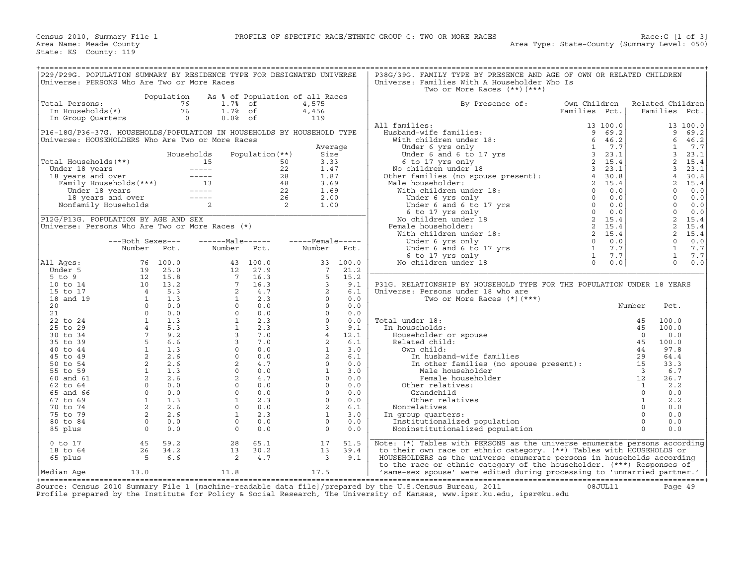| P29/P29G. POPULATION SUMMARY BY RESIDENCE TYPE FOR DESIGNATED UNIVERSE |                                           |                |                                                                                                                                                                                                                                                                                                                                                                                              |                 |                                 |                     | P38G/39G. FAMILY TYPE BY PRESENCE AND AGE OF OWN OR RELATED CHILDREN         |                                                                                                                                      |                          |                      |            |
|------------------------------------------------------------------------|-------------------------------------------|----------------|----------------------------------------------------------------------------------------------------------------------------------------------------------------------------------------------------------------------------------------------------------------------------------------------------------------------------------------------------------------------------------------------|-----------------|---------------------------------|---------------------|------------------------------------------------------------------------------|--------------------------------------------------------------------------------------------------------------------------------------|--------------------------|----------------------|------------|
| Universe: PERSONS Who Are Two or More Races                            |                                           |                |                                                                                                                                                                                                                                                                                                                                                                                              |                 |                                 |                     | Universe: Families With A Householder Who Is<br>Two or More Races (**) (***) |                                                                                                                                      |                          |                      |            |
|                                                                        |                                           | Population     |                                                                                                                                                                                                                                                                                                                                                                                              |                 | As % of Population of all Races |                     |                                                                              |                                                                                                                                      |                          |                      |            |
| Total Persons:                                                         |                                           | 76             | 1.7%                                                                                                                                                                                                                                                                                                                                                                                         | of              | 4,575                           |                     | By Presence of:                                                              | Own Children                                                                                                                         |                          | Related Children     |            |
| In Households(*)                                                       |                                           | 76             | 1.7% of                                                                                                                                                                                                                                                                                                                                                                                      |                 | 4,456                           |                     |                                                                              | Families Pct.                                                                                                                        |                          | Families Pct.        |            |
| In Group Quarters                                                      |                                           | $\overline{0}$ | $0.0%$ of                                                                                                                                                                                                                                                                                                                                                                                    |                 | 119                             |                     | All families:                                                                | 13 100.0                                                                                                                             |                          |                      | 13 100.0   |
| P16-18G/P36-37G. HOUSEHOLDS/POPULATION IN HOUSEHOLDS BY HOUSEHOLD TYPE |                                           |                |                                                                                                                                                                                                                                                                                                                                                                                              |                 |                                 |                     | Husband-wife families:                                                       | 9<br>69.2                                                                                                                            |                          | 9                    | 69.2       |
| Universe: HOUSEHOLDERS Who Are Two or More Races                       |                                           |                |                                                                                                                                                                                                                                                                                                                                                                                              |                 |                                 |                     | With children under 18:                                                      | 6<br>46.2                                                                                                                            |                          | 6                    | 46.2       |
|                                                                        |                                           |                |                                                                                                                                                                                                                                                                                                                                                                                              |                 |                                 | Average             | Under 6 yrs only                                                             | 1, 7.7                                                                                                                               |                          | $\mathbf{1}$         | 7.7        |
|                                                                        |                                           |                | Households                                                                                                                                                                                                                                                                                                                                                                                   | Population (**) |                                 | Size                | Under 6 and 6 to 17 yrs                                                      | 3, 23.1                                                                                                                              |                          | 3                    | 23.1       |
| Total Households (**)                                                  |                                           |                | 15                                                                                                                                                                                                                                                                                                                                                                                           |                 | 50                              | 3.33                | 6 to 17 yrs only                                                             | 2, 15.4                                                                                                                              |                          | 2                    | 15.4       |
| Under 18 years                                                         |                                           |                | $\frac{1}{13}$                                                                                                                                                                                                                                                                                                                                                                               |                 | 22                              | 1.47                | No children under 18                                                         | 3, 23.1                                                                                                                              |                          | 3                    | 23.1       |
| 18 years and over                                                      |                                           |                |                                                                                                                                                                                                                                                                                                                                                                                              |                 | 28                              | 1.87                | Other families (no spouse present):                                          | 4, 30.8                                                                                                                              |                          | $\overline{4}$       | 30.8       |
|                                                                        | Family Households (***)                   |                |                                                                                                                                                                                                                                                                                                                                                                                              |                 | 48                              | 3.69                | Male householder:                                                            | 2, 15.4                                                                                                                              |                          | $\overline{2}$       | 15.4       |
| Under 18 years                                                         |                                           |                | $\frac{1}{2} \frac{1}{2} \frac{1}{2} \frac{1}{2} \frac{1}{2} \frac{1}{2} \frac{1}{2} \frac{1}{2} \frac{1}{2} \frac{1}{2} \frac{1}{2} \frac{1}{2} \frac{1}{2} \frac{1}{2} \frac{1}{2} \frac{1}{2} \frac{1}{2} \frac{1}{2} \frac{1}{2} \frac{1}{2} \frac{1}{2} \frac{1}{2} \frac{1}{2} \frac{1}{2} \frac{1}{2} \frac{1}{2} \frac{1}{2} \frac{1}{2} \frac{1}{2} \frac{1}{2} \frac{1}{2} \frac{$ |                 | 22<br>26                        | 1.69<br>2.00        | With children under 18:                                                      | $\Omega$<br>0.0<br>$\begin{array}{ccc} 0 & 0.0 \\ 0 & 0.0 \\ 0 & 0.0 \\ 2 & 15.4 \\ 2 & 15.4 \\ 2 & 15.4 \\ 2 & 15.4 \\ \end{array}$ |                          | $\Omega$<br>$\Omega$ | 0.0<br>0.0 |
|                                                                        | 18 years and over<br>Nonfamily Households |                | 2                                                                                                                                                                                                                                                                                                                                                                                            | $\overline{a}$  |                                 | 1.00                | Under 6 yrs only<br>Under 6 and 6 to 17 yrs                                  |                                                                                                                                      |                          | $\Omega$             | 0.0        |
|                                                                        |                                           |                |                                                                                                                                                                                                                                                                                                                                                                                              |                 |                                 |                     | 6 to 17 yrs only                                                             |                                                                                                                                      |                          | $\Omega$             | 0.0        |
| P12G/P13G. POPULATION BY AGE AND SEX                                   |                                           |                |                                                                                                                                                                                                                                                                                                                                                                                              |                 |                                 |                     | No children under 18                                                         |                                                                                                                                      |                          | 2                    | 15.4       |
| Universe: Persons Who Are Two or More Races (*)                        |                                           |                |                                                                                                                                                                                                                                                                                                                                                                                              |                 |                                 |                     | Female householder:                                                          |                                                                                                                                      |                          | 2                    | 15.4       |
|                                                                        |                                           |                |                                                                                                                                                                                                                                                                                                                                                                                              |                 |                                 |                     | With children under 18:                                                      |                                                                                                                                      |                          | $\overline{2}$       | 15.4       |
|                                                                        | ---Both Sexes---                          |                | $---Male----$                                                                                                                                                                                                                                                                                                                                                                                |                 | $---$ Female -----              |                     | Under 6 yrs only                                                             | $\overline{0}$<br>0.0                                                                                                                |                          | $\circ$              | 0.0        |
|                                                                        | Number                                    | Pct.           | Number                                                                                                                                                                                                                                                                                                                                                                                       | Pct.            | Number                          | Pct.                | 0<br>Under 6 and 6 to 17 yrs<br>6 to 17 yrs only                             | 7.7                                                                                                                                  |                          | $\mathbf{1}$         | 7.7        |
|                                                                        |                                           |                |                                                                                                                                                                                                                                                                                                                                                                                              |                 |                                 |                     | 6 to 17 yrs only                                                             | <sup>1</sup><br>7.7                                                                                                                  |                          | $\mathbf{1}$         | 7.7        |
| All Ages:                                                              | 76                                        | 100.0          | 43                                                                                                                                                                                                                                                                                                                                                                                           | 100.0           | 33                              | 100.0               | No children under 18                                                         | $\Omega$<br>0.0                                                                                                                      |                          | $\Omega$             | 0.0        |
| Under 5                                                                | 19                                        | 25.0           | 12<br>$7\overline{ }$                                                                                                                                                                                                                                                                                                                                                                        | 27.9            | $7\phantom{.0}$<br>5            | 21.2                |                                                                              |                                                                                                                                      |                          |                      |            |
| $5$ to $9$<br>10 to 14                                                 | $\begin{array}{c} 12 \\ 10 \end{array}$   | 15.8<br>13.2   | $7\overline{ }$                                                                                                                                                                                                                                                                                                                                                                              | 16.3<br>16.3    | $\overline{3}$                  | 15.2<br>9.1         | P31G. RELATIONSHIP BY HOUSEHOLD TYPE FOR THE POPULATION UNDER 18 YEARS       |                                                                                                                                      |                          |                      |            |
| 15 to 17                                                               | $\overline{4}$                            | 5.3            | 2                                                                                                                                                                                                                                                                                                                                                                                            | 4.7             | 2                               | 6.1                 | Universe: Persons under 18 who are                                           |                                                                                                                                      |                          |                      |            |
| 18 and 19                                                              |                                           | 1.3            | $\mathbf{1}$                                                                                                                                                                                                                                                                                                                                                                                 | 2.3             |                                 | $\Omega$<br>0.0     | Two or More Races $(*)$ $(***)$                                              |                                                                                                                                      |                          |                      |            |
| 20                                                                     | $\frac{1}{2}$<br>$\Omega$                 | 0.0            | $\Omega$                                                                                                                                                                                                                                                                                                                                                                                     | 0.0             |                                 | $\Omega$<br>0.0     |                                                                              |                                                                                                                                      | Number                   | Pct.                 |            |
| 21                                                                     | $\Omega$                                  | 0.0            | $\Omega$                                                                                                                                                                                                                                                                                                                                                                                     | 0.0             |                                 | $\Omega$<br>0.0     |                                                                              |                                                                                                                                      |                          |                      |            |
| 22 to 24                                                               | 1                                         | 1.3            | $\mathbf{1}$                                                                                                                                                                                                                                                                                                                                                                                 | 2.3             | $\Omega$                        | 0.0                 | Total under 18:                                                              |                                                                                                                                      | 45                       | 100.0                |            |
| 25 to 29                                                               | $4\overline{ }$                           | 5.3            | $\mathbf{1}$                                                                                                                                                                                                                                                                                                                                                                                 | 2.3             | $\overline{\mathbf{3}}$         | 9.1                 | In households:                                                               |                                                                                                                                      | 45                       | 100.0                |            |
| 30 to 34                                                               | $7^{\circ}$                               | 9.2            | $\overline{3}$                                                                                                                                                                                                                                                                                                                                                                               | 7.0             | $\overline{4}$                  | 12.1                | Householder or spouse                                                        |                                                                                                                                      | $\overline{0}$           | 0.0                  |            |
| 35 to 39                                                               | 5                                         | 6.6            | $\overline{3}$                                                                                                                                                                                                                                                                                                                                                                               | 7.0             | 2                               | 6.1                 | Related child:                                                               |                                                                                                                                      | 45                       | 100.0                |            |
| 40 to 44                                                               | 1                                         | 1.3            | $\Omega$                                                                                                                                                                                                                                                                                                                                                                                     | 0.0             | $\mathbf{1}$                    | 3.0                 | Own child:                                                                   |                                                                                                                                      | 44                       | 97.8                 |            |
| 45 to 49<br>50 to 54                                                   | $\overline{a}$<br>2                       | 2.6<br>2.6     | $\circ$<br>2                                                                                                                                                                                                                                                                                                                                                                                 | 0.0<br>4.7      | $\overline{2}$<br>$\Omega$      | 6.1<br>0.0          | In husband-wife families                                                     |                                                                                                                                      | 29<br>15                 | 64.4<br>33.3         |            |
| 55 to 59                                                               | 1                                         | 1.3            | $\Omega$                                                                                                                                                                                                                                                                                                                                                                                     | 0.0             |                                 | $\mathbf{1}$<br>3.0 | In other families (no spouse present):<br>Male householder                   |                                                                                                                                      | $\overline{\phantom{a}}$ | 6.7                  |            |
| 60 and 61                                                              | 2                                         | 2.6            | 2                                                                                                                                                                                                                                                                                                                                                                                            | 4.7             |                                 | $\Omega$<br>0.0     | Female householder                                                           |                                                                                                                                      | 12                       | 26.7                 |            |
| 62 to 64                                                               | $\Omega$                                  | 0.0            | $\Omega$                                                                                                                                                                                                                                                                                                                                                                                     | 0.0             |                                 | $\Omega$<br>0.0     | Other relatives:                                                             |                                                                                                                                      | $\mathbf{1}$             | 2.2                  |            |
| 65 and 66                                                              | $\overline{0}$                            | 0.0            | $\Omega$                                                                                                                                                                                                                                                                                                                                                                                     | 0.0             |                                 | $\circ$<br>0.0      | Grandchild                                                                   |                                                                                                                                      | $\circ$                  | 0.0                  |            |
| 67 to 69                                                               | 1                                         | 1.3            | 1                                                                                                                                                                                                                                                                                                                                                                                            | 2.3             |                                 | $\Omega$<br>0.0     | Other relatives                                                              |                                                                                                                                      | $\mathbf{1}$             | 2.2                  |            |
| 70 to 74                                                               | 2                                         | 2.6            | $\circ$                                                                                                                                                                                                                                                                                                                                                                                      | 0.0             | 2                               | 6.1                 | Nonrelatives                                                                 |                                                                                                                                      | $\circ$                  | 0.0                  |            |
| 75 to 79                                                               | $\overline{2}$                            | 2.6            | 1                                                                                                                                                                                                                                                                                                                                                                                            | 2.3             | 1                               | 3.0                 | In group quarters:                                                           |                                                                                                                                      | $\Omega$                 | 0.0                  |            |
| 80 to 84                                                               | $\Omega$                                  | 0.0            | $\Omega$                                                                                                                                                                                                                                                                                                                                                                                     | 0.0             |                                 | $\Omega$<br>0.0     | Institutionalized population                                                 |                                                                                                                                      | $\Omega$                 | 0.0                  |            |
| 85 plus                                                                | $\Omega$                                  | 0.0            | $\Omega$                                                                                                                                                                                                                                                                                                                                                                                     | 0.0             | $\Omega$                        | 0.0                 | Noninstitutionalized population                                              |                                                                                                                                      | $\Omega$                 | 0.0                  |            |
| 0 to 17                                                                | 45                                        | 59.2           | 28                                                                                                                                                                                                                                                                                                                                                                                           | 65.1            | 17                              | 51.5                | Note: $(*)$ Tables with PERSONS as the universe enumerate persons according  |                                                                                                                                      |                          |                      |            |
| 18 to 64                                                               | 26                                        | 34.2           | 13                                                                                                                                                                                                                                                                                                                                                                                           | 30.2            | 13                              | 39.4                | to their own race or ethnic category. (**) Tables with HOUSEHOLDS or         |                                                                                                                                      |                          |                      |            |
| 65 plus                                                                | - 5                                       | 6.6            | 2                                                                                                                                                                                                                                                                                                                                                                                            | 4.7             | $\overline{\mathbf{3}}$         | 9.1                 | HOUSEHOLDERS as the universe enumerate persons in households according       |                                                                                                                                      |                          |                      |            |
|                                                                        |                                           |                |                                                                                                                                                                                                                                                                                                                                                                                              |                 |                                 |                     | to the race or ethnic category of the householder. (***) Responses of        |                                                                                                                                      |                          |                      |            |
| Median Aqe                                                             | 13.0                                      |                | 11.8                                                                                                                                                                                                                                                                                                                                                                                         |                 | 17.5                            |                     | 'same-sex spouse' were edited during processing to 'unmarried partner.'      |                                                                                                                                      |                          |                      |            |

+===================================================================================================================================================+ Source: Census 2010 Summary File 1 [machine−readable data file]/prepared by the U.S.Census Bureau, 2011 08JUL11 Page 49 Profile prepared by the Institute for Policy & Social Research, The University of Kansas, www.ipsr.ku.edu, ipsr@ku.edu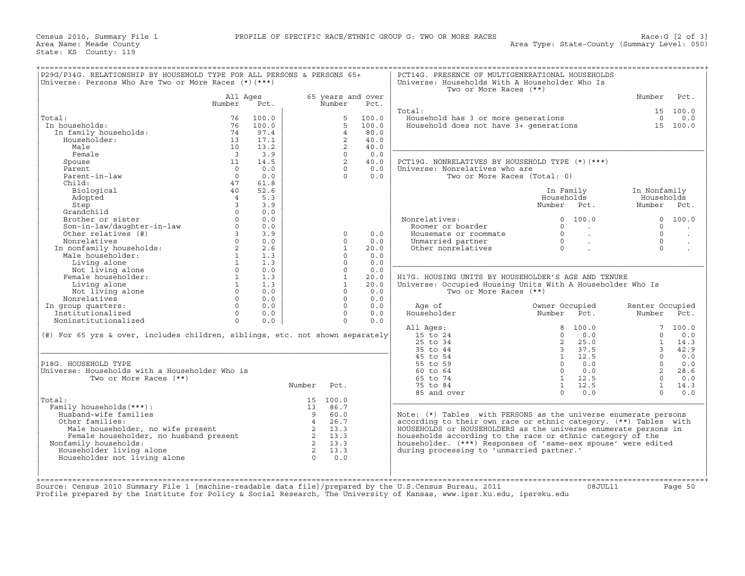| P29G/P34G. RELATIONSHIP BY HOUSEHOLD TYPE FOR ALL PERSONS & PERSONS 65+<br>Universe: Persons Who Are Two or More Races $(*)$ $(***)$ |                         |       |                 |                |                   | PCT14G. PRESENCE OF MULTIGENERATIONAL HOUSEHOLDS<br>Universe: Households With A Householder Who Is<br>Two or More Races (**) |                |                |                 |                      |
|--------------------------------------------------------------------------------------------------------------------------------------|-------------------------|-------|-----------------|----------------|-------------------|------------------------------------------------------------------------------------------------------------------------------|----------------|----------------|-----------------|----------------------|
|                                                                                                                                      | All Ages                |       |                 |                | 65 years and over |                                                                                                                              |                |                | Number          | Pct.                 |
|                                                                                                                                      | Number                  | Pct.  |                 | Number         | Pct.              |                                                                                                                              |                |                |                 |                      |
|                                                                                                                                      |                         |       |                 |                |                   | Total:                                                                                                                       |                |                |                 | 15 100.0             |
| Total:                                                                                                                               | 76                      | 100.0 |                 | 5              | 100.0             | Household has 3 or more generations                                                                                          |                |                | $\Omega$        | 0.0                  |
| In households:                                                                                                                       | 76                      | 100.0 |                 | $5^{\circ}$    | 100.0             | Household does not have 3+ generations                                                                                       |                |                |                 | 15 100.0             |
| In family households:                                                                                                                | 74                      | 97.4  |                 | $\overline{4}$ | 80.0              |                                                                                                                              |                |                |                 |                      |
| Householder:                                                                                                                         | 13                      | 17.1  |                 | $\overline{2}$ | 40.0              |                                                                                                                              |                |                |                 |                      |
| Male                                                                                                                                 | 10                      | 13.2  |                 | $\overline{2}$ | 40.0              |                                                                                                                              |                |                |                 |                      |
| Female                                                                                                                               | $\overline{\mathbf{3}}$ | 3.9   |                 | $\Omega$       | 0.0               |                                                                                                                              |                |                |                 |                      |
| Spouse                                                                                                                               | 11                      | 14.5  |                 | 2              | 40.0              | PCT19G. NONRELATIVES BY HOUSEHOLD TYPE (*) (***)                                                                             |                |                |                 |                      |
| Parent                                                                                                                               | $\Omega$                | 0.0   |                 | $\Omega$       | 0.0               | Universe: Nonrelatives who are                                                                                               |                |                |                 |                      |
| Parent-in-law                                                                                                                        | $\Omega$                | 0.0   |                 | $\Omega$       | 0.0               | Two or More Races (Total: 0)                                                                                                 |                |                |                 |                      |
| Child:                                                                                                                               | 47                      | 61.8  |                 |                |                   |                                                                                                                              |                |                |                 |                      |
| Biological                                                                                                                           | 40                      | 52.6  |                 |                |                   |                                                                                                                              | In Family      |                | In Nonfamily    |                      |
| Adopted                                                                                                                              | $\overline{4}$          | 5.3   |                 |                |                   |                                                                                                                              | Households     |                | Households      |                      |
|                                                                                                                                      | $\overline{3}$          | 3.9   |                 |                |                   |                                                                                                                              | Number         | Pct.           | Number Pct.     |                      |
| Step<br>Grandchild                                                                                                                   |                         |       |                 |                |                   |                                                                                                                              |                |                |                 |                      |
|                                                                                                                                      | $\Omega$                | 0.0   |                 |                |                   |                                                                                                                              |                |                |                 |                      |
| Brother or sister                                                                                                                    |                         | 0.0   |                 |                |                   | Nonrelatives:                                                                                                                | $\Omega$       | 100.0          |                 | 0 100.0              |
| Son-in-law/daughter-in-law                                                                                                           | $\circ$                 | 0.0   |                 |                |                   | Roomer or boarder                                                                                                            | $\Omega$       | $\sim 100$     | $\Omega$        |                      |
| Other relatives (#)                                                                                                                  | $\overline{3}$          | 3.9   |                 | $\Omega$       | 0.0               | Housemate or roommate                                                                                                        | $\Omega$       | $\sim$         | $\Omega$        | $\ddot{\phantom{a}}$ |
| Nonrelatives                                                                                                                         | $\Omega$                | 0.0   |                 | $\Omega$       | 0.0               | Unmarried partner                                                                                                            | $\Omega$       | $\sim$         | $\Omega$        | $\bullet$            |
| In nonfamily households:<br>Mala householder                                                                                         | $\overline{a}$          | 2.6   |                 | 1              | 20.0              | Other nonrelatives                                                                                                           | $\Omega$       |                | $\Omega$        |                      |
| Male householder:                                                                                                                    | 1                       | 1.3   |                 | $\Omega$       | 0.0               |                                                                                                                              |                |                |                 |                      |
| Living alone                                                                                                                         | 1                       | 1.3   |                 | $\Omega$       | 0.0               |                                                                                                                              |                |                |                 |                      |
| Not living alone                                                                                                                     | $\Omega$                | 0.0   |                 | $\Omega$       | 0.0               |                                                                                                                              |                |                |                 |                      |
| Female householder:                                                                                                                  | $\mathbf{1}$            | 1.3   |                 | $\mathbf{1}$   | 20.0              | H17G. HOUSING UNITS BY HOUSEHOLDER'S AGE AND TENURE                                                                          |                |                |                 |                      |
| Living alone                                                                                                                         | $\mathbf{1}$            | 1.3   |                 | $\mathbf{1}$   | 20.0              | Universe: Occupied Housing Units With A Householder Who Is                                                                   |                |                |                 |                      |
| Not living alone                                                                                                                     | $\circ$                 | 0.0   |                 | $\Omega$       | 0.0               | Two or More Races (**)                                                                                                       |                |                |                 |                      |
| Nonrelatives                                                                                                                         | $\Omega$                | 0.0   |                 | $\Omega$       | 0.0               |                                                                                                                              |                |                |                 |                      |
| In group quarters:                                                                                                                   | $\Omega$                | 0.0   |                 | $\Omega$       | 0.0               | Age of                                                                                                                       | Owner Occupied |                | Renter Occupied |                      |
| Institutionalized                                                                                                                    | $\Omega$                | 0.0   |                 | $\Omega$       | 0.0               | Householder                                                                                                                  | Number         | Pct.           | Number Pct.     |                      |
| Noninstitutionalized                                                                                                                 | $\Omega$                | 0.0   |                 | $\circ$        | 0.0               |                                                                                                                              |                |                |                 |                      |
|                                                                                                                                      |                         |       |                 |                |                   |                                                                                                                              |                | 100.0          |                 | 7, 100.0             |
|                                                                                                                                      |                         |       |                 |                |                   | All Ages:                                                                                                                    | 8<br>$\Omega$  | 0.0            | $\Omega$        | 0.0                  |
| (#) For 65 yrs & over, includes children, siblings, etc. not shown separately                                                        |                         |       |                 |                |                   | 15 to 24                                                                                                                     |                |                |                 |                      |
|                                                                                                                                      |                         |       |                 |                |                   | 25 to 34                                                                                                                     | 2              | 25.0           | $\mathbf{1}$    | 14.3                 |
|                                                                                                                                      |                         |       |                 |                |                   | 35 to 44                                                                                                                     | $\overline{3}$ | 37.5           | $\overline{3}$  | 42.9                 |
|                                                                                                                                      |                         |       |                 |                |                   | 45 to 54                                                                                                                     |                | $1 \quad 12.5$ | $\Omega$        | 0.0                  |
| P18G. HOUSEHOLD TYPE                                                                                                                 |                         |       |                 |                |                   | 55 to 59                                                                                                                     | $\Omega$       | 0.0            | $\Omega$        | 0.0                  |
| Universe: Households with a Householder Who is                                                                                       |                         |       |                 |                |                   | 60 to 64                                                                                                                     | $\Omega$       | 0.0            | $\overline{a}$  | 28.6                 |
| Two or More Races (**)                                                                                                               |                         |       |                 |                |                   | 65 to 74                                                                                                                     |                | 1 12.5         | $\Omega$        | 0.0                  |
|                                                                                                                                      |                         |       | Number          | Pct.           |                   | 75 to 84                                                                                                                     | 1              | 12.5           | $\mathbf{1}$    | 14.3                 |
|                                                                                                                                      |                         |       |                 |                |                   | 85 and over                                                                                                                  | $\Omega$       | 0.0            | $\Omega$        | 0.0                  |
| Total:                                                                                                                               |                         |       |                 | 15 100.0       |                   |                                                                                                                              |                |                |                 |                      |
| Family households (***) :                                                                                                            |                         |       | 13 <sup>7</sup> | 86.7           |                   |                                                                                                                              |                |                |                 |                      |
| Husband-wife families                                                                                                                |                         |       | $\overline{9}$  | 60.0           |                   | Note: (*) Tables with PERSONS as the universe enumerate persons                                                              |                |                |                 |                      |
| Other families:                                                                                                                      |                         |       | 4               | 26.7           |                   | according to their own race or ethnic category. (**) Tables with                                                             |                |                |                 |                      |
| Male householder, no wife present                                                                                                    |                         |       | $\overline{2}$  | 13.3           |                   | HOUSEHOLDS or HOUSEHOLDERS as the universe enumerate persons in                                                              |                |                |                 |                      |
|                                                                                                                                      |                         |       |                 |                |                   |                                                                                                                              |                |                |                 |                      |
| Female householder, no husband present                                                                                               |                         |       | 2 13.3          | 2 13.3         |                   | households according to the race or ethnic category of the                                                                   |                |                |                 |                      |
| Nonfamily households:                                                                                                                |                         |       |                 |                |                   | householder. (***) Responses of 'same-sex spouse' were edited                                                                |                |                |                 |                      |
| Householder living alone                                                                                                             |                         |       |                 | 2 13.3         |                   | during processing to 'unmarried partner.'                                                                                    |                |                |                 |                      |
|                                                                                                                                      |                         |       | $\Omega$        | 0.0            |                   |                                                                                                                              |                |                |                 |                      |
| Householder not living alone                                                                                                         |                         |       |                 |                |                   |                                                                                                                              |                |                |                 |                      |
|                                                                                                                                      |                         |       |                 |                |                   |                                                                                                                              |                |                |                 |                      |
|                                                                                                                                      |                         |       |                 |                |                   |                                                                                                                              |                |                |                 |                      |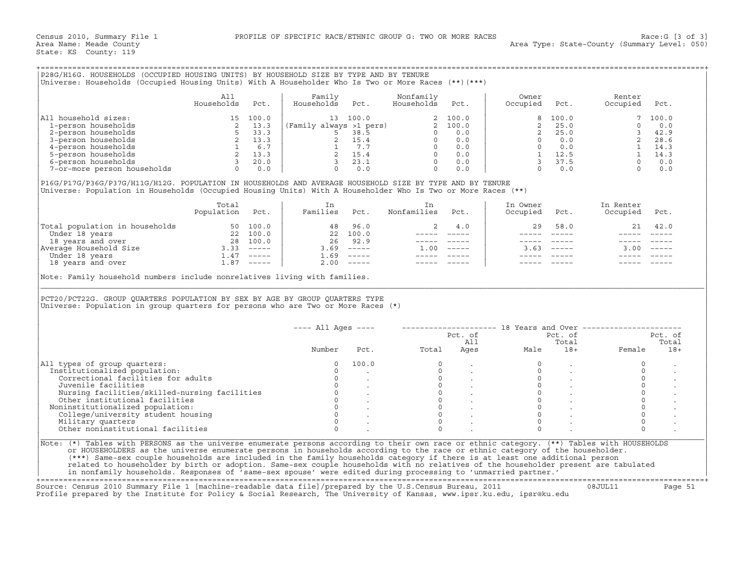| P28G/H16G. HOUSEHOLDS (OCCUPIED HOUSING UNITS) BY HOUSEHOLD SIZE BY TYPE AND BY TENURE<br>Universe: Households (Occupied Housing Units) With A Householder Who Is Two or More Races (**)(***) |                   |                                                             |                               |                                                     |                         |                                                              |                   |                                                            |                    |                                                              |
|-----------------------------------------------------------------------------------------------------------------------------------------------------------------------------------------------|-------------------|-------------------------------------------------------------|-------------------------------|-----------------------------------------------------|-------------------------|--------------------------------------------------------------|-------------------|------------------------------------------------------------|--------------------|--------------------------------------------------------------|
|                                                                                                                                                                                               | A11<br>Households | Pct.                                                        | Familv<br>Households          | Pct.                                                | Nonfamily<br>Households | Pct.                                                         | Owner<br>Occupied | Pct.                                                       | Renter<br>Occupied | Pct.                                                         |
| All household sizes:<br>1-person households<br>2-person households<br>3-person households<br>4-person households<br>5-person households<br>6-person households<br>7-or-more person households |                   | 100.0<br>13.3<br>33.3<br>13.3<br>6.7<br>13.3<br>20.0<br>0.0 | 13<br>(Family always >1 pers) | 100.0<br>38.5<br>15.4<br>7.7<br>15.4<br>23.1<br>0.0 |                         | 2 100.0<br>2 100.0<br>0.0<br>0.0<br>0.0<br>0.0<br>0.0<br>0.0 |                   | 100.0<br>25.0<br>25.0<br>0.0<br>0.0<br>12.5<br>37.5<br>0.0 |                    | 7 100.0<br>0.0<br>42.9<br>28.6<br>14.3<br>14.3<br>0.0<br>0.0 |

|                                | Total<br>Population | Pct.          | Families | Pct.                      | Nonfamilies | Pct.                      | In Owner<br>Occupied | Pct.          | In Renter<br>Occupied | Pct.     |
|--------------------------------|---------------------|---------------|----------|---------------------------|-------------|---------------------------|----------------------|---------------|-----------------------|----------|
| Total population in households |                     | 50 100.0      | 48       | 96.0                      |             | 4.0                       | 29                   | 58.0          | 21                    | 42.0     |
| Under 18 years                 | 22                  | 100.0         |          | 22 100.0                  |             |                           |                      |               |                       |          |
| 18 years and over              | 28                  | 100.0         | 26       | 92.9                      |             |                           |                      |               |                       |          |
| Average Household Size         | 3.33                | $- - - - - -$ | 3.69     | $\qquad \qquad - - - - -$ | L.OO.       | $\qquad \qquad - - - - -$ | 3.63                 | $- - - - - -$ | 3.00                  | $------$ |
| Under 18 years                 | $\pm 0.47$          | $- - - - - -$ | 1.69     | $\qquad \qquad - - - - -$ |             |                           |                      |               |                       |          |
| 18 years and over              | ⊥.87                | $------$      | 2.00     | $------$                  |             |                           |                      |               |                       |          |

| P28G/H16G. HOUSEHOLDS (OCCUPIED HOUSING UNITS) BY HOUSEHOLD SIZE BY TYPE AND BY TENURE<br>Universe: Households (Occupied Housing Units) With A Householder Who Is Two or More Races (**) (***)                                                                                                                                                                                                                                                                                                                                                                                                                                                                   |                   |      |                                                                                                                                                                                                                                                                                                                           |                                                                       |                                                                                                                                                                                                                                                                                                                                                                                              |         |                                                               |                |                                                                                                                                                                        |                |
|------------------------------------------------------------------------------------------------------------------------------------------------------------------------------------------------------------------------------------------------------------------------------------------------------------------------------------------------------------------------------------------------------------------------------------------------------------------------------------------------------------------------------------------------------------------------------------------------------------------------------------------------------------------|-------------------|------|---------------------------------------------------------------------------------------------------------------------------------------------------------------------------------------------------------------------------------------------------------------------------------------------------------------------------|-----------------------------------------------------------------------|----------------------------------------------------------------------------------------------------------------------------------------------------------------------------------------------------------------------------------------------------------------------------------------------------------------------------------------------------------------------------------------------|---------|---------------------------------------------------------------|----------------|------------------------------------------------------------------------------------------------------------------------------------------------------------------------|----------------|
|                                                                                                                                                                                                                                                                                                                                                                                                                                                                                                                                                                                                                                                                  | All<br>Households | Pct. | Family<br>Households                                                                                                                                                                                                                                                                                                      | Pct.                                                                  | Nonfamily<br>Households                                                                                                                                                                                                                                                                                                                                                                      | Pct.    | Owner<br>Occupied                                             | Pct.           | Renter<br>Occupied                                                                                                                                                     | Pct.           |
| All household sizes:<br>1-person households                                                                                                                                                                                                                                                                                                                                                                                                                                                                                                                                                                                                                      |                   |      | $\begin{array}{c cccc} 15 & 100.0 & & & 13 & 100.0 & & & 2 & 100.0 \\ 2 & 13.3 & & & & & & & & & & & 2 & 100.0 \\ 5 & 33.3 & & & & 5 & 38.5 & & & 0 & 0.0 \\ 2 & 13.3 & & & 2 & 15.4 & & & 0 & 0.0 \\ 2 & 13.3 & & & 2 & 15.4 & & & 0 & 0.0 \\ 1 & 6.7 & & & 1 & 7.7 & & 0 & 0.0 \\ 2 & 13.3 & & 2 & 15.4 & & 0 & 0.0 \\$ |                                                                       |                                                                                                                                                                                                                                                                                                                                                                                              |         | $\overline{2}$                                                | 100.0<br>25.0  | $7^{\circ}$<br>$\Omega$                                                                                                                                                | 100.0<br>0.0   |
| 2-person households                                                                                                                                                                                                                                                                                                                                                                                                                                                                                                                                                                                                                                              |                   |      |                                                                                                                                                                                                                                                                                                                           |                                                                       |                                                                                                                                                                                                                                                                                                                                                                                              |         | $\overline{2}$                                                | 25.0           |                                                                                                                                                                        | 42.9           |
| 3-person households                                                                                                                                                                                                                                                                                                                                                                                                                                                                                                                                                                                                                                              |                   |      |                                                                                                                                                                                                                                                                                                                           |                                                                       |                                                                                                                                                                                                                                                                                                                                                                                              |         | $\Omega$                                                      | 0.0            |                                                                                                                                                                        | 28.6           |
| 4-person households                                                                                                                                                                                                                                                                                                                                                                                                                                                                                                                                                                                                                                              |                   |      |                                                                                                                                                                                                                                                                                                                           |                                                                       |                                                                                                                                                                                                                                                                                                                                                                                              |         | $\overline{0}$                                                | 0.0            |                                                                                                                                                                        | $1 \t 14.3$    |
| 5-person households                                                                                                                                                                                                                                                                                                                                                                                                                                                                                                                                                                                                                                              |                   |      |                                                                                                                                                                                                                                                                                                                           |                                                                       |                                                                                                                                                                                                                                                                                                                                                                                              |         |                                                               | 1 12.5         |                                                                                                                                                                        | 14.3           |
| 6-person households                                                                                                                                                                                                                                                                                                                                                                                                                                                                                                                                                                                                                                              |                   |      |                                                                                                                                                                                                                                                                                                                           |                                                                       |                                                                                                                                                                                                                                                                                                                                                                                              |         | $\overline{\mathbf{3}}$                                       | 37.5           |                                                                                                                                                                        | 0.0            |
| 7-or-more person households                                                                                                                                                                                                                                                                                                                                                                                                                                                                                                                                                                                                                                      |                   |      |                                                                                                                                                                                                                                                                                                                           |                                                                       |                                                                                                                                                                                                                                                                                                                                                                                              |         | $\Omega$                                                      | 0.0            |                                                                                                                                                                        | 0.0            |
|                                                                                                                                                                                                                                                                                                                                                                                                                                                                                                                                                                                                                                                                  |                   |      |                                                                                                                                                                                                                                                                                                                           |                                                                       |                                                                                                                                                                                                                                                                                                                                                                                              |         |                                                               |                | $\begin{array}{cccccc} 0 & & & & & 1 & & & \\ 5 & & & & & 1 & & 14 & \\ 5 & & & & & 0 & & \\ 0 & & & & & 0 & & \\ & & & & & 0 & & \\ & & & & & & 0 & & \\ \end{array}$ |                |
| P16G/P17G/P36G/P37G/H11G/H12G. POPULATION IN HOUSEHOLDS AND AVERAGE HOUSEHOLD SIZE BY TYPE AND BY TENURE<br>Universe: Population in Households (Occupied Housing Units) With A Householder Who Is Two or More Races (**)                                                                                                                                                                                                                                                                                                                                                                                                                                         |                   |      |                                                                                                                                                                                                                                                                                                                           |                                                                       |                                                                                                                                                                                                                                                                                                                                                                                              |         |                                                               |                |                                                                                                                                                                        |                |
|                                                                                                                                                                                                                                                                                                                                                                                                                                                                                                                                                                                                                                                                  | Total             |      | In                                                                                                                                                                                                                                                                                                                        |                                                                       | In                                                                                                                                                                                                                                                                                                                                                                                           |         | In Owner                                                      |                | In Renter                                                                                                                                                              |                |
|                                                                                                                                                                                                                                                                                                                                                                                                                                                                                                                                                                                                                                                                  | Population Pct.   |      | Families Pct.                                                                                                                                                                                                                                                                                                             |                                                                       | Nonfamilies                                                                                                                                                                                                                                                                                                                                                                                  | Pct.    | Occupied                                                      | Pct.           | Occupied                                                                                                                                                               | Pct.           |
| Total population in households 50 100.0<br>Under 18 years and over 22 100.0<br>18 years and over 28 100.0<br>Average Household Size 3.33 ------<br>Under 18 years and over 1.87 -----<br>18 years and over 1.87 -----                                                                                                                                                                                                                                                                                                                                                                                                                                            |                   |      |                                                                                                                                                                                                                                                                                                                           | 48 96.0                                                               | 2                                                                                                                                                                                                                                                                                                                                                                                            | 4.0     | 29                                                            | 58.0           | 21                                                                                                                                                                     | 42.0           |
|                                                                                                                                                                                                                                                                                                                                                                                                                                                                                                                                                                                                                                                                  |                   |      |                                                                                                                                                                                                                                                                                                                           | 22 100.0                                                              | $\frac{1}{2}$                                                                                                                                                                                                                                                                                                                                                                                |         |                                                               | $\frac{1}{2}$  |                                                                                                                                                                        |                |
|                                                                                                                                                                                                                                                                                                                                                                                                                                                                                                                                                                                                                                                                  |                   |      |                                                                                                                                                                                                                                                                                                                           | 26 92.9                                                               |                                                                                                                                                                                                                                                                                                                                                                                              |         |                                                               | $\frac{1}{2}$  |                                                                                                                                                                        |                |
|                                                                                                                                                                                                                                                                                                                                                                                                                                                                                                                                                                                                                                                                  |                   |      |                                                                                                                                                                                                                                                                                                                           | $3.69$ -----                                                          | $1.00$ -----                                                                                                                                                                                                                                                                                                                                                                                 |         |                                                               | $3.63$ $---$   | $3.00$ -----                                                                                                                                                           |                |
|                                                                                                                                                                                                                                                                                                                                                                                                                                                                                                                                                                                                                                                                  |                   |      |                                                                                                                                                                                                                                                                                                                           | $1.69$ -----                                                          | $\frac{1}{2} \frac{1}{2} \frac{1}{2} \frac{1}{2} \frac{1}{2} \frac{1}{2} \frac{1}{2} \frac{1}{2} \frac{1}{2} \frac{1}{2} \frac{1}{2} \frac{1}{2} \frac{1}{2} \frac{1}{2} \frac{1}{2} \frac{1}{2} \frac{1}{2} \frac{1}{2} \frac{1}{2} \frac{1}{2} \frac{1}{2} \frac{1}{2} \frac{1}{2} \frac{1}{2} \frac{1}{2} \frac{1}{2} \frac{1}{2} \frac{1}{2} \frac{1}{2} \frac{1}{2} \frac{1}{2} \frac{$ |         |                                                               |                |                                                                                                                                                                        |                |
|                                                                                                                                                                                                                                                                                                                                                                                                                                                                                                                                                                                                                                                                  |                   |      |                                                                                                                                                                                                                                                                                                                           | $2.00$ -----                                                          | $------$                                                                                                                                                                                                                                                                                                                                                                                     |         |                                                               |                |                                                                                                                                                                        |                |
| PCT20/PCT22G. GROUP QUARTERS POPULATION BY SEX BY AGE BY GROUP QUARTERS TYPE<br>Universe: Population in group quarters for persons who are Two or More Races $(*)$                                                                                                                                                                                                                                                                                                                                                                                                                                                                                               |                   |      |                                                                                                                                                                                                                                                                                                                           |                                                                       |                                                                                                                                                                                                                                                                                                                                                                                              |         |                                                               |                |                                                                                                                                                                        |                |
|                                                                                                                                                                                                                                                                                                                                                                                                                                                                                                                                                                                                                                                                  |                   |      | $---$ All Ages $---$                                                                                                                                                                                                                                                                                                      |                                                                       |                                                                                                                                                                                                                                                                                                                                                                                              |         | -------------------- 18 Years and Over ---------------------- |                |                                                                                                                                                                        |                |
|                                                                                                                                                                                                                                                                                                                                                                                                                                                                                                                                                                                                                                                                  |                   |      |                                                                                                                                                                                                                                                                                                                           |                                                                       |                                                                                                                                                                                                                                                                                                                                                                                              | Pct. of |                                                               | Pct. of        |                                                                                                                                                                        | Pct. of        |
|                                                                                                                                                                                                                                                                                                                                                                                                                                                                                                                                                                                                                                                                  |                   |      | Number                                                                                                                                                                                                                                                                                                                    | Pct.                                                                  | Total                                                                                                                                                                                                                                                                                                                                                                                        | All     | Ages                                                          | Total<br>$18+$ | Female                                                                                                                                                                 | Total<br>$18+$ |
|                                                                                                                                                                                                                                                                                                                                                                                                                                                                                                                                                                                                                                                                  |                   |      |                                                                                                                                                                                                                                                                                                                           |                                                                       |                                                                                                                                                                                                                                                                                                                                                                                              |         | Male                                                          |                |                                                                                                                                                                        |                |
| All types of group quarters:                                                                                                                                                                                                                                                                                                                                                                                                                                                                                                                                                                                                                                     |                   |      | $\circ$                                                                                                                                                                                                                                                                                                                   | 100.0                                                                 | $\Omega$                                                                                                                                                                                                                                                                                                                                                                                     |         |                                                               |                | $\circ$                                                                                                                                                                |                |
| Institutionalized population:                                                                                                                                                                                                                                                                                                                                                                                                                                                                                                                                                                                                                                    |                   |      | $\Omega$                                                                                                                                                                                                                                                                                                                  |                                                                       | $\Omega$                                                                                                                                                                                                                                                                                                                                                                                     |         | $\Omega$                                                      |                | $\Omega$                                                                                                                                                               |                |
| Correctional facilities for adults                                                                                                                                                                                                                                                                                                                                                                                                                                                                                                                                                                                                                               |                   |      | $\circ$                                                                                                                                                                                                                                                                                                                   |                                                                       | $\overline{0}$                                                                                                                                                                                                                                                                                                                                                                               |         | $\mathbf{0}$                                                  |                | $\circ$                                                                                                                                                                |                |
| Juvenile facilities                                                                                                                                                                                                                                                                                                                                                                                                                                                                                                                                                                                                                                              |                   |      | $\Omega$                                                                                                                                                                                                                                                                                                                  |                                                                       | $\Omega$                                                                                                                                                                                                                                                                                                                                                                                     |         | $\Omega$                                                      |                | $\circ$                                                                                                                                                                |                |
| Nursing facilities/skilled-nursing facilities                                                                                                                                                                                                                                                                                                                                                                                                                                                                                                                                                                                                                    |                   |      | $\Omega$                                                                                                                                                                                                                                                                                                                  |                                                                       | $\Omega$                                                                                                                                                                                                                                                                                                                                                                                     |         | $\Omega$                                                      |                | $\Omega$                                                                                                                                                               |                |
| Other institutional facilities                                                                                                                                                                                                                                                                                                                                                                                                                                                                                                                                                                                                                                   |                   |      | $\circ$                                                                                                                                                                                                                                                                                                                   | $\begin{matrix} 0 & & \cdot \\ & & \cdot \\ 0 & & \cdot \end{matrix}$ | $\circ$                                                                                                                                                                                                                                                                                                                                                                                      |         | $\Omega$                                                      |                | $\circ$                                                                                                                                                                |                |
| Noninstitutionalized population:                                                                                                                                                                                                                                                                                                                                                                                                                                                                                                                                                                                                                                 |                   |      |                                                                                                                                                                                                                                                                                                                           |                                                                       | $\Omega$                                                                                                                                                                                                                                                                                                                                                                                     |         | $\Omega$                                                      |                | $\circ$                                                                                                                                                                |                |
| College/university student housing                                                                                                                                                                                                                                                                                                                                                                                                                                                                                                                                                                                                                               |                   |      | $\Omega$                                                                                                                                                                                                                                                                                                                  |                                                                       | $\Omega$                                                                                                                                                                                                                                                                                                                                                                                     |         | $\Omega$                                                      |                | $\Omega$                                                                                                                                                               |                |
| Military quarters                                                                                                                                                                                                                                                                                                                                                                                                                                                                                                                                                                                                                                                |                   |      | $\Omega$                                                                                                                                                                                                                                                                                                                  |                                                                       | $\Omega$                                                                                                                                                                                                                                                                                                                                                                                     |         | $\Omega$                                                      |                | $\circ$                                                                                                                                                                |                |
| Other noninstitutional facilities                                                                                                                                                                                                                                                                                                                                                                                                                                                                                                                                                                                                                                |                   |      | $\cap$                                                                                                                                                                                                                                                                                                                    |                                                                       | $\cap$                                                                                                                                                                                                                                                                                                                                                                                       |         | $\cap$                                                        |                | $\Omega$                                                                                                                                                               |                |
| Note: (*) Tables with PERSONS as the universe enumerate persons according to their own race or ethnic category. (**) Tables with HOUSEHOLDS<br>or HOUSEHOLDERS as the universe enumerate persons in households according to the race or ethnic category of the householder.<br>(***) Same-sex couple households are included in the family households category if there is at least one additional person<br>related to householder by birth or adoption. Same-sex couple households with no relatives of the householder present are tabulated<br>in nonfamily households. Responses of 'same-sex spouse' were edited during processing to 'unmarried partner.' |                   |      |                                                                                                                                                                                                                                                                                                                           |                                                                       |                                                                                                                                                                                                                                                                                                                                                                                              |         |                                                               |                |                                                                                                                                                                        |                |

+===================================================================================================================================================+ Source: Census 2010 Summary File 1 [machine−readable data file]/prepared by the U.S.Census Bureau, 2011 08JUL11 Page 51

Profile prepared by the Institute for Policy & Social Research, The University of Kansas, www.ipsr.ku.edu, ipsr@ku.edu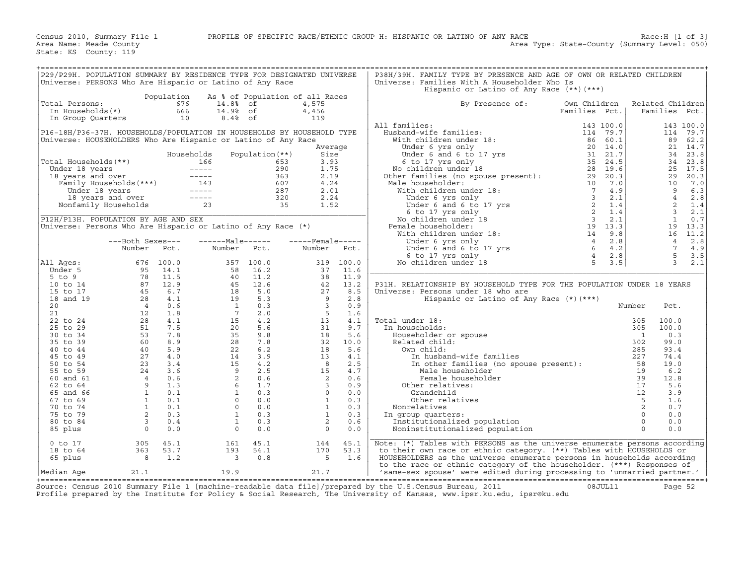| P29/P29H. POPULATION SUMMARY BY RESIDENCE TYPE FOR DESIGNATED UNIVERSE<br>Universe: PERSONS Who Are Hispanic or Latino of Any Race |                                                                                                                                                                                                                                                                |            |                                                                                                                                                                           |                   |                                                                                |              | P38H/39H. FAMILY TYPE BY PRESENCE AND AGE OF OWN OR RELATED CHILDREN<br>Universe: Families With A Householder Who Is<br>Hispanic or Latino of Any Race (**) (***) |               |                          |                  |                    |
|------------------------------------------------------------------------------------------------------------------------------------|----------------------------------------------------------------------------------------------------------------------------------------------------------------------------------------------------------------------------------------------------------------|------------|---------------------------------------------------------------------------------------------------------------------------------------------------------------------------|-------------------|--------------------------------------------------------------------------------|--------------|-------------------------------------------------------------------------------------------------------------------------------------------------------------------|---------------|--------------------------|------------------|--------------------|
|                                                                                                                                    |                                                                                                                                                                                                                                                                | Population |                                                                                                                                                                           |                   | As % of Population of all Races                                                |              |                                                                                                                                                                   |               |                          |                  |                    |
| Total Persons:                                                                                                                     |                                                                                                                                                                                                                                                                | 676        | 14.8% of                                                                                                                                                                  |                   | 4,575                                                                          |              | By Presence of:                                                                                                                                                   | Own Children  |                          | Related Children |                    |
|                                                                                                                                    | In Households(*)<br>666<br>10<br>In Group Quarters<br>P16-18H/P36-37H. HOUSEHOLDS/POPULATION IN HOUSEHOLDS BY HOUSEHOLD TYPE<br>Universe: HOUSEHOLDERS Who Are Hispanic or Latino of Any Race                                                                  |            |                                                                                                                                                                           | 14.9% of          | 4,456                                                                          |              |                                                                                                                                                                   | Families Pct. |                          | Families Pct.    |                    |
|                                                                                                                                    |                                                                                                                                                                                                                                                                |            | $8.4%$ of                                                                                                                                                                 |                   | 119                                                                            |              |                                                                                                                                                                   |               |                          |                  |                    |
|                                                                                                                                    |                                                                                                                                                                                                                                                                |            |                                                                                                                                                                           |                   |                                                                                |              | All families:                                                                                                                                                     |               |                          |                  | 143 100.0          |
|                                                                                                                                    |                                                                                                                                                                                                                                                                |            |                                                                                                                                                                           |                   |                                                                                |              |                                                                                                                                                                   |               |                          |                  | 114 79.7           |
|                                                                                                                                    |                                                                                                                                                                                                                                                                |            |                                                                                                                                                                           |                   |                                                                                |              |                                                                                                                                                                   |               |                          |                  | 89 62.2            |
|                                                                                                                                    | Households<br>01 Households (**)<br>Under 18 years 166<br>166 653<br>18 years and over 18 years and over 18 years 167<br>167 ----- 280<br>167 18 years 18 years 18 years 18 years 18 years 18 years 18<br>Nonfamily Households 23<br>23<br>167 ----- 287<br>20 |            |                                                                                                                                                                           |                   |                                                                                | Average      |                                                                                                                                                                   |               |                          |                  | 21 14.7            |
|                                                                                                                                    | Total Households (**)                                                                                                                                                                                                                                          |            |                                                                                                                                                                           | Population $(**)$ | Size<br>3.93                                                                   |              |                                                                                                                                                                   |               |                          |                  | 34 23.8<br>34 23.8 |
|                                                                                                                                    |                                                                                                                                                                                                                                                                |            |                                                                                                                                                                           |                   | 1.75                                                                           |              |                                                                                                                                                                   |               |                          |                  | 25 17.5            |
|                                                                                                                                    |                                                                                                                                                                                                                                                                |            |                                                                                                                                                                           |                   | 2.19                                                                           |              |                                                                                                                                                                   |               |                          | 29               | 20.3               |
|                                                                                                                                    |                                                                                                                                                                                                                                                                |            |                                                                                                                                                                           |                   | 4.24                                                                           |              |                                                                                                                                                                   |               |                          | 10               | 7.0                |
|                                                                                                                                    |                                                                                                                                                                                                                                                                |            |                                                                                                                                                                           |                   | 2.01                                                                           |              |                                                                                                                                                                   |               |                          | $\overline{9}$   | 6.3                |
|                                                                                                                                    |                                                                                                                                                                                                                                                                |            |                                                                                                                                                                           |                   | 2.24                                                                           |              |                                                                                                                                                                   |               |                          | $\overline{4}$   | 2.8                |
|                                                                                                                                    |                                                                                                                                                                                                                                                                |            |                                                                                                                                                                           |                   | 1.52                                                                           |              |                                                                                                                                                                   |               |                          | $\overline{2}$   | 1.4                |
|                                                                                                                                    |                                                                                                                                                                                                                                                                |            |                                                                                                                                                                           |                   |                                                                                |              |                                                                                                                                                                   |               |                          | $\overline{3}$   | 2.1                |
| P12H/P13H. POPULATION BY AGE AND SEX                                                                                               |                                                                                                                                                                                                                                                                |            |                                                                                                                                                                           |                   |                                                                                |              |                                                                                                                                                                   |               |                          | $\mathbf{1}$     | 0.7                |
| Universe: Persons Who Are Hispanic or Latino of Any Race (*)                                                                       |                                                                                                                                                                                                                                                                |            |                                                                                                                                                                           |                   |                                                                                |              |                                                                                                                                                                   |               |                          |                  | 19 13.3            |
|                                                                                                                                    |                                                                                                                                                                                                                                                                |            |                                                                                                                                                                           |                   |                                                                                |              |                                                                                                                                                                   |               |                          |                  | 16 11.2            |
|                                                                                                                                    | ---Both Sexes---                                                                                                                                                                                                                                               |            | $---Male----$                                                                                                                                                             |                   | $---$ Female $---$                                                             |              |                                                                                                                                                                   |               |                          | $\overline{4}$   | 2.8                |
|                                                                                                                                    | Number Pct.                                                                                                                                                                                                                                                    |            | Number                                                                                                                                                                    | Pct.              | Number                                                                         | Pct.         |                                                                                                                                                                   |               |                          | $7\overline{ }$  | 4.9                |
|                                                                                                                                    |                                                                                                                                                                                                                                                                |            |                                                                                                                                                                           |                   |                                                                                |              |                                                                                                                                                                   |               |                          | 5                | 3.5                |
| All Ages:                                                                                                                          | 676 100.0                                                                                                                                                                                                                                                      |            |                                                                                                                                                                           | 357 100.0         |                                                                                | 319 100.0    |                                                                                                                                                                   |               |                          | $\overline{3}$   | 2.1                |
| Under 5                                                                                                                            |                                                                                                                                                                                                                                                                |            | 58                                                                                                                                                                        | 16.2              | 37                                                                             | 11.6         |                                                                                                                                                                   |               |                          |                  |                    |
| $5$ to $9$                                                                                                                         | $\begin{array}{cccc} 676 & 100.0 \\ 95 & 14.1 \\ 78 & 11.5 \\ 87 & 12.9 \\ 45 & 6.7 \\ 28 & 4.1 \\ 4 & 0.6 \\ 12 & 1.8 \\ 28 & 4.1 \\ 51 & 7.5 \\ 53 & 7.5 \\ 60 & 8.8 \\ \end{array}$                                                                         |            | $\begin{array}{r} 40 \\ 45 \\ 18 \\ 19 \\ 7 \\ 15 \\ 20 \\ 35 \end{array}$                                                                                                | 11.2              | $\begin{array}{c} 38 \\ 42 \\ 27 \end{array}$                                  | 11.9         |                                                                                                                                                                   |               |                          |                  |                    |
| 10 to 14                                                                                                                           |                                                                                                                                                                                                                                                                |            |                                                                                                                                                                           | 12.6              |                                                                                | 13.2         | P31H. RELATIONSHIP BY HOUSEHOLD TYPE FOR THE POPULATION UNDER 18 YEARS                                                                                            |               |                          |                  |                    |
| 15 to 17                                                                                                                           |                                                                                                                                                                                                                                                                |            |                                                                                                                                                                           | 5.0               |                                                                                | 8.5          | Universe: Persons under 18 who are                                                                                                                                |               |                          |                  |                    |
| 18 and 19                                                                                                                          |                                                                                                                                                                                                                                                                |            |                                                                                                                                                                           | 5.3               | $\begin{array}{r} \n 27 \\  27 \\  3 \\  5 \\  13 \\  13 \\  18\n \end{array}$ | 2.8          | Hispanic or Latino of Any Race $(*)$ $(***)$                                                                                                                      |               |                          |                  |                    |
| 20<br>21                                                                                                                           |                                                                                                                                                                                                                                                                |            |                                                                                                                                                                           | 0.3<br>2.0        |                                                                                | 0.9<br>1.6   |                                                                                                                                                                   |               | Number                   | Pct.             |                    |
| 22 to 24                                                                                                                           |                                                                                                                                                                                                                                                                |            |                                                                                                                                                                           | 4.2               |                                                                                | 4.1          | Total under 18:                                                                                                                                                   |               | 305                      | 100.0            |                    |
| 25 to 29                                                                                                                           |                                                                                                                                                                                                                                                                |            |                                                                                                                                                                           | 5.6               |                                                                                | 9.7          | In households:                                                                                                                                                    |               | 305                      | 100.0            |                    |
| 30 to 34                                                                                                                           |                                                                                                                                                                                                                                                                |            | 35                                                                                                                                                                        | 9.8               | 18                                                                             | 5.6          | Householder or spouse                                                                                                                                             |               | $\overline{\phantom{0}}$ | 0.3              |                    |
| 35 to 39                                                                                                                           |                                                                                                                                                                                                                                                                |            |                                                                                                                                                                           |                   | 32                                                                             | 10.0         | Related child:                                                                                                                                                    |               | 302                      | 99.0             |                    |
| 40 to 44                                                                                                                           |                                                                                                                                                                                                                                                                |            |                                                                                                                                                                           |                   | 18                                                                             | 5.6          | Own child:                                                                                                                                                        |               | 285                      | 93.4             |                    |
| 45 to 49                                                                                                                           | $60$<br>40<br>27                                                                                                                                                                                                                                               |            |                                                                                                                                                                           |                   | 13                                                                             | 4.1          | In husband-wife families                                                                                                                                          |               | 227                      | 74.4             |                    |
| 50 to 54                                                                                                                           |                                                                                                                                                                                                                                                                |            |                                                                                                                                                                           |                   |                                                                                | 2.5          | In nusband-wile families<br>In other families (no spouse present):<br>Male bousebolder                                                                            |               | 58                       | 19.0             |                    |
| 55 to 59                                                                                                                           |                                                                                                                                                                                                                                                                |            |                                                                                                                                                                           |                   | $\begin{array}{c} 15 \\ 2 \\ 3 \\ 0 \end{array}$                               | 4.7          | Male householder                                                                                                                                                  |               | 19                       | 6.2              |                    |
| 60 and 61                                                                                                                          |                                                                                                                                                                                                                                                                |            |                                                                                                                                                                           |                   |                                                                                | 0.6          | Female householder                                                                                                                                                |               | 39                       | 12.8             |                    |
| 62 to 64                                                                                                                           |                                                                                                                                                                                                                                                                |            |                                                                                                                                                                           |                   |                                                                                | 0.9          | Other relatives:                                                                                                                                                  |               | 17                       | 5.6              |                    |
| 65 and 66                                                                                                                          |                                                                                                                                                                                                                                                                |            |                                                                                                                                                                           |                   |                                                                                | 0.0          | Grandchild                                                                                                                                                        |               | 12                       | 3.9              |                    |
| 67 to 69                                                                                                                           |                                                                                                                                                                                                                                                                |            |                                                                                                                                                                           |                   | $\mathbf{1}$                                                                   | 0.3          | Other relatives                                                                                                                                                   |               | $-5$                     | 1.6              |                    |
| 70 to 74                                                                                                                           |                                                                                                                                                                                                                                                                |            |                                                                                                                                                                           |                   | $\overline{1}$                                                                 | 0.3          | Nonrelatives                                                                                                                                                      |               | 2                        | 0.7              |                    |
| 75 to 79                                                                                                                           |                                                                                                                                                                                                                                                                |            |                                                                                                                                                                           |                   | $\mathbf{1}$                                                                   | 0.3          | In group quarters:                                                                                                                                                |               | $\overline{0}$           | 0.0              |                    |
| 80 to 84                                                                                                                           | $27$ 4.0<br>$24$ 3.4<br>$4$ 0.6<br>$9$ 1.3<br>$1$ 0.1<br>$1$ 0.1<br>$2$ 0.3<br>$3$ 0.4                                                                                                                                                                         |            | $\begin{array}{cccc} 5.9 & & 2. \\ 4.0 & & 14 \\ 3.4 & & 15 \\ 3.6 & & 9 \\ 0.6 & & 2 \\ 3 & & 6 \\ 3 & & 6 \\ 1 & 0.3 \\ 0 & 0.0 \\ 1 & & 1 \end{array}$<br>$\mathbf{1}$ | 0.3               | 2                                                                              | 0.6          | Institutionalized population                                                                                                                                      |               | $\overline{0}$           | 0.0              |                    |
| 85 plus                                                                                                                            | $\overline{0}$                                                                                                                                                                                                                                                 | 0.0        | $\circ$                                                                                                                                                                   | 0.0               | $\Omega$                                                                       | 0.0          | Noninstitutionalized population                                                                                                                                   |               | $\Omega$                 | 0.0              |                    |
| $0$ to $17$                                                                                                                        | 305                                                                                                                                                                                                                                                            | 45.1       | 161                                                                                                                                                                       | 45.1              | 144                                                                            |              | Note: (*) Tables with PERSONS as the universe enumerate persons according                                                                                         |               |                          |                  |                    |
| 18 to 64                                                                                                                           | 363                                                                                                                                                                                                                                                            | 53.7       | 193                                                                                                                                                                       | 54.1              | 170                                                                            | 45.1<br>53.3 | to their own race or ethnic category. (**) Tables with HOUSEHOLDS or                                                                                              |               |                          |                  |                    |
| 65 plus                                                                                                                            | 8 <sup>1</sup>                                                                                                                                                                                                                                                 | 1.2        | $\overline{\mathbf{3}}$                                                                                                                                                   | 0.8               | 5                                                                              | 1.6          | HOUSEHOLDERS as the universe enumerate persons in households according                                                                                            |               |                          |                  |                    |
|                                                                                                                                    |                                                                                                                                                                                                                                                                |            |                                                                                                                                                                           |                   |                                                                                |              | to the race or ethnic category of the householder. (***) Responses of                                                                                             |               |                          |                  |                    |
| Median Aqe                                                                                                                         | 21.1                                                                                                                                                                                                                                                           |            | 19.9                                                                                                                                                                      |                   | 21.7                                                                           |              | 'same-sex spouse' were edited during processing to 'unmarried partner.'                                                                                           |               |                          |                  |                    |
|                                                                                                                                    |                                                                                                                                                                                                                                                                |            |                                                                                                                                                                           |                   |                                                                                |              |                                                                                                                                                                   |               |                          |                  |                    |

+===================================================================================================================================================+Source: Census 2010 Summary File 1 [machine−readable data file]/prepared by the U.S.Census Bureau, 2011 08JUL11 Page 52 Profile prepared by the Institute for Policy & Social Research, The University of Kansas, www.ipsr.ku.edu, ipsr@ku.edu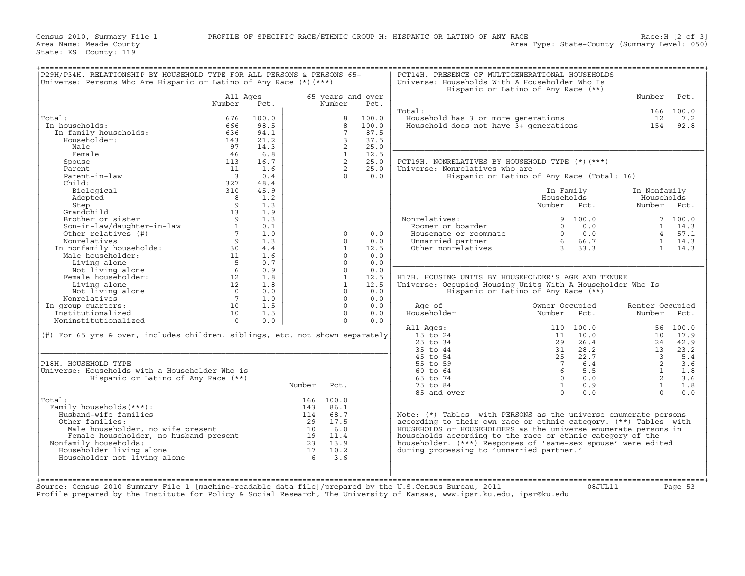| Universe: Persons Who Are Hispanic or Latino of Any Race $(*)$ (***)                              |                          |       |                                    |                 |                   | Universe: Households With A Householder Who Is<br>Hispanic or Latino of Any Race (**) |                     |                             |                         |                  |
|---------------------------------------------------------------------------------------------------|--------------------------|-------|------------------------------------|-----------------|-------------------|---------------------------------------------------------------------------------------|---------------------|-----------------------------|-------------------------|------------------|
|                                                                                                   | All Ages                 |       |                                    |                 | 65 years and over |                                                                                       |                     |                             | Number                  | Pct.             |
|                                                                                                   | Number                   | Pct.  |                                    | Number          | Pct.              |                                                                                       |                     |                             |                         |                  |
| Total:                                                                                            | 676                      | 100.0 |                                    | 8               | 100.0             | Total:                                                                                |                     |                             | 12                      | 166 100.0<br>7.2 |
| In households:                                                                                    | 666                      | 98.5  |                                    | 8               | 100.0             | Household has 3 or more generations<br>Household does not have 3+ generations         |                     |                             | 154                     | 92.8             |
| In family households:                                                                             | 636                      | 94.1  |                                    | $7\overline{ }$ | 87.5              |                                                                                       |                     |                             |                         |                  |
| Householder:                                                                                      | 143                      | 21.2  |                                    | 3               | 37.5              |                                                                                       |                     |                             |                         |                  |
| Male                                                                                              | 97                       | 14.3  |                                    | 2               | 25.0              |                                                                                       |                     |                             |                         |                  |
| Female                                                                                            | 46                       | 6.8   |                                    | <sup>1</sup>    | 12.5              |                                                                                       |                     |                             |                         |                  |
| Spouse                                                                                            | 113                      | 16.7  |                                    | $\overline{2}$  | 25.0              | PCT19H. NONRELATIVES BY HOUSEHOLD TYPE (*) (***)                                      |                     |                             |                         |                  |
| Parent                                                                                            | 11                       | 1.6   |                                    | $\overline{2}$  | 25.0              | Universe: Nonrelatives who are                                                        |                     |                             |                         |                  |
| Parent-in-law                                                                                     | $\overline{\phantom{a}}$ | 0.4   |                                    | $\Omega$        | 0.0               | Hispanic or Latino of Any Race (Total: 16)                                            |                     |                             |                         |                  |
| Child:                                                                                            | 327                      | 48.4  |                                    |                 |                   |                                                                                       |                     |                             |                         |                  |
| Biological                                                                                        | 310                      | 45.9  |                                    |                 |                   |                                                                                       | In Family           |                             | In Nonfamily            |                  |
| Adopted                                                                                           | $\overline{\mathbf{8}}$  | 1.2   |                                    |                 |                   |                                                                                       | Households          |                             | Households              |                  |
| Step                                                                                              | $\overline{9}$           | 1.3   |                                    |                 |                   |                                                                                       | Number Pct.         |                             | Number Pct.             |                  |
| Grandchild                                                                                        | 13                       | 1.9   |                                    |                 |                   |                                                                                       |                     |                             |                         |                  |
| Brother or sister                                                                                 | $\overline{9}$           | 1.3   |                                    |                 |                   | Nonrelatives:                                                                         |                     | 9, 100.0                    |                         | 7, 100.0         |
| Son-in-law/daughter-in-law<br>Other relatives (#)                                                 |                          | 0.1   |                                    |                 |                   | Roomer or boarder                                                                     | $\Omega$            | 0.0                         |                         | $1 \t14.3$       |
| SON-1.<br>Other relatives<br>Nonrelatives<br>In nonfamily households:<br>''' householder:         | $\frac{1}{7}$            | 1.0   |                                    | $\Omega$        | 0.0               | Housemate or roommate                                                                 |                     | $0$ 0.0<br>6 66.7<br>3 33.3 |                         | 4 57.1           |
|                                                                                                   | 9                        | 1.3   |                                    | $\Omega$        | 0.0               | Unmarried partner                                                                     |                     |                             |                         | 1 14.3           |
|                                                                                                   | 30                       | 4.4   |                                    | $\mathbf{1}$    | 12.5              | Other nonrelatives                                                                    | $3 \t3 \t3 \t3 \t3$ |                             |                         | $1 \t14.3$       |
|                                                                                                   | 11                       | 1.6   |                                    | $\Omega$        | 0.0               |                                                                                       |                     |                             |                         |                  |
| Living alone                                                                                      | $5^{\circ}$              | 0.7   |                                    | $\Omega$        | 0.0               |                                                                                       |                     |                             |                         |                  |
| Not living alone                                                                                  | 6                        | 0.9   |                                    | $\Omega$        | 0.0               |                                                                                       |                     |                             |                         |                  |
| Female householder:                                                                               | 12                       | 1.8   |                                    | $\mathbf{1}$    | 12.5              | H17H. HOUSING UNITS BY HOUSEHOLDER'S AGE AND TENURE                                   |                     |                             |                         |                  |
| Living alone                                                                                      | 12                       | 1.8   |                                    | $\mathbf{1}$    | 12.5              | Universe: Occupied Housing Units With A Householder Who Is                            |                     |                             |                         |                  |
| Not living alone                                                                                  | $\overline{0}$           | 0.0   |                                    | $\Omega$        | 0.0               | Hispanic or Latino of Any Race (**)                                                   |                     |                             |                         |                  |
| Nonrelatives                                                                                      | $7\phantom{0}7$          | 1.0   |                                    | $\Omega$        | 0.0               |                                                                                       |                     |                             |                         |                  |
| In group quarters:                                                                                | 10                       | 1.5   |                                    | $\Omega$        | 0.0               | Age of                                                                                | Owner Occupied      |                             | Renter Occupied         |                  |
| Institutionalized                                                                                 | 10                       | 1.5   |                                    | $\Omega$        | 0.0               | Householder                                                                           | Number              | Pct.                        | Number Pct.             |                  |
| Noninstitutionalized                                                                              | $\cap$                   | 0.0   |                                    | $\Omega$        | 0.0               |                                                                                       |                     |                             |                         |                  |
|                                                                                                   |                          |       |                                    |                 |                   | All Ages:                                                                             |                     | 110 100.0                   |                         | 56 100.0         |
| (#) For 65 yrs & over, includes children, siblings, etc. not shown separately                     |                          |       |                                    |                 |                   | 15 to 24                                                                              | 11                  | 10.0                        |                         | 10 17.9          |
|                                                                                                   |                          |       |                                    |                 |                   | 25 to 34                                                                              | 29                  | 26.4                        | 24                      | 42.9             |
|                                                                                                   |                          |       |                                    |                 |                   | 35 to 44                                                                              | 31                  | 28.2                        | 13                      | 23.2             |
|                                                                                                   |                          |       |                                    |                 |                   | 45 to 54                                                                              | 25                  | 22.7                        | $\overline{\mathbf{3}}$ | 5.4              |
| P18H. HOUSEHOLD TYPE                                                                              |                          |       |                                    |                 |                   | 55 to 59                                                                              | $7\overline{ }$     | 6.4                         | $\overline{2}$          | 3.6              |
| Universe: Households with a Householder Who is                                                    |                          |       |                                    |                 |                   | $60 \text{ to } 64$                                                                   | 6 <sup>6</sup>      | 5.5                         | $\overline{1}$          | 1.8              |
| Hispanic or Latino of Any Race (**)                                                               |                          |       |                                    |                 |                   | 65 to 74                                                                              |                     | $0 \t 0.0$                  | $\overline{2}$          | 3.6              |
|                                                                                                   |                          |       | Number                             | Pct.            |                   | 75 to 84                                                                              | $\mathbf{1}$        | 0.9                         | $\mathbf{1}$            | 1.8              |
|                                                                                                   |                          |       |                                    |                 |                   | 85 and over                                                                           | $\Omega$            | 0.0                         | $\Omega$                | 0.0              |
| Total:                                                                                            |                          |       |                                    | 166 100.0       |                   |                                                                                       |                     |                             |                         |                  |
| Family households (***) :                                                                         |                          |       |                                    | 143 86.1        |                   |                                                                                       |                     |                             |                         |                  |
| Husband-wife families                                                                             |                          |       |                                    | 114 68.7        |                   | Note: (*) Tables with PERSONS as the universe enumerate persons                       |                     |                             |                         |                  |
| Other families:                                                                                   |                          |       |                                    | 29 17.5         |                   | according to their own race or ethnic category. (**) Tables with                      |                     |                             |                         |                  |
|                                                                                                   |                          |       |                                    | 10 6.0          |                   | HOUSEHOLDS or HOUSEHOLDERS as the universe enumerate persons in                       |                     |                             |                         |                  |
| Male householder, no wife present<br>Female householder, no husband present<br>Eamily households: |                          |       | $\frac{13}{19}$ $\frac{0.0}{11.4}$ |                 |                   | households according to the race or ethnic category of the                            |                     |                             |                         |                  |
| Nonfamily households:                                                                             |                          |       |                                    | 23 13.9         |                   | householder. (***) Responses of 'same-sex spouse' were edited                         |                     |                             |                         |                  |
| Householder living alone                                                                          |                          |       | 17                                 | 10.2            |                   | during processing to 'unmarried partner.'                                             |                     |                             |                         |                  |
| Householder not living alone                                                                      |                          |       |                                    | 63.6            |                   |                                                                                       |                     |                             |                         |                  |
|                                                                                                   |                          |       |                                    |                 |                   |                                                                                       |                     |                             |                         |                  |

Source: Census 2010 Summary File 1 [machine−readable data file]/prepared by the U.S.Census Bureau, 2011 08JUL11 Page 53 Profile prepared by the Institute for Policy & Social Research, The University of Kansas, www.ipsr.ku.edu, ipsr@ku.edu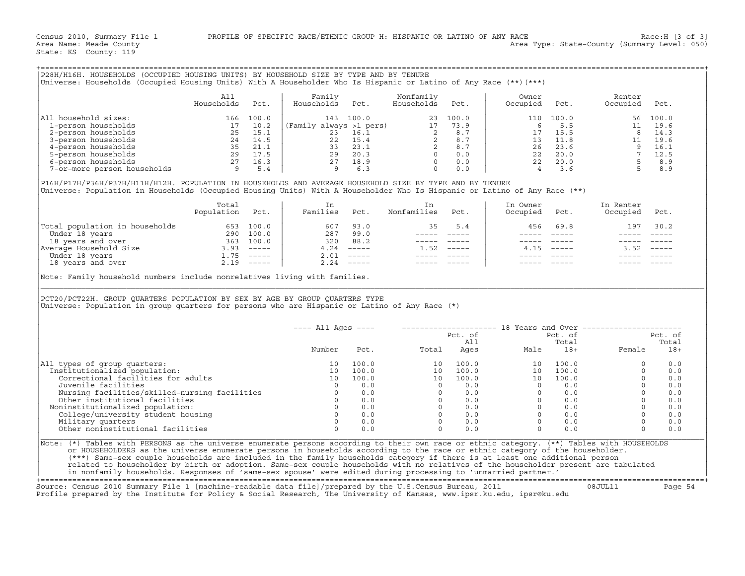| P28H/H16H. HOUSEHOLDS (OCCUPIED HOUSING UNITS) BY HOUSEHOLD SIZE BY TYPE AND BY TENURE                           |            |       |                         |       |            |       |          |       |          |       |
|------------------------------------------------------------------------------------------------------------------|------------|-------|-------------------------|-------|------------|-------|----------|-------|----------|-------|
| Universe: Households (Occupied Housing Units) With A Householder Who Is Hispanic or Latino of Any Race (**)(***) |            |       |                         |       |            |       |          |       |          |       |
|                                                                                                                  |            |       |                         |       |            |       |          |       |          |       |
|                                                                                                                  | All        |       | Family                  |       | Nonfamily  |       | Owner    |       | Renter   |       |
|                                                                                                                  | Households | Pct.  | Households              | Pct.  | Households | Pct.  | Occupied | Pct.  | Occupied | Pct.  |
|                                                                                                                  |            |       |                         |       |            |       |          |       |          |       |
| All household sizes:                                                                                             | 166        | 100.0 | 143                     | 100.0 | 23         | 100.0 | 110      | 100.0 | 56       | 100.0 |
| 1-person households                                                                                              |            | 10.2  | (Family always >1 pers) |       |            | 73.9  |          | 5.5   |          | 19.6  |
| 2-person households                                                                                              | 25         | 15.1  | 23                      | 16.1  |            | 8.7   |          | 15.5  |          | 14.3  |
| 3-person households                                                                                              | 24         | 14.5  | 22                      | 15.4  |            | 8.7   | 13       | 11.8  |          | 19.6  |
| 4-person households                                                                                              | 35         | 21.1  | 33                      | 23.1  |            | 8.7   | 26       | 23.6  |          | 16.1  |
| 5-person households                                                                                              | 29         | 17.5  | 29                      | 20.3  |            | 0.0   | 22       | 20.0  |          | 12.5  |
| 6-person households                                                                                              | 27         | 16.3  | 27                      | 18.9  |            | 0.0   | 22       | 20.0  |          | 8.9   |
| 7-or-more person households                                                                                      |            | 5.4   |                         | 6.3   |            | 0.0   |          | 3.6   |          | 8.9   |
|                                                                                                                  |            |       |                         |       |            |       |          |       |          |       |

|                                | Total<br>Population | Pct.          | Families | Pct.                      | Nonfamilies | Pct.     | In Owner<br>Occupied | Pct.          | In Renter<br>Occupied | Pct.                      |
|--------------------------------|---------------------|---------------|----------|---------------------------|-------------|----------|----------------------|---------------|-----------------------|---------------------------|
| Total population in households | 653                 | 100.0         | 607      | 93.0                      |             | 5.4      | 456                  | 69.8          | 197                   | 30.2                      |
| Under 18 years                 | 290                 | 100.0         | 287      | 99.0                      |             |          |                      |               |                       |                           |
| 18 years and over              | 363                 | 100.0         | 320      | 88.2                      |             |          |                      |               |                       |                           |
| Average Household Size         | 3.93                | $------$      | 4.24     | $------$                  | 1.52        | $------$ | 4.15                 | $\frac{1}{2}$ | 3.52                  | $\qquad \qquad - - - - -$ |
| Under 18 years                 | <b>1.75</b>         | $\frac{1}{2}$ | 2.01     | $\frac{1}{2}$             |             |          |                      |               |                       |                           |
| 18 years and over              | 2.19                | $- - - - - -$ | 2.24     | $\qquad \qquad - - - - -$ |             |          |                      |               |                       |                           |

| Universe: Households (Occupied Housing Units) With A Householder Who Is Hispanic or Latino of Any Race (**) (***)                                                                                                                                                                                                                                                                                                                                    |                   |      |                                  |       |                                                                                                           |      |                                                                                                                                                                                                                                                                                                                                                                                                                                |              |                                                          |         |
|------------------------------------------------------------------------------------------------------------------------------------------------------------------------------------------------------------------------------------------------------------------------------------------------------------------------------------------------------------------------------------------------------------------------------------------------------|-------------------|------|----------------------------------|-------|-----------------------------------------------------------------------------------------------------------|------|--------------------------------------------------------------------------------------------------------------------------------------------------------------------------------------------------------------------------------------------------------------------------------------------------------------------------------------------------------------------------------------------------------------------------------|--------------|----------------------------------------------------------|---------|
|                                                                                                                                                                                                                                                                                                                                                                                                                                                      | All<br>Households | Pct. | Family<br>Households             | Pct.  | Nonfamily<br>Households                                                                                   | Pct. | Owner<br>Occupied                                                                                                                                                                                                                                                                                                                                                                                                              | Pct.         | Renter<br>Occupied                                       | Pct.    |
| All household sizes:                                                                                                                                                                                                                                                                                                                                                                                                                                 |                   |      |                                  |       |                                                                                                           |      |                                                                                                                                                                                                                                                                                                                                                                                                                                |              |                                                          |         |
|                                                                                                                                                                                                                                                                                                                                                                                                                                                      |                   |      |                                  |       |                                                                                                           |      |                                                                                                                                                                                                                                                                                                                                                                                                                                |              |                                                          |         |
|                                                                                                                                                                                                                                                                                                                                                                                                                                                      |                   |      |                                  |       |                                                                                                           |      |                                                                                                                                                                                                                                                                                                                                                                                                                                |              |                                                          |         |
|                                                                                                                                                                                                                                                                                                                                                                                                                                                      |                   |      |                                  |       |                                                                                                           |      |                                                                                                                                                                                                                                                                                                                                                                                                                                |              |                                                          |         |
|                                                                                                                                                                                                                                                                                                                                                                                                                                                      |                   |      |                                  |       |                                                                                                           |      |                                                                                                                                                                                                                                                                                                                                                                                                                                |              |                                                          |         |
|                                                                                                                                                                                                                                                                                                                                                                                                                                                      |                   |      |                                  |       |                                                                                                           |      |                                                                                                                                                                                                                                                                                                                                                                                                                                |              |                                                          |         |
|                                                                                                                                                                                                                                                                                                                                                                                                                                                      |                   |      |                                  |       |                                                                                                           |      |                                                                                                                                                                                                                                                                                                                                                                                                                                |              |                                                          |         |
|                                                                                                                                                                                                                                                                                                                                                                                                                                                      |                   |      |                                  |       |                                                                                                           |      |                                                                                                                                                                                                                                                                                                                                                                                                                                |              |                                                          |         |
| P16H/P17H/P36H/P37H/H11H/H12H. POPULATION IN HOUSEHOLDS AND AVERAGE HOUSEHOLD SIZE BY TYPE AND BY TENURE<br>Universe: Population in Households (Occupied Housing Units) With A Householder Who Is Hispanic or Latino of Any Race (**)                                                                                                                                                                                                                |                   |      |                                  |       |                                                                                                           |      |                                                                                                                                                                                                                                                                                                                                                                                                                                |              |                                                          |         |
|                                                                                                                                                                                                                                                                                                                                                                                                                                                      | Total             |      | In                               |       | In                                                                                                        |      | In Owner                                                                                                                                                                                                                                                                                                                                                                                                                       |              | In Renter                                                |         |
|                                                                                                                                                                                                                                                                                                                                                                                                                                                      | Population Pct.   |      | Families Pct.                    |       | Nonfamilies Pct.                                                                                          |      | Occupied                                                                                                                                                                                                                                                                                                                                                                                                                       | Pct.         | Occupied Pct.                                            |         |
| $\begin{tabular}{ l l l l l } \hline \texttt{Total population in households} & \texttt{653} & \texttt{100.0} & \texttt{607} & \texttt{93.0} \\ \hline \texttt{Under 18 years} & \texttt{290} & \texttt{100.0} & \texttt{287} & \texttt{99.0} \\ \texttt{18 years and over} & \texttt{363} & \texttt{100.0} & \texttt{320} & \texttt{88.2} \\ \texttt{Nverage Household Size} & \texttt{3.93} & \texttt{---} & \texttt{4.24} & \texttt{---} \\ \text$ |                   |      |                                  |       | 35                                                                                                        | 5.4  | 456                                                                                                                                                                                                                                                                                                                                                                                                                            | 69.8         | 197                                                      | 30.2    |
|                                                                                                                                                                                                                                                                                                                                                                                                                                                      |                   |      |                                  |       | ______________                                                                                            |      |                                                                                                                                                                                                                                                                                                                                                                                                                                |              | $\frac{1}{2}$                                            |         |
|                                                                                                                                                                                                                                                                                                                                                                                                                                                      |                   |      |                                  |       | ----- -----                                                                                               |      | $------$                                                                                                                                                                                                                                                                                                                                                                                                                       | $------$     |                                                          |         |
|                                                                                                                                                                                                                                                                                                                                                                                                                                                      |                   |      |                                  |       | $1.52$ -----                                                                                              |      |                                                                                                                                                                                                                                                                                                                                                                                                                                | $4.15$ ----- | $3.52$ $---$                                             |         |
|                                                                                                                                                                                                                                                                                                                                                                                                                                                      |                   |      |                                  |       | $\begin{array}{cccccc} - & - & - & - & - & - & - \\ & - & - & - & - & - \\ & & - & - & - & - \end{array}$ |      |                                                                                                                                                                                                                                                                                                                                                                                                                                |              |                                                          |         |
|                                                                                                                                                                                                                                                                                                                                                                                                                                                      |                   |      |                                  |       | ----- -----                                                                                               |      |                                                                                                                                                                                                                                                                                                                                                                                                                                |              |                                                          |         |
| Note: Family household numbers include nonrelatives living with families.                                                                                                                                                                                                                                                                                                                                                                            |                   |      |                                  |       |                                                                                                           |      |                                                                                                                                                                                                                                                                                                                                                                                                                                |              |                                                          |         |
|                                                                                                                                                                                                                                                                                                                                                                                                                                                      |                   |      |                                  |       |                                                                                                           |      |                                                                                                                                                                                                                                                                                                                                                                                                                                |              |                                                          |         |
|                                                                                                                                                                                                                                                                                                                                                                                                                                                      |                   |      | $---$ All Ages $---$             |       |                                                                                                           |      |                                                                                                                                                                                                                                                                                                                                                                                                                                |              | -------------------- 18 Years and Over ----------------- |         |
|                                                                                                                                                                                                                                                                                                                                                                                                                                                      |                   |      |                                  |       |                                                                                                           |      |                                                                                                                                                                                                                                                                                                                                                                                                                                |              |                                                          | Pct. of |
|                                                                                                                                                                                                                                                                                                                                                                                                                                                      |                   |      |                                  |       |                                                                                                           |      |                                                                                                                                                                                                                                                                                                                                                                                                                                |              |                                                          | Total   |
|                                                                                                                                                                                                                                                                                                                                                                                                                                                      |                   |      | Number                           | Pct.  |                                                                                                           |      | Pct. of Pct. of Pct. of All Total Ages Male 18+                                                                                                                                                                                                                                                                                                                                                                                |              | Female                                                   | $18+$   |
|                                                                                                                                                                                                                                                                                                                                                                                                                                                      |                   |      | 10                               | 100.0 |                                                                                                           |      |                                                                                                                                                                                                                                                                                                                                                                                                                                |              | $\Omega$                                                 | 0.0     |
|                                                                                                                                                                                                                                                                                                                                                                                                                                                      |                   |      | 10                               | 100.0 |                                                                                                           |      |                                                                                                                                                                                                                                                                                                                                                                                                                                |              | $\Omega$                                                 | 0.0     |
| Institutionalized population:<br>Correctional facilities for adults                                                                                                                                                                                                                                                                                                                                                                                  |                   |      |                                  | 100.0 |                                                                                                           |      |                                                                                                                                                                                                                                                                                                                                                                                                                                |              | $\Omega$                                                 | 0.0     |
| Juvenile facilities                                                                                                                                                                                                                                                                                                                                                                                                                                  |                   |      | 10<br>$\overline{0}$             | 0.0   |                                                                                                           |      |                                                                                                                                                                                                                                                                                                                                                                                                                                |              | $\Omega$                                                 | 0.0     |
|                                                                                                                                                                                                                                                                                                                                                                                                                                                      |                   |      |                                  |       |                                                                                                           |      |                                                                                                                                                                                                                                                                                                                                                                                                                                |              | $\Omega$                                                 | 0.0     |
| Nursing facilities/skilled-nursing facilities<br>Other institutional facilities<br>0 0.0<br>0.0                                                                                                                                                                                                                                                                                                                                                      |                   |      |                                  |       |                                                                                                           |      |                                                                                                                                                                                                                                                                                                                                                                                                                                |              | $\Omega$                                                 | 0.0     |
| Noninstitutionalized population:                                                                                                                                                                                                                                                                                                                                                                                                                     |                   |      |                                  | 0.0   |                                                                                                           |      |                                                                                                                                                                                                                                                                                                                                                                                                                                |              | $\Omega$                                                 | 0.0     |
| College/university student housing                                                                                                                                                                                                                                                                                                                                                                                                                   |                   |      | $\begin{matrix}0\\0\end{matrix}$ | 0.0   |                                                                                                           |      |                                                                                                                                                                                                                                                                                                                                                                                                                                |              | $\Omega$                                                 | 0.0     |
| Military quarters                                                                                                                                                                                                                                                                                                                                                                                                                                    |                   |      | $\Omega$                         | 0.0   |                                                                                                           |      |                                                                                                                                                                                                                                                                                                                                                                                                                                |              | $\Omega$                                                 | 0.0     |
| Other noninstitutional facilities                                                                                                                                                                                                                                                                                                                                                                                                                    |                   |      | $\Omega$                         | 0.0   |                                                                                                           | 0.0  |                                                                                                                                                                                                                                                                                                                                                                                                                                | 0.0          | $\Omega$                                                 | 0.0     |
| PCT20/PCT22H. GROUP QUARTERS POPULATION BY SEX BY AGE BY GROUP QUARTERS TYPE<br>Universe: Population in group quarters for persons who are Hispanic or Latino of Any Race (*)<br>All types of group quarters:                                                                                                                                                                                                                                        |                   |      |                                  |       |                                                                                                           |      | $\begin{array}{cccccc} & & & & & & \mathsf{Male} & & & & \mathsf{13+} \\ & & & & & & & \mathsf{14+} & & & \mathsf{18+} \\ \mathsf{10} & & \mathsf{100.0} & & & & \mathsf{10} & & \mathsf{100.0} \\ \mathsf{10} & & \mathsf{100.0} & & & \mathsf{10} & & \mathsf{100.0} \\ \mathsf{10} & & \mathsf{100.0} & & & \mathsf{10} & & \mathsf{100.0} \\ \mathsf{0} & & \mathsf{0.0} & & & \mathsf{0} & & \mathsf{0$<br>$\overline{0}$ |              |                                                          |         |
| Note: (*) Tables with PERSONS as the universe enumerate persons according to their own race or ethnic category. (**) Tables with HOUSEHOLDS                                                                                                                                                                                                                                                                                                          |                   |      |                                  |       |                                                                                                           |      |                                                                                                                                                                                                                                                                                                                                                                                                                                |              |                                                          |         |
| or HOUSEHOLDERS as the universe enumerate persons in households according to the race or ethnic category of the householder.                                                                                                                                                                                                                                                                                                                         |                   |      |                                  |       |                                                                                                           |      |                                                                                                                                                                                                                                                                                                                                                                                                                                |              |                                                          |         |
| (***) Same-sex couple households are included in the family households category if there is at least one additional person<br>related to householder by birth or adoption. Same-sex couple households with no relatives of the householder present are tabulated                                                                                                                                                                                     |                   |      |                                  |       |                                                                                                           |      |                                                                                                                                                                                                                                                                                                                                                                                                                                |              |                                                          |         |

+===================================================================================================================================================+

Source: Census 2010 Summary File 1 [machine−readable data file]/prepared by the U.S.Census Bureau, 2011 08JUL11 Page 54 Profile prepared by the Institute for Policy & Social Research, The University of Kansas, www.ipsr.ku.edu, ipsr@ku.edu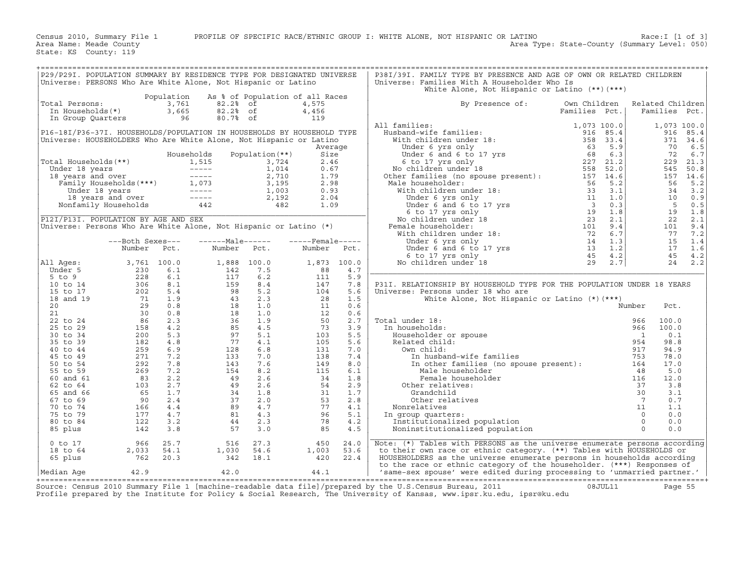| P29/P29I. POPULATION SUMMARY BY RESIDENCE TYPE FOR DESIGNATED UNIVERSE<br>Universe: PERSONS Who Are White Alone, Not Hispanic or Latino                                                                                                               |                                                                                                                                                                                                                                                                                                                 |            |                                                                                                                                                                            |                 |              |             | P38I/39I. FAMILY TYPE BY PRESENCE AND AGE OF OWN OR RELATED CHILDREN<br>Universe: Families With A Householder Who Is                                                                                                                                  |                               |                          |               |                  |
|-------------------------------------------------------------------------------------------------------------------------------------------------------------------------------------------------------------------------------------------------------|-----------------------------------------------------------------------------------------------------------------------------------------------------------------------------------------------------------------------------------------------------------------------------------------------------------------|------------|----------------------------------------------------------------------------------------------------------------------------------------------------------------------------|-----------------|--------------|-------------|-------------------------------------------------------------------------------------------------------------------------------------------------------------------------------------------------------------------------------------------------------|-------------------------------|--------------------------|---------------|------------------|
|                                                                                                                                                                                                                                                       |                                                                                                                                                                                                                                                                                                                 |            |                                                                                                                                                                            |                 |              |             | White Alone, Not Hispanic or Latino (**) (***)                                                                                                                                                                                                        |                               |                          |               |                  |
| Total Persons:                                                                                                                                                                                                                                        | otal Persons: 3,761<br>In Households(*) 3,665<br>In Group Quarters 96                                                                                                                                                                                                                                           |            | Population As % of Population of all Races<br>82.2% of                                                                                                                     |                 | 4,575        |             | By Presence of:                                                                                                                                                                                                                                       | Own Children<br>Families Pct. |                          | Families Pct. | Related Children |
|                                                                                                                                                                                                                                                       |                                                                                                                                                                                                                                                                                                                 |            | 82.2% of<br>80.7% of                                                                                                                                                       |                 | 4,456<br>119 |             |                                                                                                                                                                                                                                                       |                               |                          |               |                  |
|                                                                                                                                                                                                                                                       |                                                                                                                                                                                                                                                                                                                 |            |                                                                                                                                                                            |                 |              |             | All families:                                                                                                                                                                                                                                         |                               |                          | 1,073 100.0   |                  |
| P16-18I/P36-37I. HOUSEHOLDS/POPULATION IN HOUSEHOLDS BY HOUSEHOLD TYPE                                                                                                                                                                                |                                                                                                                                                                                                                                                                                                                 |            |                                                                                                                                                                            |                 |              |             |                                                                                                                                                                                                                                                       |                               |                          | 916           | 85.4             |
| Universe: HOUSEHOLDERS Who Are White Alone, Not Hispanic or Latino                                                                                                                                                                                    |                                                                                                                                                                                                                                                                                                                 |            |                                                                                                                                                                            |                 |              |             |                                                                                                                                                                                                                                                       |                               |                          |               | 371 34.6         |
|                                                                                                                                                                                                                                                       |                                                                                                                                                                                                                                                                                                                 |            |                                                                                                                                                                            |                 | Average      |             |                                                                                                                                                                                                                                                       |                               |                          | 70            | 6.5              |
|                                                                                                                                                                                                                                                       |                                                                                                                                                                                                                                                                                                                 |            | Households                                                                                                                                                                 | Population (**) | Size         |             |                                                                                                                                                                                                                                                       |                               |                          | 72            | 6.7              |
|                                                                                                                                                                                                                                                       |                                                                                                                                                                                                                                                                                                                 |            |                                                                                                                                                                            |                 | 2.46         |             |                                                                                                                                                                                                                                                       |                               |                          | 229           | 21.3             |
| Total Households (**)<br>Under 18 years<br>1,515 1,515 3,724<br>1,014 18 years and over<br>Family Households (***)<br>Under 18 years<br>2,710<br>1,003 3,195<br>Under 18 years<br>1,003 18 years and over<br>2,192<br>Nonfamily Households<br>142 482 |                                                                                                                                                                                                                                                                                                                 |            |                                                                                                                                                                            |                 | 0.67         |             |                                                                                                                                                                                                                                                       |                               |                          | 545           | 50.8             |
|                                                                                                                                                                                                                                                       |                                                                                                                                                                                                                                                                                                                 |            |                                                                                                                                                                            |                 | 1.79         |             |                                                                                                                                                                                                                                                       |                               |                          |               | 157 14.6         |
|                                                                                                                                                                                                                                                       |                                                                                                                                                                                                                                                                                                                 |            |                                                                                                                                                                            |                 | 2.98         |             | Male householder:                                                                                                                                                                                                                                     |                               |                          | 56            | 5.2              |
|                                                                                                                                                                                                                                                       |                                                                                                                                                                                                                                                                                                                 |            |                                                                                                                                                                            |                 | 0.93         |             |                                                                                                                                                                                                                                                       |                               |                          | 34            | 3.2              |
|                                                                                                                                                                                                                                                       |                                                                                                                                                                                                                                                                                                                 |            |                                                                                                                                                                            |                 | 2.04         |             |                                                                                                                                                                                                                                                       |                               |                          | 10            | 0.9              |
|                                                                                                                                                                                                                                                       |                                                                                                                                                                                                                                                                                                                 |            |                                                                                                                                                                            |                 | 1.09         |             |                                                                                                                                                                                                                                                       |                               |                          | $5^{\circ}$   | 0.5              |
|                                                                                                                                                                                                                                                       |                                                                                                                                                                                                                                                                                                                 |            |                                                                                                                                                                            |                 |              |             |                                                                                                                                                                                                                                                       |                               |                          | 19            | 1.8              |
| P12I/P13I. POPULATION BY AGE AND SEX<br>Universe: Persons Who Are White Alone, Not Hispanic or Latino (*)                                                                                                                                             |                                                                                                                                                                                                                                                                                                                 |            |                                                                                                                                                                            |                 |              |             | Female householder:                                                                                                                                                                                                                                   |                               |                          | 22<br>101     | 2.1<br>9.4       |
|                                                                                                                                                                                                                                                       |                                                                                                                                                                                                                                                                                                                 |            |                                                                                                                                                                            |                 |              |             |                                                                                                                                                                                                                                                       |                               |                          | 77            | 7.2              |
|                                                                                                                                                                                                                                                       | ---Both Sexes---                                                                                                                                                                                                                                                                                                |            | ------Male------ -----Female-----                                                                                                                                          |                 |              |             |                                                                                                                                                                                                                                                       |                               |                          | 15            | 1.4              |
|                                                                                                                                                                                                                                                       | Number                                                                                                                                                                                                                                                                                                          | Pct.       | Number Pct.                                                                                                                                                                |                 | Number Pct.  |             |                                                                                                                                                                                                                                                       |                               |                          | 17            | 1.6              |
|                                                                                                                                                                                                                                                       |                                                                                                                                                                                                                                                                                                                 |            |                                                                                                                                                                            |                 |              |             |                                                                                                                                                                                                                                                       |                               |                          | 45            | 4.2              |
| All Ages:                                                                                                                                                                                                                                             | $3,761$ 100.0                                                                                                                                                                                                                                                                                                   |            |                                                                                                                                                                            |                 |              | 1,873 100.0 | 157 14.6<br>lale householder:<br>lale householder:<br>With children under 18:<br>Under 6 yrs only<br>Under 6 and 6 to 17 yrs<br>11 1.0<br>Under 6 and 6 to 17 yrs<br>10 11 1.0<br>Under 6 and 6 to 17 yrs<br>13 1.8<br>No children under 18:<br>Under |                               |                          |               | 24 2.2           |
| Under 5                                                                                                                                                                                                                                               |                                                                                                                                                                                                                                                                                                                 |            |                                                                                                                                                                            |                 | 88           | 4.7         |                                                                                                                                                                                                                                                       |                               |                          |               |                  |
| $5$ to $9$                                                                                                                                                                                                                                            |                                                                                                                                                                                                                                                                                                                 |            |                                                                                                                                                                            |                 | 111          | 5.9         |                                                                                                                                                                                                                                                       |                               |                          |               |                  |
| 10 to 14                                                                                                                                                                                                                                              |                                                                                                                                                                                                                                                                                                                 |            |                                                                                                                                                                            |                 | 147          | 7.8         | P31I. RELATIONSHIP BY HOUSEHOLD TYPE FOR THE POPULATION UNDER 18 YEARS                                                                                                                                                                                |                               |                          |               |                  |
| 15 to 17                                                                                                                                                                                                                                              |                                                                                                                                                                                                                                                                                                                 |            |                                                                                                                                                                            |                 | 104          | 5.6         | Universe: Persons under 18 who are                                                                                                                                                                                                                    |                               |                          |               |                  |
| 18 and 19                                                                                                                                                                                                                                             |                                                                                                                                                                                                                                                                                                                 |            |                                                                                                                                                                            |                 | 28           | 1.5         | White Alone, Not Hispanic or Latino (*) (***)                                                                                                                                                                                                         |                               |                          |               |                  |
| 20                                                                                                                                                                                                                                                    | $\begin{array}{cccc} 3\, , 761 & 100\, . \, 0 \\ 230 & 6\, . \, 1 \\ 228 & 6\, . \, 1 \\ 306 & 8\, . \, 1 \\ 202 & 5\, . \, 4 \\ 71 & 1\, . \, 9 \\ 29 & 0\, . \, 8 \\ 86 & 2\, . \, 3 \\ 158 & 4\, . \, 2 \\ 210 & 5\, . \, 3 \\ 259 & 6\, . \, 9 \\ 271 & 7\, . \, 2 \\ 292 & 7\, . \, 8 \\ 259 & 6\, . \, 9$ |            | $\begin{array}{cccc} 1,888 & 100.0 \\ 142 & 7.5 \\ 117 & 6.2 \\ 159 & 8.4 \\ 98 & 5.2 \\ 43 & 2.3 \\ 18 & 1.0 \\ 18 & 1.0 \\ 36 & 1.9 \\ 36 & 4.5 \\ 97 & 5.1 \end{array}$ |                 | 11           | 0.6         |                                                                                                                                                                                                                                                       |                               | Number                   | Pct.          |                  |
| 21<br>22 to 24                                                                                                                                                                                                                                        |                                                                                                                                                                                                                                                                                                                 |            |                                                                                                                                                                            |                 | 12<br>50     | 0.6<br>2.7  | al under 18:<br>n households:<br>Householder or spouse<br>Related child:<br>Own child:<br>In husband-wife families<br>Total under 18:                                                                                                                 |                               | 966                      | 100.0         |                  |
| 25 to 29                                                                                                                                                                                                                                              |                                                                                                                                                                                                                                                                                                                 |            |                                                                                                                                                                            |                 | 73           | 3.9         | In households:                                                                                                                                                                                                                                        |                               | 966                      | 100.0         |                  |
| 30 to 34                                                                                                                                                                                                                                              |                                                                                                                                                                                                                                                                                                                 |            | 97                                                                                                                                                                         | 5.1             | 103          | 5.5         |                                                                                                                                                                                                                                                       |                               | $\overline{\phantom{a}}$ | 0.1           |                  |
| 35 to 39                                                                                                                                                                                                                                              |                                                                                                                                                                                                                                                                                                                 |            | $\frac{97}{77}$<br>128                                                                                                                                                     | 4.1             | 105          | 5.6         |                                                                                                                                                                                                                                                       |                               | 954                      | 98.8          |                  |
| 40 to 44                                                                                                                                                                                                                                              |                                                                                                                                                                                                                                                                                                                 |            |                                                                                                                                                                            | 6.8             | 131          | 7.0         |                                                                                                                                                                                                                                                       |                               | 917                      | 94.9          |                  |
| 45 to 49                                                                                                                                                                                                                                              |                                                                                                                                                                                                                                                                                                                 |            | 133                                                                                                                                                                        | 7.0             | 138          | 7.4         |                                                                                                                                                                                                                                                       |                               | 753                      | 78.0          |                  |
| 50 to 54                                                                                                                                                                                                                                              |                                                                                                                                                                                                                                                                                                                 |            |                                                                                                                                                                            | 7.6             | 149          | 8.0         | In other families (no spouse present):                                                                                                                                                                                                                |                               | 164                      | 17.0          |                  |
| 55 to 59                                                                                                                                                                                                                                              |                                                                                                                                                                                                                                                                                                                 |            |                                                                                                                                                                            | 8.2             | 115          | 6.1         | Male householder                                                                                                                                                                                                                                      |                               |                          | 5.0           |                  |
| 60 and 61                                                                                                                                                                                                                                             |                                                                                                                                                                                                                                                                                                                 |            | $\frac{143}{154}$                                                                                                                                                          | 2.6             | 34           | 1.8         | Female householder                                                                                                                                                                                                                                    |                               |                          | 12.0          |                  |
| 62 to 64                                                                                                                                                                                                                                              |                                                                                                                                                                                                                                                                                                                 | 2.7        |                                                                                                                                                                            | 2.6             | 54           | 2.9         | Other relatives:                                                                                                                                                                                                                                      |                               |                          | 3.8           |                  |
| 65 and 66                                                                                                                                                                                                                                             |                                                                                                                                                                                                                                                                                                                 | 1.7        |                                                                                                                                                                            | 1.8             | 31           | 1.7         | Grandchild                                                                                                                                                                                                                                            |                               |                          | 3.1           |                  |
| 67 to 69                                                                                                                                                                                                                                              |                                                                                                                                                                                                                                                                                                                 | 2.4        |                                                                                                                                                                            | 2.0             | 53           | 2.8         | Other relatives                                                                                                                                                                                                                                       |                               |                          | 0.7           |                  |
| 70 to 74                                                                                                                                                                                                                                              |                                                                                                                                                                                                                                                                                                                 | 4.4        |                                                                                                                                                                            | 4.7             | 77           | 4.1         | Nonrelatives                                                                                                                                                                                                                                          |                               |                          | 1.1           |                  |
| 75 to 79                                                                                                                                                                                                                                              |                                                                                                                                                                                                                                                                                                                 | 4.7<br>3.2 |                                                                                                                                                                            | 4.3             | 96           | 5.1         | In group quarters:                                                                                                                                                                                                                                    |                               |                          | 0.0           |                  |
| 80 to 84<br>85 plus                                                                                                                                                                                                                                   | $\begin{array}{r} 0.3 \\ 0.3 \\ 6.5 \\ 9.0 \\ 16.6 \\ 177 \\ 1.22 \\ 142 \end{array}$                                                                                                                                                                                                                           | 3.8        | $49$<br>$34$<br>$37$<br>$89$<br>$81$<br>$44$<br>$57$<br>57                                                                                                                 | 2.3<br>3.0      | 78<br>85     | 4.2<br>4.5  | Institutionalized population<br>Noninstitutionalized population                                                                                                                                                                                       |                               |                          | 0.0<br>0.0    |                  |
|                                                                                                                                                                                                                                                       |                                                                                                                                                                                                                                                                                                                 |            |                                                                                                                                                                            |                 |              |             | 9 Spouse presence, and the spouse presence of the space of the space of the space of the space of the space of the space of the space of the space of the space of the space of the space of the space of the space of the spa                        |                               |                          |               |                  |
| 0 to 17                                                                                                                                                                                                                                               |                                                                                                                                                                                                                                                                                                                 | 25.7       | 516                                                                                                                                                                        | 27.3            | 450          | 24.0        | Note: (*) Tables with PERSONS as the universe enumerate persons according                                                                                                                                                                             |                               |                          |               |                  |
| 18 to 64                                                                                                                                                                                                                                              |                                                                                                                                                                                                                                                                                                                 | 54.1       | 1,030                                                                                                                                                                      | 54.6            | 1,003        | 53.6        | to their own race or ethnic category. (**) Tables with HOUSEHOLDS or                                                                                                                                                                                  |                               |                          |               |                  |
| 65 plus                                                                                                                                                                                                                                               |                                                                                                                                                                                                                                                                                                                 | 20.3       | 342                                                                                                                                                                        | 18.1            | 420          | 22.4        | HOUSEHOLDERS as the universe enumerate persons in households according                                                                                                                                                                                |                               |                          |               |                  |
|                                                                                                                                                                                                                                                       | $2,032$<br>762                                                                                                                                                                                                                                                                                                  |            |                                                                                                                                                                            |                 |              |             | to the race or ethnic category of the householder. (***) Responses of                                                                                                                                                                                 |                               |                          |               |                  |
| Median Aqe                                                                                                                                                                                                                                            | 42.9                                                                                                                                                                                                                                                                                                            |            | 42.0                                                                                                                                                                       |                 | 44.1         |             | 'same-sex spouse' were edited during processing to 'unmarried partner.'                                                                                                                                                                               |                               |                          |               |                  |

+===================================================================================================================================================+Source: Census 2010 Summary File 1 [machine−readable data file]/prepared by the U.S.Census Bureau, 2011 08JUL11 Page 55 Profile prepared by the Institute for Policy & Social Research, The University of Kansas, www.ipsr.ku.edu, ipsr@ku.edu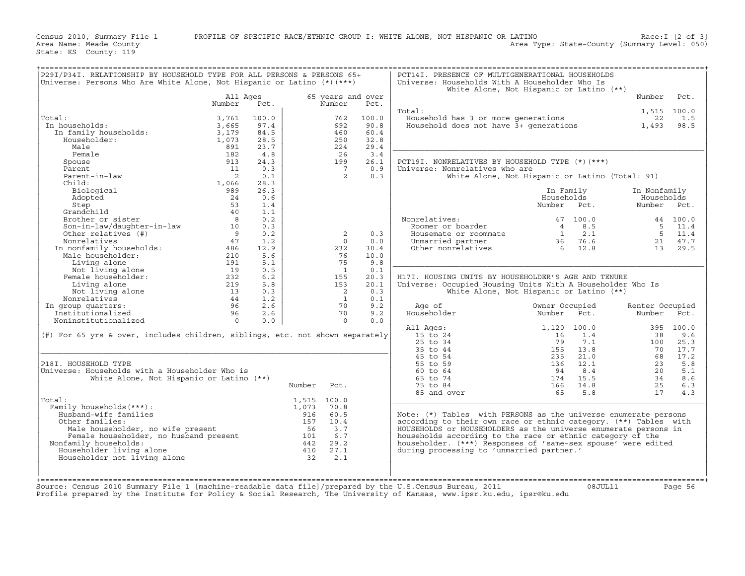Census 2010, Summary File 1 PROFILE OF SPECIFIC RACE/ETHNIC GROUP I: WHITE ALONE, NOT HISPANIC OR LATINO Race:I [2 of 3]<br>Area Name: Meade County (Summary Level: 050) Area Type: State-County (Summary Level: 050)

State: KS County: 119

| P29I/P34I. RELATIONSHIP BY HOUSEHOLD TYPE FOR ALL PERSONS & PERSONS 65+<br>Universe: Persons Who Are White Alone, Not Hispanic or Latino (*) (***)                                                                                                                                                                                                                                                                                                                                                                        |          |       |        |                                        |       | PCT14I. PRESENCE OF MULTIGENERATIONAL HOUSEHOLDS<br>Universe: Households With A Householder Who Is                                                                                | White Alone, Not Hispanic or Latino (**)                                                                                                                                                                                                                                                           |                 |         |
|---------------------------------------------------------------------------------------------------------------------------------------------------------------------------------------------------------------------------------------------------------------------------------------------------------------------------------------------------------------------------------------------------------------------------------------------------------------------------------------------------------------------------|----------|-------|--------|----------------------------------------|-------|-----------------------------------------------------------------------------------------------------------------------------------------------------------------------------------|----------------------------------------------------------------------------------------------------------------------------------------------------------------------------------------------------------------------------------------------------------------------------------------------------|-----------------|---------|
|                                                                                                                                                                                                                                                                                                                                                                                                                                                                                                                           | All Ages |       |        | 65 years and over                      |       |                                                                                                                                                                                   |                                                                                                                                                                                                                                                                                                    | Number          | Pct.    |
|                                                                                                                                                                                                                                                                                                                                                                                                                                                                                                                           | Number   | Pct.  |        | Number                                 | Pct.  |                                                                                                                                                                                   |                                                                                                                                                                                                                                                                                                    |                 |         |
|                                                                                                                                                                                                                                                                                                                                                                                                                                                                                                                           |          |       |        |                                        |       | Total:                                                                                                                                                                            |                                                                                                                                                                                                                                                                                                    | 1,515 100.0     |         |
| Total:                                                                                                                                                                                                                                                                                                                                                                                                                                                                                                                    | 3,761    | 100.0 |        | 762                                    | 100.0 |                                                                                                                                                                                   | 00.0 1/515 100.0<br>Household has 3 or more generations 12 1.515 100.0<br>Household does not have 3+ generations 1,493 98.5                                                                                                                                                                        |                 |         |
| % : al:<br>1 households: 3,665<br>In family households: 3,179<br>Householder: 1,073<br>$M^{-1}$ 891<br>In households:                                                                                                                                                                                                                                                                                                                                                                                                     |          | 97.4  |        | 692                                    | 90.8  |                                                                                                                                                                                   |                                                                                                                                                                                                                                                                                                    |                 |         |
|                                                                                                                                                                                                                                                                                                                                                                                                                                                                                                                           |          | 84.5  |        | 460                                    | 60.4  |                                                                                                                                                                                   |                                                                                                                                                                                                                                                                                                    |                 |         |
|                                                                                                                                                                                                                                                                                                                                                                                                                                                                                                                           |          | 28.5  |        | 250                                    | 32.8  |                                                                                                                                                                                   |                                                                                                                                                                                                                                                                                                    |                 |         |
|                                                                                                                                                                                                                                                                                                                                                                                                                                                                                                                           |          | 23.7  |        | 224                                    | 29.4  |                                                                                                                                                                                   |                                                                                                                                                                                                                                                                                                    |                 |         |
| Female                                                                                                                                                                                                                                                                                                                                                                                                                                                                                                                    | 182      | 4.8   |        | 26                                     | 3.4   |                                                                                                                                                                                   |                                                                                                                                                                                                                                                                                                    |                 |         |
|                                                                                                                                                                                                                                                                                                                                                                                                                                                                                                                           |          |       |        |                                        |       |                                                                                                                                                                                   |                                                                                                                                                                                                                                                                                                    |                 |         |
| Spouse                                                                                                                                                                                                                                                                                                                                                                                                                                                                                                                    | 913      | 24.3  |        | 199                                    | 26.1  | PCT19I. NONRELATIVES BY HOUSEHOLD TYPE (*) (***)                                                                                                                                  |                                                                                                                                                                                                                                                                                                    |                 |         |
|                                                                                                                                                                                                                                                                                                                                                                                                                                                                                                                           |          |       |        | $7\overline{)}$                        | 0.9   | Universe: Nonrelatives who are                                                                                                                                                    |                                                                                                                                                                                                                                                                                                    |                 |         |
|                                                                                                                                                                                                                                                                                                                                                                                                                                                                                                                           |          |       |        | $\overline{2}$                         | 0.3   |                                                                                                                                                                                   | White Alone, Not Hispanic or Latino (Total: 91)                                                                                                                                                                                                                                                    |                 |         |
|                                                                                                                                                                                                                                                                                                                                                                                                                                                                                                                           |          |       |        |                                        |       |                                                                                                                                                                                   |                                                                                                                                                                                                                                                                                                    |                 |         |
|                                                                                                                                                                                                                                                                                                                                                                                                                                                                                                                           |          |       |        |                                        |       |                                                                                                                                                                                   | In Family                                                                                                                                                                                                                                                                                          | In Nonfamily    |         |
|                                                                                                                                                                                                                                                                                                                                                                                                                                                                                                                           |          |       |        |                                        |       |                                                                                                                                                                                   | Households                                                                                                                                                                                                                                                                                         | Households      |         |
|                                                                                                                                                                                                                                                                                                                                                                                                                                                                                                                           |          |       |        |                                        |       |                                                                                                                                                                                   | Number Pct.                                                                                                                                                                                                                                                                                        | Number Pct.     |         |
|                                                                                                                                                                                                                                                                                                                                                                                                                                                                                                                           |          |       |        |                                        |       |                                                                                                                                                                                   |                                                                                                                                                                                                                                                                                                    |                 |         |
|                                                                                                                                                                                                                                                                                                                                                                                                                                                                                                                           |          |       |        |                                        |       |                                                                                                                                                                                   |                                                                                                                                                                                                                                                                                                    |                 |         |
| $\begin{tabular}{l c c c} \hline Female & 182 & 4.8 \\ Spouse & 182 & 4.8 \\ \hline Parent & 11 & 0.3 \\ Parent-in-law & 11 & 0.3 \\ Children-in-law & 12 & 0.3 \\ \hline & 10 & 2 & 0.1 \\ \hline & 11 & 0.66 & 28.3 \\ \hline & 11 & 0.66 & 28.3 \\ \hline & 11 & 0.66 & 28.3 \\ \hline & 11 & 0.66 & 28.3 \\ \hline & 11 & 1 & 0.66 & 28.3 \\ \hline & 12 & 0.6 & 28.3 \\ \$                                                                                                                                           |          |       |        |                                        |       | Nonrelatives: 47 100.0 44 100.0<br>Roomer or boarder 4 8.5 5 11.4<br>Housemate or roommate 1 2.1 5 11.4<br>Unmarried partner 36 76.6 21 47.7<br>Other nonrelatives 6 12.8 13 29.5 |                                                                                                                                                                                                                                                                                                    |                 |         |
|                                                                                                                                                                                                                                                                                                                                                                                                                                                                                                                           |          |       |        | 2                                      | 0.3   |                                                                                                                                                                                   |                                                                                                                                                                                                                                                                                                    |                 |         |
|                                                                                                                                                                                                                                                                                                                                                                                                                                                                                                                           |          |       |        | $\overline{0}$                         | 0.0   |                                                                                                                                                                                   |                                                                                                                                                                                                                                                                                                    |                 |         |
|                                                                                                                                                                                                                                                                                                                                                                                                                                                                                                                           |          |       |        | 232                                    | 30.4  |                                                                                                                                                                                   |                                                                                                                                                                                                                                                                                                    |                 |         |
|                                                                                                                                                                                                                                                                                                                                                                                                                                                                                                                           |          |       |        | 76                                     | 10.0  |                                                                                                                                                                                   |                                                                                                                                                                                                                                                                                                    |                 |         |
|                                                                                                                                                                                                                                                                                                                                                                                                                                                                                                                           |          |       |        | 75                                     | 9.8   |                                                                                                                                                                                   |                                                                                                                                                                                                                                                                                                    |                 |         |
|                                                                                                                                                                                                                                                                                                                                                                                                                                                                                                                           |          |       |        | $\overline{1}$                         | 0.1   |                                                                                                                                                                                   |                                                                                                                                                                                                                                                                                                    |                 |         |
|                                                                                                                                                                                                                                                                                                                                                                                                                                                                                                                           |          |       |        |                                        |       |                                                                                                                                                                                   |                                                                                                                                                                                                                                                                                                    |                 |         |
|                                                                                                                                                                                                                                                                                                                                                                                                                                                                                                                           |          |       |        | 155                                    | 20.3  | H17I. HOUSING UNITS BY HOUSEHOLDER'S AGE AND TENURE                                                                                                                               |                                                                                                                                                                                                                                                                                                    |                 |         |
|                                                                                                                                                                                                                                                                                                                                                                                                                                                                                                                           |          |       |        | 153                                    | 20.1  | Universe: Occupied Housing Units With A Householder Who Is                                                                                                                        |                                                                                                                                                                                                                                                                                                    |                 |         |
|                                                                                                                                                                                                                                                                                                                                                                                                                                                                                                                           |          |       |        | $\frac{2}{1}$                          | 0.3   |                                                                                                                                                                                   | White Alone, Not Hispanic or Latino (**)                                                                                                                                                                                                                                                           |                 |         |
|                                                                                                                                                                                                                                                                                                                                                                                                                                                                                                                           |          |       |        |                                        | 0.1   |                                                                                                                                                                                   |                                                                                                                                                                                                                                                                                                    |                 |         |
|                                                                                                                                                                                                                                                                                                                                                                                                                                                                                                                           |          |       |        | 70                                     | 9.2   | Age of                                                                                                                                                                            | Owner Occupied                                                                                                                                                                                                                                                                                     | Renter Occupied |         |
|                                                                                                                                                                                                                                                                                                                                                                                                                                                                                                                           |          |       |        | $\begin{array}{c} 70 \\ 0 \end{array}$ | 9.2   | Householder Mumber Pct.                                                                                                                                                           |                                                                                                                                                                                                                                                                                                    | Number Pct.     |         |
|                                                                                                                                                                                                                                                                                                                                                                                                                                                                                                                           |          |       |        |                                        | 0.0   |                                                                                                                                                                                   |                                                                                                                                                                                                                                                                                                    |                 |         |
|                                                                                                                                                                                                                                                                                                                                                                                                                                                                                                                           |          |       |        |                                        |       |                                                                                                                                                                                   |                                                                                                                                                                                                                                                                                                    |                 |         |
| $(\#)$ For 65 yrs & over, includes children, siblings, etc. not shown separately                                                                                                                                                                                                                                                                                                                                                                                                                                          |          |       |        |                                        |       |                                                                                                                                                                                   |                                                                                                                                                                                                                                                                                                    |                 |         |
|                                                                                                                                                                                                                                                                                                                                                                                                                                                                                                                           |          |       |        |                                        |       |                                                                                                                                                                                   |                                                                                                                                                                                                                                                                                                    |                 |         |
|                                                                                                                                                                                                                                                                                                                                                                                                                                                                                                                           |          |       |        |                                        |       |                                                                                                                                                                                   |                                                                                                                                                                                                                                                                                                    |                 |         |
|                                                                                                                                                                                                                                                                                                                                                                                                                                                                                                                           |          |       |        |                                        |       |                                                                                                                                                                                   |                                                                                                                                                                                                                                                                                                    |                 |         |
| P18I. HOUSEHOLD TYPE                                                                                                                                                                                                                                                                                                                                                                                                                                                                                                      |          |       |        |                                        |       |                                                                                                                                                                                   |                                                                                                                                                                                                                                                                                                    |                 |         |
| Universe: Households with a Householder Who is                                                                                                                                                                                                                                                                                                                                                                                                                                                                            |          |       |        |                                        |       |                                                                                                                                                                                   | All Ages:<br>1,120 100.0<br>15 to 24<br>25 to 34<br>35 to 44<br>45 to 54<br>45 to 59<br>60 to 64<br>65 to 74<br>75 to 84<br>75 to 84<br>75 to 84<br>76<br>174<br>15.5<br>18<br>18<br>18<br>23<br>23<br>21.0<br>8<br>21.1<br>23<br>23<br>21.1<br>23<br>23<br>21.1<br>23<br>23<br>23<br>23<br>24<br> |                 |         |
| White Alone, Not Hispanic or Latino (**)                                                                                                                                                                                                                                                                                                                                                                                                                                                                                  |          |       |        |                                        |       |                                                                                                                                                                                   |                                                                                                                                                                                                                                                                                                    |                 |         |
|                                                                                                                                                                                                                                                                                                                                                                                                                                                                                                                           |          |       |        |                                        |       |                                                                                                                                                                                   |                                                                                                                                                                                                                                                                                                    |                 |         |
|                                                                                                                                                                                                                                                                                                                                                                                                                                                                                                                           |          |       | Number | Pct.                                   |       |                                                                                                                                                                                   |                                                                                                                                                                                                                                                                                                    |                 |         |
|                                                                                                                                                                                                                                                                                                                                                                                                                                                                                                                           |          |       |        |                                        |       |                                                                                                                                                                                   |                                                                                                                                                                                                                                                                                                    |                 |         |
| Total:                                                                                                                                                                                                                                                                                                                                                                                                                                                                                                                    |          |       |        |                                        |       |                                                                                                                                                                                   |                                                                                                                                                                                                                                                                                                    |                 |         |
| Family households (***) :                                                                                                                                                                                                                                                                                                                                                                                                                                                                                                 |          |       |        |                                        |       |                                                                                                                                                                                   |                                                                                                                                                                                                                                                                                                    |                 |         |
|                                                                                                                                                                                                                                                                                                                                                                                                                                                                                                                           |          |       |        |                                        |       | Note: (*) Tables with PERSONS as the universe enumerate persons                                                                                                                   |                                                                                                                                                                                                                                                                                                    |                 |         |
|                                                                                                                                                                                                                                                                                                                                                                                                                                                                                                                           |          |       |        |                                        |       | according to their own race or ethnic category. (**) Tables with                                                                                                                  |                                                                                                                                                                                                                                                                                                    |                 |         |
|                                                                                                                                                                                                                                                                                                                                                                                                                                                                                                                           |          |       |        |                                        |       | HOUSEHOLDS or HOUSEHOLDERS as the universe enumerate persons in                                                                                                                   |                                                                                                                                                                                                                                                                                                    |                 |         |
|                                                                                                                                                                                                                                                                                                                                                                                                                                                                                                                           |          |       |        |                                        |       | households according to the race or ethnic category of the                                                                                                                        |                                                                                                                                                                                                                                                                                                    |                 |         |
| Nonfamily households:                                                                                                                                                                                                                                                                                                                                                                                                                                                                                                     |          |       |        |                                        |       | householder. (***) Responses of 'same-sex spouse' were edited                                                                                                                     |                                                                                                                                                                                                                                                                                                    |                 |         |
|                                                                                                                                                                                                                                                                                                                                                                                                                                                                                                                           |          |       |        |                                        |       | during processing to 'unmarried partner.'                                                                                                                                         |                                                                                                                                                                                                                                                                                                    |                 |         |
| $\begin{tabular}{llllll} \texttt{all:} & & & & & 1,515 & 100.0 \\ \texttt{amilly households}(\star\star\star): & & & 1,073 & 70.8 \\ \texttt{Husband-wife families}: & & & 916 & 60.5 \\ \texttt{Other families}: & & 157 & 10.4 \\ \texttt{Male householdder, no wife present} & & & 56 & 3.7 \\ \texttt{Female householdder, no husband present} & & & 56 & 3.7 \\ \texttt{onfamily households:} & & & 101 & 6.7 \\ \texttt{Householder living alone} & & & 410 & 27.1 \\ \texttt{Householder not living alone} & & & $ |          |       |        |                                        |       |                                                                                                                                                                                   |                                                                                                                                                                                                                                                                                                    |                 |         |
|                                                                                                                                                                                                                                                                                                                                                                                                                                                                                                                           |          |       |        |                                        |       |                                                                                                                                                                                   |                                                                                                                                                                                                                                                                                                    |                 |         |
|                                                                                                                                                                                                                                                                                                                                                                                                                                                                                                                           |          |       |        |                                        |       |                                                                                                                                                                                   |                                                                                                                                                                                                                                                                                                    |                 |         |
|                                                                                                                                                                                                                                                                                                                                                                                                                                                                                                                           |          |       |        |                                        |       |                                                                                                                                                                                   |                                                                                                                                                                                                                                                                                                    |                 |         |
| Source: Census 2010 Summary File 1 [machine-readable data file]/prepared by the U.S.Census Bureau, 2011 68JUL11                                                                                                                                                                                                                                                                                                                                                                                                           |          |       |        |                                        |       |                                                                                                                                                                                   |                                                                                                                                                                                                                                                                                                    |                 | Page 56 |
|                                                                                                                                                                                                                                                                                                                                                                                                                                                                                                                           |          |       |        |                                        |       | the contract of the contract of the contract of the contract of the contract of the contract of the contract of                                                                   |                                                                                                                                                                                                                                                                                                    |                 |         |

Profile prepared by the Institute for Policy & Social Research, The University of Kansas, www.ipsr.ku.edu, ipsr@ku.edu